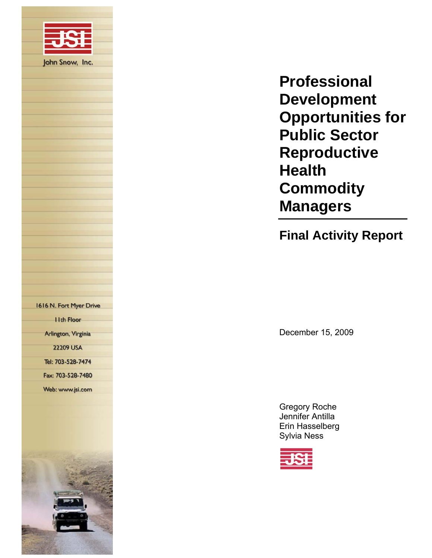

**Final Activity Report** 

December 15, 2009

Gregory Roche Jennifer Antilla Erin Hasselberg Sylvia Ness

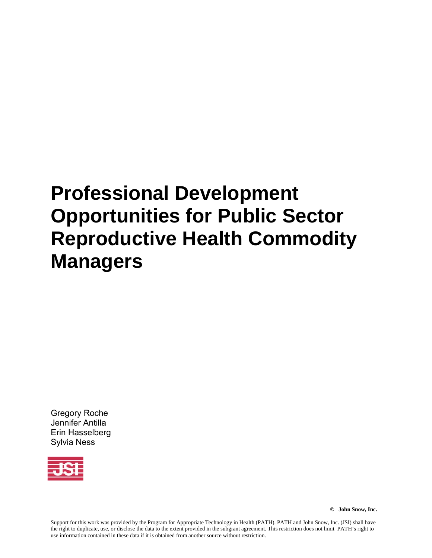Gregory Roche Jennifer Antilla Erin Hasselberg Sylvia Ness



**© John Snow, Inc.** 

Support for this work was provided by the Program for Appropriate Technology in Health (PATH). PATH and John Snow, Inc. (JSI) shall have the right to duplicate, use, or disclose the data to the extent provided in the subgrant agreement. This restriction does not limit PATH's right to use information contained in these data if it is obtained from another source without restriction.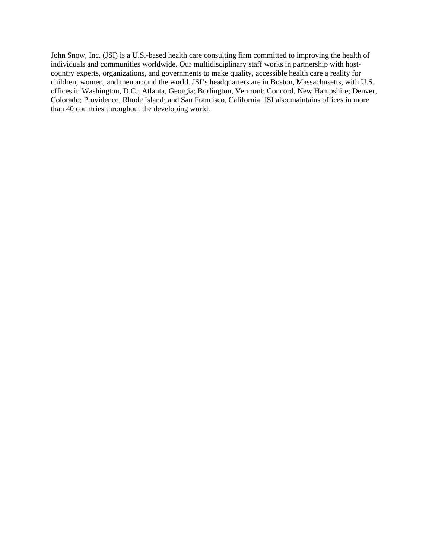John Snow, Inc. (JSI) is a U.S.-based health care consulting firm committed to improving the health of individuals and communities worldwide. Our multidisciplinary staff works in partnership with hostcountry experts, organizations, and governments to make quality, accessible health care a reality for children, women, and men around the world. JSI's headquarters are in Boston, Massachusetts, with U.S. offices in Washington, D.C.; Atlanta, Georgia; Burlington, Vermont; Concord, New Hampshire; Denver, Colorado; Providence, Rhode Island; and San Francisco, California. JSI also maintains offices in more than 40 countries throughout the developing world.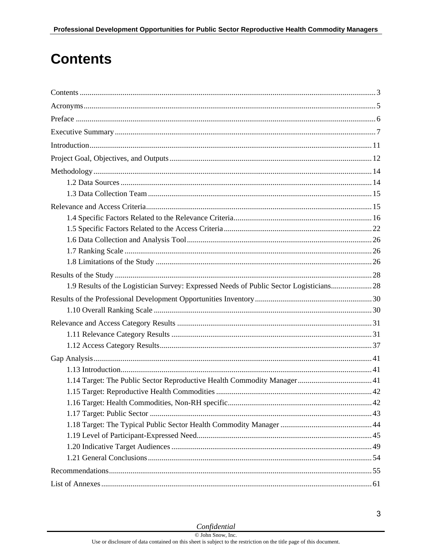# <span id="page-4-0"></span>**Contents**

| 1.9 Results of the Logistician Survey: Expressed Needs of Public Sector Logisticians28 |  |
|----------------------------------------------------------------------------------------|--|
|                                                                                        |  |
|                                                                                        |  |
|                                                                                        |  |
|                                                                                        |  |
|                                                                                        |  |
|                                                                                        |  |
|                                                                                        |  |
|                                                                                        |  |
|                                                                                        |  |
|                                                                                        |  |
|                                                                                        |  |
|                                                                                        |  |
|                                                                                        |  |
|                                                                                        |  |
|                                                                                        |  |
|                                                                                        |  |
|                                                                                        |  |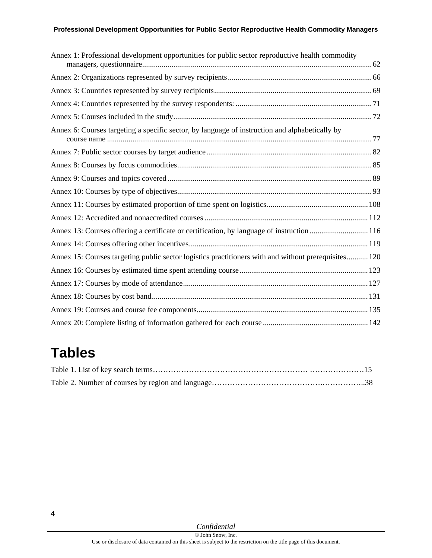| Annex 1: Professional development opportunities for public sector reproductive health commodity      |  |
|------------------------------------------------------------------------------------------------------|--|
|                                                                                                      |  |
|                                                                                                      |  |
|                                                                                                      |  |
|                                                                                                      |  |
| Annex 6: Courses targeting a specific sector, by language of instruction and alphabetically by       |  |
|                                                                                                      |  |
|                                                                                                      |  |
|                                                                                                      |  |
|                                                                                                      |  |
|                                                                                                      |  |
|                                                                                                      |  |
| Annex 13: Courses offering a certificate or certification, by language of instruction  116           |  |
|                                                                                                      |  |
| Annex 15: Courses targeting public sector logistics practitioners with and without prerequisites 120 |  |
|                                                                                                      |  |
|                                                                                                      |  |
|                                                                                                      |  |
|                                                                                                      |  |
|                                                                                                      |  |

# **Tables**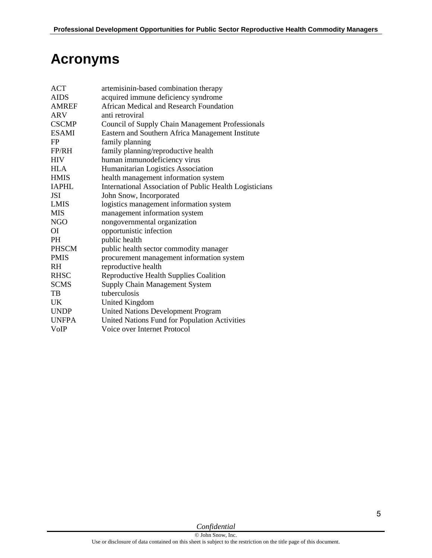# **Acronyms**

<span id="page-6-0"></span>

| <b>ACT</b>   | artemisinin-based combination therapy                   |
|--------------|---------------------------------------------------------|
| <b>AIDS</b>  | acquired immune deficiency syndrome                     |
| <b>AMREF</b> | African Medical and Research Foundation                 |
| ARV          | anti retroviral                                         |
| <b>CSCMP</b> | <b>Council of Supply Chain Management Professionals</b> |
| <b>ESAMI</b> | Eastern and Southern Africa Management Institute        |
| FP           | family planning                                         |
| FP/RH        | family planning/reproductive health                     |
| <b>HIV</b>   | human immunodeficiency virus                            |
| <b>HLA</b>   | Humanitarian Logistics Association                      |
| <b>HMIS</b>  | health management information system                    |
| <b>IAPHL</b> | International Association of Public Health Logisticians |
| <b>JSI</b>   | John Snow, Incorporated                                 |
| <b>LMIS</b>  | logistics management information system                 |
| <b>MIS</b>   | management information system                           |
| NGO          | nongovernmental organization                            |
| ОI           | opportunistic infection                                 |
| <b>PH</b>    | public health                                           |
| <b>PHSCM</b> | public health sector commodity manager                  |
| <b>PMIS</b>  | procurement management information system               |
| RH.          | reproductive health                                     |
| <b>RHSC</b>  | Reproductive Health Supplies Coalition                  |
| <b>SCMS</b>  | Supply Chain Management System                          |
| TB           | tuberculosis                                            |
| UK.          | United Kingdom                                          |
| <b>UNDP</b>  | United Nations Development Program                      |
| <b>UNFPA</b> | United Nations Fund for Population Activities           |
| VoIP         | Voice over Internet Protocol                            |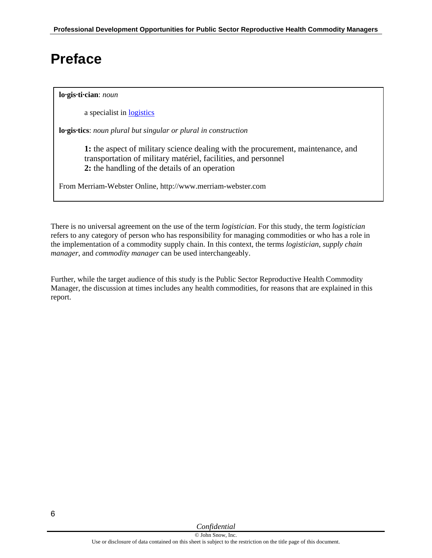## <span id="page-7-0"></span>**Preface**

#### **lo·gis·ti·cian**: *noun*

a specialist in [logistics](http://www.merriam-webster.com/dictionary/logistics)

**lo·gis·tics**: *noun plural but singular or plural in construction* 

**1:** the aspect of military science dealing with the procurement, maintenance, and transportation of military matériel, facilities, and personnel **2:** the handling of the details of an operation

From Merriam-Webster Online, http://www.merriam-webster.com

There is no universal agreement on the use of the term *logistician*. For this study, the term *logistician* refers to any category of person who has responsibility for managing commodities or who has a role in the implementation of a commodity supply chain. In this context, the terms *logistician*, *supply chain manager*, and *commodity manager* can be used interchangeably.

Further, while the target audience of this study is the Public Sector Reproductive Health Commodity Manager, the discussion at times includes any health commodities, for reasons that are explained in this report.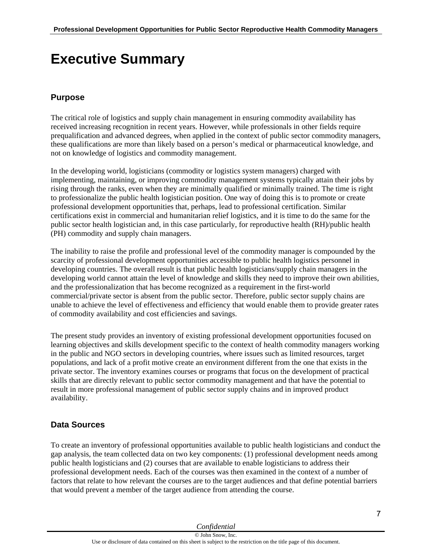# <span id="page-8-0"></span>**Executive Summary**

## **Purpose**

The critical role of logistics and supply chain management in ensuring commodity availability has received increasing recognition in recent years. However, while professionals in other fields require prequalification and advanced degrees, when applied in the context of public sector commodity managers, these qualifications are more than likely based on a person's medical or pharmaceutical knowledge, and not on knowledge of logistics and commodity management.

In the developing world, logisticians (commodity or logistics system managers) charged with implementing, maintaining, or improving commodity management systems typically attain their jobs by rising through the ranks, even when they are minimally qualified or minimally trained. The time is right to professionalize the public health logistician position. One way of doing this is to promote or create professional development opportunities that, perhaps, lead to professional certification. Similar certifications exist in commercial and humanitarian relief logistics, and it is time to do the same for the public sector health logistician and, in this case particularly, for reproductive health (RH)/public health (PH) commodity and supply chain managers.

The inability to raise the profile and professional level of the commodity manager is compounded by the scarcity of professional development opportunities accessible to public health logistics personnel in developing countries. The overall result is that public health logisticians/supply chain managers in the developing world cannot attain the level of knowledge and skills they need to improve their own abilities, and the professionalization that has become recognized as a requirement in the first-world commercial/private sector is absent from the public sector. Therefore, public sector supply chains are unable to achieve the level of effectiveness and efficiency that would enable them to provide greater rates of commodity availability and cost efficiencies and savings.

The present study provides an inventory of existing professional development opportunities focused on learning objectives and skills development specific to the context of health commodity managers working in the public and NGO sectors in developing countries, where issues such as limited resources, target populations, and lack of a profit motive create an environment different from the one that exists in the private sector. The inventory examines courses or programs that focus on the development of practical skills that are directly relevant to public sector commodity management and that have the potential to result in more professional management of public sector supply chains and in improved product availability.

## **Data Sources**

To create an inventory of professional opportunities available to public health logisticians and conduct the gap analysis, the team collected data on two key components: (1) professional development needs among public health logisticians and (2) courses that are available to enable logisticians to address their professional development needs. Each of the courses was then examined in the context of a number of factors that relate to how relevant the courses are to the target audiences and that define potential barriers that would prevent a member of the target audience from attending the course.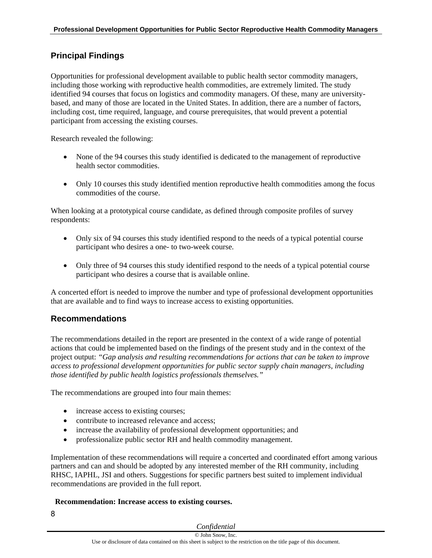### **Principal Findings**

Opportunities for professional development available to public health sector commodity managers, including those working with reproductive health commodities, are extremely limited. The study identified 94 courses that focus on logistics and commodity managers. Of these, many are universitybased, and many of those are located in the United States. In addition, there are a number of factors, including cost, time required, language, and course prerequisites, that would prevent a potential participant from accessing the existing courses.

Research revealed the following:

- None of the 94 courses this study identified is dedicated to the management of reproductive health sector commodities.
- Only 10 courses this study identified mention reproductive health commodities among the focus commodities of the course.

When looking at a prototypical course candidate, as defined through composite profiles of survey respondents:

- Only six of 94 courses this study identified respond to the needs of a typical potential course participant who desires a one- to two-week course.
- Only three of 94 courses this study identified respond to the needs of a typical potential course participant who desires a course that is available online.

A concerted effort is needed to improve the number and type of professional development opportunities that are available and to find ways to increase access to existing opportunities.

### **Recommendations**

The recommendations detailed in the report are presented in the context of a wide range of potential actions that could be implemented based on the findings of the present study and in the context of the project output: *"Gap analysis and resulting recommendations for actions that can be taken to improve access to professional development opportunities for public sector supply chain managers, including those identified by public health logistics professionals themselves."*

The recommendations are grouped into four main themes:

- increase access to existing courses;
- contribute to increased relevance and access;
- increase the availability of professional development opportunities; and
- professionalize public sector RH and health commodity management.

Implementation of these recommendations will require a concerted and coordinated effort among various partners and can and should be adopted by any interested member of the RH community, including RHSC, IAPHL, JSI and others. Suggestions for specific partners best suited to implement individual recommendations are provided in the full report.

#### **Recommendation: Increase access to existing courses.**

8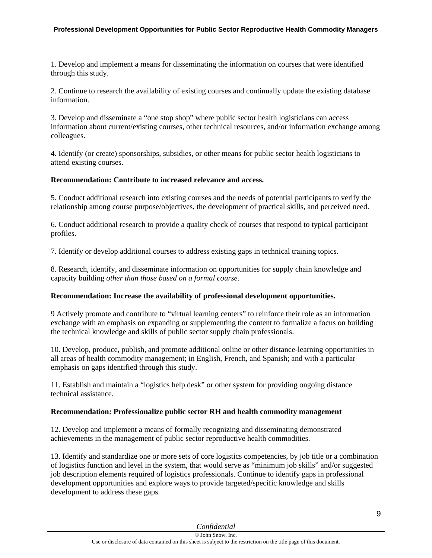1. Develop and implement a means for disseminating the information on courses that were identified through this study.

2. Continue to research the availability of existing courses and continually update the existing database information.

3. Develop and disseminate a "one stop shop" where public sector health logisticians can access information about current/existing courses, other technical resources, and/or information exchange among colleagues.

4. Identify (or create) sponsorships, subsidies, or other means for public sector health logisticians to attend existing courses.

#### **Recommendation: Contribute to increased relevance and access.**

5. Conduct additional research into existing courses and the needs of potential participants to verify the relationship among course purpose/objectives, the development of practical skills, and perceived need.

6. Conduct additional research to provide a quality check of courses that respond to typical participant profiles.

7. Identify or develop additional courses to address existing gaps in technical training topics.

8. Research, identify, and disseminate information on opportunities for supply chain knowledge and capacity building *other than those based on a formal course*.

#### **Recommendation: Increase the availability of professional development opportunities.**

9 Actively promote and contribute to "virtual learning centers" to reinforce their role as an information exchange with an emphasis on expanding or supplementing the content to formalize a focus on building the technical knowledge and skills of public sector supply chain professionals.

10. Develop, produce, publish, and promote additional online or other distance-learning opportunities in all areas of health commodity management; in English, French, and Spanish; and with a particular emphasis on gaps identified through this study.

11. Establish and maintain a "logistics help desk" or other system for providing ongoing distance technical assistance.

#### **Recommendation: Professionalize public sector RH and health commodity management**

12. Develop and implement a means of formally recognizing and disseminating demonstrated achievements in the management of public sector reproductive health commodities.

13. Identify and standardize one or more sets of core logistics competencies, by job title or a combination of logistics function and level in the system, that would serve as "minimum job skills" and/or suggested job description elements required of logistics professionals. Continue to identify gaps in professional development opportunities and explore ways to provide targeted/specific knowledge and skills development to address these gaps.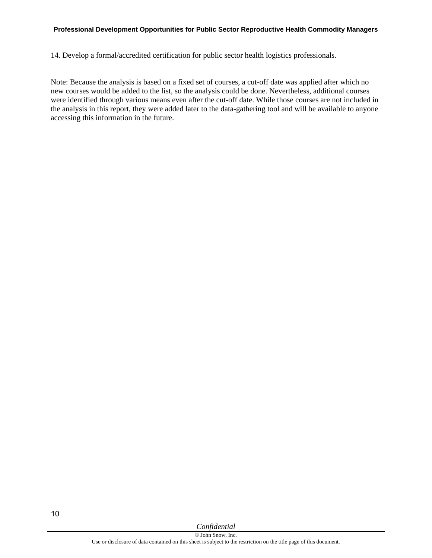14. Develop a formal/accredited certification for public sector health logistics professionals.

Note: Because the analysis is based on a fixed set of courses, a cut-off date was applied after which no new courses would be added to the list, so the analysis could be done. Nevertheless, additional courses were identified through various means even after the cut-off date. While those courses are not included in the analysis in this report, they were added later to the data-gathering tool and will be available to anyone accessing this information in the future.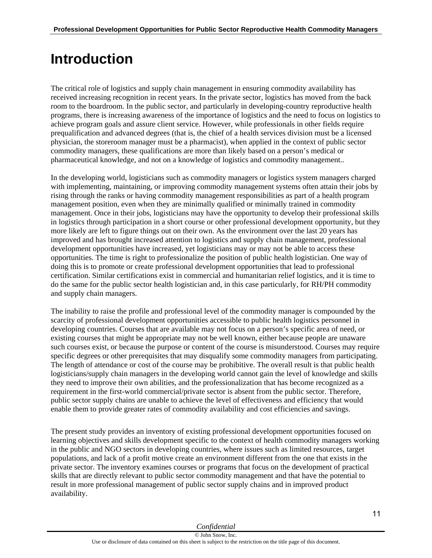# <span id="page-12-0"></span>**Introduction**

The critical role of logistics and supply chain management in ensuring commodity availability has received increasing recognition in recent years. In the private sector, logistics has moved from the back room to the boardroom. In the public sector, and particularly in developing-country reproductive health programs, there is increasing awareness of the importance of logistics and the need to focus on logistics to achieve program goals and assure client service. However, while professionals in other fields require prequalification and advanced degrees (that is, the chief of a health services division must be a licensed physician, the storeroom manager must be a pharmacist), when applied in the context of public sector commodity managers, these qualifications are more than likely based on a person's medical or pharmaceutical knowledge, and not on a knowledge of logistics and commodity management..

In the developing world, logisticians such as commodity managers or logistics system managers charged with implementing, maintaining, or improving commodity management systems often attain their jobs by rising through the ranks or having commodity management responsibilities as part of a health program management position, even when they are minimally qualified or minimally trained in commodity management. Once in their jobs, logisticians may have the opportunity to develop their professional skills in logistics through participation in a short course or other professional development opportunity, but they more likely are left to figure things out on their own. As the environment over the last 20 years has improved and has brought increased attention to logistics and supply chain management, professional development opportunities have increased, yet logisticians may or may not be able to access these opportunities. The time is right to professionalize the position of public health logistician. One way of doing this is to promote or create professional development opportunities that lead to professional certification. Similar certifications exist in commercial and humanitarian relief logistics, and it is time to do the same for the public sector health logistician and, in this case particularly, for RH/PH commodity and supply chain managers.

The inability to raise the profile and professional level of the commodity manager is compounded by the scarcity of professional development opportunities accessible to public health logistics personnel in developing countries. Courses that are available may not focus on a person's specific area of need, or existing courses that might be appropriate may not be well known, either because people are unaware such courses exist, or because the purpose or content of the course is misunderstood. Courses may require specific degrees or other prerequisites that may disqualify some commodity managers from participating. The length of attendance or cost of the course may be prohibitive. The overall result is that public health logisticians/supply chain managers in the developing world cannot gain the level of knowledge and skills they need to improve their own abilities, and the professionalization that has become recognized as a requirement in the first-world commercial/private sector is absent from the public sector. Therefore, public sector supply chains are unable to achieve the level of effectiveness and efficiency that would enable them to provide greater rates of commodity availability and cost efficiencies and savings.

The present study provides an inventory of existing professional development opportunities focused on learning objectives and skills development specific to the context of health commodity managers working in the public and NGO sectors in developing countries, where issues such as limited resources, target populations, and lack of a profit motive create an environment different from the one that exists in the private sector. The inventory examines courses or programs that focus on the development of practical skills that are directly relevant to public sector commodity management and that have the potential to result in more professional management of public sector supply chains and in improved product availability.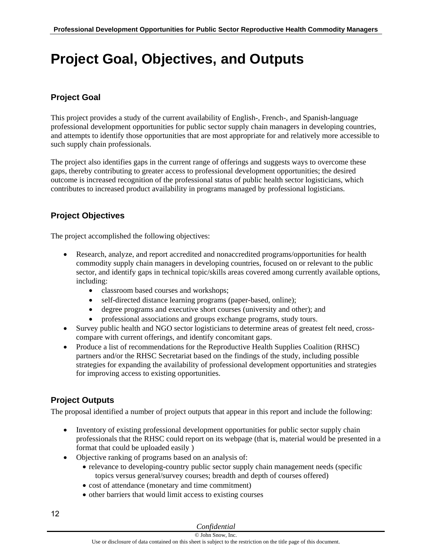# <span id="page-13-0"></span>**Project Goal, Objectives, and Outputs**

## **Project Goal**

This project provides a study of the current availability of English-, French-, and Spanish-language professional development opportunities for public sector supply chain managers in developing countries, and attempts to identify those opportunities that are most appropriate for and relatively more accessible to such supply chain professionals.

The project also identifies gaps in the current range of offerings and suggests ways to overcome these gaps, thereby contributing to greater access to professional development opportunities; the desired outcome is increased recognition of the professional status of public health sector logisticians, which contributes to increased product availability in programs managed by professional logisticians.

## **Project Objectives**

The project accomplished the following objectives:

- Research, analyze, and report accredited and nonaccredited programs/opportunities for health commodity supply chain managers in developing countries, focused on or relevant to the public sector, and identify gaps in technical topic/skills areas covered among currently available options, including:
	- classroom based courses and workshops;
	- self-directed distance learning programs (paper-based, online);
	- degree programs and executive short courses (university and other); and
	- professional associations and groups exchange programs, study tours.
- Survey public health and NGO sector logisticians to determine areas of greatest felt need, crosscompare with current offerings, and identify concomitant gaps.
- Produce a list of recommendations for the Reproductive Health Supplies Coalition (RHSC) partners and/or the RHSC Secretariat based on the findings of the study, including possible strategies for expanding the availability of professional development opportunities and strategies for improving access to existing opportunities.

## **Project Outputs**

The proposal identified a number of project outputs that appear in this report and include the following:

- Inventory of existing professional development opportunities for public sector supply chain professionals that the RHSC could report on its webpage (that is, material would be presented in a format that could be uploaded easily )
- Objective ranking of programs based on an analysis of:
	- relevance to developing-country public sector supply chain management needs (specific topics versus general/survey courses; breadth and depth of courses offered)
	- cost of attendance (monetary and time commitment)
	- other barriers that would limit access to existing courses

#### *Confidential*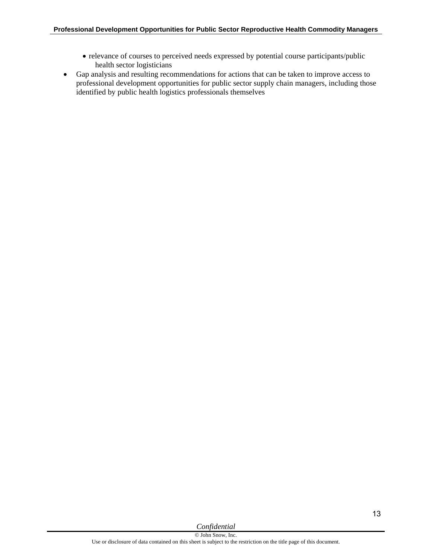- relevance of courses to perceived needs expressed by potential course participants/public health sector logisticians
- Gap analysis and resulting recommendations for actions that can be taken to improve access to professional development opportunities for public sector supply chain managers, including those identified by public health logistics professionals themselves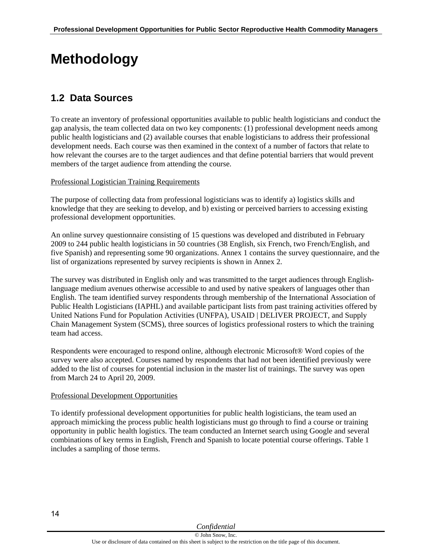# <span id="page-15-0"></span>**Methodology**

## <span id="page-15-1"></span>**1.2 Data Sources**

To create an inventory of professional opportunities available to public health logisticians and conduct the gap analysis, the team collected data on two key components: (1) professional development needs among public health logisticians and (2) available courses that enable logisticians to address their professional development needs. Each course was then examined in the context of a number of factors that relate to how relevant the courses are to the target audiences and that define potential barriers that would prevent members of the target audience from attending the course.

#### Professional Logistician Training Requirements

The purpose of collecting data from professional logisticians was to identify a) logistics skills and knowledge that they are seeking to develop, and b) existing or perceived barriers to accessing existing professional development opportunities.

An online survey questionnaire consisting of 15 questions was developed and distributed in February 2009 to 244 public health logisticians in 50 countries (38 English, six French, two French/English, and five Spanish) and representing some 90 organizations. Annex 1 contains the survey questionnaire, and the list of organizations represented by survey recipients is shown in Annex 2.

The survey was distributed in English only and was transmitted to the target audiences through Englishlanguage medium avenues otherwise accessible to and used by native speakers of languages other than English. The team identified survey respondents through membership of the International Association of Public Health Logisticians (IAPHL) and available participant lists from past training activities offered by United Nations Fund for Population Activities (UNFPA), USAID | DELIVER PROJECT, and Supply Chain Management System (SCMS), three sources of logistics professional rosters to which the training team had access.

Respondents were encouraged to respond online, although electronic Microsoft® Word copies of the survey were also accepted. Courses named by respondents that had not been identified previously were added to the list of courses for potential inclusion in the master list of trainings. The survey was open from March 24 to April 20, 2009.

#### Professional Development Opportunities

To identify professional development opportunities for public health logisticians, the team used an approach mimicking the process public health logisticians must go through to find a course or training opportunity in public health logistics. The team conducted an Internet search using Google and several combinations of key terms in English, French and Spanish to locate potential course offerings. Table 1 includes a sampling of those terms.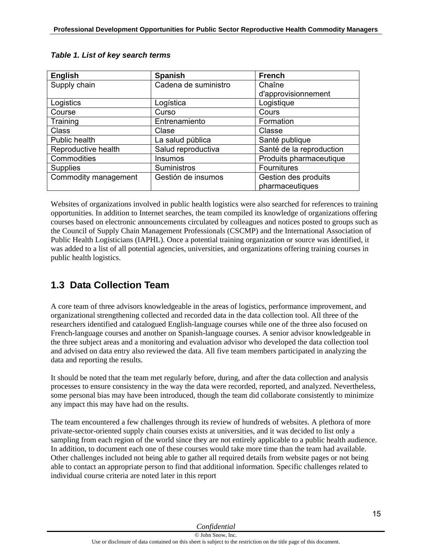| <b>English</b>       | <b>Spanish</b>       | <b>French</b>            |
|----------------------|----------------------|--------------------------|
| Supply chain         | Cadena de suministro | Chaîne                   |
|                      |                      | d'approvisionnement      |
| Logistics            | Logística            | Logistique               |
| Course               | Curso                | Cours                    |
| Training             | Entrenamiento        | Formation                |
| <b>Class</b>         | Clase                | Classe                   |
| Public health        | La salud pública     | Santé publique           |
| Reproductive health  | Salud reproductiva   | Santé de la reproduction |
| Commodities          | Insumos              | Produits pharmaceutique  |
| <b>Supplies</b>      | Suministros          | Fournitures              |
| Commodity management | Gestión de insumos   | Gestion des produits     |
|                      |                      | pharmaceutiques          |

Websites of organizations involved in public health logistics were also searched for references to training opportunities. In addition to Internet searches, the team compiled its knowledge of organizations offering courses based on electronic announcements circulated by colleagues and notices posted to groups such as the Council of Supply Chain Management Professionals (CSCMP) and the International Association of Public Health Logisticians (IAPHL). Once a potential training organization or source was identified, it was added to a list of all potential agencies, universities, and organizations offering training courses in public health logistics.

## <span id="page-16-0"></span>**1.3 Data Collection Team**

A core team of three advisors knowledgeable in the areas of logistics, performance improvement, and organizational strengthening collected and recorded data in the data collection tool. All three of the researchers identified and catalogued English-language courses while one of the three also focused on French-language courses and another on Spanish-language courses. A senior advisor knowledgeable in the three subject areas and a monitoring and evaluation advisor who developed the data collection tool and advised on data entry also reviewed the data. All five team members participated in analyzing the data and reporting the results.

It should be noted that the team met regularly before, during, and after the data collection and analysis processes to ensure consistency in the way the data were recorded, reported, and analyzed. Nevertheless, some personal bias may have been introduced, though the team did collaborate consistently to minimize any impact this may have had on the results.

The team encountered a few challenges through its review of hundreds of websites. A plethora of more private-sector-oriented supply chain courses exists at universities, and it was decided to list only a sampling from each region of the world since they are not entirely applicable to a public health audience. In addition, to document each one of these courses would take more time than the team had available. Other challenges included not being able to gather all required details from website pages or not being able to contact an appropriate person to find that additional information. Specific challenges related to individual course criteria are noted later in this report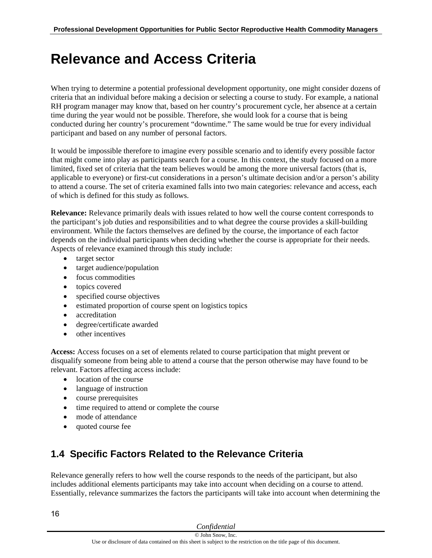# **Relevance and Access Criteria**

When trying to determine a potential professional development opportunity, one might consider dozens of criteria that an individual before making a decision or selecting a course to study. For example, a national RH program manager may know that, based on her country's procurement cycle, her absence at a certain time during the year would not be possible. Therefore, she would look for a course that is being conducted during her country's procurement "downtime." The same would be true for every individual participant and based on any number of personal factors.

It would be impossible therefore to imagine every possible scenario and to identify every possible factor that might come into play as participants search for a course. In this context, the study focused on a more limited, fixed set of criteria that the team believes would be among the more universal factors (that is, applicable to everyone) or first-cut considerations in a person's ultimate decision and/or a person's ability to attend a course. The set of criteria examined falls into two main categories: relevance and access, each of which is defined for this study as follows.

**Relevance:** Relevance primarily deals with issues related to how well the course content corresponds to the participant's job duties and responsibilities and to what degree the course provides a skill-building environment. While the factors themselves are defined by the course, the importance of each factor depends on the individual participants when deciding whether the course is appropriate for their needs. Aspects of relevance examined through this study include:

- target sector
- target audience/population
- focus commodities
- topics covered
- specified course objectives
- estimated proportion of course spent on logistics topics
- accreditation
- degree/certificate awarded
- other incentives

**Access:** Access focuses on a set of elements related to course participation that might prevent or disqualify someone from being able to attend a course that the person otherwise may have found to be relevant. Factors affecting access include:

- location of the course
- language of instruction
- course prerequisites
- time required to attend or complete the course
- mode of attendance
- quoted course fee

## <span id="page-17-1"></span>**1.4 Specific Factors Related to the Relevance Criteria**

<span id="page-17-0"></span>Relevance generally refers to how well the course responds to the needs of the participant, but also includes additional elements participants may take into account when deciding on a course to attend. Essentially, relevance summarizes the factors the participants will take into account when determining the

| Confidential |  |
|--------------|--|
|              |  |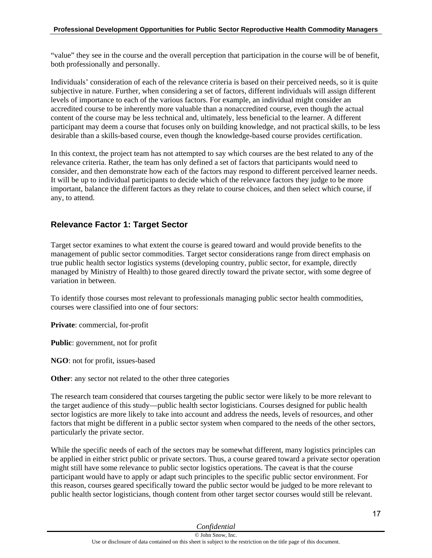"value" they see in the course and the overall perception that participation in the course will be of benefit, both professionally and personally.

Individuals' consideration of each of the relevance criteria is based on their perceived needs, so it is quite subjective in nature. Further, when considering a set of factors, different individuals will assign different levels of importance to each of the various factors. For example, an individual might consider an accredited course to be inherently more valuable than a nonaccredited course, even though the actual content of the course may be less technical and, ultimately, less beneficial to the learner. A different participant may deem a course that focuses only on building knowledge, and not practical skills, to be less desirable than a skills-based course, even though the knowledge-based course provides certification.

In this context, the project team has not attempted to say which courses are the best related to any of the relevance criteria. Rather, the team has only defined a set of factors that participants would need to consider, and then demonstrate how each of the factors may respond to different perceived learner needs. It will be up to individual participants to decide which of the relevance factors they judge to be more important, balance the different factors as they relate to course choices, and then select which course, if any, to attend.

### **Relevance Factor 1: Target Sector**

Target sector examines to what extent the course is geared toward and would provide benefits to the management of public sector commodities. Target sector considerations range from direct emphasis on true public health sector logistics systems (developing country, public sector, for example, directly managed by Ministry of Health) to those geared directly toward the private sector, with some degree of variation in between.

To identify those courses most relevant to professionals managing public sector health commodities, courses were classified into one of four sectors:

**Private**: commercial, for-profit

**Public**: government, not for profit

**NGO**: not for profit, issues-based

**Other**: any sector not related to the other three categories

The research team considered that courses targeting the public sector were likely to be more relevant to the target audience of this study—public health sector logisticians. Courses designed for public health sector logistics are more likely to take into account and address the needs, levels of resources, and other factors that might be different in a public sector system when compared to the needs of the other sectors, particularly the private sector.

While the specific needs of each of the sectors may be somewhat different, many logistics principles can be applied in either strict public or private sectors. Thus, a course geared toward a private sector operation might still have some relevance to public sector logistics operations. The caveat is that the course participant would have to apply or adapt such principles to the specific public sector environment. For this reason, courses geared specifically toward the public sector would be judged to be more relevant to public health sector logisticians, though content from other target sector courses would still be relevant.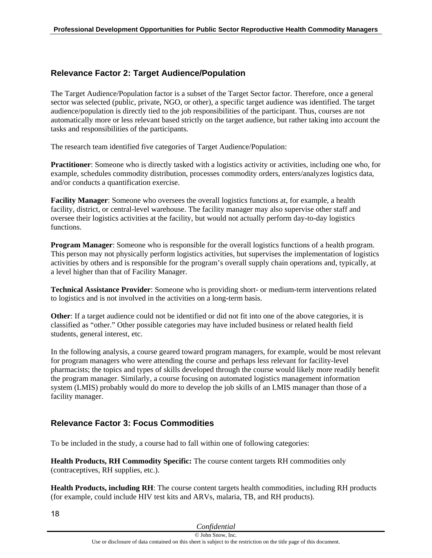### **Relevance Factor 2: Target Audience/Population**

The Target Audience/Population factor is a subset of the Target Sector factor. Therefore, once a general sector was selected (public, private, NGO, or other), a specific target audience was identified. The target audience/population is directly tied to the job responsibilities of the participant. Thus, courses are not automatically more or less relevant based strictly on the target audience, but rather taking into account the tasks and responsibilities of the participants.

The research team identified five categories of Target Audience/Population:

**Practitioner**: Someone who is directly tasked with a logistics activity or activities, including one who, for example, schedules commodity distribution, processes commodity orders, enters/analyzes logistics data, and/or conducts a quantification exercise.

**Facility Manager**: Someone who oversees the overall logistics functions at, for example, a health facility, district, or central-level warehouse. The facility manager may also supervise other staff and oversee their logistics activities at the facility, but would not actually perform day-to-day logistics functions.

**Program Manager**: Someone who is responsible for the overall logistics functions of a health program. This person may not physically perform logistics activities, but supervises the implementation of logistics activities by others and is responsible for the program's overall supply chain operations and, typically, at a level higher than that of Facility Manager.

**Technical Assistance Provider**: Someone who is providing short- or medium-term interventions related to logistics and is not involved in the activities on a long-term basis.

**Other**: If a target audience could not be identified or did not fit into one of the above categories, it is classified as "other." Other possible categories may have included business or related health field students, general interest, etc.

In the following analysis, a course geared toward program managers, for example, would be most relevant for program managers who were attending the course and perhaps less relevant for facility-level pharmacists; the topics and types of skills developed through the course would likely more readily benefit the program manager. Similarly, a course focusing on automated logistics management information system (LMIS) probably would do more to develop the job skills of an LMIS manager than those of a facility manager.

#### **Relevance Factor 3: Focus Commodities**

To be included in the study, a course had to fall within one of following categories:

**Health Products, RH Commodity Specific:** The course content targets RH commodities only (contraceptives, RH supplies, etc.).

**Health Products, including RH**: The course content targets health commodities, including RH products (for example, could include HIV test kits and ARVs, malaria, TB, and RH products).

| Confidential                                                                                                        |  |
|---------------------------------------------------------------------------------------------------------------------|--|
| © John Snow, Inc.                                                                                                   |  |
| Use or disclosure of data contained on this sheet is subject to the restriction on the title page of this document. |  |

#### 18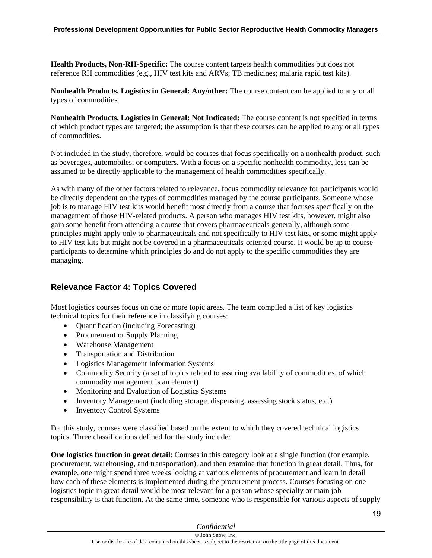**Health Products, Non-RH-Specific:** The course content targets health commodities but does not reference RH commodities (e.g., HIV test kits and ARVs; TB medicines; malaria rapid test kits).

**Nonhealth Products, Logistics in General: Any/other:** The course content can be applied to any or all types of commodities.

**Nonhealth Products, Logistics in General: Not Indicated:** The course content is not specified in terms of which product types are targeted; the assumption is that these courses can be applied to any or all types of commodities.

Not included in the study, therefore, would be courses that focus specifically on a nonhealth product, such as beverages, automobiles, or computers. With a focus on a specific nonhealth commodity, less can be assumed to be directly applicable to the management of health commodities specifically.

As with many of the other factors related to relevance, focus commodity relevance for participants would be directly dependent on the types of commodities managed by the course participants. Someone whose job is to manage HIV test kits would benefit most directly from a course that focuses specifically on the management of those HIV-related products. A person who manages HIV test kits, however, might also gain some benefit from attending a course that covers pharmaceuticals generally, although some principles might apply only to pharmaceuticals and not specifically to HIV test kits, or some might apply to HIV test kits but might not be covered in a pharmaceuticals-oriented course. It would be up to course participants to determine which principles do and do not apply to the specific commodities they are managing.

### **Relevance Factor 4: Topics Covered**

Most logistics courses focus on one or more topic areas. The team compiled a list of key logistics technical topics for their reference in classifying courses:

- Quantification (including Forecasting)
- Procurement or Supply Planning
- Warehouse Management
- Transportation and Distribution
- Logistics Management Information Systems
- Commodity Security (a set of topics related to assuring availability of commodities, of which commodity management is an element)
- Monitoring and Evaluation of Logistics Systems
- Inventory Management (including storage, dispensing, assessing stock status, etc.)
- Inventory Control Systems

For this study, courses were classified based on the extent to which they covered technical logistics topics. Three classifications defined for the study include:

**One logistics function in great detail:** Courses in this category look at a single function (for example, procurement, warehousing, and transportation), and then examine that function in great detail. Thus, for example, one might spend three weeks looking at various elements of procurement and learn in detail how each of these elements is implemented during the procurement process. Courses focusing on one logistics topic in great detail would be most relevant for a person whose specialty or main job responsibility is that function. At the same time, someone who is responsible for various aspects of supply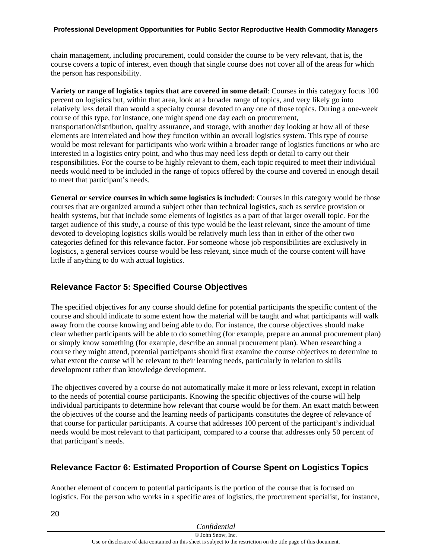chain management, including procurement, could consider the course to be very relevant, that is, the course covers a topic of interest, even though that single course does not cover all of the areas for which the person has responsibility.

**Variety or range of logistics topics that are covered in some detail**: Courses in this category focus 100 percent on logistics but, within that area, look at a broader range of topics, and very likely go into relatively less detail than would a specialty course devoted to any one of those topics. During a one-week course of this type, for instance, one might spend one day each on procurement, transportation/distribution, quality assurance, and storage, with another day looking at how all of these elements are interrelated and how they function within an overall logistics system. This type of course would be most relevant for participants who work within a broader range of logistics functions or who are interested in a logistics entry point, and who thus may need less depth or detail to carry out their responsibilities. For the course to be highly relevant to them, each topic required to meet their individual needs would need to be included in the range of topics offered by the course and covered in enough detail to meet that participant's needs.

**General or service courses in which some logistics is included**: Courses in this category would be those courses that are organized around a subject other than technical logistics, such as service provision or health systems, but that include some elements of logistics as a part of that larger overall topic. For the target audience of this study, a course of this type would be the least relevant, since the amount of time devoted to developing logistics skills would be relatively much less than in either of the other two categories defined for this relevance factor. For someone whose job responsibilities are exclusively in logistics, a general services course would be less relevant, since much of the course content will have little if anything to do with actual logistics.

## **Relevance Factor 5: Specified Course Objectives**

The specified objectives for any course should define for potential participants the specific content of the course and should indicate to some extent how the material will be taught and what participants will walk away from the course knowing and being able to do. For instance, the course objectives should make clear whether participants will be able to do something (for example, prepare an annual procurement plan) or simply know something (for example, describe an annual procurement plan). When researching a course they might attend, potential participants should first examine the course objectives to determine to what extent the course will be relevant to their learning needs, particularly in relation to skills development rather than knowledge development.

The objectives covered by a course do not automatically make it more or less relevant, except in relation to the needs of potential course participants. Knowing the specific objectives of the course will help individual participants to determine how relevant that course would be for them. An exact match between the objectives of the course and the learning needs of participants constitutes the degree of relevance of that course for particular participants. A course that addresses 100 percent of the participant's individual needs would be most relevant to that participant, compared to a course that addresses only 50 percent of that participant's needs.

## **Relevance Factor 6: Estimated Proportion of Course Spent on Logistics Topics**

Another element of concern to potential participants is the portion of the course that is focused on logistics. For the person who works in a specific area of logistics, the procurement specialist, for instance,

| Confidential                                                                                                        |  |
|---------------------------------------------------------------------------------------------------------------------|--|
| © John Snow, Inc.                                                                                                   |  |
| Use or disclosure of data contained on this sheet is subject to the restriction on the title page of this document. |  |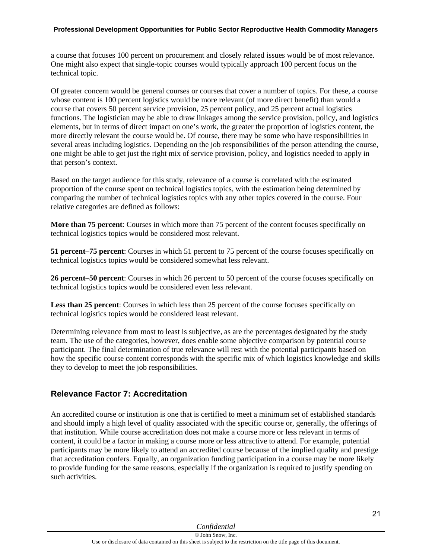a course that focuses 100 percent on procurement and closely related issues would be of most relevance. One might also expect that single-topic courses would typically approach 100 percent focus on the technical topic.

Of greater concern would be general courses or courses that cover a number of topics. For these, a course whose content is 100 percent logistics would be more relevant (of more direct benefit) than would a course that covers 50 percent service provision, 25 percent policy, and 25 percent actual logistics functions. The logistician may be able to draw linkages among the service provision, policy, and logistics elements, but in terms of direct impact on one's work, the greater the proportion of logistics content, the more directly relevant the course would be. Of course, there may be some who have responsibilities in several areas including logistics. Depending on the job responsibilities of the person attending the course, one might be able to get just the right mix of service provision, policy, and logistics needed to apply in that person's context.

Based on the target audience for this study, relevance of a course is correlated with the estimated proportion of the course spent on technical logistics topics, with the estimation being determined by comparing the number of technical logistics topics with any other topics covered in the course. Four relative categories are defined as follows:

**More than 75 percent**: Courses in which more than 75 percent of the content focuses specifically on technical logistics topics would be considered most relevant.

**51 percent–75 percent**: Courses in which 51 percent to 75 percent of the course focuses specifically on technical logistics topics would be considered somewhat less relevant.

**26 percent–50 percent**: Courses in which 26 percent to 50 percent of the course focuses specifically on technical logistics topics would be considered even less relevant.

**Less than 25 percent**: Courses in which less than 25 percent of the course focuses specifically on technical logistics topics would be considered least relevant.

Determining relevance from most to least is subjective, as are the percentages designated by the study team. The use of the categories, however, does enable some objective comparison by potential course participant. The final determination of true relevance will rest with the potential participants based on how the specific course content corresponds with the specific mix of which logistics knowledge and skills they to develop to meet the job responsibilities.

### **Relevance Factor 7: Accreditation**

An accredited course or institution is one that is certified to meet a minimum set of established standards and should imply a high level of quality associated with the specific course or, generally, the offerings of that institution. While course accreditation does not make a course more or less relevant in terms of content, it could be a factor in making a course more or less attractive to attend. For example, potential participants may be more likely to attend an accredited course because of the implied quality and prestige that accreditation confers. Equally, an organization funding participation in a course may be more likely to provide funding for the same reasons, especially if the organization is required to justify spending on such activities.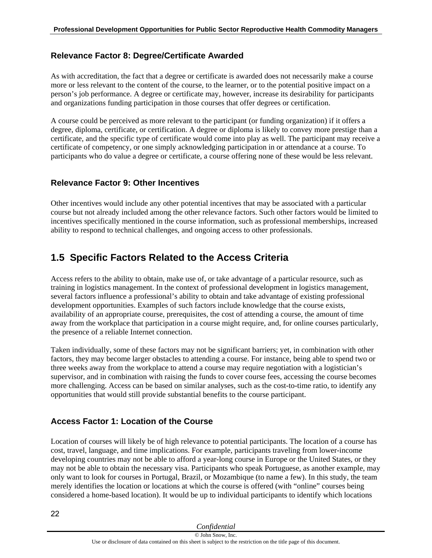### **Relevance Factor 8: Degree/Certificate Awarded**

As with accreditation, the fact that a degree or certificate is awarded does not necessarily make a course more or less relevant to the content of the course, to the learner, or to the potential positive impact on a person's job performance. A degree or certificate may, however, increase its desirability for participants and organizations funding participation in those courses that offer degrees or certification.

A course could be perceived as more relevant to the participant (or funding organization) if it offers a degree, diploma, certificate, or certification. A degree or diploma is likely to convey more prestige than a certificate, and the specific type of certificate would come into play as well. The participant may receive a certificate of competency, or one simply acknowledging participation in or attendance at a course. To participants who do value a degree or certificate, a course offering none of these would be less relevant.

### **Relevance Factor 9: Other Incentives**

Other incentives would include any other potential incentives that may be associated with a particular course but not already included among the other relevance factors. Such other factors would be limited to incentives specifically mentioned in the course information, such as professional memberships, increased ability to respond to technical challenges, and ongoing access to other professionals.

## <span id="page-23-0"></span>**1.5 Specific Factors Related to the Access Criteria**

Access refers to the ability to obtain, make use of, or take advantage of a particular resource, such as training in logistics management. In the context of professional development in logistics management, several factors influence a professional's ability to obtain and take advantage of existing professional development opportunities. Examples of such factors include knowledge that the course exists, availability of an appropriate course, prerequisites, the cost of attending a course, the amount of time away from the workplace that participation in a course might require, and, for online courses particularly, the presence of a reliable Internet connection.

Taken individually, some of these factors may not be significant barriers; yet, in combination with other factors, they may become larger obstacles to attending a course. For instance, being able to spend two or three weeks away from the workplace to attend a course may require negotiation with a logistician's supervisor, and in combination with raising the funds to cover course fees, accessing the course becomes more challenging. Access can be based on similar analyses, such as the cost-to-time ratio, to identify any opportunities that would still provide substantial benefits to the course participant.

## **Access Factor 1: Location of the Course**

Location of courses will likely be of high relevance to potential participants. The location of a course has cost, travel, language, and time implications. For example, participants traveling from lower-income developing countries may not be able to afford a year-long course in Europe or the United States, or they may not be able to obtain the necessary visa. Participants who speak Portuguese, as another example, may only want to look for courses in Portugal, Brazil, or Mozambique (to name a few). In this study, the team merely identifies the location or locations at which the course is offered (with "online" courses being considered a home-based location). It would be up to individual participants to identify which locations

22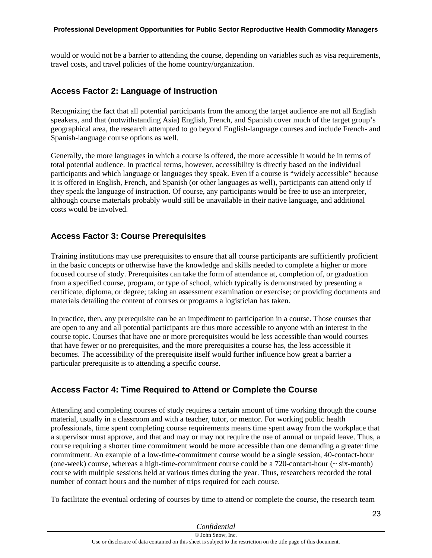would or would not be a barrier to attending the course, depending on variables such as visa requirements, travel costs, and travel policies of the home country/organization.

#### **Access Factor 2: Language of Instruction**

Recognizing the fact that all potential participants from the among the target audience are not all English speakers, and that (notwithstanding Asia) English, French, and Spanish cover much of the target group's geographical area, the research attempted to go beyond English-language courses and include French- and Spanish-language course options as well.

Generally, the more languages in which a course is offered, the more accessible it would be in terms of total potential audience. In practical terms, however, accessibility is directly based on the individual participants and which language or languages they speak. Even if a course is "widely accessible" because it is offered in English, French, and Spanish (or other languages as well), participants can attend only if they speak the language of instruction. Of course, any participants would be free to use an interpreter, although course materials probably would still be unavailable in their native language, and additional costs would be involved.

#### **Access Factor 3: Course Prerequisites**

Training institutions may use prerequisites to ensure that all course participants are sufficiently proficient in the basic concepts or otherwise have the knowledge and skills needed to complete a higher or more focused course of study. Prerequisites can take the form of attendance at, completion of, or graduation from a specified course, program, or type of school, which typically is demonstrated by presenting a certificate, diploma, or degree; taking an assessment examination or exercise; or providing documents and materials detailing the content of courses or programs a logistician has taken.

In practice, then, any prerequisite can be an impediment to participation in a course. Those courses that are open to any and all potential participants are thus more accessible to anyone with an interest in the course topic. Courses that have one or more prerequisites would be less accessible than would courses that have fewer or no prerequisites, and the more prerequisites a course has, the less accessible it becomes. The accessibility of the prerequisite itself would further influence how great a barrier a particular prerequisite is to attending a specific course.

### **Access Factor 4: Time Required to Attend or Complete the Course**

Attending and completing courses of study requires a certain amount of time working through the course material, usually in a classroom and with a teacher, tutor, or mentor. For working public health professionals, time spent completing course requirements means time spent away from the workplace that a supervisor must approve, and that and may or may not require the use of annual or unpaid leave. Thus, a course requiring a shorter time commitment would be more accessible than one demanding a greater time commitment. An example of a low-time-commitment course would be a single session, 40-contact-hour (one-week) course, whereas a high-time-commitment course could be a 720-contact-hour (~ six-month) course with multiple sessions held at various times during the year. Thus, researchers recorded the total number of contact hours and the number of trips required for each course.

To facilitate the eventual ordering of courses by time to attend or complete the course, the research team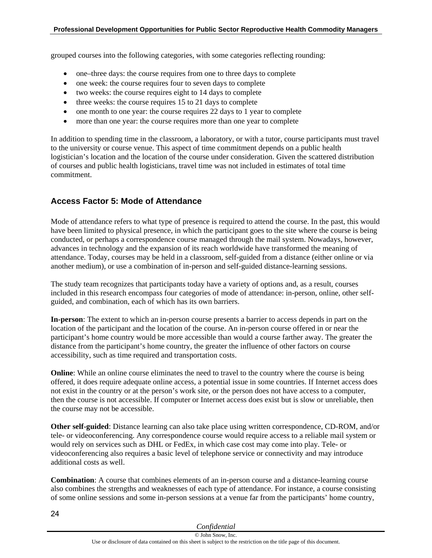grouped courses into the following categories, with some categories reflecting rounding:

- one–three days: the course requires from one to three days to complete
- one week: the course requires four to seven days to complete
- two weeks: the course requires eight to 14 days to complete
- $\bullet$  three weeks: the course requires 15 to 21 days to complete
- one month to one year: the course requires 22 days to 1 year to complete
- more than one year: the course requires more than one year to complete

In addition to spending time in the classroom, a laboratory, or with a tutor, course participants must travel to the university or course venue. This aspect of time commitment depends on a public health logistician's location and the location of the course under consideration. Given the scattered distribution of courses and public health logisticians, travel time was not included in estimates of total time commitment.

#### **Access Factor 5: Mode of Attendance**

Mode of attendance refers to what type of presence is required to attend the course. In the past, this would have been limited to physical presence, in which the participant goes to the site where the course is being conducted, or perhaps a correspondence course managed through the mail system. Nowadays, however, advances in technology and the expansion of its reach worldwide have transformed the meaning of attendance. Today, courses may be held in a classroom, self-guided from a distance (either online or via another medium), or use a combination of in-person and self-guided distance-learning sessions.

The study team recognizes that participants today have a variety of options and, as a result, courses included in this research encompass four categories of mode of attendance: in-person, online, other selfguided, and combination, each of which has its own barriers.

**In-person**: The extent to which an in-person course presents a barrier to access depends in part on the location of the participant and the location of the course. An in-person course offered in or near the participant's home country would be more accessible than would a course farther away. The greater the distance from the participant's home country, the greater the influence of other factors on course accessibility, such as time required and transportation costs.

**Online**: While an online course eliminates the need to travel to the country where the course is being offered, it does require adequate online access, a potential issue in some countries. If Internet access does not exist in the country or at the person's work site, or the person does not have access to a computer, then the course is not accessible. If computer or Internet access does exist but is slow or unreliable, then the course may not be accessible.

**Other self-guided**: Distance learning can also take place using written correspondence, CD-ROM, and/or tele- or videoconferencing. Any correspondence course would require access to a reliable mail system or would rely on services such as DHL or FedEx, in which case cost may come into play. Tele- or videoconferencing also requires a basic level of telephone service or connectivity and may introduce additional costs as well.

**Combination**: A course that combines elements of an in-person course and a distance-learning course also combines the strengths and weaknesses of each type of attendance. For instance, a course consisting of some online sessions and some in-person sessions at a venue far from the participants' home country,

| Confidential                                                                                                        |  |
|---------------------------------------------------------------------------------------------------------------------|--|
| © John Snow, Inc.                                                                                                   |  |
| Use or disclosure of data contained on this sheet is subject to the restriction on the title page of this document. |  |

24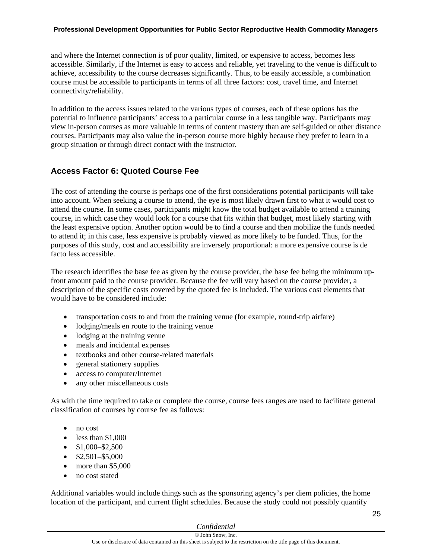and where the Internet connection is of poor quality, limited, or expensive to access, becomes less accessible. Similarly, if the Internet is easy to access and reliable, yet traveling to the venue is difficult to achieve, accessibility to the course decreases significantly. Thus, to be easily accessible, a combination course must be accessible to participants in terms of all three factors: cost, travel time, and Internet connectivity/reliability.

In addition to the access issues related to the various types of courses, each of these options has the potential to influence participants' access to a particular course in a less tangible way. Participants may view in-person courses as more valuable in terms of content mastery than are self-guided or other distance courses. Participants may also value the in-person course more highly because they prefer to learn in a group situation or through direct contact with the instructor.

## **Access Factor 6: Quoted Course Fee**

The cost of attending the course is perhaps one of the first considerations potential participants will take into account. When seeking a course to attend, the eye is most likely drawn first to what it would cost to attend the course. In some cases, participants might know the total budget available to attend a training course, in which case they would look for a course that fits within that budget, most likely starting with the least expensive option. Another option would be to find a course and then mobilize the funds needed to attend it; in this case, less expensive is probably viewed as more likely to be funded. Thus, for the purposes of this study, cost and accessibility are inversely proportional: a more expensive course is de facto less accessible.

The research identifies the base fee as given by the course provider, the base fee being the minimum upfront amount paid to the course provider. Because the fee will vary based on the course provider, a description of the specific costs covered by the quoted fee is included. The various cost elements that would have to be considered include:

- transportation costs to and from the training venue (for example, round-trip airfare)
- lodging/meals en route to the training venue
- lodging at the training venue
- meals and incidental expenses
- textbooks and other course-related materials
- general stationery supplies
- access to computer/Internet
- any other miscellaneous costs

As with the time required to take or complete the course, course fees ranges are used to facilitate general classification of courses by course fee as follows:

- no cost
- $\bullet$  less than \$1,000
- $\bullet$  \$1,000–\$2,500
- $\bullet$  \$2,501–\$5,000
- more than \$5,000
- no cost stated

Additional variables would include things such as the sponsoring agency's per diem policies, the home location of the participant, and current flight schedules. Because the study could not possibly quantify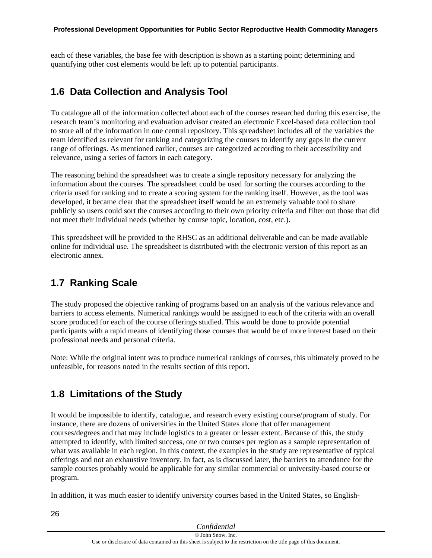each of these variables, the base fee with description is shown as a starting point; determining and quantifying other cost elements would be left up to potential participants.

## <span id="page-27-0"></span>**1.6 Data Collection and Analysis Tool**

To catalogue all of the information collected about each of the courses researched during this exercise, the research team's monitoring and evaluation advisor created an electronic Excel-based data collection tool to store all of the information in one central repository. This spreadsheet includes all of the variables the team identified as relevant for ranking and categorizing the courses to identify any gaps in the current range of offerings. As mentioned earlier, courses are categorized according to their accessibility and relevance, using a series of factors in each category.

The reasoning behind the spreadsheet was to create a single repository necessary for analyzing the information about the courses. The spreadsheet could be used for sorting the courses according to the criteria used for ranking and to create a scoring system for the ranking itself. However, as the tool was developed, it became clear that the spreadsheet itself would be an extremely valuable tool to share publicly so users could sort the courses according to their own priority criteria and filter out those that did not meet their individual needs (whether by course topic, location, cost, etc.).

This spreadsheet will be provided to the RHSC as an additional deliverable and can be made available online for individual use. The spreadsheet is distributed with the electronic version of this report as an electronic annex.

## <span id="page-27-1"></span>**1.7 Ranking Scale**

The study proposed the objective ranking of programs based on an analysis of the various relevance and barriers to access elements. Numerical rankings would be assigned to each of the criteria with an overall score produced for each of the course offerings studied. This would be done to provide potential participants with a rapid means of identifying those courses that would be of more interest based on their professional needs and personal criteria.

Note: While the original intent was to produce numerical rankings of courses, this ultimately proved to be unfeasible, for reasons noted in the results section of this report.

## <span id="page-27-2"></span>**1.8 Limitations of the Study**

26

It would be impossible to identify, catalogue, and research every existing course/program of study. For instance, there are dozens of universities in the United States alone that offer management courses/degrees and that may include logistics to a greater or lesser extent. Because of this, the study attempted to identify, with limited success, one or two courses per region as a sample representation of what was available in each region. In this context, the examples in the study are representative of typical offerings and not an exhaustive inventory. In fact, as is discussed later, the barriers to attendance for the sample courses probably would be applicable for any similar commercial or university-based course or program.

In addition, it was much easier to identify university courses based in the United States, so English-

| Confidential                                                                                                        |  |
|---------------------------------------------------------------------------------------------------------------------|--|
| © John Snow, Inc.                                                                                                   |  |
| Use or disclosure of data contained on this sheet is subject to the restriction on the title page of this document. |  |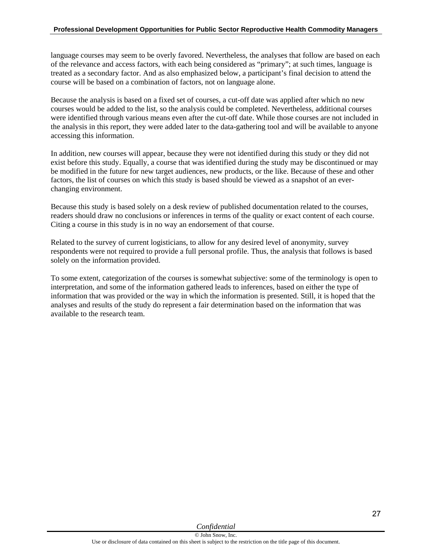language courses may seem to be overly favored. Nevertheless, the analyses that follow are based on each of the relevance and access factors, with each being considered as "primary"; at such times, language is treated as a secondary factor. And as also emphasized below, a participant's final decision to attend the course will be based on a combination of factors, not on language alone.

Because the analysis is based on a fixed set of courses, a cut-off date was applied after which no new courses would be added to the list, so the analysis could be completed. Nevertheless, additional courses were identified through various means even after the cut-off date. While those courses are not included in the analysis in this report, they were added later to the data-gathering tool and will be available to anyone accessing this information.

In addition, new courses will appear, because they were not identified during this study or they did not exist before this study. Equally, a course that was identified during the study may be discontinued or may be modified in the future for new target audiences, new products, or the like. Because of these and other factors, the list of courses on which this study is based should be viewed as a snapshot of an everchanging environment.

Because this study is based solely on a desk review of published documentation related to the courses, readers should draw no conclusions or inferences in terms of the quality or exact content of each course. Citing a course in this study is in no way an endorsement of that course.

Related to the survey of current logisticians, to allow for any desired level of anonymity, survey respondents were not required to provide a full personal profile. Thus, the analysis that follows is based solely on the information provided.

To some extent, categorization of the courses is somewhat subjective: some of the terminology is open to interpretation, and some of the information gathered leads to inferences, based on either the type of information that was provided or the way in which the information is presented. Still, it is hoped that the analyses and results of the study do represent a fair determination based on the information that was available to the research team.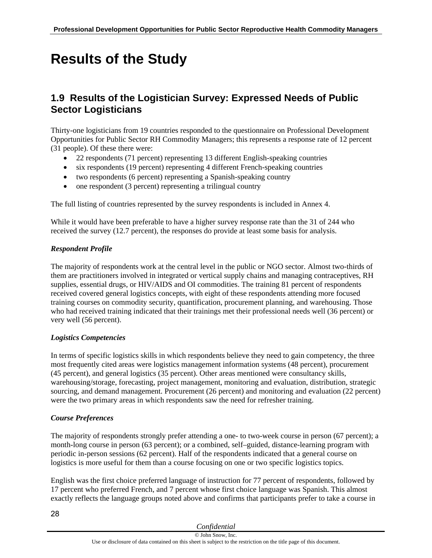# <span id="page-29-0"></span>**Results of the Study**

## <span id="page-29-1"></span>**1.9 Results of the Logistician Survey: Expressed Needs of Public Sector Logisticians**

Thirty-one logisticians from 19 countries responded to the questionnaire on Professional Development Opportunities for Public Sector RH Commodity Managers; this represents a response rate of 12 percent (31 people). Of these there were:

- 22 respondents (71 percent) representing 13 different English-speaking countries
- six respondents (19 percent) representing 4 different French-speaking countries
- two respondents (6 percent) representing a Spanish-speaking country
- $\bullet$  one respondent (3 percent) representing a trilingual country

The full listing of countries represented by the survey respondents is included in Annex 4.

While it would have been preferable to have a higher survey response rate than the 31 of 244 who received the survey (12.7 percent), the responses do provide at least some basis for analysis.

#### *Respondent Profile*

The majority of respondents work at the central level in the public or NGO sector. Almost two-thirds of them are practitioners involved in integrated or vertical supply chains and managing contraceptives, RH supplies, essential drugs, or HIV/AIDS and OI commodities. The training 81 percent of respondents received covered general logistics concepts, with eight of these respondents attending more focused training courses on commodity security, quantification, procurement planning, and warehousing. Those who had received training indicated that their trainings met their professional needs well (36 percent) or very well (56 percent).

#### *Logistics Competencies*

In terms of specific logistics skills in which respondents believe they need to gain competency, the three most frequently cited areas were logistics management information systems (48 percent), procurement (45 percent), and general logistics (35 percent). Other areas mentioned were consultancy skills, warehousing/storage, forecasting, project management, monitoring and evaluation, distribution, strategic sourcing, and demand management. Procurement (26 percent) and monitoring and evaluation (22 percent) were the two primary areas in which respondents saw the need for refresher training.

#### *Course Preferences*

The majority of respondents strongly prefer attending a one- to two-week course in person (67 percent); a month-long course in person (63 percent); or a combined, self–guided, distance-learning program with periodic in-person sessions (62 percent). Half of the respondents indicated that a general course on logistics is more useful for them than a course focusing on one or two specific logistics topics.

English was the first choice preferred language of instruction for 77 percent of respondents, followed by 17 percent who preferred French, and 7 percent whose first choice language was Spanish. This almost exactly reflects the language groups noted above and confirms that participants prefer to take a course in

| Confidential                                                                                                        |  |
|---------------------------------------------------------------------------------------------------------------------|--|
| © John Snow, Inc.                                                                                                   |  |
| Use or disclosure of data contained on this sheet is subject to the restriction on the title page of this document. |  |

28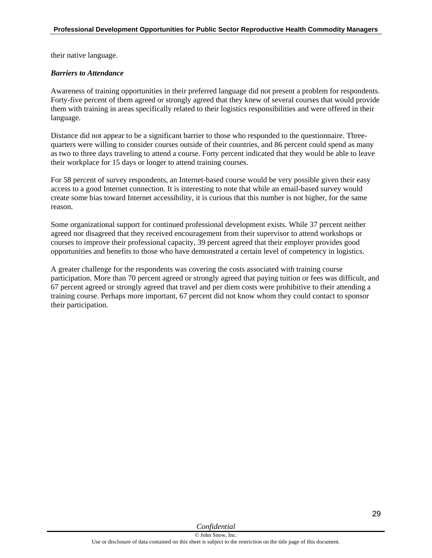their native language.

#### *Barriers to Attendance*

Awareness of training opportunities in their preferred language did not present a problem for respondents. Forty-five percent of them agreed or strongly agreed that they knew of several courses that would provide them with training in areas specifically related to their logistics responsibilities and were offered in their language.

Distance did not appear to be a significant barrier to those who responded to the questionnaire. Threequarters were willing to consider courses outside of their countries, and 86 percent could spend as many as two to three days traveling to attend a course. Forty percent indicated that they would be able to leave their workplace for 15 days or longer to attend training courses.

For 58 percent of survey respondents, an Internet-based course would be very possible given their easy access to a good Internet connection. It is interesting to note that while an email-based survey would create some bias toward Internet accessibility, it is curious that this number is not higher, for the same reason.

Some organizational support for continued professional development exists. While 37 percent neither agreed nor disagreed that they received encouragement from their supervisor to attend workshops or courses to improve their professional capacity, 39 percent agreed that their employer provides good opportunities and benefits to those who have demonstrated a certain level of competency in logistics.

A greater challenge for the respondents was covering the costs associated with training course participation. More than 70 percent agreed or strongly agreed that paying tuition or fees was difficult, and 67 percent agreed or strongly agreed that travel and per diem costs were prohibitive to their attending a training course. Perhaps more important, 67 percent did not know whom they could contact to sponsor their participation.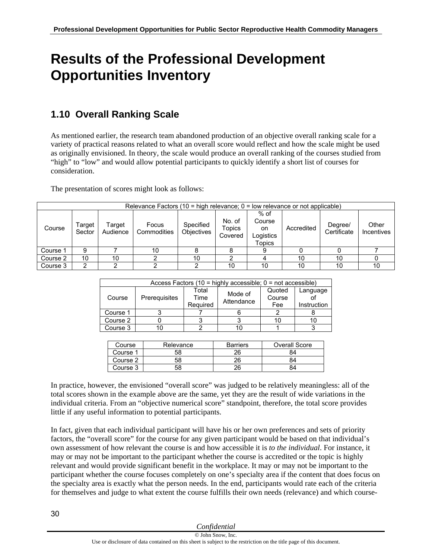# <span id="page-31-0"></span>**Results of the Professional Development Opportunities Inventory**

## <span id="page-31-1"></span>**1.10 Overall Ranking Scale**

As mentioned earlier, the research team abandoned production of an objective overall ranking scale for a variety of practical reasons related to what an overall score would reflect and how the scale might be used as originally envisioned. In theory, the scale would produce an overall ranking of the courses studied from "high" to "low" and would allow potential participants to quickly identify a short list of courses for consideration.

The presentation of scores might look as follows:

| Relevance Factors (10 = high relevance; $0 =$ low relevance or not applicable) |                  |                    |                      |                                |                             |                                                       |            |                        |                     |
|--------------------------------------------------------------------------------|------------------|--------------------|----------------------|--------------------------------|-----------------------------|-------------------------------------------------------|------------|------------------------|---------------------|
| Course                                                                         | Target<br>Sector | Target<br>Audience | Focus<br>Commodities | Specified<br><b>Objectives</b> | No. of<br>Topics<br>Covered | $%$ of<br>Course<br>on.<br>Logistics<br><b>Topics</b> | Accredited | Degree/<br>Certificate | Other<br>Incentives |
| Course 1                                                                       | 9                |                    | 10                   |                                |                             |                                                       |            |                        |                     |
| Course 2                                                                       | 10               | 10                 |                      | 10                             |                             |                                                       | 10         | 10                     |                     |
| Course 3                                                                       |                  |                    |                      |                                | 10                          | 10                                                    | 10         | 10                     | 10                  |

| Access Factors (10 = highly accessible; $0 = not accessible$ ) |               |                           |                       |                         |                         |
|----------------------------------------------------------------|---------------|---------------------------|-----------------------|-------------------------|-------------------------|
| Course                                                         | Prerequisites | Total<br>Time<br>Required | Mode of<br>Attendance | Quoted<br>Course<br>Fee | Language<br>Instruction |
| Course 1                                                       |               |                           |                       |                         |                         |
| Course 2                                                       |               |                           |                       |                         | 10                      |
| Course 3                                                       |               |                           |                       |                         |                         |

| Course   | Relevance | <b>Barriers</b> | Overall Score |
|----------|-----------|-----------------|---------------|
| Course 1 | 58        | 26              |               |
| Course 2 | 58        | 26              | 34            |
| Course 3 | 58        |                 | 54            |

In practice, however, the envisioned "overall score" was judged to be relatively meaningless: all of the total scores shown in the example above are the same, yet they are the result of wide variations in the individual criteria. From an "objective numerical score" standpoint, therefore, the total score provides little if any useful information to potential participants.

In fact, given that each individual participant will have his or her own preferences and sets of priority factors, the "overall score" for the course for any given participant would be based on that individual's own assessment of how relevant the course is and how accessible it is *to the individual*. For instance, it may or may not be important to the participant whether the course is accredited or the topic is highly relevant and would provide significant benefit in the workplace. It may or may not be important to the participant whether the course focuses completely on one's specialty area if the content that does focus on the specialty area is exactly what the person needs. In the end, participants would rate each of the criteria for themselves and judge to what extent the course fulfills their own needs (relevance) and which course-

| Confidential                                                                                                        |
|---------------------------------------------------------------------------------------------------------------------|
| © John Snow, Inc.                                                                                                   |
| Use or disclosure of data contained on this sheet is subject to the restriction on the title page of this document. |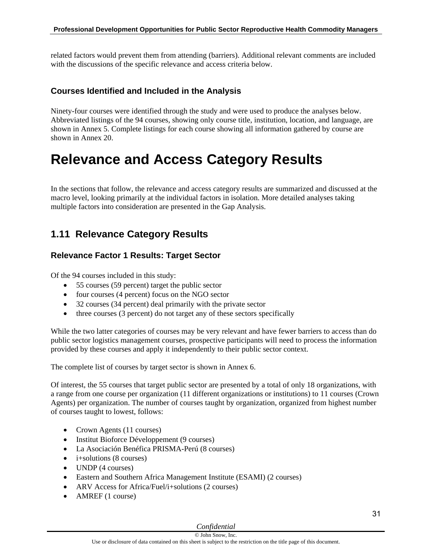related factors would prevent them from attending (barriers). Additional relevant comments are included with the discussions of the specific relevance and access criteria below.

### **Courses Identified and Included in the Analysis**

Ninety-four courses were identified through the study and were used to produce the analyses below. Abbreviated listings of the 94 courses, showing only course title, institution, location, and language, are shown in Annex 5. Complete listings for each course showing all information gathered by course are shown in Annex 20.

## <span id="page-32-0"></span>**Relevance and Access Category Results**

In the sections that follow, the relevance and access category results are summarized and discussed at the macro level, looking primarily at the individual factors in isolation. More detailed analyses taking multiple factors into consideration are presented in the Gap Analysis.

## <span id="page-32-1"></span>**1.11 Relevance Category Results**

### **Relevance Factor 1 Results: Target Sector**

Of the 94 courses included in this study:

- 55 courses (59 percent) target the public sector
- four courses (4 percent) focus on the NGO sector
- 32 courses (34 percent) deal primarily with the private sector
- three courses (3 percent) do not target any of these sectors specifically

While the two latter categories of courses may be very relevant and have fewer barriers to access than do public sector logistics management courses, prospective participants will need to process the information provided by these courses and apply it independently to their public sector context.

The complete list of courses by target sector is shown in Annex 6.

Of interest, the 55 courses that target public sector are presented by a total of only 18 organizations, with a range from one course per organization (11 different organizations or institutions) to 11 courses (Crown Agents) per organization. The number of courses taught by organization, organized from highest number of courses taught to lowest, follows:

- Crown Agents (11 courses)
- Institut Bioforce Développement (9 courses)
- La Asociación Benéfica PRISMA-Perú (8 courses)
- $\bullet$  i+solutions (8 courses)
- UNDP (4 courses)
- Eastern and Southern Africa Management Institute (ESAMI) (2 courses)
- ARV Access for Africa/Fuel/i+solutions (2 courses)
- AMREF (1 course)

#### *Confidential*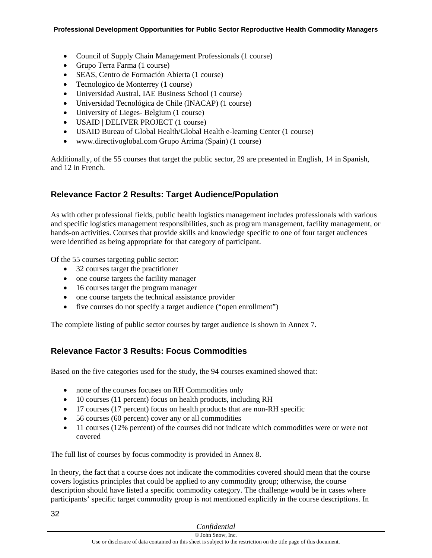- Council of Supply Chain Management Professionals (1 course)
- Grupo Terra Farma (1 course)
- SEAS, Centro de Formación Abierta (1 course)
- Tecnologico de Monterrey (1 course)
- Universidad Austral, IAE Business School (1 course)
- Universidad Tecnológica de Chile (INACAP) (1 course)
- University of Lieges- Belgium (1 course)
- USAID | DELIVER PROJECT (1 course)
- USAID Bureau of Global Health/Global Health e-learning Center (1 course)
- www.directivoglobal.com Grupo Arrima (Spain) (1 course)

Additionally, of the 55 courses that target the public sector, 29 are presented in English, 14 in Spanish, and 12 in French.

### **Relevance Factor 2 Results: Target Audience/Population**

As with other professional fields, public health logistics management includes professionals with various and specific logistics management responsibilities, such as program management, facility management, or hands-on activities. Courses that provide skills and knowledge specific to one of four target audiences were identified as being appropriate for that category of participant.

Of the 55 courses targeting public sector:

- 32 courses target the practitioner
- one course targets the facility manager
- 16 courses target the program manager
- one course targets the technical assistance provider
- five courses do not specify a target audience ("open enrollment")

The complete listing of public sector courses by target audience is shown in Annex 7.

### **Relevance Factor 3 Results: Focus Commodities**

Based on the five categories used for the study, the 94 courses examined showed that:

- none of the courses focuses on RH Commodities only
- 10 courses (11 percent) focus on health products, including RH
- 17 courses (17 percent) focus on health products that are non-RH specific
- 56 courses (60 percent) cover any or all commodities
- 11 courses (12% percent) of the courses did not indicate which commodities were or were not covered

The full list of courses by focus commodity is provided in Annex 8.

In theory, the fact that a course does not indicate the commodities covered should mean that the course covers logistics principles that could be applied to any commodity group; otherwise, the course description should have listed a specific commodity category. The challenge would be in cases where participants' specific target commodity group is not mentioned explicitly in the course descriptions. In

|  | Confidential |
|--|--------------|
|  |              |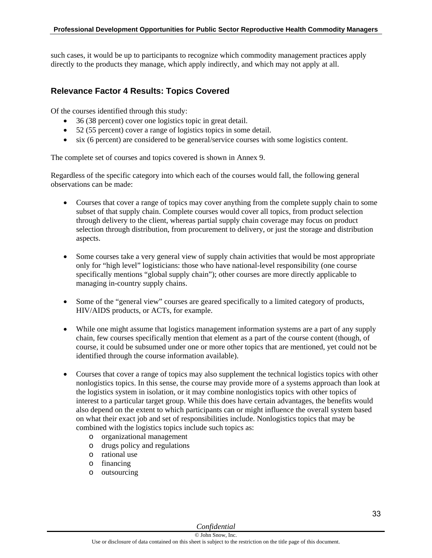such cases, it would be up to participants to recognize which commodity management practices apply directly to the products they manage, which apply indirectly, and which may not apply at all.

### **Relevance Factor 4 Results: Topics Covered**

Of the courses identified through this study:

- 36 (38 percent) cover one logistics topic in great detail.
- 52 (55 percent) cover a range of logistics topics in some detail.
- six (6 percent) are considered to be general/service courses with some logistics content.

The complete set of courses and topics covered is shown in Annex 9.

Regardless of the specific category into which each of the courses would fall, the following general observations can be made:

- Courses that cover a range of topics may cover anything from the complete supply chain to some subset of that supply chain. Complete courses would cover all topics, from product selection through delivery to the client, whereas partial supply chain coverage may focus on product selection through distribution, from procurement to delivery, or just the storage and distribution aspects.
- Some courses take a very general view of supply chain activities that would be most appropriate only for "high level" logisticians: those who have national-level responsibility (one course specifically mentions "global supply chain"); other courses are more directly applicable to managing in-country supply chains.
- Some of the "general view" courses are geared specifically to a limited category of products, HIV/AIDS products, or ACTs, for example.
- While one might assume that logistics management information systems are a part of any supply chain, few courses specifically mention that element as a part of the course content (though, of course, it could be subsumed under one or more other topics that are mentioned, yet could not be identified through the course information available).
- Courses that cover a range of topics may also supplement the technical logistics topics with other nonlogistics topics. In this sense, the course may provide more of a systems approach than look at the logistics system in isolation, or it may combine nonlogistics topics with other topics of interest to a particular target group. While this does have certain advantages, the benefits would also depend on the extent to which participants can or might influence the overall system based on what their exact job and set of responsibilities include. Nonlogistics topics that may be combined with the logistics topics include such topics as:
	- o organizational management
	- o drugs policy and regulations
	- o rational use
	- o financing
	- o outsourcing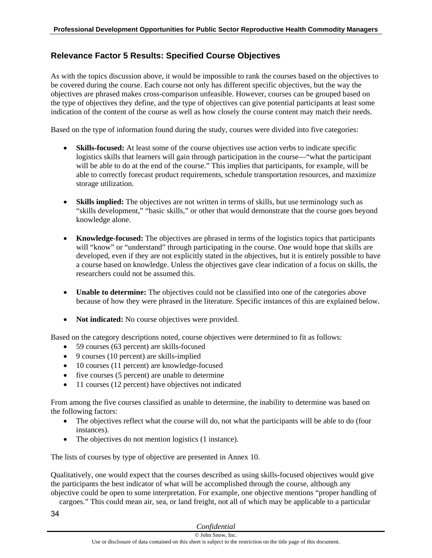## **Relevance Factor 5 Results: Specified Course Objectives**

As with the topics discussion above, it would be impossible to rank the courses based on the objectives to be covered during the course. Each course not only has different specific objectives, but the way the objectives are phrased makes cross-comparison unfeasible. However, courses can be grouped based on the type of objectives they define, and the type of objectives can give potential participants at least some indication of the content of the course as well as how closely the course content may match their needs.

Based on the type of information found during the study, courses were divided into five categories:

- **Skills-focused:** At least some of the course objectives use action verbs to indicate specific logistics skills that learners will gain through participation in the course—"what the participant will be able to do at the end of the course." This implies that participants, for example, will be able to correctly forecast product requirements, schedule transportation resources, and maximize storage utilization.
- **Skills implied:** The objectives are not written in terms of skills, but use terminology such as "skills development," "basic skills," or other that would demonstrate that the course goes beyond knowledge alone.
- **Knowledge-focused:** The objectives are phrased in terms of the logistics topics that participants will "know" or "understand" through participating in the course. One would hope that skills are developed, even if they are not explicitly stated in the objectives, but it is entirely possible to have a course based on knowledge. Unless the objectives gave clear indication of a focus on skills, the researchers could not be assumed this.
- **Unable to determine:** The objectives could not be classified into one of the categories above because of how they were phrased in the literature. Specific instances of this are explained below.
- Not indicated: No course objectives were provided.

Based on the category descriptions noted, course objectives were determined to fit as follows:

- 59 courses (63 percent) are skills-focused
- 9 courses (10 percent) are skills-implied
- 10 courses (11 percent) are knowledge-focused
- five courses (5 percent) are unable to determine
- 11 courses (12 percent) have objectives not indicated

From among the five courses classified as unable to determine, the inability to determine was based on the following factors:

- The objectives reflect what the course will do, not what the participants will be able to do (four instances).
- The objectives do not mention logistics (1 instance).

The lists of courses by type of objective are presented in Annex 10.

Qualitatively, one would expect that the courses described as using skills-focused objectives would give the participants the best indicator of what will be accomplished through the course, although any objective could be open to some interpretation. For example, one objective mentions "proper handling of

cargoes." This could mean air, sea, or land freight, not all of which may be applicable to a particular

34

| Confidential |  |
|--------------|--|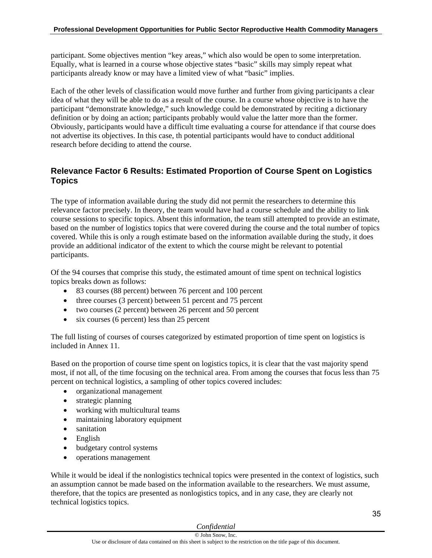participant. Some objectives mention "key areas," which also would be open to some interpretation. Equally, what is learned in a course whose objective states "basic" skills may simply repeat what participants already know or may have a limited view of what "basic" implies.

Each of the other levels of classification would move further and further from giving participants a clear idea of what they will be able to do as a result of the course. In a course whose objective is to have the participant "demonstrate knowledge," such knowledge could be demonstrated by reciting a dictionary definition or by doing an action; participants probably would value the latter more than the former. Obviously, participants would have a difficult time evaluating a course for attendance if that course does not advertise its objectives. In this case, th potential participants would have to conduct additional research before deciding to attend the course.

## **Relevance Factor 6 Results: Estimated Proportion of Course Spent on Logistics Topics**

The type of information available during the study did not permit the researchers to determine this relevance factor precisely. In theory, the team would have had a course schedule and the ability to link course sessions to specific topics. Absent this information, the team still attempted to provide an estimate, based on the number of logistics topics that were covered during the course and the total number of topics covered. While this is only a rough estimate based on the information available during the study, it does provide an additional indicator of the extent to which the course might be relevant to potential participants.

Of the 94 courses that comprise this study, the estimated amount of time spent on technical logistics topics breaks down as follows:

- 83 courses (88 percent) between 76 percent and 100 percent
- three courses (3 percent) between 51 percent and 75 percent
- two courses (2 percent) between 26 percent and 50 percent
- $\bullet$  six courses (6 percent) less than 25 percent

The full listing of courses of courses categorized by estimated proportion of time spent on logistics is included in Annex 11.

Based on the proportion of course time spent on logistics topics, it is clear that the vast majority spend most, if not all, of the time focusing on the technical area. From among the courses that focus less than 75 percent on technical logistics, a sampling of other topics covered includes:

- organizational management
- strategic planning
- working with multicultural teams
- maintaining laboratory equipment
- sanitation
- English
- budgetary control systems
- operations management

While it would be ideal if the nonlogistics technical topics were presented in the context of logistics, such an assumption cannot be made based on the information available to the researchers. We must assume, therefore, that the topics are presented as nonlogistics topics, and in any case, they are clearly not technical logistics topics.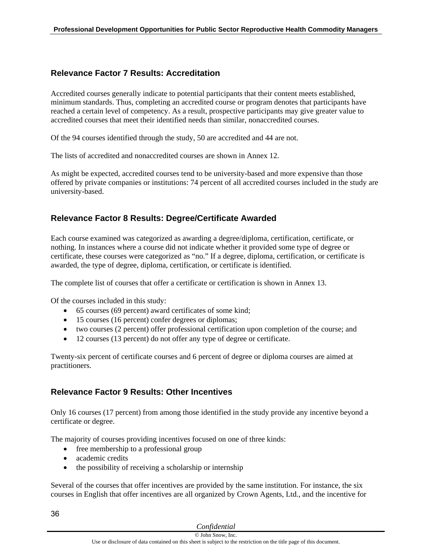## **Relevance Factor 7 Results: Accreditation**

Accredited courses generally indicate to potential participants that their content meets established, minimum standards. Thus, completing an accredited course or program denotes that participants have reached a certain level of competency. As a result, prospective participants may give greater value to accredited courses that meet their identified needs than similar, nonaccredited courses.

Of the 94 courses identified through the study, 50 are accredited and 44 are not.

The lists of accredited and nonaccredited courses are shown in Annex 12.

As might be expected, accredited courses tend to be university-based and more expensive than those offered by private companies or institutions: 74 percent of all accredited courses included in the study are university-based.

## **Relevance Factor 8 Results: Degree/Certificate Awarded**

Each course examined was categorized as awarding a degree/diploma, certification, certificate, or nothing. In instances where a course did not indicate whether it provided some type of degree or certificate, these courses were categorized as "no." If a degree, diploma, certification, or certificate is awarded, the type of degree, diploma, certification, or certificate is identified.

The complete list of courses that offer a certificate or certification is shown in Annex 13.

Of the courses included in this study:

- 65 courses (69 percent) award certificates of some kind;
- 15 courses (16 percent) confer degrees or diplomas;
- two courses (2 percent) offer professional certification upon completion of the course; and
- 12 courses (13 percent) do not offer any type of degree or certificate.

Twenty-six percent of certificate courses and 6 percent of degree or diploma courses are aimed at practitioners.

## **Relevance Factor 9 Results: Other Incentives**

Only 16 courses (17 percent) from among those identified in the study provide any incentive beyond a certificate or degree.

The majority of courses providing incentives focused on one of three kinds:

- free membership to a professional group
- academic credits
- the possibility of receiving a scholarship or internship

Several of the courses that offer incentives are provided by the same institution. For instance, the six courses in English that offer incentives are all organized by Crown Agents, Ltd., and the incentive for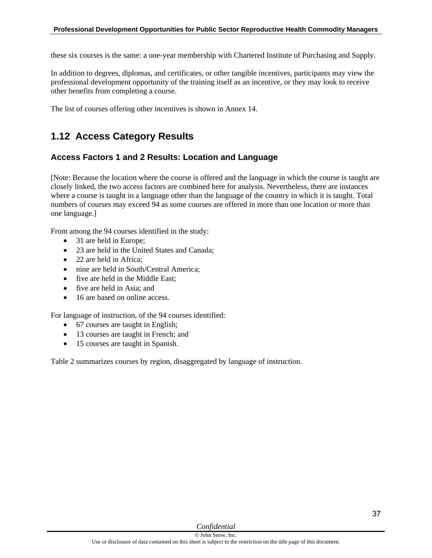these six courses is the same: a one-year membership with Chartered Institute of Purchasing and Supply.

In addition to degrees, diplomas, and certificates, or other tangible incentives, participants may view the professional development opportunity of the training itself as an incentive, or they may look to receive other benefits from completing a course.

The list of courses offering other incentives is shown in Annex 14.

## **1.12 Access Category Results**

## **Access Factors 1 and 2 Results: Location and Language**

[Note: Because the location where the course is offered and the language in which the course is taught are closely linked, the two access factors are combined here for analysis. Nevertheless, there are instances where a course is taught in a language other than the language of the country in which it is taught. Total numbers of courses may exceed 94 as some courses are offered in more than one location or more than one language.]

From among the 94 courses identified in the study:

- 31 are held in Europe;
- 23 are held in the United States and Canada;
- 22 are held in Africa:
- nine are held in South/Central America:
- five are held in the Middle East:
- five are held in Asia: and
- 16 are based on online access.

For language of instruction, of the 94 courses identified:

- 67 courses are taught in English;
- 13 courses are taught in French; and
- 15 courses are taught in Spanish.

Table 2 summarizes courses by region, disaggregated by language of instruction.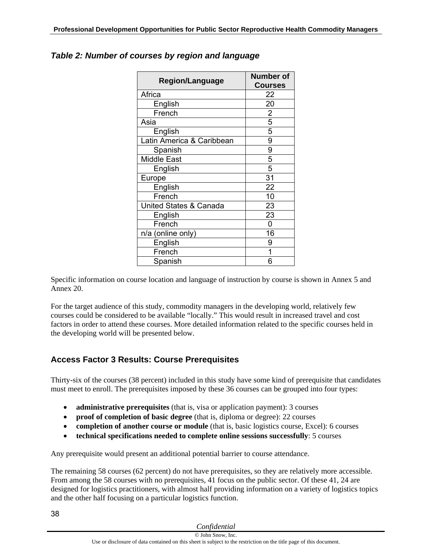| <b>Region/Language</b>    | <b>Number of</b><br><b>Courses</b> |
|---------------------------|------------------------------------|
| Africa                    | 22                                 |
| English                   | 20                                 |
| French                    | 2                                  |
| Asia                      | 5                                  |
| English                   | 5                                  |
| Latin America & Caribbean | 9                                  |
| Spanish                   | 9                                  |
| <b>Middle East</b>        | 5                                  |
| English                   | 5                                  |
| Europe                    | 31                                 |
| English                   | 22                                 |
| French                    | 10                                 |
| United States & Canada    | 23                                 |
| English                   | 23                                 |
| French                    | 0                                  |
| n/a (online only)         | 16                                 |
| English                   | 9                                  |
| French                    |                                    |
| Spanish                   | 6                                  |

## *Table 2: Number of courses by region and language*

Specific information on course location and language of instruction by course is shown in Annex 5 and Annex 20.

For the target audience of this study, commodity managers in the developing world, relatively few courses could be considered to be available "locally." This would result in increased travel and cost factors in order to attend these courses. More detailed information related to the specific courses held in the developing world will be presented below.

## **Access Factor 3 Results: Course Prerequisites**

Thirty-six of the courses (38 percent) included in this study have some kind of prerequisite that candidates must meet to enroll. The prerequisites imposed by these 36 courses can be grouped into four types:

- **administrative prerequisites** (that is, visa or application payment): 3 courses
- **proof of completion of basic degree** (that is, diploma or degree): 22 courses
- **completion of another course or module** (that is, basic logistics course, Excel): 6 courses
- **technical specifications needed to complete online sessions successfully**: 5 courses

Any prerequisite would present an additional potential barrier to course attendance.

The remaining 58 courses (62 percent) do not have prerequisites, so they are relatively more accessible. From among the 58 courses with no prerequisites, 41 focus on the public sector. Of these 41, 24 are designed for logistics practitioners, with almost half providing information on a variety of logistics topics and the other half focusing on a particular logistics function.

| Confidential |  |
|--------------|--|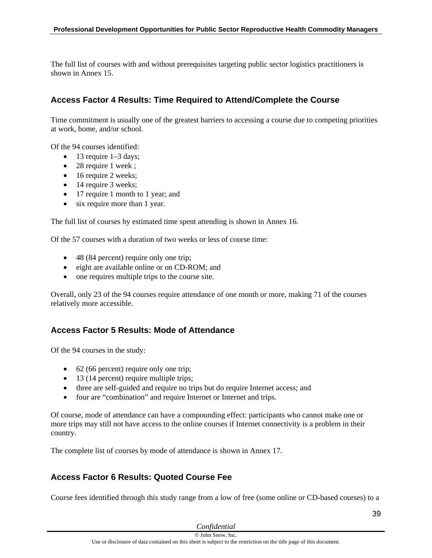The full list of courses with and without prerequisites targeting public sector logistics practitioners is shown in Annex 15.

## **Access Factor 4 Results: Time Required to Attend/Complete the Course**

Time commitment is usually one of the greatest barriers to accessing a course due to competing priorities at work, home, and/or school.

Of the 94 courses identified:

- $\bullet$  13 require 1–3 days;
- 28 require 1 week;
- 16 require 2 weeks;
- 14 require 3 weeks;
- 17 require 1 month to 1 year; and
- six require more than 1 year.

The full list of courses by estimated time spent attending is shown in Annex 16.

Of the 57 courses with a duration of two weeks or less of course time:

- 48 (84 percent) require only one trip;
- eight are available online or on CD-ROM; and
- one requires multiple trips to the course site.

Overall, only 23 of the 94 courses require attendance of one month or more, making 71 of the courses relatively more accessible.

## **Access Factor 5 Results: Mode of Attendance**

Of the 94 courses in the study:

- 62 (66 percent) require only one trip;
- 13 (14 percent) require multiple trips;
- three are self-guided and require no trips but do require Internet access; and
- four are "combination" and require Internet or Internet and trips.

Of course, mode of attendance can have a compounding effect: participants who cannot make one or more trips may still not have access to the online courses if Internet connectivity is a problem in their country.

The complete list of courses by mode of attendance is shown in Annex 17.

## **Access Factor 6 Results: Quoted Course Fee**

Course fees identified through this study range from a low of free (some online or CD-based courses) to a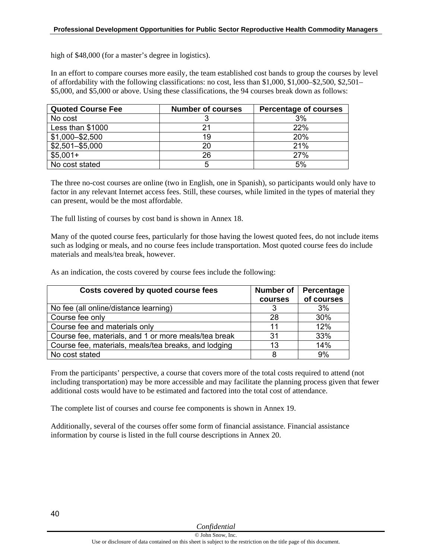high of \$48,000 (for a master's degree in logistics).

In an effort to compare courses more easily, the team established cost bands to group the courses by level of affordability with the following classifications: no cost, less than \$1,000, \$1,000–\$2,500, \$2,501– \$5,000, and \$5,000 or above. Using these classifications, the 94 courses break down as follows:

| <b>Quoted Course Fee</b> | <b>Number of courses</b> | <b>Percentage of courses</b> |
|--------------------------|--------------------------|------------------------------|
| No cost                  |                          | 3%                           |
| Less than \$1000         |                          | 22%                          |
| \$1,000-\$2,500          | 19                       | 20%                          |
| $$2,501 - $5,000$        | 20                       | 21%                          |
| $$5,001+$                | 26                       | 27%                          |
| No cost stated           |                          | 5%                           |

The three no-cost courses are online (two in English, one in Spanish), so participants would only have to factor in any relevant Internet access fees. Still, these courses, while limited in the types of material they can present, would be the most affordable.

The full listing of courses by cost band is shown in Annex 18.

Many of the quoted course fees, particularly for those having the lowest quoted fees, do not include items such as lodging or meals, and no course fees include transportation. Most quoted course fees do include materials and meals/tea break, however.

As an indication, the costs covered by course fees include the following:

| Costs covered by quoted course fees                  | <b>Number of</b> | Percentage |
|------------------------------------------------------|------------------|------------|
|                                                      | courses          | of courses |
| No fee (all online/distance learning)                |                  | 3%         |
| Course fee only                                      | 28               | 30%        |
| Course fee and materials only                        | 11               | 12%        |
| Course fee, materials, and 1 or more meals/tea break | 31               | 33%        |
| Course fee, materials, meals/tea breaks, and lodging | 13               | 14%        |
| No cost stated                                       | 8                | 9%         |

From the participants' perspective, a course that covers more of the total costs required to attend (not including transportation) may be more accessible and may facilitate the planning process given that fewer additional costs would have to be estimated and factored into the total cost of attendance.

The complete list of courses and course fee components is shown in Annex 19.

Additionally, several of the courses offer some form of financial assistance. Financial assistance information by course is listed in the full course descriptions in Annex 20.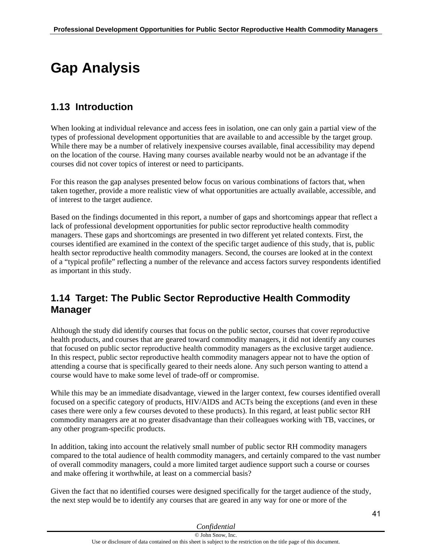# **Gap Analysis**

# **1.13 Introduction**

When looking at individual relevance and access fees in isolation, one can only gain a partial view of the types of professional development opportunities that are available to and accessible by the target group. While there may be a number of relatively inexpensive courses available, final accessibility may depend on the location of the course. Having many courses available nearby would not be an advantage if the courses did not cover topics of interest or need to participants.

For this reason the gap analyses presented below focus on various combinations of factors that, when taken together, provide a more realistic view of what opportunities are actually available, accessible, and of interest to the target audience.

Based on the findings documented in this report, a number of gaps and shortcomings appear that reflect a lack of professional development opportunities for public sector reproductive health commodity managers. These gaps and shortcomings are presented in two different yet related contexts. First, the courses identified are examined in the context of the specific target audience of this study, that is, public health sector reproductive health commodity managers. Second, the courses are looked at in the context of a "typical profile" reflecting a number of the relevance and access factors survey respondents identified as important in this study.

## **1.14 Target: The Public Sector Reproductive Health Commodity Manager**

Although the study did identify courses that focus on the public sector, courses that cover reproductive health products, and courses that are geared toward commodity managers, it did not identify any courses that focused on public sector reproductive health commodity managers as the exclusive target audience. In this respect, public sector reproductive health commodity managers appear not to have the option of attending a course that is specifically geared to their needs alone. Any such person wanting to attend a course would have to make some level of trade-off or compromise.

While this may be an immediate disadvantage, viewed in the larger context, few courses identified overall focused on a specific category of products, HIV/AIDS and ACTs being the exceptions (and even in these cases there were only a few courses devoted to these products). In this regard, at least public sector RH commodity managers are at no greater disadvantage than their colleagues working with TB, vaccines, or any other program-specific products.

In addition, taking into account the relatively small number of public sector RH commodity managers compared to the total audience of health commodity managers, and certainly compared to the vast number of overall commodity managers, could a more limited target audience support such a course or courses and make offering it worthwhile, at least on a commercial basis?

Given the fact that no identified courses were designed specifically for the target audience of the study, the next step would be to identify any courses that are geared in any way for one or more of the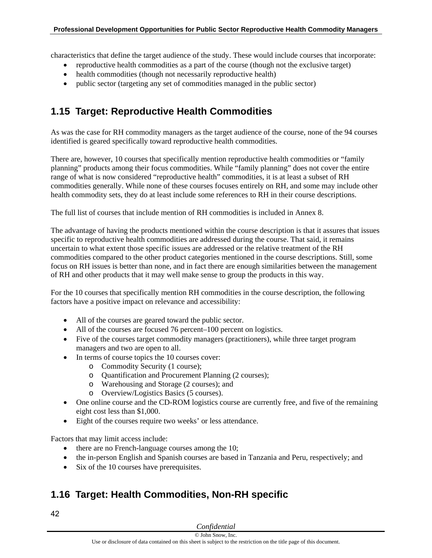characteristics that define the target audience of the study. These would include courses that incorporate:

- reproductive health commodities as a part of the course (though not the exclusive target)
- health commodities (though not necessarily reproductive health)
- public sector (targeting any set of commodities managed in the public sector)

# **1.15 Target: Reproductive Health Commodities**

As was the case for RH commodity managers as the target audience of the course, none of the 94 courses identified is geared specifically toward reproductive health commodities.

There are, however, 10 courses that specifically mention reproductive health commodities or "family planning" products among their focus commodities. While "family planning" does not cover the entire range of what is now considered "reproductive health" commodities, it is at least a subset of RH commodities generally. While none of these courses focuses entirely on RH, and some may include other health commodity sets, they do at least include some references to RH in their course descriptions.

The full list of courses that include mention of RH commodities is included in Annex 8.

The advantage of having the products mentioned within the course description is that it assures that issues specific to reproductive health commodities are addressed during the course. That said, it remains uncertain to what extent those specific issues are addressed or the relative treatment of the RH commodities compared to the other product categories mentioned in the course descriptions. Still, some focus on RH issues is better than none, and in fact there are enough similarities between the management of RH and other products that it may well make sense to group the products in this way.

For the 10 courses that specifically mention RH commodities in the course description, the following factors have a positive impact on relevance and accessibility:

- All of the courses are geared toward the public sector.
- All of the courses are focused 76 percent–100 percent on logistics.
- Five of the courses target commodity managers (practitioners), while three target program managers and two are open to all.
- In terms of course topics the 10 courses cover:
	- o Commodity Security (1 course);
	- o Quantification and Procurement Planning (2 courses);
	- o Warehousing and Storage (2 courses); and
	- o Overview/Logistics Basics (5 courses).
- One online course and the CD-ROM logistics course are currently free, and five of the remaining eight cost less than \$1,000.
- Eight of the courses require two weeks' or less attendance.

Factors that may limit access include:

- there are no French-language courses among the 10;
- the in-person English and Spanish courses are based in Tanzania and Peru, respectively; and
- Six of the 10 courses have prerequisites.

# **1.16 Target: Health Commodities, Non-RH specific**

42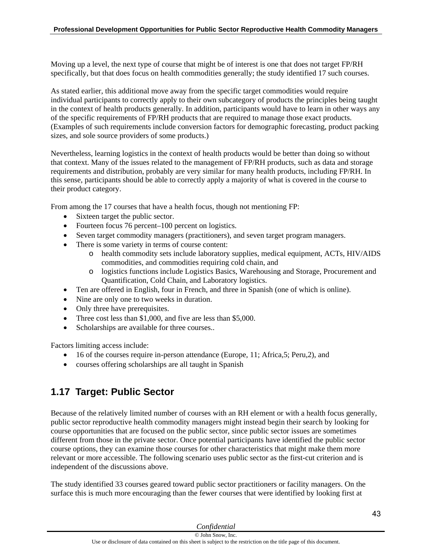Moving up a level, the next type of course that might be of interest is one that does not target FP/RH specifically, but that does focus on health commodities generally; the study identified 17 such courses.

As stated earlier, this additional move away from the specific target commodities would require individual participants to correctly apply to their own subcategory of products the principles being taught in the context of health products generally. In addition, participants would have to learn in other ways any of the specific requirements of FP/RH products that are required to manage those exact products. (Examples of such requirements include conversion factors for demographic forecasting, product packing sizes, and sole source providers of some products.)

Nevertheless, learning logistics in the context of health products would be better than doing so without that context. Many of the issues related to the management of FP/RH products, such as data and storage requirements and distribution, probably are very similar for many health products, including FP/RH. In this sense, participants should be able to correctly apply a majority of what is covered in the course to their product category.

From among the 17 courses that have a health focus, though not mentioning FP:

- Sixteen target the public sector.
- Fourteen focus 76 percent–100 percent on logistics.
- Seven target commodity managers (practitioners), and seven target program managers.
- There is some variety in terms of course content:
	- o health commodity sets include laboratory supplies, medical equipment, ACTs, HIV/AIDS commodities, and commodities requiring cold chain, and
	- o logistics functions include Logistics Basics, Warehousing and Storage, Procurement and Quantification, Cold Chain, and Laboratory logistics.
- Ten are offered in English, four in French, and three in Spanish (one of which is online).
- Nine are only one to two weeks in duration.
- Only three have prerequisites.
- Three cost less than \$1,000, and five are less than \$5,000.
- Scholarships are available for three courses..

Factors limiting access include:

- 16 of the courses require in-person attendance (Europe, 11; Africa,5; Peru,2), and
- courses offering scholarships are all taught in Spanish

# **1.17 Target: Public Sector**

Because of the relatively limited number of courses with an RH element or with a health focus generally, public sector reproductive health commodity managers might instead begin their search by looking for course opportunities that are focused on the public sector, since public sector issues are sometimes different from those in the private sector. Once potential participants have identified the public sector course options, they can examine those courses for other characteristics that might make them more relevant or more accessible. The following scenario uses public sector as the first-cut criterion and is independent of the discussions above.

The study identified 33 courses geared toward public sector practitioners or facility managers. On the surface this is much more encouraging than the fewer courses that were identified by looking first at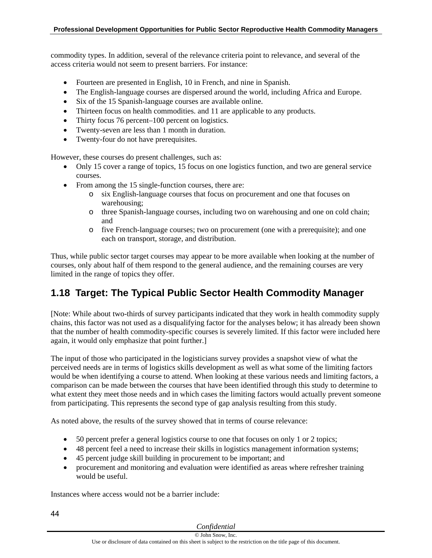commodity types. In addition, several of the relevance criteria point to relevance, and several of the access criteria would not seem to present barriers. For instance:

- Fourteen are presented in English, 10 in French, and nine in Spanish.
- The English-language courses are dispersed around the world, including Africa and Europe.
- Six of the 15 Spanish-language courses are available online.
- Thirteen focus on health commodities. and 11 are applicable to any products.
- Thirty focus 76 percent–100 percent on logistics.
- Twenty-seven are less than 1 month in duration.
- Twenty-four do not have prerequisites.

However, these courses do present challenges, such as:

- Only 15 cover a range of topics, 15 focus on one logistics function, and two are general service courses.
- From among the 15 single-function courses, there are:
	- o six English-language courses that focus on procurement and one that focuses on warehousing;
	- o three Spanish-language courses, including two on warehousing and one on cold chain; and
	- o five French-language courses; two on procurement (one with a prerequisite); and one each on transport, storage, and distribution.

Thus, while public sector target courses may appear to be more available when looking at the number of courses, only about half of them respond to the general audience, and the remaining courses are very limited in the range of topics they offer.

## **1.18 Target: The Typical Public Sector Health Commodity Manager**

[Note: While about two-thirds of survey participants indicated that they work in health commodity supply chains, this factor was not used as a disqualifying factor for the analyses below; it has already been shown that the number of health commodity-specific courses is severely limited. If this factor were included here again, it would only emphasize that point further.]

The input of those who participated in the logisticians survey provides a snapshot view of what the perceived needs are in terms of logistics skills development as well as what some of the limiting factors would be when identifying a course to attend. When looking at these various needs and limiting factors, a comparison can be made between the courses that have been identified through this study to determine to what extent they meet those needs and in which cases the limiting factors would actually prevent someone from participating. This represents the second type of gap analysis resulting from this study.

As noted above, the results of the survey showed that in terms of course relevance:

- 50 percent prefer a general logistics course to one that focuses on only 1 or 2 topics;
- 48 percent feel a need to increase their skills in logistics management information systems;
- 45 percent judge skill building in procurement to be important; and
- procurement and monitoring and evaluation were identified as areas where refresher training would be useful.

Instances where access would not be a barrier include: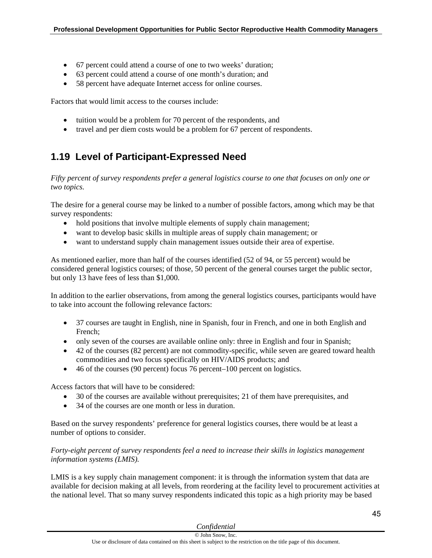- 67 percent could attend a course of one to two weeks' duration;
- 63 percent could attend a course of one month's duration; and
- 58 percent have adequate Internet access for online courses.

Factors that would limit access to the courses include:

- tuition would be a problem for 70 percent of the respondents, and
- travel and per diem costs would be a problem for 67 percent of respondents.

# **1.19 Level of Participant-Expressed Need**

*Fifty percent of survey respondents prefer a general logistics course to one that focuses on only one or two topics.* 

The desire for a general course may be linked to a number of possible factors, among which may be that survey respondents:

- hold positions that involve multiple elements of supply chain management;
- want to develop basic skills in multiple areas of supply chain management; or
- want to understand supply chain management issues outside their area of expertise.

As mentioned earlier, more than half of the courses identified (52 of 94, or 55 percent) would be considered general logistics courses; of those, 50 percent of the general courses target the public sector, but only 13 have fees of less than \$1,000.

In addition to the earlier observations, from among the general logistics courses, participants would have to take into account the following relevance factors:

- 37 courses are taught in English, nine in Spanish, four in French, and one in both English and French;
- only seven of the courses are available online only: three in English and four in Spanish;
- 42 of the courses (82 percent) are not commodity-specific, while seven are geared toward health commodities and two focus specifically on HIV/AIDS products; and
- 46 of the courses (90 percent) focus 76 percent–100 percent on logistics.

Access factors that will have to be considered:

- 30 of the courses are available without prerequisites; 21 of them have prerequisites, and
- 34 of the courses are one month or less in duration.

Based on the survey respondents' preference for general logistics courses, there would be at least a number of options to consider.

*Forty-eight percent of survey respondents feel a need to increase their skills in logistics management information systems (LMIS).* 

LMIS is a key supply chain management component: it is through the information system that data are available for decision making at all levels, from reordering at the facility level to procurement activities at the national level. That so many survey respondents indicated this topic as a high priority may be based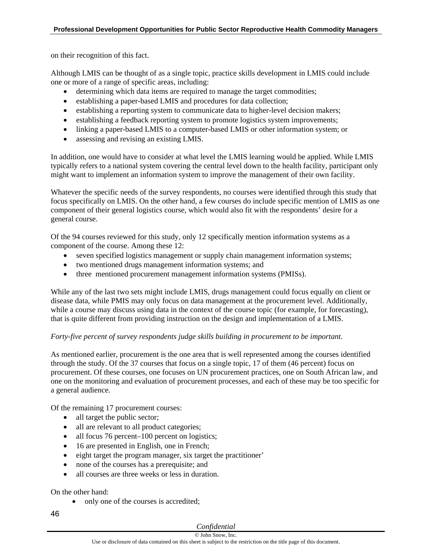on their recognition of this fact.

Although LMIS can be thought of as a single topic, practice skills development in LMIS could include one or more of a range of specific areas, including:

- determining which data items are required to manage the target commodities;
- establishing a paper-based LMIS and procedures for data collection;
- establishing a reporting system to communicate data to higher-level decision makers;
- establishing a feedback reporting system to promote logistics system improvements;
- linking a paper-based LMIS to a computer-based LMIS or other information system; or
- assessing and revising an existing LMIS.

In addition, one would have to consider at what level the LMIS learning would be applied. While LMIS typically refers to a national system covering the central level down to the health facility, participant only might want to implement an information system to improve the management of their own facility.

Whatever the specific needs of the survey respondents, no courses were identified through this study that focus specifically on LMIS. On the other hand, a few courses do include specific mention of LMIS as one component of their general logistics course, which would also fit with the respondents' desire for a general course.

Of the 94 courses reviewed for this study, only 12 specifically mention information systems as a component of the course. Among these 12:

- seven specified logistics management or supply chain management information systems;
- two mentioned drugs management information systems; and
- three mentioned procurement management information systems (PMISs).

While any of the last two sets might include LMIS, drugs management could focus equally on client or disease data, while PMIS may only focus on data management at the procurement level. Additionally, while a course may discuss using data in the context of the course topic (for example, for forecasting), that is quite different from providing instruction on the design and implementation of a LMIS.

#### *Forty-five percent of survey respondents judge skills building in procurement to be important.*

As mentioned earlier, procurement is the one area that is well represented among the courses identified through the study. Of the 37 courses that focus on a single topic, 17 of them (46 percent) focus on procurement. Of these courses, one focuses on UN procurement practices, one on South African law, and one on the monitoring and evaluation of procurement processes, and each of these may be too specific for a general audience.

Of the remaining 17 procurement courses:

- all target the public sector;
- all are relevant to all product categories;
- all focus 76 percent–100 percent on logistics;
- 16 are presented in English, one in French;
- eight target the program manager, six target the practitioner'
- none of the courses has a prerequisite; and
- all courses are three weeks or less in duration.

On the other hand:

- only one of the courses is accredited;
- 46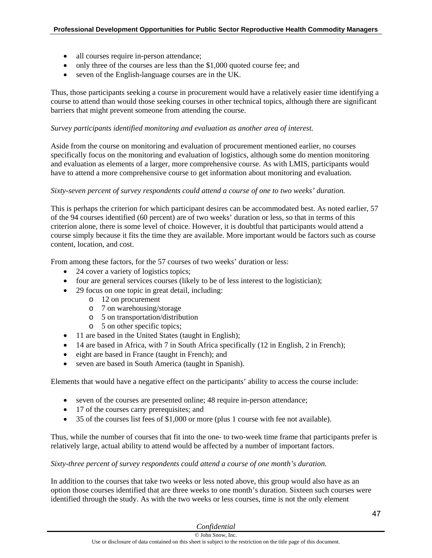- all courses require in-person attendance;
- only three of the courses are less than the \$1,000 quoted course fee; and
- seven of the English-language courses are in the UK.

Thus, those participants seeking a course in procurement would have a relatively easier time identifying a course to attend than would those seeking courses in other technical topics, although there are significant barriers that might prevent someone from attending the course.

#### *Survey participants identified monitoring and evaluation as another area of interest.*

Aside from the course on monitoring and evaluation of procurement mentioned earlier, no courses specifically focus on the monitoring and evaluation of logistics, although some do mention monitoring and evaluation as elements of a larger, more comprehensive course. As with LMIS, participants would have to attend a more comprehensive course to get information about monitoring and evaluation.

#### *Sixty-seven percent of survey respondents could attend a course of one to two weeks' duration.*

This is perhaps the criterion for which participant desires can be accommodated best. As noted earlier, 57 of the 94 courses identified (60 percent) are of two weeks' duration or less, so that in terms of this criterion alone, there is some level of choice. However, it is doubtful that participants would attend a course simply because it fits the time they are available. More important would be factors such as course content, location, and cost.

From among these factors, for the 57 courses of two weeks' duration or less:

- 24 cover a variety of logistics topics;
- four are general services courses (likely to be of less interest to the logistician);
- 29 focus on one topic in great detail, including:
	- o 12 on procurement
	- o 7 on warehousing/storage
	- o 5 on transportation/distribution
	- o 5 on other specific topics;
- 11 are based in the United States (taught in English);
- 14 are based in Africa, with 7 in South Africa specifically (12 in English, 2 in French);
- eight are based in France (taught in French); and
- seven are based in South America (taught in Spanish).

Elements that would have a negative effect on the participants' ability to access the course include:

- seven of the courses are presented online; 48 require in-person attendance;
- 17 of the courses carry prerequisites; and
- 35 of the courses list fees of \$1,000 or more (plus 1 course with fee not available).

Thus, while the number of courses that fit into the one- to two-week time frame that participants prefer is relatively large, actual ability to attend would be affected by a number of important factors.

#### *Sixty-three percent of survey respondents could attend a course of one month's duration.*

In addition to the courses that take two weeks or less noted above, this group would also have as an option those courses identified that are three weeks to one month's duration. Sixteen such courses were identified through the study. As with the two weeks or less courses, time is not the only element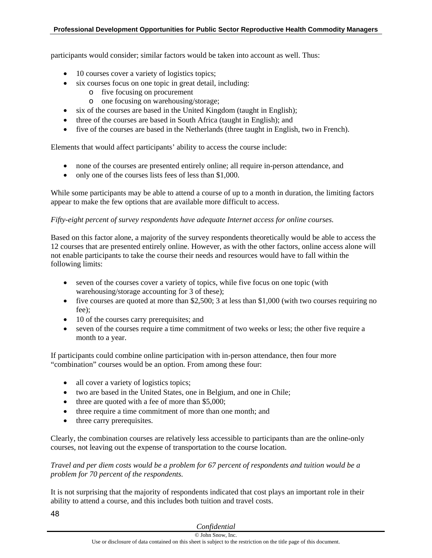#### **Professional Development Opportunities for Public Sector Reproductive Health Commodity Managers**

participants would consider; similar factors would be taken into account as well. Thus:

- 10 courses cover a variety of logistics topics;
- six courses focus on one topic in great detail, including:
	- o five focusing on procurement
	- o one focusing on warehousing/storage;
- six of the courses are based in the United Kingdom (taught in English);
- three of the courses are based in South Africa (taught in English); and
- five of the courses are based in the Netherlands (three taught in English, two in French).

Elements that would affect participants' ability to access the course include:

- none of the courses are presented entirely online; all require in-person attendance, and
- only one of the courses lists fees of less than \$1,000.

While some participants may be able to attend a course of up to a month in duration, the limiting factors appear to make the few options that are available more difficult to access.

#### *Fifty-eight percent of survey respondents have adequate Internet access for online courses.*

Based on this factor alone, a majority of the survey respondents theoretically would be able to access the 12 courses that are presented entirely online. However, as with the other factors, online access alone will not enable participants to take the course their needs and resources would have to fall within the following limits:

- seven of the courses cover a variety of topics, while five focus on one topic (with warehousing/storage accounting for 3 of these);
- five courses are quoted at more than \$2,500; 3 at less than \$1,000 (with two courses requiring no fee);
- 10 of the courses carry prerequisites; and
- seven of the courses require a time commitment of two weeks or less; the other five require a month to a year.

If participants could combine online participation with in-person attendance, then four more "combination" courses would be an option. From among these four:

- all cover a variety of logistics topics;
- two are based in the United States, one in Belgium, and one in Chile;
- $\bullet$  three are quoted with a fee of more than \$5,000;
- three require a time commitment of more than one month; and
- three carry prerequisites.

Clearly, the combination courses are relatively less accessible to participants than are the online-only courses, not leaving out the expense of transportation to the course location.

*Travel and per diem costs would be a problem for 67 percent of respondents and tuition would be a problem for 70 percent of the respondents.* 

It is not surprising that the majority of respondents indicated that cost plays an important role in their ability to attend a course, and this includes both tuition and travel costs.

|  | Confidential |
|--|--------------|
|  |              |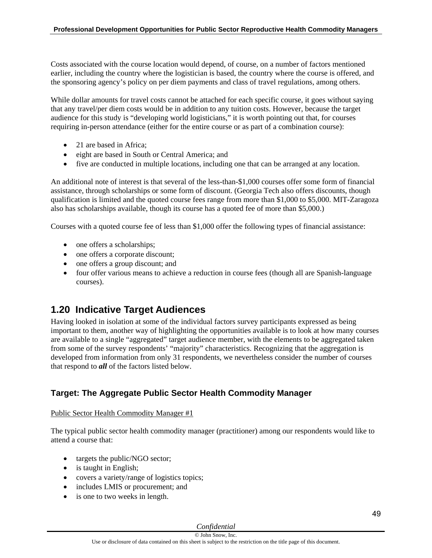Costs associated with the course location would depend, of course, on a number of factors mentioned earlier, including the country where the logistician is based, the country where the course is offered, and the sponsoring agency's policy on per diem payments and class of travel regulations, among others.

While dollar amounts for travel costs cannot be attached for each specific course, it goes without saying that any travel/per diem costs would be in addition to any tuition costs. However, because the target audience for this study is "developing world logisticians," it is worth pointing out that, for courses requiring in-person attendance (either for the entire course or as part of a combination course):

- 21 are based in Africa:
- eight are based in South or Central America; and
- five are conducted in multiple locations, including one that can be arranged at any location.

An additional note of interest is that several of the less-than-\$1,000 courses offer some form of financial assistance, through scholarships or some form of discount. (Georgia Tech also offers discounts, though qualification is limited and the quoted course fees range from more than \$1,000 to \$5,000. MIT-Zaragoza also has scholarships available, though its course has a quoted fee of more than \$5,000.)

Courses with a quoted course fee of less than \$1,000 offer the following types of financial assistance:

- one offers a scholarships;
- one offers a corporate discount;
- one offers a group discount; and
- four offer various means to achieve a reduction in course fees (though all are Spanish-language courses).

## **1.20 Indicative Target Audiences**

Having looked in isolation at some of the individual factors survey participants expressed as being important to them, another way of highlighting the opportunities available is to look at how many courses are available to a single "aggregated" target audience member, with the elements to be aggregated taken from some of the survey respondents' "majority" characteristics. Recognizing that the aggregation is developed from information from only 31 respondents, we nevertheless consider the number of courses that respond to *all* of the factors listed below.

## **Target: The Aggregate Public Sector Health Commodity Manager**

#### Public Sector Health Commodity Manager #1

The typical public sector health commodity manager (practitioner) among our respondents would like to attend a course that:

- targets the public/NGO sector;
- is taught in English;
- covers a variety/range of logistics topics;
- includes LMIS or procurement; and
- is one to two weeks in length.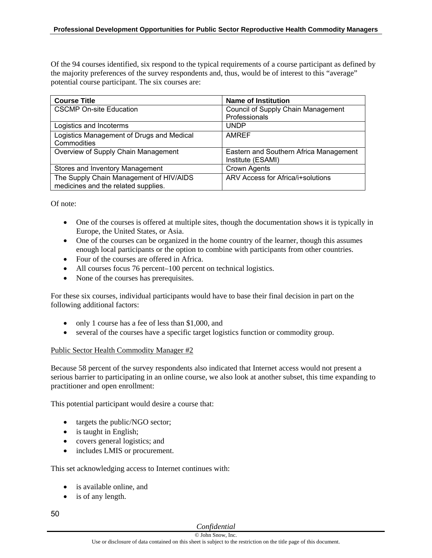Of the 94 courses identified, six respond to the typical requirements of a course participant as defined by the majority preferences of the survey respondents and, thus, would be of interest to this "average" potential course participant. The six courses are:

| <b>Course Title</b>                       | <b>Name of Institution</b>             |
|-------------------------------------------|----------------------------------------|
| <b>CSCMP On-site Education</b>            | Council of Supply Chain Management     |
|                                           | Professionals                          |
| Logistics and Incoterms                   | <b>UNDP</b>                            |
| Logistics Management of Drugs and Medical | <b>AMREF</b>                           |
| Commodities                               |                                        |
| Overview of Supply Chain Management       | Eastern and Southern Africa Management |
|                                           | Institute (ESAMI)                      |
| Stores and Inventory Management           | Crown Agents                           |
| The Supply Chain Management of HIV/AIDS   | ARV Access for Africa/i+solutions      |
| medicines and the related supplies.       |                                        |

Of note:

- One of the courses is offered at multiple sites, though the documentation shows it is typically in Europe, the United States, or Asia.
- One of the courses can be organized in the home country of the learner, though this assumes enough local participants or the option to combine with participants from other countries.
- Four of the courses are offered in Africa.
- All courses focus 76 percent–100 percent on technical logistics.
- None of the courses has prerequisites.

For these six courses, individual participants would have to base their final decision in part on the following additional factors:

- only 1 course has a fee of less than \$1,000, and
- several of the courses have a specific target logistics function or commodity group.

#### Public Sector Health Commodity Manager #2

Because 58 percent of the survey respondents also indicated that Internet access would not present a serious barrier to participating in an online course, we also look at another subset, this time expanding to practitioner and open enrollment:

This potential participant would desire a course that:

- targets the public/NGO sector;
- is taught in English;
- covers general logistics; and
- includes LMIS or procurement.

This set acknowledging access to Internet continues with:

- is available online, and
- is of any length.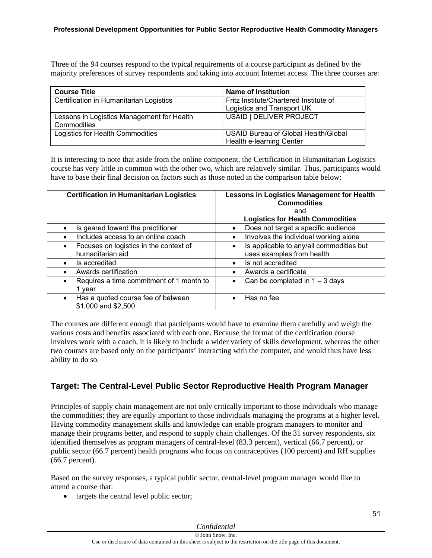Three of the 94 courses respond to the typical requirements of a course participant as defined by the majority preferences of survey respondents and taking into account Internet access. The three courses are:

| <b>Course Title</b>                        | <b>Name of Institution</b>             |
|--------------------------------------------|----------------------------------------|
| Certification in Humanitarian Logistics    | Fritz Institute/Chartered Institute of |
|                                            | Logistics and Transport UK             |
| Lessons in Logistics Management for Health | USAID   DELIVER PROJECT                |
| Commodities                                |                                        |
| Logistics for Health Commodities           | USAID Bureau of Global Health/Global   |
|                                            | Health e-learning Center               |

It is interesting to note that aside from the online component, the Certification in Humanitarian Logistics course has very little in common with the other two, which are relatively similar. Thus, participants would have to base their final decision on factors such as those noted in the comparison table below:

| <b>Certification in Humanitarian Logistics</b>                          | <b>Lessons in Logistics Management for Health</b><br><b>Commodities</b><br>and<br><b>Logistics for Health Commodities</b> |  |
|-------------------------------------------------------------------------|---------------------------------------------------------------------------------------------------------------------------|--|
| Is geared toward the practitioner                                       | Does not target a specific audience<br>$\bullet$                                                                          |  |
| Includes access to an online coach                                      | Involves the individual working alone<br>$\bullet$                                                                        |  |
| Focuses on logistics in the context of<br>$\bullet$<br>humanitarian aid | Is applicable to any/all commodities but<br>uses examples from health                                                     |  |
| Is accredited<br>$\bullet$                                              | Is not accredited<br>$\bullet$                                                                                            |  |
| Awards certification                                                    | Awards a certificate<br>$\bullet$                                                                                         |  |
| Requires a time commitment of 1 month to<br>$\bullet$<br>1 year         | Can be completed in $1 - 3$ days<br>$\bullet$                                                                             |  |
| Has a quoted course fee of between<br>\$1,000 and \$2,500               | Has no fee                                                                                                                |  |

The courses are different enough that participants would have to examine them carefully and weigh the various costs and benefits associated with each one. Because the format of the certification course involves work with a coach, it is likely to include a wider variety of skills development, whereas the other two courses are based only on the participants' interacting with the computer, and would thus have less ability to do so.

## **Target: The Central-Level Public Sector Reproductive Health Program Manager**

Principles of supply chain management are not only critically important to those individuals who manage the commodities; they are equally important to those individuals managing the programs at a higher level. Having commodity management skills and knowledge can enable program managers to monitor and manage their programs better, and respond to supply chain challenges. Of the 31 survey respondents, six identified themselves as program managers of central-level (83.3 percent), vertical (66.7 percent), or public sector (66.7 percent) health programs who focus on contraceptives (100 percent) and RH supplies (66.7 percent).

Based on the survey responses, a typical public sector, central-level program manager would like to attend a course that:

• targets the central level public sector;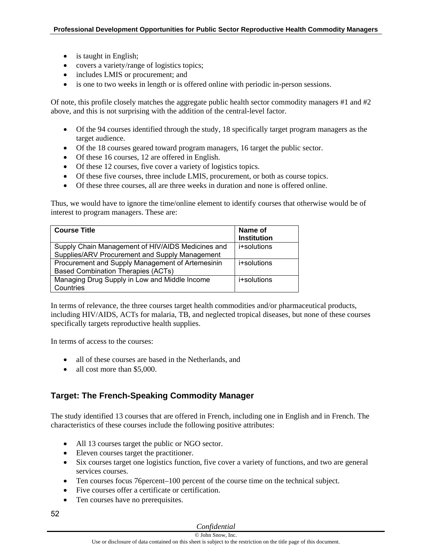- is taught in English;
- covers a variety/range of logistics topics;
- includes LMIS or procurement; and
- is one to two weeks in length or is offered online with periodic in-person sessions.

Of note, this profile closely matches the aggregate public health sector commodity managers #1 and #2 above, and this is not surprising with the addition of the central-level factor.

- Of the 94 courses identified through the study, 18 specifically target program managers as the target audience.
- Of the 18 courses geared toward program managers, 16 target the public sector.
- Of these 16 courses, 12 are offered in English.
- Of these 12 courses, five cover a variety of logistics topics.
- Of these five courses, three include LMIS, procurement, or both as course topics.
- Of these three courses, all are three weeks in duration and none is offered online.

Thus, we would have to ignore the time/online element to identify courses that otherwise would be of interest to program managers. These are:

| <b>Course Title</b>                                                                                 | Name of<br><b>Institution</b> |
|-----------------------------------------------------------------------------------------------------|-------------------------------|
| Supply Chain Management of HIV/AIDS Medicines and<br>Supplies/ARV Procurement and Supply Management | i+solutions                   |
| Procurement and Supply Management of Artemesinin<br><b>Based Combination Therapies (ACTs)</b>       | i+solutions                   |
| Managing Drug Supply in Low and Middle Income<br>Countries                                          | i+solutions                   |

In terms of relevance, the three courses target health commodities and/or pharmaceutical products, including HIV/AIDS, ACTs for malaria, TB, and neglected tropical diseases, but none of these courses specifically targets reproductive health supplies.

In terms of access to the courses:

- all of these courses are based in the Netherlands, and
- all cost more than \$5,000.

## **Target: The French-Speaking Commodity Manager**

The study identified 13 courses that are offered in French, including one in English and in French. The characteristics of these courses include the following positive attributes:

- All 13 courses target the public or NGO sector.
- Eleven courses target the practitioner.
- Six courses target one logistics function, five cover a variety of functions, and two are general services courses.
- Ten courses focus 76percent–100 percent of the course time on the technical subject.
- Five courses offer a certificate or certification.
- Ten courses have no prerequisites.
- 52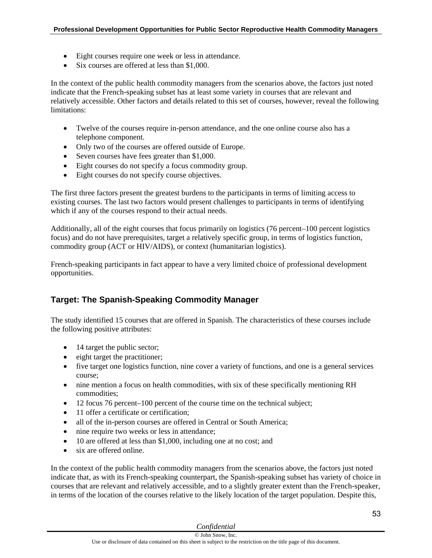- Eight courses require one week or less in attendance.
- Six courses are offered at less than \$1,000.

In the context of the public health commodity managers from the scenarios above, the factors just noted indicate that the French-speaking subset has at least some variety in courses that are relevant and relatively accessible. Other factors and details related to this set of courses, however, reveal the following limitations:

- Twelve of the courses require in-person attendance, and the one online course also has a telephone component.
- Only two of the courses are offered outside of Europe.
- Seven courses have fees greater than \$1,000.
- Eight courses do not specify a focus commodity group.
- Eight courses do not specify course objectives.

The first three factors present the greatest burdens to the participants in terms of limiting access to existing courses. The last two factors would present challenges to participants in terms of identifying which if any of the courses respond to their actual needs.

Additionally, all of the eight courses that focus primarily on logistics (76 percent–100 percent logistics focus) and do not have prerequisites, target a relatively specific group, in terms of logistics function, commodity group (ACT or HIV/AIDS), or context (humanitarian logistics).

French-speaking participants in fact appear to have a very limited choice of professional development opportunities.

## **Target: The Spanish-Speaking Commodity Manager**

The study identified 15 courses that are offered in Spanish. The characteristics of these courses include the following positive attributes:

- 14 target the public sector;
- eight target the practitioner;
- five target one logistics function, nine cover a variety of functions, and one is a general services course;
- nine mention a focus on health commodities, with six of these specifically mentioning RH commodities;
- 12 focus 76 percent–100 percent of the course time on the technical subject;
- 11 offer a certificate or certification;
- all of the in-person courses are offered in Central or South America;
- nine require two weeks or less in attendance;
- 10 are offered at less than \$1,000, including one at no cost; and
- six are offered online.

In the context of the public health commodity managers from the scenarios above, the factors just noted indicate that, as with its French-speaking counterpart, the Spanish-speaking subset has variety of choice in courses that are relevant and relatively accessible, and to a slightly greater extent than the French-speaker, in terms of the location of the courses relative to the likely location of the target population. Despite this,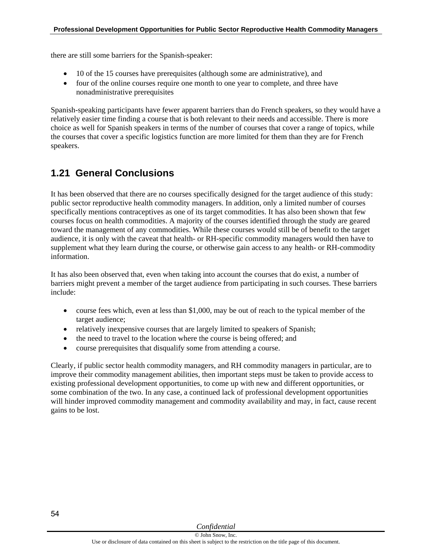there are still some barriers for the Spanish-speaker:

- 10 of the 15 courses have prerequisites (although some are administrative), and
- four of the online courses require one month to one year to complete, and three have nonadministrative prerequisites

Spanish-speaking participants have fewer apparent barriers than do French speakers, so they would have a relatively easier time finding a course that is both relevant to their needs and accessible. There is more choice as well for Spanish speakers in terms of the number of courses that cover a range of topics, while the courses that cover a specific logistics function are more limited for them than they are for French speakers.

# **1.21 General Conclusions**

It has been observed that there are no courses specifically designed for the target audience of this study: public sector reproductive health commodity managers. In addition, only a limited number of courses specifically mentions contraceptives as one of its target commodities. It has also been shown that few courses focus on health commodities. A majority of the courses identified through the study are geared toward the management of any commodities. While these courses would still be of benefit to the target audience, it is only with the caveat that health- or RH-specific commodity managers would then have to supplement what they learn during the course, or otherwise gain access to any health- or RH-commodity information.

It has also been observed that, even when taking into account the courses that do exist, a number of barriers might prevent a member of the target audience from participating in such courses. These barriers include:

- course fees which, even at less than \$1,000, may be out of reach to the typical member of the target audience;
- relatively inexpensive courses that are largely limited to speakers of Spanish;
- the need to travel to the location where the course is being offered; and
- course prerequisites that disqualify some from attending a course.

Clearly, if public sector health commodity managers, and RH commodity managers in particular, are to improve their commodity management abilities, then important steps must be taken to provide access to existing professional development opportunities, to come up with new and different opportunities, or some combination of the two. In any case, a continued lack of professional development opportunities will hinder improved commodity management and commodity availability and may, in fact, cause recent gains to be lost.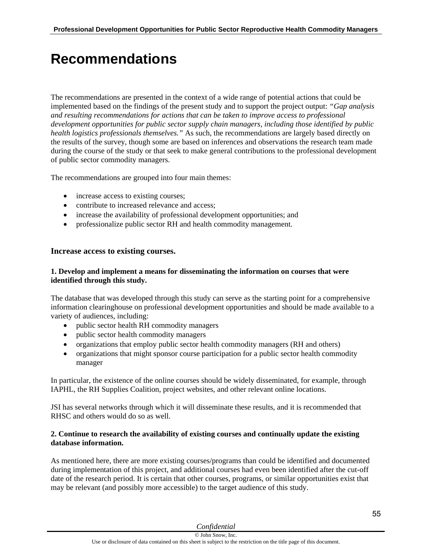# **Recommendations**

The recommendations are presented in the context of a wide range of potential actions that could be implemented based on the findings of the present study and to support the project output: *"Gap analysis and resulting recommendations for actions that can be taken to improve access to professional development opportunities for public sector supply chain managers, including those identified by public health logistics professionals themselves."* As such, the recommendations are largely based directly on the results of the survey, though some are based on inferences and observations the research team made during the course of the study or that seek to make general contributions to the professional development of public sector commodity managers.

The recommendations are grouped into four main themes:

- increase access to existing courses;
- contribute to increased relevance and access;
- increase the availability of professional development opportunities; and
- professionalize public sector RH and health commodity management.

#### **Increase access to existing courses.**

#### **1. Develop and implement a means for disseminating the information on courses that were identified through this study.**

The database that was developed through this study can serve as the starting point for a comprehensive information clearinghouse on professional development opportunities and should be made available to a variety of audiences, including:

- public sector health RH commodity managers
- public sector health commodity managers
- organizations that employ public sector health commodity managers (RH and others)
- organizations that might sponsor course participation for a public sector health commodity manager

In particular, the existence of the online courses should be widely disseminated, for example, through IAPHL, the RH Supplies Coalition, project websites, and other relevant online locations.

JSI has several networks through which it will disseminate these results, and it is recommended that RHSC and others would do so as well.

#### **2. Continue to research the availability of existing courses and continually update the existing database information.**

As mentioned here, there are more existing courses/programs than could be identified and documented during implementation of this project, and additional courses had even been identified after the cut-off date of the research period. It is certain that other courses, programs, or similar opportunities exist that may be relevant (and possibly more accessible) to the target audience of this study.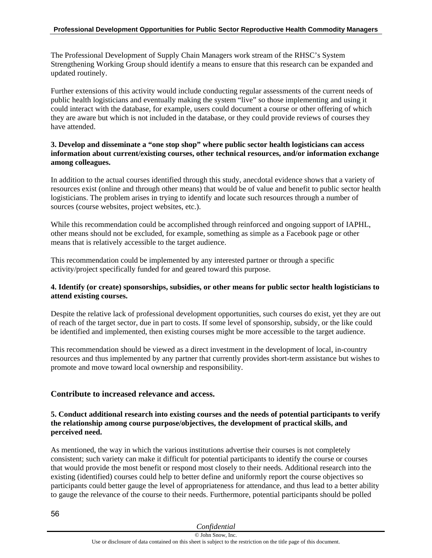The Professional Development of Supply Chain Managers work stream of the RHSC's System Strengthening Working Group should identify a means to ensure that this research can be expanded and updated routinely.

Further extensions of this activity would include conducting regular assessments of the current needs of public health logisticians and eventually making the system "live" so those implementing and using it could interact with the database, for example, users could document a course or other offering of which they are aware but which is not included in the database, or they could provide reviews of courses they have attended.

## **3. Develop and disseminate a "one stop shop" where public sector health logisticians can access information about current/existing courses, other technical resources, and/or information exchange among colleagues.**

In addition to the actual courses identified through this study, anecdotal evidence shows that a variety of resources exist (online and through other means) that would be of value and benefit to public sector health logisticians. The problem arises in trying to identify and locate such resources through a number of sources (course websites, project websites, etc.).

While this recommendation could be accomplished through reinforced and ongoing support of IAPHL, other means should not be excluded, for example, something as simple as a Facebook page or other means that is relatively accessible to the target audience.

This recommendation could be implemented by any interested partner or through a specific activity/project specifically funded for and geared toward this purpose.

## **4. Identify (or create) sponsorships, subsidies, or other means for public sector health logisticians to attend existing courses.**

Despite the relative lack of professional development opportunities, such courses do exist, yet they are out of reach of the target sector, due in part to costs. If some level of sponsorship, subsidy, or the like could be identified and implemented, then existing courses might be more accessible to the target audience.

This recommendation should be viewed as a direct investment in the development of local, in-country resources and thus implemented by any partner that currently provides short-term assistance but wishes to promote and move toward local ownership and responsibility.

## **Contribute to increased relevance and access.**

### **5. Conduct additional research into existing courses and the needs of potential participants to verify the relationship among course purpose/objectives, the development of practical skills, and perceived need.**

As mentioned, the way in which the various institutions advertise their courses is not completely consistent; such variety can make it difficult for potential participants to identify the course or courses that would provide the most benefit or respond most closely to their needs. Additional research into the existing (identified) courses could help to better define and uniformly report the course objectives so participants could better gauge the level of appropriateness for attendance, and thus lead to a better ability to gauge the relevance of the course to their needs. Furthermore, potential participants should be polled

| Confidential                                                                                                        |  |
|---------------------------------------------------------------------------------------------------------------------|--|
| © John Snow, Inc.                                                                                                   |  |
| Use or disclosure of data contained on this sheet is subject to the restriction on the title page of this document. |  |

56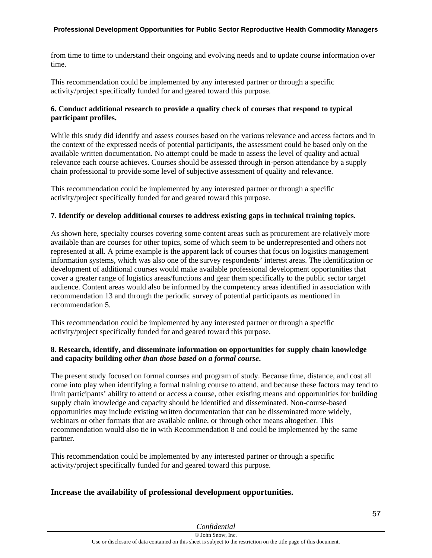from time to time to understand their ongoing and evolving needs and to update course information over time.

This recommendation could be implemented by any interested partner or through a specific activity/project specifically funded for and geared toward this purpose.

## **6. Conduct additional research to provide a quality check of courses that respond to typical participant profiles.**

While this study did identify and assess courses based on the various relevance and access factors and in the context of the expressed needs of potential participants, the assessment could be based only on the available written documentation. No attempt could be made to assess the level of quality and actual relevance each course achieves. Courses should be assessed through in-person attendance by a supply chain professional to provide some level of subjective assessment of quality and relevance.

This recommendation could be implemented by any interested partner or through a specific activity/project specifically funded for and geared toward this purpose.

## **7. Identify or develop additional courses to address existing gaps in technical training topics.**

As shown here, specialty courses covering some content areas such as procurement are relatively more available than are courses for other topics, some of which seem to be underrepresented and others not represented at all. A prime example is the apparent lack of courses that focus on logistics management information systems, which was also one of the survey respondents' interest areas. The identification or development of additional courses would make available professional development opportunities that cover a greater range of logistics areas/functions and gear them specifically to the public sector target audience. Content areas would also be informed by the competency areas identified in association with recommendation 13 and through the periodic survey of potential participants as mentioned in recommendation 5.

This recommendation could be implemented by any interested partner or through a specific activity/project specifically funded for and geared toward this purpose.

## **8. Research, identify, and disseminate information on opportunities for supply chain knowledge and capacity building** *other than those based on a formal course***.**

The present study focused on formal courses and program of study. Because time, distance, and cost all come into play when identifying a formal training course to attend, and because these factors may tend to limit participants' ability to attend or access a course, other existing means and opportunities for building supply chain knowledge and capacity should be identified and disseminated. Non-course-based opportunities may include existing written documentation that can be disseminated more widely, webinars or other formats that are available online, or through other means altogether. This recommendation would also tie in with Recommendation 8 and could be implemented by the same partner.

This recommendation could be implemented by any interested partner or through a specific activity/project specifically funded for and geared toward this purpose.

## **Increase the availability of professional development opportunities.**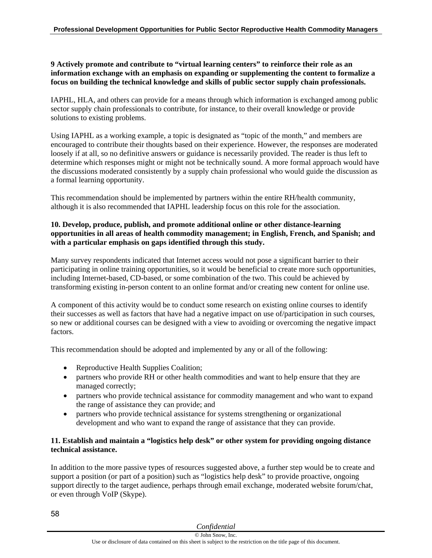## **9 Actively promote and contribute to "virtual learning centers" to reinforce their role as an information exchange with an emphasis on expanding or supplementing the content to formalize a focus on building the technical knowledge and skills of public sector supply chain professionals.**

IAPHL, HLA, and others can provide for a means through which information is exchanged among public sector supply chain professionals to contribute, for instance, to their overall knowledge or provide solutions to existing problems.

Using IAPHL as a working example, a topic is designated as "topic of the month," and members are encouraged to contribute their thoughts based on their experience. However, the responses are moderated loosely if at all, so no definitive answers or guidance is necessarily provided. The reader is thus left to determine which responses might or might not be technically sound. A more formal approach would have the discussions moderated consistently by a supply chain professional who would guide the discussion as a formal learning opportunity.

This recommendation should be implemented by partners within the entire RH/health community, although it is also recommended that IAPHL leadership focus on this role for the association.

## **10. Develop, produce, publish, and promote additional online or other distance-learning opportunities in all areas of health commodity management; in English, French, and Spanish; and with a particular emphasis on gaps identified through this study.**

Many survey respondents indicated that Internet access would not pose a significant barrier to their participating in online training opportunities, so it would be beneficial to create more such opportunities, including Internet-based, CD-based, or some combination of the two. This could be achieved by transforming existing in-person content to an online format and/or creating new content for online use.

A component of this activity would be to conduct some research on existing online courses to identify their successes as well as factors that have had a negative impact on use of/participation in such courses, so new or additional courses can be designed with a view to avoiding or overcoming the negative impact factors.

This recommendation should be adopted and implemented by any or all of the following:

- Reproductive Health Supplies Coalition;
- partners who provide RH or other health commodities and want to help ensure that they are managed correctly;
- partners who provide technical assistance for commodity management and who want to expand the range of assistance they can provide; and
- partners who provide technical assistance for systems strengthening or organizational development and who want to expand the range of assistance that they can provide.

## **11. Establish and maintain a "logistics help desk" or other system for providing ongoing distance technical assistance.**

In addition to the more passive types of resources suggested above, a further step would be to create and support a position (or part of a position) such as "logistics help desk" to provide proactive, ongoing support directly to the target audience, perhaps through email exchange, moderated website forum/chat, or even through VoIP (Skype).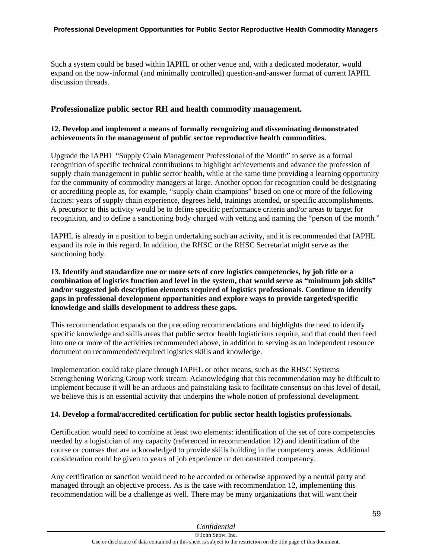Such a system could be based within IAPHL or other venue and, with a dedicated moderator, would expand on the now-informal (and minimally controlled) question-and-answer format of current IAPHL discussion threads.

## **Professionalize public sector RH and health commodity management.**

## **12. Develop and implement a means of formally recognizing and disseminating demonstrated achievements in the management of public sector reproductive health commodities.**

Upgrade the IAPHL "Supply Chain Management Professional of the Month" to serve as a formal recognition of specific technical contributions to highlight achievements and advance the profession of supply chain management in public sector health, while at the same time providing a learning opportunity for the community of commodity managers at large. Another option for recognition could be designating or accrediting people as, for example, "supply chain champions" based on one or more of the following factors: years of supply chain experience, degrees held, trainings attended, or specific accomplishments. A precursor to this activity would be to define specific performance criteria and/or areas to target for recognition, and to define a sanctioning body charged with vetting and naming the "person of the month."

IAPHL is already in a position to begin undertaking such an activity, and it is recommended that IAPHL expand its role in this regard. In addition, the RHSC or the RHSC Secretariat might serve as the sanctioning body.

#### **13. Identify and standardize one or more sets of core logistics competencies, by job title or a combination of logistics function and level in the system, that would serve as "minimum job skills" and/or suggested job description elements required of logistics professionals. Continue to identify gaps in professional development opportunities and explore ways to provide targeted/specific knowledge and skills development to address these gaps.**

This recommendation expands on the preceding recommendations and highlights the need to identify specific knowledge and skills areas that public sector health logisticians require, and that could then feed into one or more of the activities recommended above, in addition to serving as an independent resource document on recommended/required logistics skills and knowledge.

Implementation could take place through IAPHL or other means, such as the RHSC Systems Strengthening Working Group work stream. Acknowledging that this recommendation may be difficult to implement because it will be an arduous and painstaking task to facilitate consensus on this level of detail, we believe this is an essential activity that underpins the whole notion of professional development.

## **14. Develop a formal/accredited certification for public sector health logistics professionals.**

Certification would need to combine at least two elements: identification of the set of core competencies needed by a logistician of any capacity (referenced in recommendation 12) and identification of the course or courses that are acknowledged to provide skills building in the competency areas. Additional consideration could be given to years of job experience or demonstrated competency.

Any certification or sanction would need to be accorded or otherwise approved by a neutral party and managed through an objective process. As is the case with recommendation 12, implementing this recommendation will be a challenge as well. There may be many organizations that will want their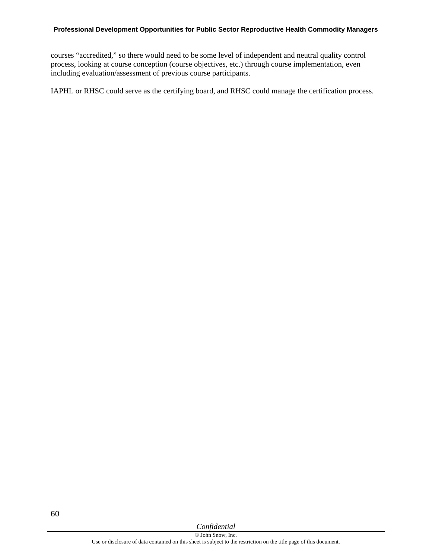courses "accredited," so there would need to be some level of independent and neutral quality control process, looking at course conception (course objectives, etc.) through course implementation, even including evaluation/assessment of previous course participants.

IAPHL or RHSC could serve as the certifying board, and RHSC could manage the certification process.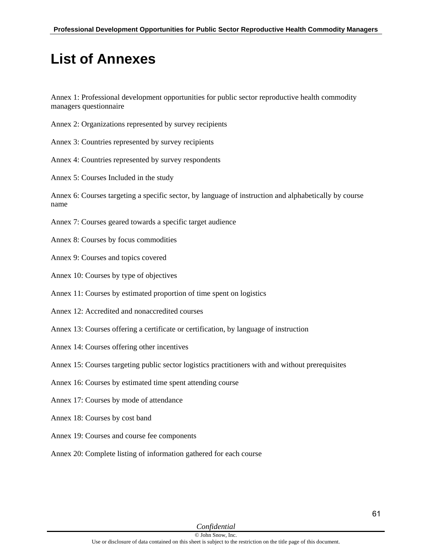# **List of Annexes**

Annex 1: Professional development opportunities for public sector reproductive health commodity managers questionnaire

- Annex 2: Organizations represented by survey recipients
- Annex 3: Countries represented by survey recipients
- Annex 4: Countries represented by survey respondents
- Annex 5: Courses Included in the study

Annex 6: Courses targeting a specific sector, by language of instruction and alphabetically by course name

- Annex 7: Courses geared towards a specific target audience
- Annex 8: Courses by focus commodities
- Annex 9: Courses and topics covered
- Annex 10: Courses by type of objectives
- Annex 11: Courses by estimated proportion of time spent on logistics
- Annex 12: Accredited and nonaccredited courses
- Annex 13: Courses offering a certificate or certification, by language of instruction
- Annex 14: Courses offering other incentives
- Annex 15: Courses targeting public sector logistics practitioners with and without prerequisites
- Annex 16: Courses by estimated time spent attending course
- Annex 17: Courses by mode of attendance
- Annex 18: Courses by cost band
- Annex 19: Courses and course fee components
- Annex 20: Complete listing of information gathered for each course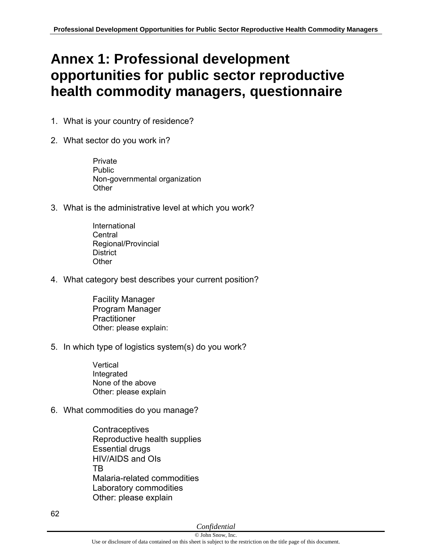# **Annex 1: Professional development opportunities for public sector reproductive health commodity managers, questionnaire**

- 1. What is your country of residence?
- 2. What sector do you work in?

 Private Public Non-governmental organization **Other** 

- 3. What is the administrative level at which you work?
	- International Central Regional/Provincial **District Other**
- 4. What category best describes your current position?
	- Facility Manager Program Manager **Practitioner** Other: please explain:
- 5. In which type of logistics system(s) do you work?
	- Vertical Integrated None of the above Other: please explain
- 6. What commodities do you manage?

**Contraceptives** Reproductive health supplies Essential drugs HIV/AIDS and OIs TB Malaria-related commodities Laboratory commodities Other: please explain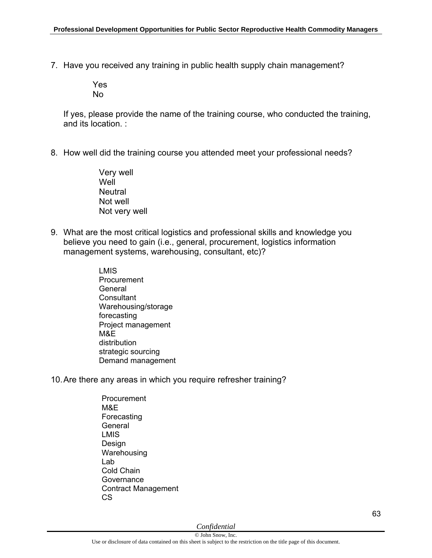7. Have you received any training in public health supply chain management?

 Yes No

If yes, please provide the name of the training course, who conducted the training, and its location. :

8. How well did the training course you attended meet your professional needs?

Very well **Well Neutral** Not well Not very well

- 9. What are the most critical logistics and professional skills and knowledge you believe you need to gain (i.e., general, procurement, logistics information management systems, warehousing, consultant, etc)?
	- LMIS Procurement **General Consultant**  Warehousing/storage forecasting Project management M&E distribution strategic sourcing Demand management
- 10. Are there any areas in which you require refresher training?
	- Procurement M&E Forecasting **General**  LMIS Design Warehousing Lab Cold Chain **Governance**  Contract Management CS

*Confidential* 

63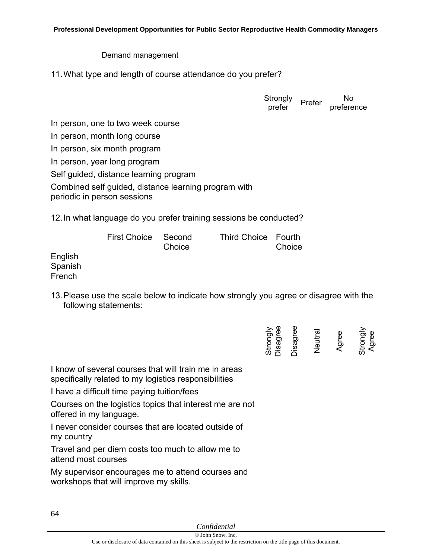## Demand management

11. What type and length of course attendance do you prefer?

**Strongly** Strongly <sub>Prefer</sub> No<br>prefer prefere preference In person, one to two week course In person, month long course In person, six month program In person, year long program Self guided, distance learning program Combined self guided, distance learning program with periodic in person sessions

12. In what language do you prefer training sessions be conducted?

|           | First Choice Second | Choice | Third Choice Fourth | Choice |
|-----------|---------------------|--------|---------------------|--------|
| English   |                     |        |                     |        |
| Spanish   |                     |        |                     |        |
| المتمددات |                     |        |                     |        |

13. Please use the scale below to indicate how strongly you agree or disagree with the following statements:

| lee<br>Strongly<br>bisag | Jisagree | Neutra | Agree | Strongly<br>Agree |
|--------------------------|----------|--------|-------|-------------------|
|                          |          |        |       |                   |

I know of several courses that will train me in areas specifically related to my logistics responsibilities

I have a difficult time paying tuition/fees

Courses on the logistics topics that interest me are not offered in my language.

I never consider courses that are located outside of my country

Travel and per diem costs too much to allow me to attend most courses

My supervisor encourages me to attend courses and workshops that will improve my skills.

English Spanish French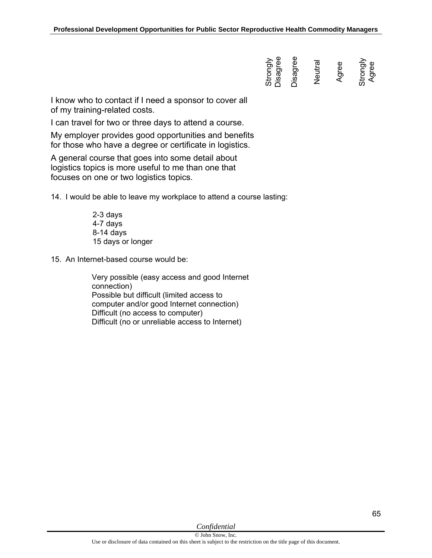| Jisagree<br>Strongly | <b>Disagree</b> | Neutra | ee<br>σ. | Strongly<br>Agree |
|----------------------|-----------------|--------|----------|-------------------|
|                      |                 |        |          |                   |

I know who to contact if I need a sponsor to cover all of my training-related costs.

I can travel for two or three days to attend a course.

My employer provides good opportunities and benefits for those who have a degree or certificate in logistics.

A general course that goes into some detail about logistics topics is more useful to me than one that focuses on one or two logistics topics.

14. I would be able to leave my workplace to attend a course lasting:

 2-3 days 4-7 days 8-14 days 15 days or longer

15. An Internet-based course would be:

 Very possible (easy access and good Internet connection) Possible but difficult (limited access to computer and/or good Internet connection) Difficult (no access to computer) Difficult (no or unreliable access to Internet)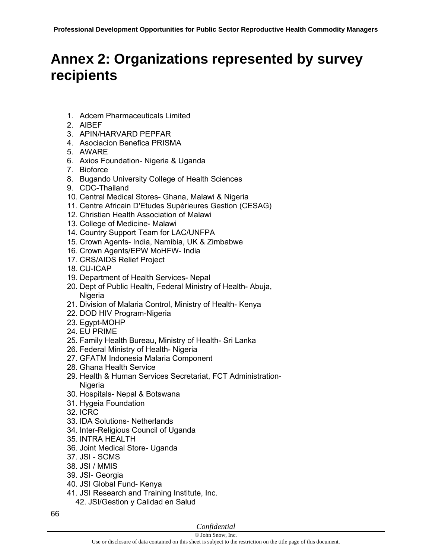# **Annex 2: Organizations represented by survey recipients**

- 1. Adcem Pharmaceuticals Limited
- 2. AIBEF
- 3. APIN/HARVARD PEPFAR
- 4. Asociacion Benefica PRISMA
- 5. AWARE
- 6. Axios Foundation- Nigeria & Uganda
- 7. Bioforce
- 8. Bugando University College of Health Sciences
- 9. CDC-Thailand
- 10. Central Medical Stores- Ghana, Malawi & Nigeria
- 11. Centre Africain D'Etudes Supérieures Gestion (CESAG)
- 12. Christian Health Association of Malawi
- 13. College of Medicine- Malawi
- 14. Country Support Team for LAC/UNFPA
- 15. Crown Agents- India, Namibia, UK & Zimbabwe
- 16. Crown Agents/EPW MoHFW- India
- 17. CRS/AIDS Relief Project
- 18. CU-ICAP
- 19. Department of Health Services- Nepal
- 20. Dept of Public Health, Federal Ministry of Health- Abuja, **Nigeria**
- 21. Division of Malaria Control, Ministry of Health- Kenya
- 22. DOD HIV Program-Nigeria
- 23. Egypt-MOHP
- 24. EU PRIME
- 25. Family Health Bureau, Ministry of Health- Sri Lanka
- 26. Federal Ministry of Health- Nigeria
- 27. GFATM Indonesia Malaria Component
- 28. Ghana Health Service
- 29. Health & Human Services Secretariat, FCT Administration-Nigeria
- 30. Hospitals- Nepal & Botswana
- 31. Hygeia Foundation
- 32. ICRC
- 33. IDA Solutions- Netherlands
- 34. Inter-Religious Council of Uganda
- 35. INTRA HEALTH
- 36. Joint Medical Store- Uganda
- 37. JSI SCMS
- 38. JSI / MMIS
- 39. JSI- Georgia
- 40. JSI Global Fund- Kenya
- 41. JSI Research and Training Institute, Inc.
	- 42. JSI/Gestion y Calidad en Salud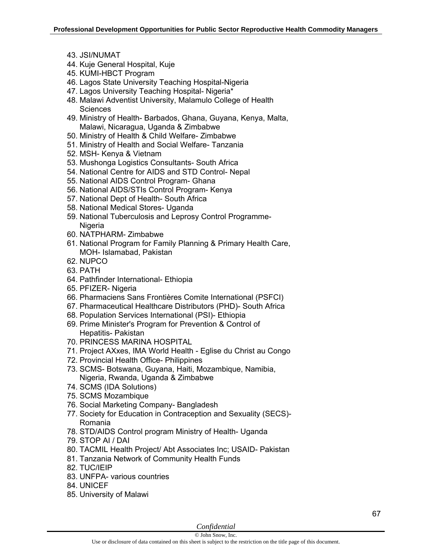- 43. JSI/NUMAT
- 44. Kuje General Hospital, Kuje
- 45. KUMI-HBCT Program
- 46. Lagos State University Teaching Hospital-Nigeria
- 47. Lagos University Teaching Hospital- Nigeria\*
- 48. Malawi Adventist University, Malamulo College of Health **Sciences**
- 49. Ministry of Health- Barbados, Ghana, Guyana, Kenya, Malta, Malawi, Nicaragua, Uganda & Zimbabwe
- 50. Ministry of Health & Child Welfare- Zimbabwe
- 51. Ministry of Health and Social Welfare- Tanzania
- 52. MSH- Kenya & Vietnam
- 53. Mushonga Logistics Consultants- South Africa
- 54. National Centre for AIDS and STD Control- Nepal
- 55. National AIDS Control Program- Ghana
- 56. National AIDS/STIs Control Program- Kenya
- 57. National Dept of Health- South Africa
- 58. National Medical Stores- Uganda
- 59. National Tuberculosis and Leprosy Control Programme-Nigeria
- 60. NATPHARM- Zimbabwe
- 61. National Program for Family Planning & Primary Health Care, MOH- Islamabad, Pakistan
- 62. NUPCO
- 63. PATH
- 64. Pathfinder International- Ethiopia
- 65. PFIZER- Nigeria
- 66. Pharmaciens Sans Frontières Comite International (PSFCI)
- 67. Pharmaceutical Healthcare Distributors (PHD)- South Africa
- 68. Population Services International (PSI)- Ethiopia
- 69. Prime Minister's Program for Prevention & Control of Hepatitis- Pakistan
- 70. PRINCESS MARINA HOSPITAL
- 71. Project AXxes, IMA World Health Eglise du Christ au Congo
- 72. Provincial Health Office- Philippines
- 73. SCMS- Botswana, Guyana, Haiti, Mozambique, Namibia, Nigeria, Rwanda, Uganda & Zimbabwe
- 74. SCMS (IDA Solutions)
- 75. SCMS Mozambique
- 76. Social Marketing Company- Bangladesh
- 77. Society for Education in Contraception and Sexuality (SECS)- Romania
- 78. STD/AIDS Control program Ministry of Health- Uganda
- 79. STOP AI / DAI
- 80. TACMIL Health Project/ Abt Associates Inc; USAID- Pakistan
- 81. Tanzania Network of Community Health Funds
- 82. TUC/IEIP
- 83. UNFPA- various countries
- 84. UNICEF
- 85. University of Malawi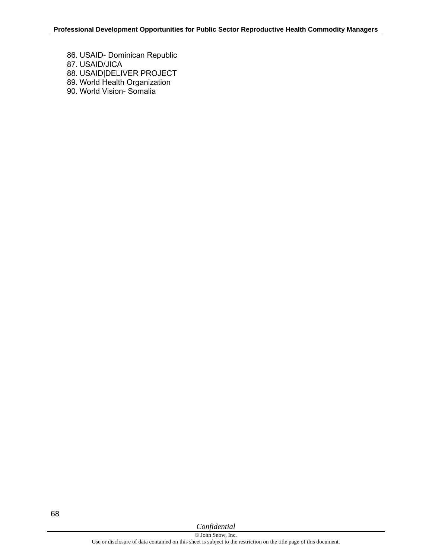86. USAID- Dominican Republic 87. USAID/JICA 88. USAID|DELIVER PROJECT 89. World Health Organization 90. World Vision- Somalia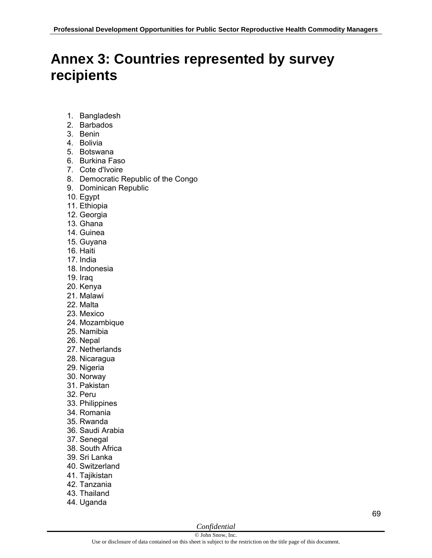# **Annex 3: Countries represented by survey recipients**

- 1. Bangladesh
- 2. Barbados
- 3. Benin
- 4. Bolivia
- 5. Botswana
- 6. Burkina Faso
- 7. Cote d'Ivoire
- 8. Democratic Republic of the Congo
- 9. Dominican Republic
- 10. Egypt
- 11. Ethiopia
- 12. Georgia
- 13. Ghana
- 14. Guinea
- 15. Guyana
- 16. Haiti
- 17. India
- 18. Indonesia
- 19. Iraq
- 20. Kenya
- 21. Malawi
- 22. Malta
- 23. Mexico
- 24. Mozambique
- 25. Namibia
- 26. Nepal
- 27. Netherlands
- 28. Nicaragua
- 29. Nigeria
- 30. Norway
- 31. Pakistan
- 32. Peru
- 33. Philippines
- 34. Romania
- 35. Rwanda
- 36. Saudi Arabia
- 37. Senegal
- 38. South Africa
- 39. Sri Lanka
- 40. Switzerland
- 41. Tajikistan
- 42. Tanzania
- 43. Thailand
- 44. Uganda

## *Confidential*

69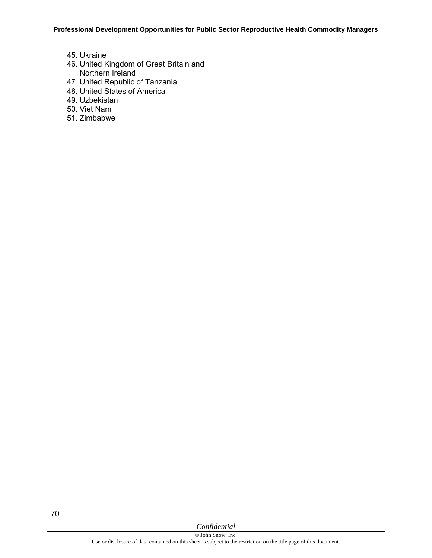- 45. Ukraine
- 46. United Kingdom of Great Britain and Northern Ireland
- 47. United Republic of Tanzania
- 48. United States of America
- 49. Uzbekistan
- 50. Viet Nam
- 51. Zimbabwe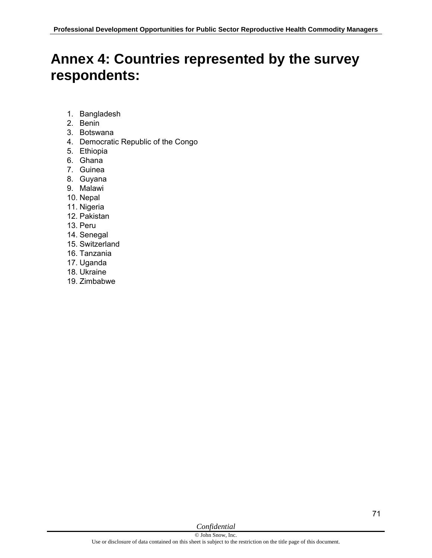## **Annex 4: Countries represented by the survey respondents:**

- 1. Bangladesh
- 2. Benin
- 3. Botswana
- 4. Democratic Republic of the Congo
- 5. Ethiopia
- 6. Ghana
- 7. Guinea
- 8. Guyana
- 9. Malawi
- 10. Nepal
- 11. Nigeria
- 12. Pakistan
- 13. Peru
- 14. Senegal
- 15. Switzerland
- 16. Tanzania
- 17. Uganda
- 18. Ukraine
- 19. Zimbabwe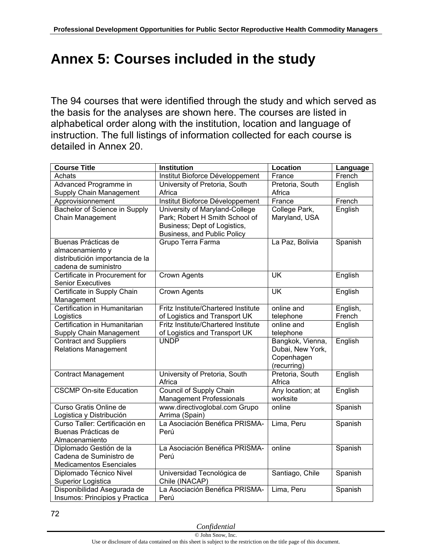# **Annex 5: Courses included in the study**

The 94 courses that were identified through the study and which served as the basis for the analyses are shown here. The courses are listed in alphabetical order along with the institution, location and language of instruction. The full listings of information collected for each course is detailed in Annex 20.

| <b>Course Title</b>              | <b>Institution</b>                         | Location                 | Language |
|----------------------------------|--------------------------------------------|--------------------------|----------|
| Achats                           | Institut Bioforce Développement            | France                   | French   |
| Advanced Programme in            | University of Pretoria, South              | Pretoria, South          | English  |
| Supply Chain Management          | Africa                                     | Africa                   |          |
| Approvisionnement                | Institut Bioforce Développement            | France                   | French   |
| Bachelor of Science in Supply    | University of Maryland-College             | College Park,            | English  |
| Chain Management                 | Park; Robert H Smith School of             | Maryland, USA            |          |
|                                  | Business; Dept of Logistics,               |                          |          |
|                                  | Business, and Public Policy                |                          |          |
| Buenas Prácticas de              | Grupo Terra Farma                          | La Paz, Bolivia          | Spanish  |
| almacenamiento y                 |                                            |                          |          |
| distributición importancia de la |                                            |                          |          |
| cadena de suministro             |                                            |                          |          |
| Certificate in Procurement for   | <b>Crown Agents</b>                        | UK                       | English  |
| <b>Senior Executives</b>         |                                            |                          |          |
| Certificate in Supply Chain      | <b>Crown Agents</b>                        | $\overline{\mathsf{UK}}$ | English  |
| Management                       |                                            |                          |          |
| Certification in Humanitarian    | Fritz Institute/Chartered Institute        | online and               | English, |
| Logistics                        | of Logistics and Transport UK              | telephone                | French   |
| Certification in Humanitarian    | <b>Fritz Institute/Chartered Institute</b> | online and               | English  |
| Supply Chain Management          | of Logistics and Transport UK              | telephone                |          |
| <b>Contract and Suppliers</b>    | <b>UNDP</b>                                | Bangkok, Vienna,         | English  |
| <b>Relations Management</b>      |                                            | Dubai, New York,         |          |
|                                  |                                            | Copenhagen               |          |
|                                  |                                            | (recurring)              |          |
| <b>Contract Management</b>       | University of Pretoria, South              | Pretoria, South          | English  |
|                                  | Africa                                     | Africa                   |          |
| <b>CSCMP On-site Education</b>   | <b>Council of Supply Chain</b>             | Any location; at         | English  |
|                                  | <b>Management Professionals</b>            | worksite                 |          |
| Curso Gratis Online de           | www.directivoglobal.com Grupo              | online                   | Spanish  |
| Logistica y Distribución         | Arrima (Spain)                             |                          |          |
| Curso Taller: Certificación en   | La Asociación Benéfica PRISMA-             | Lima, Peru               | Spanish  |
| Buenas Prácticas de              | Perú                                       |                          |          |
| Almacenamiento                   |                                            |                          |          |
| Diplomado Gestión de la          | La Asociación Benéfica PRISMA-             | online                   | Spanish  |
| Cadena de Suministro de          | Perú                                       |                          |          |
| <b>Medicamentos Esenciales</b>   |                                            |                          |          |
| Diplomado Técnico Nivel          | Universidad Tecnológica de                 | Santiago, Chile          | Spanish  |
| Superior Logistica               | Chile (INACAP)                             |                          |          |
| Disponibilidad Asegurada de      | La Asociación Benéfica PRISMA-             | Lima, Peru               | Spanish  |
| Insumos: Principios y Practica   | Perú                                       |                          |          |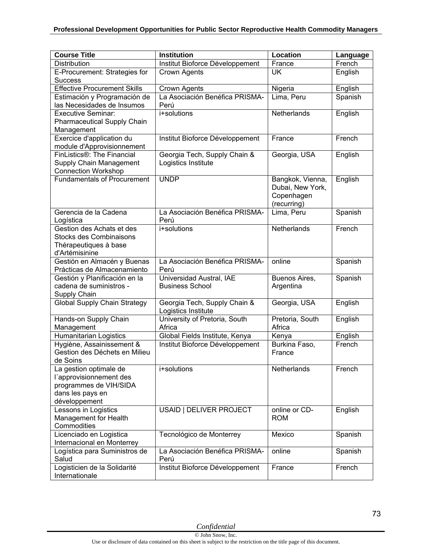| <b>Course Title</b>                                                                                              | <b>Institution</b>                                  | Location                                                          | Language |
|------------------------------------------------------------------------------------------------------------------|-----------------------------------------------------|-------------------------------------------------------------------|----------|
| Distribution                                                                                                     | Institut Bioforce Développement                     | France                                                            | French   |
| E-Procurement: Strategies for                                                                                    | Crown Agents                                        | <b>UK</b>                                                         | English  |
| <b>Success</b>                                                                                                   |                                                     |                                                                   |          |
| <b>Effective Procurement Skills</b>                                                                              | Crown Agents                                        | Nigeria                                                           | English  |
| Estimación y Programación de<br>las Necesidades de Insumos                                                       | La Asociación Benéfica PRISMA-<br>Perú              | Lima, Peru                                                        | Spanish  |
| <b>Executive Seminar:</b><br>Pharmaceutical Supply Chain<br>Management                                           | i+solutions                                         | Netherlands                                                       | English  |
| Exercice d'application du<br>module d'Approvisionnement                                                          | Institut Bioforce Développement                     | France                                                            | French   |
| FinListics®: The Financial<br>Supply Chain Management<br><b>Connection Workshop</b>                              | Georgia Tech, Supply Chain &<br>Logistics Institute | Georgia, USA                                                      | English  |
| <b>Fundamentals of Procurement</b>                                                                               | <b>UNDP</b>                                         | Bangkok, Vienna,<br>Dubai, New York,<br>Copenhagen<br>(recurring) | English  |
| Gerencia de la Cadena<br>Logística                                                                               | La Asociación Benéfica PRISMA-<br>Perú              | Lima, Peru                                                        | Spanish  |
| Gestion des Achats et des<br><b>Stocks des Combinaisons</b><br>Thérapeutiques à base<br>d'Artémisinine           | i+solutions                                         | Netherlands                                                       | French   |
| Gestión en Almacén y Buenas<br>Prácticas de Almacenamiento                                                       | La Asociación Benéfica PRISMA-<br>Perú              | online                                                            | Spanish  |
| Gestión y Planificación en la<br>cadena de suministros -<br>Supply Chain                                         | Universidad Austral, IAE<br><b>Business School</b>  | Buenos Aires,<br>Argentina                                        | Spanish  |
| <b>Global Supply Chain Strategy</b>                                                                              | Georgia Tech, Supply Chain &<br>Logistics Institute | Georgia, USA                                                      | English  |
| Hands-on Supply Chain<br>Management                                                                              | University of Pretoria, South<br>Africa             | Pretoria, South<br>Africa                                         | English  |
| Humanitarian Logistics                                                                                           | Global Fields Institute, Kenya                      | Kenya                                                             | English  |
| Hygiène, Assainissement &<br>Gestion des Déchets en Milieu<br>de Soins                                           | Institut Bioforce Développement                     | Burkina Faso,<br>France                                           | French   |
| La gestion optimale de<br>l'approvisionnement des<br>programmes de VIH/SIDA<br>dans les pays en<br>développement | i+solutions                                         | Netherlands                                                       | French   |
| Lessons in Logistics<br>Management for Health<br>Commodities                                                     | USAID   DELIVER PROJECT                             | online or CD-<br><b>ROM</b>                                       | English  |
| Licenciado en Logistica<br>Internacional en Monterrey                                                            | Tecnológico de Monterrey                            | Mexico                                                            | Spanish  |
| Logística para Suministros de<br>Salud                                                                           | La Asociación Benéfica PRISMA-<br>Perú              | online                                                            | Spanish  |
| Logisticien de la Solidarité<br>Internationale                                                                   | Institut Bioforce Développement                     | France                                                            | French   |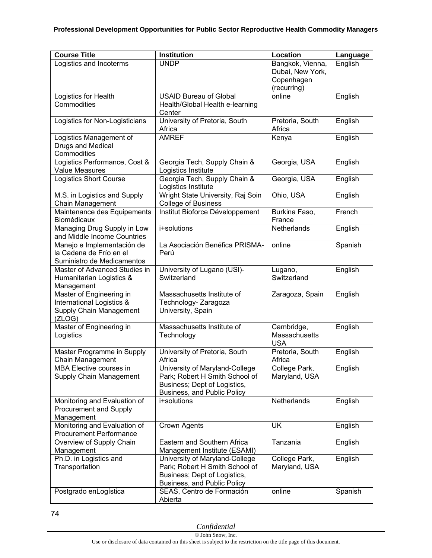| <b>Course Title</b>                                                                        | <b>Institution</b>                                                                                                              | Location                                                          | Language |
|--------------------------------------------------------------------------------------------|---------------------------------------------------------------------------------------------------------------------------------|-------------------------------------------------------------------|----------|
| Logistics and Incoterms                                                                    | <b>UNDP</b>                                                                                                                     | Bangkok, Vienna,<br>Dubai, New York,<br>Copenhagen<br>(recurring) | English  |
| Logistics for Health<br>Commodities                                                        | <b>USAID Bureau of Global</b><br>Health/Global Health e-learning<br>Center                                                      | online                                                            | English  |
| Logistics for Non-Logisticians                                                             | University of Pretoria, South<br>Africa                                                                                         | Pretoria, South<br>Africa                                         | English  |
| Logistics Management of<br>Drugs and Medical<br>Commodities                                | <b>AMREF</b>                                                                                                                    | Kenya                                                             | English  |
| Logistics Performance, Cost &<br><b>Value Measures</b>                                     | Georgia Tech, Supply Chain &<br>Logistics Institute                                                                             | Georgia, USA                                                      | English  |
| <b>Logistics Short Course</b>                                                              | Georgia Tech, Supply Chain &<br>Logistics Institute                                                                             | Georgia, USA                                                      | English  |
| M.S. in Logistics and Supply<br>Chain Management                                           | Wright State University, Raj Soin<br><b>College of Business</b>                                                                 | Ohio, USA                                                         | English  |
| Maintenance des Equipements<br>Biomédicaux                                                 | Institut Bioforce Développement                                                                                                 | Burkina Faso,<br>France                                           | French   |
| Managing Drug Supply in Low<br>and Middle Income Countries                                 | i+solutions                                                                                                                     | Netherlands                                                       | English  |
| Manejo e Implementación de<br>la Cadena de Frío en el<br>Suministro de Medicamentos        | La Asociación Benéfica PRISMA-<br>Perú                                                                                          | online                                                            | Spanish  |
| Master of Advanced Studies in<br>Humanitarian Logistics &<br>Management                    | University of Lugano (USI)-<br>Switzerland                                                                                      | Lugano,<br>Switzerland                                            | English  |
| Master of Engineering in<br>International Logistics &<br>Supply Chain Management<br>(ZLOG) | Massachusetts Institute of<br>Technology- Zaragoza<br>University, Spain                                                         | Zaragoza, Spain                                                   | English  |
| Master of Engineering in<br>Logistics                                                      | Massachusetts Institute of<br>Technology                                                                                        | Cambridge,<br>Massachusetts<br><b>USA</b>                         | English  |
| Master Programme in Supply<br>Chain Management                                             | University of Pretoria, South<br>Africa                                                                                         | Pretoria, South<br>Africa                                         | English  |
| <b>MBA Elective courses in</b><br>Supply Chain Management                                  | University of Maryland-College<br>Park; Robert H Smith School of<br>Business; Dept of Logistics,<br>Business, and Public Policy | College Park,<br>Maryland, USA                                    | English  |
| Monitoring and Evaluation of<br><b>Procurement and Supply</b><br>Management                | i+solutions                                                                                                                     | Netherlands                                                       | English  |
| Monitoring and Evaluation of<br><b>Procurement Performance</b>                             | Crown Agents                                                                                                                    | <b>UK</b>                                                         | English  |
| Overview of Supply Chain<br>Management                                                     | Eastern and Southern Africa<br>Management Institute (ESAMI)                                                                     | Tanzania                                                          | English  |
| Ph.D. in Logistics and<br>Transportation                                                   | University of Maryland-College<br>Park; Robert H Smith School of<br>Business; Dept of Logistics,<br>Business, and Public Policy | College Park,<br>Maryland, USA                                    | English  |
| Postgrado enLogística                                                                      | SEAS, Centro de Formación<br>Abierta                                                                                            | online                                                            | Spanish  |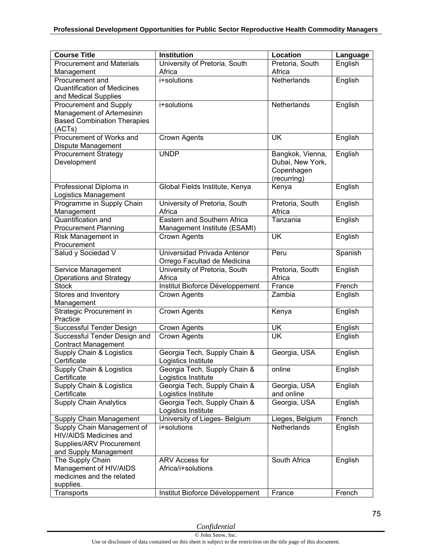| <b>Course Title</b>                     | <b>Institution</b>                      | Location                  | Language |
|-----------------------------------------|-----------------------------------------|---------------------------|----------|
| <b>Procurement and Materials</b>        | University of Pretoria, South           | Pretoria, South           | English  |
| Management                              | Africa                                  | Africa                    |          |
| Procurement and                         | i+solutions                             | Netherlands               | English  |
| <b>Quantification of Medicines</b>      |                                         |                           |          |
| and Medical Supplies                    |                                         |                           |          |
| Procurement and Supply                  | i+solutions                             | Netherlands               | English  |
| Management of Artemesinin               |                                         |                           |          |
| <b>Based Combination Therapies</b>      |                                         |                           |          |
| (ACTs)                                  |                                         |                           |          |
| Procurement of Works and                | <b>Crown Agents</b>                     | <b>UK</b>                 | English  |
| Dispute Management                      |                                         |                           |          |
| <b>Procurement Strategy</b>             | <b>UNDP</b>                             | Bangkok, Vienna,          | English  |
| Development                             |                                         | Dubai, New York,          |          |
|                                         |                                         | Copenhagen                |          |
|                                         |                                         | (recurring)               |          |
| Professional Diploma in                 | Global Fields Institute, Kenya          | Kenya                     | English  |
| Logistics Management                    |                                         |                           |          |
| Programme in Supply Chain               | University of Pretoria, South<br>Africa | Pretoria, South<br>Africa | English  |
| Management<br><b>Quantification and</b> | Eastern and Southern Africa             | Tanzania                  | English  |
| <b>Procurement Planning</b>             | Management Institute (ESAMI)            |                           |          |
| Risk Management in                      | Crown Agents                            | <b>UK</b>                 | English  |
| Procurement                             |                                         |                           |          |
| Salud y Sociedad V                      | Universidad Privada Antenor             | Peru                      | Spanish  |
|                                         | Orrego Facultad de Medicina             |                           |          |
| Service Management                      | University of Pretoria, South           | Pretoria, South           | English  |
| <b>Operations and Strategy</b>          | Africa                                  | Africa                    |          |
| <b>Stock</b>                            | Institut Bioforce Développement         | France                    | French   |
| Stores and Inventory                    | Crown Agents                            | Zambia                    | English  |
| Management                              |                                         |                           |          |
| <b>Strategic Procurement in</b>         | Crown Agents                            | Kenya                     | English  |
| Practice                                |                                         |                           |          |
| Successful Tender Design                | Crown Agents                            | <b>UK</b>                 | English  |
| Successful Tender Design and            | Crown Agents                            | <b>UK</b>                 | English  |
| <b>Contract Management</b>              |                                         |                           |          |
| Supply Chain & Logistics                | Georgia Tech, Supply Chain &            | Georgia, USA              | English  |
| Certificate                             | Logistics Institute                     |                           |          |
| Supply Chain & Logistics                | Georgia Tech, Supply Chain &            | online                    | English  |
| Certificate                             | Logistics Institute                     |                           |          |
| Supply Chain & Logistics                | Georgia Tech, Supply Chain &            | Georgia, USA              | English  |
| Certificate                             | Logistics Institute                     | and online                |          |
| <b>Supply Chain Analytics</b>           | Georgia Tech, Supply Chain &            | Georgia, USA              | English  |
|                                         | Logistics Institute                     |                           |          |
| Supply Chain Management                 | University of Lieges- Belgium           | Lieges, Belgium           | French   |
| Supply Chain Management of              | i+solutions                             | Netherlands               | English  |
| <b>HIV/AIDS Medicines and</b>           |                                         |                           |          |
| Supplies/ARV Procurement                |                                         |                           |          |
| and Supply Management                   |                                         |                           |          |
| The Supply Chain                        | ARV Access for                          | South Africa              | English  |
| Management of HIV/AIDS                  | Africa/i+solutions                      |                           |          |
| medicines and the related               |                                         |                           |          |
| supplies.                               |                                         |                           |          |
| Transports                              | Institut Bioforce Développement         | France                    | French   |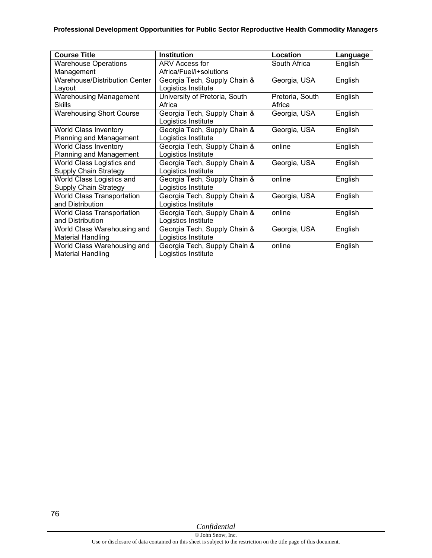| <b>Course Title</b>               | <b>Institution</b>            | Location        | Language |
|-----------------------------------|-------------------------------|-----------------|----------|
| <b>Warehouse Operations</b>       | ARV Access for                | South Africa    | English  |
| Management                        | Africa/Fuel/i+solutions       |                 |          |
| Warehouse/Distribution Center     | Georgia Tech, Supply Chain &  | Georgia, USA    | English  |
| Layout                            | Logistics Institute           |                 |          |
| <b>Warehousing Management</b>     | University of Pretoria, South | Pretoria, South | English  |
| Skills                            | Africa                        | Africa          |          |
| <b>Warehousing Short Course</b>   | Georgia Tech, Supply Chain &  | Georgia, USA    | English  |
|                                   | Logistics Institute           |                 |          |
| <b>World Class Inventory</b>      | Georgia Tech, Supply Chain &  | Georgia, USA    | English  |
| Planning and Management           | Logistics Institute           |                 |          |
| <b>World Class Inventory</b>      | Georgia Tech, Supply Chain &  | online          | English  |
| Planning and Management           | Logistics Institute           |                 |          |
| World Class Logistics and         | Georgia Tech, Supply Chain &  | Georgia, USA    | English  |
| Supply Chain Strategy             | Logistics Institute           |                 |          |
| World Class Logistics and         | Georgia Tech, Supply Chain &  | online          | English  |
| Supply Chain Strategy             | Logistics Institute           |                 |          |
| <b>World Class Transportation</b> | Georgia Tech, Supply Chain &  | Georgia, USA    | English  |
| and Distribution                  | Logistics Institute           |                 |          |
| <b>World Class Transportation</b> | Georgia Tech, Supply Chain &  | online          | English  |
| and Distribution                  | Logistics Institute           |                 |          |
| World Class Warehousing and       | Georgia Tech, Supply Chain &  | Georgia, USA    | English  |
| <b>Material Handling</b>          | Logistics Institute           |                 |          |
| World Class Warehousing and       | Georgia Tech, Supply Chain &  | online          | English  |
| <b>Material Handling</b>          | Logistics Institute           |                 |          |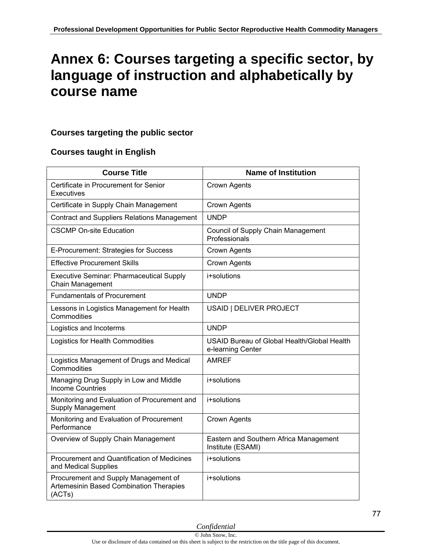## **Annex 6: Courses targeting a specific sector, by language of instruction and alphabetically by course name**

## **Courses targeting the public sector**

## **Courses taught in English**

| <b>Course Title</b>                                                                       | <b>Name of Institution</b>                                       |
|-------------------------------------------------------------------------------------------|------------------------------------------------------------------|
| Certificate in Procurement for Senior<br>Executives                                       | Crown Agents                                                     |
| Certificate in Supply Chain Management                                                    | Crown Agents                                                     |
| <b>Contract and Suppliers Relations Management</b>                                        | <b>UNDP</b>                                                      |
| <b>CSCMP On-site Education</b>                                                            | Council of Supply Chain Management<br>Professionals              |
| E-Procurement: Strategies for Success                                                     | Crown Agents                                                     |
| <b>Effective Procurement Skills</b>                                                       | Crown Agents                                                     |
| <b>Executive Seminar: Pharmaceutical Supply</b><br><b>Chain Management</b>                | i+solutions                                                      |
| <b>Fundamentals of Procurement</b>                                                        | <b>UNDP</b>                                                      |
| Lessons in Logistics Management for Health<br>Commodities                                 | USAID   DELIVER PROJECT                                          |
| Logistics and Incoterms                                                                   | <b>UNDP</b>                                                      |
| Logistics for Health Commodities                                                          | USAID Bureau of Global Health/Global Health<br>e-learning Center |
| Logistics Management of Drugs and Medical<br>Commodities                                  | <b>AMREF</b>                                                     |
| Managing Drug Supply in Low and Middle<br><b>Income Countries</b>                         | i+solutions                                                      |
| Monitoring and Evaluation of Procurement and<br><b>Supply Management</b>                  | i+solutions                                                      |
| Monitoring and Evaluation of Procurement<br>Performance                                   | <b>Crown Agents</b>                                              |
| Overview of Supply Chain Management                                                       | Eastern and Southern Africa Management<br>Institute (ESAMI)      |
| Procurement and Quantification of Medicines<br>and Medical Supplies                       | i+solutions                                                      |
| Procurement and Supply Management of<br>Artemesinin Based Combination Therapies<br>(ACTs) | i+solutions                                                      |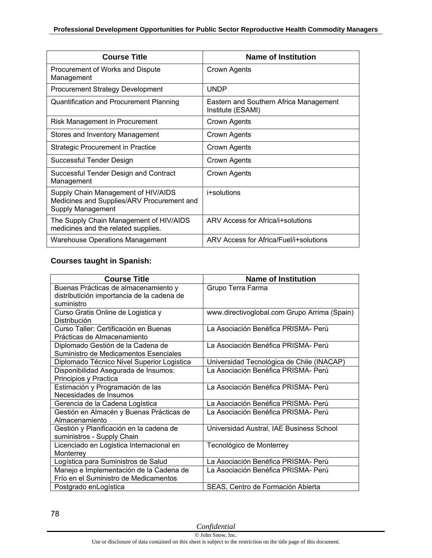| <b>Course Title</b>                                                                                    | <b>Name of Institution</b>                                  |
|--------------------------------------------------------------------------------------------------------|-------------------------------------------------------------|
| Procurement of Works and Dispute<br>Management                                                         | Crown Agents                                                |
| <b>Procurement Strategy Development</b>                                                                | <b>UNDP</b>                                                 |
| Quantification and Procurement Planning                                                                | Eastern and Southern Africa Management<br>Institute (ESAMI) |
| Risk Management in Procurement                                                                         | Crown Agents                                                |
| Stores and Inventory Management                                                                        | Crown Agents                                                |
| Strategic Procurement in Practice                                                                      | Crown Agents                                                |
| Successful Tender Design                                                                               | Crown Agents                                                |
| Successful Tender Design and Contract<br>Management                                                    | Crown Agents                                                |
| Supply Chain Management of HIV/AIDS<br>Medicines and Supplies/ARV Procurement and<br>Supply Management | i+solutions                                                 |
| The Supply Chain Management of HIV/AIDS<br>medicines and the related supplies.                         | ARV Access for Africa/i+solutions                           |
| <b>Warehouse Operations Management</b>                                                                 | ARV Access for Africa/Fuel/i+solutions                      |

### **Courses taught in Spanish:**

| <b>Course Title</b>                        | <b>Name of Institution</b>                   |
|--------------------------------------------|----------------------------------------------|
| Buenas Prácticas de almacenamiento y       | Grupo Terra Farma                            |
| distributición importancia de la cadena de |                                              |
| suministro                                 |                                              |
| Curso Gratis Online de Logistica y         | www.directivoglobal.com Grupo Arrima (Spain) |
| Distribución                               |                                              |
| Curso Taller: Certificación en Buenas      | La Asociación Benéfica PRISMA- Perú          |
| Prácticas de Almacenamiento                |                                              |
| Diplomado Gestión de la Cadena de          | La Asociación Benéfica PRISMA- Perú          |
| Suministro de Medicamentos Esenciales      |                                              |
| Diplomado Técnico Nivel Superior Logistica | Universidad Tecnológica de Chile (INACAP)    |
| Disponibilidad Asegurada de Insumos:       | La Asociación Benéfica PRISMA- Perú          |
| Principios y Practica                      |                                              |
| Estimación y Programación de las           | La Asociación Benéfica PRISMA- Perú          |
| Necesidades de Insumos                     |                                              |
| Gerencia de la Cadena Logística            | La Asociación Benéfica PRISMA- Perú          |
| Gestión en Almacén y Buenas Prácticas de   | La Asociación Benéfica PRISMA- Perú          |
| Almacenamiento                             |                                              |
| Gestión y Planificación en la cadena de    | Universidad Austral, IAE Business School     |
| suministros - Supply Chain                 |                                              |
| Licenciado en Logistica Internacional en   | Tecnológico de Monterrey                     |
| Monterrey                                  |                                              |
| Logística para Suministros de Salud        | La Asociación Benéfica PRISMA- Perú          |
| Manejo e Implementación de la Cadena de    | La Asociación Benéfica PRISMA- Perú          |
| Frío en el Suministro de Medicamentos      |                                              |
| Postgrado en Logística                     | SEAS, Centro de Formación Abierta            |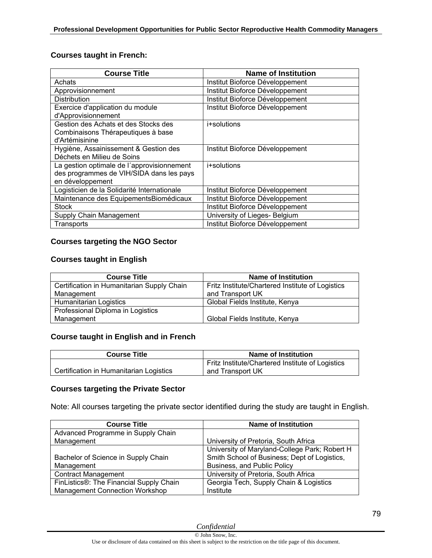### **Courses taught in French:**

| Course Title                                | <b>Name of Institution</b>      |
|---------------------------------------------|---------------------------------|
| Achats                                      | Institut Bioforce Développement |
| Approvisionnement                           | Institut Bioforce Développement |
| <b>Distribution</b>                         | Institut Bioforce Développement |
| Exercice d'application du module            | Institut Bioforce Développement |
| d'Approvisionnement                         |                                 |
| Gestion des Achats et des Stocks des        | i+solutions                     |
| Combinaisons Thérapeutiques à base          |                                 |
| d'Artémisinine                              |                                 |
| Hygiène, Assainissement & Gestion des       | Institut Bioforce Développement |
| Déchets en Milieu de Soins                  |                                 |
| La gestion optimale de l'approvisionnement  | i+solutions                     |
| des programmes de VIH/SIDA dans les pays    |                                 |
| en développement                            |                                 |
| Logisticien de la Solidarité Internationale | Institut Bioforce Développement |
| Maintenance des EquipementsBiomédicaux      | Institut Bioforce Développement |
| <b>Stock</b>                                | Institut Bioforce Développement |
| Supply Chain Management                     | University of Lieges- Belgium   |
| Transports                                  | Institut Bioforce Développement |

### **Courses targeting the NGO Sector**

### **Courses taught in English**

| <b>Course Title</b>                        | <b>Name of Institution</b>                       |
|--------------------------------------------|--------------------------------------------------|
| Certification in Humanitarian Supply Chain | Fritz Institute/Chartered Institute of Logistics |
| Management                                 | and Transport UK                                 |
| Humanitarian Logistics                     | Global Fields Institute, Kenya                   |
| Professional Diploma in Logistics          |                                                  |
| Management                                 | Global Fields Institute, Kenya                   |

#### **Course taught in English and in French**

| <b>Course Title</b>                     | Name of Institution                              |
|-----------------------------------------|--------------------------------------------------|
|                                         | Fritz Institute/Chartered Institute of Logistics |
| Certification in Humanitarian Logistics | and Transport UK                                 |

#### **Courses targeting the Private Sector**

Note: All courses targeting the private sector identified during the study are taught in English.

| <b>Course Title</b>                     | <b>Name of Institution</b>                    |
|-----------------------------------------|-----------------------------------------------|
| Advanced Programme in Supply Chain      |                                               |
| Management                              | University of Pretoria, South Africa          |
|                                         | University of Maryland-College Park; Robert H |
| Bachelor of Science in Supply Chain     | Smith School of Business; Dept of Logistics,  |
| Management                              | Business, and Public Policy                   |
| <b>Contract Management</b>              | University of Pretoria, South Africa          |
| FinListics®: The Financial Supply Chain | Georgia Tech, Supply Chain & Logistics        |
| <b>Management Connection Workshop</b>   | Institute                                     |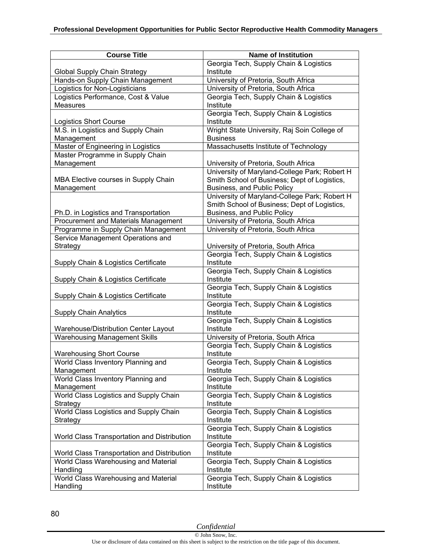| <b>Course Title</b><br><b>Name of Institution</b><br>Georgia Tech, Supply Chain & Logistics<br>Institute<br>Global Supply Chain Strategy<br>Hands-on Supply Chain Management<br>University of Pretoria, South Africa<br>Logistics for Non-Logisticians<br>University of Pretoria, South Africa<br>Logistics Performance, Cost & Value<br>Georgia Tech, Supply Chain & Logistics<br>Measures<br>Institute<br>Georgia Tech, Supply Chain & Logistics<br>Institute<br><b>Logistics Short Course</b><br>Wright State University, Raj Soin College of<br>M.S. in Logistics and Supply Chain<br>Management<br><b>Business</b><br>Master of Engineering in Logistics<br>Massachusetts Institute of Technology<br>Master Programme in Supply Chain<br>Management<br>University of Pretoria, South Africa<br>University of Maryland-College Park; Robert H<br>Smith School of Business; Dept of Logistics,<br>MBA Elective courses in Supply Chain<br>Business, and Public Policy<br>Management<br>University of Maryland-College Park; Robert H<br>Smith School of Business; Dept of Logistics,<br>Business, and Public Policy<br>Ph.D. in Logistics and Transportation<br>Procurement and Materials Management<br>University of Pretoria, South Africa<br>University of Pretoria, South Africa<br>Programme in Supply Chain Management<br>Service Management Operations and<br>Strategy<br>University of Pretoria, South Africa<br>Georgia Tech, Supply Chain & Logistics<br>Institute<br>Supply Chain & Logistics Certificate<br>Georgia Tech, Supply Chain & Logistics<br>Institute<br>Supply Chain & Logistics Certificate<br>Georgia Tech, Supply Chain & Logistics<br>Institute<br>Supply Chain & Logistics Certificate |
|-----------------------------------------------------------------------------------------------------------------------------------------------------------------------------------------------------------------------------------------------------------------------------------------------------------------------------------------------------------------------------------------------------------------------------------------------------------------------------------------------------------------------------------------------------------------------------------------------------------------------------------------------------------------------------------------------------------------------------------------------------------------------------------------------------------------------------------------------------------------------------------------------------------------------------------------------------------------------------------------------------------------------------------------------------------------------------------------------------------------------------------------------------------------------------------------------------------------------------------------------------------------------------------------------------------------------------------------------------------------------------------------------------------------------------------------------------------------------------------------------------------------------------------------------------------------------------------------------------------------------------------------------------------------------------------------------------------------------|
|                                                                                                                                                                                                                                                                                                                                                                                                                                                                                                                                                                                                                                                                                                                                                                                                                                                                                                                                                                                                                                                                                                                                                                                                                                                                                                                                                                                                                                                                                                                                                                                                                                                                                                                       |
|                                                                                                                                                                                                                                                                                                                                                                                                                                                                                                                                                                                                                                                                                                                                                                                                                                                                                                                                                                                                                                                                                                                                                                                                                                                                                                                                                                                                                                                                                                                                                                                                                                                                                                                       |
|                                                                                                                                                                                                                                                                                                                                                                                                                                                                                                                                                                                                                                                                                                                                                                                                                                                                                                                                                                                                                                                                                                                                                                                                                                                                                                                                                                                                                                                                                                                                                                                                                                                                                                                       |
|                                                                                                                                                                                                                                                                                                                                                                                                                                                                                                                                                                                                                                                                                                                                                                                                                                                                                                                                                                                                                                                                                                                                                                                                                                                                                                                                                                                                                                                                                                                                                                                                                                                                                                                       |
|                                                                                                                                                                                                                                                                                                                                                                                                                                                                                                                                                                                                                                                                                                                                                                                                                                                                                                                                                                                                                                                                                                                                                                                                                                                                                                                                                                                                                                                                                                                                                                                                                                                                                                                       |
|                                                                                                                                                                                                                                                                                                                                                                                                                                                                                                                                                                                                                                                                                                                                                                                                                                                                                                                                                                                                                                                                                                                                                                                                                                                                                                                                                                                                                                                                                                                                                                                                                                                                                                                       |
|                                                                                                                                                                                                                                                                                                                                                                                                                                                                                                                                                                                                                                                                                                                                                                                                                                                                                                                                                                                                                                                                                                                                                                                                                                                                                                                                                                                                                                                                                                                                                                                                                                                                                                                       |
|                                                                                                                                                                                                                                                                                                                                                                                                                                                                                                                                                                                                                                                                                                                                                                                                                                                                                                                                                                                                                                                                                                                                                                                                                                                                                                                                                                                                                                                                                                                                                                                                                                                                                                                       |
|                                                                                                                                                                                                                                                                                                                                                                                                                                                                                                                                                                                                                                                                                                                                                                                                                                                                                                                                                                                                                                                                                                                                                                                                                                                                                                                                                                                                                                                                                                                                                                                                                                                                                                                       |
|                                                                                                                                                                                                                                                                                                                                                                                                                                                                                                                                                                                                                                                                                                                                                                                                                                                                                                                                                                                                                                                                                                                                                                                                                                                                                                                                                                                                                                                                                                                                                                                                                                                                                                                       |
|                                                                                                                                                                                                                                                                                                                                                                                                                                                                                                                                                                                                                                                                                                                                                                                                                                                                                                                                                                                                                                                                                                                                                                                                                                                                                                                                                                                                                                                                                                                                                                                                                                                                                                                       |
|                                                                                                                                                                                                                                                                                                                                                                                                                                                                                                                                                                                                                                                                                                                                                                                                                                                                                                                                                                                                                                                                                                                                                                                                                                                                                                                                                                                                                                                                                                                                                                                                                                                                                                                       |
|                                                                                                                                                                                                                                                                                                                                                                                                                                                                                                                                                                                                                                                                                                                                                                                                                                                                                                                                                                                                                                                                                                                                                                                                                                                                                                                                                                                                                                                                                                                                                                                                                                                                                                                       |
|                                                                                                                                                                                                                                                                                                                                                                                                                                                                                                                                                                                                                                                                                                                                                                                                                                                                                                                                                                                                                                                                                                                                                                                                                                                                                                                                                                                                                                                                                                                                                                                                                                                                                                                       |
|                                                                                                                                                                                                                                                                                                                                                                                                                                                                                                                                                                                                                                                                                                                                                                                                                                                                                                                                                                                                                                                                                                                                                                                                                                                                                                                                                                                                                                                                                                                                                                                                                                                                                                                       |
|                                                                                                                                                                                                                                                                                                                                                                                                                                                                                                                                                                                                                                                                                                                                                                                                                                                                                                                                                                                                                                                                                                                                                                                                                                                                                                                                                                                                                                                                                                                                                                                                                                                                                                                       |
|                                                                                                                                                                                                                                                                                                                                                                                                                                                                                                                                                                                                                                                                                                                                                                                                                                                                                                                                                                                                                                                                                                                                                                                                                                                                                                                                                                                                                                                                                                                                                                                                                                                                                                                       |
|                                                                                                                                                                                                                                                                                                                                                                                                                                                                                                                                                                                                                                                                                                                                                                                                                                                                                                                                                                                                                                                                                                                                                                                                                                                                                                                                                                                                                                                                                                                                                                                                                                                                                                                       |
|                                                                                                                                                                                                                                                                                                                                                                                                                                                                                                                                                                                                                                                                                                                                                                                                                                                                                                                                                                                                                                                                                                                                                                                                                                                                                                                                                                                                                                                                                                                                                                                                                                                                                                                       |
|                                                                                                                                                                                                                                                                                                                                                                                                                                                                                                                                                                                                                                                                                                                                                                                                                                                                                                                                                                                                                                                                                                                                                                                                                                                                                                                                                                                                                                                                                                                                                                                                                                                                                                                       |
|                                                                                                                                                                                                                                                                                                                                                                                                                                                                                                                                                                                                                                                                                                                                                                                                                                                                                                                                                                                                                                                                                                                                                                                                                                                                                                                                                                                                                                                                                                                                                                                                                                                                                                                       |
|                                                                                                                                                                                                                                                                                                                                                                                                                                                                                                                                                                                                                                                                                                                                                                                                                                                                                                                                                                                                                                                                                                                                                                                                                                                                                                                                                                                                                                                                                                                                                                                                                                                                                                                       |
|                                                                                                                                                                                                                                                                                                                                                                                                                                                                                                                                                                                                                                                                                                                                                                                                                                                                                                                                                                                                                                                                                                                                                                                                                                                                                                                                                                                                                                                                                                                                                                                                                                                                                                                       |
|                                                                                                                                                                                                                                                                                                                                                                                                                                                                                                                                                                                                                                                                                                                                                                                                                                                                                                                                                                                                                                                                                                                                                                                                                                                                                                                                                                                                                                                                                                                                                                                                                                                                                                                       |
|                                                                                                                                                                                                                                                                                                                                                                                                                                                                                                                                                                                                                                                                                                                                                                                                                                                                                                                                                                                                                                                                                                                                                                                                                                                                                                                                                                                                                                                                                                                                                                                                                                                                                                                       |
|                                                                                                                                                                                                                                                                                                                                                                                                                                                                                                                                                                                                                                                                                                                                                                                                                                                                                                                                                                                                                                                                                                                                                                                                                                                                                                                                                                                                                                                                                                                                                                                                                                                                                                                       |
|                                                                                                                                                                                                                                                                                                                                                                                                                                                                                                                                                                                                                                                                                                                                                                                                                                                                                                                                                                                                                                                                                                                                                                                                                                                                                                                                                                                                                                                                                                                                                                                                                                                                                                                       |
|                                                                                                                                                                                                                                                                                                                                                                                                                                                                                                                                                                                                                                                                                                                                                                                                                                                                                                                                                                                                                                                                                                                                                                                                                                                                                                                                                                                                                                                                                                                                                                                                                                                                                                                       |
|                                                                                                                                                                                                                                                                                                                                                                                                                                                                                                                                                                                                                                                                                                                                                                                                                                                                                                                                                                                                                                                                                                                                                                                                                                                                                                                                                                                                                                                                                                                                                                                                                                                                                                                       |
| Georgia Tech, Supply Chain & Logistics                                                                                                                                                                                                                                                                                                                                                                                                                                                                                                                                                                                                                                                                                                                                                                                                                                                                                                                                                                                                                                                                                                                                                                                                                                                                                                                                                                                                                                                                                                                                                                                                                                                                                |
| Institute<br><b>Supply Chain Analytics</b>                                                                                                                                                                                                                                                                                                                                                                                                                                                                                                                                                                                                                                                                                                                                                                                                                                                                                                                                                                                                                                                                                                                                                                                                                                                                                                                                                                                                                                                                                                                                                                                                                                                                            |
| Georgia Tech, Supply Chain & Logistics                                                                                                                                                                                                                                                                                                                                                                                                                                                                                                                                                                                                                                                                                                                                                                                                                                                                                                                                                                                                                                                                                                                                                                                                                                                                                                                                                                                                                                                                                                                                                                                                                                                                                |
| Institute<br>Warehouse/Distribution Center Layout                                                                                                                                                                                                                                                                                                                                                                                                                                                                                                                                                                                                                                                                                                                                                                                                                                                                                                                                                                                                                                                                                                                                                                                                                                                                                                                                                                                                                                                                                                                                                                                                                                                                     |
| <b>Warehousing Management Skills</b><br>University of Pretoria, South Africa                                                                                                                                                                                                                                                                                                                                                                                                                                                                                                                                                                                                                                                                                                                                                                                                                                                                                                                                                                                                                                                                                                                                                                                                                                                                                                                                                                                                                                                                                                                                                                                                                                          |
| Georgia Tech, Supply Chain & Logistics                                                                                                                                                                                                                                                                                                                                                                                                                                                                                                                                                                                                                                                                                                                                                                                                                                                                                                                                                                                                                                                                                                                                                                                                                                                                                                                                                                                                                                                                                                                                                                                                                                                                                |
| Institute<br><b>Warehousing Short Course</b>                                                                                                                                                                                                                                                                                                                                                                                                                                                                                                                                                                                                                                                                                                                                                                                                                                                                                                                                                                                                                                                                                                                                                                                                                                                                                                                                                                                                                                                                                                                                                                                                                                                                          |
| World Class Inventory Planning and<br>Georgia Tech, Supply Chain & Logistics                                                                                                                                                                                                                                                                                                                                                                                                                                                                                                                                                                                                                                                                                                                                                                                                                                                                                                                                                                                                                                                                                                                                                                                                                                                                                                                                                                                                                                                                                                                                                                                                                                          |
| Management<br>Institute                                                                                                                                                                                                                                                                                                                                                                                                                                                                                                                                                                                                                                                                                                                                                                                                                                                                                                                                                                                                                                                                                                                                                                                                                                                                                                                                                                                                                                                                                                                                                                                                                                                                                               |
| Georgia Tech, Supply Chain & Logistics<br>World Class Inventory Planning and                                                                                                                                                                                                                                                                                                                                                                                                                                                                                                                                                                                                                                                                                                                                                                                                                                                                                                                                                                                                                                                                                                                                                                                                                                                                                                                                                                                                                                                                                                                                                                                                                                          |
| Institute<br>Management                                                                                                                                                                                                                                                                                                                                                                                                                                                                                                                                                                                                                                                                                                                                                                                                                                                                                                                                                                                                                                                                                                                                                                                                                                                                                                                                                                                                                                                                                                                                                                                                                                                                                               |
| World Class Logistics and Supply Chain<br>Georgia Tech, Supply Chain & Logistics                                                                                                                                                                                                                                                                                                                                                                                                                                                                                                                                                                                                                                                                                                                                                                                                                                                                                                                                                                                                                                                                                                                                                                                                                                                                                                                                                                                                                                                                                                                                                                                                                                      |
| Strategy<br>Institute                                                                                                                                                                                                                                                                                                                                                                                                                                                                                                                                                                                                                                                                                                                                                                                                                                                                                                                                                                                                                                                                                                                                                                                                                                                                                                                                                                                                                                                                                                                                                                                                                                                                                                 |
| World Class Logistics and Supply Chain<br>Georgia Tech, Supply Chain & Logistics                                                                                                                                                                                                                                                                                                                                                                                                                                                                                                                                                                                                                                                                                                                                                                                                                                                                                                                                                                                                                                                                                                                                                                                                                                                                                                                                                                                                                                                                                                                                                                                                                                      |
| Institute<br>Strategy                                                                                                                                                                                                                                                                                                                                                                                                                                                                                                                                                                                                                                                                                                                                                                                                                                                                                                                                                                                                                                                                                                                                                                                                                                                                                                                                                                                                                                                                                                                                                                                                                                                                                                 |
| Georgia Tech, Supply Chain & Logistics                                                                                                                                                                                                                                                                                                                                                                                                                                                                                                                                                                                                                                                                                                                                                                                                                                                                                                                                                                                                                                                                                                                                                                                                                                                                                                                                                                                                                                                                                                                                                                                                                                                                                |
| World Class Transportation and Distribution<br>Institute                                                                                                                                                                                                                                                                                                                                                                                                                                                                                                                                                                                                                                                                                                                                                                                                                                                                                                                                                                                                                                                                                                                                                                                                                                                                                                                                                                                                                                                                                                                                                                                                                                                              |
| Georgia Tech, Supply Chain & Logistics<br>Institute                                                                                                                                                                                                                                                                                                                                                                                                                                                                                                                                                                                                                                                                                                                                                                                                                                                                                                                                                                                                                                                                                                                                                                                                                                                                                                                                                                                                                                                                                                                                                                                                                                                                   |
| World Class Transportation and Distribution<br>World Class Warehousing and Material<br>Georgia Tech, Supply Chain & Logistics                                                                                                                                                                                                                                                                                                                                                                                                                                                                                                                                                                                                                                                                                                                                                                                                                                                                                                                                                                                                                                                                                                                                                                                                                                                                                                                                                                                                                                                                                                                                                                                         |
| Handling<br>Institute                                                                                                                                                                                                                                                                                                                                                                                                                                                                                                                                                                                                                                                                                                                                                                                                                                                                                                                                                                                                                                                                                                                                                                                                                                                                                                                                                                                                                                                                                                                                                                                                                                                                                                 |
| World Class Warehousing and Material<br>Georgia Tech, Supply Chain & Logistics                                                                                                                                                                                                                                                                                                                                                                                                                                                                                                                                                                                                                                                                                                                                                                                                                                                                                                                                                                                                                                                                                                                                                                                                                                                                                                                                                                                                                                                                                                                                                                                                                                        |
| Handling<br>Institute                                                                                                                                                                                                                                                                                                                                                                                                                                                                                                                                                                                                                                                                                                                                                                                                                                                                                                                                                                                                                                                                                                                                                                                                                                                                                                                                                                                                                                                                                                                                                                                                                                                                                                 |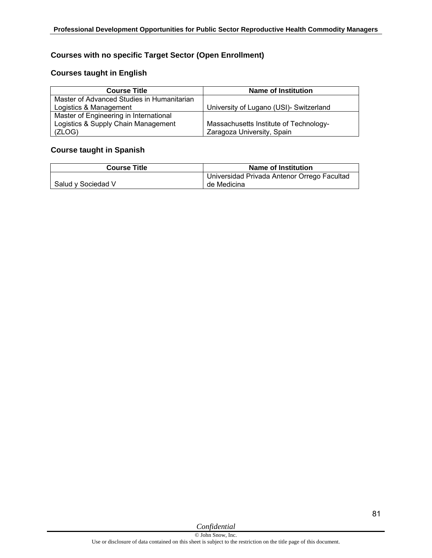## **Courses with no specific Target Sector (Open Enrollment)**

#### **Courses taught in English**

| <b>Course Title</b>                        | <b>Name of Institution</b>              |
|--------------------------------------------|-----------------------------------------|
| Master of Advanced Studies in Humanitarian |                                         |
| Logistics & Management                     | University of Lugano (USI)- Switzerland |
| Master of Engineering in International     |                                         |
| Logistics & Supply Chain Management        | Massachusetts Institute of Technology-  |
| (ZLOG)                                     | Zaragoza University, Spain              |

### **Course taught in Spanish**

| <b>Course Title</b> | Name of Institution                         |
|---------------------|---------------------------------------------|
|                     | Universidad Privada Antenor Orrego Facultad |
| Salud y Sociedad V  | de Medicina                                 |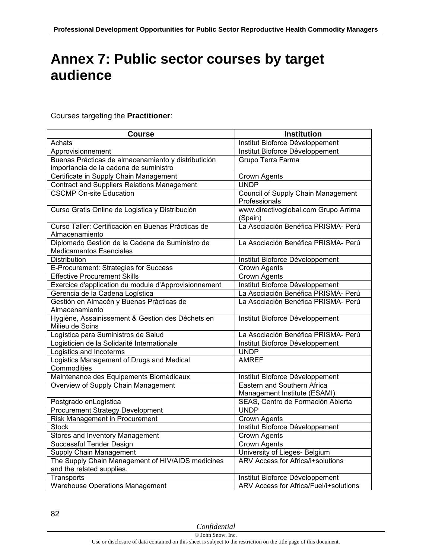## **Annex 7: Public sector courses by target audience**

#### Courses targeting the **Practitioner**:

| <b>Course</b>                                                                     | <b>Institution</b>                                  |
|-----------------------------------------------------------------------------------|-----------------------------------------------------|
| Achats                                                                            | Institut Bioforce Développement                     |
| Approvisionnement                                                                 | Institut Bioforce Développement                     |
| Buenas Prácticas de almacenamiento y distributición                               | Grupo Terra Farma                                   |
| importancia de la cadena de suministro                                            |                                                     |
| Certificate in Supply Chain Management                                            | <b>Crown Agents</b>                                 |
| <b>Contract and Suppliers Relations Management</b>                                | <b>UNDP</b>                                         |
| <b>CSCMP On-site Education</b>                                                    | Council of Supply Chain Management<br>Professionals |
| Curso Gratis Online de Logistica y Distribución                                   | www.directivoglobal.com Grupo Arrima<br>(Spain)     |
| Curso Taller: Certificación en Buenas Prácticas de<br>Almacenamiento              | La Asociación Benéfica PRISMA- Perú                 |
| Diplomado Gestión de la Cadena de Suministro de<br><b>Medicamentos Esenciales</b> | La Asociación Benéfica PRISMA- Perú                 |
| Distribution                                                                      | Institut Bioforce Développement                     |
| E-Procurement: Strategies for Success                                             | Crown Agents                                        |
| <b>Effective Procurement Skills</b>                                               | <b>Crown Agents</b>                                 |
| Exercice d'application du module d'Approvisionnement                              | Institut Bioforce Développement                     |
| Gerencia de la Cadena Logística                                                   | La Asociación Benéfica PRISMA- Perú                 |
| Gestión en Almacén y Buenas Prácticas de<br>Almacenamiento                        | La Asociación Benéfica PRISMA- Perú                 |
| Hygiène, Assainissement & Gestion des Déchets en<br>Milieu de Soins               | Institut Bioforce Développement                     |
| Logística para Suministros de Salud                                               | La Asociación Benéfica PRISMA- Perú                 |
| Logisticien de la Solidarité Internationale                                       | Institut Bioforce Développement                     |
| Logistics and Incoterms                                                           | <b>UNDP</b>                                         |
| Logistics Management of Drugs and Medical<br>Commodities                          | <b>AMREF</b>                                        |
| Maintenance des Equipements Biomédicaux                                           | Institut Bioforce Développement                     |
| Overview of Supply Chain Management                                               | Eastern and Southern Africa                         |
|                                                                                   | Management Institute (ESAMI)                        |
| Postgrado enLogística                                                             | SEAS, Centro de Formación Abierta                   |
| <b>Procurement Strategy Development</b>                                           | <b>UNDP</b>                                         |
| Risk Management in Procurement                                                    | <b>Crown Agents</b>                                 |
| <b>Stock</b>                                                                      | Institut Bioforce Développement                     |
| Stores and Inventory Management                                                   | <b>Crown Agents</b>                                 |
| Successful Tender Design                                                          | <b>Crown Agents</b>                                 |
| Supply Chain Management                                                           | University of Lieges- Belgium                       |
| The Supply Chain Management of HIV/AIDS medicines<br>and the related supplies.    | <b>ARV Access for Africa/i+solutions</b>            |
| Transports                                                                        | Institut Bioforce Développement                     |
| <b>Warehouse Operations Management</b>                                            | ARV Access for Africa/Fuel/i+solutions              |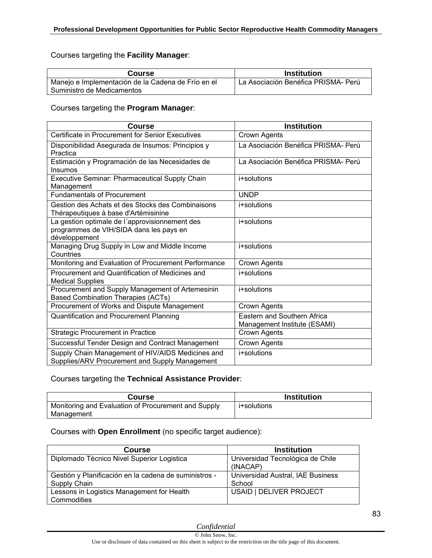## Courses targeting the **Facility Manager**:

| Course                                             | Institution                                      |
|----------------------------------------------------|--------------------------------------------------|
| Manejo e Implementación de la Cadena de Frío en el | <sup>1</sup> La Asociación Benéfica PRISMA- Perú |
| Suministro de Medicamentos                         |                                                  |

Courses targeting the **Program Manager**:

| <b>Course</b>                                                                                              | <b>Institution</b>                                          |
|------------------------------------------------------------------------------------------------------------|-------------------------------------------------------------|
| Certificate in Procurement for Senior Executives                                                           | Crown Agents                                                |
| Disponibilidad Asegurada de Insumos: Principios y                                                          | La Asociación Benéfica PRISMA- Perú                         |
| Practica                                                                                                   |                                                             |
| Estimación y Programación de las Necesidades de<br>Insumos                                                 | La Asociación Benéfica PRISMA- Perú                         |
| Executive Seminar: Pharmaceutical Supply Chain<br>Management                                               | i+solutions                                                 |
| <b>Fundamentals of Procurement</b>                                                                         | <b>UNDP</b>                                                 |
| Gestion des Achats et des Stocks des Combinaisons<br>Thérapeutiques à base d'Artémisinine                  | i+solutions                                                 |
| La gestion optimale de l'approvisionnement des<br>programmes de VIH/SIDA dans les pays en<br>développement | i+solutions                                                 |
| Managing Drug Supply in Low and Middle Income<br>Countries                                                 | i+solutions                                                 |
| Monitoring and Evaluation of Procurement Performance                                                       | Crown Agents                                                |
| Procurement and Quantification of Medicines and<br><b>Medical Supplies</b>                                 | i+solutions                                                 |
| Procurement and Supply Management of Artemesinin<br><b>Based Combination Therapies (ACTs)</b>              | i+solutions                                                 |
| Procurement of Works and Dispute Management                                                                | Crown Agents                                                |
| Quantification and Procurement Planning                                                                    | Eastern and Southern Africa<br>Management Institute (ESAMI) |
| <b>Strategic Procurement in Practice</b>                                                                   | Crown Agents                                                |
| Successful Tender Design and Contract Management                                                           | Crown Agents                                                |
| Supply Chain Management of HIV/AIDS Medicines and<br>Supplies/ARV Procurement and Supply Management        | i+solutions                                                 |

### Courses targeting the **Technical Assistance Provider**:

| Course                                              | <b>Institution</b> |
|-----------------------------------------------------|--------------------|
| Monitoring and Evaluation of Procurement and Supply | i+solutions        |
| Management                                          |                    |

### Courses with **Open Enrollment** (no specific target audience):

| Course                                                | Institution                                  |
|-------------------------------------------------------|----------------------------------------------|
| Diplomado Técnico Nivel Superior Logistica            | Universidad Tecnológica de Chile<br>(INACAP) |
| Gestión y Planificación en la cadena de suministros - | Universidad Austral, IAE Business            |
| Supply Chain                                          | School                                       |
| Lessons in Logistics Management for Health            | USAID   DELIVER PROJECT                      |
| Commodities                                           |                                              |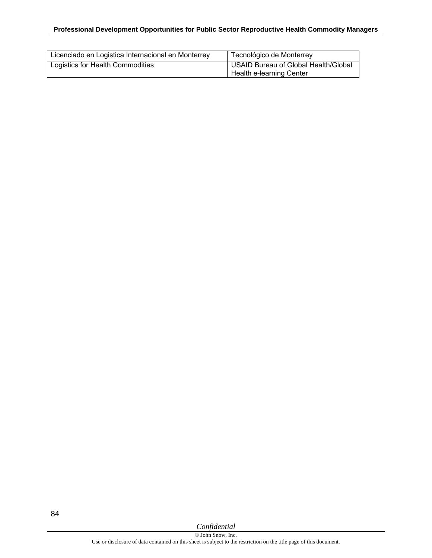#### **Professional Development Opportunities for Public Sector Reproductive Health Commodity Managers**

| Licenciado en Logistica Internacional en Monterrey | Tecnológico de Monterrey             |
|----------------------------------------------------|--------------------------------------|
| Logistics for Health Commodities                   | USAID Bureau of Global Health/Global |
|                                                    | Health e-learning Center             |

*Confidential*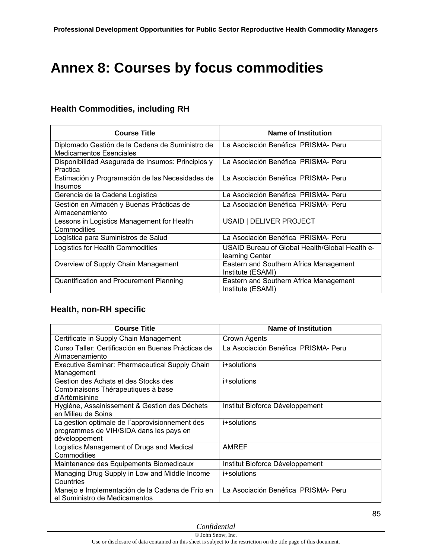# **Annex 8: Courses by focus commodities**

## **Health Commodities, including RH**

| <b>Course Title</b>                                                               | Name of Institution                                               |
|-----------------------------------------------------------------------------------|-------------------------------------------------------------------|
| Diplomado Gestión de la Cadena de Suministro de<br><b>Medicamentos Esenciales</b> | La Asociación Benéfica PRISMA- Peru                               |
| Disponibilidad Asegurada de Insumos: Principios y<br>Practica                     | La Asociación Benéfica PRISMA-Peru                                |
| Estimación y Programación de las Necesidades de<br>Insumos                        | La Asociación Benéfica PRISMA- Peru                               |
| Gerencia de la Cadena Logística                                                   | La Asociación Benéfica PRISMA- Peru                               |
| Gestión en Almacén y Buenas Prácticas de<br>Almacenamiento                        | La Asociación Benéfica PRISMA- Peru                               |
| Lessons in Logistics Management for Health<br>Commodities                         | USAID   DELIVER PROJECT                                           |
| Logística para Suministros de Salud                                               | La Asociación Benéfica PRISMA- Peru                               |
| Logistics for Health Commodities                                                  | USAID Bureau of Global Health/Global Health e-<br>learning Center |
| Overview of Supply Chain Management                                               | Eastern and Southern Africa Management<br>Institute (ESAMI)       |
| Quantification and Procurement Planning                                           | Eastern and Southern Africa Management<br>Institute (ESAMI)       |

### **Health, non-RH specific**

| <b>Course Title</b>                                                                                        | Name of Institution                 |
|------------------------------------------------------------------------------------------------------------|-------------------------------------|
| Certificate in Supply Chain Management                                                                     | Crown Agents                        |
| Curso Taller: Certificación en Buenas Prácticas de<br>Almacenamiento                                       | La Asociación Benéfica PRISMA- Peru |
| Executive Seminar: Pharmaceutical Supply Chain<br>Management                                               | i+solutions                         |
| Gestion des Achats et des Stocks des<br>Combinaisons Thérapeutiques à base<br>d'Artémisinine               | i+solutions                         |
| Hygiène, Assainissement & Gestion des Déchets<br>en Milieu de Soins                                        | Institut Bioforce Développement     |
| La gestion optimale de l'approvisionnement des<br>programmes de VIH/SIDA dans les pays en<br>développement | i+solutions                         |
| Logistics Management of Drugs and Medical<br>Commodities                                                   | <b>AMREF</b>                        |
| Maintenance des Equipements Biomedicaux                                                                    | Institut Bioforce Développement     |
| Managing Drug Supply in Low and Middle Income<br>Countries                                                 | i+solutions                         |
| Manejo e Implementación de la Cadena de Frío en<br>el Suministro de Medicamentos                           | La Asociación Benéfica PRISMA- Peru |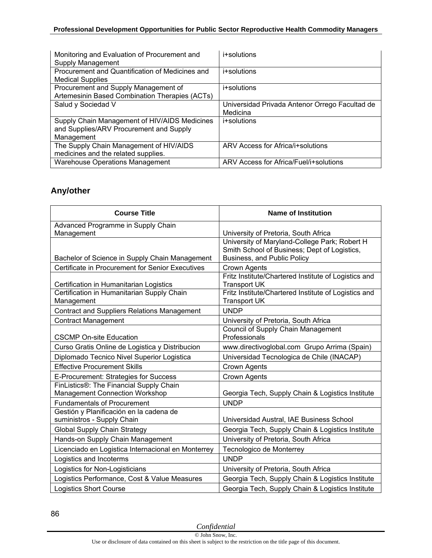### **Professional Development Opportunities for Public Sector Reproductive Health Commodity Managers**

| Monitoring and Evaluation of Procurement and<br>Supply Management                                      | i+solutions                                                |
|--------------------------------------------------------------------------------------------------------|------------------------------------------------------------|
| Procurement and Quantification of Medicines and<br><b>Medical Supplies</b>                             | i+solutions                                                |
| Procurement and Supply Management of<br>Artemesinin Based Combination Therapies (ACTs)                 | i+solutions                                                |
| Salud y Sociedad V                                                                                     | Universidad Privada Antenor Orrego Facultad de<br>Medicina |
| Supply Chain Management of HIV/AIDS Medicines<br>and Supplies/ARV Procurement and Supply<br>Management | i+solutions                                                |
| The Supply Chain Management of HIV/AIDS<br>medicines and the related supplies.                         | ARV Access for Africa/i+solutions                          |
| <b>Warehouse Operations Management</b>                                                                 | ARV Access for Africa/Fuel/i+solutions                     |

## **Any/other**

| <b>Course Title</b>                                | <b>Name of Institution</b>                           |
|----------------------------------------------------|------------------------------------------------------|
| Advanced Programme in Supply Chain                 |                                                      |
| Management                                         | University of Pretoria, South Africa                 |
|                                                    | University of Maryland-College Park; Robert H        |
|                                                    | Smith School of Business; Dept of Logistics,         |
| Bachelor of Science in Supply Chain Management     | Business, and Public Policy                          |
| Certificate in Procurement for Senior Executives   | <b>Crown Agents</b>                                  |
|                                                    | Fritz Institute/Chartered Institute of Logistics and |
| Certification in Humanitarian Logistics            | <b>Transport UK</b>                                  |
| Certification in Humanitarian Supply Chain         | Fritz Institute/Chartered Institute of Logistics and |
| Management                                         | <b>Transport UK</b>                                  |
| <b>Contract and Suppliers Relations Management</b> | <b>UNDP</b>                                          |
| <b>Contract Management</b>                         | University of Pretoria, South Africa                 |
|                                                    | Council of Supply Chain Management                   |
| <b>CSCMP On-site Education</b>                     | Professionals                                        |
| Curso Gratis Online de Logistica y Distribucion    | www.directivoglobal.com Grupo Arrima (Spain)         |
| Diplomado Tecnico Nivel Superior Logistica         | Universidad Tecnologica de Chile (INACAP)            |
| <b>Effective Procurement Skills</b>                | Crown Agents                                         |
| E-Procurement: Strategies for Success              | Crown Agents                                         |
| FinListics®: The Financial Supply Chain            |                                                      |
| <b>Management Connection Workshop</b>              | Georgia Tech, Supply Chain & Logistics Institute     |
| <b>Fundamentals of Procurement</b>                 | <b>UNDP</b>                                          |
| Gestión y Planificación en la cadena de            |                                                      |
| suministros - Supply Chain                         | Universidad Austral, IAE Business School             |
| <b>Global Supply Chain Strategy</b>                | Georgia Tech, Supply Chain & Logistics Institute     |
| Hands-on Supply Chain Management                   | University of Pretoria, South Africa                 |
| Licenciado en Logistica Internacional en Monterrey | Tecnologico de Monterrey                             |
| Logistics and Incoterms                            | <b>UNDP</b>                                          |
| Logistics for Non-Logisticians                     | University of Pretoria, South Africa                 |
| Logistics Performance, Cost & Value Measures       | Georgia Tech, Supply Chain & Logistics Institute     |
| <b>Logistics Short Course</b>                      | Georgia Tech, Supply Chain & Logistics Institute     |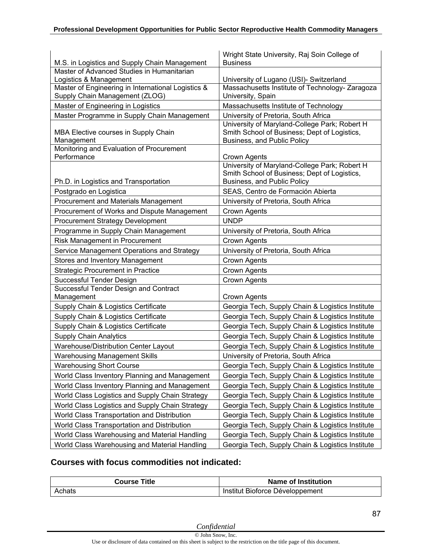| M.S. in Logistics and Supply Chain Management      | Wright State University, Raj Soin College of<br><b>Business</b>                               |
|----------------------------------------------------|-----------------------------------------------------------------------------------------------|
| Master of Advanced Studies in Humanitarian         |                                                                                               |
| Logistics & Management                             | University of Lugano (USI)- Switzerland                                                       |
| Master of Engineering in International Logistics & | Massachusetts Institute of Technology- Zaragoza                                               |
| Supply Chain Management (ZLOG)                     | University, Spain                                                                             |
| Master of Engineering in Logistics                 | Massachusetts Institute of Technology                                                         |
| Master Programme in Supply Chain Management        | University of Pretoria, South Africa                                                          |
| MBA Elective courses in Supply Chain               | University of Maryland-College Park; Robert H<br>Smith School of Business; Dept of Logistics, |
| Management                                         | <b>Business, and Public Policy</b>                                                            |
| Monitoring and Evaluation of Procurement           |                                                                                               |
| Performance                                        | Crown Agents                                                                                  |
|                                                    | University of Maryland-College Park; Robert H                                                 |
| Ph.D. in Logistics and Transportation              | Smith School of Business; Dept of Logistics,<br>Business, and Public Policy                   |
| Postgrado en Logistica                             | SEAS, Centro de Formación Abierta                                                             |
| Procurement and Materials Management               | University of Pretoria, South Africa                                                          |
| Procurement of Works and Dispute Management        | Crown Agents                                                                                  |
| <b>Procurement Strategy Development</b>            | <b>UNDP</b>                                                                                   |
| Programme in Supply Chain Management               | University of Pretoria, South Africa                                                          |
| Risk Management in Procurement                     | Crown Agents                                                                                  |
| Service Management Operations and Strategy         | University of Pretoria, South Africa                                                          |
| Stores and Inventory Management                    | Crown Agents                                                                                  |
| <b>Strategic Procurement in Practice</b>           | Crown Agents                                                                                  |
| Successful Tender Design                           | Crown Agents                                                                                  |
| Successful Tender Design and Contract              |                                                                                               |
| Management                                         | Crown Agents                                                                                  |
| Supply Chain & Logistics Certificate               | Georgia Tech, Supply Chain & Logistics Institute                                              |
| Supply Chain & Logistics Certificate               | Georgia Tech, Supply Chain & Logistics Institute                                              |
| Supply Chain & Logistics Certificate               | Georgia Tech, Supply Chain & Logistics Institute                                              |
| <b>Supply Chain Analytics</b>                      | Georgia Tech, Supply Chain & Logistics Institute                                              |
| Warehouse/Distribution Center Layout               | Georgia Tech, Supply Chain & Logistics Institute                                              |
| <b>Warehousing Management Skills</b>               | University of Pretoria, South Africa                                                          |
| <b>Warehousing Short Course</b>                    | Georgia Tech, Supply Chain & Logistics Institute                                              |
| World Class Inventory Planning and Management      | Georgia Tech, Supply Chain & Logistics Institute                                              |
| World Class Inventory Planning and Management      | Georgia Tech, Supply Chain & Logistics Institute                                              |
| World Class Logistics and Supply Chain Strategy    | Georgia Tech, Supply Chain & Logistics Institute                                              |
| World Class Logistics and Supply Chain Strategy    | Georgia Tech, Supply Chain & Logistics Institute                                              |
| World Class Transportation and Distribution        | Georgia Tech, Supply Chain & Logistics Institute                                              |
| World Class Transportation and Distribution        | Georgia Tech, Supply Chain & Logistics Institute                                              |
| World Class Warehousing and Material Handling      | Georgia Tech, Supply Chain & Logistics Institute                                              |
| World Class Warehousing and Material Handling      | Georgia Tech, Supply Chain & Logistics Institute                                              |

## **Courses with focus commodities not indicated:**

| Course Title | Name of Institution             |
|--------------|---------------------------------|
| Achats       | Institut Bioforce Développement |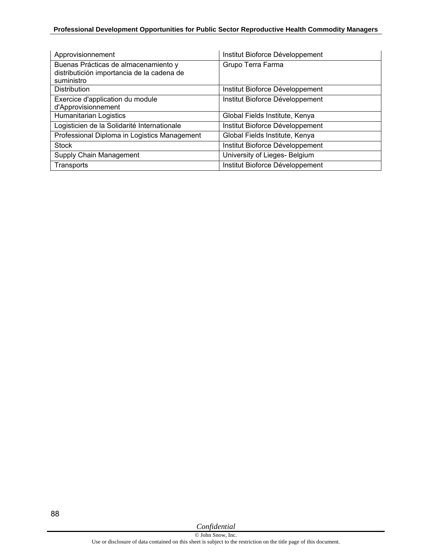### **Professional Development Opportunities for Public Sector Reproductive Health Commodity Managers**

| Approvisionnement                            | Institut Bioforce Développement |
|----------------------------------------------|---------------------------------|
| Buenas Prácticas de almacenamiento y         | Grupo Terra Farma               |
| distributición importancia de la cadena de   |                                 |
| suministro                                   |                                 |
| <b>Distribution</b>                          | Institut Bioforce Développement |
| Exercice d'application du module             | Institut Bioforce Développement |
| d'Approvisionnement                          |                                 |
| Humanitarian Logistics                       | Global Fields Institute, Kenya  |
| Logisticien de la Solidarité Internationale  | Institut Bioforce Développement |
| Professional Diploma in Logistics Management | Global Fields Institute, Kenya  |
| <b>Stock</b>                                 | Institut Bioforce Développement |
| Supply Chain Management                      | University of Lieges- Belgium   |
| Transports                                   | Institut Bioforce Développement |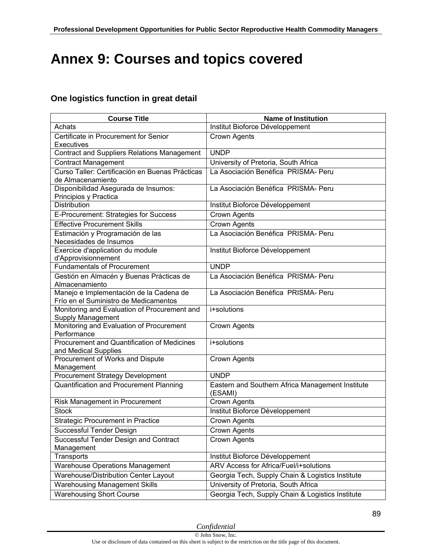## **Annex 9: Courses and topics covered**

## **One logistics function in great detail**

| <b>Course Title</b>                                                              | <b>Name of Institution</b>                                  |
|----------------------------------------------------------------------------------|-------------------------------------------------------------|
| Achats                                                                           | Institut Bioforce Développement                             |
| Certificate in Procurement for Senior<br><b>Executives</b>                       | Crown Agents                                                |
| <b>Contract and Suppliers Relations Management</b>                               | <b>UNDP</b>                                                 |
| <b>Contract Management</b>                                                       | University of Pretoria, South Africa                        |
| Curso Taller: Certificación en Buenas Prácticas<br>de Almacenamiento             | La Asociación Benéfica PRISMA- Peru                         |
| Disponibilidad Asegurada de Insumos:<br>Principios y Practica                    | La Asociación Benéfica PRISMA- Peru                         |
| Distribution                                                                     | Institut Bioforce Développement                             |
| E-Procurement: Strategies for Success                                            | Crown Agents                                                |
| <b>Effective Procurement Skills</b>                                              | Crown Agents                                                |
| Estimación y Programación de las<br>Necesidades de Insumos                       | La Asociación Benéfica PRISMA- Peru                         |
| Exercice d'application du module<br>d'Approvisionnement                          | Institut Bioforce Développement                             |
| <b>Fundamentals of Procurement</b>                                               | <b>UNDP</b>                                                 |
| Gestión en Almacén y Buenas Prácticas de<br>Almacenamiento                       | La Asociación Benéfica PRISMA- Peru                         |
| Manejo e Implementación de la Cadena de<br>Frío en el Suministro de Medicamentos | La Asociación Benéfica PRISMA- Peru                         |
| Monitoring and Evaluation of Procurement and<br>Supply Management                | i+solutions                                                 |
| Monitoring and Evaluation of Procurement<br>Performance                          | Crown Agents                                                |
| Procurement and Quantification of Medicines<br>and Medical Supplies              | i+solutions                                                 |
| Procurement of Works and Dispute<br>Management                                   | Crown Agents                                                |
| <b>Procurement Strategy Development</b>                                          | <b>UNDP</b>                                                 |
| Quantification and Procurement Planning                                          | Eastern and Southern Africa Management Institute<br>(ESAMI) |
| Risk Management in Procurement                                                   | Crown Agents                                                |
| <b>Stock</b>                                                                     | Institut Bioforce Développement                             |
| <b>Strategic Procurement in Practice</b>                                         | Crown Agents                                                |
| Successful Tender Design                                                         | Crown Agents                                                |
| Successful Tender Design and Contract<br>Management                              | Crown Agents                                                |
| Transports                                                                       | Institut Bioforce Développement                             |
| <b>Warehouse Operations Management</b>                                           | ARV Access for Africa/Fuel/i+solutions                      |
| Warehouse/Distribution Center Layout                                             | Georgia Tech, Supply Chain & Logistics Institute            |
| <b>Warehousing Management Skills</b>                                             | University of Pretoria, South Africa                        |
| <b>Warehousing Short Course</b>                                                  | Georgia Tech, Supply Chain & Logistics Institute            |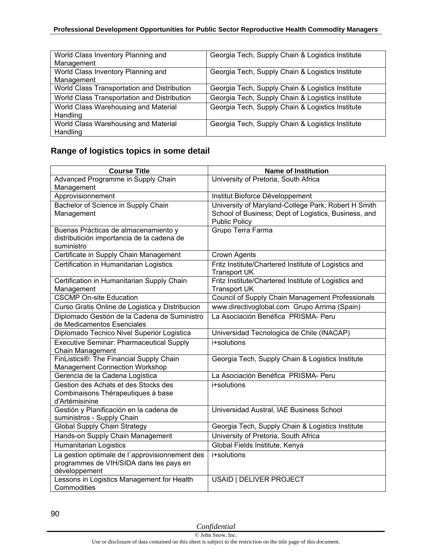#### **Professional Development Opportunities for Public Sector Reproductive Health Commodity Managers**

| World Class Inventory Planning and          | Georgia Tech, Supply Chain & Logistics Institute |
|---------------------------------------------|--------------------------------------------------|
| Management                                  |                                                  |
| World Class Inventory Planning and          | Georgia Tech, Supply Chain & Logistics Institute |
| Management                                  |                                                  |
| World Class Transportation and Distribution | Georgia Tech, Supply Chain & Logistics Institute |
| World Class Transportation and Distribution | Georgia Tech, Supply Chain & Logistics Institute |
| World Class Warehousing and Material        | Georgia Tech, Supply Chain & Logistics Institute |
| Handling                                    |                                                  |
| World Class Warehousing and Material        | Georgia Tech, Supply Chain & Logistics Institute |
| Handling                                    |                                                  |

## **Range of logistics topics in some detail**

| <b>Course Title</b>                                                 | <b>Name of Institution</b>                           |
|---------------------------------------------------------------------|------------------------------------------------------|
| Advanced Programme in Supply Chain                                  | University of Pretoria, South Africa                 |
| Management                                                          |                                                      |
| Approvisionnement                                                   | Institut Bioforce Développement                      |
| Bachelor of Science in Supply Chain                                 | University of Maryland-College Park; Robert H Smith  |
| Management                                                          | School of Business; Dept of Logistics, Business, and |
| Buenas Prácticas de almacenamiento y                                | <b>Public Policy</b><br>Grupo Terra Farma            |
| distributición importancia de la cadena de                          |                                                      |
| suministro                                                          |                                                      |
| Certificate in Supply Chain Management                              | <b>Crown Agents</b>                                  |
| Certification in Humanitarian Logistics                             | Fritz Institute/Chartered Institute of Logistics and |
|                                                                     | <b>Transport UK</b>                                  |
| Certification in Humanitarian Supply Chain                          | Fritz Institute/Chartered Institute of Logistics and |
| Management                                                          | <b>Transport UK</b>                                  |
| <b>CSCMP On-site Education</b>                                      | Council of Supply Chain Management Professionals     |
| Curso Gratis Online de Logistica y Distribucion                     | www.directivoglobal.com Grupo Arrima (Spain)         |
| Diplomado Gestión de la Cadena de Suministro                        | La Asociación Benéfica PRISMA- Peru                  |
| de Medicamentos Esenciales                                          |                                                      |
| Diplomado Tecnico Nivel Superior Logistica                          | Universidad Tecnologica de Chile (INACAP)            |
| <b>Executive Seminar: Pharmaceutical Supply</b><br>Chain Management | i+solutions                                          |
| FinListics®: The Financial Supply Chain                             | Georgia Tech, Supply Chain & Logistics Institute     |
| Management Connection Workshop                                      |                                                      |
| Gerencia de la Cadena Logística                                     | La Asociación Benéfica PRISMA- Peru                  |
| Gestion des Achats et des Stocks des                                | i+solutions                                          |
| Combinaisons Thérapeutiques à base                                  |                                                      |
| d'Artémisinine                                                      |                                                      |
| Gestión y Planificación en la cadena de                             | Universidad Austral, IAE Business School             |
| suministros - Supply Chain                                          |                                                      |
| <b>Global Supply Chain Strategy</b>                                 | Georgia Tech, Supply Chain & Logistics Institute     |
| Hands-on Supply Chain Management                                    | University of Pretoria, South Africa                 |
| <b>Humanitarian Logistics</b>                                       | Global Fields Institute, Kenya                       |
| La gestion optimale de l'approvisionnement des                      | i+solutions                                          |
| programmes de VIH/SIDA dans les pays en<br>développement            |                                                      |
| Lessons in Logistics Management for Health                          | USAID   DELIVER PROJECT                              |
| Commodities                                                         |                                                      |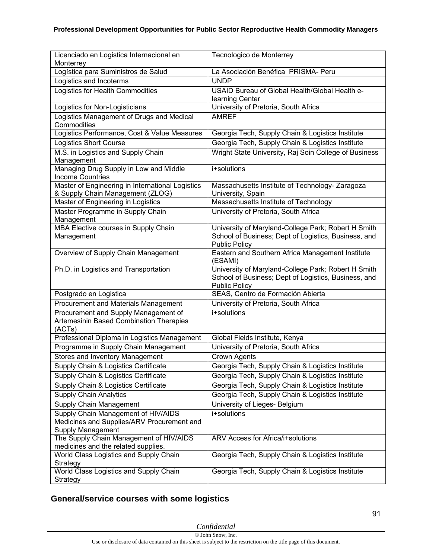| Licenciado en Logistica Internacional en                                                                                | Tecnologico de Monterrey                                                                                    |
|-------------------------------------------------------------------------------------------------------------------------|-------------------------------------------------------------------------------------------------------------|
| Monterrey                                                                                                               |                                                                                                             |
| Logística para Suministros de Salud                                                                                     | La Asociación Benéfica PRISMA- Peru                                                                         |
| Logistics and Incoterms                                                                                                 | <b>UNDP</b>                                                                                                 |
| Logistics for Health Commodities                                                                                        | USAID Bureau of Global Health/Global Health e-<br>learning Center                                           |
| Logistics for Non-Logisticians                                                                                          | University of Pretoria, South Africa                                                                        |
| Logistics Management of Drugs and Medical<br>Commodities                                                                | <b>AMREF</b>                                                                                                |
| Logistics Performance, Cost & Value Measures                                                                            | Georgia Tech, Supply Chain & Logistics Institute                                                            |
| <b>Logistics Short Course</b>                                                                                           | Georgia Tech, Supply Chain & Logistics Institute                                                            |
| M.S. in Logistics and Supply Chain<br>Management                                                                        | Wright State University, Raj Soin College of Business                                                       |
| Managing Drug Supply in Low and Middle<br><b>Income Countries</b>                                                       | i+solutions                                                                                                 |
| Master of Engineering in International Logistics<br>& Supply Chain Management (ZLOG)                                    | Massachusetts Institute of Technology- Zaragoza<br>University, Spain                                        |
| Master of Engineering in Logistics                                                                                      | Massachusetts Institute of Technology                                                                       |
| Master Programme in Supply Chain<br>Management                                                                          | University of Pretoria, South Africa                                                                        |
| MBA Elective courses in Supply Chain                                                                                    | University of Maryland-College Park; Robert H Smith                                                         |
| Management                                                                                                              | School of Business; Dept of Logistics, Business, and<br><b>Public Policy</b>                                |
| Overview of Supply Chain Management                                                                                     | Eastern and Southern Africa Management Institute<br>(ESAMI)                                                 |
| Ph.D. in Logistics and Transportation                                                                                   | University of Maryland-College Park; Robert H Smith<br>School of Business; Dept of Logistics, Business, and |
|                                                                                                                         |                                                                                                             |
| Postgrado en Logistica                                                                                                  | <b>Public Policy</b><br>SEAS, Centro de Formación Abierta                                                   |
|                                                                                                                         | University of Pretoria, South Africa                                                                        |
| Procurement and Materials Management<br>Procurement and Supply Management of<br>Artemesinin Based Combination Therapies | i+solutions                                                                                                 |
| (ACTs)<br>Professional Diploma in Logistics Management                                                                  | Global Fields Institute, Kenya                                                                              |
| Programme in Supply Chain Management                                                                                    | University of Pretoria, South Africa                                                                        |
| Stores and Inventory Management                                                                                         | Crown Agents                                                                                                |
| Supply Chain & Logistics Certificate                                                                                    |                                                                                                             |
| Supply Chain & Logistics Certificate                                                                                    | Georgia Tech, Supply Chain & Logistics Institute<br>Georgia Tech, Supply Chain & Logistics Institute        |
|                                                                                                                         | Georgia Tech, Supply Chain & Logistics Institute                                                            |
| Supply Chain & Logistics Certificate<br><b>Supply Chain Analytics</b>                                                   | Georgia Tech, Supply Chain & Logistics Institute                                                            |
|                                                                                                                         | University of Lieges- Belgium                                                                               |
| Supply Chain Management                                                                                                 | i+solutions                                                                                                 |
| Supply Chain Management of HIV/AIDS<br>Medicines and Supplies/ARV Procurement and<br>Supply Management                  |                                                                                                             |
| The Supply Chain Management of HIV/AIDS                                                                                 | ARV Access for Africa/i+solutions                                                                           |
| medicines and the related supplies.                                                                                     |                                                                                                             |
| World Class Logistics and Supply Chain                                                                                  | Georgia Tech, Supply Chain & Logistics Institute                                                            |
| Strategy<br>World Class Logistics and Supply Chain                                                                      | Georgia Tech, Supply Chain & Logistics Institute                                                            |

## **General/service courses with some logistics**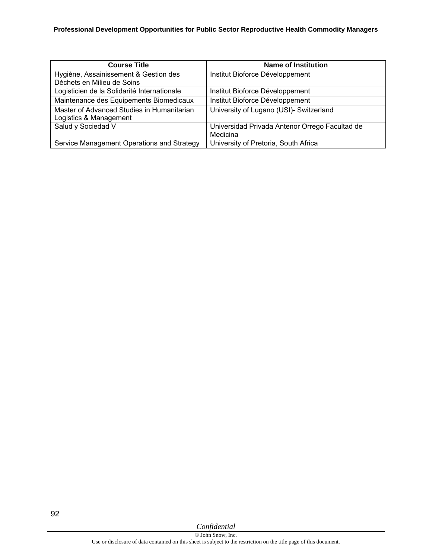| <b>Course Title</b>                         | Name of Institution                            |
|---------------------------------------------|------------------------------------------------|
| Hygiène, Assainissement & Gestion des       | Institut Bioforce Développement                |
| Déchets en Milieu de Soins                  |                                                |
| Logisticien de la Solidarité Internationale | Institut Bioforce Développement                |
| Maintenance des Equipements Biomedicaux     | Institut Bioforce Développement                |
| Master of Advanced Studies in Humanitarian  | University of Lugano (USI)- Switzerland        |
| Logistics & Management                      |                                                |
| Salud y Sociedad V                          | Universidad Privada Antenor Orrego Facultad de |
|                                             | Medicina                                       |
| Service Management Operations and Strategy  | University of Pretoria, South Africa           |

92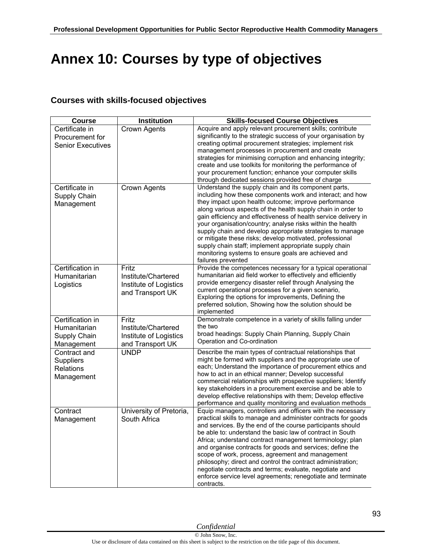# **Annex 10: Courses by type of objectives**

## **Courses with skills-focused objectives**

| <b>Course</b>                                                  | <b>Institution</b>                                                         | <b>Skills-focused Course Objectives</b>                                                                                                                                                                                                                                                                                                                                                                                                                                                                                                                                                                                                    |
|----------------------------------------------------------------|----------------------------------------------------------------------------|--------------------------------------------------------------------------------------------------------------------------------------------------------------------------------------------------------------------------------------------------------------------------------------------------------------------------------------------------------------------------------------------------------------------------------------------------------------------------------------------------------------------------------------------------------------------------------------------------------------------------------------------|
| Certificate in<br>Procurement for<br><b>Senior Executives</b>  | Crown Agents                                                               | Acquire and apply relevant procurement skills; contribute<br>significantly to the strategic success of your organisation by<br>creating optimal procurement strategies; implement risk<br>management processes in procurement and create<br>strategies for minimising corruption and enhancing integrity;<br>create and use toolkits for monitoring the performance of<br>your procurement function; enhance your computer skills<br>through dedicated sessions provided free of charge                                                                                                                                                    |
| Certificate in<br>Supply Chain<br>Management                   | <b>Crown Agents</b>                                                        | Understand the supply chain and its component parts,<br>including how these components work and interact; and how<br>they impact upon health outcome; improve performance<br>along various aspects of the health supply chain in order to<br>gain efficiency and effectiveness of health service delivery in<br>your organisation/country; analyse risks within the health<br>supply chain and develop appropriate strategies to manage<br>or mitigate these risks; develop motivated, professional<br>supply chain staff; implement appropriate supply chain<br>monitoring systems to ensure goals are achieved and<br>failures prevented |
| Certification in<br>Humanitarian<br>Logistics                  | Fritz<br>Institute/Chartered<br>Institute of Logistics<br>and Transport UK | Provide the competences necessary for a typical operational<br>humanitarian aid field worker to effectively and efficiently<br>provide emergency disaster relief through Analysing the<br>current operational processes for a given scenario,<br>Exploring the options for improvements, Defining the<br>preferred solution, Showing how the solution should be<br>implemented                                                                                                                                                                                                                                                             |
| Certification in<br>Humanitarian<br>Supply Chain<br>Management | Fritz<br>Institute/Chartered<br>Institute of Logistics<br>and Transport UK | Demonstrate competence in a variety of skills falling under<br>the two<br>broad headings: Supply Chain Planning, Supply Chain<br>Operation and Co-ordination                                                                                                                                                                                                                                                                                                                                                                                                                                                                               |
| Contract and<br><b>Suppliers</b><br>Relations<br>Management    | <b>UNDP</b>                                                                | Describe the main types of contractual relationships that<br>might be formed with suppliers and the appropriate use of<br>each; Understand the importance of procurement ethics and<br>how to act in an ethical manner; Develop successful<br>commercial relationships with prospective suppliers; Identify<br>key stakeholders in a procurement exercise and be able to<br>develop effective relationships with them; Develop effective<br>performance and quality monitoring and evaluation methods                                                                                                                                      |
| Contract<br>Management                                         | University of Pretoria,<br>South Africa                                    | Equip managers, controllers and officers with the necessary<br>practical skills to manage and administer contracts for goods<br>and services. By the end of the course participants should<br>be able to: understand the basic law of contract in South<br>Africa; understand contract management terminology; plan<br>and organise contracts for goods and services; define the<br>scope of work, process, agreement and management<br>philosophy; direct and control the contract administration;<br>negotiate contracts and terms; evaluate, negotiate and<br>enforce service level agreements; renegotiate and terminate<br>contracts. |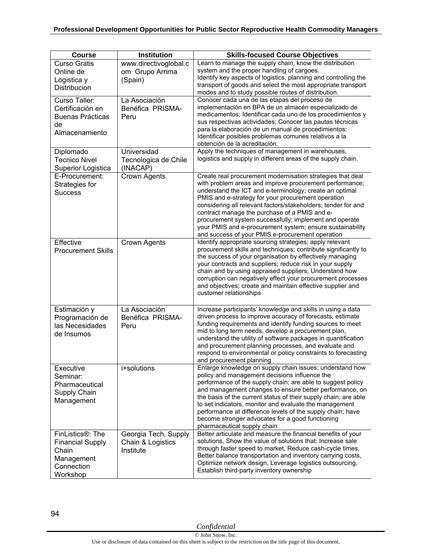| <b>Course</b>                                                                                             | <b>Institution</b>                                     | <b>Skills-focused Course Objectives</b>                                                                                                                                                                                                                                                                                                                                                                                                                                                                                             |
|-----------------------------------------------------------------------------------------------------------|--------------------------------------------------------|-------------------------------------------------------------------------------------------------------------------------------------------------------------------------------------------------------------------------------------------------------------------------------------------------------------------------------------------------------------------------------------------------------------------------------------------------------------------------------------------------------------------------------------|
| <b>Curso Gratis</b><br>Online de<br>Logistica y<br>Distribucion                                           | www.directivoglobal.c<br>om Grupo Arrima<br>(Spain)    | Learn to manage the supply chain, know the distribution<br>system and the proper handling of cargoes.<br>Identify key aspects of logistics, planning and controlling the<br>transport of goods and select the most appropriate transport<br>modes and to study possible routes of distribution.                                                                                                                                                                                                                                     |
| Curso Taller:<br>Certificación en<br><b>Buenas Prácticas</b><br>de<br>Almacenamiento                      | La Asociación<br>Benéfica PRISMA-<br>Peru              | Conocer cada una de las etapas del proceso de<br>implementación en BPA de un almacén especializado de<br>medicamentos; Identificar cada uno de los procedimientos y<br>sus respectivas actividades; Conocer las pautas técnicas<br>para la elaboración de un manual de procedimientos;<br>Identificar posibles problemas comunes relativos a la<br>obtención de la acreditación.                                                                                                                                                    |
| Diplomado<br><b>Tecnico Nivel</b><br>Superior Logistica                                                   | Universidad<br>Tecnologica de Chile<br>(INACAP)        | Apply the techniques of management in warehouses,<br>logistics and supply in different areas of the supply chain.                                                                                                                                                                                                                                                                                                                                                                                                                   |
| E-Procurement:<br>Strategies for<br><b>Success</b>                                                        | Crown Agents                                           | Create real procurement modernisation strategies that deal<br>with problem areas and improve procurement performance;<br>understand the ICT and e-terminology; create an optimal<br>PMIS and e-strategy for your procurement operation<br>considering all relevant factors/stakeholders; tender for and<br>contract manage the purchase of a PMIS and e-<br>procurement system successfully; implement and operate<br>your PMIS and e-procurement system; ensure sustainability<br>and success of your PMIS e-procurement operation |
| Effective<br><b>Procurement Skills</b>                                                                    | <b>Crown Agents</b>                                    | Identify appropriate sourcing strategies; apply relevant<br>procurement skills and techniques; contribute significantly to<br>the success of your organisation by effectively managing<br>your contracts and suppliers; reduce risk in your supply<br>chain and by using appraised suppliers; Understand how<br>corruption can negatively effect your procurement processes<br>and objectives; create and maintain effective supplier and<br>customer relationships                                                                 |
| Estimación y<br>Programación de<br>las Necesidades<br>de Insumos                                          | La Asociación<br>Benéfica PRISMA-<br>Peru              | Increase participants' knowledge and skills in using a data<br>driven process to improve accuracy of forecasts, estimate<br>funding requirements and identify funding sources to meet<br>mid to long term needs, develop a procurement plan,<br>understand the utility of software packages in quantification<br>and procurement planning processes, and evaluate and<br>respond to environmental or policy constraints to forecasting<br>and procurement planning                                                                  |
| Executive<br>Seminar:<br>Pharmaceutical<br>Supply Chain<br>Management                                     | i+solutions                                            | Enlarge knowledge on supply chain issues; understand how<br>policy and management decisions influence the<br>performance of the supply chain; are able to suggest policy<br>and management changes to ensure better performance, on<br>the basis of the current status of their supply chain; are able<br>to set indicators, monitor and evaluate the management<br>performance at difference levels of the supply chain; have<br>become stronger advocates for a good functioning<br>pharmaceutical supply chain                   |
| FinListics <sup>®</sup> : The<br><b>Financial Supply</b><br>Chain<br>Management<br>Connection<br>Workshop | Georgia Tech, Supply<br>Chain & Logistics<br>Institute | Better articulate and measure the financial benefits of your<br>solutions, Show the value of solutions that: Increase sale<br>through faster speed to market, Reduce cash-cycle times,<br>Better balance transportation and inventory carrying costs,<br>Optimize network design, Leverage logistics outsourcing,<br>Establish third-party inventory ownership                                                                                                                                                                      |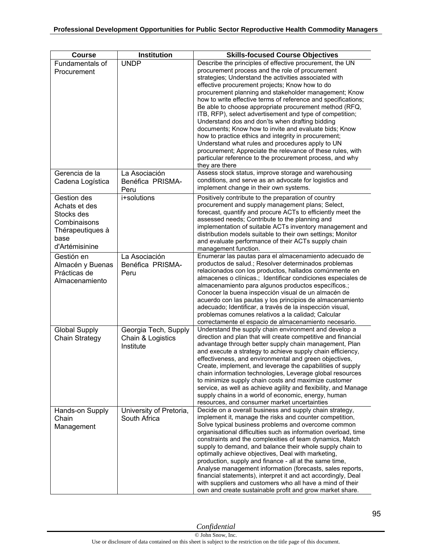| <b>Course</b>                                                                                            | Institution                                            | <b>Skills-focused Course Objectives</b>                                                                                                                                                                                                                                                                                                                                                                                                                                                                                                                                                                                                                                                                                                                                                                                                    |
|----------------------------------------------------------------------------------------------------------|--------------------------------------------------------|--------------------------------------------------------------------------------------------------------------------------------------------------------------------------------------------------------------------------------------------------------------------------------------------------------------------------------------------------------------------------------------------------------------------------------------------------------------------------------------------------------------------------------------------------------------------------------------------------------------------------------------------------------------------------------------------------------------------------------------------------------------------------------------------------------------------------------------------|
| Fundamentals of<br>Procurement                                                                           | <b>UNDP</b>                                            | Describe the principles of effective procurement, the UN<br>procurement process and the role of procurement<br>strategies; Understand the activities associated with<br>effective procurement projects; Know how to do<br>procurement planning and stakeholder management; Know<br>how to write effective terms of reference and specifications;<br>Be able to choose appropriate procurement method (RFQ,<br>ITB, RFP), select advertisement and type of competition;<br>Understand dos and don'ts when drafting bidding<br>documents; Know how to invite and evaluate bids; Know<br>how to practice ethics and integrity in procurement;<br>Understand what rules and procedures apply to UN<br>procurement; Appreciate the relevance of these rules, with<br>particular reference to the procurement process, and why<br>they are there |
| Gerencia de la<br>Cadena Logística                                                                       | La Asociación<br>Benéfica PRISMA-<br>Peru              | Assess stock status, improve storage and warehousing<br>conditions, and serve as an advocate for logistics and<br>implement change in their own systems.                                                                                                                                                                                                                                                                                                                                                                                                                                                                                                                                                                                                                                                                                   |
| Gestion des<br>Achats et des<br>Stocks des<br>Combinaisons<br>Thérapeutiques à<br>base<br>d'Artémisinine | i+solutions                                            | Positively contribute to the preparation of country<br>procurement and supply management plans; Select,<br>forecast, quantify and procure ACTs to efficiently meet the<br>assessed needs; Contribute to the planning and<br>implementation of suitable ACTs inventory management and<br>distribution models suitable to their own settings; Monitor<br>and evaluate performance of their ACTs supply chain<br>management function.                                                                                                                                                                                                                                                                                                                                                                                                         |
| Gestión en<br>Almacén y Buenas<br>Prácticas de<br>Almacenamiento                                         | La Asociación<br>Benéfica PRISMA-<br>Peru              | Enumerar las pautas para el almacenamiento adecuado de<br>productos de salud.; Resolver determinados problemas<br>relacionados con los productos, hallados comúnmente en<br>almacenes o clínicas.; Identificar condiciones especiales de<br>almacenamiento para algunos productos específicos.;<br>Conocer la buena inspección visual de un almacén de<br>acuerdo con las pautas y los principios de almacenamiento<br>adecuado; Identificar, a través de la inspección visual,<br>problemas comunes relativos a la calidad; Calcular<br>correctamente el espacio de almacenamiento necesario.                                                                                                                                                                                                                                             |
| <b>Global Supply</b><br>Chain Strategy                                                                   | Georgia Tech, Supply<br>Chain & Logistics<br>Institute | Understand the supply chain environment and develop a<br>direction and plan that will create competitive and financial<br>advantage through better supply chain management, Plan<br>and execute a strategy to achieve supply chain efficiency,<br>effectiveness, and environmental and green objectives,<br>Create, implement, and leverage the capabilities of supply<br>chain information technologies, Leverage global resources<br>to minimize supply chain costs and maximize customer<br>service, as well as achieve agility and flexibility, and Manage<br>supply chains in a world of economic, energy, human<br>resources, and consumer market uncertainties                                                                                                                                                                      |
| Hands-on Supply<br>Chain<br>Management                                                                   | University of Pretoria,<br>South Africa                | Decide on a overall business and supply chain strategy,<br>implement it, manage the risks and counter competition,<br>Solve typical business problems and overcome common<br>organisational difficulties such as information overload, time<br>constraints and the complexities of team dynamics, Match<br>supply to demand, and balance their whole supply chain to<br>optimally achieve objectives, Deal with marketing,<br>production, supply and finance - all at the same time,<br>Analyse management information (forecasts, sales reports,<br>financial statements), interpret it and act accordingly, Deal<br>with suppliers and customers who all have a mind of their<br>own and create sustainable profit and grow market share.                                                                                                |

95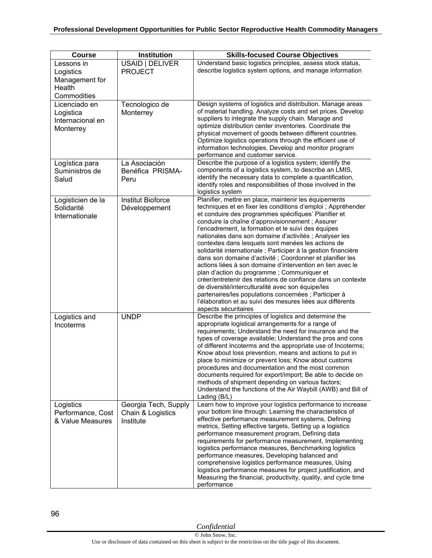| <b>Course</b>                                                      | Institution                                            | <b>Skills-focused Course Objectives</b>                                                                                                                                                                                                                                                                                                                                                                                                                                                                                                                                                                                                                                                                                                                                                                                                                                                                                  |
|--------------------------------------------------------------------|--------------------------------------------------------|--------------------------------------------------------------------------------------------------------------------------------------------------------------------------------------------------------------------------------------------------------------------------------------------------------------------------------------------------------------------------------------------------------------------------------------------------------------------------------------------------------------------------------------------------------------------------------------------------------------------------------------------------------------------------------------------------------------------------------------------------------------------------------------------------------------------------------------------------------------------------------------------------------------------------|
| Lessons in<br>Logistics<br>Management for<br>Health<br>Commodities | USAID   DELIVER<br><b>PROJECT</b>                      | Understand basic logistics principles, assess stock status,<br>describe logistics system options, and manage information                                                                                                                                                                                                                                                                                                                                                                                                                                                                                                                                                                                                                                                                                                                                                                                                 |
| Licenciado en<br>Logistica<br>Internacional en<br>Monterrey        | Tecnologico de<br>Monterrey                            | Design systems of logistics and distribution. Manage areas<br>of material handling. Analyze costs and set prices. Develop<br>suppliers to integrate the supply chain. Manage and<br>optimize distribution center inventories. Coordinate the<br>physical movement of goods between different countries.<br>Optimize logistics operations through the efficient use of<br>information technologies. Develop and monitor program<br>performance and customer service.                                                                                                                                                                                                                                                                                                                                                                                                                                                      |
| Logística para<br>Suministros de<br>Salud                          | La Asociación<br>Benéfica PRISMA-<br>Peru              | Describe the purpose of a logistics system; identify the<br>components of a logistics system, to describe an LMIS,<br>identify the necessary data to complete a quantification,<br>identify roles and responsibilities of those involved in the<br>logistics system                                                                                                                                                                                                                                                                                                                                                                                                                                                                                                                                                                                                                                                      |
| Logisticien de la<br>Solidarité<br>Internationale                  | <b>Institut Bioforce</b><br>Développement              | Planifier, mettre en place, maintenir les équipements<br>techniques et en fixer les conditions d'emploi ; Appréhender<br>et conduire des programmes spécifiques' Planifier et<br>conduire la chaîne d'approvisionnement ; Assurer<br>l'encadrement, la formation et le suivi des équipes<br>nationales dans son domaine d'activités ; Analyser les<br>contextes dans lesquels sont menées les actions de<br>solidarité internationale ; Participer à la gestion financière<br>dans son domaine d'activité ; Coordonner et planifier les<br>actions liées à son domaine d'intervention en lien avec le<br>plan d'action du programme ; Communiquer et<br>créer/entretenir des relations de confiance dans un contexte<br>de diversité/interculturalité avec son équipe/les<br>partenaires/les populations concernées ; Participer à<br>l'élaboration et au suivi des mesures liées aux différents<br>aspects sécuritaires |
| Logistics and<br>Incoterms                                         | <b>UNDP</b>                                            | Describe the principles of logistics and determine the<br>appropriate logistical arrangements for a range of<br>requirements; Understand the need for insurance and the<br>types of coverage available; Understand the pros and cons<br>of different Incoterms and the appropriate use of Incoterms;<br>Know about loss prevention, means and actions to put in<br>place to minimize or prevent loss; Know about customs<br>procedures and documentation and the most common<br>documents required for export/import; Be able to decide on<br>methods of shipment depending on various factors;<br>Understand the functions of the Air Waybill (AWB) and Bill of<br>Lading (B/L)                                                                                                                                                                                                                                         |
| Logistics<br>Performance, Cost<br>& Value Measures                 | Georgia Tech, Supply<br>Chain & Logistics<br>Institute | Learn how to improve your logistics performance to increase<br>your bottom line through: Learning the characteristics of<br>effective performance measurement systems, Defining<br>metrics, Setting effective targets, Setting up a logistics<br>performance measurement program, Defining data<br>requirements for performance measurement, Implementing<br>logistics performance measures, Benchmarking logistics<br>performance measures, Developing balanced and<br>comprehensive logistics performance measures, Using<br>logistics performance measures for project justification, and<br>Measuring the financial, productivity, quality, and cycle time<br>performance                                                                                                                                                                                                                                            |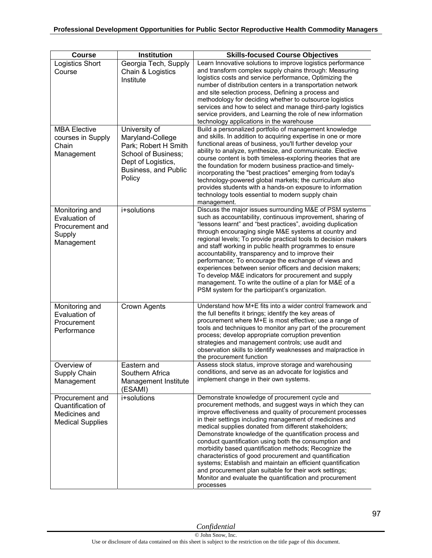| <b>Course</b>                                                                    | Institution                                                                                                                              | <b>Skills-focused Course Objectives</b>                                                                                                                                                                                                                                                                                                                                                                                                                                                                                                                                                                                                                                                                                             |
|----------------------------------------------------------------------------------|------------------------------------------------------------------------------------------------------------------------------------------|-------------------------------------------------------------------------------------------------------------------------------------------------------------------------------------------------------------------------------------------------------------------------------------------------------------------------------------------------------------------------------------------------------------------------------------------------------------------------------------------------------------------------------------------------------------------------------------------------------------------------------------------------------------------------------------------------------------------------------------|
| <b>Logistics Short</b><br>Course                                                 | Georgia Tech, Supply<br>Chain & Logistics<br>Institute                                                                                   | Learn Innovative solutions to improve logistics performance<br>and transform complex supply chains through: Measuring<br>logistics costs and service performance, Optimizing the<br>number of distribution centers in a transportation network<br>and site selection process, Defining a process and<br>methodology for deciding whether to outsource logistics<br>services and how to select and manage third-party logistics<br>service providers, and Learning the role of new information<br>technology applications in the warehouse                                                                                                                                                                                           |
| <b>MBA Elective</b><br>courses in Supply<br>Chain<br>Management                  | University of<br>Maryland-College<br>Park; Robert H Smith<br>School of Business;<br>Dept of Logistics,<br>Business, and Public<br>Policy | Build a personalized portfolio of management knowledge<br>and skills. In addition to acquiring expertise in one or more<br>functional areas of business, you'll further develop your<br>ability to analyze, synthesize, and communicate. Elective<br>course content is both timeless-exploring theories that are<br>the foundation for modern business practice-and timely-<br>incorporating the "best practices" emerging from today's<br>technology-powered global markets; the curriculum also<br>provides students with a hands-on exposure to information<br>technology tools essential to modern supply chain<br>management.                                                                                                  |
| Monitoring and<br>Evaluation of<br>Procurement and<br>Supply<br>Management       | i+solutions                                                                                                                              | Discuss the major issues surrounding M&E of PSM systems<br>such as accountability, continuous improvement, sharing of<br>"lessons learnt" and "best practices", avoiding duplication<br>through encouraging single M&E systems at country and<br>regional levels; To provide practical tools to decision makers<br>and staff working in public health programmes to ensure<br>accountability, transparency and to improve their<br>performance; To encourage the exchange of views and<br>experiences between senior officers and decision makers;<br>To develop M&E indicators for procurement and supply<br>management. To write the outline of a plan for M&E of a<br>PSM system for the participant's organization.             |
| Monitoring and<br>Evaluation of<br>Procurement<br>Performance                    | Crown Agents                                                                                                                             | Understand how M+E fits into a wider control framework and<br>the full benefits it brings; identify the key areas of<br>procurement where M+E is most effective; use a range of<br>tools and techniques to monitor any part of the procurement<br>process; develop appropriate corruption prevention<br>strategies and management controls; use audit and<br>observation skills to identify weaknesses and malpractice in<br>the procurement function                                                                                                                                                                                                                                                                               |
| Overview of<br>Supply Chain<br>Management                                        | Eastern and<br>Southern Africa<br>Management Institute<br>(ESAMI)                                                                        | Assess stock status, improve storage and warehousing<br>conditions, and serve as an advocate for logistics and<br>implement change in their own systems.                                                                                                                                                                                                                                                                                                                                                                                                                                                                                                                                                                            |
| Procurement and<br>Quantification of<br>Medicines and<br><b>Medical Supplies</b> | i+solutions                                                                                                                              | Demonstrate knowledge of procurement cycle and<br>procurement methods, and suggest ways in which they can<br>improve effectiveness and quality of procurement processes<br>in their settings including management of medicines and<br>medical supplies donated from different stakeholders;<br>Demonstrate knowledge of the quantification process and<br>conduct quantification using both the consumption and<br>morbidity based quantification methods; Recognize the<br>characteristics of good procurement and quantification<br>systems; Establish and maintain an efficient quantification<br>and procurement plan suitable for their work settings;<br>Monitor and evaluate the quantification and procurement<br>processes |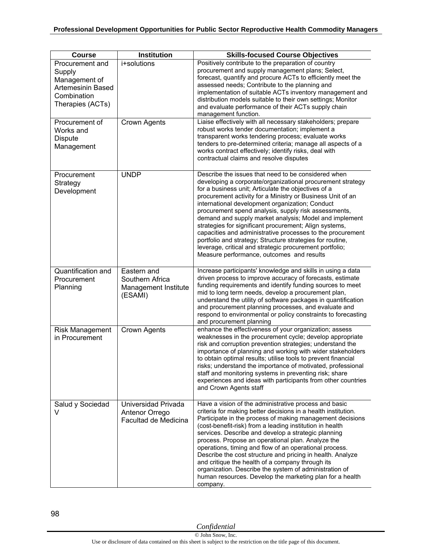| <b>Course</b>                                                                                             | <b>Institution</b>                                                | <b>Skills-focused Course Objectives</b>                                                                                                                                                                                                                                                                                                                                                                                                                                                                                                                                                                                                                                                                  |
|-----------------------------------------------------------------------------------------------------------|-------------------------------------------------------------------|----------------------------------------------------------------------------------------------------------------------------------------------------------------------------------------------------------------------------------------------------------------------------------------------------------------------------------------------------------------------------------------------------------------------------------------------------------------------------------------------------------------------------------------------------------------------------------------------------------------------------------------------------------------------------------------------------------|
| Procurement and<br>Supply<br>Management of<br><b>Artemesinin Based</b><br>Combination<br>Therapies (ACTs) | i+solutions                                                       | Positively contribute to the preparation of country<br>procurement and supply management plans; Select,<br>forecast, quantify and procure ACTs to efficiently meet the<br>assessed needs; Contribute to the planning and<br>implementation of suitable ACTs inventory management and<br>distribution models suitable to their own settings; Monitor<br>and evaluate performance of their ACTs supply chain<br>management function.                                                                                                                                                                                                                                                                       |
| Procurement of<br>Works and<br><b>Dispute</b><br>Management                                               | <b>Crown Agents</b>                                               | Liaise effectively with all necessary stakeholders; prepare<br>robust works tender documentation; implement a<br>transparent works tendering process; evaluate works<br>tenders to pre-determined criteria; manage all aspects of a<br>works contract effectively; identify risks, deal with<br>contractual claims and resolve disputes                                                                                                                                                                                                                                                                                                                                                                  |
| Procurement<br>Strategy<br>Development                                                                    | <b>UNDP</b>                                                       | Describe the issues that need to be considered when<br>developing a corporate/organizational procurement strategy<br>for a business unit; Articulate the objectives of a<br>procurement activity for a Ministry or Business Unit of an<br>international development organization; Conduct<br>procurement spend analysis, supply risk assessments,<br>demand and supply market analysis; Model and implement<br>strategies for significant procurement; Align systems,<br>capacities and administrative processes to the procurement<br>portfolio and strategy; Structure strategies for routine,<br>leverage, critical and strategic procurement portfolio;<br>Measure performance, outcomes and results |
| Quantification and<br>Procurement<br>Planning                                                             | Eastern and<br>Southern Africa<br>Management Institute<br>(ESAMI) | Increase participants' knowledge and skills in using a data<br>driven process to improve accuracy of forecasts, estimate<br>funding requirements and identify funding sources to meet<br>mid to long term needs, develop a procurement plan,<br>understand the utility of software packages in quantification<br>and procurement planning processes, and evaluate and<br>respond to environmental or policy constraints to forecasting<br>and procurement planning                                                                                                                                                                                                                                       |
| <b>Risk Management</b><br>in Procurement                                                                  | Crown Agents                                                      | enhance the effectiveness of your organization; assess<br>weaknesses in the procurement cycle; develop appropriate<br>risk and corruption prevention strategies; understand the<br>importance of planning and working with wider stakeholders<br>to obtain optimal results; utilise tools to prevent financial<br>risks; understand the importance of motivated, professional<br>staff and monitoring systems in preventing risk; share<br>experiences and ideas with participants from other countries<br>and Crown Agents staff                                                                                                                                                                        |
| Salud y Sociedad<br>V                                                                                     | Universidad Privada<br>Antenor Orrego<br>Facultad de Medicina     | Have a vision of the administrative process and basic<br>criteria for making better decisions in a health institution.<br>Participate in the process of making management decisions<br>(cost-benefit-risk) from a leading institution in health<br>services. Describe and develop a strategic planning<br>process. Propose an operational plan. Analyze the<br>operations, timing and flow of an operational process.<br>Describe the cost structure and pricing in health. Analyze<br>and critique the health of a company through its<br>organization. Describe the system of administration of<br>human resources. Develop the marketing plan for a health<br>company.                                |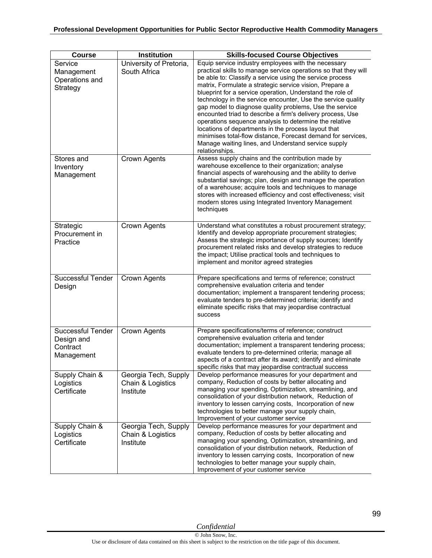| <b>Course</b>                                                    | Institution                                            | <b>Skills-focused Course Objectives</b>                                                                                                                                                                                                                                                                                                                                                                                                                                                                                                                                                                                                                                                                                                                       |
|------------------------------------------------------------------|--------------------------------------------------------|---------------------------------------------------------------------------------------------------------------------------------------------------------------------------------------------------------------------------------------------------------------------------------------------------------------------------------------------------------------------------------------------------------------------------------------------------------------------------------------------------------------------------------------------------------------------------------------------------------------------------------------------------------------------------------------------------------------------------------------------------------------|
| Service<br>Management<br>Operations and<br>Strategy              | University of Pretoria,<br>South Africa                | Equip service industry employees with the necessary<br>practical skills to manage service operations so that they will<br>be able to: Classify a service using the service process<br>matrix, Formulate a strategic service vision, Prepare a<br>blueprint for a service operation, Understand the role of<br>technology in the service encounter, Use the service quality<br>gap model to diagnose quality problems, Use the service<br>encounted triad to describe a firm's delivery process, Use<br>operations sequence analysis to determine the relative<br>locations of departments in the process layout that<br>minimises total-flow distance, Forecast demand for services,<br>Manage waiting lines, and Understand service supply<br>relationships. |
| Stores and<br>Inventory<br>Management                            | Crown Agents                                           | Assess supply chains and the contribution made by<br>warehouse excellence to their organization; analyse<br>financial aspects of warehousing and the ability to derive<br>substantial savings; plan, design and manage the operation<br>of a warehouse; acquire tools and techniques to manage<br>stores with increased efficiency and cost effectiveness; visit<br>modern stores using Integrated Inventory Management<br>techniques                                                                                                                                                                                                                                                                                                                         |
| Strategic<br>Procurement in<br>Practice                          | Crown Agents                                           | Understand what constitutes a robust procurement strategy;<br>Identify and develop appropriate procurement strategies;<br>Assess the strategic importance of supply sources; Identify<br>procurement related risks and develop strategies to reduce<br>the impact; Utilise practical tools and techniques to<br>implement and monitor agreed strategies                                                                                                                                                                                                                                                                                                                                                                                                       |
| Successful Tender<br>Design                                      | Crown Agents                                           | Prepare specifications and terms of reference; construct<br>comprehensive evaluation criteria and tender<br>documentation; implement a transparent tendering process;<br>evaluate tenders to pre-determined criteria; identify and<br>eliminate specific risks that may jeopardise contractual<br>success                                                                                                                                                                                                                                                                                                                                                                                                                                                     |
| <b>Successful Tender</b><br>Design and<br>Contract<br>Management | Crown Agents                                           | Prepare specifications/terms of reference; construct<br>comprehensive evaluation criteria and tender<br>documentation; implement a transparent tendering process;<br>evaluate tenders to pre-determined criteria; manage all<br>aspects of a contract after its award; identify and eliminate<br>specific risks that may jeopardise contractual success                                                                                                                                                                                                                                                                                                                                                                                                       |
| Supply Chain &<br>Logistics<br>Certificate                       | Georgia Tech, Supply<br>Chain & Logistics<br>Institute | Develop performance measures for your department and<br>company, Reduction of costs by better allocating and<br>managing your spending, Optimization, streamlining, and<br>consolidation of your distribution network, Reduction of<br>inventory to lessen carrying costs, Incorporation of new<br>technologies to better manage your supply chain,<br>Improvement of your customer service                                                                                                                                                                                                                                                                                                                                                                   |
| Supply Chain &<br>Logistics<br>Certificate                       | Georgia Tech, Supply<br>Chain & Logistics<br>Institute | Develop performance measures for your department and<br>company, Reduction of costs by better allocating and<br>managing your spending, Optimization, streamlining, and<br>consolidation of your distribution network, Reduction of<br>inventory to lessen carrying costs, Incorporation of new<br>technologies to better manage your supply chain,<br>Improvement of your customer service                                                                                                                                                                                                                                                                                                                                                                   |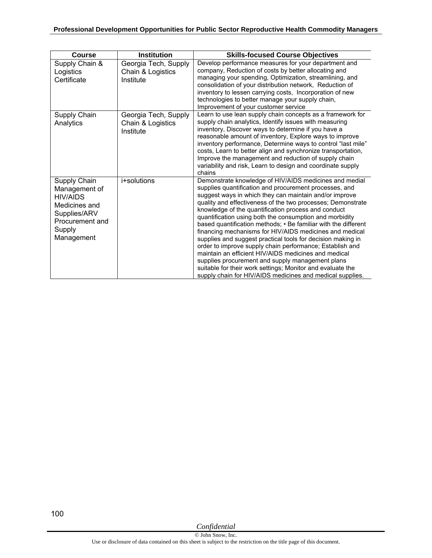| <b>Course</b>                                                                                                         | <b>Institution</b>                                     | <b>Skills-focused Course Objectives</b>                                                                                                                                                                                                                                                                                                                                                                                                                                                                                                                                                                                                                                                                                                                                                                                                                    |
|-----------------------------------------------------------------------------------------------------------------------|--------------------------------------------------------|------------------------------------------------------------------------------------------------------------------------------------------------------------------------------------------------------------------------------------------------------------------------------------------------------------------------------------------------------------------------------------------------------------------------------------------------------------------------------------------------------------------------------------------------------------------------------------------------------------------------------------------------------------------------------------------------------------------------------------------------------------------------------------------------------------------------------------------------------------|
| Supply Chain &<br>Logistics<br>Certificate                                                                            | Georgia Tech, Supply<br>Chain & Logistics<br>Institute | Develop performance measures for your department and<br>company, Reduction of costs by better allocating and<br>managing your spending, Optimization, streamlining, and<br>consolidation of your distribution network, Reduction of<br>inventory to lessen carrying costs. Incorporation of new<br>technologies to better manage your supply chain,<br>Improvement of your customer service                                                                                                                                                                                                                                                                                                                                                                                                                                                                |
| Supply Chain<br>Analytics                                                                                             | Georgia Tech, Supply<br>Chain & Logistics<br>Institute | Learn to use lean supply chain concepts as a framework for<br>supply chain analytics, Identify issues with measuring<br>inventory, Discover ways to determine if you have a<br>reasonable amount of inventory, Explore ways to improve<br>inventory performance, Determine ways to control "last mile"<br>costs, Learn to better align and synchronize transportation,<br>Improve the management and reduction of supply chain<br>variability and risk, Learn to design and coordinate supply<br>chains                                                                                                                                                                                                                                                                                                                                                    |
| Supply Chain<br>Management of<br>HIV/AIDS<br>Medicines and<br>Supplies/ARV<br>Procurement and<br>Supply<br>Management | i+solutions                                            | Demonstrate knowledge of HIV/AIDS medicines and medial<br>supplies quantification and procurement processes, and<br>suggest ways in which they can maintain and/or improve<br>quality and effectiveness of the two processes; Demonstrate<br>knowledge of the quantification process and conduct<br>quantification using both the consumption and morbidity<br>based quantification methods; • Be familiar with the different<br>financing mechanisms for HIV/AIDS medicines and medical<br>supplies and suggest practical tools for decision making in<br>order to improve supply chain performance; Establish and<br>maintain an efficient HIV/AIDS medicines and medical<br>supplies procurement and supply management plans<br>suitable for their work settings; Monitor and evaluate the<br>supply chain for HIV/AIDS medicines and medical supplies. |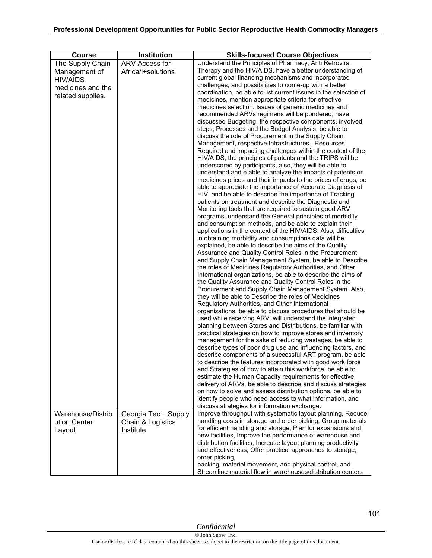| <b>Course</b>                                                                                  | Institution                          | <b>Skills-focused Course Objectives</b>                                                                                                                                                                                                                                                                                                                                                                                                                                                                                                                                                                                                                                                                                                                                                                                                                                                                                                                                                                                                                                                                                                                                                                                                                                                                                                                                                                                                                                                                                                                                                                                                                                                                                                                                                                                                                                                                                                                                                                                                                                                                                                                                                                                                                                                                                                                                                                                                                                                                                                                                                                                                                                                                                                                                                                                                                                                                                                                    |
|------------------------------------------------------------------------------------------------|--------------------------------------|------------------------------------------------------------------------------------------------------------------------------------------------------------------------------------------------------------------------------------------------------------------------------------------------------------------------------------------------------------------------------------------------------------------------------------------------------------------------------------------------------------------------------------------------------------------------------------------------------------------------------------------------------------------------------------------------------------------------------------------------------------------------------------------------------------------------------------------------------------------------------------------------------------------------------------------------------------------------------------------------------------------------------------------------------------------------------------------------------------------------------------------------------------------------------------------------------------------------------------------------------------------------------------------------------------------------------------------------------------------------------------------------------------------------------------------------------------------------------------------------------------------------------------------------------------------------------------------------------------------------------------------------------------------------------------------------------------------------------------------------------------------------------------------------------------------------------------------------------------------------------------------------------------------------------------------------------------------------------------------------------------------------------------------------------------------------------------------------------------------------------------------------------------------------------------------------------------------------------------------------------------------------------------------------------------------------------------------------------------------------------------------------------------------------------------------------------------------------------------------------------------------------------------------------------------------------------------------------------------------------------------------------------------------------------------------------------------------------------------------------------------------------------------------------------------------------------------------------------------------------------------------------------------------------------------------------------------|
| The Supply Chain<br>Management of<br><b>HIV/AIDS</b><br>medicines and the<br>related supplies. | ARV Access for<br>Africa/i+solutions | Understand the Principles of Pharmacy, Anti Retroviral<br>Therapy and the HIV/AIDS, have a better understanding of<br>current global financing mechanisms and incorporated<br>challenges, and possibilities to come-up with a better<br>coordination, be able to list current issues in the selection of<br>medicines, mention appropriate criteria for effective<br>medicines selection. Issues of generic medicines and<br>recommended ARVs regimens will be pondered, have<br>discussed Budgeting, the respective components, involved<br>steps, Processes and the Budget Analysis, be able to<br>discuss the role of Procurement in the Supply Chain<br>Management, respective Infrastructures, Resources<br>Required and impacting challenges within the context of the<br>HIV/AIDS, the principles of patents and the TRIPS will be<br>underscored by participants, also, they will be able to<br>understand and e able to analyze the impacts of patents on<br>medicines prices and their impacts to the prices of drugs, be<br>able to appreciate the importance of Accurate Diagnosis of<br>HIV, and be able to describe the importance of Tracking<br>patients on treatment and describe the Diagnostic and<br>Monitoring tools that are required to sustain good ARV<br>programs, understand the General principles of morbidity<br>and consumption methods, and be able to explain their<br>applications in the context of the HIV/AIDS. Also, difficulties<br>in obtaining morbidity and consumptions data will be<br>explained, be able to describe the aims of the Quality<br>Assurance and Quality Control Roles in the Procurement<br>and Supply Chain Management System, be able to Describe<br>the roles of Medicines Regulatory Authorities, and Other<br>International organizations, be able to describe the aims of<br>the Quality Assurance and Quality Control Roles in the<br>Procurement and Supply Chain Management System. Also,<br>they will be able to Describe the roles of Medicines<br>Regulatory Authorities, and Other International<br>organizations, be able to discuss procedures that should be<br>used while receiving ARV, will understand the integrated<br>planning between Stores and Distributions, be familiar with<br>practical strategies on how to improve stores and inventory<br>management for the sake of reducing wastages, be able to<br>describe types of poor drug use and influencing factors, and<br>describe components of a successful ART program, be able<br>to describe the features incorporated with good work force<br>and Strategies of how to attain this workforce, be able to<br>estimate the Human Capacity requirements for effective<br>delivery of ARVs, be able to describe and discuss strategies<br>on how to solve and assess distribution options, be able to<br>identify people who need access to what information, and<br>discuss strategies for information exchange. |
| Warehouse/Distrib                                                                              | Georgia Tech, Supply                 | Improve throughput with systematic layout planning, Reduce                                                                                                                                                                                                                                                                                                                                                                                                                                                                                                                                                                                                                                                                                                                                                                                                                                                                                                                                                                                                                                                                                                                                                                                                                                                                                                                                                                                                                                                                                                                                                                                                                                                                                                                                                                                                                                                                                                                                                                                                                                                                                                                                                                                                                                                                                                                                                                                                                                                                                                                                                                                                                                                                                                                                                                                                                                                                                                 |
| ution Center<br>Layout                                                                         | Chain & Logistics<br>Institute       | handling costs in storage and order picking, Group materials<br>for efficient handling and storage, Plan for expansions and<br>new facilities, Improve the performance of warehouse and<br>distribution facilities, Increase layout planning productivity<br>and effectiveness, Offer practical approaches to storage,<br>order picking,<br>packing, material movement, and physical control, and                                                                                                                                                                                                                                                                                                                                                                                                                                                                                                                                                                                                                                                                                                                                                                                                                                                                                                                                                                                                                                                                                                                                                                                                                                                                                                                                                                                                                                                                                                                                                                                                                                                                                                                                                                                                                                                                                                                                                                                                                                                                                                                                                                                                                                                                                                                                                                                                                                                                                                                                                          |
|                                                                                                |                                      | Streamline material flow in warehouses/distribution centers                                                                                                                                                                                                                                                                                                                                                                                                                                                                                                                                                                                                                                                                                                                                                                                                                                                                                                                                                                                                                                                                                                                                                                                                                                                                                                                                                                                                                                                                                                                                                                                                                                                                                                                                                                                                                                                                                                                                                                                                                                                                                                                                                                                                                                                                                                                                                                                                                                                                                                                                                                                                                                                                                                                                                                                                                                                                                                |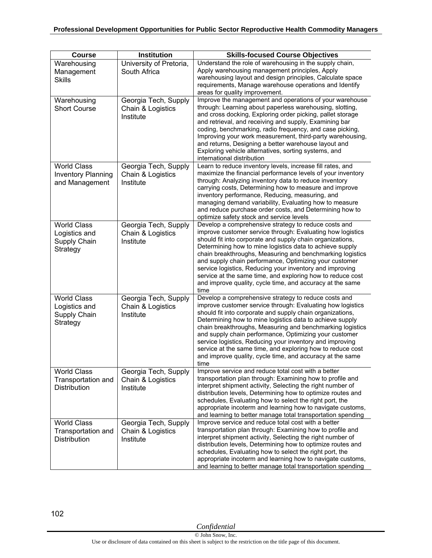| <b>Course</b>                                                     | Institution                                            | <b>Skills-focused Course Objectives</b>                                                                                                                                                                                                                                                                                                                                                                                                                                                                                                                           |
|-------------------------------------------------------------------|--------------------------------------------------------|-------------------------------------------------------------------------------------------------------------------------------------------------------------------------------------------------------------------------------------------------------------------------------------------------------------------------------------------------------------------------------------------------------------------------------------------------------------------------------------------------------------------------------------------------------------------|
| Warehousing<br>Management<br><b>Skills</b>                        | University of Pretoria,<br>South Africa                | Understand the role of warehousing in the supply chain,<br>Apply warehousing management principles, Apply<br>warehousing layout and design principles, Calculate space<br>requirements, Manage warehouse operations and Identify<br>areas for quality improvement.                                                                                                                                                                                                                                                                                                |
| Warehousing<br><b>Short Course</b>                                | Georgia Tech, Supply<br>Chain & Logistics<br>Institute | Improve the management and operations of your warehouse<br>through: Learning about paperless warehousing, slotting,<br>and cross docking, Exploring order picking, pallet storage<br>and retrieval, and receiving and supply, Examining bar<br>coding, benchmarking, radio frequency, and case picking,<br>Improving your work measurement, third-party warehousing,<br>and returns, Designing a better warehouse layout and<br>Exploring vehicle alternatives, sorting systems, and<br>international distribution                                                |
| <b>World Class</b><br><b>Inventory Planning</b><br>and Management | Georgia Tech, Supply<br>Chain & Logistics<br>Institute | Learn to reduce inventory levels, increase fill rates, and<br>maximize the financial performance levels of your inventory<br>through: Analyzing inventory data to reduce inventory<br>carrying costs, Determining how to measure and improve<br>inventory performance, Reducing, measuring, and<br>managing demand variability, Evaluating how to measure<br>and reduce purchase order costs, and Determining how to<br>optimize safety stock and service levels                                                                                                  |
| <b>World Class</b><br>Logistics and<br>Supply Chain<br>Strategy   | Georgia Tech, Supply<br>Chain & Logistics<br>Institute | Develop a comprehensive strategy to reduce costs and<br>improve customer service through: Evaluating how logistics<br>should fit into corporate and supply chain organizations,<br>Determining how to mine logistics data to achieve supply<br>chain breakthroughs, Measuring and benchmarking logistics<br>and supply chain performance, Optimizing your customer<br>service logistics, Reducing your inventory and improving<br>service at the same time, and exploring how to reduce cost<br>and improve quality, cycle time, and accuracy at the same<br>time |
| <b>World Class</b><br>Logistics and<br>Supply Chain<br>Strategy   | Georgia Tech, Supply<br>Chain & Logistics<br>Institute | Develop a comprehensive strategy to reduce costs and<br>improve customer service through: Evaluating how logistics<br>should fit into corporate and supply chain organizations,<br>Determining how to mine logistics data to achieve supply<br>chain breakthroughs, Measuring and benchmarking logistics<br>and supply chain performance, Optimizing your customer<br>service logistics, Reducing your inventory and improving<br>service at the same time, and exploring how to reduce cost<br>and improve quality, cycle time, and accuracy at the same<br>time |
| <b>World Class</b><br>Transportation and<br><b>Distribution</b>   | Georgia Tech, Supply<br>Chain & Logistics<br>Institute | Improve service and reduce total cost with a better<br>transportation plan through: Examining how to profile and<br>interpret shipment activity, Selecting the right number of<br>distribution levels, Determining how to optimize routes and<br>schedules, Evaluating how to select the right port, the<br>appropriate incoterm and learning how to navigate customs,<br>and learning to better manage total transportation spending                                                                                                                             |
| <b>World Class</b><br>Transportation and<br>Distribution          | Georgia Tech, Supply<br>Chain & Logistics<br>Institute | Improve service and reduce total cost with a better<br>transportation plan through: Examining how to profile and<br>interpret shipment activity, Selecting the right number of<br>distribution levels, Determining how to optimize routes and<br>schedules, Evaluating how to select the right port, the<br>appropriate incoterm and learning how to navigate customs,<br>and learning to better manage total transportation spending                                                                                                                             |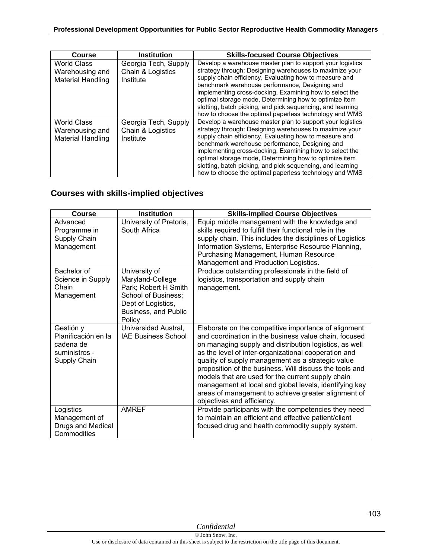| <b>Course</b>                                                     | <b>Institution</b>                                     | <b>Skills-focused Course Objectives</b>                                                                                                                                                                                                                                                                                                                                                                                                                                       |
|-------------------------------------------------------------------|--------------------------------------------------------|-------------------------------------------------------------------------------------------------------------------------------------------------------------------------------------------------------------------------------------------------------------------------------------------------------------------------------------------------------------------------------------------------------------------------------------------------------------------------------|
| <b>World Class</b><br>Warehousing and<br><b>Material Handling</b> | Georgia Tech, Supply<br>Chain & Logistics<br>Institute | Develop a warehouse master plan to support your logistics<br>strategy through: Designing warehouses to maximize your<br>supply chain efficiency, Evaluating how to measure and<br>benchmark warehouse performance, Designing and<br>implementing cross-docking, Examining how to select the<br>optimal storage mode, Determining how to optimize item<br>slotting, batch picking, and pick sequencing, and learning<br>how to choose the optimal paperless technology and WMS |
| <b>World Class</b><br>Warehousing and<br><b>Material Handling</b> | Georgia Tech, Supply<br>Chain & Logistics<br>Institute | Develop a warehouse master plan to support your logistics<br>strategy through: Designing warehouses to maximize your<br>supply chain efficiency, Evaluating how to measure and<br>benchmark warehouse performance, Designing and<br>implementing cross-docking, Examining how to select the<br>optimal storage mode, Determining how to optimize item<br>slotting, batch picking, and pick sequencing, and learning<br>how to choose the optimal paperless technology and WMS |

## **Courses with skills-implied objectives**

| <b>Course</b>                                                                  | <b>Institution</b>                                                                                                                       | <b>Skills-implied Course Objectives</b>                                                                                                                                                                                                                                                                                                                                                                                                                                                                                                             |
|--------------------------------------------------------------------------------|------------------------------------------------------------------------------------------------------------------------------------------|-----------------------------------------------------------------------------------------------------------------------------------------------------------------------------------------------------------------------------------------------------------------------------------------------------------------------------------------------------------------------------------------------------------------------------------------------------------------------------------------------------------------------------------------------------|
| Advanced<br>Programme in<br>Supply Chain<br>Management                         | University of Pretoria,<br>South Africa                                                                                                  | Equip middle management with the knowledge and<br>skills required to fulfill their functional role in the<br>supply chain. This includes the disciplines of Logistics<br>Information Systems, Enterprise Resource Planning,<br>Purchasing Management, Human Resource<br>Management and Production Logistics.                                                                                                                                                                                                                                        |
| Bachelor of<br>Science in Supply<br>Chain<br>Management                        | University of<br>Maryland-College<br>Park; Robert H Smith<br>School of Business;<br>Dept of Logistics,<br>Business, and Public<br>Policy | Produce outstanding professionals in the field of<br>logistics, transportation and supply chain<br>management.                                                                                                                                                                                                                                                                                                                                                                                                                                      |
| Gestión y<br>Planificación en la<br>cadena de<br>suministros -<br>Supply Chain | Universidad Austral,<br><b>IAE Business School</b>                                                                                       | Elaborate on the competitive importance of alignment<br>and coordination in the business value chain, focused<br>on managing supply and distribution logistics, as well<br>as the level of inter-organizational cooperation and<br>quality of supply management as a strategic value<br>proposition of the business. Will discuss the tools and<br>models that are used for the current supply chain<br>management at local and global levels, identifying key<br>areas of management to achieve greater alignment of<br>objectives and efficiency. |
| Logistics<br>Management of<br>Drugs and Medical<br>Commodities                 | <b>AMREF</b>                                                                                                                             | Provide participants with the competencies they need<br>to maintain an efficient and effective patient/client<br>focused drug and health commodity supply system.                                                                                                                                                                                                                                                                                                                                                                                   |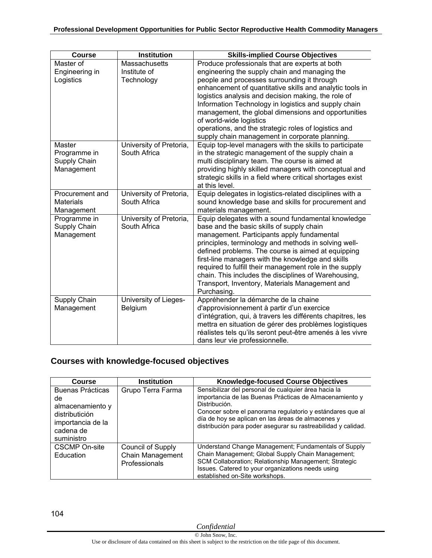| <b>Course</b>                                        | <b>Institution</b>                                 | <b>Skills-implied Course Objectives</b>                                                                                                                                                                                                                                                                                                                                                                                                                                                                               |
|------------------------------------------------------|----------------------------------------------------|-----------------------------------------------------------------------------------------------------------------------------------------------------------------------------------------------------------------------------------------------------------------------------------------------------------------------------------------------------------------------------------------------------------------------------------------------------------------------------------------------------------------------|
| Master of<br>Engineering in<br>Logistics             | <b>Massachusetts</b><br>Institute of<br>Technology | Produce professionals that are experts at both<br>engineering the supply chain and managing the<br>people and processes surrounding it through<br>enhancement of quantitative skills and analytic tools in<br>logistics analysis and decision making, the role of<br>Information Technology in logistics and supply chain<br>management, the global dimensions and opportunities<br>of world-wide logistics<br>operations, and the strategic roles of logistics and<br>supply chain management in corporate planning. |
| Master<br>Programme in<br>Supply Chain<br>Management | University of Pretoria,<br>South Africa            | Equip top-level managers with the skills to participate<br>in the strategic management of the supply chain a<br>multi disciplinary team. The course is aimed at<br>providing highly skilled managers with conceptual and<br>strategic skills in a field where critical shortages exist<br>at this level.                                                                                                                                                                                                              |
| Procurement and<br><b>Materials</b><br>Management    | University of Pretoria,<br>South Africa            | Equip delegates in logistics-related disciplines with a<br>sound knowledge base and skills for procurement and<br>materials management.                                                                                                                                                                                                                                                                                                                                                                               |
| Programme in<br>Supply Chain<br>Management           | University of Pretoria,<br>South Africa            | Equip delegates with a sound fundamental knowledge<br>base and the basic skills of supply chain<br>management. Participants apply fundamental<br>principles, terminology and methods in solving well-<br>defined problems. The course is aimed at equipping<br>first-line managers with the knowledge and skills<br>required to fulfill their management role in the supply<br>chain. This includes the disciplines of Warehousing,<br>Transport, Inventory, Materials Management and<br>Purchasing.                  |
| Supply Chain<br>Management                           | University of Lieges-<br>Belgium                   | Appréhender la démarche de la chaine<br>d'approvisionnement à partir d'un exercice<br>d'intégration, qui, à travers les différents chapitres, les<br>mettra en situation de gérer des problèmes logistiques<br>réalistes tels qu'ils seront peut-être amenés à les vivre<br>dans leur vie professionnelle.                                                                                                                                                                                                            |

## **Courses with knowledge-focused objectives**

| <b>Course</b>                                                                                                | <b>Institution</b>                                     | <b>Knowledge-focused Course Objectives</b>                                                                                                                                                                                                                                                                          |
|--------------------------------------------------------------------------------------------------------------|--------------------------------------------------------|---------------------------------------------------------------------------------------------------------------------------------------------------------------------------------------------------------------------------------------------------------------------------------------------------------------------|
| Buenas Prácticas<br>de<br>almacenamiento y<br>distributición<br>importancia de la<br>cadena de<br>suministro | Grupo Terra Farma                                      | Sensibilizar del personal de cualquier área hacia la<br>importancia de las Buenas Prácticas de Almacenamiento y<br>Distribución.<br>Conocer sobre el panorama regulatorio y estándares que al<br>día de hoy se aplican en las áreas de almacenes y<br>distribución para poder asegurar su rastreabilidad y calidad. |
| <b>CSCMP On-site</b><br>Education                                                                            | Council of Supply<br>Chain Management<br>Professionals | Understand Change Management; Fundamentals of Supply<br>Chain Management; Global Supply Chain Management;<br>SCM Collaboration; Relationship Management; Strategic<br>Issues. Catered to your organizations needs using<br>established on-Site workshops.                                                           |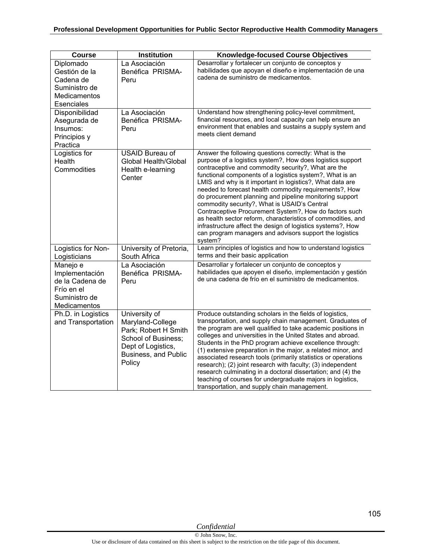| <b>Course</b>                                                                                 | <b>Institution</b>                                                                                                                              | <b>Knowledge-focused Course Objectives</b>                                                                                                                                                                                                                                                                                                                                                                                                                                                                                                                                                                                                                                                                                              |
|-----------------------------------------------------------------------------------------------|-------------------------------------------------------------------------------------------------------------------------------------------------|-----------------------------------------------------------------------------------------------------------------------------------------------------------------------------------------------------------------------------------------------------------------------------------------------------------------------------------------------------------------------------------------------------------------------------------------------------------------------------------------------------------------------------------------------------------------------------------------------------------------------------------------------------------------------------------------------------------------------------------------|
| Diplomado<br>Gestión de la<br>Cadena de<br>Suministro de<br><b>Medicamentos</b><br>Esenciales | La Asociación<br>Benéfica PRISMA-<br>Peru                                                                                                       | Desarrollar y fortalecer un conjunto de conceptos y<br>habilidades que apoyan el diseño e implementación de una<br>cadena de suministro de medicamentos.                                                                                                                                                                                                                                                                                                                                                                                                                                                                                                                                                                                |
| Disponibilidad<br>Asegurada de<br>Insumos:<br>Principios y<br>Practica                        | La Asociación<br>Benéfica PRISMA-<br>Peru                                                                                                       | Understand how strengthening policy-level commitment,<br>financial resources, and local capacity can help ensure an<br>environment that enables and sustains a supply system and<br>meets client demand                                                                                                                                                                                                                                                                                                                                                                                                                                                                                                                                 |
| Logistics for<br>Health<br>Commodities                                                        | <b>USAID Bureau of</b><br>Global Health/Global<br>Health e-learning<br>Center                                                                   | Answer the following questions correctly: What is the<br>purpose of a logistics system?, How does logistics support<br>contraceptive and commodity security?, What are the<br>functional components of a logistics system?, What is an<br>LMIS and why is it important in logistics?, What data are<br>needed to forecast health commodity requirements?, How<br>do procurement planning and pipeline monitoring support<br>commodity security?, What is USAID's Central<br>Contraceptive Procurement System?, How do factors such<br>as health sector reform, characteristics of commodities, and<br>infrastructure affect the design of logistics systems?, How<br>can program managers and advisors support the logistics<br>system? |
| Logistics for Non-<br>Logisticians                                                            | University of Pretoria,<br>South Africa                                                                                                         | Learn principles of logistics and how to understand logistics<br>terms and their basic application                                                                                                                                                                                                                                                                                                                                                                                                                                                                                                                                                                                                                                      |
| Manejo e<br>Implementación<br>de la Cadena de<br>Frío en el<br>Suministro de<br>Medicamentos  | La Asociación<br>Benéfica PRISMA-<br>Peru                                                                                                       | Desarrollar y fortalecer un conjunto de conceptos y<br>habilidades que apoyen el diseño, implementación y gestión<br>de una cadena de frío en el suministro de medicamentos.                                                                                                                                                                                                                                                                                                                                                                                                                                                                                                                                                            |
| Ph.D. in Logistics<br>and Transportation                                                      | University of<br>Maryland-College<br>Park; Robert H Smith<br><b>School of Business:</b><br>Dept of Logistics,<br>Business, and Public<br>Policy | Produce outstanding scholars in the fields of logistics,<br>transportation, and supply chain management. Graduates of<br>the program are well qualified to take academic positions in<br>colleges and universities in the United States and abroad.<br>Students in the PhD program achieve excellence through:<br>(1) extensive preparation in the major, a related minor, and<br>associated research tools (primarily statistics or operations<br>research); (2) joint research with faculty; (3) independent<br>research culminating in a doctoral dissertation; and (4) the<br>teaching of courses for undergraduate majors in logistics,<br>transportation, and supply chain management.                                            |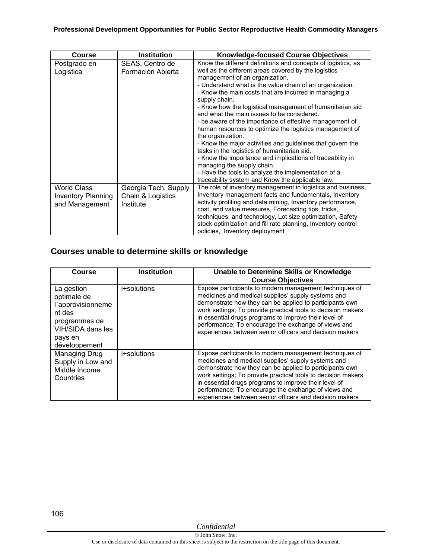| <b>Course</b>                                                     | <b>Institution</b>                                     | <b>Knowledge-focused Course Objectives</b>                                                                                                                                                                                                                                                                                                                                                                                                                                                                                                                                                                                                                                                                                                                                                                                                                           |
|-------------------------------------------------------------------|--------------------------------------------------------|----------------------------------------------------------------------------------------------------------------------------------------------------------------------------------------------------------------------------------------------------------------------------------------------------------------------------------------------------------------------------------------------------------------------------------------------------------------------------------------------------------------------------------------------------------------------------------------------------------------------------------------------------------------------------------------------------------------------------------------------------------------------------------------------------------------------------------------------------------------------|
| Postgrado en<br>Logistica                                         | SEAS, Centro de<br>Formación Abierta                   | Know the different definitions and concepts of logistics, as<br>well as the different areas covered by the logistics<br>management of an organization.<br>- Understand what is the value chain of an organization.<br>- Know the main costs that are incurred in managing a<br>supply chain.<br>- Know how the logistical management of humanitarian aid<br>and what the main issues to be considered.<br>- be aware of the importance of effective management of<br>human resources to optimize the logistics management of<br>the organization.<br>- Know the major activities and guidelines that govern the<br>tasks in the logistics of humanitarian aid.<br>- Know the importance and implications of traceability in<br>managing the supply chain.<br>- Have the tools to analyze the implementation of a<br>traceability system and Know the applicable law. |
| <b>World Class</b><br><b>Inventory Planning</b><br>and Management | Georgia Tech, Supply<br>Chain & Logistics<br>Institute | The role of inventory management in logistics and business,<br>Inventory management facts and fundamentals, Inventory<br>activity profiling and data mining, Inventory performance,<br>cost, and value measures, Forecasting tips, tricks,<br>techniques, and technology, Lot size optimization, Safety<br>stock optimization and fill rate planning, Inventory control<br>policies, Inventory deployment                                                                                                                                                                                                                                                                                                                                                                                                                                                            |

### **Courses unable to determine skills or knowledge**

| Course                                                                                                                     | <b>Institution</b> | Unable to Determine Skills or Knowledge<br><b>Course Objectives</b>                                                                                                                                                                                                                                                                                                                                                |
|----------------------------------------------------------------------------------------------------------------------------|--------------------|--------------------------------------------------------------------------------------------------------------------------------------------------------------------------------------------------------------------------------------------------------------------------------------------------------------------------------------------------------------------------------------------------------------------|
| La gestion<br>optimale de<br>l'approvisionneme<br>nt des<br>programmes de<br>VIH/SIDA dans les<br>pays en<br>développement | i+solutions        | Expose participants to modern management techniques of<br>medicines and medical supplies' supply systems and<br>demonstrate how they can be applied to participants own<br>work settings; To provide practical tools to decision makers<br>in essential drugs programs to improve their level of<br>performance; To encourage the exchange of views and<br>experiences between senior officers and decision makers |
| Managing Drug<br>Supply in Low and<br>Middle Income<br>Countries                                                           | i+solutions        | Expose participants to modern management techniques of<br>medicines and medical supplies' supply systems and<br>demonstrate how they can be applied to participants own<br>work settings; To provide practical tools to decision makers<br>in essential drugs programs to improve their level of<br>performance; To encourage the exchange of views and<br>experiences between senior officers and decision makers |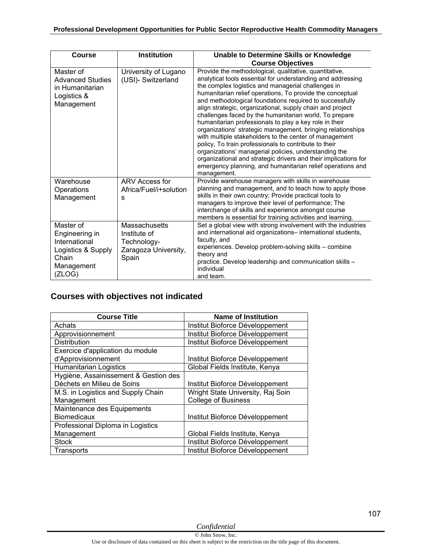| <b>Course</b>                                                                                       | <b>Institution</b>                                                                   | Unable to Determine Skills or Knowledge<br><b>Course Objectives</b>                                                                                                                                                                                                                                                                                                                                                                                                                                                                                                                                                                                                                                                                                                                                                                                                             |
|-----------------------------------------------------------------------------------------------------|--------------------------------------------------------------------------------------|---------------------------------------------------------------------------------------------------------------------------------------------------------------------------------------------------------------------------------------------------------------------------------------------------------------------------------------------------------------------------------------------------------------------------------------------------------------------------------------------------------------------------------------------------------------------------------------------------------------------------------------------------------------------------------------------------------------------------------------------------------------------------------------------------------------------------------------------------------------------------------|
| Master of<br><b>Advanced Studies</b><br>in Humanitarian<br>Logistics &<br>Management                | University of Lugano<br>(USI)- Switzerland                                           | Provide the methodological, qualitative, quantitative,<br>analytical tools essential for understanding and addressing<br>the complex logistics and managerial challenges in<br>humanitarian relief operations, To provide the conceptual<br>and methodological foundations required to successfully<br>align strategic, organizational, supply chain and project<br>challenges faced by the humanitarian world. To prepare<br>humanitarian professionals to play a key role in their<br>organizations' strategic management, bringing relationships<br>with multiple stakeholders to the center of management<br>policy, To train professionals to contribute to their<br>organizations' managerial policies, understanding the<br>organizational and strategic drivers and their implications for<br>emergency planning, and humanitarian relief operations and<br>management. |
| Warehouse<br>Operations<br>Management                                                               | ARV Access for<br>Africa/Fuel/i+solution<br>s                                        | Provide warehouse managers with skills in warehouse<br>planning and management, and to teach how to apply those<br>skills in their own country; Provide practical tools to<br>managers to improve their level of performance; The<br>interchange of skills and experience amongst course<br>members is essential for training activities and learning.                                                                                                                                                                                                                                                                                                                                                                                                                                                                                                                          |
| Master of<br>Engineering in<br>International<br>Logistics & Supply<br>Chain<br>Management<br>(ZLOG) | <b>Massachusetts</b><br>Institute of<br>Technology-<br>Zaragoza University,<br>Spain | Set a global view with strong involvement with the industries<br>and international aid organizations- international students,<br>faculty, and<br>experiences. Develop problem-solving skills - combine<br>theory and<br>practice. Develop leadership and communication skills -<br>individual<br>and team.                                                                                                                                                                                                                                                                                                                                                                                                                                                                                                                                                                      |

## **Courses with objectives not indicated**

| <b>Course Title</b>                   | <b>Name of Institution</b>        |
|---------------------------------------|-----------------------------------|
| Achats                                | Institut Bioforce Développement   |
| Approvisionnement                     | Institut Bioforce Développement   |
| <b>Distribution</b>                   | Institut Bioforce Développement   |
| Exercice d'application du module      |                                   |
| d'Approvisionnement                   | Institut Bioforce Développement   |
| <b>Humanitarian Logistics</b>         | Global Fields Institute, Kenya    |
| Hygiène, Assainissement & Gestion des |                                   |
| Déchets en Milieu de Soins            | Institut Bioforce Développement   |
| M.S. in Logistics and Supply Chain    | Wright State University, Raj Soin |
| Management                            | <b>College of Business</b>        |
| Maintenance des Equipements           |                                   |
| <b>Biomedicaux</b>                    | Institut Bioforce Développement   |
| Professional Diploma in Logistics     |                                   |
| Management                            | Global Fields Institute, Kenya    |
| <b>Stock</b>                          | Institut Bioforce Développement   |
| Transports                            | Institut Bioforce Développement   |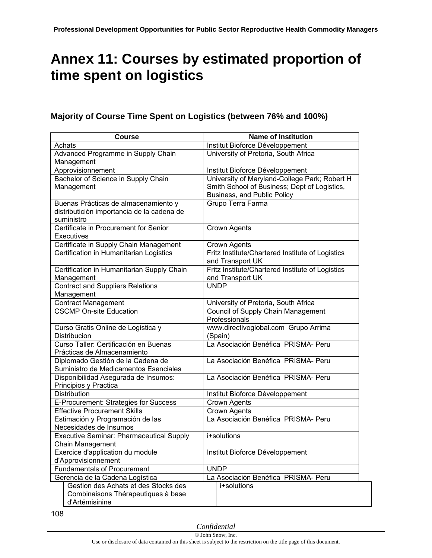# **Annex 11: Courses by estimated proportion of time spent on logistics**

### **Majority of Course Time Spent on Logistics (between 76% and 100%)**

| <b>Course</b>                                                                     | <b>Name of Institution</b>                                       |
|-----------------------------------------------------------------------------------|------------------------------------------------------------------|
| Achats                                                                            | Institut Bioforce Développement                                  |
| Advanced Programme in Supply Chain                                                | University of Pretoria, South Africa                             |
| Management                                                                        |                                                                  |
| Approvisionnement                                                                 | Institut Bioforce Développement                                  |
| Bachelor of Science in Supply Chain                                               | University of Maryland-College Park; Robert H                    |
| Management                                                                        | Smith School of Business; Dept of Logistics,                     |
|                                                                                   | Business, and Public Policy                                      |
| Buenas Prácticas de almacenamiento y                                              | Grupo Terra Farma                                                |
| distributición importancia de la cadena de                                        |                                                                  |
| suministro<br>Certificate in Procurement for Senior                               |                                                                  |
|                                                                                   | <b>Crown Agents</b>                                              |
| Executives                                                                        |                                                                  |
| Certificate in Supply Chain Management<br>Certification in Humanitarian Logistics | Crown Agents<br>Fritz Institute/Chartered Institute of Logistics |
|                                                                                   | and Transport UK                                                 |
| Certification in Humanitarian Supply Chain                                        | Fritz Institute/Chartered Institute of Logistics                 |
| Management                                                                        | and Transport UK                                                 |
| <b>Contract and Suppliers Relations</b>                                           | <b>UNDP</b>                                                      |
| Management                                                                        |                                                                  |
| <b>Contract Management</b>                                                        | University of Pretoria, South Africa                             |
| <b>CSCMP On-site Education</b>                                                    | <b>Council of Supply Chain Management</b>                        |
|                                                                                   | Professionals                                                    |
| Curso Gratis Online de Logistica y                                                | www.directivoglobal.com Grupo Arrima                             |
| Distribucion                                                                      | (Spain)                                                          |
| Curso Taller: Certificación en Buenas                                             | La Asociación Benéfica PRISMA- Peru                              |
| Prácticas de Almacenamiento                                                       |                                                                  |
| Diplomado Gestión de la Cadena de                                                 | La Asociación Benéfica PRISMA- Peru                              |
| Suministro de Medicamentos Esenciales                                             |                                                                  |
| Disponibilidad Asegurada de Insumos:                                              | La Asociación Benéfica PRISMA- Peru                              |
| Principios y Practica                                                             |                                                                  |
| Distribution                                                                      | Institut Bioforce Développement                                  |
| E-Procurement: Strategies for Success                                             | Crown Agents                                                     |
| <b>Effective Procurement Skills</b>                                               | Crown Agents                                                     |
| Estimación y Programación de las                                                  | La Asociación Benéfica PRISMA- Peru                              |
| Necesidades de Insumos<br><b>Executive Seminar: Pharmaceutical Supply</b>         |                                                                  |
| <b>Chain Management</b>                                                           | i+solutions                                                      |
| Exercice d'application du module                                                  | Institut Bioforce Développement                                  |
| d'Approvisionnement                                                               |                                                                  |
| <b>Fundamentals of Procurement</b>                                                | <b>UNDP</b>                                                      |
| Gerencia de la Cadena Logística                                                   | La Asociación Benéfica PRISMA- Peru                              |
| Gestion des Achats et des Stocks des                                              | i+solutions                                                      |
| Combinaisons Thérapeutiques à base                                                |                                                                  |
| d'Artémisinine                                                                    |                                                                  |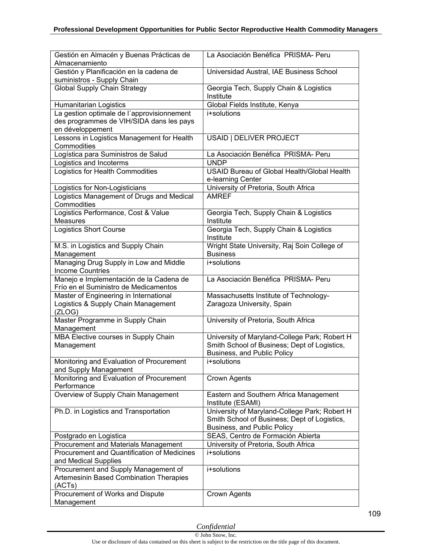| Gestión en Almacén y Buenas Prácticas de<br>Almacenamiento                       | La Asociación Benéfica PRISMA- Peru                              |
|----------------------------------------------------------------------------------|------------------------------------------------------------------|
| Gestión y Planificación en la cadena de<br>suministros - Supply Chain            | Universidad Austral, IAE Business School                         |
| <b>Global Supply Chain Strategy</b>                                              | Georgia Tech, Supply Chain & Logistics<br>Institute              |
| Humanitarian Logistics                                                           | Global Fields Institute, Kenya                                   |
| La gestion optimale de l'approvisionnement                                       | i+solutions                                                      |
| des programmes de VIH/SIDA dans les pays<br>en développement                     |                                                                  |
| Lessons in Logistics Management for Health                                       | USAID   DELIVER PROJECT                                          |
| Commodities                                                                      |                                                                  |
| Logística para Suministros de Salud                                              | La Asociación Benéfica PRISMA- Peru                              |
| Logistics and Incoterms                                                          | <b>UNDP</b>                                                      |
| Logistics for Health Commodities                                                 | USAID Bureau of Global Health/Global Health<br>e-learning Center |
| Logistics for Non-Logisticians                                                   | University of Pretoria, South Africa                             |
| Logistics Management of Drugs and Medical                                        | <b>AMREF</b>                                                     |
| Commodities                                                                      |                                                                  |
| Logistics Performance, Cost & Value<br><b>Measures</b>                           | Georgia Tech, Supply Chain & Logistics<br>Institute              |
| <b>Logistics Short Course</b>                                                    | Georgia Tech, Supply Chain & Logistics<br>Institute              |
| M.S. in Logistics and Supply Chain<br>Management                                 | Wright State University, Raj Soin College of<br><b>Business</b>  |
| Managing Drug Supply in Low and Middle<br><b>Income Countries</b>                | i+solutions                                                      |
| Manejo e Implementación de la Cadena de<br>Frío en el Suministro de Medicamentos | La Asociación Benéfica PRISMA- Peru                              |
| Master of Engineering in International                                           | Massachusetts Institute of Technology-                           |
| Logistics & Supply Chain Management<br>(ZLOG)                                    | Zaragoza University, Spain                                       |
| Master Programme in Supply Chain<br>Management                                   | University of Pretoria, South Africa                             |
| MBA Elective courses in Supply Chain                                             | University of Maryland-College Park; Robert H                    |
| Management                                                                       | Smith School of Business; Dept of Logistics,                     |
|                                                                                  | Business, and Public Policy                                      |
| Monitoring and Evaluation of Procurement<br>and Supply Management                | i+solutions                                                      |
| Monitoring and Evaluation of Procurement<br>Performance                          | Crown Agents                                                     |
| Overview of Supply Chain Management                                              | Eastern and Southern Africa Management<br>Institute (ESAMI)      |
| Ph.D. in Logistics and Transportation                                            | University of Maryland-College Park; Robert H                    |
|                                                                                  | Smith School of Business; Dept of Logistics,                     |
|                                                                                  | Business, and Public Policy                                      |
| Postgrado en Logistica                                                           | SEAS, Centro de Formación Abierta                                |
| <b>Procurement and Materials Management</b>                                      | University of Pretoria, South Africa                             |
| Procurement and Quantification of Medicines<br>and Medical Supplies              | i+solutions                                                      |
| Procurement and Supply Management of                                             | i+solutions                                                      |
| Artemesinin Based Combination Therapies<br>(ACTs)                                |                                                                  |
| Procurement of Works and Dispute                                                 | <b>Crown Agents</b>                                              |
| Management                                                                       |                                                                  |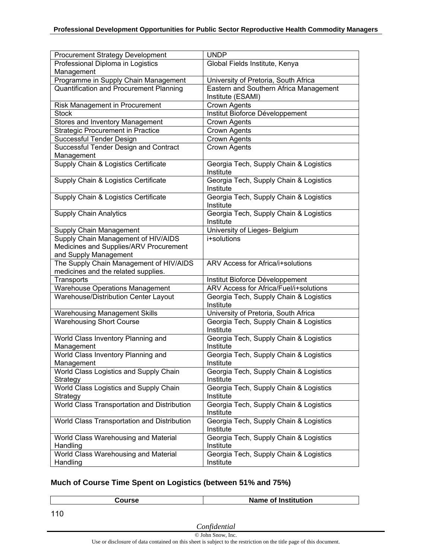| <b>Procurement Strategy Development</b>                                        | <b>UNDP</b>                                                 |
|--------------------------------------------------------------------------------|-------------------------------------------------------------|
| Professional Diploma in Logistics                                              | Global Fields Institute, Kenya                              |
| Management                                                                     |                                                             |
| Programme in Supply Chain Management                                           | University of Pretoria, South Africa                        |
| Quantification and Procurement Planning                                        | Eastern and Southern Africa Management<br>Institute (ESAMI) |
| Risk Management in Procurement                                                 | Crown Agents                                                |
| <b>Stock</b>                                                                   | Institut Bioforce Développement                             |
|                                                                                | Crown Agents                                                |
| Stores and Inventory Management                                                | <b>Crown Agents</b>                                         |
| <b>Strategic Procurement in Practice</b><br>Successful Tender Design           | <b>Crown Agents</b>                                         |
|                                                                                |                                                             |
| Successful Tender Design and Contract                                          | Crown Agents                                                |
| Management                                                                     |                                                             |
| Supply Chain & Logistics Certificate                                           | Georgia Tech, Supply Chain & Logistics<br>Institute         |
| Supply Chain & Logistics Certificate                                           | Georgia Tech, Supply Chain & Logistics<br>Institute         |
| Supply Chain & Logistics Certificate                                           | Georgia Tech, Supply Chain & Logistics<br>Institute         |
| <b>Supply Chain Analytics</b>                                                  | Georgia Tech, Supply Chain & Logistics<br>Institute         |
| Supply Chain Management                                                        | University of Lieges- Belgium                               |
| Supply Chain Management of HIV/AIDS                                            | i+solutions                                                 |
| Medicines and Supplies/ARV Procurement                                         |                                                             |
| and Supply Management                                                          |                                                             |
|                                                                                |                                                             |
|                                                                                | ARV Access for Africa/i+solutions                           |
| The Supply Chain Management of HIV/AIDS<br>medicines and the related supplies. |                                                             |
| Transports                                                                     | Institut Bioforce Développement                             |
|                                                                                | ARV Access for Africa/Fuel/i+solutions                      |
| <b>Warehouse Operations Management</b><br>Warehouse/Distribution Center Layout | Georgia Tech, Supply Chain & Logistics                      |
|                                                                                | Institute                                                   |
| <b>Warehousing Management Skills</b>                                           | University of Pretoria, South Africa                        |
| <b>Warehousing Short Course</b>                                                | Georgia Tech, Supply Chain & Logistics<br>Institute         |
| World Class Inventory Planning and<br>Management                               | Georgia Tech, Supply Chain & Logistics<br>Institute         |
| World Class Inventory Planning and                                             | Georgia Tech, Supply Chain & Logistics                      |
| Management                                                                     | Institute                                                   |
| World Class Logistics and Supply Chain<br>Strategy                             | Georgia Tech, Supply Chain & Logistics<br>Institute         |
| World Class Logistics and Supply Chain                                         | Georgia Tech, Supply Chain & Logistics                      |
| Strategy                                                                       | Institute                                                   |
| World Class Transportation and Distribution                                    | Georgia Tech, Supply Chain & Logistics<br>Institute         |
| World Class Transportation and Distribution                                    | Georgia Tech, Supply Chain & Logistics<br>Institute         |
| World Class Warehousing and Material                                           | Georgia Tech, Supply Chain & Logistics                      |
| Handling                                                                       | Institute                                                   |
| World Class Warehousing and Material<br>Handling                               | Georgia Tech, Supply Chain & Logistics<br>Institute         |

### **Much of Course Time Spent on Logistics (between 51% and 75%)**

| Course | Name of Institution |
|--------|---------------------|
|        |                     |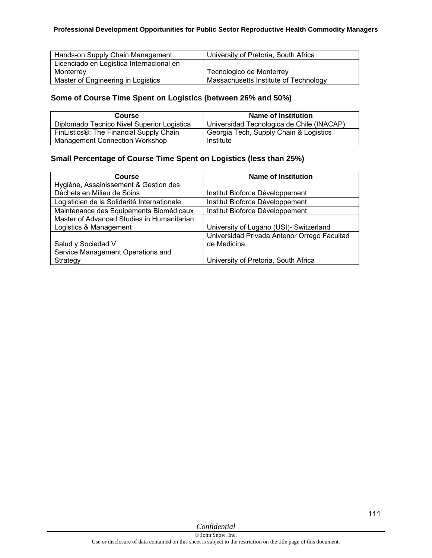| Hands-on Supply Chain Management         | University of Pretoria, South Africa  |
|------------------------------------------|---------------------------------------|
| Licenciado en Logistica Internacional en |                                       |
| Monterrev                                | Tecnologico de Monterrey              |
| Master of Engineering in Logistics       | Massachusetts Institute of Technology |

### **Some of Course Time Spent on Logistics (between 26% and 50%)**

| <b>Course</b>                              | Name of Institution                       |
|--------------------------------------------|-------------------------------------------|
| Diplomado Tecnico Nivel Superior Logistica | Universidad Tecnologica de Chile (INACAP) |
| FinListics®: The Financial Supply Chain    | Georgia Tech, Supply Chain & Logistics    |
| <b>Management Connection Workshop</b>      | Institute                                 |

#### **Small Percentage of Course Time Spent on Logistics (less than 25%)**

| Course                                      | <b>Name of Institution</b>                  |
|---------------------------------------------|---------------------------------------------|
| Hygiène, Assainissement & Gestion des       |                                             |
| Déchets en Milieu de Soins                  | Institut Bioforce Développement             |
| Logisticien de la Solidarité Internationale | Institut Bioforce Développement             |
| Maintenance des Equipements Biomédicaux     | Institut Bioforce Développement             |
| Master of Advanced Studies in Humanitarian  |                                             |
| Logistics & Management                      | University of Lugano (USI)- Switzerland     |
|                                             | Universidad Privada Antenor Orrego Facultad |
| Salud y Sociedad V                          | de Medicina                                 |
| Service Management Operations and           |                                             |
| Strategy                                    | University of Pretoria, South Africa        |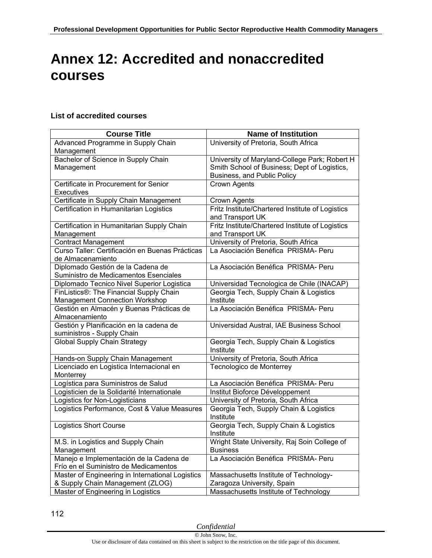# **Annex 12: Accredited and nonaccredited courses**

#### **List of accredited courses**

| <b>Course Title</b>                              | <b>Name of Institution</b>                          |
|--------------------------------------------------|-----------------------------------------------------|
| Advanced Programme in Supply Chain               | University of Pretoria, South Africa                |
| Management                                       |                                                     |
| Bachelor of Science in Supply Chain              | University of Maryland-College Park; Robert H       |
| Management                                       | Smith School of Business; Dept of Logistics,        |
|                                                  | Business, and Public Policy                         |
| Certificate in Procurement for Senior            | <b>Crown Agents</b>                                 |
| Executives                                       |                                                     |
| Certificate in Supply Chain Management           | <b>Crown Agents</b>                                 |
| Certification in Humanitarian Logistics          | Fritz Institute/Chartered Institute of Logistics    |
|                                                  | and Transport UK                                    |
| Certification in Humanitarian Supply Chain       | Fritz Institute/Chartered Institute of Logistics    |
| Management                                       | and Transport UK                                    |
| Contract Management                              | University of Pretoria, South Africa                |
| Curso Taller: Certificación en Buenas Prácticas  | La Asociación Benéfica PRISMA- Peru                 |
| de Almacenamiento                                |                                                     |
| Diplomado Gestión de la Cadena de                | La Asociación Benéfica PRISMA- Peru                 |
| Suministro de Medicamentos Esenciales            |                                                     |
| Diplomado Tecnico Nivel Superior Logistica       | Universidad Tecnologica de Chile (INACAP)           |
| FinListics®: The Financial Supply Chain          | Georgia Tech, Supply Chain & Logistics              |
| <b>Management Connection Workshop</b>            | Institute                                           |
| Gestión en Almacén y Buenas Prácticas de         | La Asociación Benéfica PRISMA- Peru                 |
| Almacenamiento                                   |                                                     |
| Gestión y Planificación en la cadena de          | Universidad Austral, IAE Business School            |
| suministros - Supply Chain                       |                                                     |
| <b>Global Supply Chain Strategy</b>              | Georgia Tech, Supply Chain & Logistics              |
|                                                  | Institute                                           |
| Hands-on Supply Chain Management                 | University of Pretoria, South Africa                |
| Licenciado en Logistica Internacional en         | Tecnologico de Monterrey                            |
| Monterrey                                        |                                                     |
| Logística para Suministros de Salud              | La Asociación Benéfica PRISMA- Peru                 |
| Logisticien de la Solidarité Internationale      | Institut Bioforce Développement                     |
| Logistics for Non-Logisticians                   | University of Pretoria, South Africa                |
| Logistics Performance, Cost & Value Measures     | Georgia Tech, Supply Chain & Logistics<br>Institute |
| <b>Logistics Short Course</b>                    | Georgia Tech, Supply Chain & Logistics              |
|                                                  | Institute                                           |
| M.S. in Logistics and Supply Chain               | Wright State University, Raj Soin College of        |
| Management                                       | <b>Business</b>                                     |
| Manejo e Implementación de la Cadena de          | La Asociación Benéfica PRISMA- Peru                 |
| Frío en el Suministro de Medicamentos            |                                                     |
| Master of Engineering in International Logistics | Massachusetts Institute of Technology-              |
| & Supply Chain Management (ZLOG)                 | Zaragoza University, Spain                          |
| Master of Engineering in Logistics               | Massachusetts Institute of Technology               |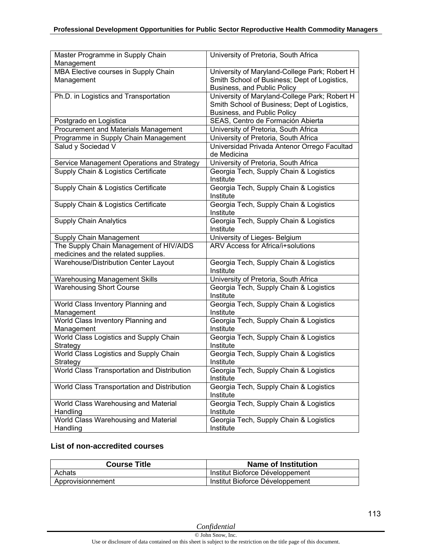| Master Programme in Supply Chain<br>Management                                 | University of Pretoria, South Africa                                                                                         |
|--------------------------------------------------------------------------------|------------------------------------------------------------------------------------------------------------------------------|
| MBA Elective courses in Supply Chain<br>Management                             | University of Maryland-College Park; Robert H<br>Smith School of Business; Dept of Logistics,<br>Business, and Public Policy |
| Ph.D. in Logistics and Transportation                                          | University of Maryland-College Park; Robert H<br>Smith School of Business; Dept of Logistics,<br>Business, and Public Policy |
| Postgrado en Logistica                                                         | SEAS, Centro de Formación Abierta                                                                                            |
| Procurement and Materials Management                                           | University of Pretoria, South Africa                                                                                         |
| Programme in Supply Chain Management                                           | University of Pretoria, South Africa                                                                                         |
| Salud y Sociedad V                                                             | Universidad Privada Antenor Orrego Facultad<br>de Medicina                                                                   |
| Service Management Operations and Strategy                                     | University of Pretoria, South Africa                                                                                         |
| Supply Chain & Logistics Certificate                                           | Georgia Tech, Supply Chain & Logistics<br>Institute                                                                          |
| Supply Chain & Logistics Certificate                                           | Georgia Tech, Supply Chain & Logistics<br>Institute                                                                          |
| Supply Chain & Logistics Certificate                                           | Georgia Tech, Supply Chain & Logistics<br>Institute                                                                          |
| <b>Supply Chain Analytics</b>                                                  | Georgia Tech, Supply Chain & Logistics<br>Institute                                                                          |
| Supply Chain Management                                                        | University of Lieges- Belgium                                                                                                |
| The Supply Chain Management of HIV/AIDS<br>medicines and the related supplies. | <b>ARV Access for Africa/i+solutions</b>                                                                                     |
| Warehouse/Distribution Center Layout                                           | Georgia Tech, Supply Chain & Logistics<br>Institute                                                                          |
| <b>Warehousing Management Skills</b>                                           | University of Pretoria, South Africa                                                                                         |
| <b>Warehousing Short Course</b>                                                | Georgia Tech, Supply Chain & Logistics<br>Institute                                                                          |
| World Class Inventory Planning and<br>Management                               | Georgia Tech, Supply Chain & Logistics<br>Institute                                                                          |
| World Class Inventory Planning and<br>Management                               | Georgia Tech, Supply Chain & Logistics<br>Institute                                                                          |
| World Class Logistics and Supply Chain<br>Strategy                             | Georgia Tech, Supply Chain & Logistics<br>Institute                                                                          |
| World Class Logistics and Supply Chain<br>Strategy                             | Georgia Tech, Supply Chain & Logistics<br>Institute                                                                          |
| World Class Transportation and Distribution                                    | Georgia Tech, Supply Chain & Logistics<br>Institute                                                                          |
| World Class Transportation and Distribution                                    | Georgia Tech, Supply Chain & Logistics<br>Institute                                                                          |
| World Class Warehousing and Material<br>Handling                               | Georgia Tech, Supply Chain & Logistics<br>Institute                                                                          |
| World Class Warehousing and Material<br>Handling                               | Georgia Tech, Supply Chain & Logistics<br>Institute                                                                          |

#### **List of non-accredited courses**

| <b>Course Title</b> | <b>Name of Institution</b>      |
|---------------------|---------------------------------|
| Achats              | Institut Bioforce Développement |
| Approvisionnement   | Institut Bioforce Développement |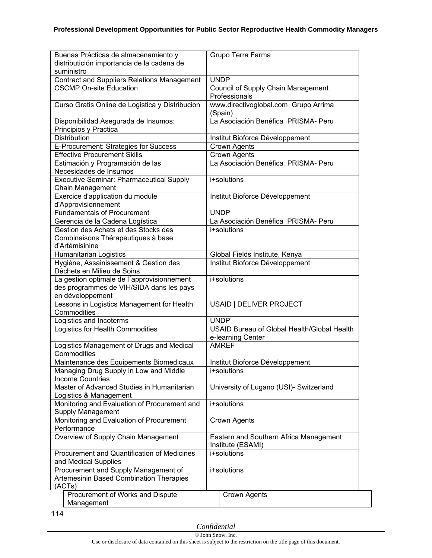| Buenas Prácticas de almacenamiento y               | Grupo Terra Farma                                           |
|----------------------------------------------------|-------------------------------------------------------------|
| distributición importancia de la cadena de         |                                                             |
| suministro                                         |                                                             |
| <b>Contract and Suppliers Relations Management</b> | <b>UNDP</b>                                                 |
| <b>CSCMP On-site Education</b>                     | Council of Supply Chain Management                          |
|                                                    | Professionals                                               |
| Curso Gratis Online de Logistica y Distribucion    | www.directivoglobal.com Grupo Arrima                        |
|                                                    | (Spain)                                                     |
| Disponibilidad Asegurada de Insumos:               | La Asociación Benéfica PRISMA- Peru                         |
| Principios y Practica                              |                                                             |
| Distribution                                       | Institut Bioforce Développement                             |
| E-Procurement: Strategies for Success              | Crown Agents                                                |
| <b>Effective Procurement Skills</b>                | Crown Agents                                                |
| Estimación y Programación de las                   | La Asociación Benéfica PRISMA- Peru                         |
| Necesidades de Insumos                             |                                                             |
| <b>Executive Seminar: Pharmaceutical Supply</b>    | i+solutions                                                 |
| Chain Management                                   |                                                             |
| Exercice d'application du module                   | Institut Bioforce Développement                             |
| d'Approvisionnement                                |                                                             |
| <b>Fundamentals of Procurement</b>                 | <b>UNDP</b>                                                 |
| Gerencia de la Cadena Logística                    | La Asociación Benéfica PRISMA- Peru                         |
| Gestion des Achats et des Stocks des               | i+solutions                                                 |
| Combinaisons Thérapeutiques à base                 |                                                             |
| d'Artémisinine                                     |                                                             |
| Humanitarian Logistics                             | Global Fields Institute, Kenya                              |
| Hygiène, Assainissement & Gestion des              | Institut Bioforce Développement                             |
| Déchets en Milieu de Soins                         |                                                             |
| La gestion optimale de l'approvisionnement         | i+solutions                                                 |
| des programmes de VIH/SIDA dans les pays           |                                                             |
| en développement                                   |                                                             |
| Lessons in Logistics Management for Health         | USAID   DELIVER PROJECT                                     |
| Commodities                                        |                                                             |
| Logistics and Incoterms                            | <b>UNDP</b>                                                 |
| <b>Logistics for Health Commodities</b>            | <b>USAID Bureau of Global Health/Global Health</b>          |
|                                                    | e-learning Center                                           |
| Logistics Management of Drugs and Medical          | <b>AMREF</b>                                                |
| Commodities                                        |                                                             |
| Maintenance des Equipements Biomedicaux            |                                                             |
| Managing Drug Supply in Low and Middle             | Institut Bioforce Développement<br>i+solutions              |
| <b>Income Countries</b>                            |                                                             |
| Master of Advanced Studies in Humanitarian         | University of Lugano (USI)- Switzerland                     |
|                                                    |                                                             |
| Logistics & Management                             | i+solutions                                                 |
| Monitoring and Evaluation of Procurement and       |                                                             |
| Supply Management                                  |                                                             |
| Monitoring and Evaluation of Procurement           | Crown Agents                                                |
| Performance                                        |                                                             |
| Overview of Supply Chain Management                | Eastern and Southern Africa Management<br>Institute (ESAMI) |
| Procurement and Quantification of Medicines        | i+solutions                                                 |
| and Medical Supplies                               |                                                             |
| Procurement and Supply Management of               | i+solutions                                                 |
| Artemesinin Based Combination Therapies            |                                                             |
| (ACTs)                                             |                                                             |
| Procurement of Works and Dispute                   | Crown Agents                                                |
| Management                                         |                                                             |

114

*Confidential*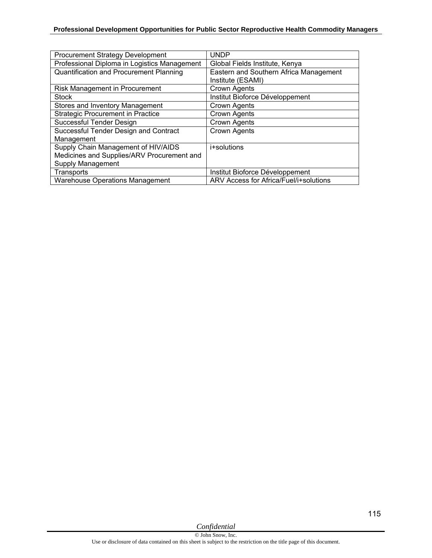| <b>Procurement Strategy Development</b>        | <b>UNDP</b>                            |
|------------------------------------------------|----------------------------------------|
| Professional Diploma in Logistics Management   | Global Fields Institute, Kenya         |
| <b>Quantification and Procurement Planning</b> | Eastern and Southern Africa Management |
|                                                | Institute (ESAMI)                      |
| Risk Management in Procurement                 | Crown Agents                           |
| <b>Stock</b>                                   | Institut Bioforce Développement        |
| Stores and Inventory Management                | Crown Agents                           |
| <b>Strategic Procurement in Practice</b>       | <b>Crown Agents</b>                    |
| Successful Tender Design                       | <b>Crown Agents</b>                    |
| Successful Tender Design and Contract          | <b>Crown Agents</b>                    |
| Management                                     |                                        |
| Supply Chain Management of HIV/AIDS            | i+solutions                            |
| Medicines and Supplies/ARV Procurement and     |                                        |
| Supply Management                              |                                        |
| Transports                                     | Institut Bioforce Développement        |
| <b>Warehouse Operations Management</b>         | ARV Access for Africa/Fuel/i+solutions |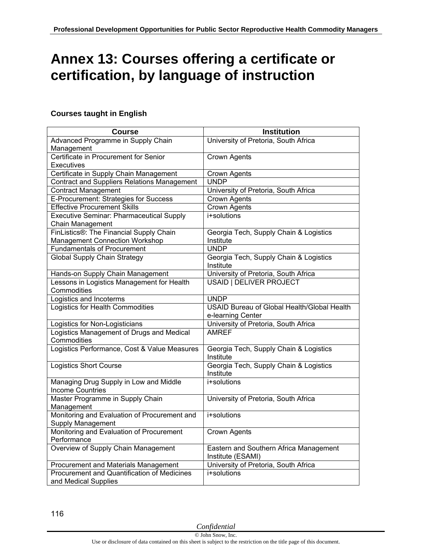# **Annex 13: Courses offering a certificate or certification, by language of instruction**

#### **Courses taught in English**

| <b>Course</b>                                      | <b>Institution</b>                                  |
|----------------------------------------------------|-----------------------------------------------------|
| Advanced Programme in Supply Chain                 | University of Pretoria, South Africa                |
| Management                                         |                                                     |
| Certificate in Procurement for Senior              | <b>Crown Agents</b>                                 |
| Executives                                         |                                                     |
| Certificate in Supply Chain Management             | Crown Agents                                        |
| <b>Contract and Suppliers Relations Management</b> | <b>UNDP</b>                                         |
| <b>Contract Management</b>                         | University of Pretoria, South Africa                |
| E-Procurement: Strategies for Success              | Crown Agents                                        |
| <b>Effective Procurement Skills</b>                | Crown Agents                                        |
| <b>Executive Seminar: Pharmaceutical Supply</b>    | i+solutions                                         |
| Chain Management                                   |                                                     |
| FinListics®: The Financial Supply Chain            | Georgia Tech, Supply Chain & Logistics              |
| <b>Management Connection Workshop</b>              | Institute                                           |
| <b>Fundamentals of Procurement</b>                 | <b>UNDP</b>                                         |
| <b>Global Supply Chain Strategy</b>                | Georgia Tech, Supply Chain & Logistics              |
|                                                    | Institute                                           |
| Hands-on Supply Chain Management                   | University of Pretoria, South Africa                |
| Lessons in Logistics Management for Health         | <b>USAID   DELIVER PROJECT</b>                      |
| Commodities                                        |                                                     |
| Logistics and Incoterms                            | <b>UNDP</b>                                         |
| Logistics for Health Commodities                   | <b>USAID Bureau of Global Health/Global Health</b>  |
|                                                    | e-learning Center                                   |
| Logistics for Non-Logisticians                     | University of Pretoria, South Africa                |
| Logistics Management of Drugs and Medical          | <b>AMREF</b>                                        |
| Commodities                                        |                                                     |
| Logistics Performance, Cost & Value Measures       | Georgia Tech, Supply Chain & Logistics              |
| <b>Logistics Short Course</b>                      | Institute<br>Georgia Tech, Supply Chain & Logistics |
|                                                    | Institute                                           |
| Managing Drug Supply in Low and Middle             | i+solutions                                         |
| <b>Income Countries</b>                            |                                                     |
| Master Programme in Supply Chain                   | University of Pretoria, South Africa                |
| Management                                         |                                                     |
| Monitoring and Evaluation of Procurement and       | i+solutions                                         |
| Supply Management                                  |                                                     |
| Monitoring and Evaluation of Procurement           | Crown Agents                                        |
| Performance                                        |                                                     |
| Overview of Supply Chain Management                | Eastern and Southern Africa Management              |
|                                                    | Institute (ESAMI)                                   |
| <b>Procurement and Materials Management</b>        | University of Pretoria, South Africa                |
| Procurement and Quantification of Medicines        | i+solutions                                         |
| and Medical Supplies                               |                                                     |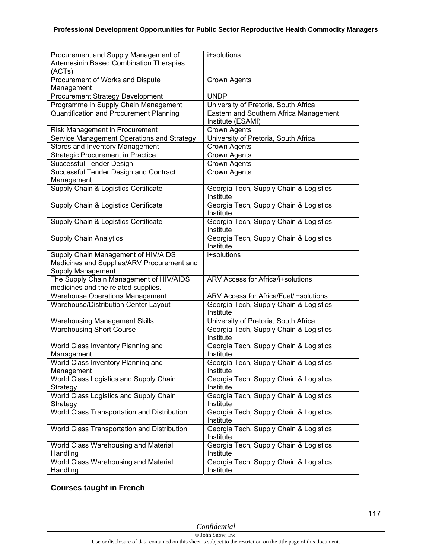| Procurement and Supply Management of        | i+solutions                                         |
|---------------------------------------------|-----------------------------------------------------|
|                                             |                                                     |
| Artemesinin Based Combination Therapies     |                                                     |
| (ACTs)                                      |                                                     |
| Procurement of Works and Dispute            | Crown Agents                                        |
| Management                                  |                                                     |
| <b>Procurement Strategy Development</b>     | <b>UNDP</b>                                         |
| Programme in Supply Chain Management        | University of Pretoria, South Africa                |
| Quantification and Procurement Planning     | Eastern and Southern Africa Management              |
|                                             | Institute (ESAMI)                                   |
| Risk Management in Procurement              | Crown Agents                                        |
| Service Management Operations and Strategy  | University of Pretoria, South Africa                |
| <b>Stores and Inventory Management</b>      | Crown Agents                                        |
| <b>Strategic Procurement in Practice</b>    | Crown Agents                                        |
| Successful Tender Design                    | Crown Agents                                        |
| Successful Tender Design and Contract       | Crown Agents                                        |
| Management                                  |                                                     |
| Supply Chain & Logistics Certificate        | Georgia Tech, Supply Chain & Logistics              |
|                                             | Institute                                           |
| Supply Chain & Logistics Certificate        | Georgia Tech, Supply Chain & Logistics              |
|                                             | Institute                                           |
| Supply Chain & Logistics Certificate        | Georgia Tech, Supply Chain & Logistics              |
|                                             | Institute                                           |
| <b>Supply Chain Analytics</b>               | Georgia Tech, Supply Chain & Logistics              |
|                                             | Institute                                           |
| Supply Chain Management of HIV/AIDS         | i+solutions                                         |
| Medicines and Supplies/ARV Procurement and  |                                                     |
| <b>Supply Management</b>                    |                                                     |
| The Supply Chain Management of HIV/AIDS     | ARV Access for Africa/i+solutions                   |
|                                             |                                                     |
| medicines and the related supplies.         |                                                     |
| <b>Warehouse Operations Management</b>      | ARV Access for Africa/Fuel/i+solutions              |
| Warehouse/Distribution Center Layout        | Georgia Tech, Supply Chain & Logistics<br>Institute |
|                                             |                                                     |
| <b>Warehousing Management Skills</b>        | University of Pretoria, South Africa                |
| <b>Warehousing Short Course</b>             | Georgia Tech, Supply Chain & Logistics              |
|                                             | Institute                                           |
| World Class Inventory Planning and          | Georgia Tech, Supply Chain & Logistics              |
| Management                                  | Institute                                           |
| World Class Inventory Planning and          | Georgia Tech, Supply Chain & Logistics              |
| Management                                  | Institute                                           |
| World Class Logistics and Supply Chain      | Georgia Tech, Supply Chain & Logistics              |
| Strategy                                    | Institute                                           |
| World Class Logistics and Supply Chain      | Georgia Tech, Supply Chain & Logistics              |
| Strategy                                    | Institute                                           |
| World Class Transportation and Distribution | Georgia Tech, Supply Chain & Logistics              |
|                                             | Institute                                           |
| World Class Transportation and Distribution | Georgia Tech, Supply Chain & Logistics              |
|                                             | Institute                                           |
| World Class Warehousing and Material        | Georgia Tech, Supply Chain & Logistics              |
| Handling                                    | Institute                                           |
| World Class Warehousing and Material        | Georgia Tech, Supply Chain & Logistics              |
| Handling                                    | Institute                                           |

### **Courses taught in French**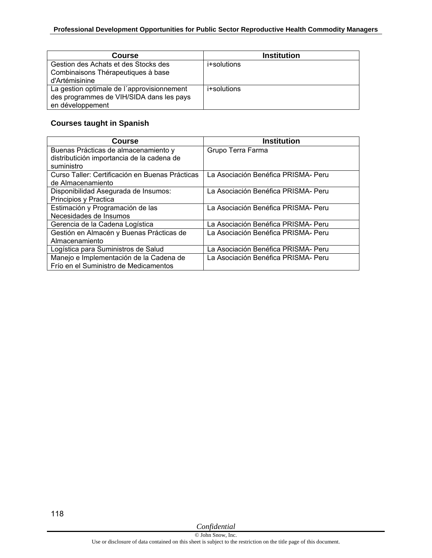| <b>Course</b>                                                                                              | <b>Institution</b> |
|------------------------------------------------------------------------------------------------------------|--------------------|
| Gestion des Achats et des Stocks des<br>Combinaisons Thérapeutiques à base<br>d'Artémisinine               | i+solutions        |
| La gestion optimale de l'approvisionnement<br>des programmes de VIH/SIDA dans les pays<br>en développement | i+solutions        |

### **Courses taught in Spanish**

| Course                                          | Institution                         |
|-------------------------------------------------|-------------------------------------|
| Buenas Prácticas de almacenamiento y            | Grupo Terra Farma                   |
| distributición importancia de la cadena de      |                                     |
| suministro                                      |                                     |
| Curso Taller: Certificación en Buenas Prácticas | La Asociación Benéfica PRISMA- Peru |
| de Almacenamiento                               |                                     |
| Disponibilidad Asegurada de Insumos:            | La Asociación Benéfica PRISMA- Peru |
| Principios y Practica                           |                                     |
| Estimación y Programación de las                | La Asociación Benéfica PRISMA- Peru |
| Necesidades de Insumos                          |                                     |
| Gerencia de la Cadena Logística                 | La Asociación Benéfica PRISMA- Peru |
| Gestión en Almacén y Buenas Prácticas de        | La Asociación Benéfica PRISMA- Peru |
| Almacenamiento                                  |                                     |
| Logística para Suministros de Salud             | La Asociación Benéfica PRISMA- Peru |
| Manejo e Implementación de la Cadena de         | La Asociación Benéfica PRISMA- Peru |
| Frío en el Suministro de Medicamentos           |                                     |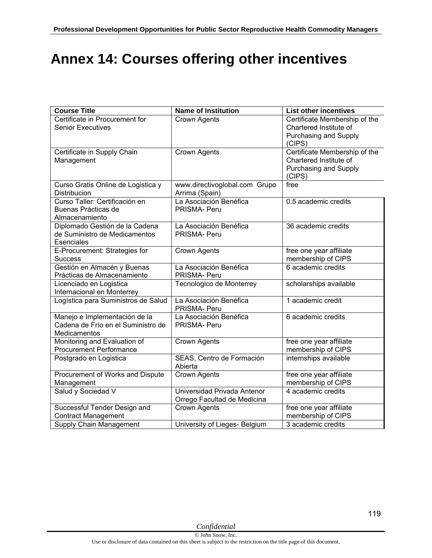# **Annex 14: Courses offering other incentives**

| <b>Course Title</b>                                                                 | <b>Name of Institution</b>                                 | <b>List other incentives</b>                                                               |
|-------------------------------------------------------------------------------------|------------------------------------------------------------|--------------------------------------------------------------------------------------------|
| Certificate in Procurement for<br><b>Senior Executives</b>                          | Crown Agents                                               | Certificate Membership of the<br>Chartered Institute of<br>Purchasing and Supply<br>(CIPS) |
| Certificate in Supply Chain<br>Management                                           | Crown Agents                                               | Certificate Membership of the<br>Chartered Institute of<br>Purchasing and Supply<br>(CIPS) |
| Curso Gratis Online de Logistica y<br><b>Distribucion</b>                           | www.directivoglobal.com Grupo<br>Arrima (Spain)            | free                                                                                       |
| Curso Taller: Certificación en<br>Buenas Prácticas de<br>Almacenamiento             | La Asociación Benéfica<br>PRISMA- Peru                     | 0.5 academic credits                                                                       |
| Diplomado Gestión de la Cadena<br>de Suministro de Medicamentos<br>Esenciales       | La Asociación Benéfica<br>PRISMA- Peru                     | 36 academic credits                                                                        |
| E-Procurement: Strategies for<br><b>Success</b>                                     | Crown Agents                                               | free one year affiliate<br>membership of CIPS                                              |
| Gestión en Almacén y Buenas<br>Prácticas de Almacenamiento                          | La Asociación Benéfica<br>PRISMA- Peru                     | 6 academic credits                                                                         |
| Licenciado en Logistica<br>Internacional en Monterrey                               | Tecnologico de Monterrey                                   | scholarships available                                                                     |
| Logística para Suministros de Salud                                                 | La Asociación Benéfica<br>PRISMA- Peru                     | 1 academic credit                                                                          |
| Manejo e Implementación de la<br>Cadena de Frío en el Suministro de<br>Medicamentos | La Asociación Benéfica<br>PRISMA- Peru                     | 6 academic credits                                                                         |
| Monitoring and Evaluation of<br><b>Procurement Performance</b>                      | Crown Agents                                               | free one year affiliate<br>membership of CIPS                                              |
| Postgrado en Logistica                                                              | SEAS, Centro de Formación<br>Abierta                       | internships available                                                                      |
| Procurement of Works and Dispute<br>Management                                      | Crown Agents                                               | free one year affiliate<br>membership of CIPS                                              |
| Salud y Sociedad V                                                                  | Universidad Privada Antenor<br>Orrego Facultad de Medicina | 4 academic credits                                                                         |
| Successful Tender Design and<br><b>Contract Management</b>                          | <b>Crown Agents</b>                                        | free one year affiliate<br>membership of CIPS                                              |
| Supply Chain Management                                                             | University of Lieges- Belgium                              | 3 academic credits                                                                         |

119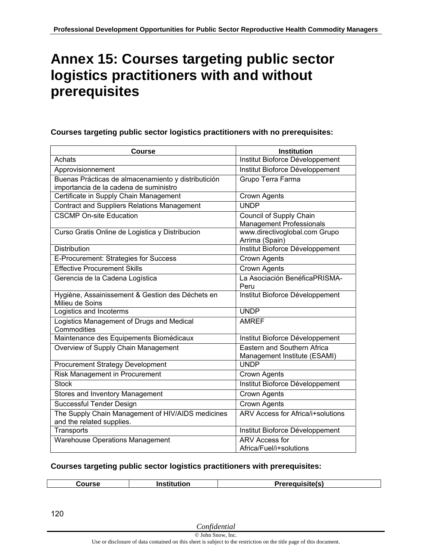## **Annex 15: Courses targeting public sector logistics practitioners with and without prerequisites**

#### **Courses targeting public sector logistics practitioners with no prerequisites:**

| Course                                                                                        | <b>Institution</b>                                                 |
|-----------------------------------------------------------------------------------------------|--------------------------------------------------------------------|
| Achats                                                                                        | Institut Bioforce Développement                                    |
| Approvisionnement                                                                             | Institut Bioforce Développement                                    |
| Buenas Prácticas de almacenamiento y distributición<br>importancia de la cadena de suministro | Grupo Terra Farma                                                  |
| Certificate in Supply Chain Management                                                        | <b>Crown Agents</b>                                                |
| <b>Contract and Suppliers Relations Management</b>                                            | <b>UNDP</b>                                                        |
| <b>CSCMP On-site Education</b>                                                                | Council of Supply Chain<br><b>Management Professionals</b>         |
| Curso Gratis Online de Logistica y Distribucion                                               | www.directivoglobal.com Grupo<br>Arrima (Spain)                    |
| <b>Distribution</b>                                                                           | Institut Bioforce Développement                                    |
| E-Procurement: Strategies for Success                                                         | <b>Crown Agents</b>                                                |
| <b>Effective Procurement Skills</b>                                                           | Crown Agents                                                       |
| Gerencia de la Cadena Logística                                                               | La Asociación BenéficaPRISMA-<br>Peru                              |
| Hygiène, Assainissement & Gestion des Déchets en<br>Milieu de Soins                           | Institut Bioforce Développement                                    |
| Logistics and Incoterms                                                                       | <b>UNDP</b>                                                        |
| Logistics Management of Drugs and Medical<br>Commodities                                      | <b>AMREF</b>                                                       |
| Maintenance des Equipements Biomédicaux                                                       | Institut Bioforce Développement                                    |
| Overview of Supply Chain Management                                                           | <b>Eastern and Southern Africa</b><br>Management Institute (ESAMI) |
| <b>Procurement Strategy Development</b>                                                       | <b>UNDP</b>                                                        |
| Risk Management in Procurement                                                                | <b>Crown Agents</b>                                                |
| <b>Stock</b>                                                                                  | Institut Bioforce Développement                                    |
| Stores and Inventory Management                                                               | <b>Crown Agents</b>                                                |
| Successful Tender Design                                                                      | <b>Crown Agents</b>                                                |
| The Supply Chain Management of HIV/AIDS medicines<br>and the related supplies.                | ARV Access for Africa/i+solutions                                  |
| Transports                                                                                    | Institut Bioforce Développement                                    |
| <b>Warehouse Operations Management</b>                                                        | <b>ARV Access for</b><br>Africa/Fuel/i+solutions                   |

#### **Courses targeting public sector logistics practitioners with prerequisites:**

| .           | uicito/c)       |
|-------------|-----------------|
| Course      | П <u>иљиљан</u> |
| Institution | .               |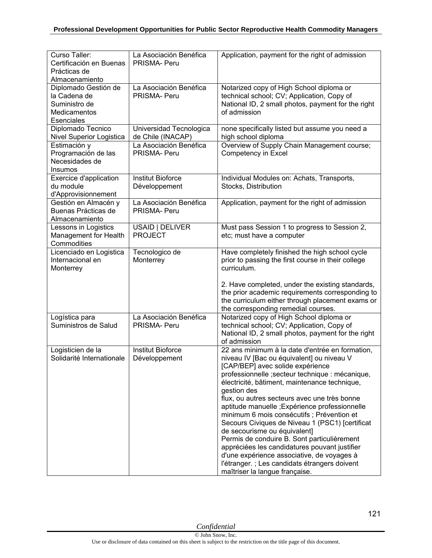| Curso Taller:<br>Certificación en Buenas<br>Prácticas de<br>Almacenamiento          | La Asociación Benéfica<br>PRISMA- Peru       | Application, payment for the right of admission                                                                                                                                                                                                                                                                                                                                                                                                                                                                                                                                                                                                                                                                           |
|-------------------------------------------------------------------------------------|----------------------------------------------|---------------------------------------------------------------------------------------------------------------------------------------------------------------------------------------------------------------------------------------------------------------------------------------------------------------------------------------------------------------------------------------------------------------------------------------------------------------------------------------------------------------------------------------------------------------------------------------------------------------------------------------------------------------------------------------------------------------------------|
| Diplomado Gestión de<br>la Cadena de<br>Suministro de<br>Medicamentos<br>Esenciales | La Asociación Benéfica<br>PRISMA- Peru       | Notarized copy of High School diploma or<br>technical school; CV; Application, Copy of<br>National ID, 2 small photos, payment for the right<br>of admission                                                                                                                                                                                                                                                                                                                                                                                                                                                                                                                                                              |
| Diplomado Tecnico<br>Nivel Superior Logistica                                       | Universidad Tecnologica<br>de Chile (INACAP) | none specifically listed but assume you need a<br>high school diploma                                                                                                                                                                                                                                                                                                                                                                                                                                                                                                                                                                                                                                                     |
| Estimación y<br>Programación de las<br>Necesidades de<br>Insumos                    | La Asociación Benéfica<br>PRISMA- Peru       | Overview of Supply Chain Management course;<br>Competency in Excel                                                                                                                                                                                                                                                                                                                                                                                                                                                                                                                                                                                                                                                        |
| Exercice d'application<br>du module<br>d'Approvisionnement                          | <b>Institut Bioforce</b><br>Développement    | Individual Modules on: Achats, Transports,<br>Stocks, Distribution                                                                                                                                                                                                                                                                                                                                                                                                                                                                                                                                                                                                                                                        |
| Gestión en Almacén y<br>Buenas Prácticas de<br>Almacenamiento                       | La Asociación Benéfica<br><b>PRISMA-Peru</b> | Application, payment for the right of admission                                                                                                                                                                                                                                                                                                                                                                                                                                                                                                                                                                                                                                                                           |
| Lessons in Logistics<br>Management for Health<br>Commodities                        | USAID   DELIVER<br><b>PROJECT</b>            | Must pass Session 1 to progress to Session 2,<br>etc; must have a computer                                                                                                                                                                                                                                                                                                                                                                                                                                                                                                                                                                                                                                                |
| Licenciado en Logistica<br>Internacional en<br>Monterrey                            | Tecnologico de<br>Monterrey                  | Have completely finished the high school cycle<br>prior to passing the first course in their college<br>curriculum.                                                                                                                                                                                                                                                                                                                                                                                                                                                                                                                                                                                                       |
|                                                                                     |                                              | 2. Have completed, under the existing standards,<br>the prior academic requirements corresponding to<br>the curriculum either through placement exams or<br>the corresponding remedial courses.                                                                                                                                                                                                                                                                                                                                                                                                                                                                                                                           |
| Logística para<br>Suministros de Salud                                              | La Asociación Benéfica<br><b>PRISMA-Peru</b> | Notarized copy of High School diploma or<br>technical school; CV; Application, Copy of<br>National ID, 2 small photos, payment for the right<br>of admission                                                                                                                                                                                                                                                                                                                                                                                                                                                                                                                                                              |
| Logisticien de la<br>Solidarité Internationale                                      | <b>Institut Bioforce</b><br>Développement    | 22 ans minimum à la date d'entrée en formation,<br>niveau IV [Bac ou équivalent] ou niveau V<br>[CAP/BEP] avec solide expérience<br>professionnelle ; secteur technique : mécanique,<br>électricité, bâtiment, maintenance technique,<br>gestion des<br>flux, ou autres secteurs avec une très bonne<br>aptitude manuelle ; Expérience professionnelle<br>minimum 6 mois consécutifs ; Prévention et<br>Secours Civiques de Niveau 1 (PSC1) [certificat]<br>de secourisme ou équivalent]<br>Permis de conduire B. Sont particulièrement<br>appréciées les candidatures pouvant justifier<br>d'une expérience associative, de voyages à<br>l'étranger. ; Les candidats étrangers doivent<br>maîtriser la langue française. |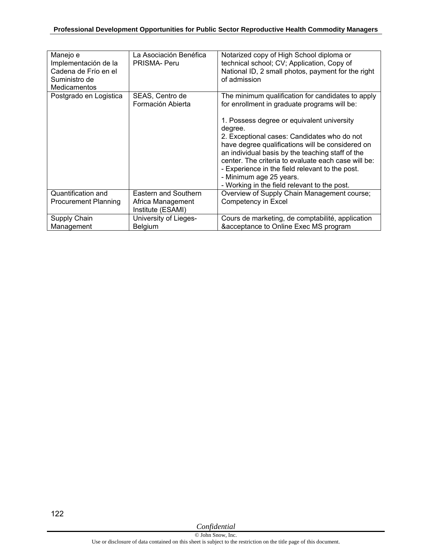| Manejo e<br>Implementación de la<br>Cadena de Frío en el<br>Suministro de<br><b>Medicamentos</b> | La Asociación Benéfica<br>PRISMA- Peru | Notarized copy of High School diploma or<br>technical school; CV; Application, Copy of<br>National ID, 2 small photos, payment for the right<br>of admission |
|--------------------------------------------------------------------------------------------------|----------------------------------------|--------------------------------------------------------------------------------------------------------------------------------------------------------------|
| Postgrado en Logistica                                                                           | SEAS, Centro de<br>Formación Abierta   | The minimum qualification for candidates to apply<br>for enrollment in graduate programs will be:                                                            |
|                                                                                                  |                                        | 1. Possess degree or equivalent university<br>degree.                                                                                                        |
|                                                                                                  |                                        | 2. Exceptional cases: Candidates who do not                                                                                                                  |
|                                                                                                  |                                        | have degree qualifications will be considered on<br>an individual basis by the teaching staff of the                                                         |
|                                                                                                  |                                        | center. The criteria to evaluate each case will be:                                                                                                          |
|                                                                                                  |                                        | - Experience in the field relevant to the post.<br>- Minimum age 25 years.                                                                                   |
|                                                                                                  |                                        | - Working in the field relevant to the post.                                                                                                                 |
| Quantification and                                                                               | Eastern and Southern                   | Overview of Supply Chain Management course;                                                                                                                  |
| <b>Procurement Planning</b>                                                                      | Africa Management<br>Institute (ESAMI) | Competency in Excel                                                                                                                                          |
| Supply Chain                                                                                     | University of Lieges-                  | Cours de marketing, de comptabilité, application                                                                                                             |
| Management                                                                                       | Belgium                                | &acceptance to Online Exec MS program                                                                                                                        |

122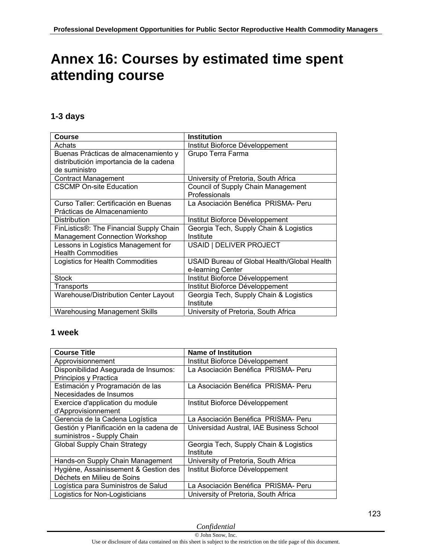# **Annex 16: Courses by estimated time spent attending course**

### **1-3 days**

| Course                                  | <b>Institution</b>                          |
|-----------------------------------------|---------------------------------------------|
| Achats                                  | Institut Bioforce Développement             |
| Buenas Prácticas de almacenamiento y    | Grupo Terra Farma                           |
| distributición importancia de la cadena |                                             |
| de suministro                           |                                             |
| <b>Contract Management</b>              | University of Pretoria, South Africa        |
| <b>CSCMP On-site Education</b>          | Council of Supply Chain Management          |
|                                         | Professionals                               |
| Curso Taller: Certificación en Buenas   | La Asociación Benéfica PRISMA-Peru          |
| Prácticas de Almacenamiento             |                                             |
| <b>Distribution</b>                     | Institut Bioforce Développement             |
| FinListics®: The Financial Supply Chain | Georgia Tech, Supply Chain & Logistics      |
| <b>Management Connection Workshop</b>   | Institute                                   |
| Lessons in Logistics Management for     | USAID   DELIVER PROJECT                     |
| <b>Health Commodities</b>               |                                             |
| Logistics for Health Commodities        | USAID Bureau of Global Health/Global Health |
|                                         | e-learning Center                           |
| <b>Stock</b>                            | Institut Bioforce Développement             |
| Transports                              | Institut Bioforce Développement             |
| Warehouse/Distribution Center Layout    | Georgia Tech, Supply Chain & Logistics      |
|                                         | Institute                                   |
| <b>Warehousing Management Skills</b>    | University of Pretoria, South Africa        |

#### **1 week**

| <b>Course Title</b>                     | <b>Name of Institution</b>               |
|-----------------------------------------|------------------------------------------|
| Approvisionnement                       | Institut Bioforce Développement          |
| Disponibilidad Asegurada de Insumos:    | La Asociación Benéfica PRISMA- Peru      |
| Principios y Practica                   |                                          |
| Estimación y Programación de las        | La Asociación Benéfica PRISMA- Peru      |
| Necesidades de Insumos                  |                                          |
| Exercice d'application du module        | Institut Bioforce Développement          |
| d'Approvisionnement                     |                                          |
| Gerencia de la Cadena Logística         | La Asociación Benéfica PRISMA- Peru      |
| Gestión y Planificación en la cadena de | Universidad Austral, IAE Business School |
| suministros - Supply Chain              |                                          |
| <b>Global Supply Chain Strategy</b>     | Georgia Tech, Supply Chain & Logistics   |
|                                         | Institute                                |
| Hands-on Supply Chain Management        | University of Pretoria, South Africa     |
| Hygiène, Assainissement & Gestion des   | Institut Bioforce Développement          |
| Déchets en Milieu de Soins              |                                          |
| Logística para Suministros de Salud     | La Asociación Benéfica PRISMA- Peru      |
| Logistics for Non-Logisticians          | University of Pretoria, South Africa     |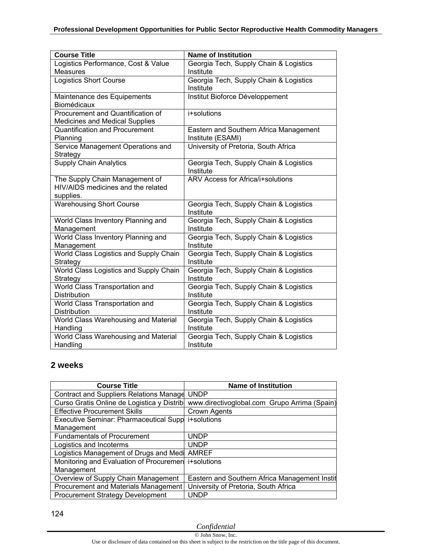| <b>Course Title</b>                    | <b>Name of Institution</b>                          |
|----------------------------------------|-----------------------------------------------------|
| Logistics Performance, Cost & Value    | Georgia Tech, Supply Chain & Logistics              |
| <b>Measures</b>                        | Institute                                           |
| <b>Logistics Short Course</b>          | Georgia Tech, Supply Chain & Logistics              |
|                                        | Institute                                           |
| Maintenance des Equipements            | Institut Bioforce Développement                     |
| Biomédicaux                            |                                                     |
| Procurement and Quantification of      | i+solutions                                         |
| <b>Medicines and Medical Supplies</b>  |                                                     |
| <b>Quantification and Procurement</b>  | Eastern and Southern Africa Management              |
| Planning                               | Institute (ESAMI)                                   |
| Service Management Operations and      | University of Pretoria, South Africa                |
| Strategy                               |                                                     |
| <b>Supply Chain Analytics</b>          | Georgia Tech, Supply Chain & Logistics<br>Institute |
| The Supply Chain Management of         | ARV Access for Africa/i+solutions                   |
| HIV/AIDS medicines and the related     |                                                     |
| supplies.                              |                                                     |
| <b>Warehousing Short Course</b>        | Georgia Tech, Supply Chain & Logistics              |
|                                        | Institute                                           |
| World Class Inventory Planning and     | Georgia Tech, Supply Chain & Logistics              |
| Management                             | Institute                                           |
| World Class Inventory Planning and     | Georgia Tech, Supply Chain & Logistics              |
| Management                             | Institute                                           |
| World Class Logistics and Supply Chain | Georgia Tech, Supply Chain & Logistics              |
| Strategy                               | Institute                                           |
| World Class Logistics and Supply Chain | Georgia Tech, Supply Chain & Logistics              |
| Strategy                               | Institute                                           |
| World Class Transportation and         | Georgia Tech, Supply Chain & Logistics              |
| Distribution                           | Institute                                           |
| World Class Transportation and         | Georgia Tech, Supply Chain & Logistics              |
| Distribution                           | Institute                                           |
| World Class Warehousing and Material   | Georgia Tech, Supply Chain & Logistics              |
| Handling                               | Institute                                           |
| World Class Warehousing and Material   | Georgia Tech, Supply Chain & Logistics              |
| Handling                               | Institute                                           |

### **2 weeks**

| <b>Course Title</b>                            | <b>Name of Institution</b>                    |
|------------------------------------------------|-----------------------------------------------|
| <b>Contract and Suppliers Relations Manage</b> | <b>UNDP</b>                                   |
| Curso Gratis Online de Logistica y Distrib     | www.directivoglobal.com Grupo Arrima (Spain)  |
| <b>Effective Procurement Skills</b>            | Crown Agents                                  |
| Executive Seminar: Pharmaceutical Supp         | i+solutions                                   |
| Management                                     |                                               |
| <b>Fundamentals of Procurement</b>             | <b>UNDP</b>                                   |
| Logistics and Incoterms                        | <b>UNDP</b>                                   |
| Logistics Management of Drugs and Medi         | <b>AMREF</b>                                  |
| Monitoring and Evaluation of Procuremen        | i+solutions                                   |
| Management                                     |                                               |
| Overview of Supply Chain Management            | Eastern and Southern Africa Management Instit |
| Procurement and Materials Management           | University of Pretoria, South Africa          |
| <b>Procurement Strategy Development</b>        | UNDP                                          |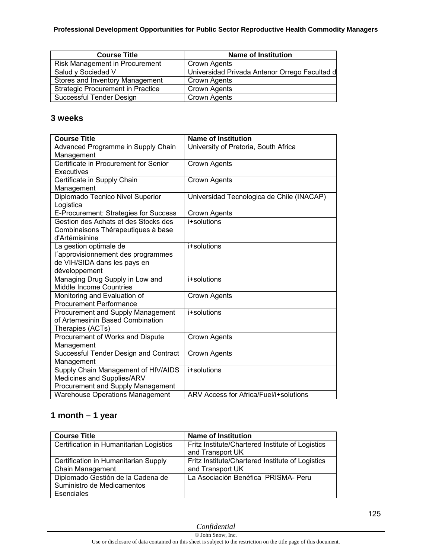| <b>Course Title</b>                      | <b>Name of Institution</b>                    |
|------------------------------------------|-----------------------------------------------|
| Risk Management in Procurement           | Crown Agents                                  |
| Salud y Sociedad V                       | Universidad Privada Antenor Orrego Facultad d |
| Stores and Inventory Management          | Crown Agents                                  |
| <b>Strategic Procurement in Practice</b> | <b>Crown Agents</b>                           |
| Successful Tender Design                 | <b>Crown Agents</b>                           |

#### **3 weeks**

| <b>Course Title</b>                    | <b>Name of Institution</b>                |
|----------------------------------------|-------------------------------------------|
| Advanced Programme in Supply Chain     | University of Pretoria, South Africa      |
| Management                             |                                           |
| Certificate in Procurement for Senior  | Crown Agents                              |
| <b>Executives</b>                      |                                           |
| Certificate in Supply Chain            | <b>Crown Agents</b>                       |
| Management                             |                                           |
| Diplomado Tecnico Nivel Superior       | Universidad Tecnologica de Chile (INACAP) |
| Logistica                              |                                           |
| E-Procurement: Strategies for Success  | Crown Agents                              |
| Gestion des Achats et des Stocks des   | i+solutions                               |
| Combinaisons Thérapeutiques à base     |                                           |
| d'Artémisinine                         |                                           |
| La gestion optimale de                 | i+solutions                               |
| l'approvisionnement des programmes     |                                           |
| de VIH/SIDA dans les pays en           |                                           |
| développement                          |                                           |
| Managing Drug Supply in Low and        | i+solutions                               |
| <b>Middle Income Countries</b>         |                                           |
| Monitoring and Evaluation of           | <b>Crown Agents</b>                       |
| <b>Procurement Performance</b>         |                                           |
| Procurement and Supply Management      | i+solutions                               |
| of Artemesinin Based Combination       |                                           |
| Therapies (ACTs)                       |                                           |
| Procurement of Works and Dispute       | <b>Crown Agents</b>                       |
| Management                             |                                           |
| Successful Tender Design and Contract  | Crown Agents                              |
| Management                             |                                           |
| Supply Chain Management of HIV/AIDS    | i+solutions                               |
| Medicines and Supplies/ARV             |                                           |
| Procurement and Supply Management      |                                           |
| <b>Warehouse Operations Management</b> | ARV Access for Africa/Fuel/i+solutions    |

## **1 month – 1 year**

| <b>Course Title</b>                     | <b>Name of Institution</b>                       |
|-----------------------------------------|--------------------------------------------------|
| Certification in Humanitarian Logistics | Fritz Institute/Chartered Institute of Logistics |
|                                         | and Transport UK                                 |
| Certification in Humanitarian Supply    | Fritz Institute/Chartered Institute of Logistics |
| Chain Management                        | and Transport UK                                 |
| Diplomado Gestión de la Cadena de       | La Asociación Benéfica PRISMA-Peru               |
| Suministro de Medicamentos              |                                                  |
| Esenciales                              |                                                  |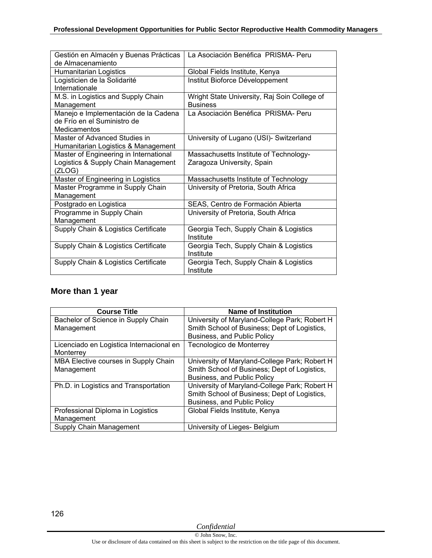| Gestión en Almacén y Buenas Prácticas  | La Asociación Benéfica PRISMA-Peru           |
|----------------------------------------|----------------------------------------------|
| de Almacenamiento                      |                                              |
| Humanitarian Logistics                 | Global Fields Institute, Kenya               |
| Logisticien de la Solidarité           | Institut Bioforce Développement              |
| Internationale                         |                                              |
| M.S. in Logistics and Supply Chain     | Wright State University, Raj Soin College of |
| Management                             | <b>Business</b>                              |
| Manejo e Implementación de la Cadena   | La Asociación Benéfica PRISMA- Peru          |
| de Frío en el Suministro de            |                                              |
| Medicamentos                           |                                              |
| Master of Advanced Studies in          | University of Lugano (USI)- Switzerland      |
| Humanitarian Logistics & Management    |                                              |
| Master of Engineering in International | Massachusetts Institute of Technology-       |
| Logistics & Supply Chain Management    | Zaragoza University, Spain                   |
| (ZLOG)                                 |                                              |
| Master of Engineering in Logistics     | Massachusetts Institute of Technology        |
| Master Programme in Supply Chain       | University of Pretoria, South Africa         |
| Management                             |                                              |
| Postgrado en Logistica                 | SEAS, Centro de Formación Abierta            |
| Programme in Supply Chain              | University of Pretoria, South Africa         |
| Management                             |                                              |
| Supply Chain & Logistics Certificate   | Georgia Tech, Supply Chain & Logistics       |
|                                        | Institute                                    |
| Supply Chain & Logistics Certificate   | Georgia Tech, Supply Chain & Logistics       |
|                                        | Institute                                    |
| Supply Chain & Logistics Certificate   | Georgia Tech, Supply Chain & Logistics       |
|                                        | Institute                                    |

## **More than 1 year**

| <b>Course Title</b>                      | <b>Name of Institution</b>                    |
|------------------------------------------|-----------------------------------------------|
| Bachelor of Science in Supply Chain      | University of Maryland-College Park; Robert H |
| Management                               | Smith School of Business; Dept of Logistics,  |
|                                          | Business, and Public Policy                   |
| Licenciado en Logistica Internacional en | Tecnologico de Monterrey                      |
| Monterrey                                |                                               |
| MBA Elective courses in Supply Chain     | University of Maryland-College Park; Robert H |
| Management                               | Smith School of Business; Dept of Logistics,  |
|                                          | Business, and Public Policy                   |
| Ph.D. in Logistics and Transportation    | University of Maryland-College Park; Robert H |
|                                          | Smith School of Business; Dept of Logistics,  |
|                                          | Business, and Public Policy                   |
| Professional Diploma in Logistics        | Global Fields Institute, Kenya                |
| Management                               |                                               |
| Supply Chain Management                  | University of Lieges- Belgium                 |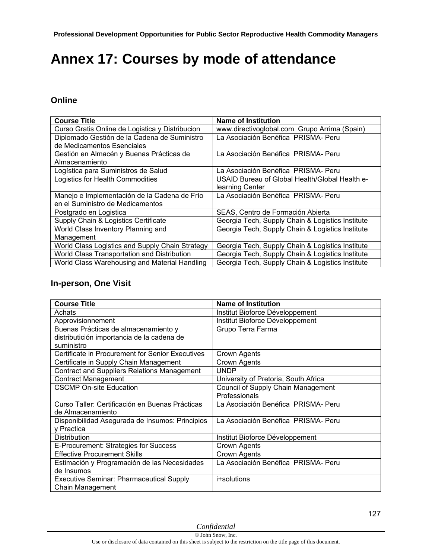# **Annex 17: Courses by mode of attendance**

#### **Online**

| <b>Course Title</b>                             | <b>Name of Institution</b>                       |
|-------------------------------------------------|--------------------------------------------------|
| Curso Gratis Online de Logistica y Distribucion | www.directivoglobal.com Grupo Arrima (Spain)     |
| Diplomado Gestión de la Cadena de Suministro    | La Asociación Benéfica PRISMA- Peru              |
| de Medicamentos Esenciales                      |                                                  |
| Gestión en Almacén y Buenas Prácticas de        | La Asociación Benéfica PRISMA- Peru              |
| Almacenamiento                                  |                                                  |
| Logística para Suministros de Salud             | La Asociación Benéfica PRISMA- Peru              |
| Logistics for Health Commodities                | USAID Bureau of Global Health/Global Health e-   |
|                                                 | learning Center                                  |
| Manejo e Implementación de la Cadena de Frío    | La Asociación Benéfica PRISMA- Peru              |
| en el Suministro de Medicamentos                |                                                  |
| Postgrado en Logistica                          | SEAS, Centro de Formación Abierta                |
| Supply Chain & Logistics Certificate            | Georgia Tech, Supply Chain & Logistics Institute |
| World Class Inventory Planning and              | Georgia Tech, Supply Chain & Logistics Institute |
| Management                                      |                                                  |
| World Class Logistics and Supply Chain Strategy | Georgia Tech, Supply Chain & Logistics Institute |
| World Class Transportation and Distribution     | Georgia Tech, Supply Chain & Logistics Institute |
| World Class Warehousing and Material Handling   | Georgia Tech, Supply Chain & Logistics Institute |

#### **In-person, One Visit**

| <b>Course Title</b>                                | <b>Name of Institution</b>           |
|----------------------------------------------------|--------------------------------------|
| Achats                                             | Institut Bioforce Développement      |
| Approvisionnement                                  | Institut Bioforce Développement      |
| Buenas Prácticas de almacenamiento y               | Grupo Terra Farma                    |
| distributición importancia de la cadena de         |                                      |
| suministro                                         |                                      |
| Certificate in Procurement for Senior Executives   | <b>Crown Agents</b>                  |
| Certificate in Supply Chain Management             | Crown Agents                         |
| <b>Contract and Suppliers Relations Management</b> | <b>UNDP</b>                          |
| <b>Contract Management</b>                         | University of Pretoria, South Africa |
| <b>CSCMP On-site Education</b>                     | Council of Supply Chain Management   |
|                                                    | Professionals                        |
| Curso Taller: Certificación en Buenas Prácticas    | La Asociación Benéfica PRISMA-Peru   |
| de Almacenamiento                                  |                                      |
| Disponibilidad Asegurada de Insumos: Principios    | La Asociación Benéfica PRISMA-Peru   |
| y Practica                                         |                                      |
| <b>Distribution</b>                                | Institut Bioforce Développement      |
| E-Procurement: Strategies for Success              | Crown Agents                         |
| <b>Effective Procurement Skills</b>                | Crown Agents                         |
| Estimación y Programación de las Necesidades       | La Asociación Benéfica PRISMA- Peru  |
| de Insumos                                         |                                      |
| <b>Executive Seminar: Pharmaceutical Supply</b>    | i+solutions                          |
| Chain Management                                   |                                      |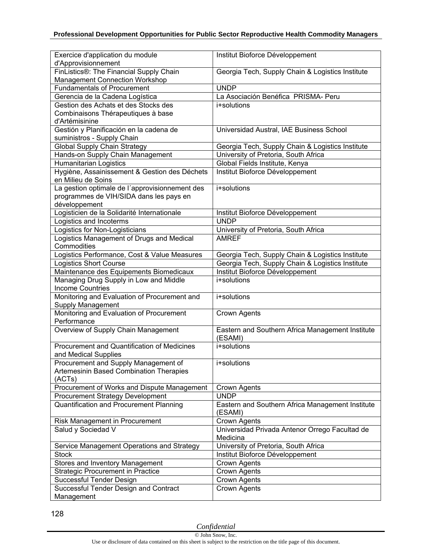| Exercice d'application du module                           | Institut Bioforce Développement                             |
|------------------------------------------------------------|-------------------------------------------------------------|
| d'Approvisionnement                                        |                                                             |
| FinListics®: The Financial Supply Chain                    | Georgia Tech, Supply Chain & Logistics Institute            |
| <b>Management Connection Workshop</b>                      |                                                             |
| <b>Fundamentals of Procurement</b>                         | <b>UNDP</b>                                                 |
| Gerencia de la Cadena Logística                            | La Asociación Benéfica PRISMA- Peru                         |
| Gestion des Achats et des Stocks des                       | i+solutions                                                 |
| Combinaisons Thérapeutiques à base                         |                                                             |
| d'Artémisinine                                             |                                                             |
| Gestión y Planificación en la cadena de                    | Universidad Austral, IAE Business School                    |
| suministros - Supply Chain                                 |                                                             |
| <b>Global Supply Chain Strategy</b>                        | Georgia Tech, Supply Chain & Logistics Institute            |
| Hands-on Supply Chain Management                           | University of Pretoria, South Africa                        |
| <b>Humanitarian Logistics</b>                              | Global Fields Institute, Kenya                              |
| Hygiène, Assainissement & Gestion des Déchets              | Institut Bioforce Développement                             |
| en Milieu de Soins                                         |                                                             |
| La gestion optimale de l'approvisionnement des             | i+solutions                                                 |
| programmes de VIH/SIDA dans les pays en                    |                                                             |
| développement                                              |                                                             |
| Logisticien de la Solidarité Internationale                | Institut Bioforce Développement                             |
|                                                            | <b>UNDP</b>                                                 |
| Logistics and Incoterms                                    |                                                             |
| Logistics for Non-Logisticians                             | University of Pretoria, South Africa                        |
| Logistics Management of Drugs and Medical                  | <b>AMREF</b>                                                |
| Commodities                                                |                                                             |
| Logistics Performance, Cost & Value Measures               | Georgia Tech, Supply Chain & Logistics Institute            |
| <b>Logistics Short Course</b>                              | Georgia Tech, Supply Chain & Logistics Institute            |
| Maintenance des Equipements Biomedicaux                    | Institut Bioforce Développement                             |
| Managing Drug Supply in Low and Middle                     | i+solutions                                                 |
| <b>Income Countries</b>                                    |                                                             |
| Monitoring and Evaluation of Procurement and               | i+solutions                                                 |
| Supply Management                                          |                                                             |
| Monitoring and Evaluation of Procurement                   | Crown Agents                                                |
| Performance                                                |                                                             |
| Overview of Supply Chain Management                        | Eastern and Southern Africa Management Institute<br>(ESAMI) |
| Procurement and Quantification of Medicines                | i+solutions                                                 |
| and Medical Supplies                                       |                                                             |
| Procurement and Supply Management of                       | i+solutions                                                 |
| Artemesinin Based Combination Therapies                    |                                                             |
| (ACTs)                                                     |                                                             |
| Procurement of Works and Dispute Management                | Crown Agents                                                |
| <b>Procurement Strategy Development</b>                    | <b>UNDP</b>                                                 |
| Quantification and Procurement Planning                    | Eastern and Southern Africa Management Institute            |
|                                                            | (ESAMI)                                                     |
| Risk Management in Procurement                             | Crown Agents                                                |
| Salud y Sociedad V                                         | Universidad Privada Antenor Orrego Facultad de<br>Medicina  |
|                                                            | University of Pretoria, South Africa                        |
| Service Management Operations and Strategy<br><b>Stock</b> |                                                             |
|                                                            | Institut Bioforce Développement                             |
| <b>Stores and Inventory Management</b>                     | Crown Agents                                                |
| <b>Strategic Procurement in Practice</b>                   | Crown Agents                                                |
| Successful Tender Design                                   | Crown Agents                                                |
| Successful Tender Design and Contract                      | Crown Agents                                                |
| Management                                                 |                                                             |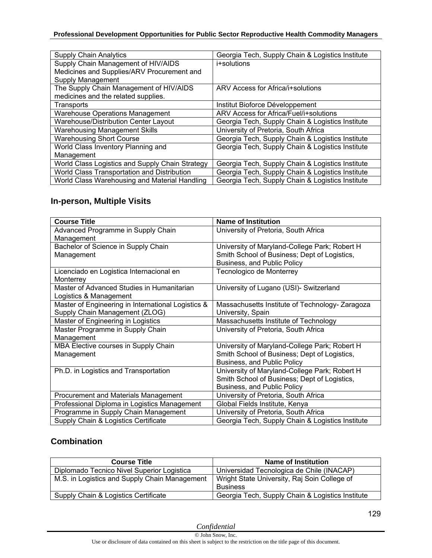#### **Professional Development Opportunities for Public Sector Reproductive Health Commodity Managers**

| <b>Supply Chain Analytics</b>                   | Georgia Tech, Supply Chain & Logistics Institute |
|-------------------------------------------------|--------------------------------------------------|
| Supply Chain Management of HIV/AIDS             | i+solutions                                      |
| Medicines and Supplies/ARV Procurement and      |                                                  |
| Supply Management                               |                                                  |
| The Supply Chain Management of HIV/AIDS         | ARV Access for Africa/i+solutions                |
| medicines and the related supplies.             |                                                  |
| Transports                                      | Institut Bioforce Développement                  |
| <b>Warehouse Operations Management</b>          | ARV Access for Africa/Fuel/i+solutions           |
| Warehouse/Distribution Center Layout            | Georgia Tech, Supply Chain & Logistics Institute |
| <b>Warehousing Management Skills</b>            | University of Pretoria, South Africa             |
| <b>Warehousing Short Course</b>                 | Georgia Tech, Supply Chain & Logistics Institute |
| World Class Inventory Planning and              | Georgia Tech, Supply Chain & Logistics Institute |
| Management                                      |                                                  |
| World Class Logistics and Supply Chain Strategy | Georgia Tech, Supply Chain & Logistics Institute |
| World Class Transportation and Distribution     | Georgia Tech, Supply Chain & Logistics Institute |
| World Class Warehousing and Material Handling   | Georgia Tech, Supply Chain & Logistics Institute |

### **In-person, Multiple Visits**

| <b>Course Title</b>                                | <b>Name of Institution</b>                       |
|----------------------------------------------------|--------------------------------------------------|
| Advanced Programme in Supply Chain                 | University of Pretoria, South Africa             |
| Management                                         |                                                  |
| Bachelor of Science in Supply Chain                | University of Maryland-College Park; Robert H    |
| Management                                         | Smith School of Business; Dept of Logistics,     |
|                                                    | Business, and Public Policy                      |
| Licenciado en Logistica Internacional en           | Tecnologico de Monterrey                         |
| Monterrey                                          |                                                  |
| Master of Advanced Studies in Humanitarian         | University of Lugano (USI)- Switzerland          |
| Logistics & Management                             |                                                  |
| Master of Engineering in International Logistics & | Massachusetts Institute of Technology-Zaragoza   |
| Supply Chain Management (ZLOG)                     | University, Spain                                |
| Master of Engineering in Logistics                 | Massachusetts Institute of Technology            |
| Master Programme in Supply Chain                   | University of Pretoria, South Africa             |
| Management                                         |                                                  |
| MBA Elective courses in Supply Chain               | University of Maryland-College Park; Robert H    |
| Management                                         | Smith School of Business; Dept of Logistics,     |
|                                                    | Business, and Public Policy                      |
| Ph.D. in Logistics and Transportation              | University of Maryland-College Park; Robert H    |
|                                                    | Smith School of Business; Dept of Logistics,     |
|                                                    | Business, and Public Policy                      |
| Procurement and Materials Management               | University of Pretoria, South Africa             |
| Professional Diploma in Logistics Management       | Global Fields Institute, Kenya                   |
| Programme in Supply Chain Management               | University of Pretoria, South Africa             |
| Supply Chain & Logistics Certificate               | Georgia Tech, Supply Chain & Logistics Institute |

## **Combination**

| <b>Course Title</b>                           | <b>Name of Institution</b>                       |
|-----------------------------------------------|--------------------------------------------------|
| Diplomado Tecnico Nivel Superior Logistica    | Universidad Tecnologica de Chile (INACAP)        |
| M.S. in Logistics and Supply Chain Management | Wright State University, Raj Soin College of     |
|                                               | <b>Business</b>                                  |
| Supply Chain & Logistics Certificate          | Georgia Tech, Supply Chain & Logistics Institute |

*Confidential*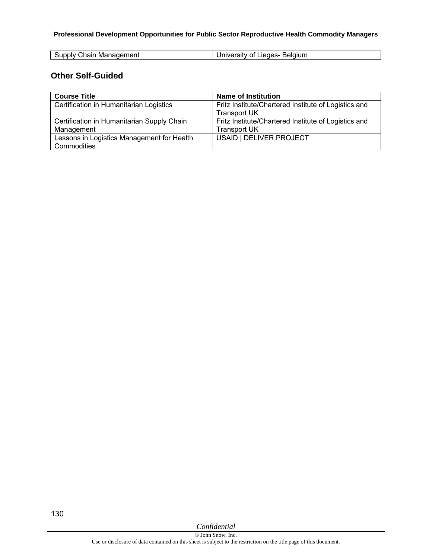#### **Professional Development Opportunities for Public Sector Reproductive Health Commodity Managers**

| ı Manaqement   | · Belaium             |
|----------------|-----------------------|
| Supply Chain ' | University of Lieges- |

#### **Other Self-Guided**

| <b>Course Title</b>                        | <b>Name of Institution</b>                           |
|--------------------------------------------|------------------------------------------------------|
| Certification in Humanitarian Logistics    | Fritz Institute/Chartered Institute of Logistics and |
|                                            | <b>Transport UK</b>                                  |
| Certification in Humanitarian Supply Chain | Fritz Institute/Chartered Institute of Logistics and |
| Management                                 | <b>Transport UK</b>                                  |
| Lessons in Logistics Management for Health | USAID   DELIVER PROJECT                              |
| Commodities                                |                                                      |

130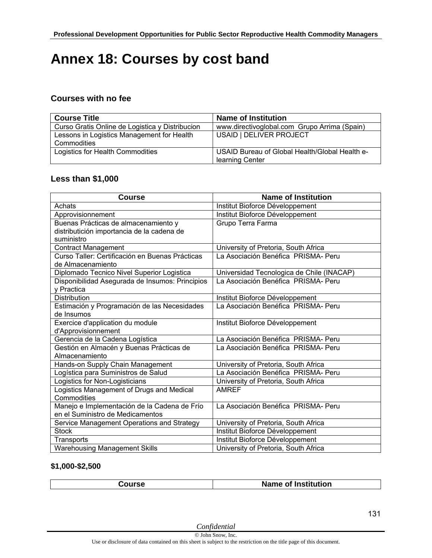# **Annex 18: Courses by cost band**

### **Courses with no fee**

| <b>Name of Institution</b>                                        |
|-------------------------------------------------------------------|
| www.directivoglobal.com Grupo Arrima (Spain)                      |
| USAID   DELIVER PROJECT                                           |
|                                                                   |
| USAID Bureau of Global Health/Global Health e-<br>learning Center |
|                                                                   |

#### **Less than \$1,000**

| <b>Course</b>                                   | <b>Name of Institution</b>                |
|-------------------------------------------------|-------------------------------------------|
| Achats                                          | Institut Bioforce Développement           |
| Approvisionnement                               | Institut Bioforce Développement           |
| Buenas Prácticas de almacenamiento y            | Grupo Terra Farma                         |
| distributición importancia de la cadena de      |                                           |
| suministro                                      |                                           |
| <b>Contract Management</b>                      | University of Pretoria, South Africa      |
| Curso Taller: Certificación en Buenas Prácticas | La Asociación Benéfica PRISMA- Peru       |
| de Almacenamiento                               |                                           |
| Diplomado Tecnico Nivel Superior Logistica      | Universidad Tecnologica de Chile (INACAP) |
| Disponibilidad Asegurada de Insumos: Principios | La Asociación Benéfica PRISMA- Peru       |
| y Practica                                      |                                           |
| <b>Distribution</b>                             | Institut Bioforce Développement           |
| Estimación y Programación de las Necesidades    | La Asociación Benéfica PRISMA- Peru       |
| de Insumos                                      |                                           |
| Exercice d'application du module                | Institut Bioforce Développement           |
| d'Approvisionnement                             |                                           |
| Gerencia de la Cadena Logística                 | La Asociación Benéfica PRISMA- Peru       |
| Gestión en Almacén y Buenas Prácticas de        | La Asociación Benéfica PRISMA- Peru       |
| Almacenamiento                                  |                                           |
| Hands-on Supply Chain Management                | University of Pretoria, South Africa      |
| Logística para Suministros de Salud             | La Asociación Benéfica PRISMA- Peru       |
| Logistics for Non-Logisticians                  | University of Pretoria, South Africa      |
| Logistics Management of Drugs and Medical       | <b>AMREF</b>                              |
| Commodities                                     |                                           |
| Manejo e Implementación de la Cadena de Frío    | La Asociación Benéfica PRISMA- Peru       |
| en el Suministro de Medicamentos                |                                           |
| Service Management Operations and Strategy      | University of Pretoria, South Africa      |
| <b>Stock</b>                                    | Institut Bioforce Développement           |
| Transports                                      | Institut Bioforce Développement           |
| <b>Warehousing Management Skills</b>            | University of Pretoria, South Africa      |

#### **\$1,000-\$2,500**

| . |  |  |
|---|--|--|
|---|--|--|

*Confidential*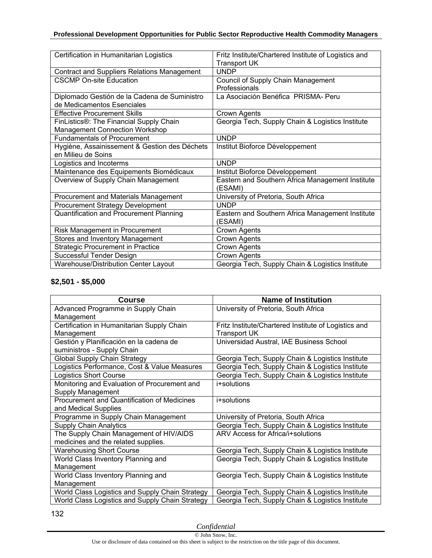| Certification in Humanitarian Logistics            | Fritz Institute/Chartered Institute of Logistics and        |
|----------------------------------------------------|-------------------------------------------------------------|
|                                                    | <b>Transport UK</b>                                         |
| <b>Contract and Suppliers Relations Management</b> | <b>UNDP</b>                                                 |
| <b>CSCMP On-site Education</b>                     | Council of Supply Chain Management                          |
|                                                    | Professionals                                               |
| Diplomado Gestión de la Cadena de Suministro       | La Asociación Benéfica PRISMA- Peru                         |
| de Medicamentos Esenciales                         |                                                             |
| <b>Effective Procurement Skills</b>                | Crown Agents                                                |
| FinListics®: The Financial Supply Chain            | Georgia Tech, Supply Chain & Logistics Institute            |
| <b>Management Connection Workshop</b>              |                                                             |
| <b>Fundamentals of Procurement</b>                 | <b>UNDP</b>                                                 |
| Hygiène, Assainissement & Gestion des Déchets      | Institut Bioforce Développement                             |
| en Milieu de Soins                                 |                                                             |
| Logistics and Incoterms                            | <b>UNDP</b>                                                 |
|                                                    |                                                             |
| Maintenance des Equipements Biomédicaux            | Institut Bioforce Développement                             |
| Overview of Supply Chain Management                | Eastern and Southern Africa Management Institute            |
|                                                    | (ESAMI)                                                     |
| Procurement and Materials Management               | University of Pretoria, South Africa                        |
| Procurement Strategy Development                   | <b>UNDP</b>                                                 |
| Quantification and Procurement Planning            | Eastern and Southern Africa Management Institute<br>(ESAMI) |
| Risk Management in Procurement                     | Crown Agents                                                |
| Stores and Inventory Management                    | Crown Agents                                                |
| <b>Strategic Procurement in Practice</b>           | Crown Agents                                                |
| Successful Tender Design                           | Crown Agents                                                |

#### **\$2,501 - \$5,000**

| <b>Course</b>                                   | <b>Name of Institution</b>                           |
|-------------------------------------------------|------------------------------------------------------|
| Advanced Programme in Supply Chain              | University of Pretoria, South Africa                 |
| Management                                      |                                                      |
| Certification in Humanitarian Supply Chain      | Fritz Institute/Chartered Institute of Logistics and |
| Management                                      | <b>Transport UK</b>                                  |
| Gestión y Planificación en la cadena de         | Universidad Austral, IAE Business School             |
| suministros - Supply Chain                      |                                                      |
| <b>Global Supply Chain Strategy</b>             | Georgia Tech, Supply Chain & Logistics Institute     |
| Logistics Performance, Cost & Value Measures    | Georgia Tech, Supply Chain & Logistics Institute     |
| <b>Logistics Short Course</b>                   | Georgia Tech, Supply Chain & Logistics Institute     |
| Monitoring and Evaluation of Procurement and    | i+solutions                                          |
| Supply Management                               |                                                      |
| Procurement and Quantification of Medicines     | i+solutions                                          |
| and Medical Supplies                            |                                                      |
| Programme in Supply Chain Management            | University of Pretoria, South Africa                 |
| <b>Supply Chain Analytics</b>                   | Georgia Tech, Supply Chain & Logistics Institute     |
| The Supply Chain Management of HIV/AIDS         | ARV Access for Africa/i+solutions                    |
| medicines and the related supplies.             |                                                      |
| <b>Warehousing Short Course</b>                 | Georgia Tech, Supply Chain & Logistics Institute     |
| World Class Inventory Planning and              | Georgia Tech, Supply Chain & Logistics Institute     |
| Management                                      |                                                      |
| World Class Inventory Planning and              | Georgia Tech, Supply Chain & Logistics Institute     |
| Management                                      |                                                      |
| World Class Logistics and Supply Chain Strategy | Georgia Tech, Supply Chain & Logistics Institute     |
| World Class Logistics and Supply Chain Strategy | Georgia Tech, Supply Chain & Logistics Institute     |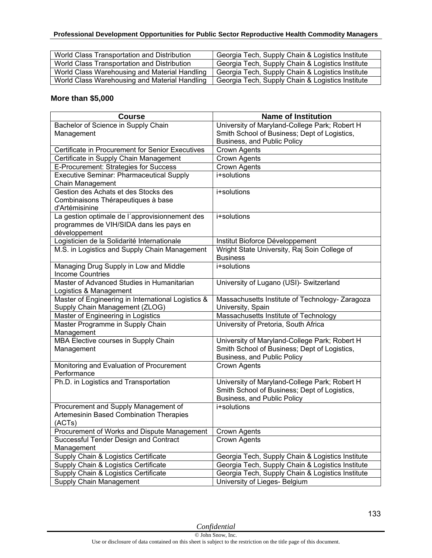#### **Professional Development Opportunities for Public Sector Reproductive Health Commodity Managers**

| World Class Transportation and Distribution   | Georgia Tech, Supply Chain & Logistics Institute |
|-----------------------------------------------|--------------------------------------------------|
| World Class Transportation and Distribution   | Georgia Tech, Supply Chain & Logistics Institute |
| World Class Warehousing and Material Handling | Georgia Tech, Supply Chain & Logistics Institute |
| World Class Warehousing and Material Handling | Georgia Tech, Supply Chain & Logistics Institute |

### **More than \$5,000**

| <b>Course</b>                                            | <b>Name of Institution</b>                                                                    |
|----------------------------------------------------------|-----------------------------------------------------------------------------------------------|
| Bachelor of Science in Supply Chain                      | University of Maryland-College Park; Robert H                                                 |
| Management                                               | Smith School of Business; Dept of Logistics,                                                  |
|                                                          | Business, and Public Policy                                                                   |
| Certificate in Procurement for Senior Executives         | Crown Agents                                                                                  |
| Certificate in Supply Chain Management                   | Crown Agents                                                                                  |
| E-Procurement: Strategies for Success                    | <b>Crown Agents</b>                                                                           |
| <b>Executive Seminar: Pharmaceutical Supply</b>          | i+solutions                                                                                   |
| Chain Management                                         |                                                                                               |
| Gestion des Achats et des Stocks des                     | i+solutions                                                                                   |
| Combinaisons Thérapeutiques à base                       |                                                                                               |
| d'Artémisinine                                           |                                                                                               |
| La gestion optimale de l'approvisionnement des           | i+solutions                                                                                   |
| programmes de VIH/SIDA dans les pays en<br>développement |                                                                                               |
| Logisticien de la Solidarité Internationale              | Institut Bioforce Développement                                                               |
| M.S. in Logistics and Supply Chain Management            | Wright State University, Raj Soin College of                                                  |
|                                                          | <b>Business</b>                                                                               |
| Managing Drug Supply in Low and Middle                   | i+solutions                                                                                   |
| <b>Income Countries</b>                                  |                                                                                               |
| Master of Advanced Studies in Humanitarian               | University of Lugano (USI)- Switzerland                                                       |
| Logistics & Management                                   |                                                                                               |
| Master of Engineering in International Logistics &       | Massachusetts Institute of Technology- Zaragoza                                               |
| Supply Chain Management (ZLOG)                           | University, Spain                                                                             |
| Master of Engineering in Logistics                       | Massachusetts Institute of Technology                                                         |
| Master Programme in Supply Chain                         | University of Pretoria, South Africa                                                          |
| Management                                               |                                                                                               |
| MBA Elective courses in Supply Chain                     | University of Maryland-College Park; Robert H                                                 |
| Management                                               | Smith School of Business; Dept of Logistics,                                                  |
|                                                          | Business, and Public Policy                                                                   |
| Monitoring and Evaluation of Procurement                 | Crown Agents                                                                                  |
| Performance                                              |                                                                                               |
| Ph.D. in Logistics and Transportation                    | University of Maryland-College Park; Robert H<br>Smith School of Business; Dept of Logistics, |
|                                                          | Business, and Public Policy                                                                   |
| Procurement and Supply Management of                     | i+solutions                                                                                   |
| Artemesinin Based Combination Therapies                  |                                                                                               |
| (ACTs)                                                   |                                                                                               |
| Procurement of Works and Dispute Management              | Crown Agents                                                                                  |
| Successful Tender Design and Contract                    | <b>Crown Agents</b>                                                                           |
| Management                                               |                                                                                               |
| <b>Supply Chain &amp; Logistics Certificate</b>          | Georgia Tech, Supply Chain & Logistics Institute                                              |
| Supply Chain & Logistics Certificate                     | Georgia Tech, Supply Chain & Logistics Institute                                              |
| Supply Chain & Logistics Certificate                     | Georgia Tech, Supply Chain & Logistics Institute                                              |
| Supply Chain Management                                  | University of Lieges- Belgium                                                                 |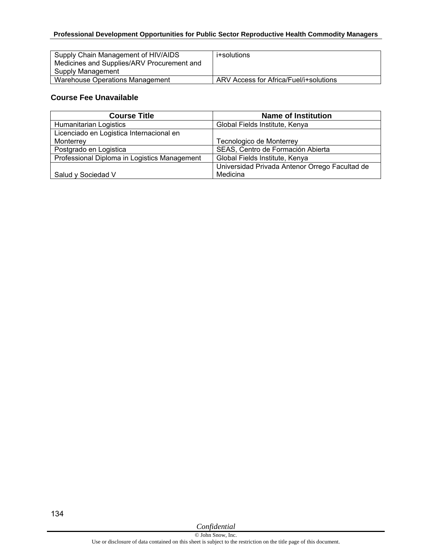#### **Professional Development Opportunities for Public Sector Reproductive Health Commodity Managers**

| Supply Chain Management of HIV/AIDS<br>Medicines and Supplies/ARV Procurement and<br>Supply Management | i+solutions                            |
|--------------------------------------------------------------------------------------------------------|----------------------------------------|
| Warehouse Operations Management                                                                        | ARV Access for Africa/Fuel/i+solutions |

#### **Course Fee Unavailable**

| <b>Course Title</b>                          | <b>Name of Institution</b>                     |
|----------------------------------------------|------------------------------------------------|
| Humanitarian Logistics                       | Global Fields Institute, Kenya                 |
| Licenciado en Logistica Internacional en     |                                                |
| Monterrey                                    | Tecnologico de Monterrey                       |
| Postgrado en Logistica                       | SEAS, Centro de Formación Abierta              |
| Professional Diploma in Logistics Management | Global Fields Institute, Kenya                 |
|                                              | Universidad Privada Antenor Orrego Facultad de |
| Salud y Sociedad V                           | Medicina                                       |

134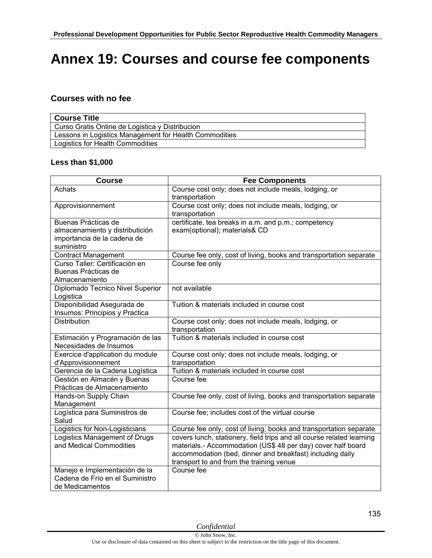# **Annex 19: Courses and course fee components**

### **Courses with no fee**

| <b>Course Title</b>                                    |
|--------------------------------------------------------|
| Curso Gratis Online de Logistica y Distribucion        |
| Lessons in Logistics Management for Health Commodities |
| Logistics for Health Commodities                       |

#### **Less than \$1,000**

| <b>Course</b>                                                                                       | <b>Fee Components</b>                                                                                                                                                                                                                          |
|-----------------------------------------------------------------------------------------------------|------------------------------------------------------------------------------------------------------------------------------------------------------------------------------------------------------------------------------------------------|
| Achats                                                                                              | Course cost only; does not include meals, lodging, or<br>transportation                                                                                                                                                                        |
| Approvisionnement                                                                                   | Course cost only; does not include meals, lodging, or<br>transportation                                                                                                                                                                        |
| Buenas Prácticas de<br>almacenamiento y distributición<br>importancia de la cadena de<br>suministro | certificate, tea breaks in a.m. and p.m.; competency<br>exam(optional); materials& CD                                                                                                                                                          |
| <b>Contract Management</b>                                                                          | Course fee only, cost of living, books and transportation separate                                                                                                                                                                             |
| Curso Taller: Certificación en<br>Buenas Prácticas de<br>Almacenamiento                             | Course fee only                                                                                                                                                                                                                                |
| Diplomado Tecnico Nivel Superior<br>Logistica                                                       | not available                                                                                                                                                                                                                                  |
| Disponibilidad Asegurada de<br>Insumos: Principios y Practica                                       | Tuition & materials included in course cost                                                                                                                                                                                                    |
| <b>Distribution</b>                                                                                 | Course cost only; does not include meals, lodging, or<br>transportation                                                                                                                                                                        |
| Estimación y Programación de las<br>Necesidades de Insumos                                          | Tuition & materials included in course cost                                                                                                                                                                                                    |
| Exercice d'application du module<br>d'Approvisionnement                                             | Course cost only; does not include meals, lodging, or<br>transportation                                                                                                                                                                        |
| Gerencia de la Cadena Logística                                                                     | Tuition & materials included in course cost                                                                                                                                                                                                    |
| Gestión en Almacén y Buenas<br>Prácticas de Almacenamiento                                          | Course fee                                                                                                                                                                                                                                     |
| Hands-on Supply Chain<br>Management                                                                 | Course fee only, cost of living, books and transportation separate                                                                                                                                                                             |
| Logística para Suministros de<br>Salud                                                              | Course fee; includes cost of the virtual course                                                                                                                                                                                                |
| Logistics for Non-Logisticians                                                                      | Course fee only, cost of living, books and transportation separate                                                                                                                                                                             |
| Logistics Management of Drugs<br>and Medical Commodities                                            | covers lunch, stationery, field trips and all course related learning<br>materials.- Accommodation (US\$ 48 per day) cover half board<br>accommodation (bed, dinner and breakfast) including daily<br>transport to and from the training venue |
| Manejo e Implementación de la<br>Cadena de Frío en el Suministro<br>de Medicamentos                 | Course fee                                                                                                                                                                                                                                     |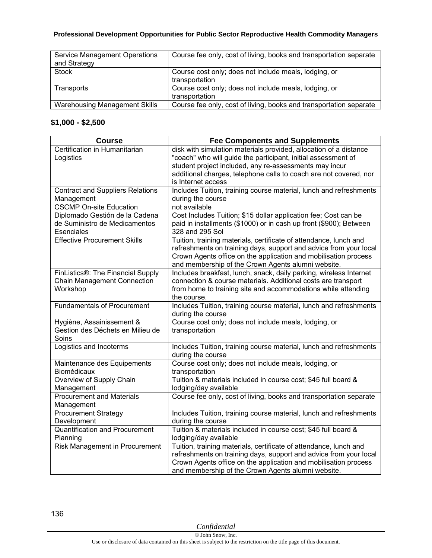| <b>Service Management Operations</b><br>and Strategy | Course fee only, cost of living, books and transportation separate      |
|------------------------------------------------------|-------------------------------------------------------------------------|
| <b>Stock</b>                                         | Course cost only; does not include meals, lodging, or<br>transportation |
| Transports                                           | Course cost only; does not include meals, lodging, or<br>transportation |
| <b>Warehousing Management Skills</b>                 | Course fee only, cost of living, books and transportation separate      |

### **\$1,000 - \$2,500**

| <b>Course</b>                           | <b>Fee Components and Supplements</b>                                                                                    |
|-----------------------------------------|--------------------------------------------------------------------------------------------------------------------------|
| Certification in Humanitarian           | disk with simulation materials provided, allocation of a distance                                                        |
| Logistics                               | "coach" who will guide the participant, initial assessment of                                                            |
|                                         | student project included, any re-assessments may incur                                                                   |
|                                         | additional charges, telephone calls to coach are not covered, nor                                                        |
|                                         | is Internet access                                                                                                       |
| <b>Contract and Suppliers Relations</b> | Includes Tuition, training course material, lunch and refreshments                                                       |
| Management                              | during the course                                                                                                        |
| <b>CSCMP On-site Education</b>          | not available                                                                                                            |
| Diplomado Gestión de la Cadena          | Cost Includes Tuition; \$15 dollar application fee; Cost can be                                                          |
| de Suministro de Medicamentos           | paid in installments (\$1000) or in cash up front (\$900); Between                                                       |
| Esenciales                              | 328 and 295 Sol                                                                                                          |
| <b>Effective Procurement Skills</b>     | Tuition, training materials, certificate of attendance, lunch and                                                        |
|                                         | refreshments on training days, support and advice from your local                                                        |
|                                         | Crown Agents office on the application and mobilisation process                                                          |
| FinListics®: The Financial Supply       | and membership of the Crown Agents alumni website.<br>Includes breakfast, lunch, snack, daily parking, wireless Internet |
| Chain Management Connection             | connection & course materials. Additional costs are transport                                                            |
| Workshop                                | from home to training site and accommodations while attending                                                            |
|                                         | the course.                                                                                                              |
| <b>Fundamentals of Procurement</b>      | Includes Tuition, training course material, lunch and refreshments                                                       |
|                                         | during the course                                                                                                        |
| Hygiène, Assainissement &               | Course cost only; does not include meals, lodging, or                                                                    |
| Gestion des Déchets en Milieu de        | transportation                                                                                                           |
| Soins                                   |                                                                                                                          |
| Logistics and Incoterms                 | Includes Tuition, training course material, lunch and refreshments                                                       |
|                                         | during the course                                                                                                        |
| Maintenance des Equipements             | Course cost only; does not include meals, lodging, or                                                                    |
| Biomédicaux                             | transportation                                                                                                           |
| Overview of Supply Chain                | Tuition & materials included in course cost; \$45 full board &                                                           |
| Management                              | lodging/day available                                                                                                    |
| <b>Procurement and Materials</b>        | Course fee only, cost of living, books and transportation separate                                                       |
| Management                              |                                                                                                                          |
| <b>Procurement Strategy</b>             | Includes Tuition, training course material, lunch and refreshments                                                       |
| Development                             | during the course                                                                                                        |
| <b>Quantification and Procurement</b>   | Tuition & materials included in course cost; \$45 full board &                                                           |
| Planning                                | lodging/day available                                                                                                    |
| Risk Management in Procurement          | Tuition, training materials, certificate of attendance, lunch and                                                        |
|                                         | refreshments on training days, support and advice from your local                                                        |
|                                         | Crown Agents office on the application and mobilisation process                                                          |
|                                         | and membership of the Crown Agents alumni website.                                                                       |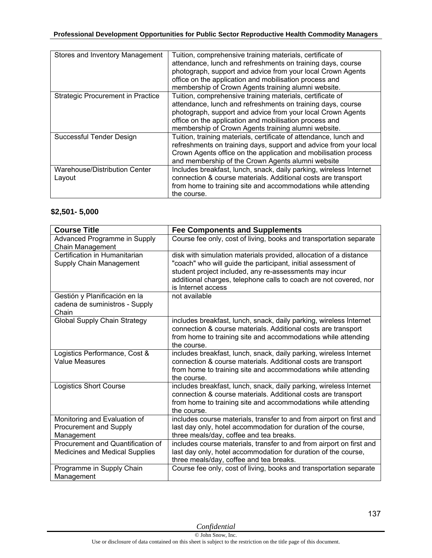| Stores and Inventory Management          | Tuition, comprehensive training materials, certificate of<br>attendance, lunch and refreshments on training days, course<br>photograph, support and advice from your local Crown Agents<br>office on the application and mobilisation process and<br>membership of Crown Agents training alumni website. |
|------------------------------------------|----------------------------------------------------------------------------------------------------------------------------------------------------------------------------------------------------------------------------------------------------------------------------------------------------------|
| <b>Strategic Procurement in Practice</b> | Tuition, comprehensive training materials, certificate of<br>attendance, lunch and refreshments on training days, course<br>photograph, support and advice from your local Crown Agents<br>office on the application and mobilisation process and<br>membership of Crown Agents training alumni website. |
| Successful Tender Design                 | Tuition, training materials, certificate of attendance, lunch and<br>refreshments on training days, support and advice from your local<br>Crown Agents office on the application and mobilisation process<br>and membership of the Crown Agents alumni website                                           |
| Warehouse/Distribution Center<br>Layout  | Includes breakfast, lunch, snack, daily parking, wireless Internet<br>connection & course materials. Additional costs are transport<br>from home to training site and accommodations while attending<br>the course.                                                                                      |

### **\$2,501- 5,000**

| <b>Course Title</b>                                                        | <b>Fee Components and Supplements</b>                                                                                                                                                                                                                                                   |
|----------------------------------------------------------------------------|-----------------------------------------------------------------------------------------------------------------------------------------------------------------------------------------------------------------------------------------------------------------------------------------|
| Advanced Programme in Supply<br>Chain Management                           | Course fee only, cost of living, books and transportation separate                                                                                                                                                                                                                      |
| Certification in Humanitarian<br>Supply Chain Management                   | disk with simulation materials provided, allocation of a distance<br>"coach" who will guide the participant, initial assessment of<br>student project included, any re-assessments may incur<br>additional charges, telephone calls to coach are not covered, nor<br>is Internet access |
| Gestión y Planificación en la<br>cadena de suministros - Supply<br>Chain   | not available                                                                                                                                                                                                                                                                           |
| Global Supply Chain Strategy                                               | includes breakfast, lunch, snack, daily parking, wireless Internet<br>connection & course materials. Additional costs are transport<br>from home to training site and accommodations while attending<br>the course.                                                                     |
| Logistics Performance, Cost &<br><b>Value Measures</b>                     | includes breakfast, lunch, snack, daily parking, wireless Internet<br>connection & course materials. Additional costs are transport<br>from home to training site and accommodations while attending<br>the course.                                                                     |
| <b>Logistics Short Course</b>                                              | includes breakfast, lunch, snack, daily parking, wireless Internet<br>connection & course materials. Additional costs are transport<br>from home to training site and accommodations while attending<br>the course.                                                                     |
| Monitoring and Evaluation of<br>Procurement and Supply<br>Management       | includes course materials, transfer to and from airport on first and<br>last day only, hotel accommodation for duration of the course,<br>three meals/day, coffee and tea breaks.                                                                                                       |
| Procurement and Quantification of<br><b>Medicines and Medical Supplies</b> | includes course materials, transfer to and from airport on first and<br>last day only, hotel accommodation for duration of the course,<br>three meals/day, coffee and tea breaks.                                                                                                       |
| Programme in Supply Chain<br>Management                                    | Course fee only, cost of living, books and transportation separate                                                                                                                                                                                                                      |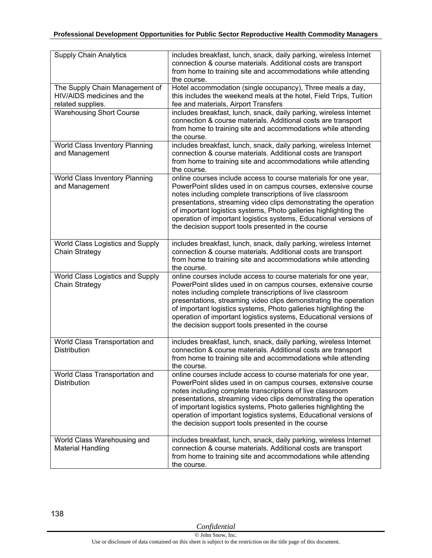| <b>Supply Chain Analytics</b>                                                     | includes breakfast, lunch, snack, daily parking, wireless Internet<br>connection & course materials. Additional costs are transport<br>from home to training site and accommodations while attending<br>the course.                                                                                                                                                                                                                                              |
|-----------------------------------------------------------------------------------|------------------------------------------------------------------------------------------------------------------------------------------------------------------------------------------------------------------------------------------------------------------------------------------------------------------------------------------------------------------------------------------------------------------------------------------------------------------|
| The Supply Chain Management of<br>HIV/AIDS medicines and the<br>related supplies. | Hotel accommodation (single occupancy), Three meals a day,<br>this includes the weekend meals at the hotel, Field Trips, Tuition<br>fee and materials, Airport Transfers                                                                                                                                                                                                                                                                                         |
| <b>Warehousing Short Course</b>                                                   | includes breakfast, lunch, snack, daily parking, wireless Internet<br>connection & course materials. Additional costs are transport<br>from home to training site and accommodations while attending<br>the course.                                                                                                                                                                                                                                              |
| World Class Inventory Planning<br>and Management                                  | includes breakfast, lunch, snack, daily parking, wireless Internet<br>connection & course materials. Additional costs are transport<br>from home to training site and accommodations while attending<br>the course.                                                                                                                                                                                                                                              |
| World Class Inventory Planning<br>and Management                                  | online courses include access to course materials for one year,<br>PowerPoint slides used in on campus courses, extensive course<br>notes including complete transcriptions of live classroom<br>presentations, streaming video clips demonstrating the operation<br>of important logistics systems, Photo galleries highlighting the<br>operation of important logistics systems, Educational versions of<br>the decision support tools presented in the course |
| World Class Logistics and Supply<br>Chain Strategy                                | includes breakfast, lunch, snack, daily parking, wireless Internet<br>connection & course materials. Additional costs are transport<br>from home to training site and accommodations while attending<br>the course.                                                                                                                                                                                                                                              |
| World Class Logistics and Supply<br>Chain Strategy                                | online courses include access to course materials for one year,<br>PowerPoint slides used in on campus courses, extensive course<br>notes including complete transcriptions of live classroom<br>presentations, streaming video clips demonstrating the operation<br>of important logistics systems, Photo galleries highlighting the<br>operation of important logistics systems, Educational versions of<br>the decision support tools presented in the course |
| World Class Transportation and<br><b>Distribution</b>                             | includes breakfast, lunch, snack, daily parking, wireless Internet<br>connection & course materials. Additional costs are transport<br>from home to training site and accommodations while attending<br>the course.                                                                                                                                                                                                                                              |
| World Class Transportation and<br>Distribution                                    | online courses include access to course materials for one year,<br>PowerPoint slides used in on campus courses, extensive course<br>notes including complete transcriptions of live classroom<br>presentations, streaming video clips demonstrating the operation<br>of important logistics systems, Photo galleries highlighting the<br>operation of important logistics systems, Educational versions of<br>the decision support tools presented in the course |
| World Class Warehousing and<br><b>Material Handling</b>                           | includes breakfast, lunch, snack, daily parking, wireless Internet<br>connection & course materials. Additional costs are transport<br>from home to training site and accommodations while attending<br>the course.                                                                                                                                                                                                                                              |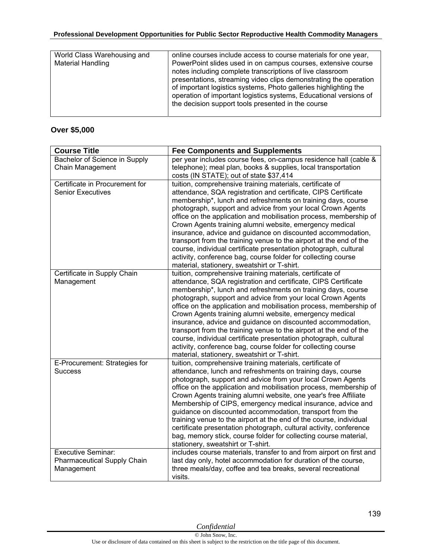| World Class Warehousing and | online courses include access to course materials for one year,                                                                                                                                                                                                                                                                                                                               |
|-----------------------------|-----------------------------------------------------------------------------------------------------------------------------------------------------------------------------------------------------------------------------------------------------------------------------------------------------------------------------------------------------------------------------------------------|
| Material Handling           | PowerPoint slides used in on campus courses, extensive course<br>notes including complete transcriptions of live classroom<br>presentations, streaming video clips demonstrating the operation<br>of important logistics systems, Photo galleries highlighting the<br>operation of important logistics systems, Educational versions of<br>the decision support tools presented in the course |
|                             |                                                                                                                                                                                                                                                                                                                                                                                               |

### **Over \$5,000**

| <b>Course Title</b>                                                    | <b>Fee Components and Supplements</b>                                                                                                                                                                                                                                                                                                                                                                                                                                                                                                                                                                                                                                                                                |
|------------------------------------------------------------------------|----------------------------------------------------------------------------------------------------------------------------------------------------------------------------------------------------------------------------------------------------------------------------------------------------------------------------------------------------------------------------------------------------------------------------------------------------------------------------------------------------------------------------------------------------------------------------------------------------------------------------------------------------------------------------------------------------------------------|
| Bachelor of Science in Supply<br><b>Chain Management</b>               | per year includes course fees, on-campus residence hall (cable &<br>telephone); meal plan, books & supplies, local transportation<br>costs (IN STATE); out of state \$37,414                                                                                                                                                                                                                                                                                                                                                                                                                                                                                                                                         |
| Certificate in Procurement for<br><b>Senior Executives</b>             | tuition, comprehensive training materials, certificate of<br>attendance, SQA registration and certificate, CIPS Certificate<br>membership*, lunch and refreshments on training days, course<br>photograph, support and advice from your local Crown Agents<br>office on the application and mobilisation process, membership of<br>Crown Agents training alumni website, emergency medical<br>insurance, advice and guidance on discounted accommodation,<br>transport from the training venue to the airport at the end of the<br>course, individual certificate presentation photograph, cultural<br>activity, conference bag, course folder for collecting course<br>material, stationery, sweatshirt or T-shirt. |
| Certificate in Supply Chain<br>Management                              | tuition, comprehensive training materials, certificate of<br>attendance, SQA registration and certificate, CIPS Certificate<br>membership*, lunch and refreshments on training days, course<br>photograph, support and advice from your local Crown Agents<br>office on the application and mobilisation process, membership of<br>Crown Agents training alumni website, emergency medical<br>insurance, advice and guidance on discounted accommodation,<br>transport from the training venue to the airport at the end of the<br>course, individual certificate presentation photograph, cultural<br>activity, conference bag, course folder for collecting course<br>material, stationery, sweatshirt or T-shirt. |
| E-Procurement: Strategies for<br><b>Success</b>                        | tuition, comprehensive training materials, certificate of<br>attendance, lunch and refreshments on training days, course<br>photograph, support and advice from your local Crown Agents<br>office on the application and mobilisation process, membership of<br>Crown Agents training alumni website, one year's free Affiliate<br>Membership of CIPS, emergency medical insurance, advice and<br>guidance on discounted accommodation, transport from the<br>training venue to the airport at the end of the course, individual<br>certificate presentation photograph, cultural activity, conference<br>bag, memory stick, course folder for collecting course material,<br>stationery, sweatshirt or T-shirt.     |
| <b>Executive Seminar:</b><br>Pharmaceutical Supply Chain<br>Management | includes course materials, transfer to and from airport on first and<br>last day only, hotel accommodation for duration of the course,<br>three meals/day, coffee and tea breaks, several recreational<br>visits.                                                                                                                                                                                                                                                                                                                                                                                                                                                                                                    |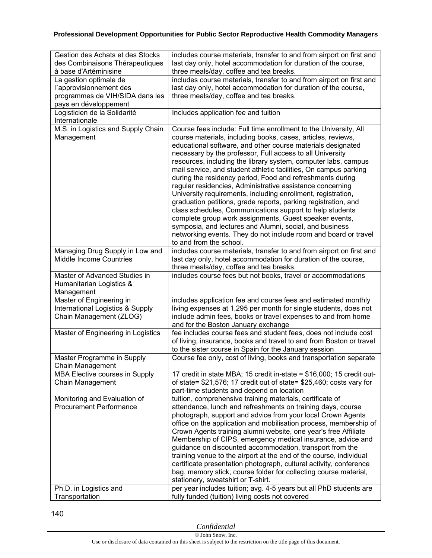| Gestion des Achats et des Stocks         | includes course materials, transfer to and from airport on first and                                                                    |
|------------------------------------------|-----------------------------------------------------------------------------------------------------------------------------------------|
| des Combinaisons Thérapeutiques          | last day only, hotel accommodation for duration of the course,                                                                          |
| à base d'Artéminisine                    | three meals/day, coffee and tea breaks.                                                                                                 |
| La gestion optimale de                   | includes course materials, transfer to and from airport on first and                                                                    |
| l'approvisionnement des                  | last day only, hotel accommodation for duration of the course,                                                                          |
| programmes de VIH/SIDA dans les          | three meals/day, coffee and tea breaks.                                                                                                 |
| pays en développement                    |                                                                                                                                         |
| Logisticien de la Solidarité             | Includes application fee and tuition                                                                                                    |
| Internationale                           |                                                                                                                                         |
| M.S. in Logistics and Supply Chain       | Course fees include: Full time enrollment to the University, All                                                                        |
| Management                               | course materials, including books, cases, articles, reviews,                                                                            |
|                                          | educational software, and other course materials designated                                                                             |
|                                          | necessary by the professor, Full access to all University                                                                               |
|                                          | resources, including the library system, computer labs, campus                                                                          |
|                                          | mail service, and student athletic facilities, On campus parking                                                                        |
|                                          | during the residency period, Food and refreshments during                                                                               |
|                                          | regular residencies, Administrative assistance concerning<br>University requirements, including enrollment, registration,               |
|                                          | graduation petitions, grade reports, parking registration, and                                                                          |
|                                          | class schedules, Communications support to help students                                                                                |
|                                          | complete group work assignments, Guest speaker events,                                                                                  |
|                                          | symposia, and lectures and Alumni, social, and business                                                                                 |
|                                          | networking events. They do not include room and board or travel                                                                         |
|                                          | to and from the school.                                                                                                                 |
| Managing Drug Supply in Low and          | includes course materials, transfer to and from airport on first and                                                                    |
| <b>Middle Income Countries</b>           | last day only, hotel accommodation for duration of the course,                                                                          |
|                                          | three meals/day, coffee and tea breaks.                                                                                                 |
| Master of Advanced Studies in            | includes course fees but not books, travel or accommodations                                                                            |
| Humanitarian Logistics &                 |                                                                                                                                         |
| Management                               |                                                                                                                                         |
| Master of Engineering in                 | includes application fee and course fees and estimated monthly                                                                          |
| International Logistics & Supply         | living expenses at 1,295 per month for single students, does not                                                                        |
| Chain Management (ZLOG)                  | include admin fees, books or travel expenses to and from home                                                                           |
|                                          | and for the Boston January exchange                                                                                                     |
| Master of Engineering in Logistics       | fee includes course fees and student fees, does not include cost<br>of living, insurance, books and travel to and from Boston or travel |
|                                          | to the sister course in Spain for the January session                                                                                   |
| Master Programme in Supply               | Course fee only, cost of living, books and transportation separate                                                                      |
| Chain Management                         |                                                                                                                                         |
| MBA Elective courses in Supply           | 17 credit in state MBA; 15 credit in-state = \$16,000; 15 credit out-                                                                   |
| Chain Management                         | of state= \$21,576; 17 credit out of state= \$25,460; costs vary for                                                                    |
|                                          | part-time students and depend on location                                                                                               |
| Monitoring and Evaluation of             | tuition, comprehensive training materials, certificate of                                                                               |
| <b>Procurement Performance</b>           | attendance, lunch and refreshments on training days, course                                                                             |
|                                          | photograph, support and advice from your local Crown Agents                                                                             |
|                                          | office on the application and mobilisation process, membership of                                                                       |
|                                          | Crown Agents training alumni website, one year's free Affiliate                                                                         |
|                                          | Membership of CIPS, emergency medical insurance, advice and                                                                             |
|                                          | guidance on discounted accommodation, transport from the                                                                                |
|                                          | training venue to the airport at the end of the course, individual                                                                      |
|                                          | certificate presentation photograph, cultural activity, conference                                                                      |
|                                          | bag, memory stick, course folder for collecting course material,                                                                        |
|                                          | stationery, sweatshirt or T-shirt.                                                                                                      |
| Ph.D. in Logistics and<br>Transportation | per year includes tuition; avg. 4-5 years but all PhD students are<br>fully funded (tuition) living costs not covered                   |
|                                          |                                                                                                                                         |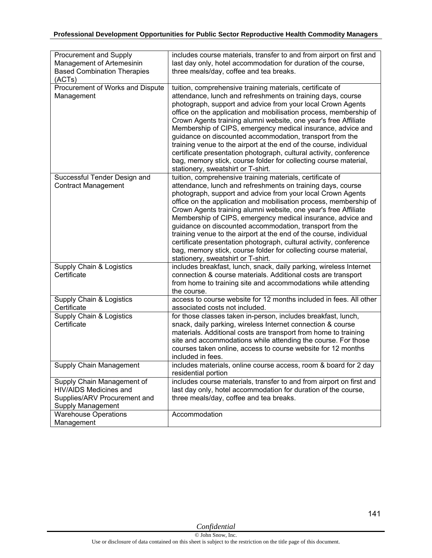| Procurement and Supply<br>Management of Artemesinin<br><b>Based Combination Therapies</b>                 | includes course materials, transfer to and from airport on first and<br>last day only, hotel accommodation for duration of the course,<br>three meals/day, coffee and tea breaks.                                                                                                                                                                                                                                                                                                                                                                                                                                                                                                                                |
|-----------------------------------------------------------------------------------------------------------|------------------------------------------------------------------------------------------------------------------------------------------------------------------------------------------------------------------------------------------------------------------------------------------------------------------------------------------------------------------------------------------------------------------------------------------------------------------------------------------------------------------------------------------------------------------------------------------------------------------------------------------------------------------------------------------------------------------|
| (ACTs)                                                                                                    |                                                                                                                                                                                                                                                                                                                                                                                                                                                                                                                                                                                                                                                                                                                  |
| Procurement of Works and Dispute<br>Management                                                            | tuition, comprehensive training materials, certificate of<br>attendance, lunch and refreshments on training days, course<br>photograph, support and advice from your local Crown Agents<br>office on the application and mobilisation process, membership of<br>Crown Agents training alumni website, one year's free Affiliate<br>Membership of CIPS, emergency medical insurance, advice and<br>guidance on discounted accommodation, transport from the<br>training venue to the airport at the end of the course, individual<br>certificate presentation photograph, cultural activity, conference<br>bag, memory stick, course folder for collecting course material,<br>stationery, sweatshirt or T-shirt. |
| Successful Tender Design and<br><b>Contract Management</b>                                                | tuition, comprehensive training materials, certificate of<br>attendance, lunch and refreshments on training days, course<br>photograph, support and advice from your local Crown Agents<br>office on the application and mobilisation process, membership of<br>Crown Agents training alumni website, one year's free Affiliate<br>Membership of CIPS, emergency medical insurance, advice and<br>guidance on discounted accommodation, transport from the<br>training venue to the airport at the end of the course, individual<br>certificate presentation photograph, cultural activity, conference<br>bag, memory stick, course folder for collecting course material,<br>stationery, sweatshirt or T-shirt. |
| Supply Chain & Logistics<br>Certificate                                                                   | includes breakfast, lunch, snack, daily parking, wireless Internet<br>connection & course materials. Additional costs are transport<br>from home to training site and accommodations while attending<br>the course.                                                                                                                                                                                                                                                                                                                                                                                                                                                                                              |
| Supply Chain & Logistics<br>Certificate                                                                   | access to course website for 12 months included in fees. All other<br>associated costs not included.                                                                                                                                                                                                                                                                                                                                                                                                                                                                                                                                                                                                             |
| Supply Chain & Logistics<br>Certificate                                                                   | for those classes taken in-person, includes breakfast, lunch,<br>snack, daily parking, wireless Internet connection & course<br>materials. Additional costs are transport from home to training<br>site and accommodations while attending the course. For those<br>courses taken online, access to course website for 12 months<br>included in fees.                                                                                                                                                                                                                                                                                                                                                            |
| <b>Supply Chain Management</b>                                                                            | includes materials, online course access, room & board for 2 day<br>residential portion                                                                                                                                                                                                                                                                                                                                                                                                                                                                                                                                                                                                                          |
| Supply Chain Management of<br>HIV/AIDS Medicines and<br>Supplies/ARV Procurement and<br>Supply Management | includes course materials, transfer to and from airport on first and<br>last day only, hotel accommodation for duration of the course,<br>three meals/day, coffee and tea breaks.                                                                                                                                                                                                                                                                                                                                                                                                                                                                                                                                |
| <b>Warehouse Operations</b><br>Management                                                                 | Accommodation                                                                                                                                                                                                                                                                                                                                                                                                                                                                                                                                                                                                                                                                                                    |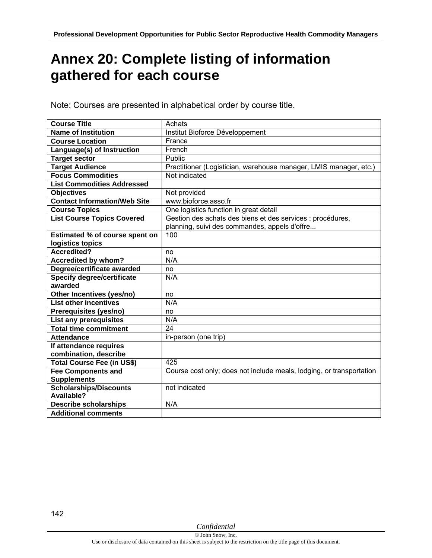# **Annex 20: Complete listing of information gathered for each course**

Note: Courses are presented in alphabetical order by course title.

| <b>Course Title</b>                 | Achats                                                               |
|-------------------------------------|----------------------------------------------------------------------|
| <b>Name of Institution</b>          | Institut Bioforce Développement                                      |
| <b>Course Location</b>              | France                                                               |
| Language(s) of Instruction          | French                                                               |
| <b>Target sector</b>                | Public                                                               |
| <b>Target Audience</b>              | Practitioner (Logistician, warehouse manager, LMIS manager, etc.)    |
| <b>Focus Commodities</b>            | Not indicated                                                        |
| <b>List Commodities Addressed</b>   |                                                                      |
| <b>Objectives</b>                   | Not provided                                                         |
| <b>Contact Information/Web Site</b> | www.bioforce.asso.fr                                                 |
| <b>Course Topics</b>                | One logistics function in great detail                               |
| <b>List Course Topics Covered</b>   | Gestion des achats des biens et des services : procédures,           |
|                                     | planning, suivi des commandes, appels d'offre                        |
| Estimated % of course spent on      | 100                                                                  |
| logistics topics                    |                                                                      |
| Accredited?                         | no                                                                   |
| <b>Accredited by whom?</b>          | N/A                                                                  |
| Degree/certificate awarded          | no                                                                   |
| <b>Specify degree/certificate</b>   | N/A                                                                  |
| awarded                             |                                                                      |
| Other Incentives (yes/no)           | no                                                                   |
| <b>List other incentives</b>        | N/A                                                                  |
| Prerequisites (yes/no)              | no                                                                   |
| List any prerequisites              | N/A                                                                  |
| <b>Total time commitment</b>        | 24                                                                   |
| <b>Attendance</b>                   | in-person (one trip)                                                 |
| If attendance requires              |                                                                      |
| combination, describe               |                                                                      |
| Total Course Fee (in US\$)          | 425                                                                  |
| <b>Fee Components and</b>           | Course cost only; does not include meals, lodging, or transportation |
| <b>Supplements</b>                  |                                                                      |
| <b>Scholarships/Discounts</b>       | not indicated                                                        |
| Available?                          |                                                                      |
| <b>Describe scholarships</b>        | N/A                                                                  |
| <b>Additional comments</b>          |                                                                      |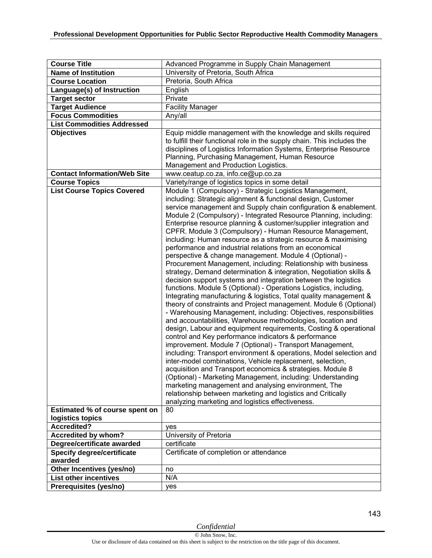| <b>Course Title</b>                                                        | Advanced Programme in Supply Chain Management                                                                                                                                                                                                                                                                                                                                                                                                                                                                                                                                                                                                                                                                                                                                                                                                                                                                                                                                                                                                                                                                                                                                                                                                                                                                                                                                                                                                                                                                                                                                                                                                                                                                                                                                             |
|----------------------------------------------------------------------------|-------------------------------------------------------------------------------------------------------------------------------------------------------------------------------------------------------------------------------------------------------------------------------------------------------------------------------------------------------------------------------------------------------------------------------------------------------------------------------------------------------------------------------------------------------------------------------------------------------------------------------------------------------------------------------------------------------------------------------------------------------------------------------------------------------------------------------------------------------------------------------------------------------------------------------------------------------------------------------------------------------------------------------------------------------------------------------------------------------------------------------------------------------------------------------------------------------------------------------------------------------------------------------------------------------------------------------------------------------------------------------------------------------------------------------------------------------------------------------------------------------------------------------------------------------------------------------------------------------------------------------------------------------------------------------------------------------------------------------------------------------------------------------------------|
| <b>Name of Institution</b>                                                 | University of Pretoria, South Africa                                                                                                                                                                                                                                                                                                                                                                                                                                                                                                                                                                                                                                                                                                                                                                                                                                                                                                                                                                                                                                                                                                                                                                                                                                                                                                                                                                                                                                                                                                                                                                                                                                                                                                                                                      |
| <b>Course Location</b>                                                     | Pretoria, South Africa                                                                                                                                                                                                                                                                                                                                                                                                                                                                                                                                                                                                                                                                                                                                                                                                                                                                                                                                                                                                                                                                                                                                                                                                                                                                                                                                                                                                                                                                                                                                                                                                                                                                                                                                                                    |
| Language(s) of Instruction                                                 | English                                                                                                                                                                                                                                                                                                                                                                                                                                                                                                                                                                                                                                                                                                                                                                                                                                                                                                                                                                                                                                                                                                                                                                                                                                                                                                                                                                                                                                                                                                                                                                                                                                                                                                                                                                                   |
| <b>Target sector</b>                                                       | Private                                                                                                                                                                                                                                                                                                                                                                                                                                                                                                                                                                                                                                                                                                                                                                                                                                                                                                                                                                                                                                                                                                                                                                                                                                                                                                                                                                                                                                                                                                                                                                                                                                                                                                                                                                                   |
| <b>Target Audience</b>                                                     | <b>Facility Manager</b>                                                                                                                                                                                                                                                                                                                                                                                                                                                                                                                                                                                                                                                                                                                                                                                                                                                                                                                                                                                                                                                                                                                                                                                                                                                                                                                                                                                                                                                                                                                                                                                                                                                                                                                                                                   |
| <b>Focus Commodities</b>                                                   | Any/all                                                                                                                                                                                                                                                                                                                                                                                                                                                                                                                                                                                                                                                                                                                                                                                                                                                                                                                                                                                                                                                                                                                                                                                                                                                                                                                                                                                                                                                                                                                                                                                                                                                                                                                                                                                   |
| <b>List Commodities Addressed</b>                                          |                                                                                                                                                                                                                                                                                                                                                                                                                                                                                                                                                                                                                                                                                                                                                                                                                                                                                                                                                                                                                                                                                                                                                                                                                                                                                                                                                                                                                                                                                                                                                                                                                                                                                                                                                                                           |
| <b>Objectives</b>                                                          | Equip middle management with the knowledge and skills required<br>to fulfill their functional role in the supply chain. This includes the<br>disciplines of Logistics Information Systems, Enterprise Resource<br>Planning, Purchasing Management, Human Resource<br>Management and Production Logistics.                                                                                                                                                                                                                                                                                                                                                                                                                                                                                                                                                                                                                                                                                                                                                                                                                                                                                                                                                                                                                                                                                                                                                                                                                                                                                                                                                                                                                                                                                 |
| <b>Contact Information/Web Site</b>                                        | www.ceatup.co.za, info.ce@up.co.za                                                                                                                                                                                                                                                                                                                                                                                                                                                                                                                                                                                                                                                                                                                                                                                                                                                                                                                                                                                                                                                                                                                                                                                                                                                                                                                                                                                                                                                                                                                                                                                                                                                                                                                                                        |
| <b>Course Topics</b>                                                       | Variety/range of logistics topics in some detail                                                                                                                                                                                                                                                                                                                                                                                                                                                                                                                                                                                                                                                                                                                                                                                                                                                                                                                                                                                                                                                                                                                                                                                                                                                                                                                                                                                                                                                                                                                                                                                                                                                                                                                                          |
| <b>List Course Topics Covered</b><br><b>Estimated % of course spent on</b> | Module 1 (Compulsory) - Strategic Logistics Management,<br>including: Strategic alignment & functional design, Customer<br>service management and Supply chain configuration & enablement.<br>Module 2 (Compulsory) - Integrated Resource Planning, including:<br>Enterprise resource planning & customer/supplier integration and<br>CPFR. Module 3 (Compulsory) - Human Resource Management,<br>including: Human resource as a strategic resource & maximising<br>performance and industrial relations from an economical<br>perspective & change management. Module 4 (Optional) -<br>Procurement Management, including: Relationship with business<br>strategy, Demand determination & integration, Negotiation skills &<br>decision support systems and integration between the logistics<br>functions. Module 5 (Optional) - Operations Logistics, including,<br>Integrating manufacturing & logistics, Total quality management &<br>theory of constraints and Project management. Module 6 (Optional)<br>- Warehousing Management, including: Objectives, responsibilities<br>and accountabilities, Warehouse methodologies, location and<br>design, Labour and equipment requirements, Costing & operational<br>control and Key performance indicators & performance<br>improvement. Module 7 (Optional) - Transport Management,<br>including: Transport environment & operations, Model selection and<br>inter-model combinations, Vehicle replacement, selection,<br>acquisition and Transport economics & strategies. Module 8<br>(Optional) - Marketing Management, including: Understanding<br>marketing management and analysing environment, The<br>relationship between marketing and logistics and Critically<br>analyzing marketing and logistics effectiveness.<br>80 |
| logistics topics                                                           |                                                                                                                                                                                                                                                                                                                                                                                                                                                                                                                                                                                                                                                                                                                                                                                                                                                                                                                                                                                                                                                                                                                                                                                                                                                                                                                                                                                                                                                                                                                                                                                                                                                                                                                                                                                           |
| <b>Accredited?</b>                                                         | yes                                                                                                                                                                                                                                                                                                                                                                                                                                                                                                                                                                                                                                                                                                                                                                                                                                                                                                                                                                                                                                                                                                                                                                                                                                                                                                                                                                                                                                                                                                                                                                                                                                                                                                                                                                                       |
| <b>Accredited by whom?</b>                                                 | University of Pretoria                                                                                                                                                                                                                                                                                                                                                                                                                                                                                                                                                                                                                                                                                                                                                                                                                                                                                                                                                                                                                                                                                                                                                                                                                                                                                                                                                                                                                                                                                                                                                                                                                                                                                                                                                                    |
| Degree/certificate awarded                                                 | certificate                                                                                                                                                                                                                                                                                                                                                                                                                                                                                                                                                                                                                                                                                                                                                                                                                                                                                                                                                                                                                                                                                                                                                                                                                                                                                                                                                                                                                                                                                                                                                                                                                                                                                                                                                                               |
| <b>Specify degree/certificate</b>                                          |                                                                                                                                                                                                                                                                                                                                                                                                                                                                                                                                                                                                                                                                                                                                                                                                                                                                                                                                                                                                                                                                                                                                                                                                                                                                                                                                                                                                                                                                                                                                                                                                                                                                                                                                                                                           |
| awarded                                                                    | Certificate of completion or attendance                                                                                                                                                                                                                                                                                                                                                                                                                                                                                                                                                                                                                                                                                                                                                                                                                                                                                                                                                                                                                                                                                                                                                                                                                                                                                                                                                                                                                                                                                                                                                                                                                                                                                                                                                   |
| Other Incentives (yes/no)                                                  |                                                                                                                                                                                                                                                                                                                                                                                                                                                                                                                                                                                                                                                                                                                                                                                                                                                                                                                                                                                                                                                                                                                                                                                                                                                                                                                                                                                                                                                                                                                                                                                                                                                                                                                                                                                           |
| <b>List other incentives</b>                                               | no<br>N/A                                                                                                                                                                                                                                                                                                                                                                                                                                                                                                                                                                                                                                                                                                                                                                                                                                                                                                                                                                                                                                                                                                                                                                                                                                                                                                                                                                                                                                                                                                                                                                                                                                                                                                                                                                                 |
|                                                                            |                                                                                                                                                                                                                                                                                                                                                                                                                                                                                                                                                                                                                                                                                                                                                                                                                                                                                                                                                                                                                                                                                                                                                                                                                                                                                                                                                                                                                                                                                                                                                                                                                                                                                                                                                                                           |
| Prerequisites (yes/no)                                                     | yes                                                                                                                                                                                                                                                                                                                                                                                                                                                                                                                                                                                                                                                                                                                                                                                                                                                                                                                                                                                                                                                                                                                                                                                                                                                                                                                                                                                                                                                                                                                                                                                                                                                                                                                                                                                       |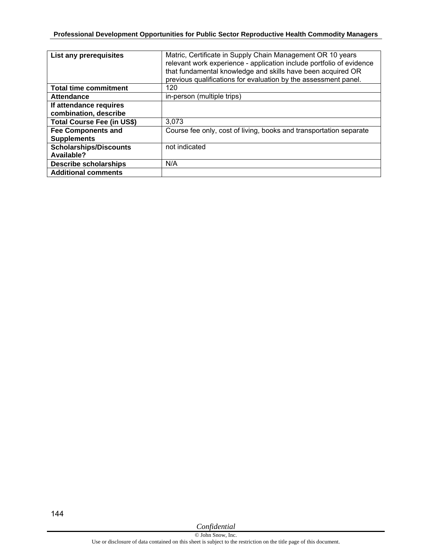| List any prerequisites                          | Matric, Certificate in Supply Chain Management OR 10 years<br>relevant work experience - application include portfolio of evidence<br>that fundamental knowledge and skills have been acquired OR<br>previous qualifications for evaluation by the assessment panel. |
|-------------------------------------------------|----------------------------------------------------------------------------------------------------------------------------------------------------------------------------------------------------------------------------------------------------------------------|
| <b>Total time commitment</b>                    | 120                                                                                                                                                                                                                                                                  |
| <b>Attendance</b>                               | in-person (multiple trips)                                                                                                                                                                                                                                           |
| If attendance requires<br>combination, describe |                                                                                                                                                                                                                                                                      |
| <b>Total Course Fee (in US\$)</b>               | 3,073                                                                                                                                                                                                                                                                |
| <b>Fee Components and</b>                       | Course fee only, cost of living, books and transportation separate                                                                                                                                                                                                   |
| <b>Supplements</b>                              |                                                                                                                                                                                                                                                                      |
| <b>Scholarships/Discounts</b>                   | not indicated                                                                                                                                                                                                                                                        |
| Available?                                      |                                                                                                                                                                                                                                                                      |
| <b>Describe scholarships</b>                    | N/A                                                                                                                                                                                                                                                                  |
| <b>Additional comments</b>                      |                                                                                                                                                                                                                                                                      |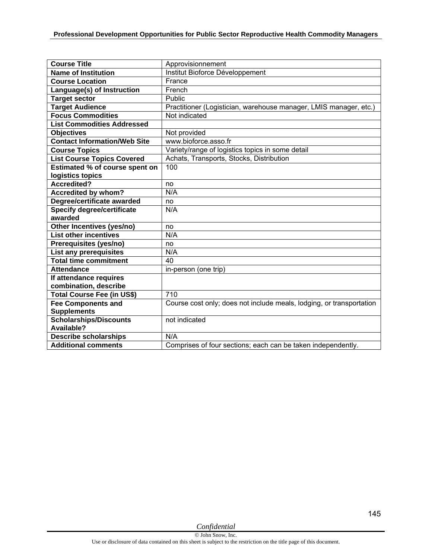| <b>Course Title</b>                 | Approvisionnement                                                    |
|-------------------------------------|----------------------------------------------------------------------|
| <b>Name of Institution</b>          | Institut Bioforce Développement                                      |
| <b>Course Location</b>              | France                                                               |
| Language(s) of Instruction          | French                                                               |
| <b>Target sector</b>                | Public                                                               |
| <b>Target Audience</b>              | Practitioner (Logistician, warehouse manager, LMIS manager, etc.)    |
| <b>Focus Commodities</b>            | Not indicated                                                        |
| <b>List Commodities Addressed</b>   |                                                                      |
| <b>Objectives</b>                   | Not provided                                                         |
| <b>Contact Information/Web Site</b> | www.bioforce.asso.fr                                                 |
| <b>Course Topics</b>                | Variety/range of logistics topics in some detail                     |
| <b>List Course Topics Covered</b>   | Achats, Transports, Stocks, Distribution                             |
| Estimated % of course spent on      | 100                                                                  |
| logistics topics                    |                                                                      |
| <b>Accredited?</b>                  | no                                                                   |
| <b>Accredited by whom?</b>          | N/A                                                                  |
| Degree/certificate awarded          | no                                                                   |
| <b>Specify degree/certificate</b>   | N/A                                                                  |
| awarded                             |                                                                      |
| Other Incentives (yes/no)           | no                                                                   |
| <b>List other incentives</b>        | N/A                                                                  |
| Prerequisites (yes/no)              | no                                                                   |
| <b>List any prerequisites</b>       | N/A                                                                  |
| <b>Total time commitment</b>        | 40                                                                   |
| <b>Attendance</b>                   | in-person (one trip)                                                 |
| If attendance requires              |                                                                      |
| combination, describe               |                                                                      |
| <b>Total Course Fee (in US\$)</b>   | 710                                                                  |
| <b>Fee Components and</b>           | Course cost only; does not include meals, lodging, or transportation |
| <b>Supplements</b>                  |                                                                      |
| <b>Scholarships/Discounts</b>       | not indicated                                                        |
| Available?                          |                                                                      |
| <b>Describe scholarships</b>        | N/A                                                                  |
| <b>Additional comments</b>          | Comprises of four sections; each can be taken independently.         |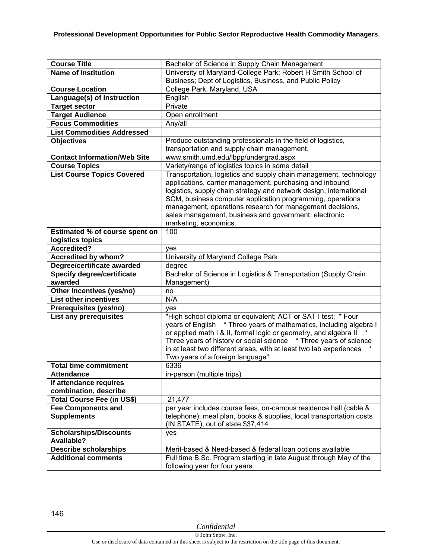| <b>Course Title</b>                 | Bachelor of Science in Supply Chain Management                      |
|-------------------------------------|---------------------------------------------------------------------|
| <b>Name of Institution</b>          | University of Maryland-College Park; Robert H Smith School of       |
|                                     | Business; Dept of Logistics, Business, and Public Policy            |
| <b>Course Location</b>              | College Park, Maryland, USA                                         |
| Language(s) of Instruction          | English                                                             |
| <b>Target sector</b>                | Private                                                             |
| <b>Target Audience</b>              | Open enrollment                                                     |
| <b>Focus Commodities</b>            | Any/all                                                             |
| <b>List Commodities Addressed</b>   |                                                                     |
| <b>Objectives</b>                   | Produce outstanding professionals in the field of logistics,        |
|                                     | transportation and supply chain management.                         |
| <b>Contact Information/Web Site</b> | www.smith.umd.edu/lbpp/undergrad.aspx                               |
| <b>Course Topics</b>                | Variety/range of logistics topics in some detail                    |
| <b>List Course Topics Covered</b>   | Transportation, logistics and supply chain management, technology   |
|                                     | applications, carrier management, purchasing and inbound            |
|                                     | logistics, supply chain strategy and network design, international  |
|                                     | SCM, business computer application programming, operations          |
|                                     | management, operations research for management decisions,           |
|                                     | sales management, business and government, electronic               |
|                                     | marketing, economics.                                               |
| Estimated % of course spent on      | 100                                                                 |
| logistics topics                    |                                                                     |
| <b>Accredited?</b>                  | yes                                                                 |
| Accredited by whom?                 | University of Maryland College Park                                 |
| Degree/certificate awarded          | degree                                                              |
| <b>Specify degree/certificate</b>   | Bachelor of Science in Logistics & Transportation (Supply Chain     |
| awarded                             | Management)                                                         |
| Other Incentives (yes/no)           | no                                                                  |
| <b>List other incentives</b>        | N/A                                                                 |
| Prerequisites (yes/no)              | yes                                                                 |
| List any prerequisites              | "High school diploma or equivalent; ACT or SAT I test; * Four       |
|                                     | years of English * Three years of mathematics, including algebra I  |
|                                     | or applied math I & II, formal logic or geometry, and algebra II    |
|                                     | Three years of history or social science * Three years of science   |
|                                     | in at least two different areas, with at least two lab experiences  |
|                                     | Two years of a foreign language"                                    |
| <b>Total time commitment</b>        | 6336                                                                |
| <b>Attendance</b>                   | in-person (multiple trips)                                          |
| If attendance requires              |                                                                     |
| combination, describe               |                                                                     |
| Total Course Fee (in US\$)          | 21,477                                                              |
| <b>Fee Components and</b>           | per year includes course fees, on-campus residence hall (cable &    |
| <b>Supplements</b>                  | telephone); meal plan, books & supplies, local transportation costs |
|                                     | (IN STATE); out of state \$37,414                                   |
| <b>Scholarships/Discounts</b>       | yes                                                                 |
| Available?                          |                                                                     |
| <b>Describe scholarships</b>        | Merit-based & Need-based & federal loan options available           |
| <b>Additional comments</b>          | Full time B.Sc. Program starting in late August through May of the  |
|                                     | following year for four years                                       |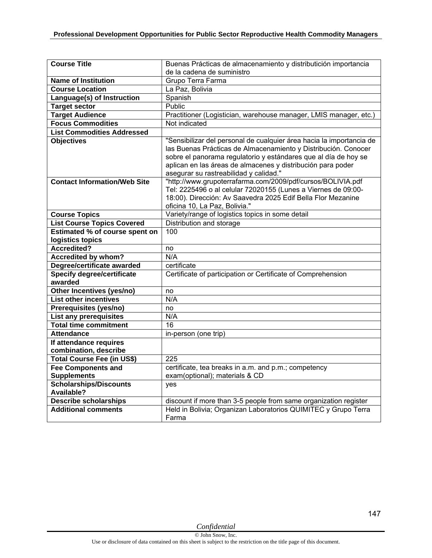| <b>Course Title</b>                          | Buenas Prácticas de almacenamiento y distributición importancia                                                                                                                                                                                                                                                    |
|----------------------------------------------|--------------------------------------------------------------------------------------------------------------------------------------------------------------------------------------------------------------------------------------------------------------------------------------------------------------------|
|                                              | de la cadena de suministro                                                                                                                                                                                                                                                                                         |
| <b>Name of Institution</b>                   | Grupo Terra Farma                                                                                                                                                                                                                                                                                                  |
| <b>Course Location</b>                       | La Paz, Bolivia                                                                                                                                                                                                                                                                                                    |
| Language(s) of Instruction                   | Spanish                                                                                                                                                                                                                                                                                                            |
| <b>Target sector</b>                         | Public                                                                                                                                                                                                                                                                                                             |
| <b>Target Audience</b>                       | Practitioner (Logistician, warehouse manager, LMIS manager, etc.)                                                                                                                                                                                                                                                  |
| <b>Focus Commodities</b>                     | Not indicated                                                                                                                                                                                                                                                                                                      |
| <b>List Commodities Addressed</b>            |                                                                                                                                                                                                                                                                                                                    |
| <b>Objectives</b>                            | "Sensibilizar del personal de cualquier área hacia la importancia de<br>las Buenas Prácticas de Almacenamiento y Distribución. Conocer<br>sobre el panorama regulatorio y estándares que al día de hoy se<br>aplican en las áreas de almacenes y distribución para poder<br>asegurar su rastreabilidad y calidad." |
| <b>Contact Information/Web Site</b>          | "http://www.grupoterrafarma.com/2009/pdf/cursos/BOLIVIA.pdf<br>Tel: 2225496 o al celular 72020155 (Lunes a Viernes de 09:00-<br>18:00). Dirección: Av Saavedra 2025 Edif Bella Flor Mezanine<br>oficina 10, La Paz, Bolivia."                                                                                      |
| <b>Course Topics</b>                         | Variety/range of logistics topics in some detail                                                                                                                                                                                                                                                                   |
| <b>List Course Topics Covered</b>            | Distribution and storage                                                                                                                                                                                                                                                                                           |
| Estimated % of course spent on               | 100                                                                                                                                                                                                                                                                                                                |
| logistics topics                             |                                                                                                                                                                                                                                                                                                                    |
| <b>Accredited?</b>                           | no                                                                                                                                                                                                                                                                                                                 |
| <b>Accredited by whom?</b>                   | N/A                                                                                                                                                                                                                                                                                                                |
| Degree/certificate awarded                   | certificate                                                                                                                                                                                                                                                                                                        |
| <b>Specify degree/certificate</b><br>awarded | Certificate of participation or Certificate of Comprehension                                                                                                                                                                                                                                                       |
| Other Incentives (yes/no)                    | no                                                                                                                                                                                                                                                                                                                 |
| <b>List other incentives</b>                 | N/A                                                                                                                                                                                                                                                                                                                |
| Prerequisites (yes/no)                       | no                                                                                                                                                                                                                                                                                                                 |
| <b>List any prerequisites</b>                | N/A                                                                                                                                                                                                                                                                                                                |
| <b>Total time commitment</b>                 | $\overline{16}$                                                                                                                                                                                                                                                                                                    |
| <b>Attendance</b>                            | in-person (one trip)                                                                                                                                                                                                                                                                                               |
| If attendance requires                       |                                                                                                                                                                                                                                                                                                                    |
| combination, describe                        |                                                                                                                                                                                                                                                                                                                    |
| Total Course Fee (in US\$)                   | 225                                                                                                                                                                                                                                                                                                                |
| <b>Fee Components and</b>                    | certificate, tea breaks in a.m. and p.m.; competency                                                                                                                                                                                                                                                               |
| <b>Supplements</b>                           | exam(optional); materials & CD                                                                                                                                                                                                                                                                                     |
| <b>Scholarships/Discounts</b>                | yes                                                                                                                                                                                                                                                                                                                |
| Available?                                   |                                                                                                                                                                                                                                                                                                                    |
| <b>Describe scholarships</b>                 | discount if more than 3-5 people from same organization register                                                                                                                                                                                                                                                   |
| <b>Additional comments</b>                   | Held in Bolivia; Organizan Laboratorios QUIMITEC y Grupo Terra                                                                                                                                                                                                                                                     |
|                                              | Farma                                                                                                                                                                                                                                                                                                              |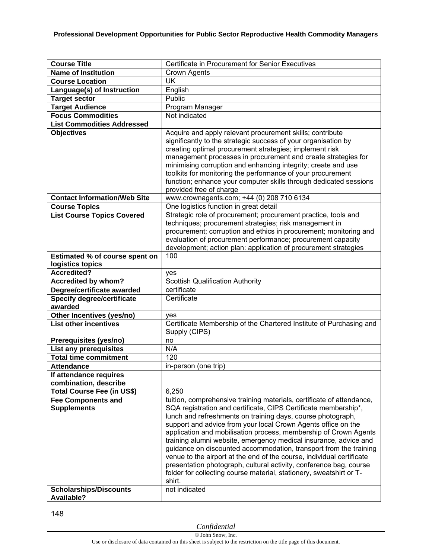| <b>Course Title</b>                 | Certificate in Procurement for Senior Executives                                                                                  |
|-------------------------------------|-----------------------------------------------------------------------------------------------------------------------------------|
| <b>Name of Institution</b>          | <b>Crown Agents</b>                                                                                                               |
| <b>Course Location</b>              | UK                                                                                                                                |
| Language(s) of Instruction          | English                                                                                                                           |
| <b>Target sector</b>                | Public                                                                                                                            |
| <b>Target Audience</b>              | Program Manager                                                                                                                   |
| <b>Focus Commodities</b>            | Not indicated                                                                                                                     |
| <b>List Commodities Addressed</b>   |                                                                                                                                   |
| <b>Objectives</b>                   | Acquire and apply relevant procurement skills; contribute                                                                         |
|                                     | significantly to the strategic success of your organisation by                                                                    |
|                                     | creating optimal procurement strategies; implement risk                                                                           |
|                                     | management processes in procurement and create strategies for                                                                     |
|                                     | minimising corruption and enhancing integrity; create and use<br>toolkits for monitoring the performance of your procurement      |
|                                     | function; enhance your computer skills through dedicated sessions                                                                 |
|                                     | provided free of charge                                                                                                           |
| <b>Contact Information/Web Site</b> | www.crownagents.com; +44 (0) 208 710 6134                                                                                         |
| <b>Course Topics</b>                | One logistics function in great detail                                                                                            |
| <b>List Course Topics Covered</b>   | Strategic role of procurement; procurement practice, tools and                                                                    |
|                                     | techniques; procurement strategies; risk management in                                                                            |
|                                     | procurement; corruption and ethics in procurement; monitoring and                                                                 |
|                                     | evaluation of procurement performance; procurement capacity                                                                       |
|                                     | development; action plan: application of procurement strategies                                                                   |
| Estimated % of course spent on      | 100                                                                                                                               |
| logistics topics                    |                                                                                                                                   |
| <b>Accredited?</b>                  | yes                                                                                                                               |
| <b>Accredited by whom?</b>          | <b>Scottish Qualification Authority</b>                                                                                           |
| Degree/certificate awarded          | certificate                                                                                                                       |
| <b>Specify degree/certificate</b>   | Certificate                                                                                                                       |
| awarded                             |                                                                                                                                   |
| Other Incentives (yes/no)           | yes                                                                                                                               |
| <b>List other incentives</b>        | Certificate Membership of the Chartered Institute of Purchasing and<br>Supply (CIPS)                                              |
| Prerequisites (yes/no)              | no                                                                                                                                |
| <b>List any prerequisites</b>       | N/A                                                                                                                               |
| <b>Total time commitment</b>        | 120                                                                                                                               |
| <b>Attendance</b>                   | in-person (one trip)                                                                                                              |
| If attendance requires              |                                                                                                                                   |
| combination, describe               |                                                                                                                                   |
| <b>Total Course Fee (in US\$)</b>   | 6,250                                                                                                                             |
| <b>Fee Components and</b>           | tuition, comprehensive training materials, certificate of attendance,                                                             |
| <b>Supplements</b>                  | SQA registration and certificate, CIPS Certificate membership*,                                                                   |
|                                     | lunch and refreshments on training days, course photograph,                                                                       |
|                                     | support and advice from your local Crown Agents office on the<br>application and mobilisation process, membership of Crown Agents |
|                                     | training alumni website, emergency medical insurance, advice and                                                                  |
|                                     | guidance on discounted accommodation, transport from the training                                                                 |
|                                     | venue to the airport at the end of the course, individual certificate                                                             |
|                                     | presentation photograph, cultural activity, conference bag, course                                                                |
|                                     | folder for collecting course material, stationery, sweatshirt or T-                                                               |
|                                     | shirt.                                                                                                                            |
| <b>Scholarships/Discounts</b>       | not indicated                                                                                                                     |
| <b>Available?</b>                   |                                                                                                                                   |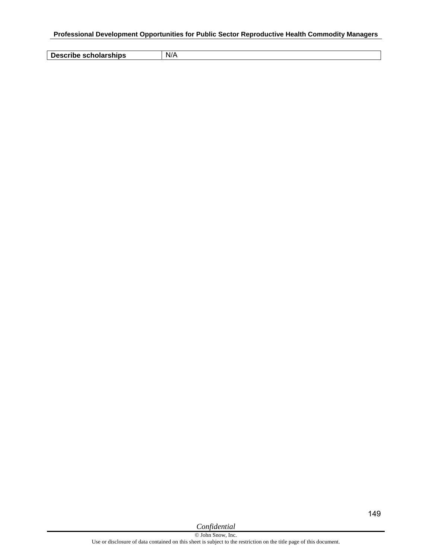**Describe scholarships** N/A

149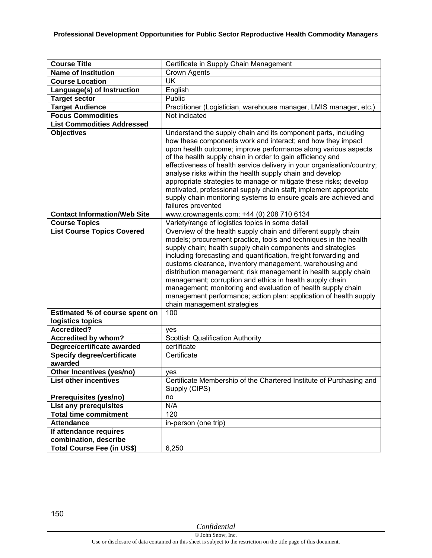| <b>Course Title</b>                          | Certificate in Supply Chain Management                                                                                                                                                                                                                                                                                                                                                                                                                                                                                                                                                                                                  |
|----------------------------------------------|-----------------------------------------------------------------------------------------------------------------------------------------------------------------------------------------------------------------------------------------------------------------------------------------------------------------------------------------------------------------------------------------------------------------------------------------------------------------------------------------------------------------------------------------------------------------------------------------------------------------------------------------|
| <b>Name of Institution</b>                   | <b>Crown Agents</b>                                                                                                                                                                                                                                                                                                                                                                                                                                                                                                                                                                                                                     |
| <b>Course Location</b>                       | <b>UK</b>                                                                                                                                                                                                                                                                                                                                                                                                                                                                                                                                                                                                                               |
| Language(s) of Instruction                   | English                                                                                                                                                                                                                                                                                                                                                                                                                                                                                                                                                                                                                                 |
| <b>Target sector</b>                         | Public                                                                                                                                                                                                                                                                                                                                                                                                                                                                                                                                                                                                                                  |
| <b>Target Audience</b>                       | Practitioner (Logistician, warehouse manager, LMIS manager, etc.)                                                                                                                                                                                                                                                                                                                                                                                                                                                                                                                                                                       |
| <b>Focus Commodities</b>                     | Not indicated                                                                                                                                                                                                                                                                                                                                                                                                                                                                                                                                                                                                                           |
| <b>List Commodities Addressed</b>            |                                                                                                                                                                                                                                                                                                                                                                                                                                                                                                                                                                                                                                         |
| <b>Objectives</b>                            | Understand the supply chain and its component parts, including<br>how these components work and interact; and how they impact<br>upon health outcome; improve performance along various aspects<br>of the health supply chain in order to gain efficiency and<br>effectiveness of health service delivery in your organisation/country;<br>analyse risks within the health supply chain and develop<br>appropriate strategies to manage or mitigate these risks; develop<br>motivated, professional supply chain staff; implement appropriate<br>supply chain monitoring systems to ensure goals are achieved and<br>failures prevented |
| <b>Contact Information/Web Site</b>          | www.crownagents.com; +44 (0) 208 710 6134                                                                                                                                                                                                                                                                                                                                                                                                                                                                                                                                                                                               |
| <b>Course Topics</b>                         | Variety/range of logistics topics in some detail                                                                                                                                                                                                                                                                                                                                                                                                                                                                                                                                                                                        |
| <b>List Course Topics Covered</b>            | Overview of the health supply chain and different supply chain<br>models; procurement practice, tools and techniques in the health<br>supply chain; health supply chain components and strategies<br>including forecasting and quantification, freight forwarding and<br>customs clearance, inventory management, warehousing and<br>distribution management; risk management in health supply chain<br>management; corruption and ethics in health supply chain<br>management; monitoring and evaluation of health supply chain<br>management performance; action plan: application of health supply<br>chain management strategies    |
| Estimated % of course spent on               | 100                                                                                                                                                                                                                                                                                                                                                                                                                                                                                                                                                                                                                                     |
| logistics topics                             |                                                                                                                                                                                                                                                                                                                                                                                                                                                                                                                                                                                                                                         |
| <b>Accredited?</b>                           | yes                                                                                                                                                                                                                                                                                                                                                                                                                                                                                                                                                                                                                                     |
| <b>Accredited by whom?</b>                   | <b>Scottish Qualification Authority</b>                                                                                                                                                                                                                                                                                                                                                                                                                                                                                                                                                                                                 |
| Degree/certificate awarded                   | certificate                                                                                                                                                                                                                                                                                                                                                                                                                                                                                                                                                                                                                             |
| <b>Specify degree/certificate</b><br>awarded | Certificate                                                                                                                                                                                                                                                                                                                                                                                                                                                                                                                                                                                                                             |
| Other Incentives (yes/no)                    |                                                                                                                                                                                                                                                                                                                                                                                                                                                                                                                                                                                                                                         |
| <b>List other incentives</b>                 | ves<br>Certificate Membership of the Chartered Institute of Purchasing and                                                                                                                                                                                                                                                                                                                                                                                                                                                                                                                                                              |
|                                              | Supply (CIPS)                                                                                                                                                                                                                                                                                                                                                                                                                                                                                                                                                                                                                           |
| Prerequisites (yes/no)                       | no                                                                                                                                                                                                                                                                                                                                                                                                                                                                                                                                                                                                                                      |
| List any prerequisites                       | N/A                                                                                                                                                                                                                                                                                                                                                                                                                                                                                                                                                                                                                                     |
| <b>Total time commitment</b>                 | 120                                                                                                                                                                                                                                                                                                                                                                                                                                                                                                                                                                                                                                     |
| <b>Attendance</b>                            | in-person (one trip)                                                                                                                                                                                                                                                                                                                                                                                                                                                                                                                                                                                                                    |
| If attendance requires                       |                                                                                                                                                                                                                                                                                                                                                                                                                                                                                                                                                                                                                                         |
| combination, describe                        |                                                                                                                                                                                                                                                                                                                                                                                                                                                                                                                                                                                                                                         |
| <b>Total Course Fee (in US\$)</b>            | 6,250                                                                                                                                                                                                                                                                                                                                                                                                                                                                                                                                                                                                                                   |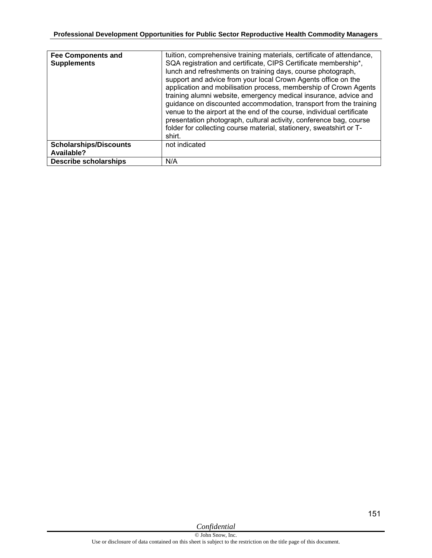| <b>Fee Components and</b><br><b>Supplements</b> | tuition, comprehensive training materials, certificate of attendance,<br>SQA registration and certificate, CIPS Certificate membership*,<br>lunch and refreshments on training days, course photograph,<br>support and advice from your local Crown Agents office on the<br>application and mobilisation process, membership of Crown Agents<br>training alumni website, emergency medical insurance, advice and<br>guidance on discounted accommodation, transport from the training<br>venue to the airport at the end of the course, individual certificate<br>presentation photograph, cultural activity, conference bag, course<br>folder for collecting course material, stationery, sweatshirt or T-<br>shirt. |
|-------------------------------------------------|-----------------------------------------------------------------------------------------------------------------------------------------------------------------------------------------------------------------------------------------------------------------------------------------------------------------------------------------------------------------------------------------------------------------------------------------------------------------------------------------------------------------------------------------------------------------------------------------------------------------------------------------------------------------------------------------------------------------------|
| <b>Scholarships/Discounts</b><br>Available?     | not indicated                                                                                                                                                                                                                                                                                                                                                                                                                                                                                                                                                                                                                                                                                                         |
| <b>Describe scholarships</b>                    | N/A                                                                                                                                                                                                                                                                                                                                                                                                                                                                                                                                                                                                                                                                                                                   |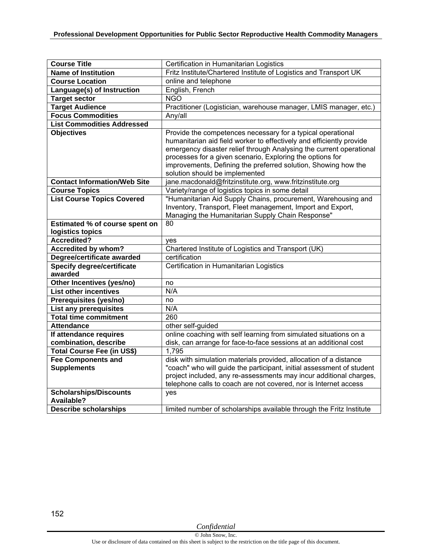| <b>Course Title</b>                                                                | Certification in Humanitarian Logistics                                                                                                                                                                                                                                                                                                                                     |
|------------------------------------------------------------------------------------|-----------------------------------------------------------------------------------------------------------------------------------------------------------------------------------------------------------------------------------------------------------------------------------------------------------------------------------------------------------------------------|
| <b>Name of Institution</b>                                                         | Fritz Institute/Chartered Institute of Logistics and Transport UK                                                                                                                                                                                                                                                                                                           |
| <b>Course Location</b>                                                             | online and telephone                                                                                                                                                                                                                                                                                                                                                        |
| Language(s) of Instruction                                                         | English, French                                                                                                                                                                                                                                                                                                                                                             |
| <b>Target sector</b>                                                               | <b>NGO</b>                                                                                                                                                                                                                                                                                                                                                                  |
| <b>Target Audience</b>                                                             | Practitioner (Logistician, warehouse manager, LMIS manager, etc.)                                                                                                                                                                                                                                                                                                           |
| <b>Focus Commodities</b>                                                           | Any/all                                                                                                                                                                                                                                                                                                                                                                     |
| <b>List Commodities Addressed</b>                                                  |                                                                                                                                                                                                                                                                                                                                                                             |
| <b>Objectives</b>                                                                  | Provide the competences necessary for a typical operational<br>humanitarian aid field worker to effectively and efficiently provide<br>emergency disaster relief through Analysing the current operational<br>processes for a given scenario, Exploring the options for<br>improvements, Defining the preferred solution, Showing how the<br>solution should be implemented |
| <b>Contact Information/Web Site</b>                                                | jane.macdonald@fritzinstitute.org, www.fritzinstitute.org                                                                                                                                                                                                                                                                                                                   |
| <b>Course Topics</b>                                                               | Variety/range of logistics topics in some detail                                                                                                                                                                                                                                                                                                                            |
| <b>List Course Topics Covered</b>                                                  | "Humanitarian Aid Supply Chains, procurement, Warehousing and<br>Inventory, Transport, Fleet management, Import and Export,<br>Managing the Humanitarian Supply Chain Response"                                                                                                                                                                                             |
| Estimated % of course spent on                                                     | 80                                                                                                                                                                                                                                                                                                                                                                          |
| logistics topics                                                                   |                                                                                                                                                                                                                                                                                                                                                                             |
| Accredited?                                                                        | yes                                                                                                                                                                                                                                                                                                                                                                         |
| <b>Accredited by whom?</b>                                                         | Chartered Institute of Logistics and Transport (UK)                                                                                                                                                                                                                                                                                                                         |
| Degree/certificate awarded                                                         | certification                                                                                                                                                                                                                                                                                                                                                               |
| <b>Specify degree/certificate</b><br>awarded                                       | Certification in Humanitarian Logistics                                                                                                                                                                                                                                                                                                                                     |
| Other Incentives (yes/no)                                                          | no                                                                                                                                                                                                                                                                                                                                                                          |
| <b>List other incentives</b>                                                       | N/A                                                                                                                                                                                                                                                                                                                                                                         |
| Prerequisites (yes/no)                                                             | no                                                                                                                                                                                                                                                                                                                                                                          |
| <b>List any prerequisites</b>                                                      | N/A                                                                                                                                                                                                                                                                                                                                                                         |
| <b>Total time commitment</b>                                                       | 260                                                                                                                                                                                                                                                                                                                                                                         |
| <b>Attendance</b>                                                                  | other self-guided                                                                                                                                                                                                                                                                                                                                                           |
| If attendance requires                                                             | online coaching with self learning from simulated situations on a                                                                                                                                                                                                                                                                                                           |
| combination, describe                                                              | disk, can arrange for face-to-face sessions at an additional cost                                                                                                                                                                                                                                                                                                           |
| <b>Total Course Fee (in US\$)</b>                                                  | 1,795                                                                                                                                                                                                                                                                                                                                                                       |
| <b>Fee Components and</b><br><b>Supplements</b>                                    | disk with simulation materials provided, allocation of a distance<br>"coach" who will guide the participant, initial assessment of student                                                                                                                                                                                                                                  |
|                                                                                    | project included, any re-assessments may incur additional charges,<br>telephone calls to coach are not covered, nor is Internet access                                                                                                                                                                                                                                      |
| <b>Scholarships/Discounts</b><br><b>Available?</b><br><b>Describe scholarships</b> | ves<br>limited number of scholarships available through the Fritz Institute                                                                                                                                                                                                                                                                                                 |

152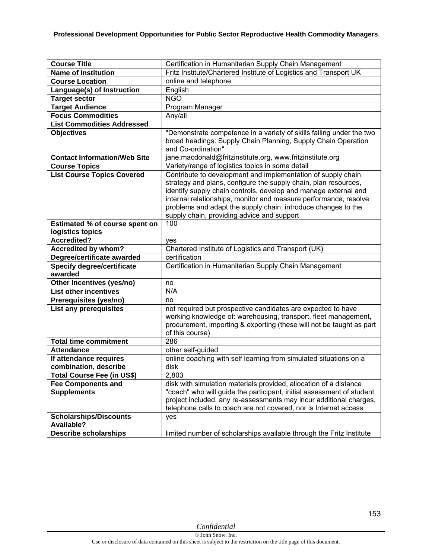| <b>Course Title</b>                   | Certification in Humanitarian Supply Chain Management                 |
|---------------------------------------|-----------------------------------------------------------------------|
| <b>Name of Institution</b>            | Fritz Institute/Chartered Institute of Logistics and Transport UK     |
| <b>Course Location</b>                | online and telephone                                                  |
| Language(s) of Instruction            | English                                                               |
| <b>Target sector</b>                  | <b>NGO</b>                                                            |
| <b>Target Audience</b>                | Program Manager                                                       |
| <b>Focus Commodities</b>              | Any/all                                                               |
| <b>List Commodities Addressed</b>     |                                                                       |
| <b>Objectives</b>                     | "Demonstrate competence in a variety of skills falling under the two  |
|                                       | broad headings: Supply Chain Planning, Supply Chain Operation         |
|                                       | and Co-ordination"                                                    |
| <b>Contact Information/Web Site</b>   | jane.macdonald@fritzinstitute.org, www.fritzinstitute.org             |
| <b>Course Topics</b>                  | Variety/range of logistics topics in some detail                      |
| <b>List Course Topics Covered</b>     | Contribute to development and implementation of supply chain          |
|                                       | strategy and plans, configure the supply chain, plan resources,       |
|                                       | identify supply chain controls, develop and manage external and       |
|                                       | internal relationships, monitor and measure performance, resolve      |
|                                       | problems and adapt the supply chain, introduce changes to the         |
|                                       | supply chain, providing advice and support                            |
| <b>Estimated % of course spent on</b> | 100                                                                   |
| logistics topics                      |                                                                       |
| <b>Accredited?</b>                    | yes                                                                   |
| Accredited by whom?                   | Chartered Institute of Logistics and Transport (UK)                   |
| Degree/certificate awarded            | certification                                                         |
| <b>Specify degree/certificate</b>     | Certification in Humanitarian Supply Chain Management                 |
| awarded                               |                                                                       |
| Other Incentives (yes/no)             | no                                                                    |
| <b>List other incentives</b>          | N/A                                                                   |
| Prerequisites (yes/no)                | no                                                                    |
| List any prerequisites                | not required but prospective candidates are expected to have          |
|                                       | working knowledge of: warehousing, transport, fleet management,       |
|                                       | procurement, importing & exporting (these will not be taught as part  |
|                                       | of this course)                                                       |
| <b>Total time commitment</b>          | 286                                                                   |
| <b>Attendance</b>                     | other self-guided                                                     |
| If attendance requires                | online coaching with self learning from simulated situations on a     |
| combination, describe                 | disk                                                                  |
| <b>Total Course Fee (in US\$)</b>     | 2,803                                                                 |
| <b>Fee Components and</b>             | disk with simulation materials provided, allocation of a distance     |
| <b>Supplements</b>                    | "coach" who will guide the participant, initial assessment of student |
|                                       | project included, any re-assessments may incur additional charges,    |
|                                       | telephone calls to coach are not covered, nor is Internet access      |
| <b>Scholarships/Discounts</b>         | yes                                                                   |
| Available?                            |                                                                       |
| <b>Describe scholarships</b>          | limited number of scholarships available through the Fritz Institute  |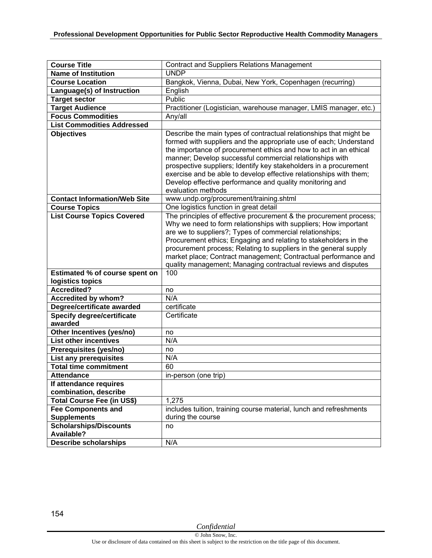| <b>Course Title</b>                          | <b>Contract and Suppliers Relations Management</b>                                                                                                                                                                                                                                                                                                                                                                                                                                                    |
|----------------------------------------------|-------------------------------------------------------------------------------------------------------------------------------------------------------------------------------------------------------------------------------------------------------------------------------------------------------------------------------------------------------------------------------------------------------------------------------------------------------------------------------------------------------|
| <b>Name of Institution</b>                   | <b>UNDP</b>                                                                                                                                                                                                                                                                                                                                                                                                                                                                                           |
| <b>Course Location</b>                       | Bangkok, Vienna, Dubai, New York, Copenhagen (recurring)                                                                                                                                                                                                                                                                                                                                                                                                                                              |
| Language(s) of Instruction                   | English                                                                                                                                                                                                                                                                                                                                                                                                                                                                                               |
| <b>Target sector</b>                         | Public                                                                                                                                                                                                                                                                                                                                                                                                                                                                                                |
| <b>Target Audience</b>                       | Practitioner (Logistician, warehouse manager, LMIS manager, etc.)                                                                                                                                                                                                                                                                                                                                                                                                                                     |
| <b>Focus Commodities</b>                     | Any/all                                                                                                                                                                                                                                                                                                                                                                                                                                                                                               |
| <b>List Commodities Addressed</b>            |                                                                                                                                                                                                                                                                                                                                                                                                                                                                                                       |
| <b>Objectives</b>                            | Describe the main types of contractual relationships that might be<br>formed with suppliers and the appropriate use of each; Understand<br>the importance of procurement ethics and how to act in an ethical<br>manner; Develop successful commercial relationships with<br>prospective suppliers; Identify key stakeholders in a procurement<br>exercise and be able to develop effective relationships with them;<br>Develop effective performance and quality monitoring and<br>evaluation methods |
| <b>Contact Information/Web Site</b>          | www.undp.org/procurement/training.shtml                                                                                                                                                                                                                                                                                                                                                                                                                                                               |
| <b>Course Topics</b>                         | One logistics function in great detail                                                                                                                                                                                                                                                                                                                                                                                                                                                                |
| <b>List Course Topics Covered</b>            | The principles of effective procurement & the procurement process;<br>Why we need to form relationships with suppliers; How important<br>are we to suppliers?; Types of commercial relationships;<br>Procurement ethics; Engaging and relating to stakeholders in the<br>procurement process; Relating to suppliers in the general supply<br>market place; Contract management; Contractual performance and<br>quality management; Managing contractual reviews and disputes                          |
| Estimated % of course spent on               | 100                                                                                                                                                                                                                                                                                                                                                                                                                                                                                                   |
| logistics topics                             |                                                                                                                                                                                                                                                                                                                                                                                                                                                                                                       |
| <b>Accredited?</b>                           | no                                                                                                                                                                                                                                                                                                                                                                                                                                                                                                    |
| <b>Accredited by whom?</b>                   | N/A                                                                                                                                                                                                                                                                                                                                                                                                                                                                                                   |
| Degree/certificate awarded                   | certificate                                                                                                                                                                                                                                                                                                                                                                                                                                                                                           |
| <b>Specify degree/certificate</b><br>awarded | Certificate                                                                                                                                                                                                                                                                                                                                                                                                                                                                                           |
| <b>Other Incentives (yes/no)</b>             | no                                                                                                                                                                                                                                                                                                                                                                                                                                                                                                    |
| <b>List other incentives</b>                 | N/A                                                                                                                                                                                                                                                                                                                                                                                                                                                                                                   |
| Prerequisites (yes/no)                       | no                                                                                                                                                                                                                                                                                                                                                                                                                                                                                                    |
| <b>List any prerequisites</b>                | N/A                                                                                                                                                                                                                                                                                                                                                                                                                                                                                                   |
| <b>Total time commitment</b>                 | 60                                                                                                                                                                                                                                                                                                                                                                                                                                                                                                    |
| <b>Attendance</b>                            | in-person (one trip)                                                                                                                                                                                                                                                                                                                                                                                                                                                                                  |
| If attendance requires                       |                                                                                                                                                                                                                                                                                                                                                                                                                                                                                                       |
| combination, describe                        |                                                                                                                                                                                                                                                                                                                                                                                                                                                                                                       |
| <b>Total Course Fee (in US\$)</b>            | 1,275                                                                                                                                                                                                                                                                                                                                                                                                                                                                                                 |
| <b>Fee Components and</b>                    | includes tuition, training course material, lunch and refreshments                                                                                                                                                                                                                                                                                                                                                                                                                                    |
| <b>Supplements</b>                           | during the course                                                                                                                                                                                                                                                                                                                                                                                                                                                                                     |
| <b>Scholarships/Discounts</b>                | no                                                                                                                                                                                                                                                                                                                                                                                                                                                                                                    |
| Available?<br><b>Describe scholarships</b>   | N/A                                                                                                                                                                                                                                                                                                                                                                                                                                                                                                   |
|                                              |                                                                                                                                                                                                                                                                                                                                                                                                                                                                                                       |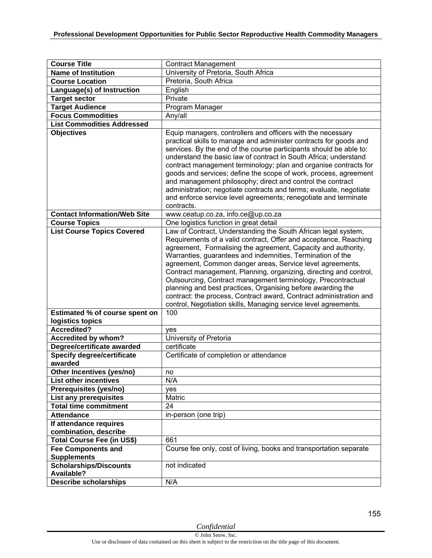| <b>Course Title</b>                          | <b>Contract Management</b>                                                                                                                                                                                                                                                                                                                                                                                                                                                                                                                                                                                                                                                  |
|----------------------------------------------|-----------------------------------------------------------------------------------------------------------------------------------------------------------------------------------------------------------------------------------------------------------------------------------------------------------------------------------------------------------------------------------------------------------------------------------------------------------------------------------------------------------------------------------------------------------------------------------------------------------------------------------------------------------------------------|
| <b>Name of Institution</b>                   | University of Pretoria, South Africa                                                                                                                                                                                                                                                                                                                                                                                                                                                                                                                                                                                                                                        |
| <b>Course Location</b>                       | Pretoria, South Africa                                                                                                                                                                                                                                                                                                                                                                                                                                                                                                                                                                                                                                                      |
| Language(s) of Instruction                   | English                                                                                                                                                                                                                                                                                                                                                                                                                                                                                                                                                                                                                                                                     |
| <b>Target sector</b>                         | Private                                                                                                                                                                                                                                                                                                                                                                                                                                                                                                                                                                                                                                                                     |
| <b>Target Audience</b>                       | Program Manager                                                                                                                                                                                                                                                                                                                                                                                                                                                                                                                                                                                                                                                             |
| <b>Focus Commodities</b>                     | Any/all                                                                                                                                                                                                                                                                                                                                                                                                                                                                                                                                                                                                                                                                     |
| <b>List Commodities Addressed</b>            |                                                                                                                                                                                                                                                                                                                                                                                                                                                                                                                                                                                                                                                                             |
| <b>Objectives</b>                            | Equip managers, controllers and officers with the necessary<br>practical skills to manage and administer contracts for goods and<br>services. By the end of the course participants should be able to:<br>understand the basic law of contract in South Africa; understand<br>contract management terminology; plan and organise contracts for<br>goods and services; define the scope of work, process, agreement<br>and management philosophy; direct and control the contract<br>administration; negotiate contracts and terms; evaluate, negotiate<br>and enforce service level agreements; renegotiate and terminate<br>contracts.                                     |
| <b>Contact Information/Web Site</b>          | www.ceatup.co.za, info.ce@up.co.za                                                                                                                                                                                                                                                                                                                                                                                                                                                                                                                                                                                                                                          |
| <b>Course Topics</b>                         | One logistics function in great detail                                                                                                                                                                                                                                                                                                                                                                                                                                                                                                                                                                                                                                      |
| <b>List Course Topics Covered</b>            | Law of Contract, Understanding the South African legal system,<br>Requirements of a valid contract, Offer and acceptance, Reaching<br>agreement, Formalising the agreement, Capacity and authority,<br>Warranties, guarantees and indemnities, Termination of the<br>agreement, Common danger areas, Service level agreements,<br>Contract management, Planning, organizing, directing and control,<br>Outsourcing, Contract management terminology, Precontractual<br>planning and best practices, Organising before awarding the<br>contract: the process, Contract award, Contract administration and<br>control, Negotiation skills, Managing service level agreements. |
| Estimated % of course spent on               | 100                                                                                                                                                                                                                                                                                                                                                                                                                                                                                                                                                                                                                                                                         |
| logistics topics                             |                                                                                                                                                                                                                                                                                                                                                                                                                                                                                                                                                                                                                                                                             |
| <b>Accredited?</b>                           | yes                                                                                                                                                                                                                                                                                                                                                                                                                                                                                                                                                                                                                                                                         |
| Accredited by whom?                          | University of Pretoria                                                                                                                                                                                                                                                                                                                                                                                                                                                                                                                                                                                                                                                      |
| Degree/certificate awarded                   | certificate                                                                                                                                                                                                                                                                                                                                                                                                                                                                                                                                                                                                                                                                 |
| <b>Specify degree/certificate</b><br>awarded | Certificate of completion or attendance                                                                                                                                                                                                                                                                                                                                                                                                                                                                                                                                                                                                                                     |
| Other Incentives (yes/no)                    | no                                                                                                                                                                                                                                                                                                                                                                                                                                                                                                                                                                                                                                                                          |
| <b>List other incentives</b>                 | N/A                                                                                                                                                                                                                                                                                                                                                                                                                                                                                                                                                                                                                                                                         |
| Prerequisites (yes/no)                       | yes                                                                                                                                                                                                                                                                                                                                                                                                                                                                                                                                                                                                                                                                         |
| List any prerequisites                       | Matric                                                                                                                                                                                                                                                                                                                                                                                                                                                                                                                                                                                                                                                                      |
| <b>Total time commitment</b>                 | 24                                                                                                                                                                                                                                                                                                                                                                                                                                                                                                                                                                                                                                                                          |
| <b>Attendance</b>                            | in-person (one trip)                                                                                                                                                                                                                                                                                                                                                                                                                                                                                                                                                                                                                                                        |
| If attendance requires                       |                                                                                                                                                                                                                                                                                                                                                                                                                                                                                                                                                                                                                                                                             |
| combination, describe                        |                                                                                                                                                                                                                                                                                                                                                                                                                                                                                                                                                                                                                                                                             |
| Total Course Fee (in US\$)                   | 661                                                                                                                                                                                                                                                                                                                                                                                                                                                                                                                                                                                                                                                                         |
| <b>Fee Components and</b>                    | Course fee only, cost of living, books and transportation separate                                                                                                                                                                                                                                                                                                                                                                                                                                                                                                                                                                                                          |
| <b>Supplements</b>                           |                                                                                                                                                                                                                                                                                                                                                                                                                                                                                                                                                                                                                                                                             |
| <b>Scholarships/Discounts</b>                | not indicated                                                                                                                                                                                                                                                                                                                                                                                                                                                                                                                                                                                                                                                               |
| <b>Available?</b>                            |                                                                                                                                                                                                                                                                                                                                                                                                                                                                                                                                                                                                                                                                             |
| <b>Describe scholarships</b>                 | N/A                                                                                                                                                                                                                                                                                                                                                                                                                                                                                                                                                                                                                                                                         |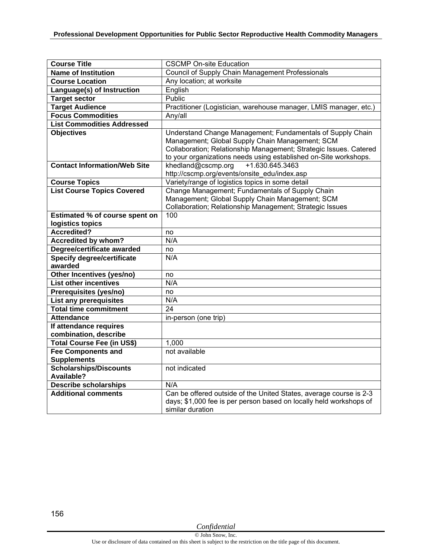| <b>Course Title</b>                 | <b>CSCMP On-site Education</b>                                     |
|-------------------------------------|--------------------------------------------------------------------|
| <b>Name of Institution</b>          | Council of Supply Chain Management Professionals                   |
| <b>Course Location</b>              | Any location; at worksite                                          |
| Language(s) of Instruction          | English                                                            |
| <b>Target sector</b>                | Public                                                             |
| <b>Target Audience</b>              | Practitioner (Logistician, warehouse manager, LMIS manager, etc.)  |
| <b>Focus Commodities</b>            | Any/all                                                            |
| <b>List Commodities Addressed</b>   |                                                                    |
| <b>Objectives</b>                   | Understand Change Management; Fundamentals of Supply Chain         |
|                                     | Management; Global Supply Chain Management; SCM                    |
|                                     | Collaboration; Relationship Management; Strategic Issues. Catered  |
|                                     | to your organizations needs using established on-Site workshops.   |
| <b>Contact Information/Web Site</b> | +1.630.645.3463<br>khedland@cscmp.org                              |
|                                     | http://cscmp.org/events/onsite_edu/index.asp                       |
| <b>Course Topics</b>                | Variety/range of logistics topics in some detail                   |
| <b>List Course Topics Covered</b>   | Change Management; Fundamentals of Supply Chain                    |
|                                     | Management; Global Supply Chain Management; SCM                    |
|                                     | Collaboration; Relationship Management; Strategic Issues           |
| Estimated % of course spent on      | 100                                                                |
| logistics topics                    |                                                                    |
| Accredited?                         | no                                                                 |
| <b>Accredited by whom?</b>          | N/A                                                                |
| Degree/certificate awarded          | no                                                                 |
| <b>Specify degree/certificate</b>   | N/A                                                                |
| awarded                             |                                                                    |
| Other Incentives (yes/no)           | no                                                                 |
| <b>List other incentives</b>        | N/A                                                                |
| Prerequisites (yes/no)              | no                                                                 |
| <b>List any prerequisites</b>       | N/A                                                                |
| <b>Total time commitment</b>        | 24                                                                 |
| <b>Attendance</b>                   | in-person (one trip)                                               |
| If attendance requires              |                                                                    |
| combination, describe               |                                                                    |
| <b>Total Course Fee (in US\$)</b>   | 1,000                                                              |
| <b>Fee Components and</b>           | not available                                                      |
| <b>Supplements</b>                  |                                                                    |
| <b>Scholarships/Discounts</b>       | not indicated                                                      |
| Available?                          |                                                                    |
| <b>Describe scholarships</b>        | N/A                                                                |
| <b>Additional comments</b>          | Can be offered outside of the United States, average course is 2-3 |
|                                     | days; \$1,000 fee is per person based on locally held workshops of |
|                                     | similar duration                                                   |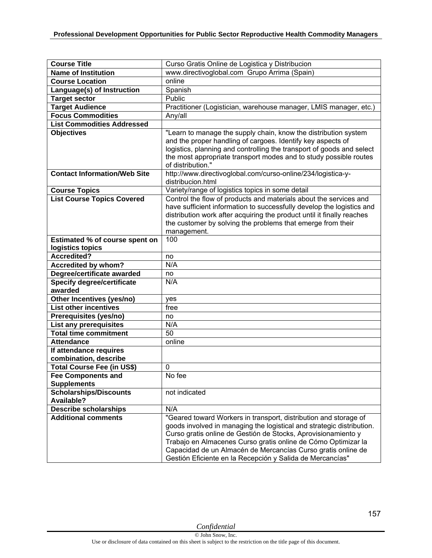| <b>Course Title</b>                          |                                                                                                                                                                                                                                                                                                                                                                                                          |
|----------------------------------------------|----------------------------------------------------------------------------------------------------------------------------------------------------------------------------------------------------------------------------------------------------------------------------------------------------------------------------------------------------------------------------------------------------------|
| <b>Name of Institution</b>                   | Curso Gratis Online de Logistica y Distribucion<br>www.directivoglobal.com Grupo Arrima (Spain)                                                                                                                                                                                                                                                                                                          |
| <b>Course Location</b>                       | online                                                                                                                                                                                                                                                                                                                                                                                                   |
|                                              |                                                                                                                                                                                                                                                                                                                                                                                                          |
| Language(s) of Instruction                   | Spanish                                                                                                                                                                                                                                                                                                                                                                                                  |
| <b>Target sector</b>                         | Public                                                                                                                                                                                                                                                                                                                                                                                                   |
| <b>Target Audience</b>                       | Practitioner (Logistician, warehouse manager, LMIS manager, etc.)                                                                                                                                                                                                                                                                                                                                        |
| <b>Focus Commodities</b>                     | Any/all                                                                                                                                                                                                                                                                                                                                                                                                  |
| <b>List Commodities Addressed</b>            |                                                                                                                                                                                                                                                                                                                                                                                                          |
| <b>Objectives</b>                            | "Learn to manage the supply chain, know the distribution system<br>and the proper handling of cargoes. Identify key aspects of<br>logistics, planning and controlling the transport of goods and select<br>the most appropriate transport modes and to study possible routes<br>of distribution."                                                                                                        |
| <b>Contact Information/Web Site</b>          | http://www.directivoglobal.com/curso-online/234/logistica-y-<br>distribucion.html                                                                                                                                                                                                                                                                                                                        |
| <b>Course Topics</b>                         | Variety/range of logistics topics in some detail                                                                                                                                                                                                                                                                                                                                                         |
| <b>List Course Topics Covered</b>            | Control the flow of products and materials about the services and<br>have sufficient information to successfully develop the logistics and<br>distribution work after acquiring the product until it finally reaches<br>the customer by solving the problems that emerge from their<br>management.                                                                                                       |
| Estimated % of course spent on               | 100                                                                                                                                                                                                                                                                                                                                                                                                      |
| logistics topics                             |                                                                                                                                                                                                                                                                                                                                                                                                          |
| <b>Accredited?</b>                           | no                                                                                                                                                                                                                                                                                                                                                                                                       |
| <b>Accredited by whom?</b>                   | N/A                                                                                                                                                                                                                                                                                                                                                                                                      |
| Degree/certificate awarded                   | no                                                                                                                                                                                                                                                                                                                                                                                                       |
| <b>Specify degree/certificate</b><br>awarded | N/A                                                                                                                                                                                                                                                                                                                                                                                                      |
| Other Incentives (yes/no)                    | yes                                                                                                                                                                                                                                                                                                                                                                                                      |
| <b>List other incentives</b>                 | free                                                                                                                                                                                                                                                                                                                                                                                                     |
| Prerequisites (yes/no)                       | no                                                                                                                                                                                                                                                                                                                                                                                                       |
| <b>List any prerequisites</b>                | N/A                                                                                                                                                                                                                                                                                                                                                                                                      |
| <b>Total time commitment</b>                 | 50                                                                                                                                                                                                                                                                                                                                                                                                       |
| <b>Attendance</b>                            | online                                                                                                                                                                                                                                                                                                                                                                                                   |
| If attendance requires                       |                                                                                                                                                                                                                                                                                                                                                                                                          |
| combination, describe                        |                                                                                                                                                                                                                                                                                                                                                                                                          |
| Total Course Fee (in US\$)                   | 0                                                                                                                                                                                                                                                                                                                                                                                                        |
| <b>Fee Components and</b>                    | No fee                                                                                                                                                                                                                                                                                                                                                                                                   |
| <b>Supplements</b>                           |                                                                                                                                                                                                                                                                                                                                                                                                          |
| <b>Scholarships/Discounts</b>                | not indicated                                                                                                                                                                                                                                                                                                                                                                                            |
| <b>Available?</b>                            |                                                                                                                                                                                                                                                                                                                                                                                                          |
| <b>Describe scholarships</b>                 | N/A                                                                                                                                                                                                                                                                                                                                                                                                      |
| <b>Additional comments</b>                   | "Geared toward Workers in transport, distribution and storage of<br>goods involved in managing the logistical and strategic distribution.<br>Curso gratis online de Gestión de Stocks, Aprovisionamiento y<br>Trabajo en Almacenes Curso gratis online de Cómo Optimizar la<br>Capacidad de un Almacén de Mercancías Curso gratis online de<br>Gestión Eficiente en la Recepción y Salida de Mercancías" |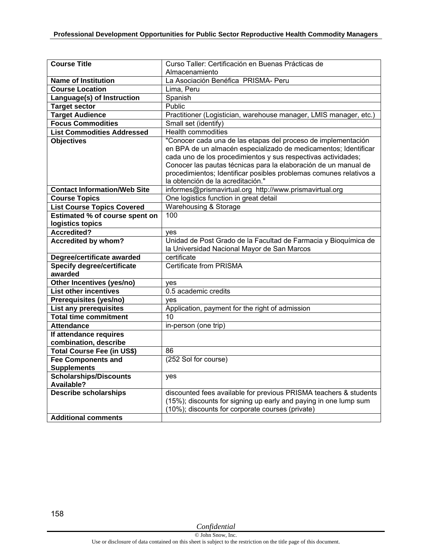| <b>Course Title</b>                          | Curso Taller: Certificación en Buenas Prácticas de                 |
|----------------------------------------------|--------------------------------------------------------------------|
|                                              | Almacenamiento                                                     |
| <b>Name of Institution</b>                   | La Asociación Benéfica PRISMA- Peru                                |
| <b>Course Location</b>                       | Lima, Peru                                                         |
| Language(s) of Instruction                   | Spanish                                                            |
| <b>Target sector</b>                         | <b>Public</b>                                                      |
| <b>Target Audience</b>                       | Practitioner (Logistician, warehouse manager, LMIS manager, etc.)  |
| <b>Focus Commodities</b>                     | Small set (identify)                                               |
| <b>List Commodities Addressed</b>            | <b>Health commodities</b>                                          |
| <b>Objectives</b>                            | "Conocer cada una de las etapas del proceso de implementación      |
|                                              | en BPA de un almacén especializado de medicamentos; Identificar    |
|                                              | cada uno de los procedimientos y sus respectivas actividades;      |
|                                              | Conocer las pautas técnicas para la elaboración de un manual de    |
|                                              | procedimientos; Identificar posibles problemas comunes relativos a |
|                                              | la obtención de la acreditación."                                  |
| <b>Contact Information/Web Site</b>          | informes@prismavirtual.org http://www.prismavirtual.org            |
| <b>Course Topics</b>                         | One logistics function in great detail                             |
| <b>List Course Topics Covered</b>            | <b>Warehousing &amp; Storage</b>                                   |
| Estimated % of course spent on               | 100                                                                |
| logistics topics                             |                                                                    |
| <b>Accredited?</b>                           | yes                                                                |
| Accredited by whom?                          | Unidad de Post Grado de la Facultad de Farmacia y Bioquímica de    |
|                                              | la Universidad Nacional Mayor de San Marcos<br>certificate         |
| Degree/certificate awarded                   | <b>Certificate from PRISMA</b>                                     |
| <b>Specify degree/certificate</b><br>awarded |                                                                    |
| Other Incentives (yes/no)                    |                                                                    |
| <b>List other incentives</b>                 | yes<br>0.5 academic credits                                        |
| Prerequisites (yes/no)                       |                                                                    |
| List any prerequisites                       | yes<br>Application, payment for the right of admission             |
| <b>Total time commitment</b>                 | 10                                                                 |
| <b>Attendance</b>                            | in-person (one trip)                                               |
| If attendance requires                       |                                                                    |
| combination, describe                        |                                                                    |
| Total Course Fee (in US\$)                   | 86                                                                 |
| <b>Fee Components and</b>                    | (252 Sol for course)                                               |
| <b>Supplements</b>                           |                                                                    |
| <b>Scholarships/Discounts</b>                | yes                                                                |
| <b>Available?</b>                            |                                                                    |
| <b>Describe scholarships</b>                 | discounted fees available for previous PRISMA teachers & students  |
|                                              | (15%); discounts for signing up early and paying in one lump sum   |
|                                              | (10%); discounts for corporate courses (private)                   |
| <b>Additional comments</b>                   |                                                                    |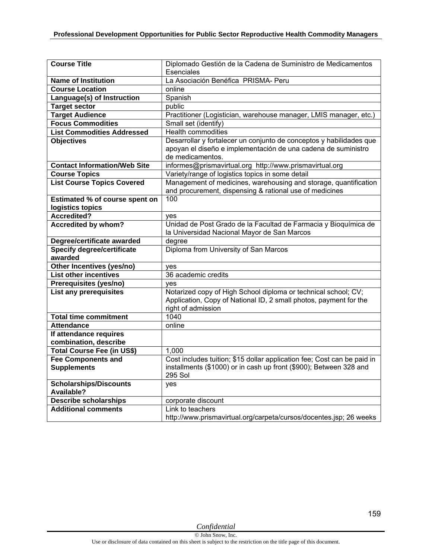| <b>Course Title</b>                             | Diplomado Gestión de la Cadena de Suministro de Medicamentos                                                                                              |
|-------------------------------------------------|-----------------------------------------------------------------------------------------------------------------------------------------------------------|
|                                                 | Esenciales                                                                                                                                                |
| <b>Name of Institution</b>                      | La Asociación Benéfica PRISMA- Peru                                                                                                                       |
| <b>Course Location</b>                          | online                                                                                                                                                    |
| Language(s) of Instruction                      | Spanish                                                                                                                                                   |
| <b>Target sector</b>                            | public                                                                                                                                                    |
| <b>Target Audience</b>                          | Practitioner (Logistician, warehouse manager, LMIS manager, etc.)                                                                                         |
| <b>Focus Commodities</b>                        | Small set (identify)                                                                                                                                      |
| <b>List Commodities Addressed</b>               | <b>Health commodities</b>                                                                                                                                 |
| <b>Objectives</b>                               | Desarrollar y fortalecer un conjunto de conceptos y habilidades que<br>apoyan el diseño e implementación de una cadena de suministro                      |
|                                                 | de medicamentos.                                                                                                                                          |
| <b>Contact Information/Web Site</b>             | informes@prismavirtual.org http://www.prismavirtual.org                                                                                                   |
| <b>Course Topics</b>                            | Variety/range of logistics topics in some detail                                                                                                          |
| <b>List Course Topics Covered</b>               | Management of medicines, warehousing and storage, quantification<br>and procurement, dispensing & rational use of medicines                               |
| Estimated % of course spent on                  | 100                                                                                                                                                       |
| logistics topics                                |                                                                                                                                                           |
| Accredited?                                     | yes                                                                                                                                                       |
| <b>Accredited by whom?</b>                      | Unidad de Post Grado de la Facultad de Farmacia y Bioquímica de<br>la Universidad Nacional Mayor de San Marcos                                            |
| Degree/certificate awarded                      | degree                                                                                                                                                    |
| <b>Specify degree/certificate</b>               | Diploma from University of San Marcos                                                                                                                     |
| awarded                                         |                                                                                                                                                           |
| Other Incentives (yes/no)                       | yes                                                                                                                                                       |
| <b>List other incentives</b>                    | 36 academic credits                                                                                                                                       |
| Prerequisites (yes/no)                          | ves                                                                                                                                                       |
| List any prerequisites                          | Notarized copy of High School diploma or technical school; CV;<br>Application, Copy of National ID, 2 small photos, payment for the<br>right of admission |
| <b>Total time commitment</b>                    | 1040                                                                                                                                                      |
| <b>Attendance</b>                               | online                                                                                                                                                    |
| If attendance requires<br>combination, describe |                                                                                                                                                           |
| Total Course Fee (in US\$)                      | 1,000                                                                                                                                                     |
| <b>Fee Components and</b>                       | Cost includes tuition; \$15 dollar application fee; Cost can be paid in                                                                                   |
| <b>Supplements</b>                              | installments (\$1000) or in cash up front (\$900); Between 328 and<br><b>295 Sol</b>                                                                      |
| <b>Scholarships/Discounts</b><br>Available?     | yes                                                                                                                                                       |
| <b>Describe scholarships</b>                    | corporate discount                                                                                                                                        |
| <b>Additional comments</b>                      | Link to teachers                                                                                                                                          |
|                                                 | http://www.prismavirtual.org/carpeta/cursos/docentes.jsp; 26 weeks                                                                                        |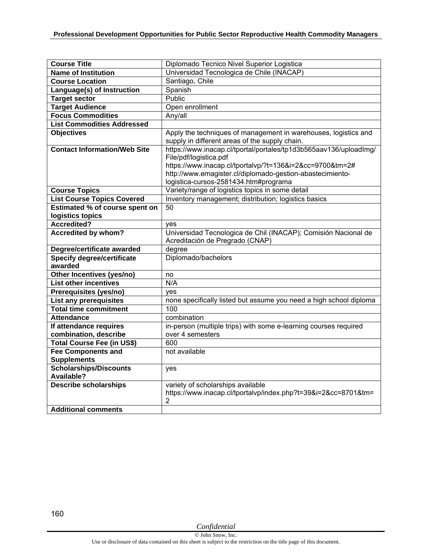| <b>Course Title</b>                 | Diplomado Tecnico Nivel Superior Logistica                         |
|-------------------------------------|--------------------------------------------------------------------|
| <b>Name of Institution</b>          | Universidad Tecnologica de Chile (INACAP)                          |
| <b>Course Location</b>              | Santiago, Chile                                                    |
| Language(s) of Instruction          | Spanish                                                            |
| <b>Target sector</b>                | Public                                                             |
| <b>Target Audience</b>              | Open enrollment                                                    |
| <b>Focus Commodities</b>            | Any/all                                                            |
| <b>List Commodities Addressed</b>   |                                                                    |
| <b>Objectives</b>                   | Apply the techniques of management in warehouses, logistics and    |
|                                     | supply in different areas of the supply chain.                     |
| <b>Contact Information/Web Site</b> | https://www.inacap.cl/tportal/portales/tp1d3b565aav136/uploadImg/  |
|                                     | File/pdf/logistica.pdf                                             |
|                                     | https://www.inacap.cl/tportalvp/?t=136&i=2&cc=9700&tm=2#           |
|                                     | http://www.emagister.cl/diplomado-gestion-abastecimiento-          |
|                                     | logistica-cursos-2581434.htm#programa                              |
| <b>Course Topics</b>                | Variety/range of logistics topics in some detail                   |
| <b>List Course Topics Covered</b>   | Inventory management; distribution; logistics basics               |
| Estimated % of course spent on      | 50                                                                 |
| logistics topics                    |                                                                    |
| <b>Accredited?</b>                  | ves                                                                |
| <b>Accredited by whom?</b>          | Universidad Tecnologica de Chil (INACAP); Comisión Nacional de     |
|                                     | Acreditación de Pregrado (CNAP)                                    |
| Degree/certificate awarded          | degree                                                             |
| <b>Specify degree/certificate</b>   | Diplomado/bachelors                                                |
| awarded                             |                                                                    |
| Other Incentives (yes/no)           | no                                                                 |
| <b>List other incentives</b>        | N/A                                                                |
| Prerequisites (yes/no)              | ves                                                                |
| List any prerequisites              | none specifically listed but assume you need a high school diploma |
| <b>Total time commitment</b>        | 100                                                                |
| <b>Attendance</b>                   | combination                                                        |
| If attendance requires              | in-person (multiple trips) with some e-learning courses required   |
| combination, describe               | over 4 semesters                                                   |
| Total Course Fee (in US\$)          | 600                                                                |
| <b>Fee Components and</b>           | not available                                                      |
| <b>Supplements</b>                  |                                                                    |
| Scholarships/Discounts              | yes                                                                |
| <b>Available?</b>                   |                                                                    |
| <b>Describe scholarships</b>        | variety of scholarships available                                  |
|                                     | https://www.inacap.cl/tportalvp/index.php?t=39&i=2&cc=8701&tm=     |
| <b>Additional comments</b>          | 2                                                                  |
|                                     |                                                                    |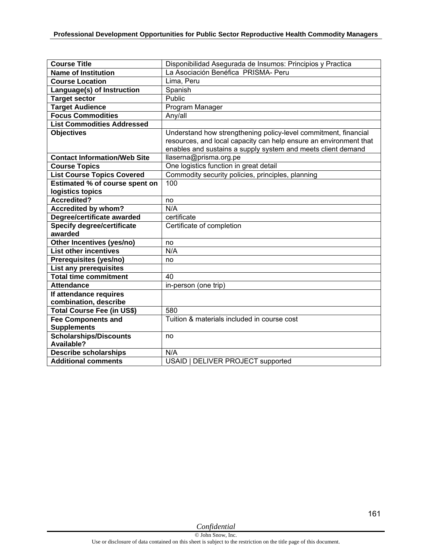| <b>Course Title</b>                          | Disponibilidad Asegurada de Insumos: Principios y Practica        |
|----------------------------------------------|-------------------------------------------------------------------|
| <b>Name of Institution</b>                   | La Asociación Benéfica PRISMA- Peru                               |
| <b>Course Location</b>                       | Lima, Peru                                                        |
| Language(s) of Instruction                   | Spanish                                                           |
| <b>Target sector</b>                         | Public                                                            |
| <b>Target Audience</b>                       | Program Manager                                                   |
| <b>Focus Commodities</b>                     | Any/all                                                           |
| <b>List Commodities Addressed</b>            |                                                                   |
| <b>Objectives</b>                            | Understand how strengthening policy-level commitment, financial   |
|                                              | resources, and local capacity can help ensure an environment that |
|                                              | enables and sustains a supply system and meets client demand      |
| <b>Contact Information/Web Site</b>          | llaserna@prisma.org.pe                                            |
| <b>Course Topics</b>                         | One logistics function in great detail                            |
| <b>List Course Topics Covered</b>            | Commodity security policies, principles, planning                 |
| Estimated % of course spent on               | 100                                                               |
| logistics topics                             |                                                                   |
| <b>Accredited?</b>                           | no                                                                |
| <b>Accredited by whom?</b>                   | N/A                                                               |
| Degree/certificate awarded                   | certificate                                                       |
| <b>Specify degree/certificate</b><br>awarded | Certificate of completion                                         |
| Other Incentives (yes/no)                    | no                                                                |
| <b>List other incentives</b>                 | N/A                                                               |
| Prerequisites (yes/no)                       | no                                                                |
| List any prerequisites                       |                                                                   |
| <b>Total time commitment</b>                 | 40                                                                |
| <b>Attendance</b>                            | in-person (one trip)                                              |
| If attendance requires                       |                                                                   |
| combination, describe                        |                                                                   |
| Total Course Fee (in US\$)                   | 580                                                               |
| <b>Fee Components and</b>                    | Tuition & materials included in course cost                       |
| <b>Supplements</b>                           |                                                                   |
| <b>Scholarships/Discounts</b>                | no                                                                |
| Available?                                   |                                                                   |
| <b>Describe scholarships</b>                 | N/A                                                               |
| <b>Additional comments</b>                   | USAID   DELIVER PROJECT supported                                 |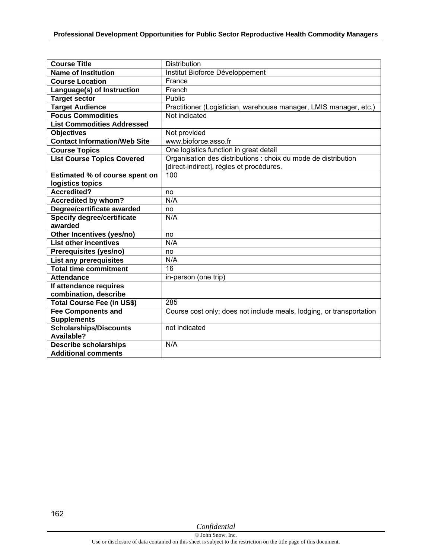| <b>Course Title</b>                   | <b>Distribution</b>                                                  |
|---------------------------------------|----------------------------------------------------------------------|
| <b>Name of Institution</b>            | Institut Bioforce Développement                                      |
| <b>Course Location</b>                | France                                                               |
| Language(s) of Instruction            | French                                                               |
| <b>Target sector</b>                  | Public                                                               |
| <b>Target Audience</b>                | Practitioner (Logistician, warehouse manager, LMIS manager, etc.)    |
| <b>Focus Commodities</b>              | Not indicated                                                        |
| <b>List Commodities Addressed</b>     |                                                                      |
| <b>Objectives</b>                     | Not provided                                                         |
| <b>Contact Information/Web Site</b>   | www.bioforce.asso.fr                                                 |
| <b>Course Topics</b>                  | One logistics function in great detail                               |
| <b>List Course Topics Covered</b>     | Organisation des distributions : choix du mode de distribution       |
|                                       | [direct-indirect], règles et procédures.                             |
| <b>Estimated % of course spent on</b> | 100                                                                  |
| logistics topics                      |                                                                      |
| <b>Accredited?</b>                    | no                                                                   |
| <b>Accredited by whom?</b>            | N/A                                                                  |
| Degree/certificate awarded            | no                                                                   |
| <b>Specify degree/certificate</b>     | N/A                                                                  |
| awarded                               |                                                                      |
| Other Incentives (yes/no)             | no                                                                   |
| <b>List other incentives</b>          | N/A                                                                  |
| Prerequisites (yes/no)                | no                                                                   |
| List any prerequisites                | N/A                                                                  |
| <b>Total time commitment</b>          | 16                                                                   |
| <b>Attendance</b>                     | in-person (one trip)                                                 |
| If attendance requires                |                                                                      |
| combination, describe                 |                                                                      |
| Total Course Fee (in US\$)            | 285                                                                  |
| <b>Fee Components and</b>             | Course cost only; does not include meals, lodging, or transportation |
| <b>Supplements</b>                    |                                                                      |
| <b>Scholarships/Discounts</b>         | not indicated                                                        |
| Available?                            |                                                                      |
| <b>Describe scholarships</b>          | N/A                                                                  |
| <b>Additional comments</b>            |                                                                      |

162

*Confidential*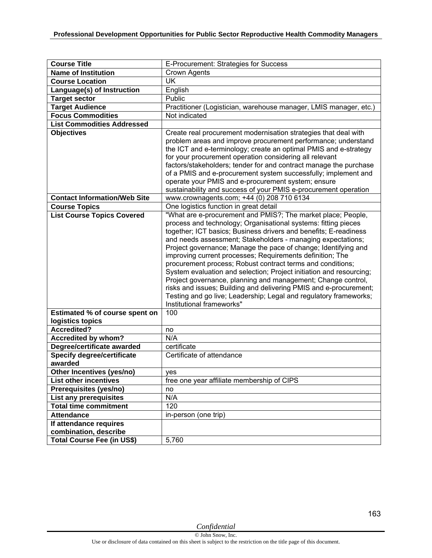| <b>Course Title</b>                                                 | E-Procurement: Strategies for Success                                                                                                                                                                                                                                                                                                                                                                                                                                                                                                                                                                                                                                                                                                                                               |
|---------------------------------------------------------------------|-------------------------------------------------------------------------------------------------------------------------------------------------------------------------------------------------------------------------------------------------------------------------------------------------------------------------------------------------------------------------------------------------------------------------------------------------------------------------------------------------------------------------------------------------------------------------------------------------------------------------------------------------------------------------------------------------------------------------------------------------------------------------------------|
| <b>Name of Institution</b>                                          | <b>Crown Agents</b>                                                                                                                                                                                                                                                                                                                                                                                                                                                                                                                                                                                                                                                                                                                                                                 |
| <b>Course Location</b>                                              | UK                                                                                                                                                                                                                                                                                                                                                                                                                                                                                                                                                                                                                                                                                                                                                                                  |
| Language(s) of Instruction                                          | English                                                                                                                                                                                                                                                                                                                                                                                                                                                                                                                                                                                                                                                                                                                                                                             |
| <b>Target sector</b>                                                | Public                                                                                                                                                                                                                                                                                                                                                                                                                                                                                                                                                                                                                                                                                                                                                                              |
| <b>Target Audience</b>                                              | Practitioner (Logistician, warehouse manager, LMIS manager, etc.)                                                                                                                                                                                                                                                                                                                                                                                                                                                                                                                                                                                                                                                                                                                   |
| <b>Focus Commodities</b>                                            | Not indicated                                                                                                                                                                                                                                                                                                                                                                                                                                                                                                                                                                                                                                                                                                                                                                       |
| <b>List Commodities Addressed</b>                                   |                                                                                                                                                                                                                                                                                                                                                                                                                                                                                                                                                                                                                                                                                                                                                                                     |
| <b>Objectives</b>                                                   | Create real procurement modernisation strategies that deal with<br>problem areas and improve procurement performance; understand<br>the ICT and e-terminology; create an optimal PMIS and e-strategy<br>for your procurement operation considering all relevant<br>factors/stakeholders; tender for and contract manage the purchase<br>of a PMIS and e-procurement system successfully; implement and<br>operate your PMIS and e-procurement system; ensure<br>sustainability and success of your PMIS e-procurement operation                                                                                                                                                                                                                                                     |
| <b>Contact Information/Web Site</b>                                 | www.crownagents.com; +44 (0) 208 710 6134                                                                                                                                                                                                                                                                                                                                                                                                                                                                                                                                                                                                                                                                                                                                           |
| <b>Course Topics</b>                                                | One logistics function in great detail                                                                                                                                                                                                                                                                                                                                                                                                                                                                                                                                                                                                                                                                                                                                              |
| <b>List Course Topics Covered</b><br>Estimated % of course spent on | "What are e-procurement and PMIS?; The market place; People,<br>process and technology; Organisational systems: fitting pieces<br>together; ICT basics; Business drivers and benefits; E-readiness<br>and needs assessment; Stakeholders - managing expectations;<br>Project governance; Manage the pace of change; Identifying and<br>improving current processes; Requirements definition; The<br>procurement process; Robust contract terms and conditions;<br>System evaluation and selection; Project initiation and resourcing;<br>Project governance, planning and management; Change control,<br>risks and issues; Building and delivering PMIS and e-procurement;<br>Testing and go live; Leadership; Legal and regulatory frameworks;<br>Institutional frameworks"<br>100 |
| logistics topics                                                    |                                                                                                                                                                                                                                                                                                                                                                                                                                                                                                                                                                                                                                                                                                                                                                                     |
| Accredited?                                                         | no                                                                                                                                                                                                                                                                                                                                                                                                                                                                                                                                                                                                                                                                                                                                                                                  |
| <b>Accredited by whom?</b>                                          | N/A                                                                                                                                                                                                                                                                                                                                                                                                                                                                                                                                                                                                                                                                                                                                                                                 |
| Degree/certificate awarded                                          | certificate                                                                                                                                                                                                                                                                                                                                                                                                                                                                                                                                                                                                                                                                                                                                                                         |
| <b>Specify degree/certificate</b><br>awarded                        | Certificate of attendance                                                                                                                                                                                                                                                                                                                                                                                                                                                                                                                                                                                                                                                                                                                                                           |
| Other Incentives (yes/no)                                           | ves                                                                                                                                                                                                                                                                                                                                                                                                                                                                                                                                                                                                                                                                                                                                                                                 |
| <b>List other incentives</b>                                        | free one year affiliate membership of CIPS                                                                                                                                                                                                                                                                                                                                                                                                                                                                                                                                                                                                                                                                                                                                          |
| Prerequisites (yes/no)                                              | no                                                                                                                                                                                                                                                                                                                                                                                                                                                                                                                                                                                                                                                                                                                                                                                  |
| List any prerequisites                                              | N/A                                                                                                                                                                                                                                                                                                                                                                                                                                                                                                                                                                                                                                                                                                                                                                                 |
| <b>Total time commitment</b>                                        | 120                                                                                                                                                                                                                                                                                                                                                                                                                                                                                                                                                                                                                                                                                                                                                                                 |
| <b>Attendance</b>                                                   | in-person (one trip)                                                                                                                                                                                                                                                                                                                                                                                                                                                                                                                                                                                                                                                                                                                                                                |
| If attendance requires<br>combination, describe                     |                                                                                                                                                                                                                                                                                                                                                                                                                                                                                                                                                                                                                                                                                                                                                                                     |
| <b>Total Course Fee (in US\$)</b>                                   | 5,760                                                                                                                                                                                                                                                                                                                                                                                                                                                                                                                                                                                                                                                                                                                                                                               |

163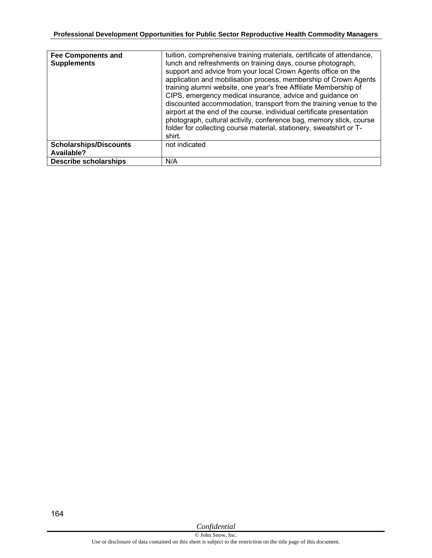| <b>Fee Components and</b><br><b>Supplements</b> | tuition, comprehensive training materials, certificate of attendance,<br>lunch and refreshments on training days, course photograph,<br>support and advice from your local Crown Agents office on the<br>application and mobilisation process, membership of Crown Agents<br>training alumni website, one year's free Affiliate Membership of<br>CIPS, emergency medical insurance, advice and guidance on<br>discounted accommodation, transport from the training venue to the<br>airport at the end of the course, individual certificate presentation<br>photograph, cultural activity, conference bag, memory stick, course<br>folder for collecting course material, stationery, sweatshirt or T-<br>shirt. |
|-------------------------------------------------|-------------------------------------------------------------------------------------------------------------------------------------------------------------------------------------------------------------------------------------------------------------------------------------------------------------------------------------------------------------------------------------------------------------------------------------------------------------------------------------------------------------------------------------------------------------------------------------------------------------------------------------------------------------------------------------------------------------------|
| <b>Scholarships/Discounts</b><br>Available?     | not indicated                                                                                                                                                                                                                                                                                                                                                                                                                                                                                                                                                                                                                                                                                                     |
| <b>Describe scholarships</b>                    | N/A                                                                                                                                                                                                                                                                                                                                                                                                                                                                                                                                                                                                                                                                                                               |

*Confidential*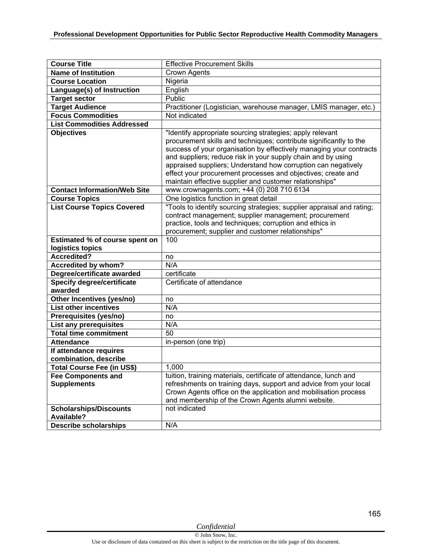| <b>Course Title</b>                             | <b>Effective Procurement Skills</b>                                                                                                                                                                                                                                                                                                                                                                                                                                |
|-------------------------------------------------|--------------------------------------------------------------------------------------------------------------------------------------------------------------------------------------------------------------------------------------------------------------------------------------------------------------------------------------------------------------------------------------------------------------------------------------------------------------------|
| <b>Name of Institution</b>                      | <b>Crown Agents</b>                                                                                                                                                                                                                                                                                                                                                                                                                                                |
| <b>Course Location</b>                          | Nigeria                                                                                                                                                                                                                                                                                                                                                                                                                                                            |
| Language(s) of Instruction                      | English                                                                                                                                                                                                                                                                                                                                                                                                                                                            |
| <b>Target sector</b>                            | Public                                                                                                                                                                                                                                                                                                                                                                                                                                                             |
| <b>Target Audience</b>                          | Practitioner (Logistician, warehouse manager, LMIS manager, etc.)                                                                                                                                                                                                                                                                                                                                                                                                  |
| <b>Focus Commodities</b>                        | Not indicated                                                                                                                                                                                                                                                                                                                                                                                                                                                      |
| <b>List Commodities Addressed</b>               |                                                                                                                                                                                                                                                                                                                                                                                                                                                                    |
| <b>Objectives</b>                               | "Identify appropriate sourcing strategies; apply relevant<br>procurement skills and techniques; contribute significantly to the<br>success of your organisation by effectively managing your contracts<br>and suppliers; reduce risk in your supply chain and by using<br>appraised suppliers; Understand how corruption can negatively<br>effect your procurement processes and objectives; create and<br>maintain effective supplier and customer relationships" |
| <b>Contact Information/Web Site</b>             | www.crownagents.com; +44 (0) 208 710 6134                                                                                                                                                                                                                                                                                                                                                                                                                          |
| <b>Course Topics</b>                            | One logistics function in great detail                                                                                                                                                                                                                                                                                                                                                                                                                             |
| <b>List Course Topics Covered</b>               | "Tools to identify sourcing strategies; supplier appraisal and rating;<br>contract management; supplier management; procurement<br>practice, tools and techniques; corruption and ethics in<br>procurement; supplier and customer relationships"                                                                                                                                                                                                                   |
| Estimated % of course spent on                  | 100                                                                                                                                                                                                                                                                                                                                                                                                                                                                |
| logistics topics                                |                                                                                                                                                                                                                                                                                                                                                                                                                                                                    |
| Accredited?                                     | no                                                                                                                                                                                                                                                                                                                                                                                                                                                                 |
| <b>Accredited by whom?</b>                      | N/A                                                                                                                                                                                                                                                                                                                                                                                                                                                                |
| Degree/certificate awarded                      | certificate                                                                                                                                                                                                                                                                                                                                                                                                                                                        |
| Specify degree/certificate<br>awarded           | Certificate of attendance                                                                                                                                                                                                                                                                                                                                                                                                                                          |
| Other Incentives (yes/no)                       | no                                                                                                                                                                                                                                                                                                                                                                                                                                                                 |
| <b>List other incentives</b>                    | N/A                                                                                                                                                                                                                                                                                                                                                                                                                                                                |
| Prerequisites (yes/no)                          | no                                                                                                                                                                                                                                                                                                                                                                                                                                                                 |
| List any prerequisites                          | N/A                                                                                                                                                                                                                                                                                                                                                                                                                                                                |
| <b>Total time commitment</b>                    | 50                                                                                                                                                                                                                                                                                                                                                                                                                                                                 |
| <b>Attendance</b>                               | in-person (one trip)                                                                                                                                                                                                                                                                                                                                                                                                                                               |
| If attendance requires<br>combination, describe |                                                                                                                                                                                                                                                                                                                                                                                                                                                                    |
| <b>Total Course Fee (in US\$)</b>               | 1,000                                                                                                                                                                                                                                                                                                                                                                                                                                                              |
| <b>Fee Components and</b><br><b>Supplements</b> | tuition, training materials, certificate of attendance, lunch and<br>refreshments on training days, support and advice from your local                                                                                                                                                                                                                                                                                                                             |
|                                                 | Crown Agents office on the application and mobilisation process<br>and membership of the Crown Agents alumni website.                                                                                                                                                                                                                                                                                                                                              |
| <b>Scholarships/Discounts</b>                   | not indicated                                                                                                                                                                                                                                                                                                                                                                                                                                                      |
| Available?                                      |                                                                                                                                                                                                                                                                                                                                                                                                                                                                    |
| <b>Describe scholarships</b>                    | N/A                                                                                                                                                                                                                                                                                                                                                                                                                                                                |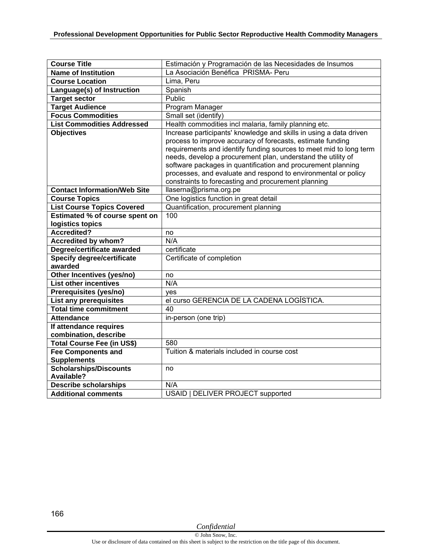| <b>Course Title</b>                 | Estimación y Programación de las Necesidades de Insumos            |
|-------------------------------------|--------------------------------------------------------------------|
| <b>Name of Institution</b>          | La Asociación Benéfica PRISMA- Peru                                |
| <b>Course Location</b>              | Lima, Peru                                                         |
| Language(s) of Instruction          | Spanish                                                            |
| <b>Target sector</b>                | Public                                                             |
| <b>Target Audience</b>              | Program Manager                                                    |
| <b>Focus Commodities</b>            | Small set (identify)                                               |
| <b>List Commodities Addressed</b>   | Health commodities incl malaria, family planning etc.              |
| <b>Objectives</b>                   | Increase participants' knowledge and skills in using a data driven |
|                                     | process to improve accuracy of forecasts, estimate funding         |
|                                     | requirements and identify funding sources to meet mid to long term |
|                                     | needs, develop a procurement plan, understand the utility of       |
|                                     | software packages in quantification and procurement planning       |
|                                     | processes, and evaluate and respond to environmental or policy     |
|                                     | constraints to forecasting and procurement planning                |
| <b>Contact Information/Web Site</b> | llaserna@prisma.org.pe                                             |
| <b>Course Topics</b>                | One logistics function in great detail                             |
| <b>List Course Topics Covered</b>   | Quantification, procurement planning                               |
| Estimated % of course spent on      | 100                                                                |
| logistics topics                    |                                                                    |
| Accredited?                         | no                                                                 |
|                                     |                                                                    |
| Accredited by whom?                 | N/A                                                                |
| Degree/certificate awarded          | certificate                                                        |
| <b>Specify degree/certificate</b>   | Certificate of completion                                          |
| awarded                             |                                                                    |
| Other Incentives (yes/no)           | no                                                                 |
| <b>List other incentives</b>        | N/A                                                                |
| Prerequisites (yes/no)              | ves                                                                |
| <b>List any prerequisites</b>       | el curso GERENCIA DE LA CADENA LOGÍSTICA.                          |
| <b>Total time commitment</b>        | 40                                                                 |
| <b>Attendance</b>                   | in-person (one trip)                                               |
| If attendance requires              |                                                                    |
| combination, describe               |                                                                    |
| <b>Total Course Fee (in US\$)</b>   | 580                                                                |
| <b>Fee Components and</b>           | Tuition & materials included in course cost                        |
| <b>Supplements</b>                  |                                                                    |
| <b>Scholarships/Discounts</b>       | no                                                                 |
| Available?                          |                                                                    |
| <b>Describe scholarships</b>        | N/A<br><b>USAID   DELIVER PROJECT supported</b>                    |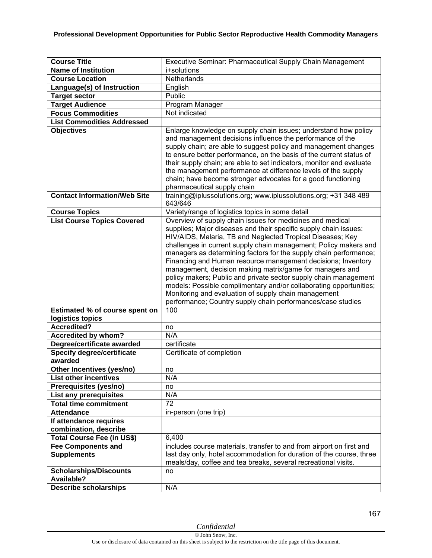| <b>Course Title</b><br><b>Name of Institution</b> | Executive Seminar: Pharmaceutical Supply Chain Management<br>i+solutions                                                                                                                                                                                                                                                                                                                                                                                                                                                                                                                                                                                                                                                          |
|---------------------------------------------------|-----------------------------------------------------------------------------------------------------------------------------------------------------------------------------------------------------------------------------------------------------------------------------------------------------------------------------------------------------------------------------------------------------------------------------------------------------------------------------------------------------------------------------------------------------------------------------------------------------------------------------------------------------------------------------------------------------------------------------------|
|                                                   |                                                                                                                                                                                                                                                                                                                                                                                                                                                                                                                                                                                                                                                                                                                                   |
| <b>Course Location</b>                            | Netherlands                                                                                                                                                                                                                                                                                                                                                                                                                                                                                                                                                                                                                                                                                                                       |
| Language(s) of Instruction                        | English                                                                                                                                                                                                                                                                                                                                                                                                                                                                                                                                                                                                                                                                                                                           |
| <b>Target sector</b>                              | Public                                                                                                                                                                                                                                                                                                                                                                                                                                                                                                                                                                                                                                                                                                                            |
| <b>Target Audience</b>                            | Program Manager                                                                                                                                                                                                                                                                                                                                                                                                                                                                                                                                                                                                                                                                                                                   |
| <b>Focus Commodities</b>                          | Not indicated                                                                                                                                                                                                                                                                                                                                                                                                                                                                                                                                                                                                                                                                                                                     |
| <b>List Commodities Addressed</b>                 |                                                                                                                                                                                                                                                                                                                                                                                                                                                                                                                                                                                                                                                                                                                                   |
| <b>Objectives</b>                                 | Enlarge knowledge on supply chain issues; understand how policy<br>and management decisions influence the performance of the<br>supply chain; are able to suggest policy and management changes<br>to ensure better performance, on the basis of the current status of<br>their supply chain; are able to set indicators, monitor and evaluate<br>the management performance at difference levels of the supply<br>chain; have become stronger advocates for a good functioning<br>pharmaceutical supply chain                                                                                                                                                                                                                    |
| <b>Contact Information/Web Site</b>               | training@iplussolutions.org; www.iplussolutions.org; +31 348 489<br>643/646                                                                                                                                                                                                                                                                                                                                                                                                                                                                                                                                                                                                                                                       |
| <b>Course Topics</b>                              | Variety/range of logistics topics in some detail                                                                                                                                                                                                                                                                                                                                                                                                                                                                                                                                                                                                                                                                                  |
| <b>List Course Topics Covered</b>                 | Overview of supply chain issues for medicines and medical<br>supplies; Major diseases and their specific supply chain issues:<br>HIV/AIDS, Malaria, TB and Neglected Tropical Diseases; Key<br>challenges in current supply chain management; Policy makers and<br>managers as determining factors for the supply chain performance;<br>Financing and Human resource management decisions; Inventory<br>management, decision making matrix/game for managers and<br>policy makers; Public and private sector supply chain management<br>models: Possible complimentary and/or collaborating opportunities;<br>Monitoring and evaluation of supply chain management<br>performance; Country supply chain performances/case studies |
| Estimated % of course spent on                    | 100                                                                                                                                                                                                                                                                                                                                                                                                                                                                                                                                                                                                                                                                                                                               |
| logistics topics                                  |                                                                                                                                                                                                                                                                                                                                                                                                                                                                                                                                                                                                                                                                                                                                   |
| <b>Accredited?</b>                                | no                                                                                                                                                                                                                                                                                                                                                                                                                                                                                                                                                                                                                                                                                                                                |
| Accredited by whom?                               | N/A                                                                                                                                                                                                                                                                                                                                                                                                                                                                                                                                                                                                                                                                                                                               |
| Degree/certificate awarded                        | certificate                                                                                                                                                                                                                                                                                                                                                                                                                                                                                                                                                                                                                                                                                                                       |
| <b>Specify degree/certificate</b>                 | Certificate of completion                                                                                                                                                                                                                                                                                                                                                                                                                                                                                                                                                                                                                                                                                                         |
| awarded                                           |                                                                                                                                                                                                                                                                                                                                                                                                                                                                                                                                                                                                                                                                                                                                   |
| Other Incentives (yes/no)                         | no                                                                                                                                                                                                                                                                                                                                                                                                                                                                                                                                                                                                                                                                                                                                |
| <b>List other incentives</b>                      | N/A                                                                                                                                                                                                                                                                                                                                                                                                                                                                                                                                                                                                                                                                                                                               |
| Prerequisites (yes/no)                            | no                                                                                                                                                                                                                                                                                                                                                                                                                                                                                                                                                                                                                                                                                                                                |
| List any prerequisites                            | N/A                                                                                                                                                                                                                                                                                                                                                                                                                                                                                                                                                                                                                                                                                                                               |
| <b>Total time commitment</b>                      | 72                                                                                                                                                                                                                                                                                                                                                                                                                                                                                                                                                                                                                                                                                                                                |
| <b>Attendance</b>                                 | in-person (one trip)                                                                                                                                                                                                                                                                                                                                                                                                                                                                                                                                                                                                                                                                                                              |
| If attendance requires<br>combination, describe   |                                                                                                                                                                                                                                                                                                                                                                                                                                                                                                                                                                                                                                                                                                                                   |
| Total Course Fee (in US\$)                        | 6,400                                                                                                                                                                                                                                                                                                                                                                                                                                                                                                                                                                                                                                                                                                                             |
| <b>Fee Components and</b>                         | includes course materials, transfer to and from airport on first and                                                                                                                                                                                                                                                                                                                                                                                                                                                                                                                                                                                                                                                              |
| <b>Supplements</b>                                | last day only, hotel accommodation for duration of the course, three                                                                                                                                                                                                                                                                                                                                                                                                                                                                                                                                                                                                                                                              |
|                                                   | meals/day, coffee and tea breaks, several recreational visits.                                                                                                                                                                                                                                                                                                                                                                                                                                                                                                                                                                                                                                                                    |
| <b>Scholarships/Discounts</b>                     | no                                                                                                                                                                                                                                                                                                                                                                                                                                                                                                                                                                                                                                                                                                                                |
| <b>Available?</b>                                 |                                                                                                                                                                                                                                                                                                                                                                                                                                                                                                                                                                                                                                                                                                                                   |
| <b>Describe scholarships</b>                      | N/A                                                                                                                                                                                                                                                                                                                                                                                                                                                                                                                                                                                                                                                                                                                               |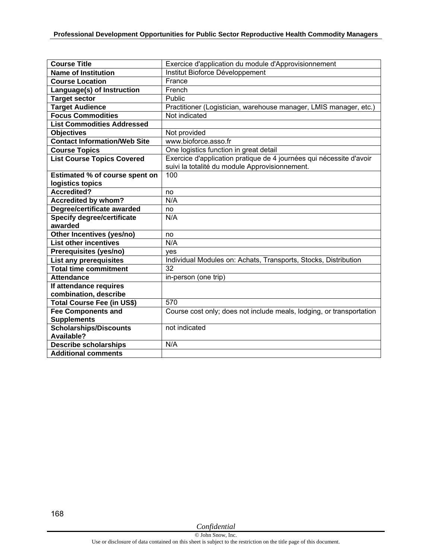| <b>Course Title</b>                   | Exercice d'application du module d'Approvisionnement                 |
|---------------------------------------|----------------------------------------------------------------------|
| <b>Name of Institution</b>            | Institut Bioforce Développement                                      |
| <b>Course Location</b>                | France                                                               |
| Language(s) of Instruction            | French                                                               |
| <b>Target sector</b>                  | Public                                                               |
| <b>Target Audience</b>                | Practitioner (Logistician, warehouse manager, LMIS manager, etc.)    |
| <b>Focus Commodities</b>              | Not indicated                                                        |
| <b>List Commodities Addressed</b>     |                                                                      |
| <b>Objectives</b>                     | Not provided                                                         |
| <b>Contact Information/Web Site</b>   | www.bioforce.asso.fr                                                 |
| <b>Course Topics</b>                  | One logistics function in great detail                               |
| <b>List Course Topics Covered</b>     | Exercice d'application pratique de 4 journées qui nécessite d'avoir  |
|                                       | suivi la totalité du module Approvisionnement.                       |
| <b>Estimated % of course spent on</b> | 100                                                                  |
| logistics topics                      |                                                                      |
| <b>Accredited?</b>                    | no                                                                   |
| <b>Accredited by whom?</b>            | N/A                                                                  |
| Degree/certificate awarded            | no                                                                   |
| <b>Specify degree/certificate</b>     | N/A                                                                  |
| awarded                               |                                                                      |
| Other Incentives (yes/no)             | no                                                                   |
| <b>List other incentives</b>          | N/A                                                                  |
| Prerequisites (yes/no)                | ves                                                                  |
| List any prerequisites                | Individual Modules on: Achats, Transports, Stocks, Distribution      |
| <b>Total time commitment</b>          | 32                                                                   |
| <b>Attendance</b>                     | in-person (one trip)                                                 |
| If attendance requires                |                                                                      |
| combination, describe                 |                                                                      |
| Total Course Fee (in US\$)            | 570                                                                  |
| <b>Fee Components and</b>             | Course cost only; does not include meals, lodging, or transportation |
| <b>Supplements</b>                    |                                                                      |
| Scholarships/Discounts                | not indicated                                                        |
| Available?                            |                                                                      |
| <b>Describe scholarships</b>          | N/A                                                                  |
| <b>Additional comments</b>            |                                                                      |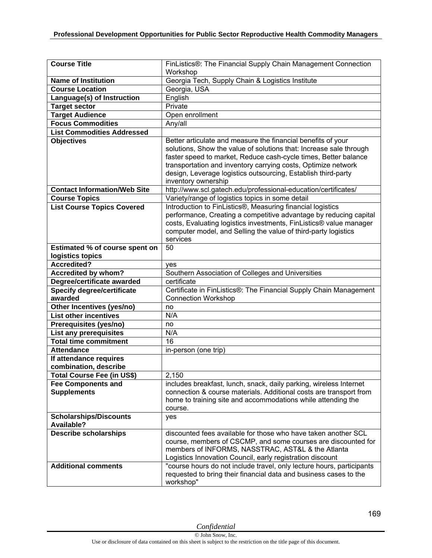| <b>Course Title</b>                             | FinListics®: The Financial Supply Chain Management Connection<br>Workshop                                                                                                                                                                                                                      |
|-------------------------------------------------|------------------------------------------------------------------------------------------------------------------------------------------------------------------------------------------------------------------------------------------------------------------------------------------------|
| <b>Name of Institution</b>                      | Georgia Tech, Supply Chain & Logistics Institute                                                                                                                                                                                                                                               |
| <b>Course Location</b>                          | Georgia, USA                                                                                                                                                                                                                                                                                   |
| Language(s) of Instruction                      | English                                                                                                                                                                                                                                                                                        |
| <b>Target sector</b>                            | Private                                                                                                                                                                                                                                                                                        |
| <b>Target Audience</b>                          | Open enrollment                                                                                                                                                                                                                                                                                |
| <b>Focus Commodities</b>                        | Any/all                                                                                                                                                                                                                                                                                        |
| <b>List Commodities Addressed</b>               |                                                                                                                                                                                                                                                                                                |
| <b>Objectives</b>                               | Better articulate and measure the financial benefits of your                                                                                                                                                                                                                                   |
|                                                 | solutions, Show the value of solutions that: Increase sale through<br>faster speed to market, Reduce cash-cycle times, Better balance<br>transportation and inventory carrying costs, Optimize network<br>design, Leverage logistics outsourcing, Establish third-party<br>inventory ownership |
| <b>Contact Information/Web Site</b>             | http://www.scl.gatech.edu/professional-education/certificates/                                                                                                                                                                                                                                 |
| <b>Course Topics</b>                            | Variety/range of logistics topics in some detail                                                                                                                                                                                                                                               |
| <b>List Course Topics Covered</b>               | Introduction to FinListics®, Measuring financial logistics<br>performance, Creating a competitive advantage by reducing capital<br>costs, Evaluating logistics investments, FinListics® value manager<br>computer model, and Selling the value of third-party logistics<br>services            |
| <b>Estimated % of course spent on</b>           | 50                                                                                                                                                                                                                                                                                             |
| logistics topics                                |                                                                                                                                                                                                                                                                                                |
| <b>Accredited?</b>                              | yes                                                                                                                                                                                                                                                                                            |
| <b>Accredited by whom?</b>                      | Southern Association of Colleges and Universities                                                                                                                                                                                                                                              |
| Degree/certificate awarded                      | certificate                                                                                                                                                                                                                                                                                    |
| <b>Specify degree/certificate</b><br>awarded    | Certificate in FinListics®: The Financial Supply Chain Management<br><b>Connection Workshop</b>                                                                                                                                                                                                |
| Other Incentives (yes/no)                       | no                                                                                                                                                                                                                                                                                             |
| <b>List other incentives</b>                    | N/A                                                                                                                                                                                                                                                                                            |
| Prerequisites (yes/no)                          | no                                                                                                                                                                                                                                                                                             |
| List any prerequisites                          | N/A                                                                                                                                                                                                                                                                                            |
| <b>Total time commitment</b>                    | 16                                                                                                                                                                                                                                                                                             |
| <b>Attendance</b>                               | in-person (one trip)                                                                                                                                                                                                                                                                           |
| If attendance requires                          |                                                                                                                                                                                                                                                                                                |
| combination, describe                           |                                                                                                                                                                                                                                                                                                |
| <b>Total Course Fee (in US\$)</b>               | 2,150                                                                                                                                                                                                                                                                                          |
| <b>Fee Components and</b><br><b>Supplements</b> | includes breakfast, lunch, snack, daily parking, wireless Internet<br>connection & course materials. Additional costs are transport from<br>home to training site and accommodations while attending the<br>course.                                                                            |
| <b>Scholarships/Discounts</b>                   | yes                                                                                                                                                                                                                                                                                            |
| Available?                                      |                                                                                                                                                                                                                                                                                                |
| <b>Describe scholarships</b>                    | discounted fees available for those who have taken another SCL<br>course, members of CSCMP, and some courses are discounted for<br>members of INFORMS, NASSTRAC, AST&L & the Atlanta<br>Logistics Innovation Council, early registration discount                                              |
| <b>Additional comments</b>                      | "course hours do not include travel, only lecture hours, participants                                                                                                                                                                                                                          |
|                                                 | requested to bring their financial data and business cases to the<br>workshop"                                                                                                                                                                                                                 |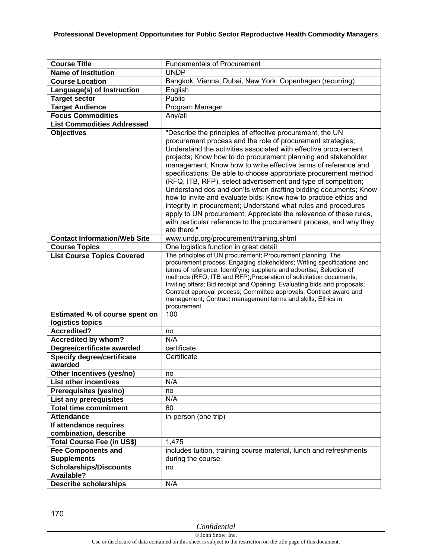| <b>Course Title</b>                                | <b>Fundamentals of Procurement</b>                                                                                                                                                                                                                                                                                                                                                                                                                                                                                                                                                                                                                                                                                                                                                                                                      |
|----------------------------------------------------|-----------------------------------------------------------------------------------------------------------------------------------------------------------------------------------------------------------------------------------------------------------------------------------------------------------------------------------------------------------------------------------------------------------------------------------------------------------------------------------------------------------------------------------------------------------------------------------------------------------------------------------------------------------------------------------------------------------------------------------------------------------------------------------------------------------------------------------------|
| <b>Name of Institution</b>                         | <b>UNDP</b>                                                                                                                                                                                                                                                                                                                                                                                                                                                                                                                                                                                                                                                                                                                                                                                                                             |
| <b>Course Location</b>                             | Bangkok, Vienna, Dubai, New York, Copenhagen (recurring)                                                                                                                                                                                                                                                                                                                                                                                                                                                                                                                                                                                                                                                                                                                                                                                |
| Language(s) of Instruction                         | English                                                                                                                                                                                                                                                                                                                                                                                                                                                                                                                                                                                                                                                                                                                                                                                                                                 |
| <b>Target sector</b>                               | Public                                                                                                                                                                                                                                                                                                                                                                                                                                                                                                                                                                                                                                                                                                                                                                                                                                  |
| <b>Target Audience</b>                             | Program Manager                                                                                                                                                                                                                                                                                                                                                                                                                                                                                                                                                                                                                                                                                                                                                                                                                         |
| <b>Focus Commodities</b>                           | Any/all                                                                                                                                                                                                                                                                                                                                                                                                                                                                                                                                                                                                                                                                                                                                                                                                                                 |
| <b>List Commodities Addressed</b>                  |                                                                                                                                                                                                                                                                                                                                                                                                                                                                                                                                                                                                                                                                                                                                                                                                                                         |
| <b>Objectives</b>                                  | "Describe the principles of effective procurement, the UN<br>procurement process and the role of procurement strategies;<br>Understand the activities associated with effective procurement<br>projects; Know how to do procurement planning and stakeholder<br>management; Know how to write effective terms of reference and<br>specifications; Be able to choose appropriate procurement method<br>(RFQ, ITB, RFP), select advertisement and type of competition;<br>Understand dos and don'ts when drafting bidding documents; Know<br>how to invite and evaluate bids; Know how to practice ethics and<br>integrity in procurement; Understand what rules and procedures<br>apply to UN procurement; Appreciate the relevance of these rules,<br>with particular reference to the procurement process, and why they<br>are there " |
| <b>Contact Information/Web Site</b>                | www.undp.org/procurement/training.shtml                                                                                                                                                                                                                                                                                                                                                                                                                                                                                                                                                                                                                                                                                                                                                                                                 |
| <b>Course Topics</b>                               | One logistics function in great detail<br>The principles of UN procurement; Procurement planning; The                                                                                                                                                                                                                                                                                                                                                                                                                                                                                                                                                                                                                                                                                                                                   |
| <b>List Course Topics Covered</b>                  | procurement process; Engaging stakeholders; Writing specifications and<br>terms of reference; Identifying suppliers and advertise; Selection of<br>methods (RFQ, ITB and RFP); Preparation of solicitation documents;<br>Inviting offers; Bid receipt and Opening; Evaluating bids and proposals;<br>Contract approval process; Committee approvals; Contract award and<br>management; Contract management terms and skills; Ethics in<br>procurement                                                                                                                                                                                                                                                                                                                                                                                   |
| Estimated % of course spent on                     | 100                                                                                                                                                                                                                                                                                                                                                                                                                                                                                                                                                                                                                                                                                                                                                                                                                                     |
| logistics topics                                   |                                                                                                                                                                                                                                                                                                                                                                                                                                                                                                                                                                                                                                                                                                                                                                                                                                         |
| <b>Accredited?</b>                                 | no                                                                                                                                                                                                                                                                                                                                                                                                                                                                                                                                                                                                                                                                                                                                                                                                                                      |
| Accredited by whom?                                | N/A                                                                                                                                                                                                                                                                                                                                                                                                                                                                                                                                                                                                                                                                                                                                                                                                                                     |
| Degree/certificate awarded                         | certificate                                                                                                                                                                                                                                                                                                                                                                                                                                                                                                                                                                                                                                                                                                                                                                                                                             |
| <b>Specify degree/certificate</b><br>awarded       | Certificate                                                                                                                                                                                                                                                                                                                                                                                                                                                                                                                                                                                                                                                                                                                                                                                                                             |
| Other Incentives (yes/no)                          | no                                                                                                                                                                                                                                                                                                                                                                                                                                                                                                                                                                                                                                                                                                                                                                                                                                      |
| <b>List other incentives</b>                       | N/A                                                                                                                                                                                                                                                                                                                                                                                                                                                                                                                                                                                                                                                                                                                                                                                                                                     |
| Prerequisites (yes/no)                             | no                                                                                                                                                                                                                                                                                                                                                                                                                                                                                                                                                                                                                                                                                                                                                                                                                                      |
| List any prerequisites                             | N/A                                                                                                                                                                                                                                                                                                                                                                                                                                                                                                                                                                                                                                                                                                                                                                                                                                     |
| <b>Total time commitment</b>                       | 60                                                                                                                                                                                                                                                                                                                                                                                                                                                                                                                                                                                                                                                                                                                                                                                                                                      |
| <b>Attendance</b>                                  | in-person (one trip)                                                                                                                                                                                                                                                                                                                                                                                                                                                                                                                                                                                                                                                                                                                                                                                                                    |
| If attendance requires                             |                                                                                                                                                                                                                                                                                                                                                                                                                                                                                                                                                                                                                                                                                                                                                                                                                                         |
| combination, describe                              |                                                                                                                                                                                                                                                                                                                                                                                                                                                                                                                                                                                                                                                                                                                                                                                                                                         |
| Total Course Fee (in US\$)                         | 1,475                                                                                                                                                                                                                                                                                                                                                                                                                                                                                                                                                                                                                                                                                                                                                                                                                                   |
| <b>Fee Components and</b>                          | includes tuition, training course material, lunch and refreshments                                                                                                                                                                                                                                                                                                                                                                                                                                                                                                                                                                                                                                                                                                                                                                      |
| <b>Supplements</b>                                 | during the course                                                                                                                                                                                                                                                                                                                                                                                                                                                                                                                                                                                                                                                                                                                                                                                                                       |
| <b>Scholarships/Discounts</b><br><b>Available?</b> | no                                                                                                                                                                                                                                                                                                                                                                                                                                                                                                                                                                                                                                                                                                                                                                                                                                      |
| <b>Describe scholarships</b>                       | N/A                                                                                                                                                                                                                                                                                                                                                                                                                                                                                                                                                                                                                                                                                                                                                                                                                                     |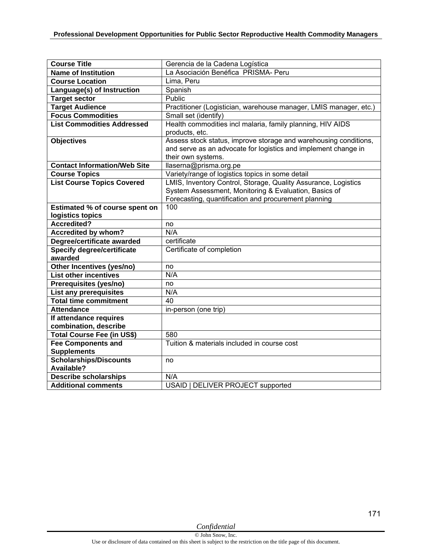| <b>Course Title</b>                    | Gerencia de la Cadena Logística                                   |
|----------------------------------------|-------------------------------------------------------------------|
| <b>Name of Institution</b>             | La Asociación Benéfica PRISMA- Peru                               |
| <b>Course Location</b>                 | Lima, Peru                                                        |
| Language(s) of Instruction             | Spanish                                                           |
| <b>Target sector</b>                   | Public                                                            |
| <b>Target Audience</b>                 | Practitioner (Logistician, warehouse manager, LMIS manager, etc.) |
| <b>Focus Commodities</b>               | Small set (identify)                                              |
| <b>List Commodities Addressed</b>      | Health commodities incl malaria, family planning, HIV AIDS        |
|                                        | products, etc.                                                    |
| <b>Objectives</b>                      | Assess stock status, improve storage and warehousing conditions,  |
|                                        | and serve as an advocate for logistics and implement change in    |
|                                        | their own systems.                                                |
| <b>Contact Information/Web Site</b>    | llaserna@prisma.org.pe                                            |
| <b>Course Topics</b>                   | Variety/range of logistics topics in some detail                  |
| <b>List Course Topics Covered</b>      | LMIS, Inventory Control, Storage, Quality Assurance, Logistics    |
|                                        | System Assessment, Monitoring & Evaluation, Basics of             |
|                                        | Forecasting, quantification and procurement planning              |
| Estimated % of course spent on         | 100                                                               |
| logistics topics<br><b>Accredited?</b> |                                                                   |
| <b>Accredited by whom?</b>             | no<br>N/A                                                         |
| Degree/certificate awarded             | certificate                                                       |
| <b>Specify degree/certificate</b>      | Certificate of completion                                         |
| awarded                                |                                                                   |
| Other Incentives (yes/no)              | no                                                                |
| <b>List other incentives</b>           | N/A                                                               |
| Prerequisites (yes/no)                 | no                                                                |
| <b>List any prerequisites</b>          | N/A                                                               |
| <b>Total time commitment</b>           | 40                                                                |
| <b>Attendance</b>                      | in-person (one trip)                                              |
| If attendance requires                 |                                                                   |
| combination, describe                  |                                                                   |
| <b>Total Course Fee (in US\$)</b>      | 580                                                               |
| <b>Fee Components and</b>              | Tuition & materials included in course cost                       |
| <b>Supplements</b>                     |                                                                   |
| <b>Scholarships/Discounts</b>          | no                                                                |
| Available?                             |                                                                   |
| <b>Describe scholarships</b>           | N/A                                                               |
| <b>Additional comments</b>             | USAID   DELIVER PROJECT supported                                 |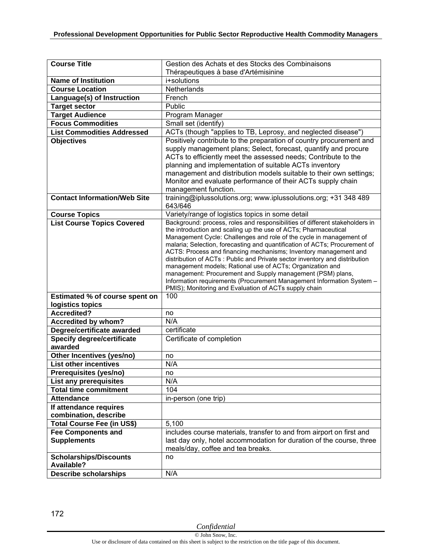| <b>Course Title</b>                                | Gestion des Achats et des Stocks des Combinaisons                                                                                                 |
|----------------------------------------------------|---------------------------------------------------------------------------------------------------------------------------------------------------|
|                                                    | Thérapeutiques à base d'Artémisinine                                                                                                              |
| <b>Name of Institution</b>                         | i+solutions                                                                                                                                       |
| <b>Course Location</b>                             | Netherlands                                                                                                                                       |
| Language(s) of Instruction                         | French                                                                                                                                            |
| <b>Target sector</b>                               | Public                                                                                                                                            |
| <b>Target Audience</b>                             | Program Manager                                                                                                                                   |
| <b>Focus Commodities</b>                           | Small set (identify)                                                                                                                              |
| <b>List Commodities Addressed</b>                  | ACTs (though "applies to TB, Leprosy, and neglected disease")                                                                                     |
| <b>Objectives</b>                                  | Positively contribute to the preparation of country procurement and                                                                               |
|                                                    | supply management plans; Select, forecast, quantify and procure<br>ACTs to efficiently meet the assessed needs; Contribute to the                 |
|                                                    | planning and implementation of suitable ACTs inventory                                                                                            |
|                                                    | management and distribution models suitable to their own settings;                                                                                |
|                                                    | Monitor and evaluate performance of their ACTs supply chain                                                                                       |
|                                                    | management function.                                                                                                                              |
| <b>Contact Information/Web Site</b>                | training@iplussolutions.org; www.iplussolutions.org; +31 348 489<br>643/646                                                                       |
| <b>Course Topics</b>                               | Variety/range of logistics topics in some detail                                                                                                  |
| <b>List Course Topics Covered</b>                  | Background: process, roles and responsibilities of different stakeholders in                                                                      |
|                                                    | the introduction and scaling up the use of ACTs; Pharmaceutical                                                                                   |
|                                                    | Management Cycle: Challenges and role of the cycle in management of<br>malaria; Selection, forecasting and quantification of ACTs; Procurement of |
|                                                    | ACTS: Process and financing mechanisms; Inventory management and                                                                                  |
|                                                    | distribution of ACTs: Public and Private sector inventory and distribution                                                                        |
|                                                    | management models; Rational use of ACTs; Organization and                                                                                         |
|                                                    | management: Procurement and Supply management (PSM) plans,<br>Information requirements (Procurement Management Information System -               |
|                                                    | PMIS); Monitoring and Evaluation of ACTs supply chain                                                                                             |
| Estimated % of course spent on                     | 100                                                                                                                                               |
| logistics topics                                   |                                                                                                                                                   |
| <b>Accredited?</b>                                 | no                                                                                                                                                |
| Accredited by whom?                                | N/A                                                                                                                                               |
| Degree/certificate awarded                         | certificate                                                                                                                                       |
| <b>Specify degree/certificate</b>                  | Certificate of completion                                                                                                                         |
| awarded                                            |                                                                                                                                                   |
| Other Incentives (yes/no)                          | no                                                                                                                                                |
| <b>List other incentives</b>                       | N/A                                                                                                                                               |
| Prerequisites (yes/no)                             | no                                                                                                                                                |
| List any prerequisites                             | N/A                                                                                                                                               |
| <b>Total time commitment</b>                       | 104                                                                                                                                               |
| <b>Attendance</b>                                  | in-person (one trip)                                                                                                                              |
| If attendance requires                             |                                                                                                                                                   |
| combination, describe                              |                                                                                                                                                   |
| Total Course Fee (in US\$)                         | 5,100                                                                                                                                             |
| <b>Fee Components and</b>                          | includes course materials, transfer to and from airport on first and                                                                              |
| <b>Supplements</b>                                 | last day only, hotel accommodation for duration of the course, three                                                                              |
|                                                    | meals/day, coffee and tea breaks.                                                                                                                 |
| <b>Scholarships/Discounts</b><br><b>Available?</b> | no                                                                                                                                                |
| <b>Describe scholarships</b>                       | N/A                                                                                                                                               |
|                                                    |                                                                                                                                                   |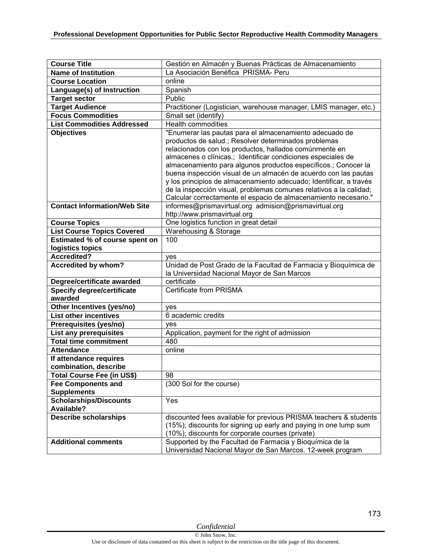| <b>Course Title</b>                          | Gestión en Almacén y Buenas Prácticas de Almacenamiento                                                                                                                                                                                                                                                                                                                                                                                                                                                                    |
|----------------------------------------------|----------------------------------------------------------------------------------------------------------------------------------------------------------------------------------------------------------------------------------------------------------------------------------------------------------------------------------------------------------------------------------------------------------------------------------------------------------------------------------------------------------------------------|
| <b>Name of Institution</b>                   | La Asociación Benéfica PRISMA- Peru                                                                                                                                                                                                                                                                                                                                                                                                                                                                                        |
| <b>Course Location</b>                       | online                                                                                                                                                                                                                                                                                                                                                                                                                                                                                                                     |
| Language(s) of Instruction                   | Spanish                                                                                                                                                                                                                                                                                                                                                                                                                                                                                                                    |
| <b>Target sector</b>                         | Public                                                                                                                                                                                                                                                                                                                                                                                                                                                                                                                     |
| <b>Target Audience</b>                       | Practitioner (Logistician, warehouse manager, LMIS manager, etc.)                                                                                                                                                                                                                                                                                                                                                                                                                                                          |
| <b>Focus Commodities</b>                     | Small set (identify)                                                                                                                                                                                                                                                                                                                                                                                                                                                                                                       |
| <b>List Commodities Addressed</b>            | <b>Health commodities</b>                                                                                                                                                                                                                                                                                                                                                                                                                                                                                                  |
| <b>Objectives</b>                            | "Enumerar las pautas para el almacenamiento adecuado de<br>productos de salud.; Resolver determinados problemas<br>relacionados con los productos, hallados comúnmente en<br>almacenes o clínicas.; Identificar condiciones especiales de<br>almacenamiento para algunos productos específicos.; Conocer la<br>buena inspección visual de un almacén de acuerdo con las pautas<br>y los principios de almacenamiento adecuado; Identificar, a través<br>de la inspección visual, problemas comunes relativos a la calidad; |
|                                              | Calcular correctamente el espacio de almacenamiento necesario."                                                                                                                                                                                                                                                                                                                                                                                                                                                            |
| <b>Contact Information/Web Site</b>          | informes@prismavirtual.org admision@prismavirtual.org<br>http://www.prismavirtual.org                                                                                                                                                                                                                                                                                                                                                                                                                                      |
| <b>Course Topics</b>                         | One logistics function in great detail                                                                                                                                                                                                                                                                                                                                                                                                                                                                                     |
| <b>List Course Topics Covered</b>            | Warehousing & Storage                                                                                                                                                                                                                                                                                                                                                                                                                                                                                                      |
| Estimated % of course spent on               | 100                                                                                                                                                                                                                                                                                                                                                                                                                                                                                                                        |
| logistics topics                             |                                                                                                                                                                                                                                                                                                                                                                                                                                                                                                                            |
| Accredited?                                  | yes                                                                                                                                                                                                                                                                                                                                                                                                                                                                                                                        |
| <b>Accredited by whom?</b>                   | Unidad de Post Grado de la Facultad de Farmacia y Bioquímica de<br>la Universidad Nacional Mayor de San Marcos                                                                                                                                                                                                                                                                                                                                                                                                             |
| Degree/certificate awarded                   | certificate                                                                                                                                                                                                                                                                                                                                                                                                                                                                                                                |
| <b>Specify degree/certificate</b><br>awarded | Certificate from PRISMA                                                                                                                                                                                                                                                                                                                                                                                                                                                                                                    |
| Other Incentives (yes/no)                    | ves                                                                                                                                                                                                                                                                                                                                                                                                                                                                                                                        |
| <b>List other incentives</b>                 | 6 academic credits                                                                                                                                                                                                                                                                                                                                                                                                                                                                                                         |
| Prerequisites (yes/no)                       | ves                                                                                                                                                                                                                                                                                                                                                                                                                                                                                                                        |
| <b>List any prerequisites</b>                | Application, payment for the right of admission                                                                                                                                                                                                                                                                                                                                                                                                                                                                            |
| <b>Total time commitment</b>                 | 480                                                                                                                                                                                                                                                                                                                                                                                                                                                                                                                        |
| <b>Attendance</b>                            | online                                                                                                                                                                                                                                                                                                                                                                                                                                                                                                                     |
| If attendance requires                       |                                                                                                                                                                                                                                                                                                                                                                                                                                                                                                                            |
| combination, describe                        |                                                                                                                                                                                                                                                                                                                                                                                                                                                                                                                            |
| Total Course Fee (in US\$)                   | 98                                                                                                                                                                                                                                                                                                                                                                                                                                                                                                                         |
| <b>Fee Components and</b>                    | (300 Sol for the course)                                                                                                                                                                                                                                                                                                                                                                                                                                                                                                   |
| <b>Supplements</b>                           |                                                                                                                                                                                                                                                                                                                                                                                                                                                                                                                            |
| <b>Scholarships/Discounts</b>                | Yes                                                                                                                                                                                                                                                                                                                                                                                                                                                                                                                        |
| <b>Available?</b>                            |                                                                                                                                                                                                                                                                                                                                                                                                                                                                                                                            |
| <b>Describe scholarships</b>                 | discounted fees available for previous PRISMA teachers & students<br>(15%); discounts for signing up early and paying in one lump sum<br>(10%); discounts for corporate courses (private)                                                                                                                                                                                                                                                                                                                                  |
| <b>Additional comments</b>                   | Supported by the Facultad de Farmacia y Bioquímica de la<br>Universidad Nacional Mayor de San Marcos. 12-week program                                                                                                                                                                                                                                                                                                                                                                                                      |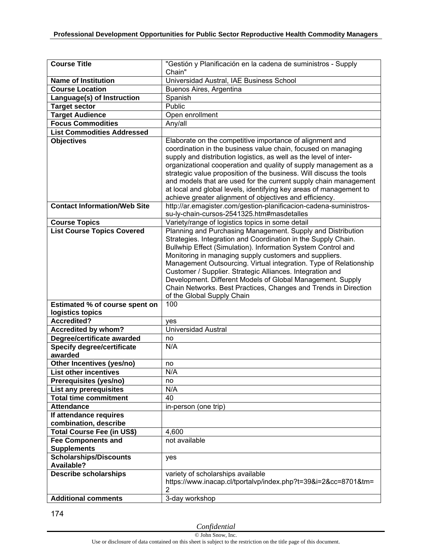| <b>Course Title</b>                                       | "Gestión y Planificación en la cadena de suministros - Supply                                                                                                                                                                                                                                                                                                                                                                                                                                                                                           |
|-----------------------------------------------------------|---------------------------------------------------------------------------------------------------------------------------------------------------------------------------------------------------------------------------------------------------------------------------------------------------------------------------------------------------------------------------------------------------------------------------------------------------------------------------------------------------------------------------------------------------------|
|                                                           | Chain"                                                                                                                                                                                                                                                                                                                                                                                                                                                                                                                                                  |
| <b>Name of Institution</b>                                | Universidad Austral, IAE Business School                                                                                                                                                                                                                                                                                                                                                                                                                                                                                                                |
| <b>Course Location</b>                                    | Buenos Aires, Argentina                                                                                                                                                                                                                                                                                                                                                                                                                                                                                                                                 |
| Language(s) of Instruction                                | Spanish                                                                                                                                                                                                                                                                                                                                                                                                                                                                                                                                                 |
| <b>Target sector</b>                                      | Public                                                                                                                                                                                                                                                                                                                                                                                                                                                                                                                                                  |
| <b>Target Audience</b>                                    | Open enrollment                                                                                                                                                                                                                                                                                                                                                                                                                                                                                                                                         |
| <b>Focus Commodities</b>                                  | Any/all                                                                                                                                                                                                                                                                                                                                                                                                                                                                                                                                                 |
| <b>List Commodities Addressed</b>                         |                                                                                                                                                                                                                                                                                                                                                                                                                                                                                                                                                         |
| <b>Objectives</b>                                         | Elaborate on the competitive importance of alignment and<br>coordination in the business value chain, focused on managing<br>supply and distribution logistics, as well as the level of inter-<br>organizational cooperation and quality of supply management as a<br>strategic value proposition of the business. Will discuss the tools<br>and models that are used for the current supply chain management                                                                                                                                           |
|                                                           | at local and global levels, identifying key areas of management to                                                                                                                                                                                                                                                                                                                                                                                                                                                                                      |
| <b>Contact Information/Web Site</b>                       | achieve greater alignment of objectives and efficiency.<br>http://ar.emagister.com/gestion-planificacion-cadena-suministros-<br>su-ly-chain-cursos-2541325.htm#masdetalles                                                                                                                                                                                                                                                                                                                                                                              |
| <b>Course Topics</b>                                      | Variety/range of logistics topics in some detail                                                                                                                                                                                                                                                                                                                                                                                                                                                                                                        |
| <b>List Course Topics Covered</b>                         | Planning and Purchasing Management. Supply and Distribution<br>Strategies. Integration and Coordination in the Supply Chain.<br>Bullwhip Effect (Simulation). Information System Control and<br>Monitoring in managing supply customers and suppliers.<br>Management Outsourcing. Virtual integration. Type of Relationship<br>Customer / Supplier. Strategic Alliances. Integration and<br>Development. Different Models of Global Management. Supply<br>Chain Networks. Best Practices, Changes and Trends in Direction<br>of the Global Supply Chain |
| <b>Estimated % of course spent on</b><br>logistics topics | 100                                                                                                                                                                                                                                                                                                                                                                                                                                                                                                                                                     |
| <b>Accredited?</b>                                        | yes                                                                                                                                                                                                                                                                                                                                                                                                                                                                                                                                                     |
| <b>Accredited by whom?</b>                                | Universidad Austral                                                                                                                                                                                                                                                                                                                                                                                                                                                                                                                                     |
| Degree/certificate awarded                                | no                                                                                                                                                                                                                                                                                                                                                                                                                                                                                                                                                      |
| <b>Specify degree/certificate</b>                         | N/A                                                                                                                                                                                                                                                                                                                                                                                                                                                                                                                                                     |
| awarded                                                   |                                                                                                                                                                                                                                                                                                                                                                                                                                                                                                                                                         |
| Other Incentives (yes/no)                                 | no                                                                                                                                                                                                                                                                                                                                                                                                                                                                                                                                                      |
| <b>List other incentives</b>                              | N/A                                                                                                                                                                                                                                                                                                                                                                                                                                                                                                                                                     |
| Prerequisites (yes/no)                                    | no                                                                                                                                                                                                                                                                                                                                                                                                                                                                                                                                                      |
| List any prerequisites                                    | N/A                                                                                                                                                                                                                                                                                                                                                                                                                                                                                                                                                     |
| <b>Total time commitment</b>                              | 40                                                                                                                                                                                                                                                                                                                                                                                                                                                                                                                                                      |
| <b>Attendance</b>                                         | in-person (one trip)                                                                                                                                                                                                                                                                                                                                                                                                                                                                                                                                    |
| If attendance requires                                    |                                                                                                                                                                                                                                                                                                                                                                                                                                                                                                                                                         |
| combination, describe                                     |                                                                                                                                                                                                                                                                                                                                                                                                                                                                                                                                                         |
| <b>Total Course Fee (in US\$)</b>                         | 4,600                                                                                                                                                                                                                                                                                                                                                                                                                                                                                                                                                   |
| <b>Fee Components and</b><br><b>Supplements</b>           | not available                                                                                                                                                                                                                                                                                                                                                                                                                                                                                                                                           |
| <b>Scholarships/Discounts</b><br><b>Available?</b>        | yes                                                                                                                                                                                                                                                                                                                                                                                                                                                                                                                                                     |
| <b>Describe scholarships</b>                              | variety of scholarships available<br>https://www.inacap.cl/tportalvp/index.php?t=39&i=2&cc=8701&tm=<br>$\overline{2}$                                                                                                                                                                                                                                                                                                                                                                                                                                   |
| <b>Additional comments</b>                                | 3-day workshop                                                                                                                                                                                                                                                                                                                                                                                                                                                                                                                                          |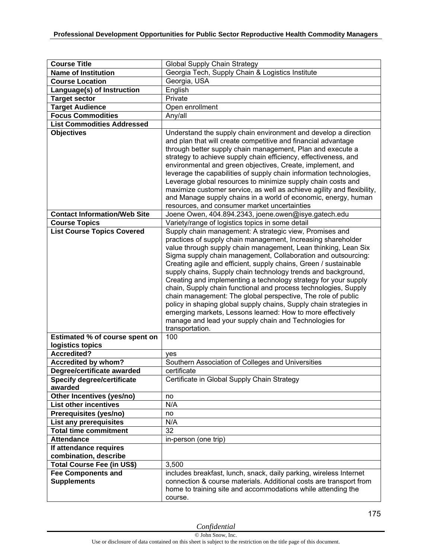| <b>Course Title</b>                             | Global Supply Chain Strategy                                                                                                                                                                                                                                                                                                                                                                                                                                                                                                                                                                                                                                                                                                                                                                                           |
|-------------------------------------------------|------------------------------------------------------------------------------------------------------------------------------------------------------------------------------------------------------------------------------------------------------------------------------------------------------------------------------------------------------------------------------------------------------------------------------------------------------------------------------------------------------------------------------------------------------------------------------------------------------------------------------------------------------------------------------------------------------------------------------------------------------------------------------------------------------------------------|
| <b>Name of Institution</b>                      | Georgia Tech, Supply Chain & Logistics Institute                                                                                                                                                                                                                                                                                                                                                                                                                                                                                                                                                                                                                                                                                                                                                                       |
| <b>Course Location</b>                          | Georgia, USA                                                                                                                                                                                                                                                                                                                                                                                                                                                                                                                                                                                                                                                                                                                                                                                                           |
| Language(s) of Instruction                      | English                                                                                                                                                                                                                                                                                                                                                                                                                                                                                                                                                                                                                                                                                                                                                                                                                |
| <b>Target sector</b>                            | Private                                                                                                                                                                                                                                                                                                                                                                                                                                                                                                                                                                                                                                                                                                                                                                                                                |
| <b>Target Audience</b>                          | Open enrollment                                                                                                                                                                                                                                                                                                                                                                                                                                                                                                                                                                                                                                                                                                                                                                                                        |
| <b>Focus Commodities</b>                        | Any/all                                                                                                                                                                                                                                                                                                                                                                                                                                                                                                                                                                                                                                                                                                                                                                                                                |
| <b>List Commodities Addressed</b>               |                                                                                                                                                                                                                                                                                                                                                                                                                                                                                                                                                                                                                                                                                                                                                                                                                        |
| <b>Objectives</b>                               | Understand the supply chain environment and develop a direction<br>and plan that will create competitive and financial advantage<br>through better supply chain management, Plan and execute a<br>strategy to achieve supply chain efficiency, effectiveness, and<br>environmental and green objectives, Create, implement, and<br>leverage the capabilities of supply chain information technologies,<br>Leverage global resources to minimize supply chain costs and<br>maximize customer service, as well as achieve agility and flexibility,<br>and Manage supply chains in a world of economic, energy, human<br>resources, and consumer market uncertainties                                                                                                                                                     |
| <b>Contact Information/Web Site</b>             | Joene Owen, 404.894.2343, joene.owen@isye.gatech.edu                                                                                                                                                                                                                                                                                                                                                                                                                                                                                                                                                                                                                                                                                                                                                                   |
| <b>Course Topics</b>                            | Variety/range of logistics topics in some detail                                                                                                                                                                                                                                                                                                                                                                                                                                                                                                                                                                                                                                                                                                                                                                       |
| <b>List Course Topics Covered</b>               | Supply chain management: A strategic view, Promises and<br>practices of supply chain management, Increasing shareholder<br>value through supply chain management, Lean thinking, Lean Six<br>Sigma supply chain management, Collaboration and outsourcing:<br>Creating agile and efficient, supply chains, Green / sustainable<br>supply chains, Supply chain technology trends and background,<br>Creating and implementing a technology strategy for your supply<br>chain, Supply chain functional and process technologies, Supply<br>chain management: The global perspective, The role of public<br>policy in shaping global supply chains, Supply chain strategies in<br>emerging markets, Lessons learned: How to more effectively<br>manage and lead your supply chain and Technologies for<br>transportation. |
| Estimated % of course spent on                  | 100                                                                                                                                                                                                                                                                                                                                                                                                                                                                                                                                                                                                                                                                                                                                                                                                                    |
| logistics topics                                |                                                                                                                                                                                                                                                                                                                                                                                                                                                                                                                                                                                                                                                                                                                                                                                                                        |
| <b>Accredited?</b>                              | yes                                                                                                                                                                                                                                                                                                                                                                                                                                                                                                                                                                                                                                                                                                                                                                                                                    |
| Accredited by whom?                             | Southern Association of Colleges and Universities                                                                                                                                                                                                                                                                                                                                                                                                                                                                                                                                                                                                                                                                                                                                                                      |
| Degree/certificate awarded                      | certificate                                                                                                                                                                                                                                                                                                                                                                                                                                                                                                                                                                                                                                                                                                                                                                                                            |
| <b>Specify degree/certificate</b><br>awarded    | Certificate in Global Supply Chain Strategy                                                                                                                                                                                                                                                                                                                                                                                                                                                                                                                                                                                                                                                                                                                                                                            |
| Other Incentives (yes/no)                       | no                                                                                                                                                                                                                                                                                                                                                                                                                                                                                                                                                                                                                                                                                                                                                                                                                     |
| <b>List other incentives</b>                    | N/A                                                                                                                                                                                                                                                                                                                                                                                                                                                                                                                                                                                                                                                                                                                                                                                                                    |
| Prerequisites (yes/no)                          | no                                                                                                                                                                                                                                                                                                                                                                                                                                                                                                                                                                                                                                                                                                                                                                                                                     |
| <b>List any prerequisites</b>                   | N/A                                                                                                                                                                                                                                                                                                                                                                                                                                                                                                                                                                                                                                                                                                                                                                                                                    |
| <b>Total time commitment</b>                    | 32                                                                                                                                                                                                                                                                                                                                                                                                                                                                                                                                                                                                                                                                                                                                                                                                                     |
| <b>Attendance</b>                               | in-person (one trip)                                                                                                                                                                                                                                                                                                                                                                                                                                                                                                                                                                                                                                                                                                                                                                                                   |
| If attendance requires                          |                                                                                                                                                                                                                                                                                                                                                                                                                                                                                                                                                                                                                                                                                                                                                                                                                        |
| combination, describe                           |                                                                                                                                                                                                                                                                                                                                                                                                                                                                                                                                                                                                                                                                                                                                                                                                                        |
| <b>Total Course Fee (in US\$)</b>               | 3,500                                                                                                                                                                                                                                                                                                                                                                                                                                                                                                                                                                                                                                                                                                                                                                                                                  |
| <b>Fee Components and</b><br><b>Supplements</b> | includes breakfast, lunch, snack, daily parking, wireless Internet<br>connection & course materials. Additional costs are transport from<br>home to training site and accommodations while attending the<br>course.                                                                                                                                                                                                                                                                                                                                                                                                                                                                                                                                                                                                    |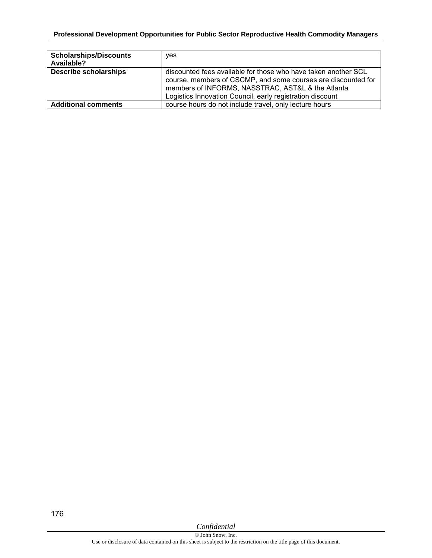## **Professional Development Opportunities for Public Sector Reproductive Health Commodity Managers**

| <b>Scholarships/Discounts</b><br>Available? | ves                                                                                                                                                                                                                                               |
|---------------------------------------------|---------------------------------------------------------------------------------------------------------------------------------------------------------------------------------------------------------------------------------------------------|
| <b>Describe scholarships</b>                | discounted fees available for those who have taken another SCL<br>course, members of CSCMP, and some courses are discounted for<br>members of INFORMS, NASSTRAC, AST&L & the Atlanta<br>Logistics Innovation Council, early registration discount |
| <b>Additional comments</b>                  | course hours do not include travel, only lecture hours                                                                                                                                                                                            |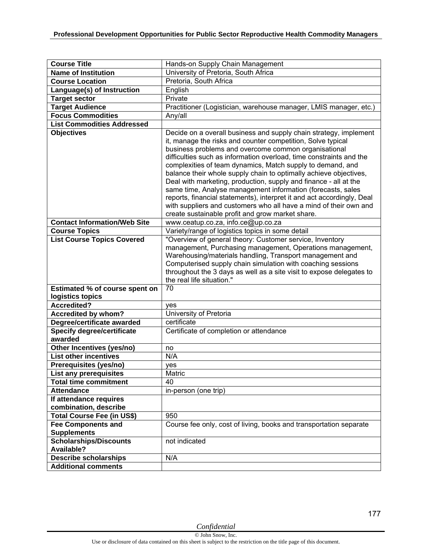| <b>Course Title</b>                                      | Hands-on Supply Chain Management                                                                                                                                                                                                                                                                                                                                                                                                                                                                                                                                                                                                                                                                                                                                               |
|----------------------------------------------------------|--------------------------------------------------------------------------------------------------------------------------------------------------------------------------------------------------------------------------------------------------------------------------------------------------------------------------------------------------------------------------------------------------------------------------------------------------------------------------------------------------------------------------------------------------------------------------------------------------------------------------------------------------------------------------------------------------------------------------------------------------------------------------------|
| <b>Name of Institution</b>                               | University of Pretoria, South Africa                                                                                                                                                                                                                                                                                                                                                                                                                                                                                                                                                                                                                                                                                                                                           |
| <b>Course Location</b>                                   | Pretoria, South Africa                                                                                                                                                                                                                                                                                                                                                                                                                                                                                                                                                                                                                                                                                                                                                         |
| Language(s) of Instruction                               | English                                                                                                                                                                                                                                                                                                                                                                                                                                                                                                                                                                                                                                                                                                                                                                        |
| <b>Target sector</b>                                     | Private                                                                                                                                                                                                                                                                                                                                                                                                                                                                                                                                                                                                                                                                                                                                                                        |
| <b>Target Audience</b>                                   | Practitioner (Logistician, warehouse manager, LMIS manager, etc.)                                                                                                                                                                                                                                                                                                                                                                                                                                                                                                                                                                                                                                                                                                              |
| <b>Focus Commodities</b>                                 | Any/all                                                                                                                                                                                                                                                                                                                                                                                                                                                                                                                                                                                                                                                                                                                                                                        |
| <b>List Commodities Addressed</b>                        |                                                                                                                                                                                                                                                                                                                                                                                                                                                                                                                                                                                                                                                                                                                                                                                |
| <b>Objectives</b><br><b>Contact Information/Web Site</b> | Decide on a overall business and supply chain strategy, implement<br>it, manage the risks and counter competition, Solve typical<br>business problems and overcome common organisational<br>difficulties such as information overload, time constraints and the<br>complexities of team dynamics, Match supply to demand, and<br>balance their whole supply chain to optimally achieve objectives,<br>Deal with marketing, production, supply and finance - all at the<br>same time, Analyse management information (forecasts, sales<br>reports, financial statements), interpret it and act accordingly, Deal<br>with suppliers and customers who all have a mind of their own and<br>create sustainable profit and grow market share.<br>www.ceatup.co.za, info.ce@up.co.za |
| <b>Course Topics</b>                                     | Variety/range of logistics topics in some detail                                                                                                                                                                                                                                                                                                                                                                                                                                                                                                                                                                                                                                                                                                                               |
| <b>List Course Topics Covered</b>                        | "Overview of general theory: Customer service, Inventory                                                                                                                                                                                                                                                                                                                                                                                                                                                                                                                                                                                                                                                                                                                       |
|                                                          | management, Purchasing management, Operations management,<br>Warehousing/materials handling, Transport management and<br>Computerised supply chain simulation with coaching sessions<br>throughout the 3 days as well as a site visit to expose delegates to<br>the real life situation."                                                                                                                                                                                                                                                                                                                                                                                                                                                                                      |
| Estimated % of course spent on<br>logistics topics       | 70                                                                                                                                                                                                                                                                                                                                                                                                                                                                                                                                                                                                                                                                                                                                                                             |
| <b>Accredited?</b>                                       | ves                                                                                                                                                                                                                                                                                                                                                                                                                                                                                                                                                                                                                                                                                                                                                                            |
| <b>Accredited by whom?</b>                               | University of Pretoria                                                                                                                                                                                                                                                                                                                                                                                                                                                                                                                                                                                                                                                                                                                                                         |
| Degree/certificate awarded                               | certificate                                                                                                                                                                                                                                                                                                                                                                                                                                                                                                                                                                                                                                                                                                                                                                    |
| <b>Specify degree/certificate</b>                        | Certificate of completion or attendance                                                                                                                                                                                                                                                                                                                                                                                                                                                                                                                                                                                                                                                                                                                                        |
| awarded                                                  |                                                                                                                                                                                                                                                                                                                                                                                                                                                                                                                                                                                                                                                                                                                                                                                |
| Other Incentives (yes/no)                                | no                                                                                                                                                                                                                                                                                                                                                                                                                                                                                                                                                                                                                                                                                                                                                                             |
| <b>List other incentives</b>                             | N/A                                                                                                                                                                                                                                                                                                                                                                                                                                                                                                                                                                                                                                                                                                                                                                            |
| Prerequisites (yes/no)                                   | yes                                                                                                                                                                                                                                                                                                                                                                                                                                                                                                                                                                                                                                                                                                                                                                            |
| <b>List any prerequisites</b>                            | Matric                                                                                                                                                                                                                                                                                                                                                                                                                                                                                                                                                                                                                                                                                                                                                                         |
| <b>Total time commitment</b>                             | 40                                                                                                                                                                                                                                                                                                                                                                                                                                                                                                                                                                                                                                                                                                                                                                             |
| <b>Attendance</b>                                        | in-person (one trip)                                                                                                                                                                                                                                                                                                                                                                                                                                                                                                                                                                                                                                                                                                                                                           |
| If attendance requires                                   |                                                                                                                                                                                                                                                                                                                                                                                                                                                                                                                                                                                                                                                                                                                                                                                |
| combination, describe                                    |                                                                                                                                                                                                                                                                                                                                                                                                                                                                                                                                                                                                                                                                                                                                                                                |
| <b>Total Course Fee (in US\$)</b>                        | 950                                                                                                                                                                                                                                                                                                                                                                                                                                                                                                                                                                                                                                                                                                                                                                            |
| <b>Fee Components and</b>                                | Course fee only, cost of living, books and transportation separate                                                                                                                                                                                                                                                                                                                                                                                                                                                                                                                                                                                                                                                                                                             |
| <b>Supplements</b>                                       |                                                                                                                                                                                                                                                                                                                                                                                                                                                                                                                                                                                                                                                                                                                                                                                |
| <b>Scholarships/Discounts</b>                            | not indicated                                                                                                                                                                                                                                                                                                                                                                                                                                                                                                                                                                                                                                                                                                                                                                  |
| Available?                                               |                                                                                                                                                                                                                                                                                                                                                                                                                                                                                                                                                                                                                                                                                                                                                                                |
| <b>Describe scholarships</b>                             | N/A                                                                                                                                                                                                                                                                                                                                                                                                                                                                                                                                                                                                                                                                                                                                                                            |
| <b>Additional comments</b>                               |                                                                                                                                                                                                                                                                                                                                                                                                                                                                                                                                                                                                                                                                                                                                                                                |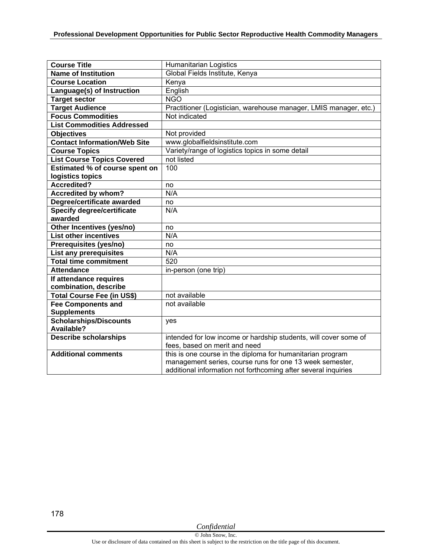| <b>Course Title</b>                 | <b>Humanitarian Logistics</b>                                     |
|-------------------------------------|-------------------------------------------------------------------|
| <b>Name of Institution</b>          | Global Fields Institute, Kenya                                    |
| <b>Course Location</b>              | Kenya                                                             |
| Language(s) of Instruction          | English                                                           |
| Target sector                       | <b>NGO</b>                                                        |
| <b>Target Audience</b>              | Practitioner (Logistician, warehouse manager, LMIS manager, etc.) |
| <b>Focus Commodities</b>            | Not indicated                                                     |
| <b>List Commodities Addressed</b>   |                                                                   |
| <b>Objectives</b>                   | Not provided                                                      |
| <b>Contact Information/Web Site</b> | www.globalfieldsinstitute.com                                     |
| <b>Course Topics</b>                | Variety/range of logistics topics in some detail                  |
| <b>List Course Topics Covered</b>   | not listed                                                        |
| Estimated % of course spent on      | 100                                                               |
| logistics topics                    |                                                                   |
| <b>Accredited?</b>                  | no                                                                |
| Accredited by whom?                 | N/A                                                               |
| Degree/certificate awarded          | no                                                                |
| <b>Specify degree/certificate</b>   | N/A                                                               |
| awarded                             |                                                                   |
| Other Incentives (yes/no)           | no                                                                |
| <b>List other incentives</b>        | N/A                                                               |
| Prerequisites (yes/no)              | no                                                                |
| List any prerequisites              | N/A                                                               |
| <b>Total time commitment</b>        | 520                                                               |
| <b>Attendance</b>                   | in-person (one trip)                                              |
| If attendance requires              |                                                                   |
| combination, describe               |                                                                   |
| <b>Total Course Fee (in US\$)</b>   | not available                                                     |
| <b>Fee Components and</b>           | not available                                                     |
| <b>Supplements</b>                  |                                                                   |
| <b>Scholarships/Discounts</b>       | yes                                                               |
| Available?                          |                                                                   |
| <b>Describe scholarships</b>        | intended for low income or hardship students, will cover some of  |
|                                     | fees, based on merit and need                                     |
| <b>Additional comments</b>          | this is one course in the diploma for humanitarian program        |
|                                     | management series, course runs for one 13 week semester,          |
|                                     | additional information not forthcoming after several inquiries    |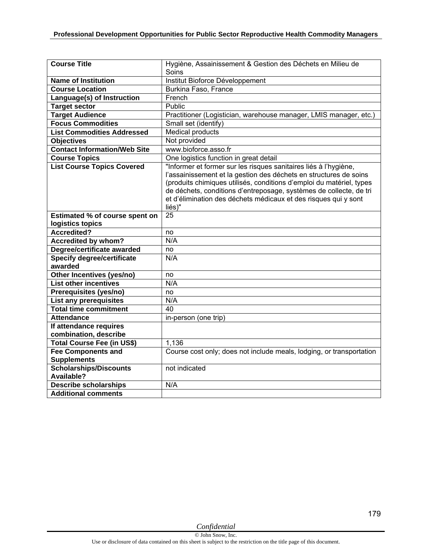| <b>Course Title</b>                 | Hygiène, Assainissement & Gestion des Déchets en Milieu de           |
|-------------------------------------|----------------------------------------------------------------------|
|                                     | Soins                                                                |
| <b>Name of Institution</b>          | Institut Bioforce Développement                                      |
| <b>Course Location</b>              | Burkina Faso, France                                                 |
| Language(s) of Instruction          | French                                                               |
| <b>Target sector</b>                | Public                                                               |
| <b>Target Audience</b>              | Practitioner (Logistician, warehouse manager, LMIS manager, etc.)    |
| <b>Focus Commodities</b>            | Small set (identify)                                                 |
| <b>List Commodities Addressed</b>   | Medical products                                                     |
| <b>Objectives</b>                   | Not provided                                                         |
| <b>Contact Information/Web Site</b> | www.bioforce.asso.fr                                                 |
| <b>Course Topics</b>                | One logistics function in great detail                               |
| <b>List Course Topics Covered</b>   | "Informer et former sur les risques sanitaires liés à l'hygiène,     |
|                                     | l'assainissement et la gestion des déchets en structures de soins    |
|                                     | (produits chimiques utilisés, conditions d'emploi du matériel, types |
|                                     | de déchets, conditions d'entreposage, systèmes de collecte, de tri   |
|                                     | et d'élimination des déchets médicaux et des risques qui y sont      |
|                                     | liés)"                                                               |
| Estimated % of course spent on      | 25                                                                   |
| logistics topics                    |                                                                      |
| Accredited?                         | no                                                                   |
| <b>Accredited by whom?</b>          | N/A                                                                  |
| Degree/certificate awarded          | no                                                                   |
| <b>Specify degree/certificate</b>   | N/A                                                                  |
| awarded                             |                                                                      |
| Other Incentives (yes/no)           | no                                                                   |
| <b>List other incentives</b>        | N/A                                                                  |
| Prerequisites (yes/no)              | no                                                                   |
| List any prerequisites              | N/A                                                                  |
| <b>Total time commitment</b>        | 40                                                                   |
| <b>Attendance</b>                   | in-person (one trip)                                                 |
| If attendance requires              |                                                                      |
| combination, describe               |                                                                      |
| Total Course Fee (in US\$)          | 1,136                                                                |
| <b>Fee Components and</b>           | Course cost only; does not include meals, lodging, or transportation |
| <b>Supplements</b>                  |                                                                      |
| <b>Scholarships/Discounts</b>       | not indicated                                                        |
| <b>Available?</b>                   |                                                                      |
| <b>Describe scholarships</b>        | N/A                                                                  |
| <b>Additional comments</b>          |                                                                      |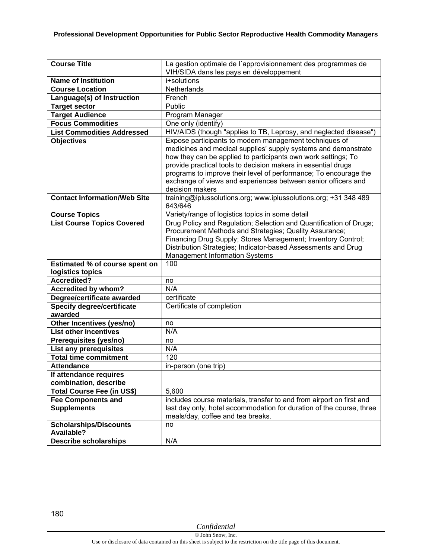| <b>Course Title</b>                                                                | La gestion optimale de l'approvisionnement des programmes de                                                                                                                                                                                                                                                                                                                                                       |
|------------------------------------------------------------------------------------|--------------------------------------------------------------------------------------------------------------------------------------------------------------------------------------------------------------------------------------------------------------------------------------------------------------------------------------------------------------------------------------------------------------------|
|                                                                                    | VIH/SIDA dans les pays en développement                                                                                                                                                                                                                                                                                                                                                                            |
| <b>Name of Institution</b>                                                         | i+solutions                                                                                                                                                                                                                                                                                                                                                                                                        |
| <b>Course Location</b>                                                             | Netherlands                                                                                                                                                                                                                                                                                                                                                                                                        |
| Language(s) of Instruction                                                         | French                                                                                                                                                                                                                                                                                                                                                                                                             |
| <b>Target sector</b>                                                               | Public                                                                                                                                                                                                                                                                                                                                                                                                             |
| <b>Target Audience</b>                                                             | Program Manager                                                                                                                                                                                                                                                                                                                                                                                                    |
| <b>Focus Commodities</b>                                                           | One only (identify)                                                                                                                                                                                                                                                                                                                                                                                                |
| <b>List Commodities Addressed</b>                                                  | HIV/AIDS (though "applies to TB, Leprosy, and neglected disease")                                                                                                                                                                                                                                                                                                                                                  |
| <b>Objectives</b>                                                                  | Expose participants to modern management techniques of<br>medicines and medical supplies' supply systems and demonstrate<br>how they can be applied to participants own work settings; To<br>provide practical tools to decision makers in essential drugs<br>programs to improve their level of performance; To encourage the<br>exchange of views and experiences between senior officers and<br>decision makers |
| <b>Contact Information/Web Site</b>                                                | training@iplussolutions.org; www.iplussolutions.org; +31 348 489<br>643/646                                                                                                                                                                                                                                                                                                                                        |
| <b>Course Topics</b>                                                               | Variety/range of logistics topics in some detail                                                                                                                                                                                                                                                                                                                                                                   |
| <b>List Course Topics Covered</b>                                                  | Drug Policy and Regulation; Selection and Quantification of Drugs;<br>Procurement Methods and Strategies; Quality Assurance;<br>Financing Drug Supply; Stores Management; Inventory Control;<br>Distribution Strategies; Indicator-based Assessments and Drug<br><b>Management Information Systems</b>                                                                                                             |
| Estimated % of course spent on                                                     | 100                                                                                                                                                                                                                                                                                                                                                                                                                |
| logistics topics                                                                   |                                                                                                                                                                                                                                                                                                                                                                                                                    |
| Accredited?                                                                        | no                                                                                                                                                                                                                                                                                                                                                                                                                 |
| Accredited by whom?                                                                | N/A                                                                                                                                                                                                                                                                                                                                                                                                                |
| Degree/certificate awarded                                                         | certificate                                                                                                                                                                                                                                                                                                                                                                                                        |
| <b>Specify degree/certificate</b><br>awarded                                       | Certificate of completion                                                                                                                                                                                                                                                                                                                                                                                          |
| Other Incentives (yes/no)                                                          | no                                                                                                                                                                                                                                                                                                                                                                                                                 |
| <b>List other incentives</b>                                                       | N/A                                                                                                                                                                                                                                                                                                                                                                                                                |
| Prerequisites (yes/no)                                                             | no                                                                                                                                                                                                                                                                                                                                                                                                                 |
| List any prerequisites                                                             | N/A                                                                                                                                                                                                                                                                                                                                                                                                                |
| <b>Total time commitment</b>                                                       | 120                                                                                                                                                                                                                                                                                                                                                                                                                |
| <b>Attendance</b>                                                                  | in-person (one trip)                                                                                                                                                                                                                                                                                                                                                                                               |
| If attendance requires<br>combination, describe                                    |                                                                                                                                                                                                                                                                                                                                                                                                                    |
| <b>Total Course Fee (in US\$)</b>                                                  | 5,600                                                                                                                                                                                                                                                                                                                                                                                                              |
| <b>Fee Components and</b>                                                          | includes course materials, transfer to and from airport on first and                                                                                                                                                                                                                                                                                                                                               |
| <b>Supplements</b>                                                                 | last day only, hotel accommodation for duration of the course, three                                                                                                                                                                                                                                                                                                                                               |
|                                                                                    |                                                                                                                                                                                                                                                                                                                                                                                                                    |
|                                                                                    | meals/day, coffee and tea breaks.                                                                                                                                                                                                                                                                                                                                                                                  |
| <b>Scholarships/Discounts</b><br><b>Available?</b><br><b>Describe scholarships</b> | no<br>N/A                                                                                                                                                                                                                                                                                                                                                                                                          |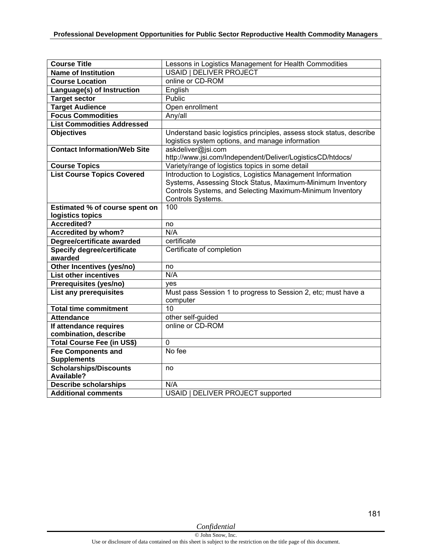| <b>Course Title</b>                 | Lessons in Logistics Management for Health Commodities               |
|-------------------------------------|----------------------------------------------------------------------|
| <b>Name of Institution</b>          | <b>USAID   DELIVER PROJECT</b>                                       |
| <b>Course Location</b>              | online or CD-ROM                                                     |
|                                     |                                                                      |
| Language(s) of Instruction          | English                                                              |
| <b>Target sector</b>                | Public                                                               |
| <b>Target Audience</b>              | Open enrollment                                                      |
| <b>Focus Commodities</b>            | Any/all                                                              |
| <b>List Commodities Addressed</b>   |                                                                      |
| <b>Objectives</b>                   | Understand basic logistics principles, assess stock status, describe |
|                                     | logistics system options, and manage information                     |
| <b>Contact Information/Web Site</b> | askdeliver@jsi.com                                                   |
|                                     | http://www.jsi.com/Independent/Deliver/LogisticsCD/htdocs/           |
| <b>Course Topics</b>                | Variety/range of logistics topics in some detail                     |
| <b>List Course Topics Covered</b>   | Introduction to Logistics, Logistics Management Information          |
|                                     | Systems, Assessing Stock Status, Maximum-Minimum Inventory           |
|                                     | Controls Systems, and Selecting Maximum-Minimum Inventory            |
|                                     | Controls Systems.                                                    |
| Estimated % of course spent on      | 100                                                                  |
| logistics topics                    |                                                                      |
| <b>Accredited?</b>                  | no                                                                   |
| <b>Accredited by whom?</b>          | N/A                                                                  |
| Degree/certificate awarded          | certificate                                                          |
| <b>Specify degree/certificate</b>   | Certificate of completion                                            |
| awarded                             |                                                                      |
| Other Incentives (yes/no)           | no                                                                   |
| <b>List other incentives</b>        | N/A                                                                  |
| Prerequisites (yes/no)              | ves                                                                  |
| List any prerequisites              | Must pass Session 1 to progress to Session 2, etc; must have a       |
|                                     | computer                                                             |
| <b>Total time commitment</b>        | 10                                                                   |
| <b>Attendance</b>                   | other self-guided                                                    |
| If attendance requires              | online or CD-ROM                                                     |
| combination, describe               |                                                                      |
| <b>Total Course Fee (in US\$)</b>   | $\Omega$                                                             |
| <b>Fee Components and</b>           | No fee                                                               |
| <b>Supplements</b>                  |                                                                      |
| <b>Scholarships/Discounts</b>       | no                                                                   |
| <b>Available?</b>                   |                                                                      |
| <b>Describe scholarships</b>        | N/A                                                                  |
| <b>Additional comments</b>          | USAID   DELIVER PROJECT supported                                    |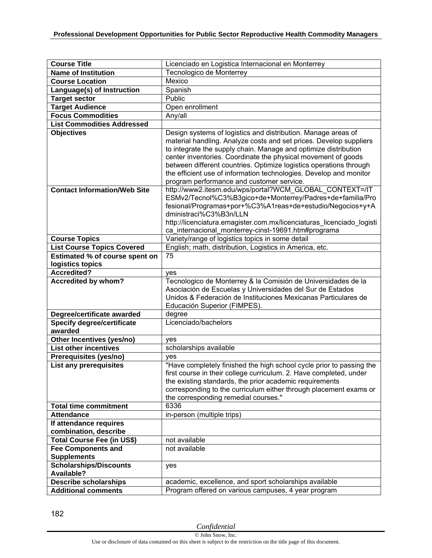| <b>Course Title</b>                                        | Licenciado en Logistica Internacional en Monterrey                                                                         |
|------------------------------------------------------------|----------------------------------------------------------------------------------------------------------------------------|
| <b>Name of Institution</b>                                 | Tecnologico de Monterrey                                                                                                   |
| <b>Course Location</b>                                     | Mexico                                                                                                                     |
| Language(s) of Instruction                                 | Spanish                                                                                                                    |
| <b>Target sector</b>                                       | Public                                                                                                                     |
| <b>Target Audience</b>                                     | Open enrollment                                                                                                            |
| <b>Focus Commodities</b>                                   | Any/all                                                                                                                    |
| <b>List Commodities Addressed</b>                          |                                                                                                                            |
| <b>Objectives</b>                                          | Design systems of logistics and distribution. Manage areas of                                                              |
|                                                            | material handling. Analyze costs and set prices. Develop suppliers                                                         |
|                                                            | to integrate the supply chain. Manage and optimize distribution                                                            |
|                                                            | center inventories. Coordinate the physical movement of goods                                                              |
|                                                            | between different countries. Optimize logistics operations through                                                         |
|                                                            | the efficient use of information technologies. Develop and monitor                                                         |
|                                                            | program performance and customer service.                                                                                  |
| <b>Contact Information/Web Site</b>                        | http://www2.itesm.edu/wps/portal?WCM GLOBAL CONTEXT=/IT                                                                    |
|                                                            | ESMv2/Tecnol%C3%B3gico+de+Monterrey/Padres+de+familia/Pro                                                                  |
|                                                            | fesional/Programas+por+%C3%A1reas+de+estudio/Negocios+y+A                                                                  |
|                                                            | dministraci%C3%B3n/LLN                                                                                                     |
|                                                            | http://licenciatura.emagister.com.mx/licenciaturas licenciado logisti                                                      |
|                                                            | ca_internacional_monterrey-cinst-19691.htm#programa                                                                        |
| <b>Course Topics</b>                                       | Variety/range of logistics topics in some detail                                                                           |
| <b>List Course Topics Covered</b>                          | English; math, distribution, Logistics in America, etc.                                                                    |
| Estimated % of course spent on                             | 75                                                                                                                         |
| logistics topics                                           |                                                                                                                            |
| <b>Accredited?</b>                                         | yes                                                                                                                        |
| Accredited by whom?                                        | Tecnologico de Monterrey & la Comisión de Universidades de la<br>Asociación de Escuelas y Universidades del Sur de Estados |
|                                                            | Unidos & Federación de Instituciones Mexicanas Particulares de                                                             |
|                                                            | Educación Superior (FIMPES).                                                                                               |
| Degree/certificate awarded                                 | degree                                                                                                                     |
| <b>Specify degree/certificate</b>                          | Licenciado/bachelors                                                                                                       |
| awarded                                                    |                                                                                                                            |
| Other Incentives (yes/no)                                  | ves                                                                                                                        |
| <b>List other incentives</b>                               | scholarships available                                                                                                     |
| Prerequisites (yes/no)                                     | yes                                                                                                                        |
| List any prerequisites                                     |                                                                                                                            |
|                                                            | "Have completely finished the high school cycle prior to passing the                                                       |
|                                                            | first course in their college curriculum. 2. Have completed, under                                                         |
|                                                            | the existing standards, the prior academic requirements                                                                    |
|                                                            | corresponding to the curriculum either through placement exams or                                                          |
|                                                            | the corresponding remedial courses."                                                                                       |
| <b>Total time commitment</b>                               | 6336                                                                                                                       |
| <b>Attendance</b>                                          | in-person (multiple trips)                                                                                                 |
| If attendance requires                                     |                                                                                                                            |
| combination, describe                                      |                                                                                                                            |
| <b>Total Course Fee (in US\$)</b>                          | not available                                                                                                              |
| <b>Fee Components and</b>                                  | not available                                                                                                              |
| <b>Supplements</b>                                         |                                                                                                                            |
| <b>Scholarships/Discounts</b>                              | yes                                                                                                                        |
| <b>Available?</b>                                          |                                                                                                                            |
| <b>Describe scholarships</b><br><b>Additional comments</b> | academic, excellence, and sport scholarships available<br>Program offered on various campuses, 4 year program              |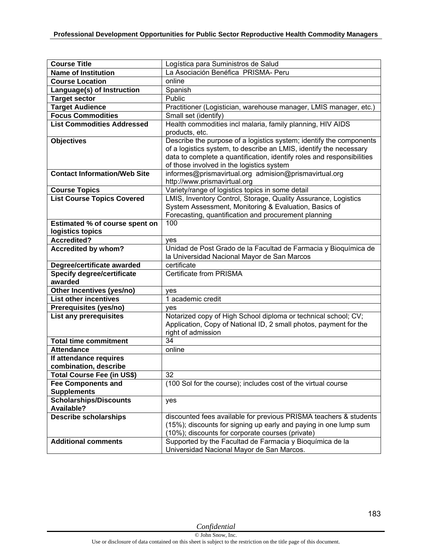| <b>Course Title</b>                                             | Logística para Suministros de Salud                                    |
|-----------------------------------------------------------------|------------------------------------------------------------------------|
| <b>Name of Institution</b>                                      | La Asociación Benéfica PRISMA- Peru                                    |
| <b>Course Location</b>                                          | online                                                                 |
| Language(s) of Instruction                                      | Spanish                                                                |
| <b>Target sector</b>                                            | Public                                                                 |
| <b>Target Audience</b>                                          | Practitioner (Logistician, warehouse manager, LMIS manager, etc.)      |
| <b>Focus Commodities</b>                                        | Small set (identify)                                                   |
| <b>List Commodities Addressed</b>                               | Health commodities incl malaria, family planning, HIV AIDS             |
|                                                                 | products, etc.                                                         |
| <b>Objectives</b>                                               | Describe the purpose of a logistics system; identify the components    |
|                                                                 | of a logistics system, to describe an LMIS, identify the necessary     |
|                                                                 | data to complete a quantification, identify roles and responsibilities |
|                                                                 | of those involved in the logistics system                              |
| <b>Contact Information/Web Site</b>                             | informes@prismavirtual.org admision@prismavirtual.org                  |
|                                                                 | http://www.prismavirtual.org                                           |
| <b>Course Topics</b>                                            | Variety/range of logistics topics in some detail                       |
| <b>List Course Topics Covered</b>                               | LMIS, Inventory Control, Storage, Quality Assurance, Logistics         |
|                                                                 | System Assessment, Monitoring & Evaluation, Basics of                  |
|                                                                 | Forecasting, quantification and procurement planning                   |
| <b>Estimated % of course spent on</b>                           | 100                                                                    |
| logistics topics                                                |                                                                        |
| <b>Accredited?</b>                                              | ves                                                                    |
| Accredited by whom?                                             | Unidad de Post Grado de la Facultad de Farmacia y Bioquímica de        |
|                                                                 | la Universidad Nacional Mayor de San Marcos<br>certificate             |
| Degree/certificate awarded<br><b>Specify degree/certificate</b> | <b>Certificate from PRISMA</b>                                         |
| awarded                                                         |                                                                        |
| Other Incentives (yes/no)                                       |                                                                        |
| <b>List other incentives</b>                                    | yes<br>1 academic credit                                               |
| Prerequisites (yes/no)                                          |                                                                        |
| List any prerequisites                                          | yes<br>Notarized copy of High School diploma or technical school; CV;  |
|                                                                 | Application, Copy of National ID, 2 small photos, payment for the      |
|                                                                 | right of admission                                                     |
| <b>Total time commitment</b>                                    | 34                                                                     |
| <b>Attendance</b>                                               | online                                                                 |
| If attendance requires                                          |                                                                        |
| combination, describe                                           |                                                                        |
| <b>Total Course Fee (in US\$)</b>                               | $\overline{32}$                                                        |
| <b>Fee Components and</b>                                       | (100 Sol for the course); includes cost of the virtual course          |
| <b>Supplements</b>                                              |                                                                        |
| <b>Scholarships/Discounts</b>                                   | yes                                                                    |
| <b>Available?</b>                                               |                                                                        |
| <b>Describe scholarships</b>                                    | discounted fees available for previous PRISMA teachers & students      |
|                                                                 | (15%); discounts for signing up early and paying in one lump sum       |
|                                                                 | (10%); discounts for corporate courses (private)                       |
| <b>Additional comments</b>                                      | Supported by the Facultad de Farmacia y Bioquímica de la               |
|                                                                 | Universidad Nacional Mayor de San Marcos.                              |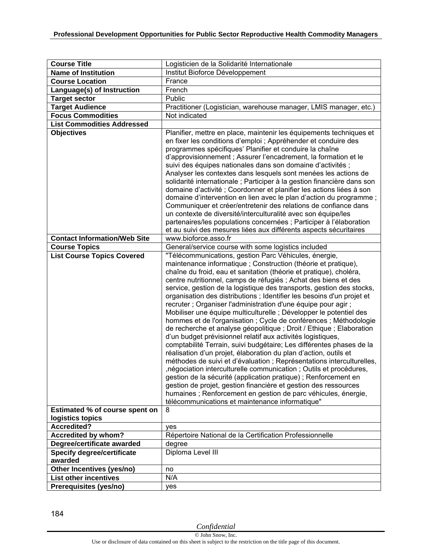| <b>Course Title</b>                    | Logisticien de la Solidarité Internationale                                                                                                                                                                                                                                                                                                                                                                                                                                                                                                                                                                                                                                                                                                                                                                                                                                                                                                                                                                                                                                                                                                                                                                                                                                                                                   |
|----------------------------------------|-------------------------------------------------------------------------------------------------------------------------------------------------------------------------------------------------------------------------------------------------------------------------------------------------------------------------------------------------------------------------------------------------------------------------------------------------------------------------------------------------------------------------------------------------------------------------------------------------------------------------------------------------------------------------------------------------------------------------------------------------------------------------------------------------------------------------------------------------------------------------------------------------------------------------------------------------------------------------------------------------------------------------------------------------------------------------------------------------------------------------------------------------------------------------------------------------------------------------------------------------------------------------------------------------------------------------------|
| <b>Name of Institution</b>             | Institut Bioforce Développement                                                                                                                                                                                                                                                                                                                                                                                                                                                                                                                                                                                                                                                                                                                                                                                                                                                                                                                                                                                                                                                                                                                                                                                                                                                                                               |
| <b>Course Location</b>                 | France                                                                                                                                                                                                                                                                                                                                                                                                                                                                                                                                                                                                                                                                                                                                                                                                                                                                                                                                                                                                                                                                                                                                                                                                                                                                                                                        |
| Language(s) of Instruction             | French                                                                                                                                                                                                                                                                                                                                                                                                                                                                                                                                                                                                                                                                                                                                                                                                                                                                                                                                                                                                                                                                                                                                                                                                                                                                                                                        |
| <b>Target sector</b>                   | Public                                                                                                                                                                                                                                                                                                                                                                                                                                                                                                                                                                                                                                                                                                                                                                                                                                                                                                                                                                                                                                                                                                                                                                                                                                                                                                                        |
| <b>Target Audience</b>                 | Practitioner (Logistician, warehouse manager, LMIS manager, etc.)                                                                                                                                                                                                                                                                                                                                                                                                                                                                                                                                                                                                                                                                                                                                                                                                                                                                                                                                                                                                                                                                                                                                                                                                                                                             |
| <b>Focus Commodities</b>               | Not indicated                                                                                                                                                                                                                                                                                                                                                                                                                                                                                                                                                                                                                                                                                                                                                                                                                                                                                                                                                                                                                                                                                                                                                                                                                                                                                                                 |
| <b>List Commodities Addressed</b>      |                                                                                                                                                                                                                                                                                                                                                                                                                                                                                                                                                                                                                                                                                                                                                                                                                                                                                                                                                                                                                                                                                                                                                                                                                                                                                                                               |
| <b>Objectives</b>                      | Planifier, mettre en place, maintenir les équipements techniques et<br>en fixer les conditions d'emploi ; Appréhender et conduire des<br>programmes spécifiques' Planifier et conduire la chaîne<br>d'approvisionnement ; Assurer l'encadrement, la formation et le<br>suivi des équipes nationales dans son domaine d'activités ;<br>Analyser les contextes dans lesquels sont menées les actions de<br>solidarité internationale ; Participer à la gestion financière dans son<br>domaine d'activité ; Coordonner et planifier les actions liées à son<br>domaine d'intervention en lien avec le plan d'action du programme ;<br>Communiquer et créer/entretenir des relations de confiance dans<br>un contexte de diversité/interculturalité avec son équipe/les<br>partenaires/les populations concernées ; Participer à l'élaboration<br>et au suivi des mesures liées aux différents aspects sécuritaires                                                                                                                                                                                                                                                                                                                                                                                                               |
| <b>Contact Information/Web Site</b>    | www.bioforce.asso.fr                                                                                                                                                                                                                                                                                                                                                                                                                                                                                                                                                                                                                                                                                                                                                                                                                                                                                                                                                                                                                                                                                                                                                                                                                                                                                                          |
| <b>Course Topics</b>                   | General/service course with some logistics included                                                                                                                                                                                                                                                                                                                                                                                                                                                                                                                                                                                                                                                                                                                                                                                                                                                                                                                                                                                                                                                                                                                                                                                                                                                                           |
| <b>List Course Topics Covered</b>      | "Télécommunications, gestion Parc Véhicules, énergie,<br>maintenance informatique ; Construction (théorie et pratique),<br>chaîne du froid, eau et sanitation (théorie et pratique), choléra,<br>centre nutritionnel, camps de réfugiés ; Achat des biens et des<br>service, gestion de la logistique des transports, gestion des stocks,<br>organisation des distributions ; Identifier les besoins d'un projet et<br>recruter ; Organiser l'administration d'une équipe pour agir ;<br>Mobiliser une équipe multiculturelle ; Développer le potentiel des<br>hommes et de l'organisation ; Cycle de conférences ; Méthodologie<br>de recherche et analyse géopolitique ; Droit / Ethique ; Elaboration<br>d'un budget prévisionnel relatif aux activités logistiques,<br>comptabilité Terrain, suivi budgétaire; Les différentes phases de la<br>réalisation d'un projet, élaboration du plan d'action, outils et<br>méthodes de suivi et d'évaluation ; Représentations interculturelles,<br>, négociation interculturelle communication; Outils et procédures,<br>gestion de la sécurité (application pratique) ; Renforcement en<br>gestion de projet, gestion financière et gestion des ressources<br>humaines ; Renforcement en gestion de parc véhicules, énergie,<br>télécommunications et maintenance informatique" |
| <b>Estimated % of course spent on</b>  | 8                                                                                                                                                                                                                                                                                                                                                                                                                                                                                                                                                                                                                                                                                                                                                                                                                                                                                                                                                                                                                                                                                                                                                                                                                                                                                                                             |
| logistics topics<br><b>Accredited?</b> |                                                                                                                                                                                                                                                                                                                                                                                                                                                                                                                                                                                                                                                                                                                                                                                                                                                                                                                                                                                                                                                                                                                                                                                                                                                                                                                               |
| <b>Accredited by whom?</b>             | yes<br>Répertoire National de la Certification Professionnelle                                                                                                                                                                                                                                                                                                                                                                                                                                                                                                                                                                                                                                                                                                                                                                                                                                                                                                                                                                                                                                                                                                                                                                                                                                                                |
| Degree/certificate awarded             | degree                                                                                                                                                                                                                                                                                                                                                                                                                                                                                                                                                                                                                                                                                                                                                                                                                                                                                                                                                                                                                                                                                                                                                                                                                                                                                                                        |
| <b>Specify degree/certificate</b>      | Diploma Level III                                                                                                                                                                                                                                                                                                                                                                                                                                                                                                                                                                                                                                                                                                                                                                                                                                                                                                                                                                                                                                                                                                                                                                                                                                                                                                             |
| awarded                                |                                                                                                                                                                                                                                                                                                                                                                                                                                                                                                                                                                                                                                                                                                                                                                                                                                                                                                                                                                                                                                                                                                                                                                                                                                                                                                                               |
| Other Incentives (yes/no)              | no                                                                                                                                                                                                                                                                                                                                                                                                                                                                                                                                                                                                                                                                                                                                                                                                                                                                                                                                                                                                                                                                                                                                                                                                                                                                                                                            |
| <b>List other incentives</b>           | N/A                                                                                                                                                                                                                                                                                                                                                                                                                                                                                                                                                                                                                                                                                                                                                                                                                                                                                                                                                                                                                                                                                                                                                                                                                                                                                                                           |
|                                        |                                                                                                                                                                                                                                                                                                                                                                                                                                                                                                                                                                                                                                                                                                                                                                                                                                                                                                                                                                                                                                                                                                                                                                                                                                                                                                                               |
| Prerequisites (yes/no)                 | yes                                                                                                                                                                                                                                                                                                                                                                                                                                                                                                                                                                                                                                                                                                                                                                                                                                                                                                                                                                                                                                                                                                                                                                                                                                                                                                                           |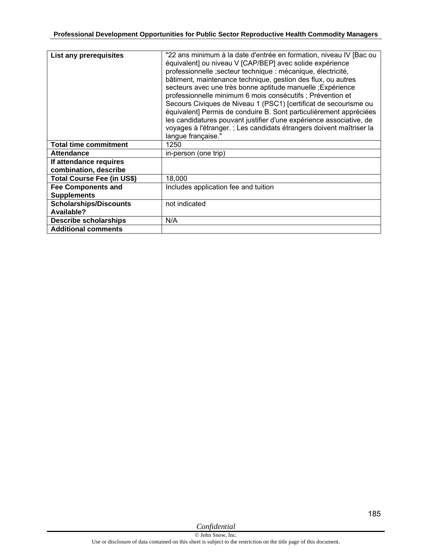| List any prerequisites                          | "22 ans minimum à la date d'entrée en formation, niveau IV [Bac ou<br>équivalent] ou niveau V [CAP/BEP] avec solide expérience<br>professionnelle ; secteur technique : mécanique, électricité,<br>bâtiment, maintenance technique, gestion des flux, ou autres<br>secteurs avec une très bonne aptitude manuelle ; Expérience<br>professionnelle minimum 6 mois consécutifs ; Prévention et<br>Secours Civiques de Niveau 1 (PSC1) [certificat de secourisme ou<br>équivalent] Permis de conduire B. Sont particulièrement appréciées<br>les candidatures pouvant justifier d'une expérience associative, de<br>voyages à l'étranger. ; Les candidats étrangers doivent maîtriser la<br>langue française." |
|-------------------------------------------------|-------------------------------------------------------------------------------------------------------------------------------------------------------------------------------------------------------------------------------------------------------------------------------------------------------------------------------------------------------------------------------------------------------------------------------------------------------------------------------------------------------------------------------------------------------------------------------------------------------------------------------------------------------------------------------------------------------------|
| <b>Total time commitment</b>                    | 1250                                                                                                                                                                                                                                                                                                                                                                                                                                                                                                                                                                                                                                                                                                        |
| <b>Attendance</b>                               | in-person (one trip)                                                                                                                                                                                                                                                                                                                                                                                                                                                                                                                                                                                                                                                                                        |
| If attendance requires<br>combination, describe |                                                                                                                                                                                                                                                                                                                                                                                                                                                                                                                                                                                                                                                                                                             |
| <b>Total Course Fee (in US\$)</b>               | 18,000                                                                                                                                                                                                                                                                                                                                                                                                                                                                                                                                                                                                                                                                                                      |
| <b>Fee Components and</b><br><b>Supplements</b> | Includes application fee and tuition                                                                                                                                                                                                                                                                                                                                                                                                                                                                                                                                                                                                                                                                        |
| <b>Scholarships/Discounts</b><br>Available?     | not indicated                                                                                                                                                                                                                                                                                                                                                                                                                                                                                                                                                                                                                                                                                               |
| <b>Describe scholarships</b>                    | N/A                                                                                                                                                                                                                                                                                                                                                                                                                                                                                                                                                                                                                                                                                                         |
| <b>Additional comments</b>                      |                                                                                                                                                                                                                                                                                                                                                                                                                                                                                                                                                                                                                                                                                                             |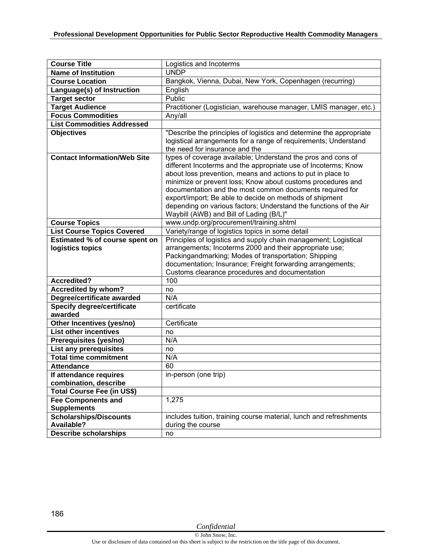| <b>Course Title</b>                   | Logistics and Incoterms                                                                                                                                                                                                                                                                                                                                                                                                                                                                             |
|---------------------------------------|-----------------------------------------------------------------------------------------------------------------------------------------------------------------------------------------------------------------------------------------------------------------------------------------------------------------------------------------------------------------------------------------------------------------------------------------------------------------------------------------------------|
| <b>Name of Institution</b>            | <b>UNDP</b>                                                                                                                                                                                                                                                                                                                                                                                                                                                                                         |
| <b>Course Location</b>                | Bangkok, Vienna, Dubai, New York, Copenhagen (recurring)                                                                                                                                                                                                                                                                                                                                                                                                                                            |
| Language(s) of Instruction            | English                                                                                                                                                                                                                                                                                                                                                                                                                                                                                             |
| <b>Target sector</b>                  | Public                                                                                                                                                                                                                                                                                                                                                                                                                                                                                              |
| <b>Target Audience</b>                | Practitioner (Logistician, warehouse manager, LMIS manager, etc.)                                                                                                                                                                                                                                                                                                                                                                                                                                   |
| <b>Focus Commodities</b>              | Any/all                                                                                                                                                                                                                                                                                                                                                                                                                                                                                             |
| <b>List Commodities Addressed</b>     |                                                                                                                                                                                                                                                                                                                                                                                                                                                                                                     |
| <b>Objectives</b>                     | "Describe the principles of logistics and determine the appropriate<br>logistical arrangements for a range of requirements; Understand<br>the need for insurance and the                                                                                                                                                                                                                                                                                                                            |
| <b>Contact Information/Web Site</b>   | types of coverage available; Understand the pros and cons of<br>different Incoterms and the appropriate use of Incoterms; Know<br>about loss prevention, means and actions to put in place to<br>minimize or prevent loss; Know about customs procedures and<br>documentation and the most common documents required for<br>export/import; Be able to decide on methods of shipment<br>depending on various factors; Understand the functions of the Air<br>Waybill (AWB) and Bill of Lading (B/L)" |
| <b>Course Topics</b>                  | www.undp.org/procurement/training.shtml                                                                                                                                                                                                                                                                                                                                                                                                                                                             |
| <b>List Course Topics Covered</b>     | Variety/range of logistics topics in some detail                                                                                                                                                                                                                                                                                                                                                                                                                                                    |
| <b>Estimated % of course spent on</b> | Principles of logistics and supply chain management; Logistical                                                                                                                                                                                                                                                                                                                                                                                                                                     |
| logistics topics                      | arrangements; Incoterms 2000 and their appropriate use;<br>Packingandmarking; Modes of transportation; Shipping<br>documentation; Insurance; Freight forwarding arrangements;<br>Customs clearance procedures and documentation                                                                                                                                                                                                                                                                     |
| Accredited?                           | 100                                                                                                                                                                                                                                                                                                                                                                                                                                                                                                 |
| <b>Accredited by whom?</b>            | no                                                                                                                                                                                                                                                                                                                                                                                                                                                                                                  |
| Degree/certificate awarded            | N/A                                                                                                                                                                                                                                                                                                                                                                                                                                                                                                 |
| Specify degree/certificate            | certificate                                                                                                                                                                                                                                                                                                                                                                                                                                                                                         |
| awarded                               |                                                                                                                                                                                                                                                                                                                                                                                                                                                                                                     |
| Other Incentives (yes/no)             | Certificate                                                                                                                                                                                                                                                                                                                                                                                                                                                                                         |
| <b>List other incentives</b>          | no                                                                                                                                                                                                                                                                                                                                                                                                                                                                                                  |
| Prerequisites (yes/no)                | N/A                                                                                                                                                                                                                                                                                                                                                                                                                                                                                                 |
| <b>List any prerequisites</b>         | no                                                                                                                                                                                                                                                                                                                                                                                                                                                                                                  |
| <b>Total time commitment</b>          | N/A                                                                                                                                                                                                                                                                                                                                                                                                                                                                                                 |
| <b>Attendance</b>                     | 60                                                                                                                                                                                                                                                                                                                                                                                                                                                                                                  |
| If attendance requires                | in-person (one trip)                                                                                                                                                                                                                                                                                                                                                                                                                                                                                |
| combination, describe                 |                                                                                                                                                                                                                                                                                                                                                                                                                                                                                                     |
| Total Course Fee (in US\$)            |                                                                                                                                                                                                                                                                                                                                                                                                                                                                                                     |
| <b>Fee Components and</b>             | 1,275                                                                                                                                                                                                                                                                                                                                                                                                                                                                                               |
| <b>Supplements</b>                    |                                                                                                                                                                                                                                                                                                                                                                                                                                                                                                     |
| <b>Scholarships/Discounts</b>         | includes tuition, training course material, lunch and refreshments                                                                                                                                                                                                                                                                                                                                                                                                                                  |
| <b>Available?</b>                     | during the course                                                                                                                                                                                                                                                                                                                                                                                                                                                                                   |
| <b>Describe scholarships</b>          | no                                                                                                                                                                                                                                                                                                                                                                                                                                                                                                  |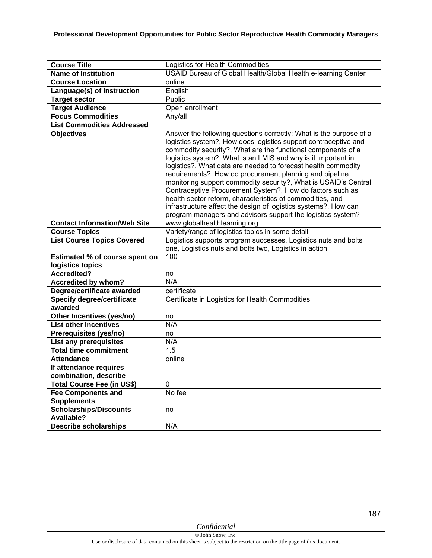| <b>Course Title</b>                          | Logistics for Health Commodities                                                                                                                                                                                                                                                                                          |
|----------------------------------------------|---------------------------------------------------------------------------------------------------------------------------------------------------------------------------------------------------------------------------------------------------------------------------------------------------------------------------|
| <b>Name of Institution</b>                   | USAID Bureau of Global Health/Global Health e-learning Center                                                                                                                                                                                                                                                             |
| <b>Course Location</b>                       | online                                                                                                                                                                                                                                                                                                                    |
| Language(s) of Instruction                   | English                                                                                                                                                                                                                                                                                                                   |
| <b>Target sector</b>                         | Public                                                                                                                                                                                                                                                                                                                    |
| <b>Target Audience</b>                       | Open enrollment                                                                                                                                                                                                                                                                                                           |
| <b>Focus Commodities</b>                     | Any/all                                                                                                                                                                                                                                                                                                                   |
| <b>List Commodities Addressed</b>            |                                                                                                                                                                                                                                                                                                                           |
| <b>Objectives</b>                            | Answer the following questions correctly: What is the purpose of a<br>logistics system?, How does logistics support contraceptive and<br>commodity security?, What are the functional components of a                                                                                                                     |
|                                              | logistics system?, What is an LMIS and why is it important in<br>logistics?, What data are needed to forecast health commodity<br>requirements?, How do procurement planning and pipeline<br>monitoring support commodity security?, What is USAID's Central<br>Contraceptive Procurement System?, How do factors such as |
|                                              | health sector reform, characteristics of commodities, and<br>infrastructure affect the design of logistics systems?, How can<br>program managers and advisors support the logistics system?                                                                                                                               |
| <b>Contact Information/Web Site</b>          | www.globalhealthlearning.org                                                                                                                                                                                                                                                                                              |
| <b>Course Topics</b>                         | Variety/range of logistics topics in some detail                                                                                                                                                                                                                                                                          |
| <b>List Course Topics Covered</b>            | Logistics supports program successes, Logistics nuts and bolts<br>one, Logistics nuts and bolts two, Logistics in action                                                                                                                                                                                                  |
| Estimated % of course spent on               | 100                                                                                                                                                                                                                                                                                                                       |
| logistics topics                             |                                                                                                                                                                                                                                                                                                                           |
| <b>Accredited?</b>                           | no                                                                                                                                                                                                                                                                                                                        |
| Accredited by whom?                          | N/A                                                                                                                                                                                                                                                                                                                       |
| Degree/certificate awarded                   | certificate                                                                                                                                                                                                                                                                                                               |
| <b>Specify degree/certificate</b><br>awarded | Certificate in Logistics for Health Commodities                                                                                                                                                                                                                                                                           |
| Other Incentives (yes/no)                    | no                                                                                                                                                                                                                                                                                                                        |
| <b>List other incentives</b>                 | N/A                                                                                                                                                                                                                                                                                                                       |
| Prerequisites (yes/no)                       | no                                                                                                                                                                                                                                                                                                                        |
| <b>List any prerequisites</b>                | N/A                                                                                                                                                                                                                                                                                                                       |
| <b>Total time commitment</b>                 | 1.5                                                                                                                                                                                                                                                                                                                       |
| <b>Attendance</b>                            | online                                                                                                                                                                                                                                                                                                                    |
| If attendance requires                       |                                                                                                                                                                                                                                                                                                                           |
| combination, describe                        |                                                                                                                                                                                                                                                                                                                           |
| <b>Total Course Fee (in US\$)</b>            | 0                                                                                                                                                                                                                                                                                                                         |
| <b>Fee Components and</b>                    | No fee                                                                                                                                                                                                                                                                                                                    |
| <b>Supplements</b>                           |                                                                                                                                                                                                                                                                                                                           |
| <b>Scholarships/Discounts</b>                | no                                                                                                                                                                                                                                                                                                                        |
| <b>Available?</b>                            |                                                                                                                                                                                                                                                                                                                           |
| <b>Describe scholarships</b>                 | N/A                                                                                                                                                                                                                                                                                                                       |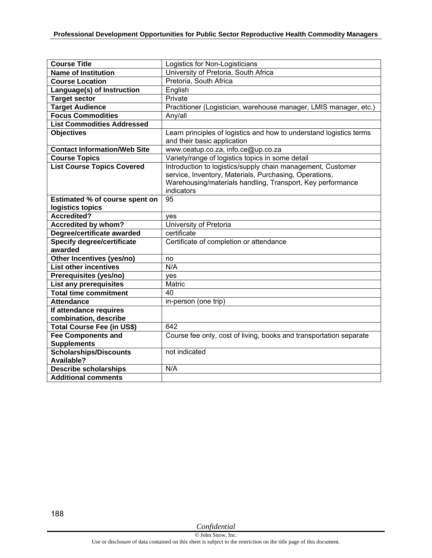| <b>Course Title</b>                          | Logistics for Non-Logisticians                                                                                                                                                                    |
|----------------------------------------------|---------------------------------------------------------------------------------------------------------------------------------------------------------------------------------------------------|
| <b>Name of Institution</b>                   | University of Pretoria, South Africa                                                                                                                                                              |
| <b>Course Location</b>                       | Pretoria, South Africa                                                                                                                                                                            |
| Language(s) of Instruction                   | English                                                                                                                                                                                           |
| <b>Target sector</b>                         | Private                                                                                                                                                                                           |
| <b>Target Audience</b>                       | Practitioner (Logistician, warehouse manager, LMIS manager, etc.)                                                                                                                                 |
| <b>Focus Commodities</b>                     | Any/all                                                                                                                                                                                           |
| <b>List Commodities Addressed</b>            |                                                                                                                                                                                                   |
| <b>Objectives</b>                            | Learn principles of logistics and how to understand logistics terms<br>and their basic application                                                                                                |
| <b>Contact Information/Web Site</b>          | www.ceatup.co.za, info.ce@up.co.za                                                                                                                                                                |
| <b>Course Topics</b>                         | Variety/range of logistics topics in some detail                                                                                                                                                  |
| <b>List Course Topics Covered</b>            | Introduction to logistics/supply chain management, Customer<br>service, Inventory, Materials, Purchasing, Operations,<br>Warehousing/materials handling, Transport, Key performance<br>indicators |
| Estimated % of course spent on               | 95                                                                                                                                                                                                |
| logistics topics                             |                                                                                                                                                                                                   |
| Accredited?                                  | ves                                                                                                                                                                                               |
| <b>Accredited by whom?</b>                   | University of Pretoria                                                                                                                                                                            |
| Degree/certificate awarded                   | certificate                                                                                                                                                                                       |
| <b>Specify degree/certificate</b><br>awarded | Certificate of completion or attendance                                                                                                                                                           |
| Other Incentives (yes/no)                    | no                                                                                                                                                                                                |
| <b>List other incentives</b>                 | N/A                                                                                                                                                                                               |
| Prerequisites (yes/no)                       | yes                                                                                                                                                                                               |
| <b>List any prerequisites</b>                | Matric                                                                                                                                                                                            |
| <b>Total time commitment</b>                 | 40                                                                                                                                                                                                |
| <b>Attendance</b>                            | in-person (one trip)                                                                                                                                                                              |
| If attendance requires                       |                                                                                                                                                                                                   |
| combination, describe                        |                                                                                                                                                                                                   |
| Total Course Fee (in US\$)                   | 642                                                                                                                                                                                               |
| <b>Fee Components and</b>                    | Course fee only, cost of living, books and transportation separate                                                                                                                                |
| <b>Supplements</b>                           |                                                                                                                                                                                                   |
| <b>Scholarships/Discounts</b><br>Available?  | not indicated                                                                                                                                                                                     |
| <b>Describe scholarships</b>                 | N/A                                                                                                                                                                                               |
| <b>Additional comments</b>                   |                                                                                                                                                                                                   |

188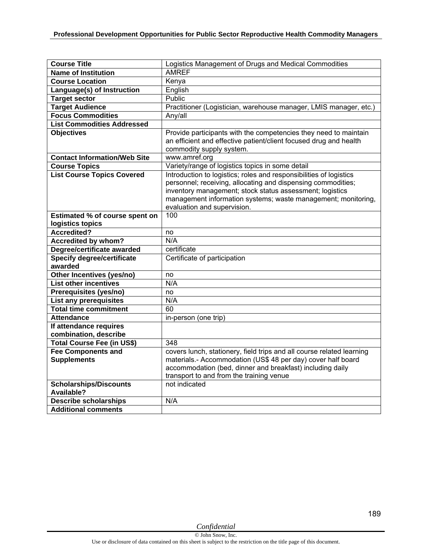| <b>Course Title</b>                                           | Logistics Management of Drugs and Medical Commodities                 |
|---------------------------------------------------------------|-----------------------------------------------------------------------|
| <b>Name of Institution</b>                                    | <b>AMREF</b>                                                          |
| <b>Course Location</b>                                        | Kenya                                                                 |
| Language(s) of Instruction                                    | English                                                               |
| <b>Target sector</b>                                          | Public                                                                |
| <b>Target Audience</b>                                        | Practitioner (Logistician, warehouse manager, LMIS manager, etc.)     |
| <b>Focus Commodities</b>                                      | Any/all                                                               |
| <b>List Commodities Addressed</b>                             |                                                                       |
| <b>Objectives</b>                                             | Provide participants with the competencies they need to maintain      |
|                                                               | an efficient and effective patient/client focused drug and health     |
|                                                               | commodity supply system.                                              |
| <b>Contact Information/Web Site</b>                           | www.amref.org                                                         |
| <b>Course Topics</b>                                          | Variety/range of logistics topics in some detail                      |
| <b>List Course Topics Covered</b>                             | Introduction to logistics; roles and responsibilities of logistics    |
|                                                               | personnel; receiving, allocating and dispensing commodities;          |
|                                                               | inventory management; stock status assessment; logistics              |
|                                                               | management information systems; waste management; monitoring,         |
|                                                               | evaluation and supervision.                                           |
| <b>Estimated % of course spent on</b>                         | 100                                                                   |
| logistics topics                                              |                                                                       |
| <b>Accredited?</b>                                            | no                                                                    |
| <b>Accredited by whom?</b>                                    | N/A                                                                   |
| Degree/certificate awarded                                    | certificate                                                           |
| <b>Specify degree/certificate</b>                             | Certificate of participation                                          |
| awarded                                                       |                                                                       |
| Other Incentives (yes/no)<br><b>List other incentives</b>     | no<br>N/A                                                             |
|                                                               |                                                                       |
| Prerequisites (yes/no)                                        | no                                                                    |
| <b>List any prerequisites</b><br><b>Total time commitment</b> | N/A<br>60                                                             |
|                                                               |                                                                       |
| <b>Attendance</b>                                             | in-person (one trip)                                                  |
| If attendance requires                                        |                                                                       |
| combination, describe<br>Total Course Fee (in US\$)           | 348                                                                   |
| <b>Fee Components and</b>                                     | covers lunch, stationery, field trips and all course related learning |
| <b>Supplements</b>                                            | materials.- Accommodation (US\$ 48 per day) cover half board          |
|                                                               | accommodation (bed, dinner and breakfast) including daily             |
|                                                               | transport to and from the training venue                              |
| <b>Scholarships/Discounts</b>                                 | not indicated                                                         |
| <b>Available?</b>                                             |                                                                       |
| <b>Describe scholarships</b>                                  | N/A                                                                   |
| <b>Additional comments</b>                                    |                                                                       |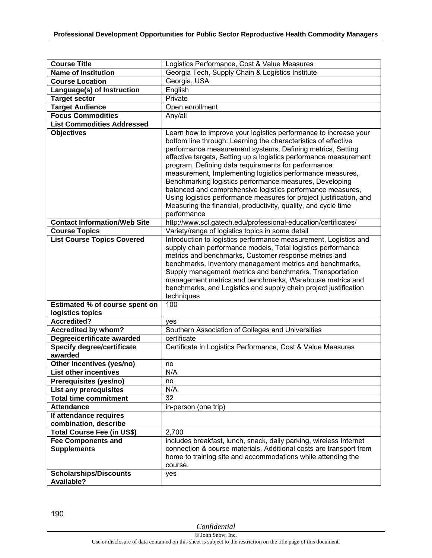| <b>Course Title</b>                                | Logistics Performance, Cost & Value Measures                                                                                                                                                                                                                                                                                                                                                                                                                                                                                                                                                                                                                               |
|----------------------------------------------------|----------------------------------------------------------------------------------------------------------------------------------------------------------------------------------------------------------------------------------------------------------------------------------------------------------------------------------------------------------------------------------------------------------------------------------------------------------------------------------------------------------------------------------------------------------------------------------------------------------------------------------------------------------------------------|
| <b>Name of Institution</b>                         | Georgia Tech, Supply Chain & Logistics Institute                                                                                                                                                                                                                                                                                                                                                                                                                                                                                                                                                                                                                           |
| <b>Course Location</b>                             | Georgia, USA                                                                                                                                                                                                                                                                                                                                                                                                                                                                                                                                                                                                                                                               |
| Language(s) of Instruction                         | English                                                                                                                                                                                                                                                                                                                                                                                                                                                                                                                                                                                                                                                                    |
| <b>Target sector</b>                               | Private                                                                                                                                                                                                                                                                                                                                                                                                                                                                                                                                                                                                                                                                    |
| <b>Target Audience</b>                             | Open enrollment                                                                                                                                                                                                                                                                                                                                                                                                                                                                                                                                                                                                                                                            |
| <b>Focus Commodities</b>                           | Any/all                                                                                                                                                                                                                                                                                                                                                                                                                                                                                                                                                                                                                                                                    |
| <b>List Commodities Addressed</b>                  |                                                                                                                                                                                                                                                                                                                                                                                                                                                                                                                                                                                                                                                                            |
| <b>Objectives</b>                                  | Learn how to improve your logistics performance to increase your<br>bottom line through: Learning the characteristics of effective<br>performance measurement systems, Defining metrics, Setting<br>effective targets, Setting up a logistics performance measurement<br>program, Defining data requirements for performance<br>measurement, Implementing logistics performance measures,<br>Benchmarking logistics performance measures, Developing<br>balanced and comprehensive logistics performance measures,<br>Using logistics performance measures for project justification, and<br>Measuring the financial, productivity, quality, and cycle time<br>performance |
| <b>Contact Information/Web Site</b>                | http://www.scl.gatech.edu/professional-education/certificates/                                                                                                                                                                                                                                                                                                                                                                                                                                                                                                                                                                                                             |
| <b>Course Topics</b>                               | Variety/range of logistics topics in some detail                                                                                                                                                                                                                                                                                                                                                                                                                                                                                                                                                                                                                           |
| <b>List Course Topics Covered</b>                  | Introduction to logistics performance measurement, Logistics and<br>supply chain performance models, Total logistics performance<br>metrics and benchmarks, Customer response metrics and<br>benchmarks, Inventory management metrics and benchmarks,<br>Supply management metrics and benchmarks, Transportation<br>management metrics and benchmarks, Warehouse metrics and<br>benchmarks, and Logistics and supply chain project justification<br>techniques                                                                                                                                                                                                            |
| Estimated % of course spent on                     | 100                                                                                                                                                                                                                                                                                                                                                                                                                                                                                                                                                                                                                                                                        |
| logistics topics                                   |                                                                                                                                                                                                                                                                                                                                                                                                                                                                                                                                                                                                                                                                            |
| <b>Accredited?</b>                                 | yes                                                                                                                                                                                                                                                                                                                                                                                                                                                                                                                                                                                                                                                                        |
| Accredited by whom?                                | Southern Association of Colleges and Universities                                                                                                                                                                                                                                                                                                                                                                                                                                                                                                                                                                                                                          |
| Degree/certificate awarded                         | certificate                                                                                                                                                                                                                                                                                                                                                                                                                                                                                                                                                                                                                                                                |
| <b>Specify degree/certificate</b><br>awarded       | Certificate in Logistics Performance, Cost & Value Measures                                                                                                                                                                                                                                                                                                                                                                                                                                                                                                                                                                                                                |
| Other Incentives (yes/no)                          | no                                                                                                                                                                                                                                                                                                                                                                                                                                                                                                                                                                                                                                                                         |
| <b>List other incentives</b>                       | N/A                                                                                                                                                                                                                                                                                                                                                                                                                                                                                                                                                                                                                                                                        |
| Prerequisites (yes/no)                             | no                                                                                                                                                                                                                                                                                                                                                                                                                                                                                                                                                                                                                                                                         |
| List any prerequisites                             | N/A                                                                                                                                                                                                                                                                                                                                                                                                                                                                                                                                                                                                                                                                        |
| <b>Total time commitment</b>                       | 32                                                                                                                                                                                                                                                                                                                                                                                                                                                                                                                                                                                                                                                                         |
| <b>Attendance</b>                                  | in-person (one trip)                                                                                                                                                                                                                                                                                                                                                                                                                                                                                                                                                                                                                                                       |
| If attendance requires<br>combination, describe    |                                                                                                                                                                                                                                                                                                                                                                                                                                                                                                                                                                                                                                                                            |
| Total Course Fee (in US\$)                         | 2,700                                                                                                                                                                                                                                                                                                                                                                                                                                                                                                                                                                                                                                                                      |
| <b>Fee Components and</b>                          | includes breakfast, lunch, snack, daily parking, wireless Internet                                                                                                                                                                                                                                                                                                                                                                                                                                                                                                                                                                                                         |
| <b>Supplements</b>                                 | connection & course materials. Additional costs are transport from<br>home to training site and accommodations while attending the<br>course.                                                                                                                                                                                                                                                                                                                                                                                                                                                                                                                              |
| <b>Scholarships/Discounts</b><br><b>Available?</b> | yes                                                                                                                                                                                                                                                                                                                                                                                                                                                                                                                                                                                                                                                                        |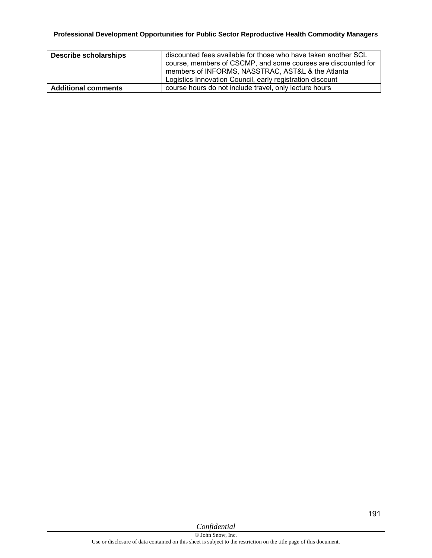| <b>Describe scholarships</b> | discounted fees available for those who have taken another SCL<br>course, members of CSCMP, and some courses are discounted for<br>members of INFORMS, NASSTRAC, AST&L & the Atlanta<br>Logistics Innovation Council, early registration discount |
|------------------------------|---------------------------------------------------------------------------------------------------------------------------------------------------------------------------------------------------------------------------------------------------|
| <b>Additional comments</b>   | course hours do not include travel, only lecture hours                                                                                                                                                                                            |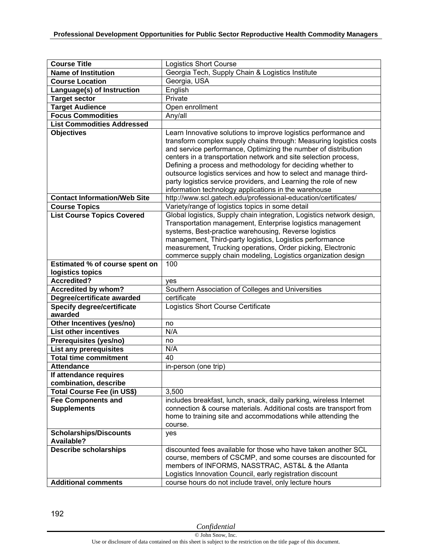| <b>Course Title</b><br><b>Name of Institution</b>                               | <b>Logistics Short Course</b><br>Georgia Tech, Supply Chain & Logistics Institute                                                                                                                                                                                                                                                                                                                                                                                                                                                       |
|---------------------------------------------------------------------------------|-----------------------------------------------------------------------------------------------------------------------------------------------------------------------------------------------------------------------------------------------------------------------------------------------------------------------------------------------------------------------------------------------------------------------------------------------------------------------------------------------------------------------------------------|
| <b>Course Location</b>                                                          | Georgia, USA                                                                                                                                                                                                                                                                                                                                                                                                                                                                                                                            |
|                                                                                 | English                                                                                                                                                                                                                                                                                                                                                                                                                                                                                                                                 |
| Language(s) of Instruction<br><b>Target sector</b>                              | Private                                                                                                                                                                                                                                                                                                                                                                                                                                                                                                                                 |
|                                                                                 |                                                                                                                                                                                                                                                                                                                                                                                                                                                                                                                                         |
| <b>Target Audience</b>                                                          | Open enrollment                                                                                                                                                                                                                                                                                                                                                                                                                                                                                                                         |
| <b>Focus Commodities</b>                                                        | Any/all                                                                                                                                                                                                                                                                                                                                                                                                                                                                                                                                 |
| <b>List Commodities Addressed</b>                                               |                                                                                                                                                                                                                                                                                                                                                                                                                                                                                                                                         |
| <b>Objectives</b>                                                               | Learn Innovative solutions to improve logistics performance and<br>transform complex supply chains through: Measuring logistics costs<br>and service performance, Optimizing the number of distribution<br>centers in a transportation network and site selection process,<br>Defining a process and methodology for deciding whether to<br>outsource logistics services and how to select and manage third-<br>party logistics service providers, and Learning the role of new<br>information technology applications in the warehouse |
| <b>Contact Information/Web Site</b>                                             | http://www.scl.gatech.edu/professional-education/certificates/                                                                                                                                                                                                                                                                                                                                                                                                                                                                          |
| <b>Course Topics</b>                                                            | Variety/range of logistics topics in some detail                                                                                                                                                                                                                                                                                                                                                                                                                                                                                        |
| <b>List Course Topics Covered</b>                                               | Global logistics, Supply chain integration, Logistics network design,<br>Transportation management, Enterprise logistics management<br>systems, Best-practice warehousing, Reverse logistics<br>management, Third-party logistics, Logistics performance<br>measurement, Trucking operations, Order picking, Electronic<br>commerce supply chain modeling, Logistics organization design                                                                                                                                                |
| Estimated % of course spent on                                                  | 100                                                                                                                                                                                                                                                                                                                                                                                                                                                                                                                                     |
| logistics topics                                                                |                                                                                                                                                                                                                                                                                                                                                                                                                                                                                                                                         |
| <b>Accredited?</b>                                                              |                                                                                                                                                                                                                                                                                                                                                                                                                                                                                                                                         |
|                                                                                 | yes                                                                                                                                                                                                                                                                                                                                                                                                                                                                                                                                     |
| <b>Accredited by whom?</b>                                                      | Southern Association of Colleges and Universities                                                                                                                                                                                                                                                                                                                                                                                                                                                                                       |
| Degree/certificate awarded                                                      | certificate                                                                                                                                                                                                                                                                                                                                                                                                                                                                                                                             |
| <b>Specify degree/certificate</b><br>awarded                                    | Logistics Short Course Certificate                                                                                                                                                                                                                                                                                                                                                                                                                                                                                                      |
| Other Incentives (yes/no)                                                       | no                                                                                                                                                                                                                                                                                                                                                                                                                                                                                                                                      |
| <b>List other incentives</b>                                                    | N/A                                                                                                                                                                                                                                                                                                                                                                                                                                                                                                                                     |
| Prerequisites (yes/no)                                                          | no                                                                                                                                                                                                                                                                                                                                                                                                                                                                                                                                      |
| <b>List any prerequisites</b>                                                   | N/A                                                                                                                                                                                                                                                                                                                                                                                                                                                                                                                                     |
| <b>Total time commitment</b>                                                    | 40                                                                                                                                                                                                                                                                                                                                                                                                                                                                                                                                      |
| <b>Attendance</b>                                                               | in-person (one trip)                                                                                                                                                                                                                                                                                                                                                                                                                                                                                                                    |
| If attendance requires                                                          |                                                                                                                                                                                                                                                                                                                                                                                                                                                                                                                                         |
| combination, describe                                                           |                                                                                                                                                                                                                                                                                                                                                                                                                                                                                                                                         |
| Total Course Fee (in US\$)                                                      | 3,500                                                                                                                                                                                                                                                                                                                                                                                                                                                                                                                                   |
| <b>Fee Components and</b><br><b>Supplements</b>                                 | includes breakfast, lunch, snack, daily parking, wireless Internet<br>connection & course materials. Additional costs are transport from<br>home to training site and accommodations while attending the<br>course.                                                                                                                                                                                                                                                                                                                     |
| <b>Scholarships/Discounts</b>                                                   | yes                                                                                                                                                                                                                                                                                                                                                                                                                                                                                                                                     |
| <b>Available?</b><br><b>Describe scholarships</b><br><b>Additional comments</b> | discounted fees available for those who have taken another SCL<br>course, members of CSCMP, and some courses are discounted for<br>members of INFORMS, NASSTRAC, AST&L & the Atlanta<br>Logistics Innovation Council, early registration discount<br>course hours do not include travel, only lecture hours                                                                                                                                                                                                                             |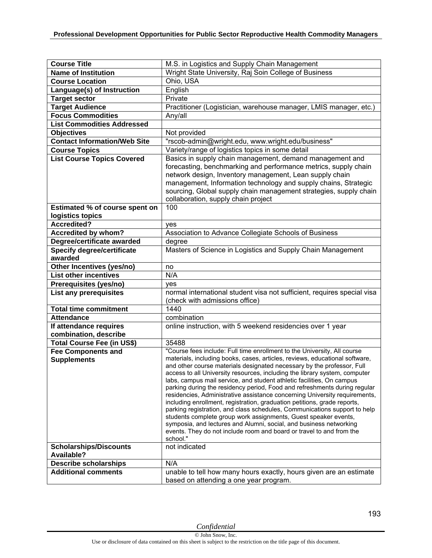| <b>Course Title</b>                                       | M.S. in Logistics and Supply Chain Management                                                                                                                                                                                                                                                                                                                                                                                                                                                                                                                                                                                                                                                                                                                                                                                                                                                                                             |
|-----------------------------------------------------------|-------------------------------------------------------------------------------------------------------------------------------------------------------------------------------------------------------------------------------------------------------------------------------------------------------------------------------------------------------------------------------------------------------------------------------------------------------------------------------------------------------------------------------------------------------------------------------------------------------------------------------------------------------------------------------------------------------------------------------------------------------------------------------------------------------------------------------------------------------------------------------------------------------------------------------------------|
| <b>Name of Institution</b>                                | Wright State University, Raj Soin College of Business                                                                                                                                                                                                                                                                                                                                                                                                                                                                                                                                                                                                                                                                                                                                                                                                                                                                                     |
| <b>Course Location</b>                                    | Ohio, USA                                                                                                                                                                                                                                                                                                                                                                                                                                                                                                                                                                                                                                                                                                                                                                                                                                                                                                                                 |
| Language(s) of Instruction                                | English                                                                                                                                                                                                                                                                                                                                                                                                                                                                                                                                                                                                                                                                                                                                                                                                                                                                                                                                   |
| <b>Target sector</b>                                      | Private                                                                                                                                                                                                                                                                                                                                                                                                                                                                                                                                                                                                                                                                                                                                                                                                                                                                                                                                   |
| <b>Target Audience</b>                                    | Practitioner (Logistician, warehouse manager, LMIS manager, etc.)                                                                                                                                                                                                                                                                                                                                                                                                                                                                                                                                                                                                                                                                                                                                                                                                                                                                         |
| <b>Focus Commodities</b>                                  | Any/all                                                                                                                                                                                                                                                                                                                                                                                                                                                                                                                                                                                                                                                                                                                                                                                                                                                                                                                                   |
| <b>List Commodities Addressed</b>                         |                                                                                                                                                                                                                                                                                                                                                                                                                                                                                                                                                                                                                                                                                                                                                                                                                                                                                                                                           |
| <b>Objectives</b>                                         | Not provided                                                                                                                                                                                                                                                                                                                                                                                                                                                                                                                                                                                                                                                                                                                                                                                                                                                                                                                              |
| <b>Contact Information/Web Site</b>                       | "rscob-admin@wright.edu, www.wright.edu/business"                                                                                                                                                                                                                                                                                                                                                                                                                                                                                                                                                                                                                                                                                                                                                                                                                                                                                         |
| <b>Course Topics</b>                                      | Variety/range of logistics topics in some detail                                                                                                                                                                                                                                                                                                                                                                                                                                                                                                                                                                                                                                                                                                                                                                                                                                                                                          |
| <b>List Course Topics Covered</b>                         | Basics in supply chain management, demand management and<br>forecasting, benchmarking and performance metrics, supply chain<br>network design, Inventory management, Lean supply chain<br>management, Information technology and supply chains, Strategic<br>sourcing, Global supply chain management strategies, supply chain<br>collaboration, supply chain project                                                                                                                                                                                                                                                                                                                                                                                                                                                                                                                                                                     |
| <b>Estimated % of course spent on</b><br>logistics topics | 100                                                                                                                                                                                                                                                                                                                                                                                                                                                                                                                                                                                                                                                                                                                                                                                                                                                                                                                                       |
| Accredited?                                               | ves                                                                                                                                                                                                                                                                                                                                                                                                                                                                                                                                                                                                                                                                                                                                                                                                                                                                                                                                       |
| <b>Accredited by whom?</b>                                | Association to Advance Collegiate Schools of Business                                                                                                                                                                                                                                                                                                                                                                                                                                                                                                                                                                                                                                                                                                                                                                                                                                                                                     |
| Degree/certificate awarded                                | degree                                                                                                                                                                                                                                                                                                                                                                                                                                                                                                                                                                                                                                                                                                                                                                                                                                                                                                                                    |
| <b>Specify degree/certificate</b>                         | Masters of Science in Logistics and Supply Chain Management                                                                                                                                                                                                                                                                                                                                                                                                                                                                                                                                                                                                                                                                                                                                                                                                                                                                               |
| awarded                                                   |                                                                                                                                                                                                                                                                                                                                                                                                                                                                                                                                                                                                                                                                                                                                                                                                                                                                                                                                           |
| Other Incentives (yes/no)                                 | no                                                                                                                                                                                                                                                                                                                                                                                                                                                                                                                                                                                                                                                                                                                                                                                                                                                                                                                                        |
| <b>List other incentives</b>                              | N/A                                                                                                                                                                                                                                                                                                                                                                                                                                                                                                                                                                                                                                                                                                                                                                                                                                                                                                                                       |
| Prerequisites (yes/no)                                    | ves                                                                                                                                                                                                                                                                                                                                                                                                                                                                                                                                                                                                                                                                                                                                                                                                                                                                                                                                       |
| List any prerequisites                                    | normal international student visa not sufficient, requires special visa<br>(check with admissions office)                                                                                                                                                                                                                                                                                                                                                                                                                                                                                                                                                                                                                                                                                                                                                                                                                                 |
| <b>Total time commitment</b>                              | 1440                                                                                                                                                                                                                                                                                                                                                                                                                                                                                                                                                                                                                                                                                                                                                                                                                                                                                                                                      |
| <b>Attendance</b>                                         | combination                                                                                                                                                                                                                                                                                                                                                                                                                                                                                                                                                                                                                                                                                                                                                                                                                                                                                                                               |
| If attendance requires<br>combination, describe           | online instruction, with 5 weekend residencies over 1 year                                                                                                                                                                                                                                                                                                                                                                                                                                                                                                                                                                                                                                                                                                                                                                                                                                                                                |
| <b>Total Course Fee (in US\$)</b>                         | 35488                                                                                                                                                                                                                                                                                                                                                                                                                                                                                                                                                                                                                                                                                                                                                                                                                                                                                                                                     |
| <b>Fee Components and</b><br><b>Supplements</b>           | "Course fees include: Full time enrollment to the University, All course<br>materials, including books, cases, articles, reviews, educational software,<br>and other course materials designated necessary by the professor, Full<br>access to all University resources, including the library system, computer<br>labs, campus mail service, and student athletic facilities, On campus<br>parking during the residency period, Food and refreshments during regular<br>residencies, Administrative assistance concerning University requirements,<br>including enrollment, registration, graduation petitions, grade reports,<br>parking registration, and class schedules, Communications support to help<br>students complete group work assignments, Guest speaker events,<br>symposia, and lectures and Alumni, social, and business networking<br>events. They do not include room and board or travel to and from the<br>school." |
| <b>Scholarships/Discounts</b><br>Available?               | not indicated                                                                                                                                                                                                                                                                                                                                                                                                                                                                                                                                                                                                                                                                                                                                                                                                                                                                                                                             |
| <b>Describe scholarships</b>                              | N/A                                                                                                                                                                                                                                                                                                                                                                                                                                                                                                                                                                                                                                                                                                                                                                                                                                                                                                                                       |
| <b>Additional comments</b>                                | unable to tell how many hours exactly, hours given are an estimate<br>based on attending a one year program.                                                                                                                                                                                                                                                                                                                                                                                                                                                                                                                                                                                                                                                                                                                                                                                                                              |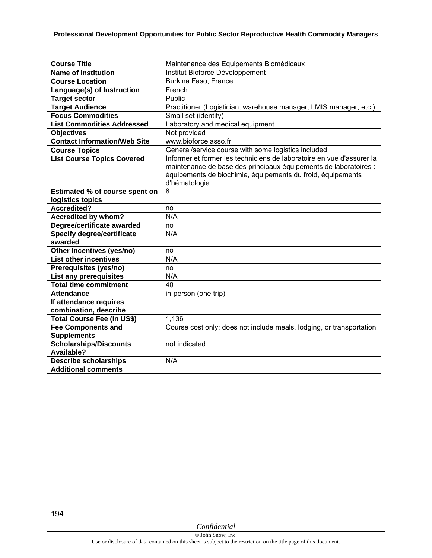| <b>Course Title</b>                          | Maintenance des Equipements Biomédicaux                                                                                                                                                                                    |
|----------------------------------------------|----------------------------------------------------------------------------------------------------------------------------------------------------------------------------------------------------------------------------|
| <b>Name of Institution</b>                   | Institut Bioforce Développement                                                                                                                                                                                            |
| <b>Course Location</b>                       | Burkina Faso, France                                                                                                                                                                                                       |
| Language(s) of Instruction                   | French                                                                                                                                                                                                                     |
| <b>Target sector</b>                         | Public                                                                                                                                                                                                                     |
| <b>Target Audience</b>                       | Practitioner (Logistician, warehouse manager, LMIS manager, etc.)                                                                                                                                                          |
| <b>Focus Commodities</b>                     | Small set (identify)                                                                                                                                                                                                       |
| <b>List Commodities Addressed</b>            | Laboratory and medical equipment                                                                                                                                                                                           |
| <b>Objectives</b>                            | Not provided                                                                                                                                                                                                               |
| <b>Contact Information/Web Site</b>          | www.bioforce.asso.fr                                                                                                                                                                                                       |
| <b>Course Topics</b>                         | General/service course with some logistics included                                                                                                                                                                        |
| <b>List Course Topics Covered</b>            | Informer et former les techniciens de laboratoire en vue d'assurer la<br>maintenance de base des principaux équipements de laboratoires :<br>équipements de biochimie, équipements du froid, équipements<br>d'hématologie. |
| Estimated % of course spent on               | 8                                                                                                                                                                                                                          |
| logistics topics                             |                                                                                                                                                                                                                            |
| <b>Accredited?</b>                           | no                                                                                                                                                                                                                         |
| <b>Accredited by whom?</b>                   | N/A                                                                                                                                                                                                                        |
| Degree/certificate awarded                   | no                                                                                                                                                                                                                         |
| <b>Specify degree/certificate</b><br>awarded | N/A                                                                                                                                                                                                                        |
| Other Incentives (yes/no)                    | no                                                                                                                                                                                                                         |
| <b>List other incentives</b>                 | N/A                                                                                                                                                                                                                        |
| Prerequisites (yes/no)                       | no                                                                                                                                                                                                                         |
| <b>List any prerequisites</b>                | N/A                                                                                                                                                                                                                        |
| <b>Total time commitment</b>                 | 40                                                                                                                                                                                                                         |
| <b>Attendance</b>                            | in-person (one trip)                                                                                                                                                                                                       |
| If attendance requires                       |                                                                                                                                                                                                                            |
| combination, describe                        |                                                                                                                                                                                                                            |
| <b>Total Course Fee (in US\$)</b>            | 1,136                                                                                                                                                                                                                      |
| <b>Fee Components and</b>                    | Course cost only; does not include meals, lodging, or transportation                                                                                                                                                       |
| <b>Supplements</b>                           |                                                                                                                                                                                                                            |
| Scholarships/Discounts<br>Available?         | not indicated                                                                                                                                                                                                              |
| <b>Describe scholarships</b>                 | N/A                                                                                                                                                                                                                        |
| <b>Additional comments</b>                   |                                                                                                                                                                                                                            |
|                                              |                                                                                                                                                                                                                            |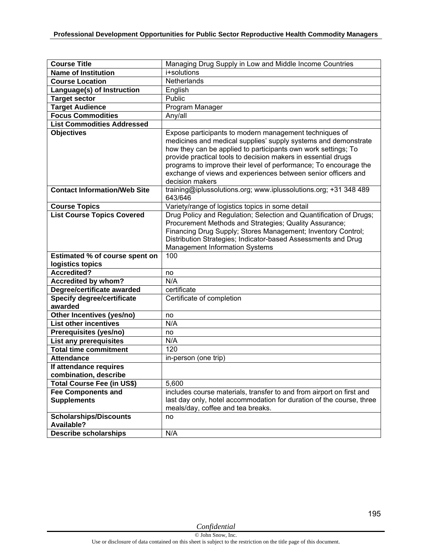| <b>Course Title</b>                             | Managing Drug Supply in Low and Middle Income Countries                                                                                                                                                                                                                                                                                                                                                            |
|-------------------------------------------------|--------------------------------------------------------------------------------------------------------------------------------------------------------------------------------------------------------------------------------------------------------------------------------------------------------------------------------------------------------------------------------------------------------------------|
| <b>Name of Institution</b>                      | i+solutions                                                                                                                                                                                                                                                                                                                                                                                                        |
| <b>Course Location</b>                          | Netherlands                                                                                                                                                                                                                                                                                                                                                                                                        |
| Language(s) of Instruction                      | English                                                                                                                                                                                                                                                                                                                                                                                                            |
| <b>Target sector</b>                            | Public                                                                                                                                                                                                                                                                                                                                                                                                             |
| <b>Target Audience</b>                          | Program Manager                                                                                                                                                                                                                                                                                                                                                                                                    |
| <b>Focus Commodities</b>                        | Any/all                                                                                                                                                                                                                                                                                                                                                                                                            |
| <b>List Commodities Addressed</b>               |                                                                                                                                                                                                                                                                                                                                                                                                                    |
| <b>Objectives</b>                               | Expose participants to modern management techniques of<br>medicines and medical supplies' supply systems and demonstrate<br>how they can be applied to participants own work settings; To<br>provide practical tools to decision makers in essential drugs<br>programs to improve their level of performance; To encourage the<br>exchange of views and experiences between senior officers and<br>decision makers |
| <b>Contact Information/Web Site</b>             | training@iplussolutions.org; www.iplussolutions.org; +31 348 489<br>643/646                                                                                                                                                                                                                                                                                                                                        |
| <b>Course Topics</b>                            | Variety/range of logistics topics in some detail                                                                                                                                                                                                                                                                                                                                                                   |
| <b>List Course Topics Covered</b>               | Drug Policy and Regulation; Selection and Quantification of Drugs;<br>Procurement Methods and Strategies; Quality Assurance;<br>Financing Drug Supply; Stores Management; Inventory Control;<br>Distribution Strategies; Indicator-based Assessments and Drug<br><b>Management Information Systems</b>                                                                                                             |
| Estimated % of course spent on                  | 100                                                                                                                                                                                                                                                                                                                                                                                                                |
| logistics topics                                |                                                                                                                                                                                                                                                                                                                                                                                                                    |
| Accredited?                                     | no                                                                                                                                                                                                                                                                                                                                                                                                                 |
| <b>Accredited by whom?</b>                      | N/A                                                                                                                                                                                                                                                                                                                                                                                                                |
| Degree/certificate awarded                      | certificate                                                                                                                                                                                                                                                                                                                                                                                                        |
| <b>Specify degree/certificate</b><br>awarded    | Certificate of completion                                                                                                                                                                                                                                                                                                                                                                                          |
| Other Incentives (yes/no)                       | no                                                                                                                                                                                                                                                                                                                                                                                                                 |
| <b>List other incentives</b>                    | N/A                                                                                                                                                                                                                                                                                                                                                                                                                |
| Prerequisites (yes/no)                          | no                                                                                                                                                                                                                                                                                                                                                                                                                 |
| <b>List any prerequisites</b>                   | N/A                                                                                                                                                                                                                                                                                                                                                                                                                |
| <b>Total time commitment</b>                    | $\overline{1}20$                                                                                                                                                                                                                                                                                                                                                                                                   |
| <b>Attendance</b>                               | in-person (one trip)                                                                                                                                                                                                                                                                                                                                                                                               |
| If attendance requires<br>combination, describe |                                                                                                                                                                                                                                                                                                                                                                                                                    |
| <b>Total Course Fee (in US\$)</b>               | 5,600                                                                                                                                                                                                                                                                                                                                                                                                              |
| <b>Fee Components and</b><br><b>Supplements</b> | includes course materials, transfer to and from airport on first and<br>last day only, hotel accommodation for duration of the course, three<br>meals/day, coffee and tea breaks.                                                                                                                                                                                                                                  |
| <b>Scholarships/Discounts</b><br>Available?     | no                                                                                                                                                                                                                                                                                                                                                                                                                 |
| <b>Describe scholarships</b>                    | N/A                                                                                                                                                                                                                                                                                                                                                                                                                |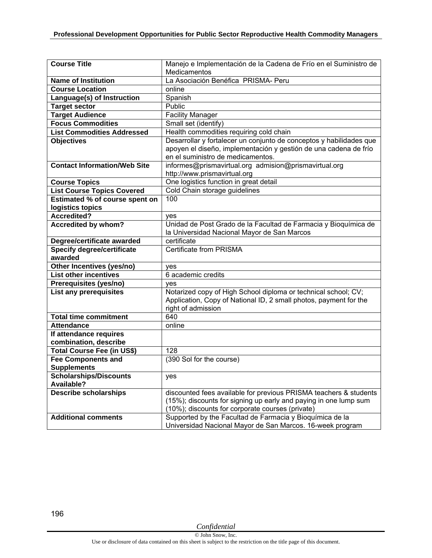| <b>Course Title</b>                 | Manejo e Implementación de la Cadena de Frío en el Suministro de    |
|-------------------------------------|---------------------------------------------------------------------|
|                                     | Medicamentos                                                        |
| <b>Name of Institution</b>          | La Asociación Benéfica PRISMA- Peru                                 |
| <b>Course Location</b>              | online                                                              |
| <b>Language(s) of Instruction</b>   | Spanish                                                             |
| <b>Target sector</b>                | Public                                                              |
| <b>Target Audience</b>              | <b>Facility Manager</b>                                             |
| <b>Focus Commodities</b>            | Small set (identify)                                                |
| <b>List Commodities Addressed</b>   | Health commodities requiring cold chain                             |
| <b>Objectives</b>                   | Desarrollar y fortalecer un conjunto de conceptos y habilidades que |
|                                     | apoyen el diseño, implementación y gestión de una cadena de frío    |
|                                     | en el suministro de medicamentos.                                   |
| <b>Contact Information/Web Site</b> | informes@prismavirtual.org admision@prismavirtual.org               |
|                                     | http://www.prismavirtual.org                                        |
| <b>Course Topics</b>                | One logistics function in great detail                              |
| <b>List Course Topics Covered</b>   | Cold Chain storage guidelines                                       |
| Estimated % of course spent on      | 100                                                                 |
| logistics topics                    |                                                                     |
| <b>Accredited?</b>                  | ves                                                                 |
| <b>Accredited by whom?</b>          | Unidad de Post Grado de la Facultad de Farmacia y Bioquímica de     |
|                                     | la Universidad Nacional Mayor de San Marcos                         |
| Degree/certificate awarded          | certificate                                                         |
| <b>Specify degree/certificate</b>   | <b>Certificate from PRISMA</b>                                      |
| awarded                             |                                                                     |
| Other Incentives (yes/no)           | yes                                                                 |
| <b>List other incentives</b>        | 6 academic credits                                                  |
| Prerequisites (yes/no)              | ves                                                                 |
| List any prerequisites              | Notarized copy of High School diploma or technical school; CV;      |
|                                     | Application, Copy of National ID, 2 small photos, payment for the   |
|                                     | right of admission                                                  |
| <b>Total time commitment</b>        | 640                                                                 |
| <b>Attendance</b>                   | online                                                              |
| If attendance requires              |                                                                     |
| combination, describe               |                                                                     |
| <b>Total Course Fee (in US\$)</b>   | 128                                                                 |
| <b>Fee Components and</b>           | (390 Sol for the course)                                            |
| <b>Supplements</b>                  |                                                                     |
| <b>Scholarships/Discounts</b>       | yes                                                                 |
| Available?                          |                                                                     |
| <b>Describe scholarships</b>        | discounted fees available for previous PRISMA teachers & students   |
|                                     | (15%); discounts for signing up early and paying in one lump sum    |
|                                     | (10%); discounts for corporate courses (private)                    |
| <b>Additional comments</b>          | Supported by the Facultad de Farmacia y Bioquímica de la            |
|                                     | Universidad Nacional Mayor de San Marcos. 16-week program           |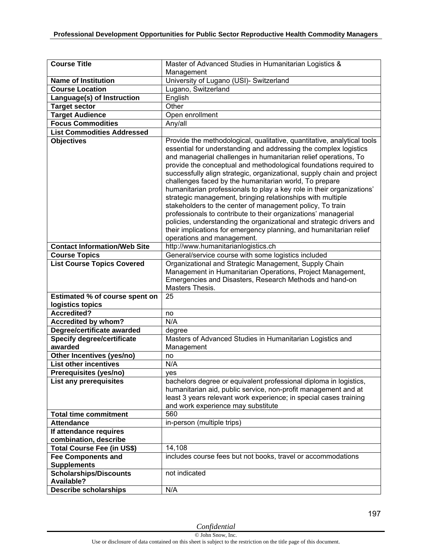| <b>Course Title</b>                 | Master of Advanced Studies in Humanitarian Logistics &                                                                                                                                                                                                                                                                                                                                                                                                                                                                                                                                                                                                                                                                                                                                                                                      |
|-------------------------------------|---------------------------------------------------------------------------------------------------------------------------------------------------------------------------------------------------------------------------------------------------------------------------------------------------------------------------------------------------------------------------------------------------------------------------------------------------------------------------------------------------------------------------------------------------------------------------------------------------------------------------------------------------------------------------------------------------------------------------------------------------------------------------------------------------------------------------------------------|
|                                     | Management                                                                                                                                                                                                                                                                                                                                                                                                                                                                                                                                                                                                                                                                                                                                                                                                                                  |
| <b>Name of Institution</b>          | University of Lugano (USI)- Switzerland                                                                                                                                                                                                                                                                                                                                                                                                                                                                                                                                                                                                                                                                                                                                                                                                     |
| <b>Course Location</b>              | Lugano, Switzerland                                                                                                                                                                                                                                                                                                                                                                                                                                                                                                                                                                                                                                                                                                                                                                                                                         |
| Language(s) of Instruction          | English                                                                                                                                                                                                                                                                                                                                                                                                                                                                                                                                                                                                                                                                                                                                                                                                                                     |
| <b>Target sector</b>                | Other                                                                                                                                                                                                                                                                                                                                                                                                                                                                                                                                                                                                                                                                                                                                                                                                                                       |
| <b>Target Audience</b>              | Open enrollment                                                                                                                                                                                                                                                                                                                                                                                                                                                                                                                                                                                                                                                                                                                                                                                                                             |
| <b>Focus Commodities</b>            | Any/all                                                                                                                                                                                                                                                                                                                                                                                                                                                                                                                                                                                                                                                                                                                                                                                                                                     |
| <b>List Commodities Addressed</b>   |                                                                                                                                                                                                                                                                                                                                                                                                                                                                                                                                                                                                                                                                                                                                                                                                                                             |
| <b>Objectives</b>                   | Provide the methodological, qualitative, quantitative, analytical tools<br>essential for understanding and addressing the complex logistics<br>and managerial challenges in humanitarian relief operations, To<br>provide the conceptual and methodological foundations required to<br>successfully align strategic, organizational, supply chain and project<br>challenges faced by the humanitarian world, To prepare<br>humanitarian professionals to play a key role in their organizations'<br>strategic management, bringing relationships with multiple<br>stakeholders to the center of management policy, To train<br>professionals to contribute to their organizations' managerial<br>policies, understanding the organizational and strategic drivers and<br>their implications for emergency planning, and humanitarian relief |
|                                     | operations and management.                                                                                                                                                                                                                                                                                                                                                                                                                                                                                                                                                                                                                                                                                                                                                                                                                  |
| <b>Contact Information/Web Site</b> | http://www.humanitarianlogistics.ch                                                                                                                                                                                                                                                                                                                                                                                                                                                                                                                                                                                                                                                                                                                                                                                                         |
| <b>Course Topics</b>                | General/service course with some logistics included                                                                                                                                                                                                                                                                                                                                                                                                                                                                                                                                                                                                                                                                                                                                                                                         |
| <b>List Course Topics Covered</b>   | Organizational and Strategic Management, Supply Chain<br>Management in Humanitarian Operations, Project Management,<br>Emergencies and Disasters, Research Methods and hand-on<br>Masters Thesis.                                                                                                                                                                                                                                                                                                                                                                                                                                                                                                                                                                                                                                           |
| Estimated % of course spent on      | 25                                                                                                                                                                                                                                                                                                                                                                                                                                                                                                                                                                                                                                                                                                                                                                                                                                          |
| logistics topics                    |                                                                                                                                                                                                                                                                                                                                                                                                                                                                                                                                                                                                                                                                                                                                                                                                                                             |
| <b>Accredited?</b>                  | no                                                                                                                                                                                                                                                                                                                                                                                                                                                                                                                                                                                                                                                                                                                                                                                                                                          |
| <b>Accredited by whom?</b>          | N/A                                                                                                                                                                                                                                                                                                                                                                                                                                                                                                                                                                                                                                                                                                                                                                                                                                         |
| Degree/certificate awarded          | degree                                                                                                                                                                                                                                                                                                                                                                                                                                                                                                                                                                                                                                                                                                                                                                                                                                      |
| Specify degree/certificate          | Masters of Advanced Studies in Humanitarian Logistics and                                                                                                                                                                                                                                                                                                                                                                                                                                                                                                                                                                                                                                                                                                                                                                                   |
| awarded                             | Management                                                                                                                                                                                                                                                                                                                                                                                                                                                                                                                                                                                                                                                                                                                                                                                                                                  |
| <b>Other Incentives (yes/no)</b>    | no                                                                                                                                                                                                                                                                                                                                                                                                                                                                                                                                                                                                                                                                                                                                                                                                                                          |
| <b>List other incentives</b>        | N/A                                                                                                                                                                                                                                                                                                                                                                                                                                                                                                                                                                                                                                                                                                                                                                                                                                         |
| Prerequisites (yes/no)              | ves                                                                                                                                                                                                                                                                                                                                                                                                                                                                                                                                                                                                                                                                                                                                                                                                                                         |
| List any prerequisites              | bachelors degree or equivalent professional diploma in logistics,<br>humanitarian aid, public service, non-profit management and at<br>least 3 years relevant work experience; in special cases training<br>and work experience may substitute                                                                                                                                                                                                                                                                                                                                                                                                                                                                                                                                                                                              |
| <b>Total time commitment</b>        | 560                                                                                                                                                                                                                                                                                                                                                                                                                                                                                                                                                                                                                                                                                                                                                                                                                                         |
| <b>Attendance</b>                   | in-person (multiple trips)                                                                                                                                                                                                                                                                                                                                                                                                                                                                                                                                                                                                                                                                                                                                                                                                                  |
| If attendance requires              |                                                                                                                                                                                                                                                                                                                                                                                                                                                                                                                                                                                                                                                                                                                                                                                                                                             |
| combination, describe               |                                                                                                                                                                                                                                                                                                                                                                                                                                                                                                                                                                                                                                                                                                                                                                                                                                             |
| <b>Total Course Fee (in US\$)</b>   | 14,108                                                                                                                                                                                                                                                                                                                                                                                                                                                                                                                                                                                                                                                                                                                                                                                                                                      |
| <b>Fee Components and</b>           | includes course fees but not books, travel or accommodations                                                                                                                                                                                                                                                                                                                                                                                                                                                                                                                                                                                                                                                                                                                                                                                |
| <b>Supplements</b>                  |                                                                                                                                                                                                                                                                                                                                                                                                                                                                                                                                                                                                                                                                                                                                                                                                                                             |
| <b>Scholarships/Discounts</b>       | not indicated                                                                                                                                                                                                                                                                                                                                                                                                                                                                                                                                                                                                                                                                                                                                                                                                                               |
| Available?                          |                                                                                                                                                                                                                                                                                                                                                                                                                                                                                                                                                                                                                                                                                                                                                                                                                                             |
| <b>Describe scholarships</b>        | N/A                                                                                                                                                                                                                                                                                                                                                                                                                                                                                                                                                                                                                                                                                                                                                                                                                                         |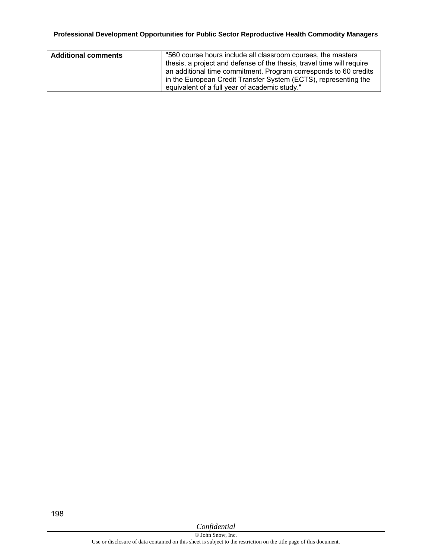| <b>Additional comments</b> | "560 course hours include all classroom courses, the masters          |
|----------------------------|-----------------------------------------------------------------------|
|                            | thesis, a project and defense of the thesis, travel time will require |
|                            | an additional time commitment. Program corresponds to 60 credits      |
|                            | in the European Credit Transfer System (ECTS), representing the       |
|                            | equivalent of a full year of academic study."                         |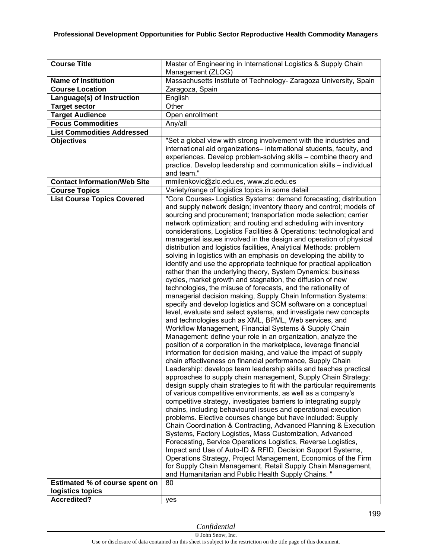| <b>Course Title</b>                   | Master of Engineering in International Logistics & Supply Chain                                                                          |
|---------------------------------------|------------------------------------------------------------------------------------------------------------------------------------------|
| <b>Name of Institution</b>            | Management (ZLOG)<br>Massachusetts Institute of Technology- Zaragoza University, Spain                                                   |
| <b>Course Location</b>                | Zaragoza, Spain                                                                                                                          |
| Language(s) of Instruction            | English                                                                                                                                  |
| <b>Target sector</b>                  | Other                                                                                                                                    |
| <b>Target Audience</b>                | Open enrollment                                                                                                                          |
| <b>Focus Commodities</b>              | Any/all                                                                                                                                  |
| <b>List Commodities Addressed</b>     |                                                                                                                                          |
| <b>Objectives</b>                     | "Set a global view with strong involvement with the industries and                                                                       |
|                                       | international aid organizations-international students, faculty, and                                                                     |
|                                       | experiences. Develop problem-solving skills - combine theory and                                                                         |
|                                       | practice. Develop leadership and communication skills - individual                                                                       |
|                                       | and team."                                                                                                                               |
| <b>Contact Information/Web Site</b>   | mmilenkovic@zlc.edu.es, www.zlc.edu.es                                                                                                   |
| <b>Course Topics</b>                  | Variety/range of logistics topics in some detail                                                                                         |
| <b>List Course Topics Covered</b>     | "Core Courses- Logistics Systems: demand forecasting; distribution                                                                       |
|                                       | and supply network design; inventory theory and control; models of                                                                       |
|                                       | sourcing and procurement; transportation mode selection; carrier                                                                         |
|                                       | network optimization; and routing and scheduling with inventory                                                                          |
|                                       | considerations, Logistics Facilities & Operations: technological and                                                                     |
|                                       | managerial issues involved in the design and operation of physical                                                                       |
|                                       | distribution and logistics facilities, Analytical Methods: problem<br>solving in logistics with an emphasis on developing the ability to |
|                                       | identify and use the appropriate technique for practical application                                                                     |
|                                       | rather than the underlying theory, System Dynamics: business                                                                             |
|                                       | cycles, market growth and stagnation, the diffusion of new                                                                               |
|                                       | technologies, the misuse of forecasts, and the rationality of                                                                            |
|                                       | managerial decision making, Supply Chain Information Systems:                                                                            |
|                                       | specify and develop logistics and SCM software on a conceptual                                                                           |
|                                       | level, evaluate and select systems, and investigate new concepts                                                                         |
|                                       | and technologies such as XML, BPML, Web services, and                                                                                    |
|                                       | Workflow Management, Financial Systems & Supply Chain                                                                                    |
|                                       | Management: define your role in an organization, analyze the                                                                             |
|                                       | position of a corporation in the marketplace, leverage financial                                                                         |
|                                       | information for decision making, and value the impact of supply                                                                          |
|                                       | chain effectiveness on financial performance, Supply Chain                                                                               |
|                                       | Leadership: develops team leadership skills and teaches practical                                                                        |
|                                       | approaches to supply chain management, Supply Chain Strategy:                                                                            |
|                                       | design supply chain strategies to fit with the particular requirements                                                                   |
|                                       | of various competitive environments, as well as a company's<br>competitive strategy, investigates barriers to integrating supply         |
|                                       | chains, including behavioural issues and operational execution                                                                           |
|                                       | problems. Elective courses change but have included: Supply                                                                              |
|                                       | Chain Coordination & Contracting, Advanced Planning & Execution                                                                          |
|                                       | Systems, Factory Logistics, Mass Customization, Advanced                                                                                 |
|                                       | Forecasting, Service Operations Logistics, Reverse Logistics,                                                                            |
|                                       | Impact and Use of Auto-ID & RFID, Decision Support Systems,                                                                              |
|                                       | Operations Strategy, Project Management, Economics of the Firm                                                                           |
|                                       | for Supply Chain Management, Retail Supply Chain Management,                                                                             |
|                                       | and Humanitarian and Public Health Supply Chains."                                                                                       |
| <b>Estimated % of course spent on</b> | 80                                                                                                                                       |
| logistics topics                      |                                                                                                                                          |
| <b>Accredited?</b>                    | yes                                                                                                                                      |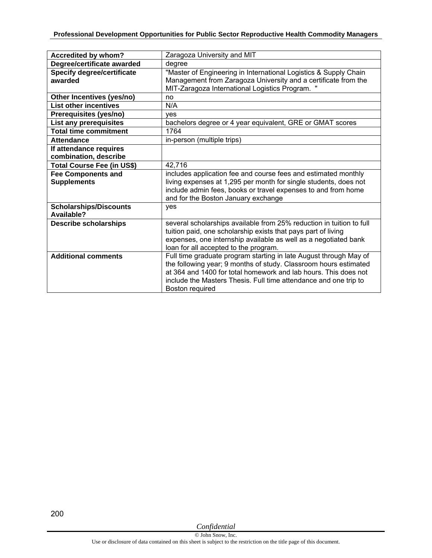| Accredited by whom?               | Zaragoza University and MIT                                          |
|-----------------------------------|----------------------------------------------------------------------|
| Degree/certificate awarded        | degree                                                               |
| <b>Specify degree/certificate</b> | "Master of Engineering in International Logistics & Supply Chain     |
| awarded                           | Management from Zaragoza University and a certificate from the       |
|                                   | MIT-Zaragoza International Logistics Program. "                      |
| Other Incentives (yes/no)         | no                                                                   |
| <b>List other incentives</b>      | N/A                                                                  |
| Prerequisites (yes/no)            | ves                                                                  |
| List any prerequisites            | bachelors degree or 4 year equivalent, GRE or GMAT scores            |
| <b>Total time commitment</b>      | 1764                                                                 |
| <b>Attendance</b>                 | in-person (multiple trips)                                           |
| If attendance requires            |                                                                      |
| combination, describe             |                                                                      |
| <b>Total Course Fee (in US\$)</b> | 42,716                                                               |
| <b>Fee Components and</b>         | includes application fee and course fees and estimated monthly       |
| <b>Supplements</b>                | living expenses at 1,295 per month for single students, does not     |
|                                   | include admin fees, books or travel expenses to and from home        |
|                                   | and for the Boston January exchange                                  |
| <b>Scholarships/Discounts</b>     | yes                                                                  |
| Available?                        |                                                                      |
| <b>Describe scholarships</b>      | several scholarships available from 25% reduction in tuition to full |
|                                   | tuition paid, one scholarship exists that pays part of living        |
|                                   | expenses, one internship available as well as a negotiated bank      |
|                                   | loan for all accepted to the program.                                |
| <b>Additional comments</b>        | Full time graduate program starting in late August through May of    |
|                                   | the following year; 9 months of study. Classroom hours estimated     |
|                                   | at 364 and 1400 for total homework and lab hours. This does not      |
|                                   | include the Masters Thesis. Full time attendance and one trip to     |
|                                   | Boston required                                                      |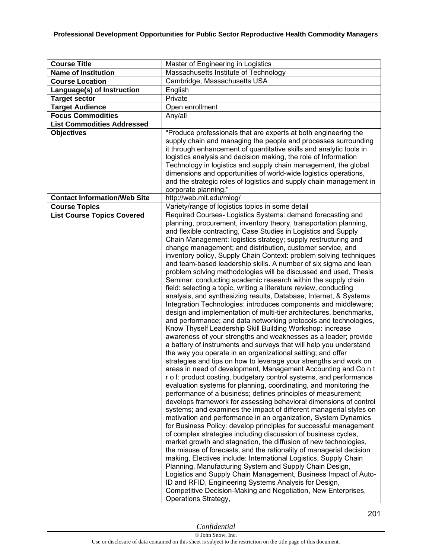| <b>Course Title</b>                                       | Master of Engineering in Logistics                                                                                                                                                                                                                                                                                                                                                                                                                                                                                                                                                                                                                                                                                                                                                                                                                                                                                                                                                                                                                                                                                                                                                                                                                                                                                                                                                                                                                                                                                                                                                                                                                                                                                                                                                                                                                                                                                                                                                                                                                                                                                                                                                                                                                                                                                                                           |
|-----------------------------------------------------------|--------------------------------------------------------------------------------------------------------------------------------------------------------------------------------------------------------------------------------------------------------------------------------------------------------------------------------------------------------------------------------------------------------------------------------------------------------------------------------------------------------------------------------------------------------------------------------------------------------------------------------------------------------------------------------------------------------------------------------------------------------------------------------------------------------------------------------------------------------------------------------------------------------------------------------------------------------------------------------------------------------------------------------------------------------------------------------------------------------------------------------------------------------------------------------------------------------------------------------------------------------------------------------------------------------------------------------------------------------------------------------------------------------------------------------------------------------------------------------------------------------------------------------------------------------------------------------------------------------------------------------------------------------------------------------------------------------------------------------------------------------------------------------------------------------------------------------------------------------------------------------------------------------------------------------------------------------------------------------------------------------------------------------------------------------------------------------------------------------------------------------------------------------------------------------------------------------------------------------------------------------------------------------------------------------------------------------------------------------------|
| <b>Name of Institution</b>                                | Massachusetts Institute of Technology                                                                                                                                                                                                                                                                                                                                                                                                                                                                                                                                                                                                                                                                                                                                                                                                                                                                                                                                                                                                                                                                                                                                                                                                                                                                                                                                                                                                                                                                                                                                                                                                                                                                                                                                                                                                                                                                                                                                                                                                                                                                                                                                                                                                                                                                                                                        |
| <b>Course Location</b>                                    | Cambridge, Massachusetts USA                                                                                                                                                                                                                                                                                                                                                                                                                                                                                                                                                                                                                                                                                                                                                                                                                                                                                                                                                                                                                                                                                                                                                                                                                                                                                                                                                                                                                                                                                                                                                                                                                                                                                                                                                                                                                                                                                                                                                                                                                                                                                                                                                                                                                                                                                                                                 |
| Language(s) of Instruction                                | English                                                                                                                                                                                                                                                                                                                                                                                                                                                                                                                                                                                                                                                                                                                                                                                                                                                                                                                                                                                                                                                                                                                                                                                                                                                                                                                                                                                                                                                                                                                                                                                                                                                                                                                                                                                                                                                                                                                                                                                                                                                                                                                                                                                                                                                                                                                                                      |
| <b>Target sector</b>                                      | Private                                                                                                                                                                                                                                                                                                                                                                                                                                                                                                                                                                                                                                                                                                                                                                                                                                                                                                                                                                                                                                                                                                                                                                                                                                                                                                                                                                                                                                                                                                                                                                                                                                                                                                                                                                                                                                                                                                                                                                                                                                                                                                                                                                                                                                                                                                                                                      |
| <b>Target Audience</b>                                    | Open enrollment                                                                                                                                                                                                                                                                                                                                                                                                                                                                                                                                                                                                                                                                                                                                                                                                                                                                                                                                                                                                                                                                                                                                                                                                                                                                                                                                                                                                                                                                                                                                                                                                                                                                                                                                                                                                                                                                                                                                                                                                                                                                                                                                                                                                                                                                                                                                              |
| <b>Focus Commodities</b>                                  | Any/all                                                                                                                                                                                                                                                                                                                                                                                                                                                                                                                                                                                                                                                                                                                                                                                                                                                                                                                                                                                                                                                                                                                                                                                                                                                                                                                                                                                                                                                                                                                                                                                                                                                                                                                                                                                                                                                                                                                                                                                                                                                                                                                                                                                                                                                                                                                                                      |
| <b>List Commodities Addressed</b>                         |                                                                                                                                                                                                                                                                                                                                                                                                                                                                                                                                                                                                                                                                                                                                                                                                                                                                                                                                                                                                                                                                                                                                                                                                                                                                                                                                                                                                                                                                                                                                                                                                                                                                                                                                                                                                                                                                                                                                                                                                                                                                                                                                                                                                                                                                                                                                                              |
| <b>Objectives</b>                                         | "Produce professionals that are experts at both engineering the                                                                                                                                                                                                                                                                                                                                                                                                                                                                                                                                                                                                                                                                                                                                                                                                                                                                                                                                                                                                                                                                                                                                                                                                                                                                                                                                                                                                                                                                                                                                                                                                                                                                                                                                                                                                                                                                                                                                                                                                                                                                                                                                                                                                                                                                                              |
|                                                           | supply chain and managing the people and processes surrounding<br>it through enhancement of quantitative skills and analytic tools in<br>logistics analysis and decision making, the role of Information<br>Technology in logistics and supply chain management, the global<br>dimensions and opportunities of world-wide logistics operations,<br>and the strategic roles of logistics and supply chain management in<br>corporate planning."                                                                                                                                                                                                                                                                                                                                                                                                                                                                                                                                                                                                                                                                                                                                                                                                                                                                                                                                                                                                                                                                                                                                                                                                                                                                                                                                                                                                                                                                                                                                                                                                                                                                                                                                                                                                                                                                                                               |
| <b>Contact Information/Web Site</b>                       | http://web.mit.edu/mlog/                                                                                                                                                                                                                                                                                                                                                                                                                                                                                                                                                                                                                                                                                                                                                                                                                                                                                                                                                                                                                                                                                                                                                                                                                                                                                                                                                                                                                                                                                                                                                                                                                                                                                                                                                                                                                                                                                                                                                                                                                                                                                                                                                                                                                                                                                                                                     |
| <b>Course Topics</b><br><b>List Course Topics Covered</b> | Variety/range of logistics topics in some detail<br>Required Courses- Logistics Systems: demand forecasting and                                                                                                                                                                                                                                                                                                                                                                                                                                                                                                                                                                                                                                                                                                                                                                                                                                                                                                                                                                                                                                                                                                                                                                                                                                                                                                                                                                                                                                                                                                                                                                                                                                                                                                                                                                                                                                                                                                                                                                                                                                                                                                                                                                                                                                              |
|                                                           | planning, procurement, inventory theory, transportation planning,<br>and flexible contracting, Case Studies in Logistics and Supply<br>Chain Management: logistics strategy; supply restructuring and<br>change management; and distribution, customer service, and<br>inventory policy, Supply Chain Context: problem solving techniques<br>and team-based leadership skills. A number of six sigma and lean<br>problem solving methodologies will be discussed and used, Thesis<br>Seminar: conducting academic research within the supply chain<br>field: selecting a topic, writing a literature review, conducting<br>analysis, and synthesizing results, Database, Internet, & Systems<br>Integration Technologies: introduces components and middleware;<br>design and implementation of multi-tier architectures, benchmarks,<br>and performance; and data networking protocols and technologies,<br>Know Thyself Leadership Skill Building Workshop: increase<br>awareness of your strengths and weaknesses as a leader; provide<br>a battery of instruments and surveys that will help you understand<br>the way you operate in an organizational setting; and offer<br>strategies and tips on how to leverage your strengths and work on<br>areas in need of development, Management Accounting and Co n t<br>r o I: product costing, budgetary control systems, and performance<br>evaluation systems for planning, coordinating, and monitoring the<br>performance of a business; defines principles of measurement;<br>develops framework for assessing behavioral dimensions of control<br>systems; and examines the impact of different managerial styles on<br>motivation and performance in an organization, System Dynamics<br>for Business Policy: develop principles for successful management<br>of complex strategies including discussion of business cycles,<br>market growth and stagnation, the diffusion of new technologies,<br>the misuse of forecasts, and the rationality of managerial decision<br>making, Electives include: International Logistics, Supply Chain<br>Planning, Manufacturing System and Supply Chain Design,<br>Logistics and Supply Chain Management, Business Impact of Auto-<br>ID and RFID, Engineering Systems Analysis for Design,<br>Competitive Decision-Making and Negotiation, New Enterprises, |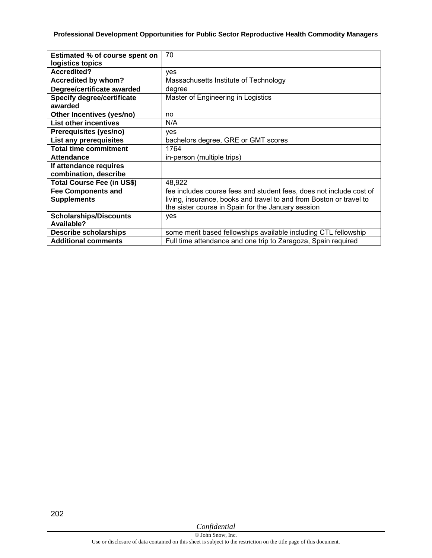| Estimated % of course spent on    | 70                                                                  |
|-----------------------------------|---------------------------------------------------------------------|
| logistics topics                  |                                                                     |
| <b>Accredited?</b>                | ves                                                                 |
| Accredited by whom?               | Massachusetts Institute of Technology                               |
| Degree/certificate awarded        | degree                                                              |
| <b>Specify degree/certificate</b> | Master of Engineering in Logistics                                  |
| awarded                           |                                                                     |
| Other Incentives (yes/no)         | no                                                                  |
| <b>List other incentives</b>      | N/A                                                                 |
| Prerequisites (yes/no)            | ves                                                                 |
| List any prerequisites            | bachelors degree, GRE or GMT scores                                 |
| <b>Total time commitment</b>      | 1764                                                                |
| <b>Attendance</b>                 | in-person (multiple trips)                                          |
| If attendance requires            |                                                                     |
| combination, describe             |                                                                     |
| <b>Total Course Fee (in US\$)</b> | 48,922                                                              |
| <b>Fee Components and</b>         | fee includes course fees and student fees, does not include cost of |
| <b>Supplements</b>                | living, insurance, books and travel to and from Boston or travel to |
|                                   | the sister course in Spain for the January session                  |
| <b>Scholarships/Discounts</b>     | yes                                                                 |
| Available?                        |                                                                     |
| <b>Describe scholarships</b>      | some merit based fellowships available including CTL fellowship     |
| <b>Additional comments</b>        | Full time attendance and one trip to Zaragoza, Spain required       |

202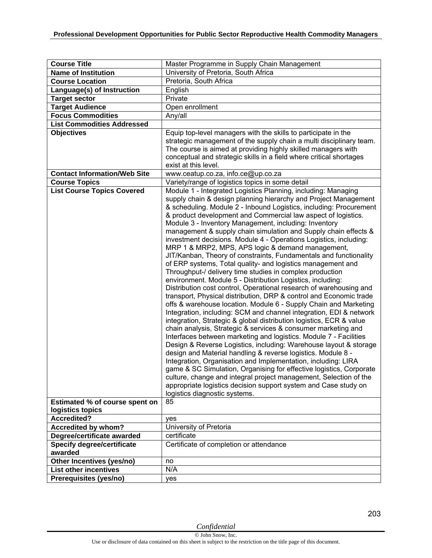| <b>Course Title</b>                          | Master Programme in Supply Chain Management                                                                                                                                                                                                                                                                                                                                                                                                                                                                                                                                                                                                                                                                                                                                                                                                                                                                                                                                                                                                                                                                                                                                                                                                                                                                                                                                                                                                                                                                                                                                                                                                                                                                                                                |
|----------------------------------------------|------------------------------------------------------------------------------------------------------------------------------------------------------------------------------------------------------------------------------------------------------------------------------------------------------------------------------------------------------------------------------------------------------------------------------------------------------------------------------------------------------------------------------------------------------------------------------------------------------------------------------------------------------------------------------------------------------------------------------------------------------------------------------------------------------------------------------------------------------------------------------------------------------------------------------------------------------------------------------------------------------------------------------------------------------------------------------------------------------------------------------------------------------------------------------------------------------------------------------------------------------------------------------------------------------------------------------------------------------------------------------------------------------------------------------------------------------------------------------------------------------------------------------------------------------------------------------------------------------------------------------------------------------------------------------------------------------------------------------------------------------------|
| <b>Name of Institution</b>                   | University of Pretoria, South Africa                                                                                                                                                                                                                                                                                                                                                                                                                                                                                                                                                                                                                                                                                                                                                                                                                                                                                                                                                                                                                                                                                                                                                                                                                                                                                                                                                                                                                                                                                                                                                                                                                                                                                                                       |
| <b>Course Location</b>                       | Pretoria, South Africa                                                                                                                                                                                                                                                                                                                                                                                                                                                                                                                                                                                                                                                                                                                                                                                                                                                                                                                                                                                                                                                                                                                                                                                                                                                                                                                                                                                                                                                                                                                                                                                                                                                                                                                                     |
| Language(s) of Instruction                   | English                                                                                                                                                                                                                                                                                                                                                                                                                                                                                                                                                                                                                                                                                                                                                                                                                                                                                                                                                                                                                                                                                                                                                                                                                                                                                                                                                                                                                                                                                                                                                                                                                                                                                                                                                    |
| <b>Target sector</b>                         | Private                                                                                                                                                                                                                                                                                                                                                                                                                                                                                                                                                                                                                                                                                                                                                                                                                                                                                                                                                                                                                                                                                                                                                                                                                                                                                                                                                                                                                                                                                                                                                                                                                                                                                                                                                    |
| <b>Target Audience</b>                       | Open enrollment                                                                                                                                                                                                                                                                                                                                                                                                                                                                                                                                                                                                                                                                                                                                                                                                                                                                                                                                                                                                                                                                                                                                                                                                                                                                                                                                                                                                                                                                                                                                                                                                                                                                                                                                            |
| <b>Focus Commodities</b>                     | Any/all                                                                                                                                                                                                                                                                                                                                                                                                                                                                                                                                                                                                                                                                                                                                                                                                                                                                                                                                                                                                                                                                                                                                                                                                                                                                                                                                                                                                                                                                                                                                                                                                                                                                                                                                                    |
| <b>List Commodities Addressed</b>            |                                                                                                                                                                                                                                                                                                                                                                                                                                                                                                                                                                                                                                                                                                                                                                                                                                                                                                                                                                                                                                                                                                                                                                                                                                                                                                                                                                                                                                                                                                                                                                                                                                                                                                                                                            |
| <b>Objectives</b>                            | Equip top-level managers with the skills to participate in the<br>strategic management of the supply chain a multi disciplinary team.<br>The course is aimed at providing highly skilled managers with<br>conceptual and strategic skills in a field where critical shortages<br>exist at this level.                                                                                                                                                                                                                                                                                                                                                                                                                                                                                                                                                                                                                                                                                                                                                                                                                                                                                                                                                                                                                                                                                                                                                                                                                                                                                                                                                                                                                                                      |
| <b>Contact Information/Web Site</b>          | www.ceatup.co.za, info.ce@up.co.za                                                                                                                                                                                                                                                                                                                                                                                                                                                                                                                                                                                                                                                                                                                                                                                                                                                                                                                                                                                                                                                                                                                                                                                                                                                                                                                                                                                                                                                                                                                                                                                                                                                                                                                         |
| <b>Course Topics</b>                         | Variety/range of logistics topics in some detail                                                                                                                                                                                                                                                                                                                                                                                                                                                                                                                                                                                                                                                                                                                                                                                                                                                                                                                                                                                                                                                                                                                                                                                                                                                                                                                                                                                                                                                                                                                                                                                                                                                                                                           |
| <b>List Course Topics Covered</b>            | Module 1 - Integrated Logistics Planning, including: Managing<br>supply chain & design planning hierarchy and Project Management<br>& scheduling. Module 2 - Inbound Logistics, including: Procurement<br>& product development and Commercial law aspect of logistics.<br>Module 3 - Inventory Management, including: Inventory<br>management & supply chain simulation and Supply chain effects &<br>investment decisions. Module 4 - Operations Logistics, including:<br>MRP 1 & MRP2, MPS, APS logic & demand management,<br>JIT/Kanban, Theory of constraints, Fundamentals and functionality<br>of ERP systems, Total quality- and logistics management and<br>Throughput-/ delivery time studies in complex production<br>environment. Module 5 - Distribution Logistics, including:<br>Distribution cost control, Operational research of warehousing and<br>transport, Physical distribution, DRP & control and Economic trade<br>offs & warehouse location. Module 6 - Supply Chain and Marketing<br>Integration, including: SCM and channel integration, EDI & network<br>integration, Strategic & global distribution logistics, ECR & value<br>chain analysis, Strategic & services & consumer marketing and<br>Interfaces between marketing and logistics. Module 7 - Facilities<br>Design & Reverse Logistics, including: Warehouse layout & storage<br>design and Material handling & reverse logistics. Module 8 -<br>Integration, Organisation and Implementation, including: LIRA<br>game & SC Simulation, Organising for effective logistics, Corporate<br>culture, change and integral project management, Selection of the<br>appropriate logistics decision support system and Case study on<br>logistics diagnostic systems.<br>85 |
| Estimated % of course spent on               |                                                                                                                                                                                                                                                                                                                                                                                                                                                                                                                                                                                                                                                                                                                                                                                                                                                                                                                                                                                                                                                                                                                                                                                                                                                                                                                                                                                                                                                                                                                                                                                                                                                                                                                                                            |
| logistics topics<br><b>Accredited?</b>       |                                                                                                                                                                                                                                                                                                                                                                                                                                                                                                                                                                                                                                                                                                                                                                                                                                                                                                                                                                                                                                                                                                                                                                                                                                                                                                                                                                                                                                                                                                                                                                                                                                                                                                                                                            |
|                                              | yes                                                                                                                                                                                                                                                                                                                                                                                                                                                                                                                                                                                                                                                                                                                                                                                                                                                                                                                                                                                                                                                                                                                                                                                                                                                                                                                                                                                                                                                                                                                                                                                                                                                                                                                                                        |
| Accredited by whom?                          | University of Pretoria                                                                                                                                                                                                                                                                                                                                                                                                                                                                                                                                                                                                                                                                                                                                                                                                                                                                                                                                                                                                                                                                                                                                                                                                                                                                                                                                                                                                                                                                                                                                                                                                                                                                                                                                     |
| Degree/certificate awarded                   | certificate                                                                                                                                                                                                                                                                                                                                                                                                                                                                                                                                                                                                                                                                                                                                                                                                                                                                                                                                                                                                                                                                                                                                                                                                                                                                                                                                                                                                                                                                                                                                                                                                                                                                                                                                                |
| <b>Specify degree/certificate</b><br>awarded | Certificate of completion or attendance                                                                                                                                                                                                                                                                                                                                                                                                                                                                                                                                                                                                                                                                                                                                                                                                                                                                                                                                                                                                                                                                                                                                                                                                                                                                                                                                                                                                                                                                                                                                                                                                                                                                                                                    |
|                                              |                                                                                                                                                                                                                                                                                                                                                                                                                                                                                                                                                                                                                                                                                                                                                                                                                                                                                                                                                                                                                                                                                                                                                                                                                                                                                                                                                                                                                                                                                                                                                                                                                                                                                                                                                            |
| Other Incentives (yes/no)                    | no                                                                                                                                                                                                                                                                                                                                                                                                                                                                                                                                                                                                                                                                                                                                                                                                                                                                                                                                                                                                                                                                                                                                                                                                                                                                                                                                                                                                                                                                                                                                                                                                                                                                                                                                                         |
| <b>List other incentives</b>                 | N/A                                                                                                                                                                                                                                                                                                                                                                                                                                                                                                                                                                                                                                                                                                                                                                                                                                                                                                                                                                                                                                                                                                                                                                                                                                                                                                                                                                                                                                                                                                                                                                                                                                                                                                                                                        |
| Prerequisites (yes/no)                       | yes                                                                                                                                                                                                                                                                                                                                                                                                                                                                                                                                                                                                                                                                                                                                                                                                                                                                                                                                                                                                                                                                                                                                                                                                                                                                                                                                                                                                                                                                                                                                                                                                                                                                                                                                                        |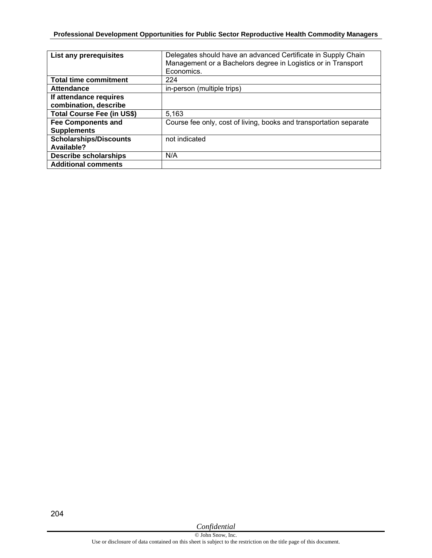| <b>List any prerequisites</b>                   | Delegates should have an advanced Certificate in Supply Chain<br>Management or a Bachelors degree in Logistics or in Transport<br>Economics. |
|-------------------------------------------------|----------------------------------------------------------------------------------------------------------------------------------------------|
| <b>Total time commitment</b>                    | 224                                                                                                                                          |
| <b>Attendance</b>                               | in-person (multiple trips)                                                                                                                   |
| If attendance requires<br>combination, describe |                                                                                                                                              |
| <b>Total Course Fee (in US\$)</b>               | 5,163                                                                                                                                        |
| <b>Fee Components and</b><br><b>Supplements</b> | Course fee only, cost of living, books and transportation separate                                                                           |
| <b>Scholarships/Discounts</b><br>Available?     | not indicated                                                                                                                                |
| <b>Describe scholarships</b>                    | N/A                                                                                                                                          |
| <b>Additional comments</b>                      |                                                                                                                                              |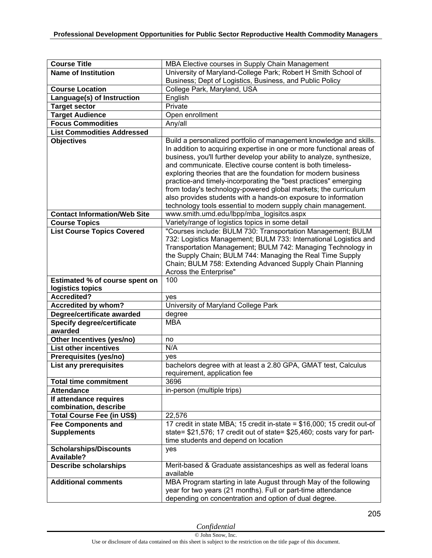| <b>Course Title</b>                                | MBA Elective courses in Supply Chain Management                                                                                                                                                                                                                                                                                                      |
|----------------------------------------------------|------------------------------------------------------------------------------------------------------------------------------------------------------------------------------------------------------------------------------------------------------------------------------------------------------------------------------------------------------|
| <b>Name of Institution</b>                         | University of Maryland-College Park; Robert H Smith School of                                                                                                                                                                                                                                                                                        |
|                                                    | Business; Dept of Logistics, Business, and Public Policy                                                                                                                                                                                                                                                                                             |
| <b>Course Location</b>                             | College Park, Maryland, USA                                                                                                                                                                                                                                                                                                                          |
| Language(s) of Instruction                         | English                                                                                                                                                                                                                                                                                                                                              |
| <b>Target sector</b>                               | Private                                                                                                                                                                                                                                                                                                                                              |
| <b>Target Audience</b>                             | Open enrollment                                                                                                                                                                                                                                                                                                                                      |
| <b>Focus Commodities</b>                           | Any/all                                                                                                                                                                                                                                                                                                                                              |
| <b>List Commodities Addressed</b>                  |                                                                                                                                                                                                                                                                                                                                                      |
| <b>Objectives</b>                                  | Build a personalized portfolio of management knowledge and skills.<br>In addition to acquiring expertise in one or more functional areas of<br>business, you'll further develop your ability to analyze, synthesize,<br>and communicate. Elective course content is both timeless-<br>exploring theories that are the foundation for modern business |
|                                                    | practice-and timely-incorporating the "best practices" emerging<br>from today's technology-powered global markets; the curriculum<br>also provides students with a hands-on exposure to information<br>technology tools essential to modern supply chain management.                                                                                 |
| <b>Contact Information/Web Site</b>                | www.smith.umd.edu/lbpp/mba logisitcs.aspx                                                                                                                                                                                                                                                                                                            |
| <b>Course Topics</b>                               | Variety/range of logistics topics in some detail                                                                                                                                                                                                                                                                                                     |
| <b>List Course Topics Covered</b>                  | "Courses include: BULM 730: Transportation Management; BULM<br>732: Logistics Management; BULM 733: International Logistics and<br>Transportation Management; BULM 742: Managing Technology in<br>the Supply Chain; BULM 744: Managing the Real Time Supply<br>Chain; BULM 758: Extending Advanced Supply Chain Planning<br>Across the Enterprise"   |
| Estimated % of course spent on                     | 100                                                                                                                                                                                                                                                                                                                                                  |
| logistics topics                                   |                                                                                                                                                                                                                                                                                                                                                      |
| <b>Accredited?</b>                                 | yes                                                                                                                                                                                                                                                                                                                                                  |
| <b>Accredited by whom?</b>                         | University of Maryland College Park                                                                                                                                                                                                                                                                                                                  |
| Degree/certificate awarded                         | degree                                                                                                                                                                                                                                                                                                                                               |
| <b>Specify degree/certificate</b><br>awarded       | <b>MBA</b>                                                                                                                                                                                                                                                                                                                                           |
| Other Incentives (yes/no)                          | no                                                                                                                                                                                                                                                                                                                                                   |
| <b>List other incentives</b>                       | N/A                                                                                                                                                                                                                                                                                                                                                  |
| Prerequisites (yes/no)                             | ves                                                                                                                                                                                                                                                                                                                                                  |
| List any prerequisites                             | bachelors degree with at least a 2.80 GPA, GMAT test, Calculus<br>requirement, application fee                                                                                                                                                                                                                                                       |
| <b>Total time commitment</b>                       | 3696                                                                                                                                                                                                                                                                                                                                                 |
| <b>Attendance</b>                                  | in-person (multiple trips)                                                                                                                                                                                                                                                                                                                           |
| If attendance requires                             |                                                                                                                                                                                                                                                                                                                                                      |
| combination, describe                              |                                                                                                                                                                                                                                                                                                                                                      |
| <b>Total Course Fee (in US\$)</b>                  | 22,576                                                                                                                                                                                                                                                                                                                                               |
| <b>Fee Components and</b><br><b>Supplements</b>    | 17 credit in state MBA; 15 credit in-state = \$16,000; 15 credit out-of<br>state= \$21,576; 17 credit out of state= \$25,460; costs vary for part-<br>time students and depend on location                                                                                                                                                           |
| <b>Scholarships/Discounts</b><br><b>Available?</b> | yes                                                                                                                                                                                                                                                                                                                                                  |
| <b>Describe scholarships</b>                       | Merit-based & Graduate assistanceships as well as federal loans<br>available                                                                                                                                                                                                                                                                         |
| <b>Additional comments</b>                         | MBA Program starting in late August through May of the following<br>year for two years (21 months). Full or part-time attendance<br>depending on concentration and option of dual degree.                                                                                                                                                            |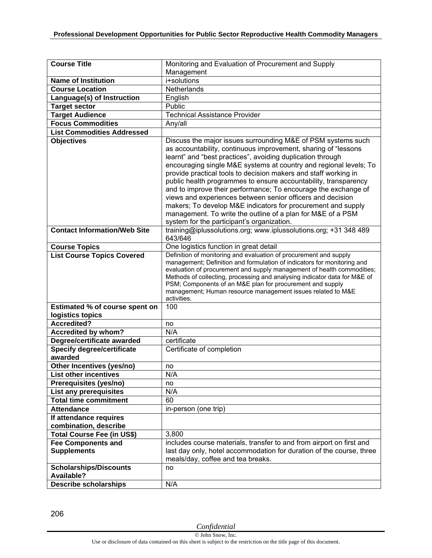| <b>Course Title</b>                         | Monitoring and Evaluation of Procurement and Supply                                                                                    |
|---------------------------------------------|----------------------------------------------------------------------------------------------------------------------------------------|
|                                             | Management                                                                                                                             |
| <b>Name of Institution</b>                  | i+solutions                                                                                                                            |
| <b>Course Location</b>                      | Netherlands                                                                                                                            |
| Language(s) of Instruction                  | English                                                                                                                                |
| Target sector                               | Public                                                                                                                                 |
| <b>Target Audience</b>                      | <b>Technical Assistance Provider</b>                                                                                                   |
| <b>Focus Commodities</b>                    | Any/all                                                                                                                                |
| <b>List Commodities Addressed</b>           |                                                                                                                                        |
| <b>Objectives</b>                           | Discuss the major issues surrounding M&E of PSM systems such                                                                           |
|                                             | as accountability, continuous improvement, sharing of "lessons"                                                                        |
|                                             | learnt" and "best practices", avoiding duplication through                                                                             |
|                                             | encouraging single M&E systems at country and regional levels; To                                                                      |
|                                             | provide practical tools to decision makers and staff working in                                                                        |
|                                             | public health programmes to ensure accountability, transparency                                                                        |
|                                             | and to improve their performance; To encourage the exchange of<br>views and experiences between senior officers and decision           |
|                                             | makers; To develop M&E indicators for procurement and supply                                                                           |
|                                             | management. To write the outline of a plan for M&E of a PSM                                                                            |
|                                             | system for the participant's organization.                                                                                             |
| <b>Contact Information/Web Site</b>         | training@iplussolutions.org; www.iplussolutions.org; +31 348 489                                                                       |
|                                             | 643/646                                                                                                                                |
| <b>Course Topics</b>                        | One logistics function in great detail                                                                                                 |
| <b>List Course Topics Covered</b>           | Definition of monitoring and evaluation of procurement and supply                                                                      |
|                                             | management; Definition and formulation of indicators for monitoring and                                                                |
|                                             | evaluation of procurement and supply management of health commodities;                                                                 |
|                                             | Methods of collecting, processing and analysing indicator data for M&E of<br>PSM; Components of an M&E plan for procurement and supply |
|                                             | management; Human resource management issues related to M&E                                                                            |
|                                             | activities.                                                                                                                            |
| Estimated % of course spent on              | 100                                                                                                                                    |
| logistics topics                            |                                                                                                                                        |
| <b>Accredited?</b>                          | no                                                                                                                                     |
| Accredited by whom?                         | N/A                                                                                                                                    |
| Degree/certificate awarded                  | certificate                                                                                                                            |
| <b>Specify degree/certificate</b>           | Certificate of completion                                                                                                              |
| awarded                                     |                                                                                                                                        |
| Other Incentives (yes/no)                   | no                                                                                                                                     |
| <b>List other incentives</b>                | N/A                                                                                                                                    |
| Prerequisites (yes/no)                      | no                                                                                                                                     |
| List any prerequisites                      | N/A                                                                                                                                    |
| <b>Total time commitment</b>                | 60                                                                                                                                     |
| <b>Attendance</b>                           | in-person (one trip)                                                                                                                   |
| If attendance requires                      |                                                                                                                                        |
| combination, describe                       |                                                                                                                                        |
| <b>Total Course Fee (in US\$)</b>           | 3,800                                                                                                                                  |
| <b>Fee Components and</b>                   | includes course materials, transfer to and from airport on first and                                                                   |
| <b>Supplements</b>                          | last day only, hotel accommodation for duration of the course, three                                                                   |
|                                             | meals/day, coffee and tea breaks.                                                                                                      |
| <b>Scholarships/Discounts</b><br>Available? | no                                                                                                                                     |
| <b>Describe scholarships</b>                | N/A                                                                                                                                    |
|                                             |                                                                                                                                        |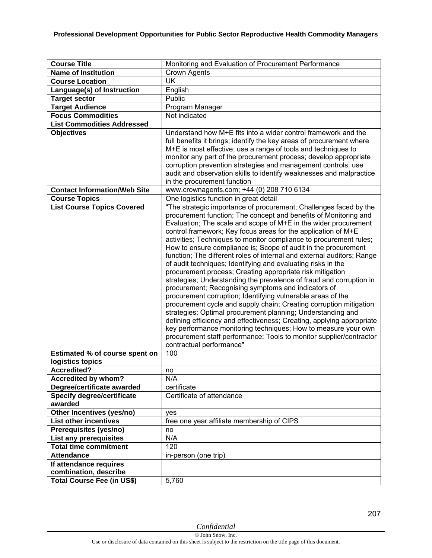| <b>Course Title</b>                    | Monitoring and Evaluation of Procurement Performance                                                                                                                                                                                                                                                                                                                                                                                                                                                                                                                                                                                                                                                                                                                                                                                                                                                                                                                                                                                                                                                                                                                                                     |
|----------------------------------------|----------------------------------------------------------------------------------------------------------------------------------------------------------------------------------------------------------------------------------------------------------------------------------------------------------------------------------------------------------------------------------------------------------------------------------------------------------------------------------------------------------------------------------------------------------------------------------------------------------------------------------------------------------------------------------------------------------------------------------------------------------------------------------------------------------------------------------------------------------------------------------------------------------------------------------------------------------------------------------------------------------------------------------------------------------------------------------------------------------------------------------------------------------------------------------------------------------|
| <b>Name of Institution</b>             | <b>Crown Agents</b>                                                                                                                                                                                                                                                                                                                                                                                                                                                                                                                                                                                                                                                                                                                                                                                                                                                                                                                                                                                                                                                                                                                                                                                      |
| <b>Course Location</b>                 | <b>UK</b>                                                                                                                                                                                                                                                                                                                                                                                                                                                                                                                                                                                                                                                                                                                                                                                                                                                                                                                                                                                                                                                                                                                                                                                                |
| Language(s) of Instruction             | English                                                                                                                                                                                                                                                                                                                                                                                                                                                                                                                                                                                                                                                                                                                                                                                                                                                                                                                                                                                                                                                                                                                                                                                                  |
| <b>Target sector</b>                   | Public                                                                                                                                                                                                                                                                                                                                                                                                                                                                                                                                                                                                                                                                                                                                                                                                                                                                                                                                                                                                                                                                                                                                                                                                   |
| <b>Target Audience</b>                 | Program Manager                                                                                                                                                                                                                                                                                                                                                                                                                                                                                                                                                                                                                                                                                                                                                                                                                                                                                                                                                                                                                                                                                                                                                                                          |
| <b>Focus Commodities</b>               | Not indicated                                                                                                                                                                                                                                                                                                                                                                                                                                                                                                                                                                                                                                                                                                                                                                                                                                                                                                                                                                                                                                                                                                                                                                                            |
| <b>List Commodities Addressed</b>      |                                                                                                                                                                                                                                                                                                                                                                                                                                                                                                                                                                                                                                                                                                                                                                                                                                                                                                                                                                                                                                                                                                                                                                                                          |
| <b>Objectives</b>                      | Understand how M+E fits into a wider control framework and the<br>full benefits it brings; identify the key areas of procurement where<br>M+E is most effective; use a range of tools and techniques to<br>monitor any part of the procurement process; develop appropriate<br>corruption prevention strategies and management controls; use<br>audit and observation skills to identify weaknesses and malpractice<br>in the procurement function                                                                                                                                                                                                                                                                                                                                                                                                                                                                                                                                                                                                                                                                                                                                                       |
| <b>Contact Information/Web Site</b>    | www.crownagents.com; +44 (0) 208 710 6134                                                                                                                                                                                                                                                                                                                                                                                                                                                                                                                                                                                                                                                                                                                                                                                                                                                                                                                                                                                                                                                                                                                                                                |
| <b>Course Topics</b>                   | One logistics function in great detail                                                                                                                                                                                                                                                                                                                                                                                                                                                                                                                                                                                                                                                                                                                                                                                                                                                                                                                                                                                                                                                                                                                                                                   |
| <b>List Course Topics Covered</b>      | "The strategic importance of procurement; Challenges faced by the<br>procurement function; The concept and benefits of Monitoring and<br>Evaluation; The scale and scope of M+E in the wider procurement<br>control framework; Key focus areas for the application of M+E<br>activities; Techniques to monitor compliance to procurement rules;<br>How to ensure compliance is; Scope of audit in the procurement<br>function; The different roles of internal and external auditors; Range<br>of audit techniques; Identifying and evaluating risks in the<br>procurement process; Creating appropriate risk mitigation<br>strategies; Understanding the prevalence of fraud and corruption in<br>procurement; Recognising symptoms and indicators of<br>procurement corruption; Identifying vulnerable areas of the<br>procurement cycle and supply chain; Creating corruption mitigation<br>strategies; Optimal procurement planning; Understanding and<br>defining efficiency and effectiveness; Creating, applying appropriate<br>key performance monitoring techniques; How to measure your own<br>procurement staff performance; Tools to monitor supplier/contractor<br>contractual performance" |
| Estimated % of course spent on         | 100                                                                                                                                                                                                                                                                                                                                                                                                                                                                                                                                                                                                                                                                                                                                                                                                                                                                                                                                                                                                                                                                                                                                                                                                      |
| logistics topics<br><b>Accredited?</b> | no                                                                                                                                                                                                                                                                                                                                                                                                                                                                                                                                                                                                                                                                                                                                                                                                                                                                                                                                                                                                                                                                                                                                                                                                       |
| Accredited by whom?                    | N/A                                                                                                                                                                                                                                                                                                                                                                                                                                                                                                                                                                                                                                                                                                                                                                                                                                                                                                                                                                                                                                                                                                                                                                                                      |
| Degree/certificate awarded             | certificate                                                                                                                                                                                                                                                                                                                                                                                                                                                                                                                                                                                                                                                                                                                                                                                                                                                                                                                                                                                                                                                                                                                                                                                              |
| <b>Specify degree/certificate</b>      | Certificate of attendance                                                                                                                                                                                                                                                                                                                                                                                                                                                                                                                                                                                                                                                                                                                                                                                                                                                                                                                                                                                                                                                                                                                                                                                |
| awarded                                |                                                                                                                                                                                                                                                                                                                                                                                                                                                                                                                                                                                                                                                                                                                                                                                                                                                                                                                                                                                                                                                                                                                                                                                                          |
| Other Incentives (yes/no)              | yes                                                                                                                                                                                                                                                                                                                                                                                                                                                                                                                                                                                                                                                                                                                                                                                                                                                                                                                                                                                                                                                                                                                                                                                                      |
| <b>List other incentives</b>           | free one year affiliate membership of CIPS                                                                                                                                                                                                                                                                                                                                                                                                                                                                                                                                                                                                                                                                                                                                                                                                                                                                                                                                                                                                                                                                                                                                                               |
| Prerequisites (yes/no)                 | no                                                                                                                                                                                                                                                                                                                                                                                                                                                                                                                                                                                                                                                                                                                                                                                                                                                                                                                                                                                                                                                                                                                                                                                                       |
| List any prerequisites                 | N/A                                                                                                                                                                                                                                                                                                                                                                                                                                                                                                                                                                                                                                                                                                                                                                                                                                                                                                                                                                                                                                                                                                                                                                                                      |
| <b>Total time commitment</b>           | 120                                                                                                                                                                                                                                                                                                                                                                                                                                                                                                                                                                                                                                                                                                                                                                                                                                                                                                                                                                                                                                                                                                                                                                                                      |
| <b>Attendance</b>                      | in-person (one trip)                                                                                                                                                                                                                                                                                                                                                                                                                                                                                                                                                                                                                                                                                                                                                                                                                                                                                                                                                                                                                                                                                                                                                                                     |
| If attendance requires                 |                                                                                                                                                                                                                                                                                                                                                                                                                                                                                                                                                                                                                                                                                                                                                                                                                                                                                                                                                                                                                                                                                                                                                                                                          |
| combination, describe                  |                                                                                                                                                                                                                                                                                                                                                                                                                                                                                                                                                                                                                                                                                                                                                                                                                                                                                                                                                                                                                                                                                                                                                                                                          |
| <b>Total Course Fee (in US\$)</b>      | 5,760                                                                                                                                                                                                                                                                                                                                                                                                                                                                                                                                                                                                                                                                                                                                                                                                                                                                                                                                                                                                                                                                                                                                                                                                    |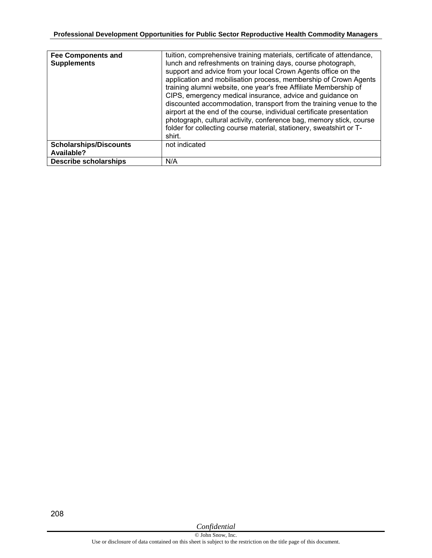| <b>Fee Components and</b><br><b>Supplements</b> | tuition, comprehensive training materials, certificate of attendance,<br>lunch and refreshments on training days, course photograph,<br>support and advice from your local Crown Agents office on the<br>application and mobilisation process, membership of Crown Agents<br>training alumni website, one year's free Affiliate Membership of<br>CIPS, emergency medical insurance, advice and guidance on<br>discounted accommodation, transport from the training venue to the<br>airport at the end of the course, individual certificate presentation<br>photograph, cultural activity, conference bag, memory stick, course<br>folder for collecting course material, stationery, sweatshirt or T-<br>shirt. |
|-------------------------------------------------|-------------------------------------------------------------------------------------------------------------------------------------------------------------------------------------------------------------------------------------------------------------------------------------------------------------------------------------------------------------------------------------------------------------------------------------------------------------------------------------------------------------------------------------------------------------------------------------------------------------------------------------------------------------------------------------------------------------------|
| <b>Scholarships/Discounts</b><br>Available?     | not indicated                                                                                                                                                                                                                                                                                                                                                                                                                                                                                                                                                                                                                                                                                                     |
| <b>Describe scholarships</b>                    | N/A                                                                                                                                                                                                                                                                                                                                                                                                                                                                                                                                                                                                                                                                                                               |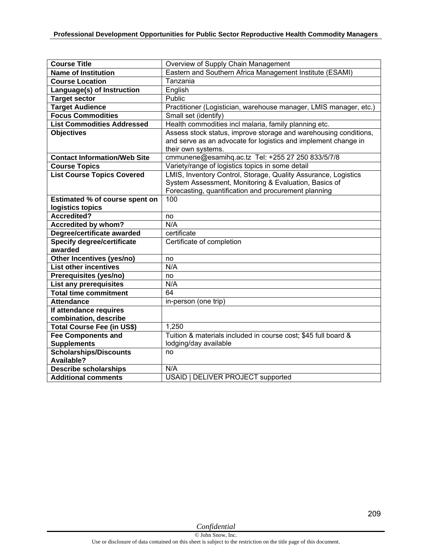| <b>Course Title</b>                          | Overview of Supply Chain Management                                                                                                                                             |
|----------------------------------------------|---------------------------------------------------------------------------------------------------------------------------------------------------------------------------------|
| <b>Name of Institution</b>                   | Eastern and Southern Africa Management Institute (ESAMI)                                                                                                                        |
| <b>Course Location</b>                       | Tanzania                                                                                                                                                                        |
| Language(s) of Instruction                   | English                                                                                                                                                                         |
| <b>Target sector</b>                         | Public                                                                                                                                                                          |
| Target Audience                              | Practitioner (Logistician, warehouse manager, LMIS manager, etc.)                                                                                                               |
| <b>Focus Commodities</b>                     | Small set (identify)                                                                                                                                                            |
| <b>List Commodities Addressed</b>            | Health commodities incl malaria, family planning etc.                                                                                                                           |
| <b>Objectives</b>                            | Assess stock status, improve storage and warehousing conditions,<br>and serve as an advocate for logistics and implement change in<br>their own systems.                        |
| <b>Contact Information/Web Site</b>          | cmmunene@esamihq.ac.tz Tel: +255 27 250 833/5/7/8                                                                                                                               |
| <b>Course Topics</b>                         | Variety/range of logistics topics in some detail                                                                                                                                |
| <b>List Course Topics Covered</b>            | LMIS, Inventory Control, Storage, Quality Assurance, Logistics<br>System Assessment, Monitoring & Evaluation, Basics of<br>Forecasting, quantification and procurement planning |
| Estimated % of course spent on               | 100                                                                                                                                                                             |
| logistics topics                             |                                                                                                                                                                                 |
| <b>Accredited?</b>                           | no                                                                                                                                                                              |
| <b>Accredited by whom?</b>                   | N/A                                                                                                                                                                             |
| Degree/certificate awarded                   | certificate                                                                                                                                                                     |
| <b>Specify degree/certificate</b><br>awarded | Certificate of completion                                                                                                                                                       |
| Other Incentives (yes/no)                    | no                                                                                                                                                                              |
| <b>List other incentives</b>                 | N/A                                                                                                                                                                             |
| Prerequisites (yes/no)                       | no                                                                                                                                                                              |
| List any prerequisites                       | N/A                                                                                                                                                                             |
| <b>Total time commitment</b>                 | 64                                                                                                                                                                              |
| <b>Attendance</b>                            | in-person (one trip)                                                                                                                                                            |
| If attendance requires                       |                                                                                                                                                                                 |
| combination, describe                        |                                                                                                                                                                                 |
| Total Course Fee (in US\$)                   | 1,250                                                                                                                                                                           |
| <b>Fee Components and</b>                    | Tuition & materials included in course cost; \$45 full board &                                                                                                                  |
| <b>Supplements</b>                           | lodging/day available                                                                                                                                                           |
| <b>Scholarships/Discounts</b><br>Available?  | no                                                                                                                                                                              |
| <b>Describe scholarships</b>                 | N/A                                                                                                                                                                             |
| <b>Additional comments</b>                   | USAID   DELIVER PROJECT supported                                                                                                                                               |

209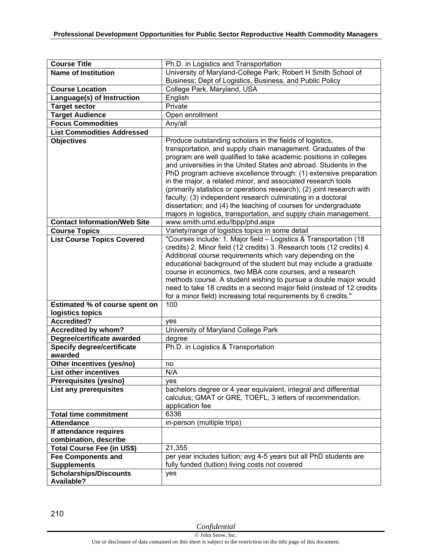| <b>Course Title</b>                         | Ph.D. in Logistics and Transportation                                                                                                                                                                                                                                                                                                                                                                                                                                                                                                                                                                                         |
|---------------------------------------------|-------------------------------------------------------------------------------------------------------------------------------------------------------------------------------------------------------------------------------------------------------------------------------------------------------------------------------------------------------------------------------------------------------------------------------------------------------------------------------------------------------------------------------------------------------------------------------------------------------------------------------|
| <b>Name of Institution</b>                  | University of Maryland-College Park; Robert H Smith School of                                                                                                                                                                                                                                                                                                                                                                                                                                                                                                                                                                 |
|                                             | Business; Dept of Logistics, Business, and Public Policy                                                                                                                                                                                                                                                                                                                                                                                                                                                                                                                                                                      |
| <b>Course Location</b>                      | College Park, Maryland, USA                                                                                                                                                                                                                                                                                                                                                                                                                                                                                                                                                                                                   |
| Language(s) of Instruction                  | English                                                                                                                                                                                                                                                                                                                                                                                                                                                                                                                                                                                                                       |
| <b>Target sector</b>                        | Private                                                                                                                                                                                                                                                                                                                                                                                                                                                                                                                                                                                                                       |
| <b>Target Audience</b>                      | Open enrollment                                                                                                                                                                                                                                                                                                                                                                                                                                                                                                                                                                                                               |
| <b>Focus Commodities</b>                    | Any/all                                                                                                                                                                                                                                                                                                                                                                                                                                                                                                                                                                                                                       |
| <b>List Commodities Addressed</b>           |                                                                                                                                                                                                                                                                                                                                                                                                                                                                                                                                                                                                                               |
| <b>Objectives</b>                           | Produce outstanding scholars in the fields of logistics,                                                                                                                                                                                                                                                                                                                                                                                                                                                                                                                                                                      |
|                                             | transportation, and supply chain management. Graduates of the<br>program are well qualified to take academic positions in colleges<br>and universities in the United States and abroad. Students in the<br>PhD program achieve excellence through: (1) extensive preparation<br>in the major, a related minor, and associated research tools<br>(primarily statistics or operations research); (2) joint research with<br>faculty; (3) independent research culminating in a doctoral<br>dissertation; and (4) the teaching of courses for undergraduate<br>majors in logistics, transportation, and supply chain management. |
| <b>Contact Information/Web Site</b>         | www.smith.umd.edu/lbpp/phd.aspx                                                                                                                                                                                                                                                                                                                                                                                                                                                                                                                                                                                               |
| <b>Course Topics</b>                        | Variety/range of logistics topics in some detail                                                                                                                                                                                                                                                                                                                                                                                                                                                                                                                                                                              |
| <b>List Course Topics Covered</b>           | "Courses include: 1. Major field - Logistics & Transportation (18)<br>credits) 2. Minor field (12 credits) 3. Research tools (12 credits) 4.<br>Additional course requirements which vary depending on the<br>educational background of the student but may include a graduate<br>course in economics, two MBA core courses, and a research<br>methods course. A student wishing to pursue a double major would<br>need to take 18 credits in a second major field (instead of 12 credits<br>for a minor field) increasing total requirements by 6 credits."                                                                  |
| Estimated % of course spent on              | 100                                                                                                                                                                                                                                                                                                                                                                                                                                                                                                                                                                                                                           |
| logistics topics                            |                                                                                                                                                                                                                                                                                                                                                                                                                                                                                                                                                                                                                               |
| <b>Accredited?</b>                          | yes                                                                                                                                                                                                                                                                                                                                                                                                                                                                                                                                                                                                                           |
| Accredited by whom?                         | University of Maryland College Park                                                                                                                                                                                                                                                                                                                                                                                                                                                                                                                                                                                           |
| Degree/certificate awarded                  | degree                                                                                                                                                                                                                                                                                                                                                                                                                                                                                                                                                                                                                        |
| <b>Specify degree/certificate</b>           | Ph.D. in Logistics & Transportation                                                                                                                                                                                                                                                                                                                                                                                                                                                                                                                                                                                           |
| awarded                                     |                                                                                                                                                                                                                                                                                                                                                                                                                                                                                                                                                                                                                               |
| Other Incentives (yes/no)                   | no                                                                                                                                                                                                                                                                                                                                                                                                                                                                                                                                                                                                                            |
| <b>List other incentives</b>                | N/A                                                                                                                                                                                                                                                                                                                                                                                                                                                                                                                                                                                                                           |
| Prerequisites (yes/no)                      | yes                                                                                                                                                                                                                                                                                                                                                                                                                                                                                                                                                                                                                           |
| List any prerequisites                      | bachelors degree or 4 year equivalent, integral and differential<br>calculus; GMAT or GRE, TOEFL, 3 letters of recommendation,<br>application fee                                                                                                                                                                                                                                                                                                                                                                                                                                                                             |
| <b>Total time commitment</b>                | 6336                                                                                                                                                                                                                                                                                                                                                                                                                                                                                                                                                                                                                          |
| <b>Attendance</b>                           | in-person (multiple trips)                                                                                                                                                                                                                                                                                                                                                                                                                                                                                                                                                                                                    |
| If attendance requires                      |                                                                                                                                                                                                                                                                                                                                                                                                                                                                                                                                                                                                                               |
| combination, describe                       |                                                                                                                                                                                                                                                                                                                                                                                                                                                                                                                                                                                                                               |
| <b>Total Course Fee (in US\$)</b>           | 21,355                                                                                                                                                                                                                                                                                                                                                                                                                                                                                                                                                                                                                        |
| <b>Fee Components and</b>                   | per year includes tuition; avg 4-5 years but all PhD students are                                                                                                                                                                                                                                                                                                                                                                                                                                                                                                                                                             |
| <b>Supplements</b>                          | fully funded (tuition) living costs not covered                                                                                                                                                                                                                                                                                                                                                                                                                                                                                                                                                                               |
| <b>Scholarships/Discounts</b><br>Available? | yes                                                                                                                                                                                                                                                                                                                                                                                                                                                                                                                                                                                                                           |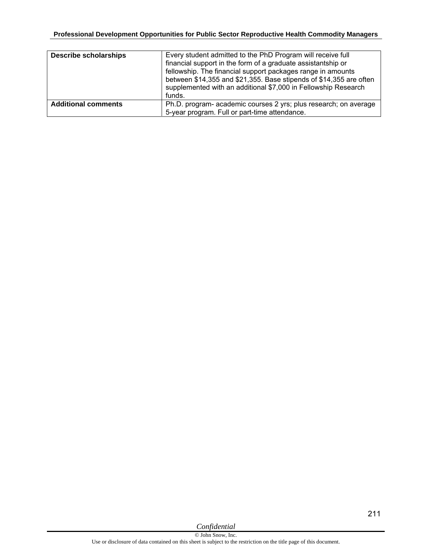| <b>Describe scholarships</b> | Every student admitted to the PhD Program will receive full<br>financial support in the form of a graduate assistantship or<br>fellowship. The financial support packages range in amounts<br>between \$14,355 and \$21,355. Base stipends of \$14,355 are often<br>supplemented with an additional \$7,000 in Fellowship Research<br>funds. |
|------------------------------|----------------------------------------------------------------------------------------------------------------------------------------------------------------------------------------------------------------------------------------------------------------------------------------------------------------------------------------------|
| <b>Additional comments</b>   | Ph.D. program- academic courses 2 yrs; plus research; on average<br>5-year program. Full or part-time attendance.                                                                                                                                                                                                                            |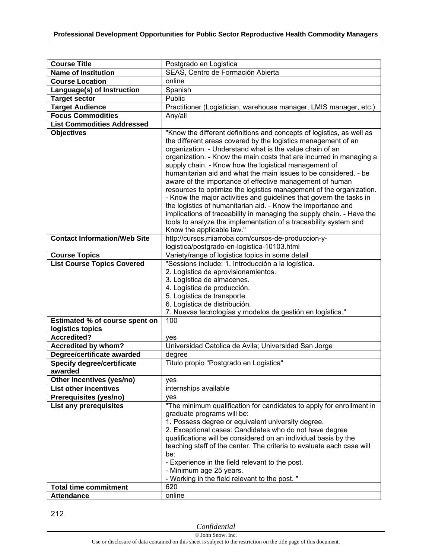| <b>Course Title</b>                                       | Postgrado en Logistica                                                                                                                                                                                                                                                                                                                                                                                                                                                                                                                                                                                                                                                                                                                                                                                                        |
|-----------------------------------------------------------|-------------------------------------------------------------------------------------------------------------------------------------------------------------------------------------------------------------------------------------------------------------------------------------------------------------------------------------------------------------------------------------------------------------------------------------------------------------------------------------------------------------------------------------------------------------------------------------------------------------------------------------------------------------------------------------------------------------------------------------------------------------------------------------------------------------------------------|
| <b>Name of Institution</b>                                | SEAS, Centro de Formación Abierta                                                                                                                                                                                                                                                                                                                                                                                                                                                                                                                                                                                                                                                                                                                                                                                             |
| <b>Course Location</b>                                    | online                                                                                                                                                                                                                                                                                                                                                                                                                                                                                                                                                                                                                                                                                                                                                                                                                        |
| Language(s) of Instruction                                | Spanish                                                                                                                                                                                                                                                                                                                                                                                                                                                                                                                                                                                                                                                                                                                                                                                                                       |
| <b>Target sector</b>                                      | Public                                                                                                                                                                                                                                                                                                                                                                                                                                                                                                                                                                                                                                                                                                                                                                                                                        |
| <b>Target Audience</b>                                    | Practitioner (Logistician, warehouse manager, LMIS manager, etc.)                                                                                                                                                                                                                                                                                                                                                                                                                                                                                                                                                                                                                                                                                                                                                             |
| <b>Focus Commodities</b>                                  | Any/all                                                                                                                                                                                                                                                                                                                                                                                                                                                                                                                                                                                                                                                                                                                                                                                                                       |
| <b>List Commodities Addressed</b>                         |                                                                                                                                                                                                                                                                                                                                                                                                                                                                                                                                                                                                                                                                                                                                                                                                                               |
| <b>Objectives</b>                                         | "Know the different definitions and concepts of logistics, as well as<br>the different areas covered by the logistics management of an<br>organization. - Understand what is the value chain of an<br>organization. - Know the main costs that are incurred in managing a<br>supply chain. - Know how the logistical management of<br>humanitarian aid and what the main issues to be considered. - be<br>aware of the importance of effective management of human<br>resources to optimize the logistics management of the organization.<br>- Know the major activities and guidelines that govern the tasks in<br>the logistics of humanitarian aid. - Know the importance and<br>implications of traceability in managing the supply chain. - Have the<br>tools to analyze the implementation of a traceability system and |
| <b>Contact Information/Web Site</b>                       | Know the applicable law."                                                                                                                                                                                                                                                                                                                                                                                                                                                                                                                                                                                                                                                                                                                                                                                                     |
|                                                           | http://cursos.miarroba.com/cursos-de-produccion-y-<br>logistica/postgrado-en-logistica-10103.html                                                                                                                                                                                                                                                                                                                                                                                                                                                                                                                                                                                                                                                                                                                             |
|                                                           | Variety/range of logistics topics in some detail                                                                                                                                                                                                                                                                                                                                                                                                                                                                                                                                                                                                                                                                                                                                                                              |
| <b>Course Topics</b><br><b>List Course Topics Covered</b> | "Sessions include: 1. Introducción a la logística.                                                                                                                                                                                                                                                                                                                                                                                                                                                                                                                                                                                                                                                                                                                                                                            |
|                                                           | 2. Logística de aprovisionamientos.                                                                                                                                                                                                                                                                                                                                                                                                                                                                                                                                                                                                                                                                                                                                                                                           |
|                                                           | 3. Logística de almacenes.                                                                                                                                                                                                                                                                                                                                                                                                                                                                                                                                                                                                                                                                                                                                                                                                    |
|                                                           | 4. Logística de producción.                                                                                                                                                                                                                                                                                                                                                                                                                                                                                                                                                                                                                                                                                                                                                                                                   |
|                                                           | 5. Logística de transporte.                                                                                                                                                                                                                                                                                                                                                                                                                                                                                                                                                                                                                                                                                                                                                                                                   |
|                                                           | 6. Logística de distribución.                                                                                                                                                                                                                                                                                                                                                                                                                                                                                                                                                                                                                                                                                                                                                                                                 |
|                                                           | 7. Nuevas tecnologías y modelos de gestión en logística."                                                                                                                                                                                                                                                                                                                                                                                                                                                                                                                                                                                                                                                                                                                                                                     |
| Estimated % of course spent on                            | 100                                                                                                                                                                                                                                                                                                                                                                                                                                                                                                                                                                                                                                                                                                                                                                                                                           |
| logistics topics                                          |                                                                                                                                                                                                                                                                                                                                                                                                                                                                                                                                                                                                                                                                                                                                                                                                                               |
| <b>Accredited?</b>                                        | yes                                                                                                                                                                                                                                                                                                                                                                                                                                                                                                                                                                                                                                                                                                                                                                                                                           |
| Accredited by whom?                                       | Universidad Catolica de Avila; Universidad San Jorge                                                                                                                                                                                                                                                                                                                                                                                                                                                                                                                                                                                                                                                                                                                                                                          |
| Degree/certificate awarded                                | degree                                                                                                                                                                                                                                                                                                                                                                                                                                                                                                                                                                                                                                                                                                                                                                                                                        |
| <b>Specify degree/certificate</b>                         | Titulo propio "Postgrado en Logistica"                                                                                                                                                                                                                                                                                                                                                                                                                                                                                                                                                                                                                                                                                                                                                                                        |
| awarded                                                   |                                                                                                                                                                                                                                                                                                                                                                                                                                                                                                                                                                                                                                                                                                                                                                                                                               |
| Other Incentives (yes/no)                                 | yes                                                                                                                                                                                                                                                                                                                                                                                                                                                                                                                                                                                                                                                                                                                                                                                                                           |
| <b>List other incentives</b>                              | internships available                                                                                                                                                                                                                                                                                                                                                                                                                                                                                                                                                                                                                                                                                                                                                                                                         |
| Prerequisites (yes/no)                                    | yes                                                                                                                                                                                                                                                                                                                                                                                                                                                                                                                                                                                                                                                                                                                                                                                                                           |
| List any prerequisites                                    | "The minimum qualification for candidates to apply for enrollment in                                                                                                                                                                                                                                                                                                                                                                                                                                                                                                                                                                                                                                                                                                                                                          |
|                                                           | graduate programs will be:                                                                                                                                                                                                                                                                                                                                                                                                                                                                                                                                                                                                                                                                                                                                                                                                    |
|                                                           | 1. Possess degree or equivalent university degree.                                                                                                                                                                                                                                                                                                                                                                                                                                                                                                                                                                                                                                                                                                                                                                            |
|                                                           | 2. Exceptional cases: Candidates who do not have degree                                                                                                                                                                                                                                                                                                                                                                                                                                                                                                                                                                                                                                                                                                                                                                       |
|                                                           | qualifications will be considered on an individual basis by the                                                                                                                                                                                                                                                                                                                                                                                                                                                                                                                                                                                                                                                                                                                                                               |
|                                                           | teaching staff of the center. The criteria to evaluate each case will                                                                                                                                                                                                                                                                                                                                                                                                                                                                                                                                                                                                                                                                                                                                                         |
|                                                           | be:                                                                                                                                                                                                                                                                                                                                                                                                                                                                                                                                                                                                                                                                                                                                                                                                                           |
|                                                           | - Experience in the field relevant to the post.                                                                                                                                                                                                                                                                                                                                                                                                                                                                                                                                                                                                                                                                                                                                                                               |
|                                                           | - Minimum age 25 years.<br>- Working in the field relevant to the post."                                                                                                                                                                                                                                                                                                                                                                                                                                                                                                                                                                                                                                                                                                                                                      |
| <b>Total time commitment</b>                              | 620                                                                                                                                                                                                                                                                                                                                                                                                                                                                                                                                                                                                                                                                                                                                                                                                                           |
| <b>Attendance</b>                                         | online                                                                                                                                                                                                                                                                                                                                                                                                                                                                                                                                                                                                                                                                                                                                                                                                                        |
|                                                           |                                                                                                                                                                                                                                                                                                                                                                                                                                                                                                                                                                                                                                                                                                                                                                                                                               |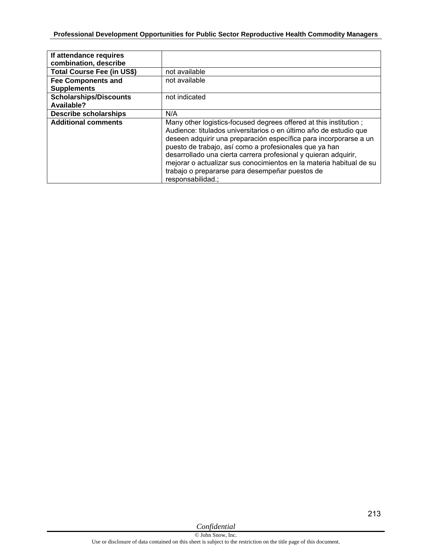| If attendance requires<br>combination, describe |                                                                                                                                                                                                                                                                                                                                                                                                                                                                                         |
|-------------------------------------------------|-----------------------------------------------------------------------------------------------------------------------------------------------------------------------------------------------------------------------------------------------------------------------------------------------------------------------------------------------------------------------------------------------------------------------------------------------------------------------------------------|
| <b>Total Course Fee (in US\$)</b>               | not available                                                                                                                                                                                                                                                                                                                                                                                                                                                                           |
| <b>Fee Components and</b>                       | not available                                                                                                                                                                                                                                                                                                                                                                                                                                                                           |
| <b>Supplements</b>                              |                                                                                                                                                                                                                                                                                                                                                                                                                                                                                         |
| <b>Scholarships/Discounts</b>                   | not indicated                                                                                                                                                                                                                                                                                                                                                                                                                                                                           |
| Available?                                      |                                                                                                                                                                                                                                                                                                                                                                                                                                                                                         |
| <b>Describe scholarships</b>                    | N/A                                                                                                                                                                                                                                                                                                                                                                                                                                                                                     |
| <b>Additional comments</b>                      | Many other logistics-focused degrees offered at this institution;<br>Audience: titulados universitarios o en último año de estudio que<br>deseen adquirir una preparación específica para incorporarse a un<br>puesto de trabajo, así como a profesionales que ya han<br>desarrollado una cierta carrera profesional y quieran adquirir,<br>mejorar o actualizar sus conocimientos en la materia habitual de su<br>trabajo o prepararse para desempeñar puestos de<br>responsabilidad.; |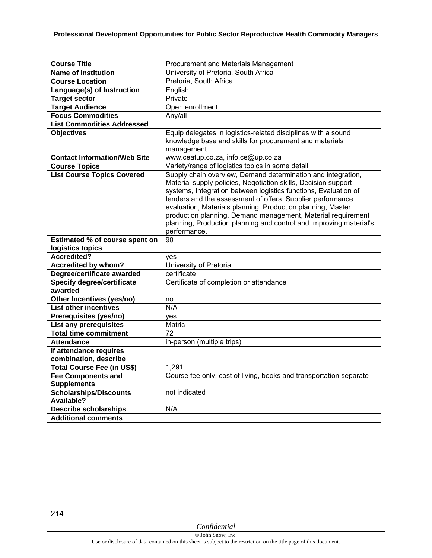| <b>Course Title</b>                                       | Procurement and Materials Management                               |
|-----------------------------------------------------------|--------------------------------------------------------------------|
| <b>Name of Institution</b>                                | University of Pretoria, South Africa                               |
| <b>Course Location</b>                                    | Pretoria, South Africa                                             |
| Language(s) of Instruction                                | English                                                            |
| <b>Target sector</b>                                      | Private                                                            |
| <b>Target Audience</b>                                    | Open enrollment                                                    |
| <b>Focus Commodities</b>                                  | Any/all                                                            |
| <b>List Commodities Addressed</b>                         |                                                                    |
| <b>Objectives</b>                                         | Equip delegates in logistics-related disciplines with a sound      |
|                                                           | knowledge base and skills for procurement and materials            |
|                                                           | management.                                                        |
| <b>Contact Information/Web Site</b>                       | www.ceatup.co.za, info.ce@up.co.za                                 |
| <b>Course Topics</b>                                      | Variety/range of logistics topics in some detail                   |
| <b>List Course Topics Covered</b>                         | Supply chain overview, Demand determination and integration,       |
|                                                           | Material supply policies, Negotiation skills, Decision support     |
|                                                           | systems, Integration between logistics functions, Evaluation of    |
|                                                           | tenders and the assessment of offers, Supplier performance         |
|                                                           | evaluation, Materials planning, Production planning, Master        |
|                                                           | production planning, Demand management, Material requirement       |
|                                                           | planning, Production planning and control and Improving material's |
|                                                           | performance.                                                       |
| Estimated % of course spent on                            | 90                                                                 |
| logistics topics<br>Accredited?                           |                                                                    |
|                                                           | yes                                                                |
| Accredited by whom?                                       | University of Pretoria                                             |
| Degree/certificate awarded                                | certificate                                                        |
| <b>Specify degree/certificate</b>                         | Certificate of completion or attendance                            |
| awarded                                                   |                                                                    |
| Other Incentives (yes/no)<br><b>List other incentives</b> | no<br>N/A                                                          |
|                                                           |                                                                    |
| Prerequisites (yes/no)                                    | yes                                                                |
| List any prerequisites<br><b>Total time commitment</b>    | Matric<br>$\overline{72}$                                          |
| <b>Attendance</b>                                         |                                                                    |
|                                                           | in-person (multiple trips)                                         |
| If attendance requires<br>combination, describe           |                                                                    |
|                                                           | 1,291                                                              |
| Total Course Fee (in US\$)                                |                                                                    |
| <b>Fee Components and</b><br><b>Supplements</b>           | Course fee only, cost of living, books and transportation separate |
| <b>Scholarships/Discounts</b>                             | not indicated                                                      |
| Available?                                                |                                                                    |
| <b>Describe scholarships</b>                              | N/A                                                                |
| <b>Additional comments</b>                                |                                                                    |
|                                                           |                                                                    |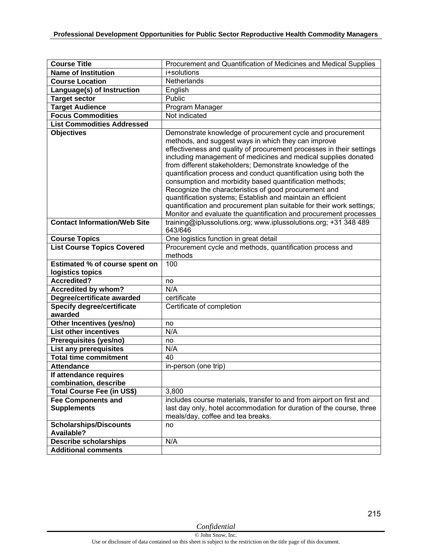| <b>Course Title</b>                                | Procurement and Quantification of Medicines and Medical Supplies                                                                                                                                                                                                                                                                                                                                                                                                                                                                                                                                                                                                                                                              |
|----------------------------------------------------|-------------------------------------------------------------------------------------------------------------------------------------------------------------------------------------------------------------------------------------------------------------------------------------------------------------------------------------------------------------------------------------------------------------------------------------------------------------------------------------------------------------------------------------------------------------------------------------------------------------------------------------------------------------------------------------------------------------------------------|
| <b>Name of Institution</b>                         | i+solutions                                                                                                                                                                                                                                                                                                                                                                                                                                                                                                                                                                                                                                                                                                                   |
| <b>Course Location</b>                             | Netherlands                                                                                                                                                                                                                                                                                                                                                                                                                                                                                                                                                                                                                                                                                                                   |
| Language(s) of Instruction                         | English                                                                                                                                                                                                                                                                                                                                                                                                                                                                                                                                                                                                                                                                                                                       |
| <b>Target sector</b>                               | Public                                                                                                                                                                                                                                                                                                                                                                                                                                                                                                                                                                                                                                                                                                                        |
| <b>Target Audience</b>                             | Program Manager                                                                                                                                                                                                                                                                                                                                                                                                                                                                                                                                                                                                                                                                                                               |
| <b>Focus Commodities</b>                           | Not indicated                                                                                                                                                                                                                                                                                                                                                                                                                                                                                                                                                                                                                                                                                                                 |
| <b>List Commodities Addressed</b>                  |                                                                                                                                                                                                                                                                                                                                                                                                                                                                                                                                                                                                                                                                                                                               |
| <b>Objectives</b>                                  | Demonstrate knowledge of procurement cycle and procurement<br>methods, and suggest ways in which they can improve<br>effectiveness and quality of procurement processes in their settings<br>including management of medicines and medical supplies donated<br>from different stakeholders; Demonstrate knowledge of the<br>quantification process and conduct quantification using both the<br>consumption and morbidity based quantification methods;<br>Recognize the characteristics of good procurement and<br>quantification systems; Establish and maintain an efficient<br>quantification and procurement plan suitable for their work settings;<br>Monitor and evaluate the quantification and procurement processes |
| <b>Contact Information/Web Site</b>                | training@iplussolutions.org; www.iplussolutions.org; +31 348 489<br>643/646                                                                                                                                                                                                                                                                                                                                                                                                                                                                                                                                                                                                                                                   |
| <b>Course Topics</b>                               | One logistics function in great detail                                                                                                                                                                                                                                                                                                                                                                                                                                                                                                                                                                                                                                                                                        |
| <b>List Course Topics Covered</b>                  | Procurement cycle and methods, quantification process and<br>methods                                                                                                                                                                                                                                                                                                                                                                                                                                                                                                                                                                                                                                                          |
| Estimated % of course spent on                     | 100                                                                                                                                                                                                                                                                                                                                                                                                                                                                                                                                                                                                                                                                                                                           |
| logistics topics                                   |                                                                                                                                                                                                                                                                                                                                                                                                                                                                                                                                                                                                                                                                                                                               |
| <b>Accredited?</b>                                 | no                                                                                                                                                                                                                                                                                                                                                                                                                                                                                                                                                                                                                                                                                                                            |
| <b>Accredited by whom?</b>                         | N/A                                                                                                                                                                                                                                                                                                                                                                                                                                                                                                                                                                                                                                                                                                                           |
| Degree/certificate awarded                         | certificate                                                                                                                                                                                                                                                                                                                                                                                                                                                                                                                                                                                                                                                                                                                   |
| <b>Specify degree/certificate</b><br>awarded       | Certificate of completion                                                                                                                                                                                                                                                                                                                                                                                                                                                                                                                                                                                                                                                                                                     |
| Other Incentives (yes/no)                          | no                                                                                                                                                                                                                                                                                                                                                                                                                                                                                                                                                                                                                                                                                                                            |
| <b>List other incentives</b>                       | N/A                                                                                                                                                                                                                                                                                                                                                                                                                                                                                                                                                                                                                                                                                                                           |
| Prerequisites (yes/no)                             | no                                                                                                                                                                                                                                                                                                                                                                                                                                                                                                                                                                                                                                                                                                                            |
| <b>List any prerequisites</b>                      | N/A                                                                                                                                                                                                                                                                                                                                                                                                                                                                                                                                                                                                                                                                                                                           |
| <b>Total time commitment</b>                       | 40                                                                                                                                                                                                                                                                                                                                                                                                                                                                                                                                                                                                                                                                                                                            |
| <b>Attendance</b>                                  | in-person (one trip)                                                                                                                                                                                                                                                                                                                                                                                                                                                                                                                                                                                                                                                                                                          |
| If attendance requires                             |                                                                                                                                                                                                                                                                                                                                                                                                                                                                                                                                                                                                                                                                                                                               |
| combination, describe                              |                                                                                                                                                                                                                                                                                                                                                                                                                                                                                                                                                                                                                                                                                                                               |
| Total Course Fee (in US\$)                         | 3,800                                                                                                                                                                                                                                                                                                                                                                                                                                                                                                                                                                                                                                                                                                                         |
| <b>Fee Components and</b><br><b>Supplements</b>    | includes course materials, transfer to and from airport on first and<br>last day only, hotel accommodation for duration of the course, three<br>meals/day, coffee and tea breaks.                                                                                                                                                                                                                                                                                                                                                                                                                                                                                                                                             |
| <b>Scholarships/Discounts</b><br><b>Available?</b> | no                                                                                                                                                                                                                                                                                                                                                                                                                                                                                                                                                                                                                                                                                                                            |
| <b>Describe scholarships</b>                       | N/A                                                                                                                                                                                                                                                                                                                                                                                                                                                                                                                                                                                                                                                                                                                           |
| <b>Additional comments</b>                         |                                                                                                                                                                                                                                                                                                                                                                                                                                                                                                                                                                                                                                                                                                                               |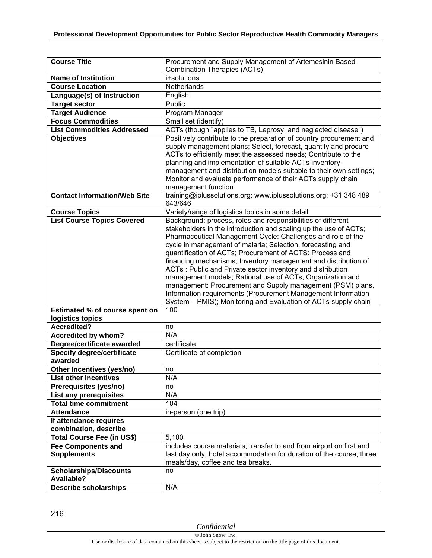| <b>Course Title</b>                                | Procurement and Supply Management of Artemesinin Based                                                                  |
|----------------------------------------------------|-------------------------------------------------------------------------------------------------------------------------|
|                                                    | <b>Combination Therapies (ACTs)</b>                                                                                     |
| <b>Name of Institution</b>                         | i+solutions                                                                                                             |
| <b>Course Location</b>                             | Netherlands                                                                                                             |
| Language(s) of Instruction                         | English                                                                                                                 |
| <b>Target sector</b>                               | Public                                                                                                                  |
| <b>Target Audience</b>                             | Program Manager                                                                                                         |
| <b>Focus Commodities</b>                           | Small set (identify)                                                                                                    |
| <b>List Commodities Addressed</b>                  | ACTs (though "applies to TB, Leprosy, and neglected disease")                                                           |
| <b>Objectives</b>                                  | Positively contribute to the preparation of country procurement and                                                     |
|                                                    | supply management plans; Select, forecast, quantify and procure                                                         |
|                                                    | ACTs to efficiently meet the assessed needs; Contribute to the                                                          |
|                                                    | planning and implementation of suitable ACTs inventory                                                                  |
|                                                    | management and distribution models suitable to their own settings;                                                      |
|                                                    | Monitor and evaluate performance of their ACTs supply chain                                                             |
| <b>Contact Information/Web Site</b>                | management function.                                                                                                    |
|                                                    | training@iplussolutions.org; www.iplussolutions.org; +31 348 489<br>643/646                                             |
| <b>Course Topics</b>                               | Variety/range of logistics topics in some detail                                                                        |
| <b>List Course Topics Covered</b>                  | Background: process, roles and responsibilities of different                                                            |
|                                                    | stakeholders in the introduction and scaling up the use of ACTs;                                                        |
|                                                    | Pharmaceutical Management Cycle: Challenges and role of the                                                             |
|                                                    | cycle in management of malaria; Selection, forecasting and                                                              |
|                                                    | quantification of ACTs; Procurement of ACTS: Process and                                                                |
|                                                    | financing mechanisms; Inventory management and distribution of                                                          |
|                                                    | ACTs: Public and Private sector inventory and distribution<br>management models; Rational use of ACTs; Organization and |
|                                                    | management: Procurement and Supply management (PSM) plans,                                                              |
|                                                    | Information requirements (Procurement Management Information                                                            |
|                                                    | System - PMIS); Monitoring and Evaluation of ACTs supply chain                                                          |
| Estimated % of course spent on                     | 100                                                                                                                     |
| logistics topics                                   |                                                                                                                         |
| <b>Accredited?</b>                                 | no                                                                                                                      |
| <b>Accredited by whom?</b>                         | N/A                                                                                                                     |
| Degree/certificate awarded                         | certificate                                                                                                             |
| Specify degree/certificate                         | Certificate of completion                                                                                               |
| awarded                                            |                                                                                                                         |
| Other Incentives (yes/no)                          | no                                                                                                                      |
| <b>List other incentives</b>                       | N/A                                                                                                                     |
| Prerequisites (yes/no)                             | no                                                                                                                      |
| List any prerequisites                             | N/A                                                                                                                     |
| <b>Total time commitment</b>                       | 104                                                                                                                     |
| <b>Attendance</b>                                  | in-person (one trip)                                                                                                    |
| If attendance requires                             |                                                                                                                         |
| combination, describe                              |                                                                                                                         |
| Total Course Fee (in US\$)                         | 5,100                                                                                                                   |
| <b>Fee Components and</b>                          | includes course materials, transfer to and from airport on first and                                                    |
| <b>Supplements</b>                                 | last day only, hotel accommodation for duration of the course, three                                                    |
|                                                    | meals/day, coffee and tea breaks.                                                                                       |
| <b>Scholarships/Discounts</b><br><b>Available?</b> | no                                                                                                                      |
| <b>Describe scholarships</b>                       | N/A                                                                                                                     |
|                                                    |                                                                                                                         |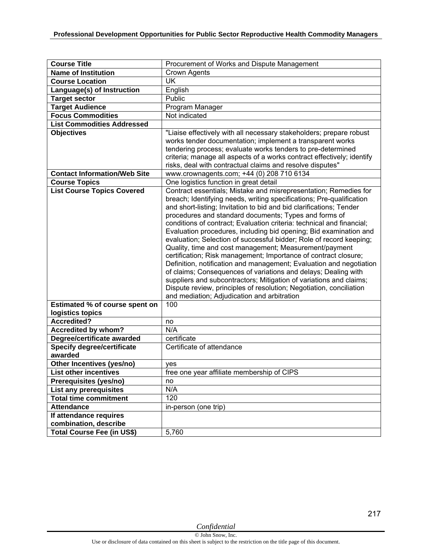| <b>Course Title</b>                               | Procurement of Works and Dispute Management                                                                                                                                                                                                                                                                                                                                                                                                                                                                                                                                                                                                                                                                                                                                                                                                                                                                                                                     |
|---------------------------------------------------|-----------------------------------------------------------------------------------------------------------------------------------------------------------------------------------------------------------------------------------------------------------------------------------------------------------------------------------------------------------------------------------------------------------------------------------------------------------------------------------------------------------------------------------------------------------------------------------------------------------------------------------------------------------------------------------------------------------------------------------------------------------------------------------------------------------------------------------------------------------------------------------------------------------------------------------------------------------------|
| <b>Name of Institution</b>                        | <b>Crown Agents</b>                                                                                                                                                                                                                                                                                                                                                                                                                                                                                                                                                                                                                                                                                                                                                                                                                                                                                                                                             |
| <b>Course Location</b>                            | UK                                                                                                                                                                                                                                                                                                                                                                                                                                                                                                                                                                                                                                                                                                                                                                                                                                                                                                                                                              |
| Language(s) of Instruction                        | English                                                                                                                                                                                                                                                                                                                                                                                                                                                                                                                                                                                                                                                                                                                                                                                                                                                                                                                                                         |
| <b>Target sector</b>                              | Public                                                                                                                                                                                                                                                                                                                                                                                                                                                                                                                                                                                                                                                                                                                                                                                                                                                                                                                                                          |
| <b>Target Audience</b>                            | Program Manager                                                                                                                                                                                                                                                                                                                                                                                                                                                                                                                                                                                                                                                                                                                                                                                                                                                                                                                                                 |
| <b>Focus Commodities</b>                          | Not indicated                                                                                                                                                                                                                                                                                                                                                                                                                                                                                                                                                                                                                                                                                                                                                                                                                                                                                                                                                   |
| <b>List Commodities Addressed</b>                 |                                                                                                                                                                                                                                                                                                                                                                                                                                                                                                                                                                                                                                                                                                                                                                                                                                                                                                                                                                 |
| <b>Objectives</b>                                 | "Liaise effectively with all necessary stakeholders; prepare robust<br>works tender documentation; implement a transparent works<br>tendering process; evaluate works tenders to pre-determined<br>criteria; manage all aspects of a works contract effectively; identify<br>risks, deal with contractual claims and resolve disputes"                                                                                                                                                                                                                                                                                                                                                                                                                                                                                                                                                                                                                          |
| <b>Contact Information/Web Site</b>               | www.crownagents.com; +44 (0) 208 710 6134                                                                                                                                                                                                                                                                                                                                                                                                                                                                                                                                                                                                                                                                                                                                                                                                                                                                                                                       |
| <b>Course Topics</b>                              | One logistics function in great detail                                                                                                                                                                                                                                                                                                                                                                                                                                                                                                                                                                                                                                                                                                                                                                                                                                                                                                                          |
| <b>List Course Topics Covered</b>                 | Contract essentials; Mistake and misrepresentation; Remedies for<br>breach; Identifying needs, writing specifications; Pre-qualification<br>and short-listing; Invitation to bid and bid clarifications; Tender<br>procedures and standard documents; Types and forms of<br>conditions of contract; Evaluation criteria: technical and financial;<br>Evaluation procedures, including bid opening; Bid examination and<br>evaluation; Selection of successful bidder; Role of record keeping;<br>Quality, time and cost management; Measurement/payment<br>certification; Risk management; Importance of contract closure;<br>Definition, notification and management; Evaluation and negotiation<br>of claims; Consequences of variations and delays; Dealing with<br>suppliers and subcontractors; Mitigation of variations and claims;<br>Dispute review, principles of resolution; Negotiation, conciliation<br>and mediation; Adjudication and arbitration |
| Estimated % of course spent on                    | 100                                                                                                                                                                                                                                                                                                                                                                                                                                                                                                                                                                                                                                                                                                                                                                                                                                                                                                                                                             |
| logistics topics                                  |                                                                                                                                                                                                                                                                                                                                                                                                                                                                                                                                                                                                                                                                                                                                                                                                                                                                                                                                                                 |
| <b>Accredited?</b>                                | no<br>N/A                                                                                                                                                                                                                                                                                                                                                                                                                                                                                                                                                                                                                                                                                                                                                                                                                                                                                                                                                       |
| Accredited by whom?<br>Degree/certificate awarded | certificate                                                                                                                                                                                                                                                                                                                                                                                                                                                                                                                                                                                                                                                                                                                                                                                                                                                                                                                                                     |
| <b>Specify degree/certificate</b>                 | Certificate of attendance                                                                                                                                                                                                                                                                                                                                                                                                                                                                                                                                                                                                                                                                                                                                                                                                                                                                                                                                       |
| awarded                                           |                                                                                                                                                                                                                                                                                                                                                                                                                                                                                                                                                                                                                                                                                                                                                                                                                                                                                                                                                                 |
| Other Incentives (yes/no)                         | yes                                                                                                                                                                                                                                                                                                                                                                                                                                                                                                                                                                                                                                                                                                                                                                                                                                                                                                                                                             |
| <b>List other incentives</b>                      | free one year affiliate membership of CIPS                                                                                                                                                                                                                                                                                                                                                                                                                                                                                                                                                                                                                                                                                                                                                                                                                                                                                                                      |
| Prerequisites (yes/no)                            | no                                                                                                                                                                                                                                                                                                                                                                                                                                                                                                                                                                                                                                                                                                                                                                                                                                                                                                                                                              |
| List any prerequisites                            | N/A                                                                                                                                                                                                                                                                                                                                                                                                                                                                                                                                                                                                                                                                                                                                                                                                                                                                                                                                                             |
| <b>Total time commitment</b>                      | 120                                                                                                                                                                                                                                                                                                                                                                                                                                                                                                                                                                                                                                                                                                                                                                                                                                                                                                                                                             |
| <b>Attendance</b>                                 | in-person (one trip)                                                                                                                                                                                                                                                                                                                                                                                                                                                                                                                                                                                                                                                                                                                                                                                                                                                                                                                                            |
| If attendance requires                            |                                                                                                                                                                                                                                                                                                                                                                                                                                                                                                                                                                                                                                                                                                                                                                                                                                                                                                                                                                 |
| combination, describe                             |                                                                                                                                                                                                                                                                                                                                                                                                                                                                                                                                                                                                                                                                                                                                                                                                                                                                                                                                                                 |
| <b>Total Course Fee (in US\$)</b>                 | 5,760                                                                                                                                                                                                                                                                                                                                                                                                                                                                                                                                                                                                                                                                                                                                                                                                                                                                                                                                                           |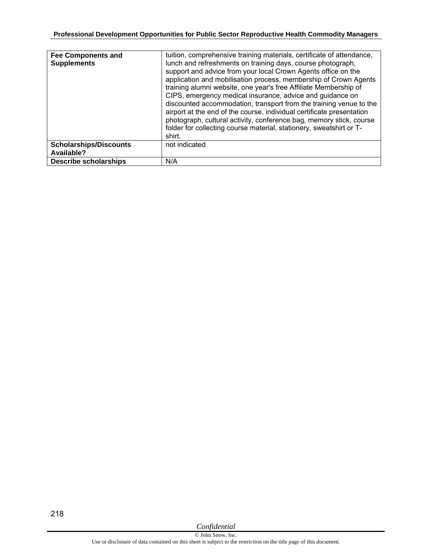| <b>Fee Components and</b><br><b>Supplements</b> | tuition, comprehensive training materials, certificate of attendance,<br>lunch and refreshments on training days, course photograph,<br>support and advice from your local Crown Agents office on the<br>application and mobilisation process, membership of Crown Agents<br>training alumni website, one year's free Affiliate Membership of<br>CIPS, emergency medical insurance, advice and guidance on<br>discounted accommodation, transport from the training venue to the<br>airport at the end of the course, individual certificate presentation<br>photograph, cultural activity, conference bag, memory stick, course<br>folder for collecting course material, stationery, sweatshirt or T-<br>shirt. |
|-------------------------------------------------|-------------------------------------------------------------------------------------------------------------------------------------------------------------------------------------------------------------------------------------------------------------------------------------------------------------------------------------------------------------------------------------------------------------------------------------------------------------------------------------------------------------------------------------------------------------------------------------------------------------------------------------------------------------------------------------------------------------------|
| <b>Scholarships/Discounts</b><br>Available?     | not indicated                                                                                                                                                                                                                                                                                                                                                                                                                                                                                                                                                                                                                                                                                                     |
| <b>Describe scholarships</b>                    | N/A                                                                                                                                                                                                                                                                                                                                                                                                                                                                                                                                                                                                                                                                                                               |

218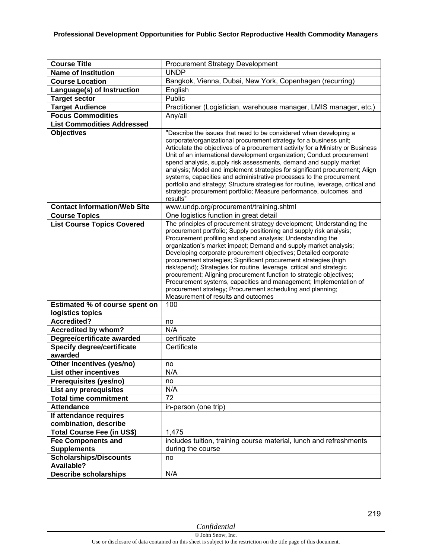| <b>Course Title</b>                          | Procurement Strategy Development                                                                                                                                                                                                                                                                                                                                                                                                                                                                                                                                                                                                                                                                                                                 |
|----------------------------------------------|--------------------------------------------------------------------------------------------------------------------------------------------------------------------------------------------------------------------------------------------------------------------------------------------------------------------------------------------------------------------------------------------------------------------------------------------------------------------------------------------------------------------------------------------------------------------------------------------------------------------------------------------------------------------------------------------------------------------------------------------------|
| <b>Name of Institution</b>                   | <b>UNDP</b>                                                                                                                                                                                                                                                                                                                                                                                                                                                                                                                                                                                                                                                                                                                                      |
| <b>Course Location</b>                       | Bangkok, Vienna, Dubai, New York, Copenhagen (recurring)                                                                                                                                                                                                                                                                                                                                                                                                                                                                                                                                                                                                                                                                                         |
| Language(s) of Instruction                   | English                                                                                                                                                                                                                                                                                                                                                                                                                                                                                                                                                                                                                                                                                                                                          |
| <b>Target sector</b>                         | Public                                                                                                                                                                                                                                                                                                                                                                                                                                                                                                                                                                                                                                                                                                                                           |
| <b>Target Audience</b>                       | Practitioner (Logistician, warehouse manager, LMIS manager, etc.)                                                                                                                                                                                                                                                                                                                                                                                                                                                                                                                                                                                                                                                                                |
| <b>Focus Commodities</b>                     | Any/all                                                                                                                                                                                                                                                                                                                                                                                                                                                                                                                                                                                                                                                                                                                                          |
| <b>List Commodities Addressed</b>            |                                                                                                                                                                                                                                                                                                                                                                                                                                                                                                                                                                                                                                                                                                                                                  |
| <b>Objectives</b>                            | "Describe the issues that need to be considered when developing a<br>corporate/organizational procurement strategy for a business unit;<br>Articulate the objectives of a procurement activity for a Ministry or Business<br>Unit of an international development organization; Conduct procurement<br>spend analysis, supply risk assessments, demand and supply market<br>analysis; Model and implement strategies for significant procurement; Align<br>systems, capacities and administrative processes to the procurement<br>portfolio and strategy; Structure strategies for routine, leverage, critical and<br>strategic procurement portfolio; Measure performance, outcomes and<br>results"                                             |
| <b>Contact Information/Web Site</b>          | www.undp.org/procurement/training.shtml                                                                                                                                                                                                                                                                                                                                                                                                                                                                                                                                                                                                                                                                                                          |
| <b>Course Topics</b>                         | One logistics function in great detail                                                                                                                                                                                                                                                                                                                                                                                                                                                                                                                                                                                                                                                                                                           |
| <b>List Course Topics Covered</b>            | The principles of procurement strategy development; Understanding the<br>procurement portfolio; Supply positioning and supply risk analysis;<br>Procurement profiling and spend analysis; Understanding the<br>organization's market impact; Demand and supply market analysis;<br>Developing corporate procurement objectives; Detailed corporate<br>procurement strategies; Significant procurement strategies (high<br>risk/spend); Strategies for routine, leverage, critical and strategic<br>procurement; Aligning procurement function to strategic objectives;<br>Procurement systems, capacities and management; Implementation of<br>procurement strategy; Procurement scheduling and planning;<br>Measurement of results and outcomes |
| Estimated % of course spent on               | 100                                                                                                                                                                                                                                                                                                                                                                                                                                                                                                                                                                                                                                                                                                                                              |
| logistics topics                             |                                                                                                                                                                                                                                                                                                                                                                                                                                                                                                                                                                                                                                                                                                                                                  |
| <b>Accredited?</b>                           | no                                                                                                                                                                                                                                                                                                                                                                                                                                                                                                                                                                                                                                                                                                                                               |
| Accredited by whom?                          | N/A                                                                                                                                                                                                                                                                                                                                                                                                                                                                                                                                                                                                                                                                                                                                              |
| Degree/certificate awarded                   | certificate                                                                                                                                                                                                                                                                                                                                                                                                                                                                                                                                                                                                                                                                                                                                      |
| <b>Specify degree/certificate</b><br>awarded | Certificate                                                                                                                                                                                                                                                                                                                                                                                                                                                                                                                                                                                                                                                                                                                                      |
| Other Incentives (yes/no)                    | no                                                                                                                                                                                                                                                                                                                                                                                                                                                                                                                                                                                                                                                                                                                                               |
| <b>List other incentives</b>                 | N/A                                                                                                                                                                                                                                                                                                                                                                                                                                                                                                                                                                                                                                                                                                                                              |
| Prerequisites (yes/no)                       | no                                                                                                                                                                                                                                                                                                                                                                                                                                                                                                                                                                                                                                                                                                                                               |
| List any prerequisites                       | N/A                                                                                                                                                                                                                                                                                                                                                                                                                                                                                                                                                                                                                                                                                                                                              |
| <b>Total time commitment</b>                 | 72                                                                                                                                                                                                                                                                                                                                                                                                                                                                                                                                                                                                                                                                                                                                               |
| <b>Attendance</b>                            | in-person (one trip)                                                                                                                                                                                                                                                                                                                                                                                                                                                                                                                                                                                                                                                                                                                             |
| If attendance requires                       |                                                                                                                                                                                                                                                                                                                                                                                                                                                                                                                                                                                                                                                                                                                                                  |
| combination, describe                        |                                                                                                                                                                                                                                                                                                                                                                                                                                                                                                                                                                                                                                                                                                                                                  |
| <b>Total Course Fee (in US\$)</b>            | 1,475                                                                                                                                                                                                                                                                                                                                                                                                                                                                                                                                                                                                                                                                                                                                            |
| <b>Fee Components and</b>                    | includes tuition, training course material, lunch and refreshments                                                                                                                                                                                                                                                                                                                                                                                                                                                                                                                                                                                                                                                                               |
| <b>Supplements</b>                           | during the course                                                                                                                                                                                                                                                                                                                                                                                                                                                                                                                                                                                                                                                                                                                                |
| <b>Scholarships/Discounts</b>                | no                                                                                                                                                                                                                                                                                                                                                                                                                                                                                                                                                                                                                                                                                                                                               |
| <b>Available?</b>                            |                                                                                                                                                                                                                                                                                                                                                                                                                                                                                                                                                                                                                                                                                                                                                  |
| <b>Describe scholarships</b>                 | N/A                                                                                                                                                                                                                                                                                                                                                                                                                                                                                                                                                                                                                                                                                                                                              |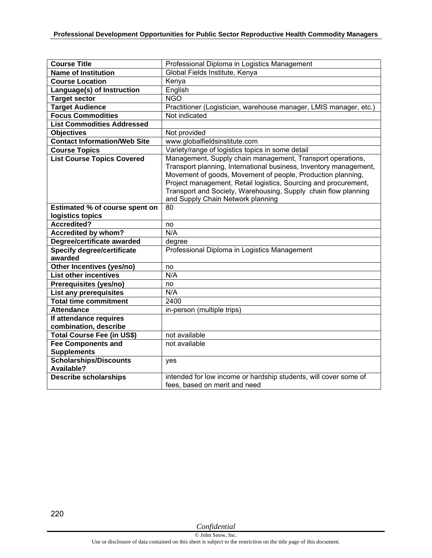| <b>Course Title</b>                          | Professional Diploma in Logistics Management                                                                                                                                                                                                                                                                                                                             |
|----------------------------------------------|--------------------------------------------------------------------------------------------------------------------------------------------------------------------------------------------------------------------------------------------------------------------------------------------------------------------------------------------------------------------------|
| <b>Name of Institution</b>                   | Global Fields Institute, Kenya                                                                                                                                                                                                                                                                                                                                           |
| <b>Course Location</b>                       | Kenya                                                                                                                                                                                                                                                                                                                                                                    |
| Language(s) of Instruction                   | English                                                                                                                                                                                                                                                                                                                                                                  |
| <b>Target sector</b>                         | <b>NGO</b>                                                                                                                                                                                                                                                                                                                                                               |
| <b>Target Audience</b>                       | Practitioner (Logistician, warehouse manager, LMIS manager, etc.)                                                                                                                                                                                                                                                                                                        |
| <b>Focus Commodities</b>                     | Not indicated                                                                                                                                                                                                                                                                                                                                                            |
| <b>List Commodities Addressed</b>            |                                                                                                                                                                                                                                                                                                                                                                          |
| <b>Objectives</b>                            | Not provided                                                                                                                                                                                                                                                                                                                                                             |
| <b>Contact Information/Web Site</b>          | www.globalfieldsinstitute.com                                                                                                                                                                                                                                                                                                                                            |
| <b>Course Topics</b>                         | Variety/range of logistics topics in some detail                                                                                                                                                                                                                                                                                                                         |
| <b>List Course Topics Covered</b>            | Management, Supply chain management, Transport operations,<br>Transport planning, International business, Inventory management,<br>Movement of goods, Movement of people, Production planning,<br>Project management, Retail logistics, Sourcing and procurement,<br>Transport and Society, Warehousing, Supply chain flow planning<br>and Supply Chain Network planning |
| Estimated % of course spent on               | 80                                                                                                                                                                                                                                                                                                                                                                       |
| logistics topics                             |                                                                                                                                                                                                                                                                                                                                                                          |
| Accredited?                                  | no                                                                                                                                                                                                                                                                                                                                                                       |
| <b>Accredited by whom?</b>                   | N/A                                                                                                                                                                                                                                                                                                                                                                      |
| Degree/certificate awarded                   | degree                                                                                                                                                                                                                                                                                                                                                                   |
| <b>Specify degree/certificate</b><br>awarded | Professional Diploma in Logistics Management                                                                                                                                                                                                                                                                                                                             |
| Other Incentives (yes/no)                    | no                                                                                                                                                                                                                                                                                                                                                                       |
| <b>List other incentives</b>                 | N/A                                                                                                                                                                                                                                                                                                                                                                      |
| Prerequisites (yes/no)                       | no                                                                                                                                                                                                                                                                                                                                                                       |
| List any prerequisites                       | N/A                                                                                                                                                                                                                                                                                                                                                                      |
| <b>Total time commitment</b>                 | 2400                                                                                                                                                                                                                                                                                                                                                                     |
| <b>Attendance</b>                            | in-person (multiple trips)                                                                                                                                                                                                                                                                                                                                               |
| If attendance requires                       |                                                                                                                                                                                                                                                                                                                                                                          |
| combination, describe                        |                                                                                                                                                                                                                                                                                                                                                                          |
| Total Course Fee (in US\$)                   | not available                                                                                                                                                                                                                                                                                                                                                            |
| <b>Fee Components and</b>                    | not available                                                                                                                                                                                                                                                                                                                                                            |
| <b>Supplements</b>                           |                                                                                                                                                                                                                                                                                                                                                                          |
| <b>Scholarships/Discounts</b><br>Available?  | yes                                                                                                                                                                                                                                                                                                                                                                      |
| <b>Describe scholarships</b>                 | intended for low income or hardship students, will cover some of<br>fees, based on merit and need                                                                                                                                                                                                                                                                        |

220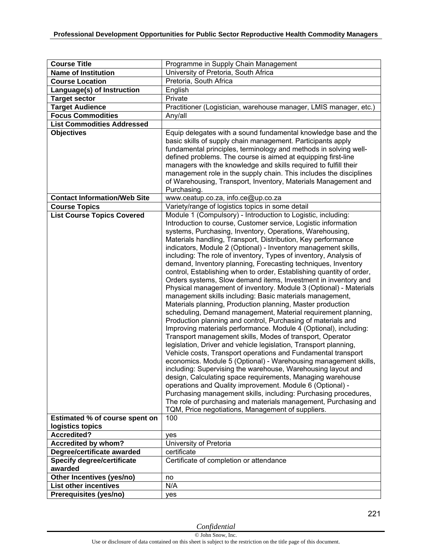| <b>Course Title</b>                                                 | Programme in Supply Chain Management                                                                                                                                                                                                                                                                                                                                                                                                                                                                                                                                                                                                                                                                                                                                                                                                                                                                                                                                                                                                                                                                                                                                                                                                                                                                                                                                                                                                                                                                                                                                                                                                                                               |
|---------------------------------------------------------------------|------------------------------------------------------------------------------------------------------------------------------------------------------------------------------------------------------------------------------------------------------------------------------------------------------------------------------------------------------------------------------------------------------------------------------------------------------------------------------------------------------------------------------------------------------------------------------------------------------------------------------------------------------------------------------------------------------------------------------------------------------------------------------------------------------------------------------------------------------------------------------------------------------------------------------------------------------------------------------------------------------------------------------------------------------------------------------------------------------------------------------------------------------------------------------------------------------------------------------------------------------------------------------------------------------------------------------------------------------------------------------------------------------------------------------------------------------------------------------------------------------------------------------------------------------------------------------------------------------------------------------------------------------------------------------------|
| <b>Name of Institution</b>                                          | University of Pretoria, South Africa                                                                                                                                                                                                                                                                                                                                                                                                                                                                                                                                                                                                                                                                                                                                                                                                                                                                                                                                                                                                                                                                                                                                                                                                                                                                                                                                                                                                                                                                                                                                                                                                                                               |
| <b>Course Location</b>                                              | Pretoria, South Africa                                                                                                                                                                                                                                                                                                                                                                                                                                                                                                                                                                                                                                                                                                                                                                                                                                                                                                                                                                                                                                                                                                                                                                                                                                                                                                                                                                                                                                                                                                                                                                                                                                                             |
| Language(s) of Instruction                                          | English                                                                                                                                                                                                                                                                                                                                                                                                                                                                                                                                                                                                                                                                                                                                                                                                                                                                                                                                                                                                                                                                                                                                                                                                                                                                                                                                                                                                                                                                                                                                                                                                                                                                            |
| <b>Target sector</b>                                                | Private                                                                                                                                                                                                                                                                                                                                                                                                                                                                                                                                                                                                                                                                                                                                                                                                                                                                                                                                                                                                                                                                                                                                                                                                                                                                                                                                                                                                                                                                                                                                                                                                                                                                            |
| <b>Target Audience</b>                                              | Practitioner (Logistician, warehouse manager, LMIS manager, etc.)                                                                                                                                                                                                                                                                                                                                                                                                                                                                                                                                                                                                                                                                                                                                                                                                                                                                                                                                                                                                                                                                                                                                                                                                                                                                                                                                                                                                                                                                                                                                                                                                                  |
| <b>Focus Commodities</b>                                            | Any/all                                                                                                                                                                                                                                                                                                                                                                                                                                                                                                                                                                                                                                                                                                                                                                                                                                                                                                                                                                                                                                                                                                                                                                                                                                                                                                                                                                                                                                                                                                                                                                                                                                                                            |
| <b>List Commodities Addressed</b>                                   |                                                                                                                                                                                                                                                                                                                                                                                                                                                                                                                                                                                                                                                                                                                                                                                                                                                                                                                                                                                                                                                                                                                                                                                                                                                                                                                                                                                                                                                                                                                                                                                                                                                                                    |
| <b>Objectives</b>                                                   | Equip delegates with a sound fundamental knowledge base and the<br>basic skills of supply chain management. Participants apply<br>fundamental principles, terminology and methods in solving well-<br>defined problems. The course is aimed at equipping first-line<br>managers with the knowledge and skills required to fulfill their<br>management role in the supply chain. This includes the disciplines<br>of Warehousing, Transport, Inventory, Materials Management and<br>Purchasing.                                                                                                                                                                                                                                                                                                                                                                                                                                                                                                                                                                                                                                                                                                                                                                                                                                                                                                                                                                                                                                                                                                                                                                                     |
| <b>Contact Information/Web Site</b>                                 | www.ceatup.co.za, info.ce@up.co.za                                                                                                                                                                                                                                                                                                                                                                                                                                                                                                                                                                                                                                                                                                                                                                                                                                                                                                                                                                                                                                                                                                                                                                                                                                                                                                                                                                                                                                                                                                                                                                                                                                                 |
| <b>Course Topics</b>                                                | Variety/range of logistics topics in some detail                                                                                                                                                                                                                                                                                                                                                                                                                                                                                                                                                                                                                                                                                                                                                                                                                                                                                                                                                                                                                                                                                                                                                                                                                                                                                                                                                                                                                                                                                                                                                                                                                                   |
| <b>List Course Topics Covered</b><br>Estimated % of course spent on | Module 1 (Compulsory) - Introduction to Logistic, including:<br>Introduction to course, Customer service, Logistic information<br>systems, Purchasing, Inventory, Operations, Warehousing,<br>Materials handling, Transport, Distribution, Key performance<br>indicators, Module 2 (Optional) - Inventory management skills,<br>including: The role of inventory, Types of inventory, Analysis of<br>demand, Inventory planning, Forecasting techniques, Inventory<br>control, Establishing when to order, Establishing quantity of order,<br>Orders systems, Slow demand items, Investment in inventory and<br>Physical management of inventory. Module 3 (Optional) - Materials<br>management skills including: Basic materials management,<br>Materials planning, Production planning, Master production<br>scheduling, Demand management, Material requirement planning,<br>Production planning and control, Purchasing of materials and<br>Improving materials performance. Module 4 (Optional), including:<br>Transport management skills, Modes of transport, Operator<br>legislation, Driver and vehicle legislation, Transport planning,<br>Vehicle costs, Transport operations and Fundamental transport<br>economics. Module 5 (Optional) - Warehousing management skills,<br>including: Supervising the warehouse, Warehousing layout and<br>design, Calculating space requirements, Managing warehouse<br>operations and Quality improvement. Module 6 (Optional) -<br>Purchasing management skills, including: Purchasing procedures,<br>The role of purchasing and materials management, Purchasing and<br>TQM, Price negotiations, Management of suppliers.<br>100 |
| logistics topics                                                    |                                                                                                                                                                                                                                                                                                                                                                                                                                                                                                                                                                                                                                                                                                                                                                                                                                                                                                                                                                                                                                                                                                                                                                                                                                                                                                                                                                                                                                                                                                                                                                                                                                                                                    |
| <b>Accredited?</b>                                                  | yes                                                                                                                                                                                                                                                                                                                                                                                                                                                                                                                                                                                                                                                                                                                                                                                                                                                                                                                                                                                                                                                                                                                                                                                                                                                                                                                                                                                                                                                                                                                                                                                                                                                                                |
| Accredited by whom?                                                 | University of Pretoria                                                                                                                                                                                                                                                                                                                                                                                                                                                                                                                                                                                                                                                                                                                                                                                                                                                                                                                                                                                                                                                                                                                                                                                                                                                                                                                                                                                                                                                                                                                                                                                                                                                             |
| Degree/certificate awarded                                          | certificate                                                                                                                                                                                                                                                                                                                                                                                                                                                                                                                                                                                                                                                                                                                                                                                                                                                                                                                                                                                                                                                                                                                                                                                                                                                                                                                                                                                                                                                                                                                                                                                                                                                                        |
| <b>Specify degree/certificate</b><br>awarded                        | Certificate of completion or attendance                                                                                                                                                                                                                                                                                                                                                                                                                                                                                                                                                                                                                                                                                                                                                                                                                                                                                                                                                                                                                                                                                                                                                                                                                                                                                                                                                                                                                                                                                                                                                                                                                                            |
| Other Incentives (yes/no)                                           | no                                                                                                                                                                                                                                                                                                                                                                                                                                                                                                                                                                                                                                                                                                                                                                                                                                                                                                                                                                                                                                                                                                                                                                                                                                                                                                                                                                                                                                                                                                                                                                                                                                                                                 |
| <b>List other incentives</b>                                        | N/A                                                                                                                                                                                                                                                                                                                                                                                                                                                                                                                                                                                                                                                                                                                                                                                                                                                                                                                                                                                                                                                                                                                                                                                                                                                                                                                                                                                                                                                                                                                                                                                                                                                                                |
| Prerequisites (yes/no)                                              | yes                                                                                                                                                                                                                                                                                                                                                                                                                                                                                                                                                                                                                                                                                                                                                                                                                                                                                                                                                                                                                                                                                                                                                                                                                                                                                                                                                                                                                                                                                                                                                                                                                                                                                |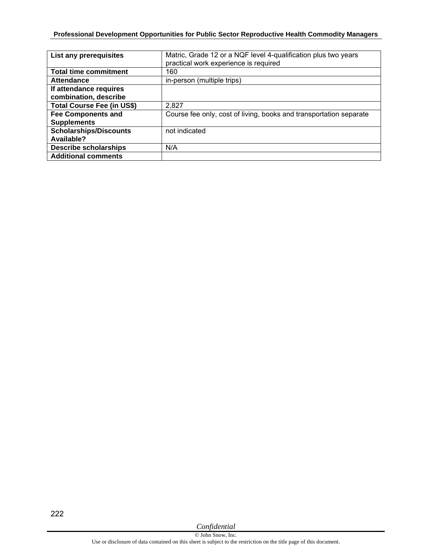| List any prerequisites                          | Matric, Grade 12 or a NQF level 4-qualification plus two years<br>practical work experience is required |
|-------------------------------------------------|---------------------------------------------------------------------------------------------------------|
| <b>Total time commitment</b>                    | 160                                                                                                     |
| <b>Attendance</b>                               | in-person (multiple trips)                                                                              |
| If attendance requires<br>combination, describe |                                                                                                         |
| <b>Total Course Fee (in US\$)</b>               | 2,827                                                                                                   |
| <b>Fee Components and</b><br><b>Supplements</b> | Course fee only, cost of living, books and transportation separate                                      |
| <b>Scholarships/Discounts</b><br>Available?     | not indicated                                                                                           |
| <b>Describe scholarships</b>                    | N/A                                                                                                     |
| <b>Additional comments</b>                      |                                                                                                         |

222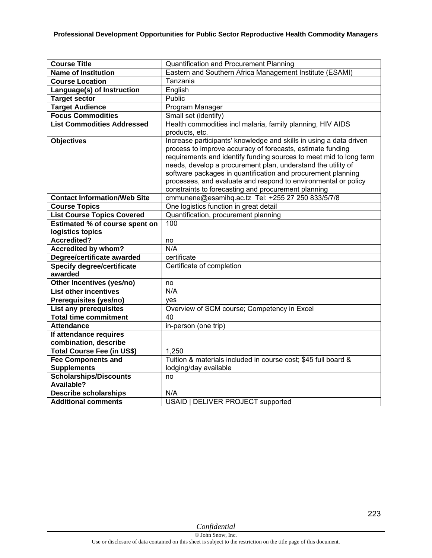| <b>Course Title</b>                 | <b>Quantification and Procurement Planning</b>                     |
|-------------------------------------|--------------------------------------------------------------------|
| <b>Name of Institution</b>          | Eastern and Southern Africa Management Institute (ESAMI)           |
| <b>Course Location</b>              | Tanzania                                                           |
| Language(s) of Instruction          | English                                                            |
| <b>Target sector</b>                | Public                                                             |
| <b>Target Audience</b>              | Program Manager                                                    |
| <b>Focus Commodities</b>            | Small set (identify)                                               |
| <b>List Commodities Addressed</b>   | Health commodities incl malaria, family planning, HIV AIDS         |
|                                     | products, etc.                                                     |
| <b>Objectives</b>                   | Increase participants' knowledge and skills in using a data driven |
|                                     | process to improve accuracy of forecasts, estimate funding         |
|                                     | requirements and identify funding sources to meet mid to long term |
|                                     | needs, develop a procurement plan, understand the utility of       |
|                                     | software packages in quantification and procurement planning       |
|                                     | processes, and evaluate and respond to environmental or policy     |
|                                     | constraints to forecasting and procurement planning                |
| <b>Contact Information/Web Site</b> | cmmunene@esamihq.ac.tz Tel: +255 27 250 833/5/7/8                  |
| <b>Course Topics</b>                | One logistics function in great detail                             |
| <b>List Course Topics Covered</b>   | Quantification, procurement planning                               |
| Estimated % of course spent on      | 100                                                                |
| logistics topics                    |                                                                    |
| <b>Accredited?</b>                  | no                                                                 |
| <b>Accredited by whom?</b>          | N/A                                                                |
| Degree/certificate awarded          | certificate                                                        |
| <b>Specify degree/certificate</b>   | Certificate of completion                                          |
| awarded                             |                                                                    |
| Other Incentives (yes/no)           | no                                                                 |
| <b>List other incentives</b>        | N/A                                                                |
| Prerequisites (yes/no)              | yes                                                                |
| <b>List any prerequisites</b>       | Overview of SCM course; Competency in Excel                        |
| <b>Total time commitment</b>        | 40                                                                 |
| <b>Attendance</b>                   | in-person (one trip)                                               |
| If attendance requires              |                                                                    |
| combination, describe               |                                                                    |
| <b>Total Course Fee (in US\$)</b>   | 1,250                                                              |
| <b>Fee Components and</b>           | Tuition & materials included in course cost; \$45 full board &     |
| <b>Supplements</b>                  | lodging/day available                                              |
| <b>Scholarships/Discounts</b>       | no                                                                 |
| Available?                          |                                                                    |
| <b>Describe scholarships</b>        | N/A                                                                |
| <b>Additional comments</b>          | USAID   DELIVER PROJECT supported                                  |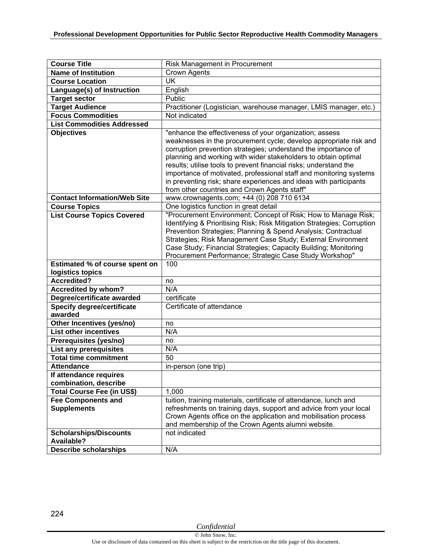| <b>Course Title</b>                          | Risk Management in Procurement                                                                                                                                                                                                                                                                                                                                                                                                                                                                                                   |
|----------------------------------------------|----------------------------------------------------------------------------------------------------------------------------------------------------------------------------------------------------------------------------------------------------------------------------------------------------------------------------------------------------------------------------------------------------------------------------------------------------------------------------------------------------------------------------------|
| <b>Name of Institution</b>                   | <b>Crown Agents</b>                                                                                                                                                                                                                                                                                                                                                                                                                                                                                                              |
| <b>Course Location</b>                       | <b>UK</b>                                                                                                                                                                                                                                                                                                                                                                                                                                                                                                                        |
| Language(s) of Instruction                   | English                                                                                                                                                                                                                                                                                                                                                                                                                                                                                                                          |
| <b>Target sector</b>                         | Public                                                                                                                                                                                                                                                                                                                                                                                                                                                                                                                           |
| <b>Target Audience</b>                       | Practitioner (Logistician, warehouse manager, LMIS manager, etc.)                                                                                                                                                                                                                                                                                                                                                                                                                                                                |
| <b>Focus Commodities</b>                     | Not indicated                                                                                                                                                                                                                                                                                                                                                                                                                                                                                                                    |
| <b>List Commodities Addressed</b>            |                                                                                                                                                                                                                                                                                                                                                                                                                                                                                                                                  |
| <b>Objectives</b>                            | "enhance the effectiveness of your organization; assess<br>weaknesses in the procurement cycle; develop appropriate risk and<br>corruption prevention strategies; understand the importance of<br>planning and working with wider stakeholders to obtain optimal<br>results; utilise tools to prevent financial risks; understand the<br>importance of motivated, professional staff and monitoring systems<br>in preventing risk; share experiences and ideas with participants<br>from other countries and Crown Agents staff" |
| <b>Contact Information/Web Site</b>          | www.crownagents.com; +44 (0) 208 710 6134                                                                                                                                                                                                                                                                                                                                                                                                                                                                                        |
| <b>Course Topics</b>                         | One logistics function in great detail                                                                                                                                                                                                                                                                                                                                                                                                                                                                                           |
| <b>List Course Topics Covered</b>            | "Procurement Environment; Concept of Risk; How to Manage Risk;<br>Identifying & Prioritising Risk; Risk Mitigation Strategies; Corruption<br>Prevention Strategies; Planning & Spend Analysis; Contractual<br>Strategies; Risk Management Case Study; External Environment<br>Case Study; Financial Strategies; Capacity Building; Monitoring<br>Procurement Performance; Strategic Case Study Workshop"                                                                                                                         |
| Estimated % of course spent on               | 100                                                                                                                                                                                                                                                                                                                                                                                                                                                                                                                              |
| logistics topics                             |                                                                                                                                                                                                                                                                                                                                                                                                                                                                                                                                  |
| <b>Accredited?</b>                           | no                                                                                                                                                                                                                                                                                                                                                                                                                                                                                                                               |
| Accredited by whom?                          | N/A                                                                                                                                                                                                                                                                                                                                                                                                                                                                                                                              |
| Degree/certificate awarded                   | certificate                                                                                                                                                                                                                                                                                                                                                                                                                                                                                                                      |
| <b>Specify degree/certificate</b><br>awarded | Certificate of attendance                                                                                                                                                                                                                                                                                                                                                                                                                                                                                                        |
| Other Incentives (yes/no)                    | no                                                                                                                                                                                                                                                                                                                                                                                                                                                                                                                               |
| <b>List other incentives</b>                 | N/A                                                                                                                                                                                                                                                                                                                                                                                                                                                                                                                              |
| Prerequisites (yes/no)                       | no                                                                                                                                                                                                                                                                                                                                                                                                                                                                                                                               |
| <b>List any prerequisites</b>                | N/A                                                                                                                                                                                                                                                                                                                                                                                                                                                                                                                              |
| <b>Total time commitment</b>                 | 50                                                                                                                                                                                                                                                                                                                                                                                                                                                                                                                               |
| <b>Attendance</b>                            | in-person (one trip)                                                                                                                                                                                                                                                                                                                                                                                                                                                                                                             |
| If attendance requires                       |                                                                                                                                                                                                                                                                                                                                                                                                                                                                                                                                  |
| combination, describe                        |                                                                                                                                                                                                                                                                                                                                                                                                                                                                                                                                  |
| <b>Total Course Fee (in US\$)</b>            | 1,000                                                                                                                                                                                                                                                                                                                                                                                                                                                                                                                            |
| <b>Fee Components and</b>                    | tuition, training materials, certificate of attendance, lunch and                                                                                                                                                                                                                                                                                                                                                                                                                                                                |
| <b>Supplements</b>                           | refreshments on training days, support and advice from your local<br>Crown Agents office on the application and mobilisation process<br>and membership of the Crown Agents alumni website.                                                                                                                                                                                                                                                                                                                                       |
| <b>Scholarships/Discounts</b>                | not indicated                                                                                                                                                                                                                                                                                                                                                                                                                                                                                                                    |
| <b>Available?</b>                            |                                                                                                                                                                                                                                                                                                                                                                                                                                                                                                                                  |
| <b>Describe scholarships</b>                 | N/A                                                                                                                                                                                                                                                                                                                                                                                                                                                                                                                              |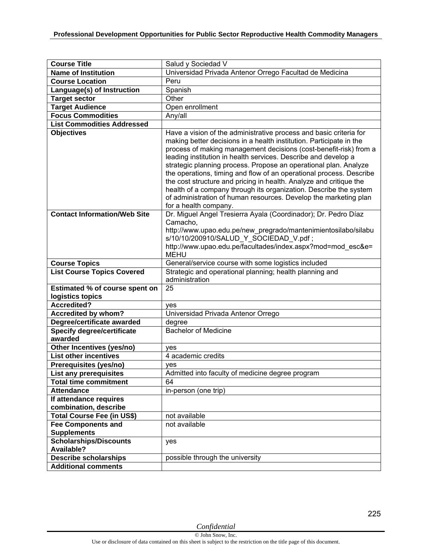| <b>Course Title</b>                 | Salud y Sociedad V                                                                                                                                                                                                                                                                                                                                                                                                                                                                                                                                                                                                                                                  |
|-------------------------------------|---------------------------------------------------------------------------------------------------------------------------------------------------------------------------------------------------------------------------------------------------------------------------------------------------------------------------------------------------------------------------------------------------------------------------------------------------------------------------------------------------------------------------------------------------------------------------------------------------------------------------------------------------------------------|
| <b>Name of Institution</b>          | Universidad Privada Antenor Orrego Facultad de Medicina                                                                                                                                                                                                                                                                                                                                                                                                                                                                                                                                                                                                             |
| <b>Course Location</b>              | Peru                                                                                                                                                                                                                                                                                                                                                                                                                                                                                                                                                                                                                                                                |
| Language(s) of Instruction          | Spanish                                                                                                                                                                                                                                                                                                                                                                                                                                                                                                                                                                                                                                                             |
| <b>Target sector</b>                | Other                                                                                                                                                                                                                                                                                                                                                                                                                                                                                                                                                                                                                                                               |
| <b>Target Audience</b>              | Open enrollment                                                                                                                                                                                                                                                                                                                                                                                                                                                                                                                                                                                                                                                     |
| <b>Focus Commodities</b>            | Any/all                                                                                                                                                                                                                                                                                                                                                                                                                                                                                                                                                                                                                                                             |
| <b>List Commodities Addressed</b>   |                                                                                                                                                                                                                                                                                                                                                                                                                                                                                                                                                                                                                                                                     |
| <b>Objectives</b>                   | Have a vision of the administrative process and basic criteria for<br>making better decisions in a health institution. Participate in the<br>process of making management decisions (cost-benefit-risk) from a<br>leading institution in health services. Describe and develop a<br>strategic planning process. Propose an operational plan. Analyze<br>the operations, timing and flow of an operational process. Describe<br>the cost structure and pricing in health. Analyze and critique the<br>health of a company through its organization. Describe the system<br>of administration of human resources. Develop the marketing plan<br>for a health company. |
| <b>Contact Information/Web Site</b> | Dr. Miguel Angel Tresierra Ayala (Coordinador); Dr. Pedro Díaz<br>Camacho,<br>http://www.upao.edu.pe/new_pregrado/mantenimientosilabo/silabu<br>s/10/10/200910/SALUD Y SOCIEDAD V.pdf;<br>http://www.upao.edu.pe/facultades/index.aspx?mod=mod esc&e=<br><b>MEHU</b>                                                                                                                                                                                                                                                                                                                                                                                                |
| <b>Course Topics</b>                | General/service course with some logistics included                                                                                                                                                                                                                                                                                                                                                                                                                                                                                                                                                                                                                 |
| <b>List Course Topics Covered</b>   | Strategic and operational planning; health planning and<br>administration                                                                                                                                                                                                                                                                                                                                                                                                                                                                                                                                                                                           |
| Estimated % of course spent on      | 25                                                                                                                                                                                                                                                                                                                                                                                                                                                                                                                                                                                                                                                                  |
| logistics topics                    |                                                                                                                                                                                                                                                                                                                                                                                                                                                                                                                                                                                                                                                                     |
| <b>Accredited?</b>                  | ves                                                                                                                                                                                                                                                                                                                                                                                                                                                                                                                                                                                                                                                                 |
| <b>Accredited by whom?</b>          | Universidad Privada Antenor Orrego                                                                                                                                                                                                                                                                                                                                                                                                                                                                                                                                                                                                                                  |
| Degree/certificate awarded          | degree                                                                                                                                                                                                                                                                                                                                                                                                                                                                                                                                                                                                                                                              |
| <b>Specify degree/certificate</b>   | <b>Bachelor of Medicine</b>                                                                                                                                                                                                                                                                                                                                                                                                                                                                                                                                                                                                                                         |
| awarded                             |                                                                                                                                                                                                                                                                                                                                                                                                                                                                                                                                                                                                                                                                     |
| Other Incentives (yes/no)           | ves                                                                                                                                                                                                                                                                                                                                                                                                                                                                                                                                                                                                                                                                 |
| <b>List other incentives</b>        | 4 academic credits                                                                                                                                                                                                                                                                                                                                                                                                                                                                                                                                                                                                                                                  |
| Prerequisites (yes/no)              | yes                                                                                                                                                                                                                                                                                                                                                                                                                                                                                                                                                                                                                                                                 |
| List any prerequisites              | Admitted into faculty of medicine degree program                                                                                                                                                                                                                                                                                                                                                                                                                                                                                                                                                                                                                    |
| <b>Total time commitment</b>        | 64                                                                                                                                                                                                                                                                                                                                                                                                                                                                                                                                                                                                                                                                  |
| <b>Attendance</b>                   | in-person (one trip)                                                                                                                                                                                                                                                                                                                                                                                                                                                                                                                                                                                                                                                |
| If attendance requires              |                                                                                                                                                                                                                                                                                                                                                                                                                                                                                                                                                                                                                                                                     |
| combination, describe               |                                                                                                                                                                                                                                                                                                                                                                                                                                                                                                                                                                                                                                                                     |
| Total Course Fee (in US\$)          | not available                                                                                                                                                                                                                                                                                                                                                                                                                                                                                                                                                                                                                                                       |
| <b>Fee Components and</b>           | not available                                                                                                                                                                                                                                                                                                                                                                                                                                                                                                                                                                                                                                                       |
| <b>Supplements</b>                  |                                                                                                                                                                                                                                                                                                                                                                                                                                                                                                                                                                                                                                                                     |
| Scholarships/Discounts              | yes                                                                                                                                                                                                                                                                                                                                                                                                                                                                                                                                                                                                                                                                 |
| <b>Available?</b>                   |                                                                                                                                                                                                                                                                                                                                                                                                                                                                                                                                                                                                                                                                     |
| <b>Describe scholarships</b>        | possible through the university                                                                                                                                                                                                                                                                                                                                                                                                                                                                                                                                                                                                                                     |
| <b>Additional comments</b>          |                                                                                                                                                                                                                                                                                                                                                                                                                                                                                                                                                                                                                                                                     |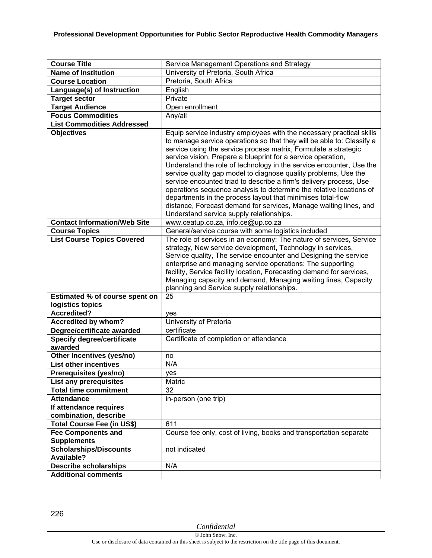| <b>Course Title</b>                                       | Service Management Operations and Strategy                                                                                                                                                                                                                                                                                                                                                                                                                                                                                                                                                                                                                                                                                                              |
|-----------------------------------------------------------|---------------------------------------------------------------------------------------------------------------------------------------------------------------------------------------------------------------------------------------------------------------------------------------------------------------------------------------------------------------------------------------------------------------------------------------------------------------------------------------------------------------------------------------------------------------------------------------------------------------------------------------------------------------------------------------------------------------------------------------------------------|
| <b>Name of Institution</b>                                | University of Pretoria, South Africa                                                                                                                                                                                                                                                                                                                                                                                                                                                                                                                                                                                                                                                                                                                    |
| <b>Course Location</b>                                    | Pretoria, South Africa                                                                                                                                                                                                                                                                                                                                                                                                                                                                                                                                                                                                                                                                                                                                  |
| Language(s) of Instruction                                | English                                                                                                                                                                                                                                                                                                                                                                                                                                                                                                                                                                                                                                                                                                                                                 |
| <b>Target sector</b>                                      | Private                                                                                                                                                                                                                                                                                                                                                                                                                                                                                                                                                                                                                                                                                                                                                 |
| <b>Target Audience</b>                                    | Open enrollment                                                                                                                                                                                                                                                                                                                                                                                                                                                                                                                                                                                                                                                                                                                                         |
| <b>Focus Commodities</b>                                  | Any/all                                                                                                                                                                                                                                                                                                                                                                                                                                                                                                                                                                                                                                                                                                                                                 |
| <b>List Commodities Addressed</b>                         |                                                                                                                                                                                                                                                                                                                                                                                                                                                                                                                                                                                                                                                                                                                                                         |
| <b>Objectives</b>                                         | Equip service industry employees with the necessary practical skills<br>to manage service operations so that they will be able to: Classify a<br>service using the service process matrix, Formulate a strategic<br>service vision, Prepare a blueprint for a service operation,<br>Understand the role of technology in the service encounter, Use the<br>service quality gap model to diagnose quality problems, Use the<br>service encounted triad to describe a firm's delivery process, Use<br>operations sequence analysis to determine the relative locations of<br>departments in the process layout that minimises total-flow<br>distance, Forecast demand for services, Manage waiting lines, and<br>Understand service supply relationships. |
| <b>Contact Information/Web Site</b>                       | www.ceatup.co.za, info.ce@up.co.za                                                                                                                                                                                                                                                                                                                                                                                                                                                                                                                                                                                                                                                                                                                      |
| <b>Course Topics</b>                                      | General/service course with some logistics included                                                                                                                                                                                                                                                                                                                                                                                                                                                                                                                                                                                                                                                                                                     |
| <b>List Course Topics Covered</b>                         | The role of services in an economy: The nature of services, Service<br>strategy, New service development, Technology in services,<br>Service quality, The service encounter and Designing the service<br>enterprise and managing service operations: The supporting<br>facility, Service facility location, Forecasting demand for services,<br>Managing capacity and demand, Managing waiting lines, Capacity<br>planning and Service supply relationships.                                                                                                                                                                                                                                                                                            |
| <b>Estimated % of course spent on</b><br>logistics topics | 25                                                                                                                                                                                                                                                                                                                                                                                                                                                                                                                                                                                                                                                                                                                                                      |
| <b>Accredited?</b>                                        | yes                                                                                                                                                                                                                                                                                                                                                                                                                                                                                                                                                                                                                                                                                                                                                     |
| Accredited by whom?                                       | University of Pretoria                                                                                                                                                                                                                                                                                                                                                                                                                                                                                                                                                                                                                                                                                                                                  |
| Degree/certificate awarded                                | certificate                                                                                                                                                                                                                                                                                                                                                                                                                                                                                                                                                                                                                                                                                                                                             |
| Specify degree/certificate<br>awarded                     | Certificate of completion or attendance                                                                                                                                                                                                                                                                                                                                                                                                                                                                                                                                                                                                                                                                                                                 |
| Other Incentives (yes/no)                                 | no                                                                                                                                                                                                                                                                                                                                                                                                                                                                                                                                                                                                                                                                                                                                                      |
| <b>List other incentives</b>                              | N/A                                                                                                                                                                                                                                                                                                                                                                                                                                                                                                                                                                                                                                                                                                                                                     |
| Prerequisites (yes/no)                                    | ves                                                                                                                                                                                                                                                                                                                                                                                                                                                                                                                                                                                                                                                                                                                                                     |
| List any prerequisites                                    | Matric                                                                                                                                                                                                                                                                                                                                                                                                                                                                                                                                                                                                                                                                                                                                                  |
| <b>Total time commitment</b>                              | 32                                                                                                                                                                                                                                                                                                                                                                                                                                                                                                                                                                                                                                                                                                                                                      |
| <b>Attendance</b>                                         | in-person (one trip)                                                                                                                                                                                                                                                                                                                                                                                                                                                                                                                                                                                                                                                                                                                                    |
| If attendance requires                                    |                                                                                                                                                                                                                                                                                                                                                                                                                                                                                                                                                                                                                                                                                                                                                         |
| combination, describe                                     |                                                                                                                                                                                                                                                                                                                                                                                                                                                                                                                                                                                                                                                                                                                                                         |
| Total Course Fee (in US\$)                                | 611                                                                                                                                                                                                                                                                                                                                                                                                                                                                                                                                                                                                                                                                                                                                                     |
| <b>Fee Components and</b>                                 | Course fee only, cost of living, books and transportation separate                                                                                                                                                                                                                                                                                                                                                                                                                                                                                                                                                                                                                                                                                      |
| <b>Supplements</b>                                        |                                                                                                                                                                                                                                                                                                                                                                                                                                                                                                                                                                                                                                                                                                                                                         |
| <b>Scholarships/Discounts</b><br><b>Available?</b>        | not indicated                                                                                                                                                                                                                                                                                                                                                                                                                                                                                                                                                                                                                                                                                                                                           |
| <b>Describe scholarships</b>                              | N/A                                                                                                                                                                                                                                                                                                                                                                                                                                                                                                                                                                                                                                                                                                                                                     |
| <b>Additional comments</b>                                |                                                                                                                                                                                                                                                                                                                                                                                                                                                                                                                                                                                                                                                                                                                                                         |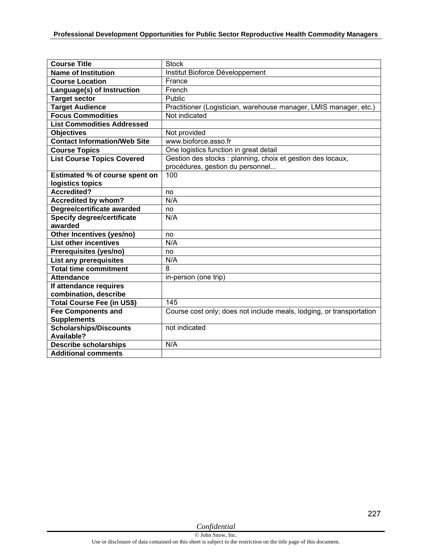| <b>Course Title</b>                 | <b>Stock</b>                                                         |
|-------------------------------------|----------------------------------------------------------------------|
| <b>Name of Institution</b>          | Institut Bioforce Développement                                      |
| <b>Course Location</b>              | France                                                               |
| Language(s) of Instruction          | French                                                               |
| <b>Target sector</b>                | Public                                                               |
| <b>Target Audience</b>              | Practitioner (Logistician, warehouse manager, LMIS manager, etc.)    |
| <b>Focus Commodities</b>            | Not indicated                                                        |
| <b>List Commodities Addressed</b>   |                                                                      |
| <b>Objectives</b>                   | Not provided                                                         |
| <b>Contact Information/Web Site</b> | www.bioforce.asso.fr                                                 |
| <b>Course Topics</b>                | One logistics function in great detail                               |
| <b>List Course Topics Covered</b>   | Gestion des stocks : planning, choix et gestion des locaux,          |
|                                     | procédures, gestion du personnel                                     |
| Estimated % of course spent on      | 100                                                                  |
| logistics topics                    |                                                                      |
| <b>Accredited?</b>                  | no                                                                   |
| <b>Accredited by whom?</b>          | N/A                                                                  |
| Degree/certificate awarded          | no                                                                   |
| <b>Specify degree/certificate</b>   | N/A                                                                  |
| awarded                             |                                                                      |
| Other Incentives (yes/no)           | no                                                                   |
| <b>List other incentives</b>        | N/A                                                                  |
| Prerequisites (yes/no)              | no                                                                   |
| <b>List any prerequisites</b>       | N/A                                                                  |
| <b>Total time commitment</b>        | 8                                                                    |
| <b>Attendance</b>                   | in-person (one trip)                                                 |
| If attendance requires              |                                                                      |
| combination, describe               |                                                                      |
| Total Course Fee (in US\$)          | 145                                                                  |
| <b>Fee Components and</b>           | Course cost only; does not include meals, lodging, or transportation |
| <b>Supplements</b>                  |                                                                      |
| Scholarships/Discounts              | not indicated                                                        |
| Available?                          |                                                                      |
| <b>Describe scholarships</b>        | N/A                                                                  |
| <b>Additional comments</b>          |                                                                      |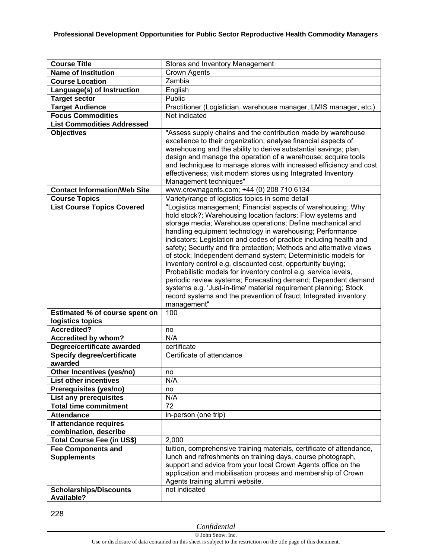| <b>Course Title</b>                             |                                                                                                                                                                                                                                                                                                                                                                                                                                                                                                                                                                                                                                                                                                                                                                                                                                |
|-------------------------------------------------|--------------------------------------------------------------------------------------------------------------------------------------------------------------------------------------------------------------------------------------------------------------------------------------------------------------------------------------------------------------------------------------------------------------------------------------------------------------------------------------------------------------------------------------------------------------------------------------------------------------------------------------------------------------------------------------------------------------------------------------------------------------------------------------------------------------------------------|
| <b>Name of Institution</b>                      | Stores and Inventory Management<br><b>Crown Agents</b>                                                                                                                                                                                                                                                                                                                                                                                                                                                                                                                                                                                                                                                                                                                                                                         |
| <b>Course Location</b>                          | Zambia                                                                                                                                                                                                                                                                                                                                                                                                                                                                                                                                                                                                                                                                                                                                                                                                                         |
|                                                 |                                                                                                                                                                                                                                                                                                                                                                                                                                                                                                                                                                                                                                                                                                                                                                                                                                |
| Language(s) of Instruction                      | English                                                                                                                                                                                                                                                                                                                                                                                                                                                                                                                                                                                                                                                                                                                                                                                                                        |
| <b>Target sector</b>                            | Public                                                                                                                                                                                                                                                                                                                                                                                                                                                                                                                                                                                                                                                                                                                                                                                                                         |
| <b>Target Audience</b>                          | Practitioner (Logistician, warehouse manager, LMIS manager, etc.)                                                                                                                                                                                                                                                                                                                                                                                                                                                                                                                                                                                                                                                                                                                                                              |
| <b>Focus Commodities</b>                        | Not indicated                                                                                                                                                                                                                                                                                                                                                                                                                                                                                                                                                                                                                                                                                                                                                                                                                  |
| <b>List Commodities Addressed</b>               |                                                                                                                                                                                                                                                                                                                                                                                                                                                                                                                                                                                                                                                                                                                                                                                                                                |
| <b>Objectives</b>                               | "Assess supply chains and the contribution made by warehouse<br>excellence to their organization; analyse financial aspects of<br>warehousing and the ability to derive substantial savings; plan,<br>design and manage the operation of a warehouse; acquire tools<br>and techniques to manage stores with increased efficiency and cost<br>effectiveness; visit modern stores using Integrated Inventory<br>Management techniques"                                                                                                                                                                                                                                                                                                                                                                                           |
| <b>Contact Information/Web Site</b>             | www.crownagents.com; +44 (0) 208 710 6134                                                                                                                                                                                                                                                                                                                                                                                                                                                                                                                                                                                                                                                                                                                                                                                      |
| <b>Course Topics</b>                            | Variety/range of logistics topics in some detail                                                                                                                                                                                                                                                                                                                                                                                                                                                                                                                                                                                                                                                                                                                                                                               |
| <b>List Course Topics Covered</b>               | "Logistics management; Financial aspects of warehousing; Why<br>hold stock?; Warehousing location factors; Flow systems and<br>storage media; Warehouse operations; Define mechanical and<br>handling equipment technology in warehousing; Performance<br>indicators; Legislation and codes of practice including health and<br>safety; Security and fire protection; Methods and alternative views<br>of stock; Independent demand system; Deterministic models for<br>inventory control e.g. discounted cost, opportunity buying;<br>Probabilistic models for inventory control e.g. service levels,<br>periodic review systems; Forecasting demand; Dependent demand<br>systems e.g. 'Just-in-time' material requirement planning; Stock<br>record systems and the prevention of fraud; Integrated inventory<br>management" |
| Estimated % of course spent on                  | 100                                                                                                                                                                                                                                                                                                                                                                                                                                                                                                                                                                                                                                                                                                                                                                                                                            |
| logistics topics                                |                                                                                                                                                                                                                                                                                                                                                                                                                                                                                                                                                                                                                                                                                                                                                                                                                                |
| Accredited?                                     | no                                                                                                                                                                                                                                                                                                                                                                                                                                                                                                                                                                                                                                                                                                                                                                                                                             |
| <b>Accredited by whom?</b>                      | N/A                                                                                                                                                                                                                                                                                                                                                                                                                                                                                                                                                                                                                                                                                                                                                                                                                            |
| Degree/certificate awarded                      | certificate                                                                                                                                                                                                                                                                                                                                                                                                                                                                                                                                                                                                                                                                                                                                                                                                                    |
| <b>Specify degree/certificate</b><br>awarded    | Certificate of attendance                                                                                                                                                                                                                                                                                                                                                                                                                                                                                                                                                                                                                                                                                                                                                                                                      |
| Other Incentives (yes/no)                       | no                                                                                                                                                                                                                                                                                                                                                                                                                                                                                                                                                                                                                                                                                                                                                                                                                             |
| <b>List other incentives</b>                    | N/A                                                                                                                                                                                                                                                                                                                                                                                                                                                                                                                                                                                                                                                                                                                                                                                                                            |
| Prerequisites (yes/no)                          | no                                                                                                                                                                                                                                                                                                                                                                                                                                                                                                                                                                                                                                                                                                                                                                                                                             |
| List any prerequisites                          | N/A                                                                                                                                                                                                                                                                                                                                                                                                                                                                                                                                                                                                                                                                                                                                                                                                                            |
| <b>Total time commitment</b>                    | 72                                                                                                                                                                                                                                                                                                                                                                                                                                                                                                                                                                                                                                                                                                                                                                                                                             |
| <b>Attendance</b>                               | in-person (one trip)                                                                                                                                                                                                                                                                                                                                                                                                                                                                                                                                                                                                                                                                                                                                                                                                           |
| If attendance requires                          |                                                                                                                                                                                                                                                                                                                                                                                                                                                                                                                                                                                                                                                                                                                                                                                                                                |
| combination, describe                           |                                                                                                                                                                                                                                                                                                                                                                                                                                                                                                                                                                                                                                                                                                                                                                                                                                |
| Total Course Fee (in US\$)                      | 2,000                                                                                                                                                                                                                                                                                                                                                                                                                                                                                                                                                                                                                                                                                                                                                                                                                          |
| <b>Fee Components and</b><br><b>Supplements</b> | tuition, comprehensive training materials, certificate of attendance,<br>lunch and refreshments on training days, course photograph,<br>support and advice from your local Crown Agents office on the<br>application and mobilisation process and membership of Crown<br>Agents training alumni website.                                                                                                                                                                                                                                                                                                                                                                                                                                                                                                                       |
| <b>Scholarships/Discounts</b><br>Available?     | not indicated                                                                                                                                                                                                                                                                                                                                                                                                                                                                                                                                                                                                                                                                                                                                                                                                                  |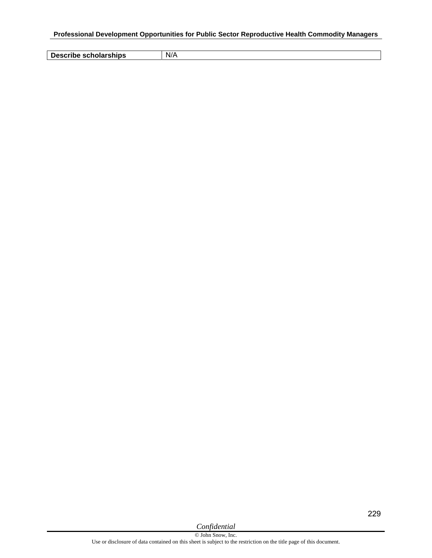**Describe scholarships** N/A

229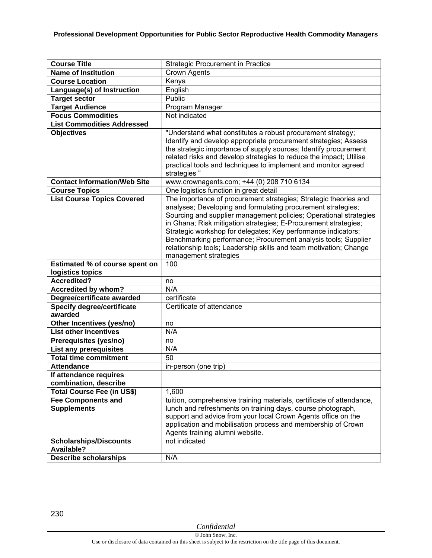| <b>Course Title</b>                                       | <b>Strategic Procurement in Practice</b>                                                                                            |
|-----------------------------------------------------------|-------------------------------------------------------------------------------------------------------------------------------------|
| <b>Name of Institution</b>                                | Crown Agents                                                                                                                        |
| <b>Course Location</b>                                    | Kenya                                                                                                                               |
| Language(s) of Instruction                                | English                                                                                                                             |
| <b>Target sector</b>                                      | Public                                                                                                                              |
| <b>Target Audience</b>                                    | Program Manager                                                                                                                     |
| <b>Focus Commodities</b>                                  | Not indicated                                                                                                                       |
| <b>List Commodities Addressed</b>                         |                                                                                                                                     |
| <b>Objectives</b>                                         | "Understand what constitutes a robust procurement strategy;                                                                         |
|                                                           | Identify and develop appropriate procurement strategies; Assess                                                                     |
|                                                           | the strategic importance of supply sources; Identify procurement                                                                    |
|                                                           | related risks and develop strategies to reduce the impact; Utilise                                                                  |
|                                                           | practical tools and techniques to implement and monitor agreed                                                                      |
|                                                           | strategies "                                                                                                                        |
| <b>Contact Information/Web Site</b>                       | www.crownagents.com; +44 (0) 208 710 6134                                                                                           |
| <b>Course Topics</b>                                      | One logistics function in great detail                                                                                              |
| <b>List Course Topics Covered</b>                         | The importance of procurement strategies; Strategic theories and                                                                    |
|                                                           | analyses; Developing and formulating procurement strategies;                                                                        |
|                                                           | Sourcing and supplier management policies; Operational strategies                                                                   |
|                                                           | in Ghana; Risk mitigation strategies; E-Procurement strategies;                                                                     |
|                                                           | Strategic workshop for delegates; Key performance indicators;                                                                       |
|                                                           | Benchmarking performance; Procurement analysis tools; Supplier<br>relationship tools; Leadership skills and team motivation; Change |
|                                                           | management strategies                                                                                                               |
|                                                           |                                                                                                                                     |
|                                                           |                                                                                                                                     |
| Estimated % of course spent on                            | 100                                                                                                                                 |
| logistics topics                                          |                                                                                                                                     |
| <b>Accredited?</b>                                        | no                                                                                                                                  |
| Accredited by whom?                                       | N/A                                                                                                                                 |
| Degree/certificate awarded                                | certificate                                                                                                                         |
| <b>Specify degree/certificate</b>                         | Certificate of attendance                                                                                                           |
| awarded                                                   | no                                                                                                                                  |
| Other Incentives (yes/no)<br><b>List other incentives</b> | N/A                                                                                                                                 |
| Prerequisites (yes/no)                                    | no                                                                                                                                  |
| <b>List any prerequisites</b>                             | N/A                                                                                                                                 |
| <b>Total time commitment</b>                              | 50                                                                                                                                  |
| <b>Attendance</b>                                         | in-person (one trip)                                                                                                                |
| If attendance requires                                    |                                                                                                                                     |
| combination, describe                                     |                                                                                                                                     |
| Total Course Fee (in US\$)                                | 1,600                                                                                                                               |
| <b>Fee Components and</b>                                 | tuition, comprehensive training materials, certificate of attendance,                                                               |
| <b>Supplements</b>                                        | lunch and refreshments on training days, course photograph,                                                                         |
|                                                           | support and advice from your local Crown Agents office on the                                                                       |
|                                                           | application and mobilisation process and membership of Crown                                                                        |
|                                                           | Agents training alumni website.                                                                                                     |
| <b>Scholarships/Discounts</b>                             | not indicated                                                                                                                       |
| Available?<br><b>Describe scholarships</b>                | N/A                                                                                                                                 |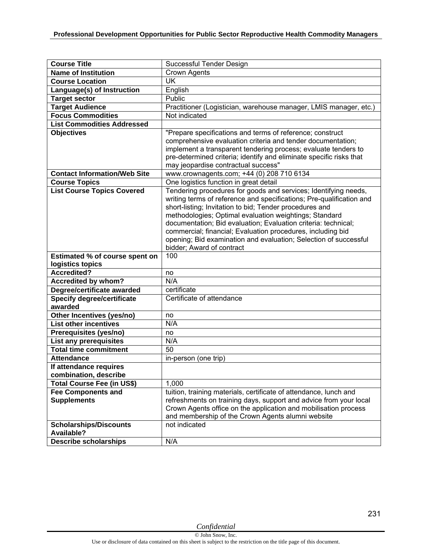| <b>Course Title</b>                         | Successful Tender Design                                                                                   |
|---------------------------------------------|------------------------------------------------------------------------------------------------------------|
| <b>Name of Institution</b>                  | <b>Crown Agents</b>                                                                                        |
| <b>Course Location</b>                      | UK                                                                                                         |
| Language(s) of Instruction                  | English                                                                                                    |
| <b>Target sector</b>                        | Public                                                                                                     |
| <b>Target Audience</b>                      | Practitioner (Logistician, warehouse manager, LMIS manager, etc.)                                          |
| <b>Focus Commodities</b>                    | Not indicated                                                                                              |
| <b>List Commodities Addressed</b>           |                                                                                                            |
| <b>Objectives</b>                           | "Prepare specifications and terms of reference; construct                                                  |
|                                             | comprehensive evaluation criteria and tender documentation;                                                |
|                                             | implement a transparent tendering process; evaluate tenders to                                             |
|                                             | pre-determined criteria; identify and eliminate specific risks that<br>may jeopardise contractual success" |
| <b>Contact Information/Web Site</b>         | www.crownagents.com; +44 (0) 208 710 6134                                                                  |
| <b>Course Topics</b>                        | One logistics function in great detail                                                                     |
| <b>List Course Topics Covered</b>           | Tendering procedures for goods and services; Identifying needs,                                            |
|                                             | writing terms of reference and specifications; Pre-qualification and                                       |
|                                             | short-listing; Invitation to bid; Tender procedures and                                                    |
|                                             | methodologies; Optimal evaluation weightings; Standard                                                     |
|                                             | documentation; Bid evaluation; Evaluation criteria: technical;                                             |
|                                             | commercial; financial; Evaluation procedures, including bid                                                |
|                                             | opening; Bid examination and evaluation; Selection of successful                                           |
|                                             | bidder; Award of contract                                                                                  |
| Estimated % of course spent on              | 100                                                                                                        |
| logistics topics                            |                                                                                                            |
| <b>Accredited?</b>                          | no                                                                                                         |
| <b>Accredited by whom?</b>                  |                                                                                                            |
|                                             | N/A                                                                                                        |
| Degree/certificate awarded                  | certificate                                                                                                |
| <b>Specify degree/certificate</b>           | Certificate of attendance                                                                                  |
| awarded                                     |                                                                                                            |
| Other Incentives (yes/no)                   | no                                                                                                         |
| <b>List other incentives</b>                | N/A                                                                                                        |
| Prerequisites (yes/no)                      | no                                                                                                         |
| <b>List any prerequisites</b>               | N/A                                                                                                        |
| <b>Total time commitment</b>                | 50                                                                                                         |
| <b>Attendance</b>                           | in-person (one trip)                                                                                       |
| If attendance requires                      |                                                                                                            |
| combination, describe                       |                                                                                                            |
| <b>Total Course Fee (in US\$)</b>           | 1,000                                                                                                      |
| <b>Fee Components and</b>                   | tuition, training materials, certificate of attendance, lunch and                                          |
| <b>Supplements</b>                          | refreshments on training days, support and advice from your local                                          |
|                                             | Crown Agents office on the application and mobilisation process                                            |
|                                             | and membership of the Crown Agents alumni website                                                          |
| <b>Scholarships/Discounts</b><br>Available? | not indicated                                                                                              |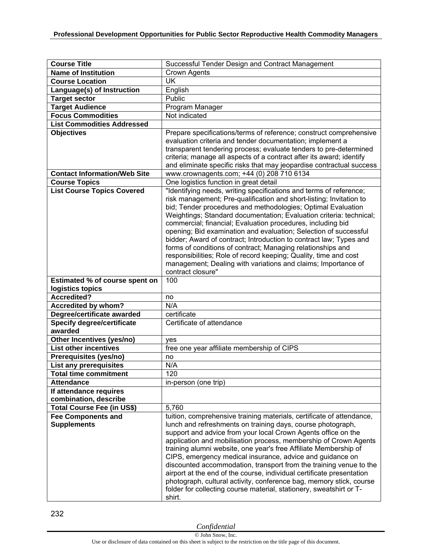| <b>Course Title</b>                                | Successful Tender Design and Contract Management                                                                                                                                                                                                                                                                                                                                                                                                                                                                                                                                                                                         |
|----------------------------------------------------|------------------------------------------------------------------------------------------------------------------------------------------------------------------------------------------------------------------------------------------------------------------------------------------------------------------------------------------------------------------------------------------------------------------------------------------------------------------------------------------------------------------------------------------------------------------------------------------------------------------------------------------|
| <b>Name of Institution</b>                         | <b>Crown Agents</b>                                                                                                                                                                                                                                                                                                                                                                                                                                                                                                                                                                                                                      |
| <b>Course Location</b>                             | <b>UK</b>                                                                                                                                                                                                                                                                                                                                                                                                                                                                                                                                                                                                                                |
| Language(s) of Instruction                         | English                                                                                                                                                                                                                                                                                                                                                                                                                                                                                                                                                                                                                                  |
| <b>Target sector</b>                               | Public                                                                                                                                                                                                                                                                                                                                                                                                                                                                                                                                                                                                                                   |
| <b>Target Audience</b>                             | Program Manager                                                                                                                                                                                                                                                                                                                                                                                                                                                                                                                                                                                                                          |
| <b>Focus Commodities</b>                           | Not indicated                                                                                                                                                                                                                                                                                                                                                                                                                                                                                                                                                                                                                            |
| <b>List Commodities Addressed</b>                  |                                                                                                                                                                                                                                                                                                                                                                                                                                                                                                                                                                                                                                          |
| <b>Objectives</b>                                  | Prepare specifications/terms of reference; construct comprehensive                                                                                                                                                                                                                                                                                                                                                                                                                                                                                                                                                                       |
|                                                    | evaluation criteria and tender documentation; implement a                                                                                                                                                                                                                                                                                                                                                                                                                                                                                                                                                                                |
|                                                    | transparent tendering process; evaluate tenders to pre-determined                                                                                                                                                                                                                                                                                                                                                                                                                                                                                                                                                                        |
|                                                    | criteria; manage all aspects of a contract after its award; identify                                                                                                                                                                                                                                                                                                                                                                                                                                                                                                                                                                     |
|                                                    | and eliminate specific risks that may jeopardise contractual success                                                                                                                                                                                                                                                                                                                                                                                                                                                                                                                                                                     |
| <b>Contact Information/Web Site</b>                | www.crownagents.com; +44 (0) 208 710 6134                                                                                                                                                                                                                                                                                                                                                                                                                                                                                                                                                                                                |
| <b>Course Topics</b>                               | One logistics function in great detail                                                                                                                                                                                                                                                                                                                                                                                                                                                                                                                                                                                                   |
| <b>List Course Topics Covered</b>                  | "Identifying needs, writing specifications and terms of reference;<br>risk management; Pre-qualification and short-listing; Invitation to<br>bid; Tender procedures and methodologies; Optimal Evaluation<br>Weightings; Standard documentation; Evaluation criteria: technical;<br>commercial; financial; Evaluation procedures, including bid<br>opening; Bid examination and evaluation; Selection of successful<br>bidder; Award of contract; Introduction to contract law; Types and<br>forms of conditions of contract; Managing relationships and<br>responsibilities; Role of record keeping; Quality, time and cost             |
|                                                    | management; Dealing with variations and claims; Importance of<br>contract closure"<br>100                                                                                                                                                                                                                                                                                                                                                                                                                                                                                                                                                |
| Estimated % of course spent on<br>logistics topics |                                                                                                                                                                                                                                                                                                                                                                                                                                                                                                                                                                                                                                          |
| <b>Accredited?</b>                                 | no                                                                                                                                                                                                                                                                                                                                                                                                                                                                                                                                                                                                                                       |
| <b>Accredited by whom?</b>                         | N/A                                                                                                                                                                                                                                                                                                                                                                                                                                                                                                                                                                                                                                      |
| Degree/certificate awarded                         | certificate                                                                                                                                                                                                                                                                                                                                                                                                                                                                                                                                                                                                                              |
| <b>Specify degree/certificate</b>                  | Certificate of attendance                                                                                                                                                                                                                                                                                                                                                                                                                                                                                                                                                                                                                |
| awarded                                            |                                                                                                                                                                                                                                                                                                                                                                                                                                                                                                                                                                                                                                          |
| Other Incentives (yes/no)                          | yes                                                                                                                                                                                                                                                                                                                                                                                                                                                                                                                                                                                                                                      |
| <b>List other incentives</b>                       | free one year affiliate membership of CIPS                                                                                                                                                                                                                                                                                                                                                                                                                                                                                                                                                                                               |
| Prerequisites (yes/no)                             | no                                                                                                                                                                                                                                                                                                                                                                                                                                                                                                                                                                                                                                       |
| <b>List any prerequisites</b>                      | N/A                                                                                                                                                                                                                                                                                                                                                                                                                                                                                                                                                                                                                                      |
| <b>Total time commitment</b>                       | $\overline{120}$                                                                                                                                                                                                                                                                                                                                                                                                                                                                                                                                                                                                                         |
| <b>Attendance</b>                                  | in-person (one trip)                                                                                                                                                                                                                                                                                                                                                                                                                                                                                                                                                                                                                     |
| If attendance requires<br>combination, describe    |                                                                                                                                                                                                                                                                                                                                                                                                                                                                                                                                                                                                                                          |
| <b>Total Course Fee (in US\$)</b>                  | 5,760                                                                                                                                                                                                                                                                                                                                                                                                                                                                                                                                                                                                                                    |
| <b>Fee Components and</b>                          | tuition, comprehensive training materials, certificate of attendance,                                                                                                                                                                                                                                                                                                                                                                                                                                                                                                                                                                    |
| <b>Supplements</b>                                 | lunch and refreshments on training days, course photograph,<br>support and advice from your local Crown Agents office on the<br>application and mobilisation process, membership of Crown Agents<br>training alumni website, one year's free Affiliate Membership of<br>CIPS, emergency medical insurance, advice and guidance on<br>discounted accommodation, transport from the training venue to the<br>airport at the end of the course, individual certificate presentation<br>photograph, cultural activity, conference bag, memory stick, course<br>folder for collecting course material, stationery, sweatshirt or T-<br>shirt. |

232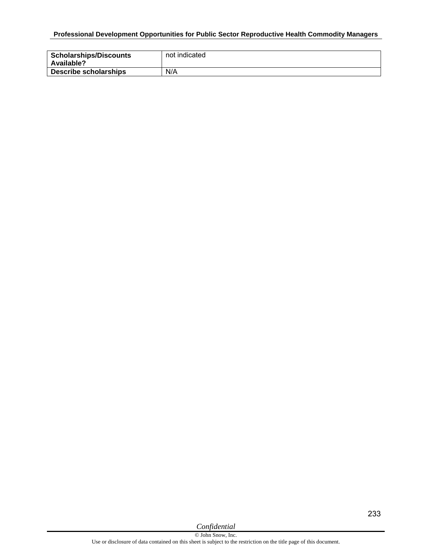## **Professional Development Opportunities for Public Sector Reproductive Health Commodity Managers**

| <b>Scholarships/Discounts</b><br>Available? | not indicated |
|---------------------------------------------|---------------|
| <b>Describe scholarships</b>                | N/A           |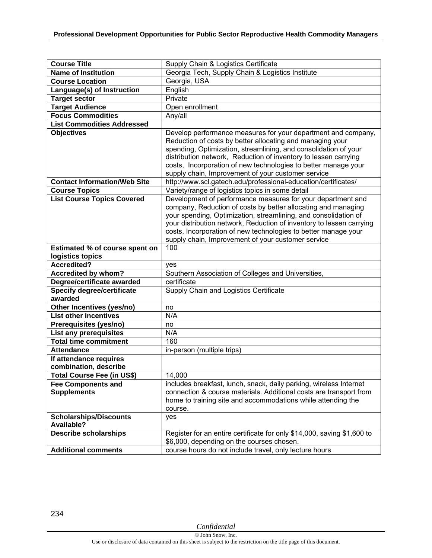| <b>Course Title</b>                          | Supply Chain & Logistics Certificate                                                                                                                                                                                                                                                                                                                                                            |
|----------------------------------------------|-------------------------------------------------------------------------------------------------------------------------------------------------------------------------------------------------------------------------------------------------------------------------------------------------------------------------------------------------------------------------------------------------|
| <b>Name of Institution</b>                   | Georgia Tech, Supply Chain & Logistics Institute                                                                                                                                                                                                                                                                                                                                                |
| <b>Course Location</b>                       | Georgia, USA                                                                                                                                                                                                                                                                                                                                                                                    |
| Language(s) of Instruction                   | English                                                                                                                                                                                                                                                                                                                                                                                         |
| <b>Target sector</b>                         | Private                                                                                                                                                                                                                                                                                                                                                                                         |
| <b>Target Audience</b>                       | Open enrollment                                                                                                                                                                                                                                                                                                                                                                                 |
| <b>Focus Commodities</b>                     | Any/all                                                                                                                                                                                                                                                                                                                                                                                         |
| <b>List Commodities Addressed</b>            |                                                                                                                                                                                                                                                                                                                                                                                                 |
| <b>Objectives</b>                            | Develop performance measures for your department and company,<br>Reduction of costs by better allocating and managing your<br>spending, Optimization, streamlining, and consolidation of your<br>distribution network, Reduction of inventory to lessen carrying<br>costs, Incorporation of new technologies to better manage your<br>supply chain, Improvement of your customer service        |
| <b>Contact Information/Web Site</b>          | http://www.scl.gatech.edu/professional-education/certificates/                                                                                                                                                                                                                                                                                                                                  |
| <b>Course Topics</b>                         | Variety/range of logistics topics in some detail                                                                                                                                                                                                                                                                                                                                                |
| <b>List Course Topics Covered</b>            | Development of performance measures for your department and<br>company, Reduction of costs by better allocating and managing<br>your spending, Optimization, streamlining, and consolidation of<br>your distribution network, Reduction of inventory to lessen carrying<br>costs, Incorporation of new technologies to better manage your<br>supply chain, Improvement of your customer service |
| <b>Estimated % of course spent on</b>        | 100                                                                                                                                                                                                                                                                                                                                                                                             |
| logistics topics                             |                                                                                                                                                                                                                                                                                                                                                                                                 |
| <b>Accredited?</b>                           | yes                                                                                                                                                                                                                                                                                                                                                                                             |
| <b>Accredited by whom?</b>                   | Southern Association of Colleges and Universities,                                                                                                                                                                                                                                                                                                                                              |
| Degree/certificate awarded                   | certificate                                                                                                                                                                                                                                                                                                                                                                                     |
| <b>Specify degree/certificate</b><br>awarded | Supply Chain and Logistics Certificate                                                                                                                                                                                                                                                                                                                                                          |
| Other Incentives (yes/no)                    | no                                                                                                                                                                                                                                                                                                                                                                                              |
| <b>List other incentives</b>                 | N/A                                                                                                                                                                                                                                                                                                                                                                                             |
| Prerequisites (yes/no)                       | no                                                                                                                                                                                                                                                                                                                                                                                              |
| List any prerequisites                       | N/A                                                                                                                                                                                                                                                                                                                                                                                             |
| <b>Total time commitment</b>                 | 160                                                                                                                                                                                                                                                                                                                                                                                             |
| <b>Attendance</b>                            | in-person (multiple trips)                                                                                                                                                                                                                                                                                                                                                                      |
| If attendance requires                       |                                                                                                                                                                                                                                                                                                                                                                                                 |
| combination, describe                        |                                                                                                                                                                                                                                                                                                                                                                                                 |
| <b>Total Course Fee (in US\$)</b>            | 14,000                                                                                                                                                                                                                                                                                                                                                                                          |
| <b>Fee Components and</b>                    | includes breakfast, lunch, snack, daily parking, wireless Internet                                                                                                                                                                                                                                                                                                                              |
| <b>Supplements</b>                           | connection & course materials. Additional costs are transport from<br>home to training site and accommodations while attending the<br>course.                                                                                                                                                                                                                                                   |
| <b>Scholarships/Discounts</b><br>Available?  |                                                                                                                                                                                                                                                                                                                                                                                                 |
|                                              | yes                                                                                                                                                                                                                                                                                                                                                                                             |
| <b>Describe scholarships</b>                 | Register for an entire certificate for only \$14,000, saving \$1,600 to<br>\$6,000, depending on the courses chosen.                                                                                                                                                                                                                                                                            |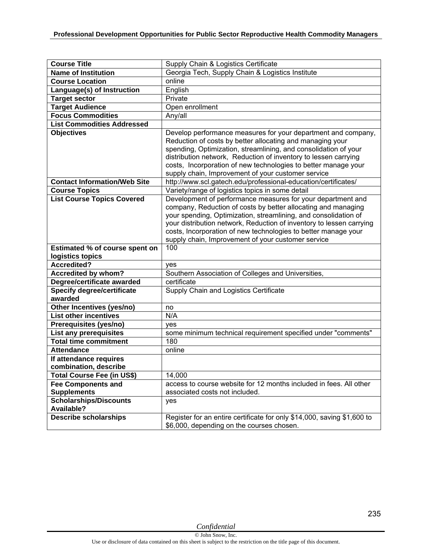| <b>Course Title</b>                                                                | Supply Chain & Logistics Certificate                                                                                                                                                                                                                                                                                                                                                            |
|------------------------------------------------------------------------------------|-------------------------------------------------------------------------------------------------------------------------------------------------------------------------------------------------------------------------------------------------------------------------------------------------------------------------------------------------------------------------------------------------|
| <b>Name of Institution</b>                                                         | Georgia Tech, Supply Chain & Logistics Institute                                                                                                                                                                                                                                                                                                                                                |
| <b>Course Location</b>                                                             | online                                                                                                                                                                                                                                                                                                                                                                                          |
| Language(s) of Instruction                                                         | English                                                                                                                                                                                                                                                                                                                                                                                         |
| <b>Target sector</b>                                                               | Private                                                                                                                                                                                                                                                                                                                                                                                         |
| <b>Target Audience</b>                                                             | Open enrollment                                                                                                                                                                                                                                                                                                                                                                                 |
| <b>Focus Commodities</b>                                                           | Any/all                                                                                                                                                                                                                                                                                                                                                                                         |
| <b>List Commodities Addressed</b>                                                  |                                                                                                                                                                                                                                                                                                                                                                                                 |
| <b>Objectives</b>                                                                  | Develop performance measures for your department and company,<br>Reduction of costs by better allocating and managing your<br>spending, Optimization, streamlining, and consolidation of your<br>distribution network, Reduction of inventory to lessen carrying<br>costs, Incorporation of new technologies to better manage your<br>supply chain, Improvement of your customer service        |
| <b>Contact Information/Web Site</b>                                                | http://www.scl.gatech.edu/professional-education/certificates/                                                                                                                                                                                                                                                                                                                                  |
| <b>Course Topics</b>                                                               | Variety/range of logistics topics in some detail                                                                                                                                                                                                                                                                                                                                                |
| <b>List Course Topics Covered</b>                                                  | Development of performance measures for your department and<br>company, Reduction of costs by better allocating and managing<br>your spending, Optimization, streamlining, and consolidation of<br>your distribution network, Reduction of inventory to lessen carrying<br>costs, Incorporation of new technologies to better manage your<br>supply chain, Improvement of your customer service |
|                                                                                    |                                                                                                                                                                                                                                                                                                                                                                                                 |
| Estimated % of course spent on                                                     | 100                                                                                                                                                                                                                                                                                                                                                                                             |
| logistics topics                                                                   |                                                                                                                                                                                                                                                                                                                                                                                                 |
| <b>Accredited?</b>                                                                 | ves                                                                                                                                                                                                                                                                                                                                                                                             |
|                                                                                    |                                                                                                                                                                                                                                                                                                                                                                                                 |
| <b>Accredited by whom?</b>                                                         | Southern Association of Colleges and Universities,                                                                                                                                                                                                                                                                                                                                              |
| Degree/certificate awarded<br><b>Specify degree/certificate</b><br>awarded         | certificate<br>Supply Chain and Logistics Certificate                                                                                                                                                                                                                                                                                                                                           |
| Other Incentives (yes/no)                                                          | no                                                                                                                                                                                                                                                                                                                                                                                              |
| <b>List other incentives</b>                                                       | N/A                                                                                                                                                                                                                                                                                                                                                                                             |
| Prerequisites (yes/no)                                                             | yes                                                                                                                                                                                                                                                                                                                                                                                             |
| <b>List any prerequisites</b>                                                      | some minimum technical requirement specified under "comments"                                                                                                                                                                                                                                                                                                                                   |
| <b>Total time commitment</b>                                                       | 180                                                                                                                                                                                                                                                                                                                                                                                             |
| <b>Attendance</b>                                                                  | online                                                                                                                                                                                                                                                                                                                                                                                          |
| If attendance requires                                                             |                                                                                                                                                                                                                                                                                                                                                                                                 |
| combination, describe                                                              |                                                                                                                                                                                                                                                                                                                                                                                                 |
| <b>Total Course Fee (in US\$)</b>                                                  | 14,000                                                                                                                                                                                                                                                                                                                                                                                          |
| <b>Fee Components and</b>                                                          | access to course website for 12 months included in fees. All other                                                                                                                                                                                                                                                                                                                              |
| <b>Supplements</b>                                                                 | associated costs not included.                                                                                                                                                                                                                                                                                                                                                                  |
| <b>Scholarships/Discounts</b><br><b>Available?</b><br><b>Describe scholarships</b> | yes<br>Register for an entire certificate for only \$14,000, saving \$1,600 to                                                                                                                                                                                                                                                                                                                  |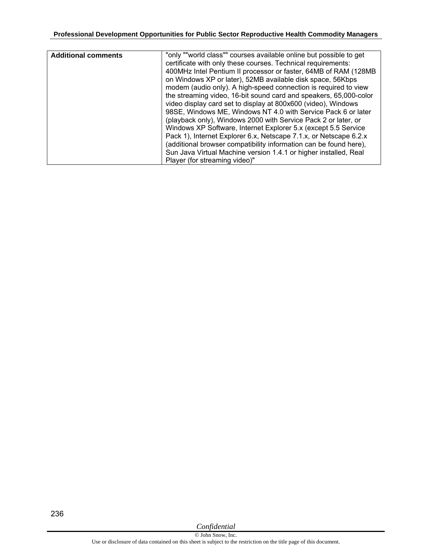| <b>Additional comments</b> | "only ""world class"" courses available online but possible to get |
|----------------------------|--------------------------------------------------------------------|
|                            | certificate with only these courses. Technical requirements:       |
|                            | 400MHz Intel Pentium II processor or faster, 64MB of RAM (128MB    |
|                            | on Windows XP or later), 52MB available disk space, 56Kbps         |
|                            | modem (audio only). A high-speed connection is required to view    |
|                            | the streaming video, 16-bit sound card and speakers, 65,000-color  |
|                            | video display card set to display at 800x600 (video), Windows      |
|                            | 98SE, Windows ME, Windows NT 4.0 with Service Pack 6 or later      |
|                            | (playback only), Windows 2000 with Service Pack 2 or later, or     |
|                            | Windows XP Software, Internet Explorer 5.x (except 5.5 Service     |
|                            | Pack 1), Internet Explorer 6.x, Netscape 7.1.x, or Netscape 6.2.x  |
|                            | (additional browser compatibility information can be found here),  |
|                            | Sun Java Virtual Machine version 1.4.1 or higher installed, Real   |
|                            | Player (for streaming video)"                                      |

*Confidential*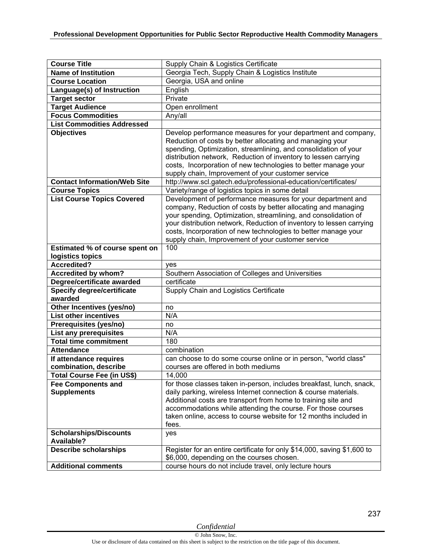| <b>Course Title</b>                                | Supply Chain & Logistics Certificate                                                                                                                                                                                                                                                                                                                                                            |
|----------------------------------------------------|-------------------------------------------------------------------------------------------------------------------------------------------------------------------------------------------------------------------------------------------------------------------------------------------------------------------------------------------------------------------------------------------------|
| <b>Name of Institution</b>                         | Georgia Tech, Supply Chain & Logistics Institute                                                                                                                                                                                                                                                                                                                                                |
| <b>Course Location</b>                             | Georgia, USA and online                                                                                                                                                                                                                                                                                                                                                                         |
| Language(s) of Instruction                         | English                                                                                                                                                                                                                                                                                                                                                                                         |
| <b>Target sector</b>                               | Private                                                                                                                                                                                                                                                                                                                                                                                         |
| <b>Target Audience</b>                             | Open enrollment                                                                                                                                                                                                                                                                                                                                                                                 |
| <b>Focus Commodities</b>                           | Any/all                                                                                                                                                                                                                                                                                                                                                                                         |
| <b>List Commodities Addressed</b>                  |                                                                                                                                                                                                                                                                                                                                                                                                 |
| <b>Objectives</b>                                  | Develop performance measures for your department and company,<br>Reduction of costs by better allocating and managing your<br>spending, Optimization, streamlining, and consolidation of your<br>distribution network, Reduction of inventory to lessen carrying<br>costs, Incorporation of new technologies to better manage your<br>supply chain, Improvement of your customer service        |
| <b>Contact Information/Web Site</b>                | http://www.scl.gatech.edu/professional-education/certificates/                                                                                                                                                                                                                                                                                                                                  |
| <b>Course Topics</b>                               | Variety/range of logistics topics in some detail                                                                                                                                                                                                                                                                                                                                                |
| <b>List Course Topics Covered</b>                  | Development of performance measures for your department and<br>company, Reduction of costs by better allocating and managing<br>your spending, Optimization, streamlining, and consolidation of<br>your distribution network, Reduction of inventory to lessen carrying<br>costs, Incorporation of new technologies to better manage your<br>supply chain, Improvement of your customer service |
| Estimated % of course spent on                     | 100                                                                                                                                                                                                                                                                                                                                                                                             |
| logistics topics                                   |                                                                                                                                                                                                                                                                                                                                                                                                 |
| <b>Accredited?</b>                                 | ves                                                                                                                                                                                                                                                                                                                                                                                             |
| <b>Accredited by whom?</b>                         | Southern Association of Colleges and Universities                                                                                                                                                                                                                                                                                                                                               |
| Degree/certificate awarded                         | certificate                                                                                                                                                                                                                                                                                                                                                                                     |
| <b>Specify degree/certificate</b><br>awarded       | Supply Chain and Logistics Certificate                                                                                                                                                                                                                                                                                                                                                          |
| Other Incentives (yes/no)                          | no                                                                                                                                                                                                                                                                                                                                                                                              |
| <b>List other incentives</b>                       | N/A                                                                                                                                                                                                                                                                                                                                                                                             |
| Prerequisites (yes/no)                             | no                                                                                                                                                                                                                                                                                                                                                                                              |
| <b>List any prerequisites</b>                      | N/A                                                                                                                                                                                                                                                                                                                                                                                             |
| <b>Total time commitment</b>                       | 180                                                                                                                                                                                                                                                                                                                                                                                             |
| <b>Attendance</b>                                  | combination                                                                                                                                                                                                                                                                                                                                                                                     |
| If attendance requires                             | can choose to do some course online or in person, "world class"                                                                                                                                                                                                                                                                                                                                 |
| combination, describe                              | courses are offered in both mediums                                                                                                                                                                                                                                                                                                                                                             |
| <b>Total Course Fee (in US\$)</b>                  | 14,000                                                                                                                                                                                                                                                                                                                                                                                          |
| <b>Fee Components and</b><br><b>Supplements</b>    | for those classes taken in-person, includes breakfast, lunch, snack,<br>daily parking, wireless Internet connection & course materials.<br>Additional costs are transport from home to training site and<br>accommodations while attending the course. For those courses<br>taken online, access to course website for 12 months included in<br>fees.                                           |
| <b>Scholarships/Discounts</b><br><b>Available?</b> | yes                                                                                                                                                                                                                                                                                                                                                                                             |
| <b>Describe scholarships</b>                       | Register for an entire certificate for only \$14,000, saving \$1,600 to                                                                                                                                                                                                                                                                                                                         |
|                                                    | \$6,000, depending on the courses chosen.                                                                                                                                                                                                                                                                                                                                                       |
| <b>Additional comments</b>                         | course hours do not include travel, only lecture hours                                                                                                                                                                                                                                                                                                                                          |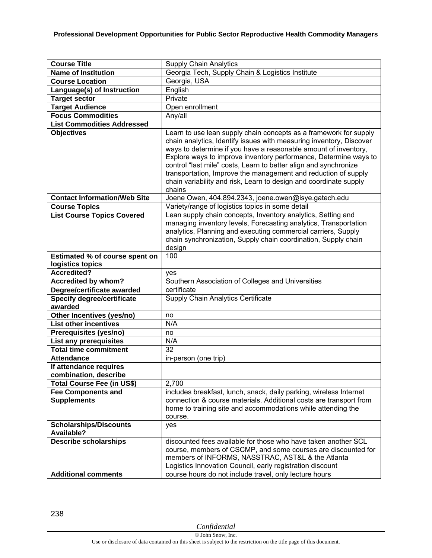| <b>Course Title</b>                                     | <b>Supply Chain Analytics</b>                                                                                                                                                                                                                                                                                                                                                                                                                                                                        |
|---------------------------------------------------------|------------------------------------------------------------------------------------------------------------------------------------------------------------------------------------------------------------------------------------------------------------------------------------------------------------------------------------------------------------------------------------------------------------------------------------------------------------------------------------------------------|
| <b>Name of Institution</b>                              | Georgia Tech, Supply Chain & Logistics Institute                                                                                                                                                                                                                                                                                                                                                                                                                                                     |
| <b>Course Location</b>                                  | Georgia, USA                                                                                                                                                                                                                                                                                                                                                                                                                                                                                         |
| Language(s) of Instruction                              | English                                                                                                                                                                                                                                                                                                                                                                                                                                                                                              |
| <b>Target sector</b>                                    | Private                                                                                                                                                                                                                                                                                                                                                                                                                                                                                              |
| <b>Target Audience</b>                                  | Open enrollment                                                                                                                                                                                                                                                                                                                                                                                                                                                                                      |
| <b>Focus Commodities</b>                                | Any/all                                                                                                                                                                                                                                                                                                                                                                                                                                                                                              |
| <b>List Commodities Addressed</b>                       |                                                                                                                                                                                                                                                                                                                                                                                                                                                                                                      |
| <b>Objectives</b>                                       | Learn to use lean supply chain concepts as a framework for supply<br>chain analytics, Identify issues with measuring inventory, Discover<br>ways to determine if you have a reasonable amount of inventory,<br>Explore ways to improve inventory performance, Determine ways to<br>control "last mile" costs, Learn to better align and synchronize<br>transportation, Improve the management and reduction of supply<br>chain variability and risk, Learn to design and coordinate supply<br>chains |
| <b>Contact Information/Web Site</b>                     | Joene Owen, 404.894.2343, joene.owen@isye.gatech.edu                                                                                                                                                                                                                                                                                                                                                                                                                                                 |
| <b>Course Topics</b>                                    | Variety/range of logistics topics in some detail                                                                                                                                                                                                                                                                                                                                                                                                                                                     |
| <b>List Course Topics Covered</b>                       | Lean supply chain concepts, Inventory analytics, Setting and<br>managing inventory levels, Forecasting analytics, Transportation<br>analytics, Planning and executing commercial carriers, Supply<br>chain synchronization, Supply chain coordination, Supply chain<br>design                                                                                                                                                                                                                        |
| Estimated % of course spent on                          | 100                                                                                                                                                                                                                                                                                                                                                                                                                                                                                                  |
| logistics topics                                        |                                                                                                                                                                                                                                                                                                                                                                                                                                                                                                      |
| <b>Accredited?</b>                                      | yes                                                                                                                                                                                                                                                                                                                                                                                                                                                                                                  |
| <b>Accredited by whom?</b>                              | Southern Association of Colleges and Universities                                                                                                                                                                                                                                                                                                                                                                                                                                                    |
| Degree/certificate awarded                              | certificate                                                                                                                                                                                                                                                                                                                                                                                                                                                                                          |
| <b>Specify degree/certificate</b>                       | Supply Chain Analytics Certificate                                                                                                                                                                                                                                                                                                                                                                                                                                                                   |
| awarded                                                 |                                                                                                                                                                                                                                                                                                                                                                                                                                                                                                      |
| Other Incentives (yes/no)                               | no                                                                                                                                                                                                                                                                                                                                                                                                                                                                                                   |
| <b>List other incentives</b>                            | N/A                                                                                                                                                                                                                                                                                                                                                                                                                                                                                                  |
| Prerequisites (yes/no)<br><b>List any prerequisites</b> | no<br>N/A                                                                                                                                                                                                                                                                                                                                                                                                                                                                                            |
| <b>Total time commitment</b>                            | 32                                                                                                                                                                                                                                                                                                                                                                                                                                                                                                   |
| <b>Attendance</b>                                       | in-person (one trip)                                                                                                                                                                                                                                                                                                                                                                                                                                                                                 |
| If attendance requires                                  |                                                                                                                                                                                                                                                                                                                                                                                                                                                                                                      |
| combination, describe                                   |                                                                                                                                                                                                                                                                                                                                                                                                                                                                                                      |
| Total Course Fee (in US\$)                              | 2,700                                                                                                                                                                                                                                                                                                                                                                                                                                                                                                |
| <b>Fee Components and</b>                               | includes breakfast, lunch, snack, daily parking, wireless Internet                                                                                                                                                                                                                                                                                                                                                                                                                                   |
| <b>Supplements</b>                                      | connection & course materials. Additional costs are transport from<br>home to training site and accommodations while attending the<br>course.                                                                                                                                                                                                                                                                                                                                                        |
| <b>Scholarships/Discounts</b><br>Available?             | yes                                                                                                                                                                                                                                                                                                                                                                                                                                                                                                  |
| <b>Describe scholarships</b>                            | discounted fees available for those who have taken another SCL<br>course, members of CSCMP, and some courses are discounted for<br>members of INFORMS, NASSTRAC, AST&L & the Atlanta                                                                                                                                                                                                                                                                                                                 |
| <b>Additional comments</b>                              | Logistics Innovation Council, early registration discount<br>course hours do not include travel, only lecture hours                                                                                                                                                                                                                                                                                                                                                                                  |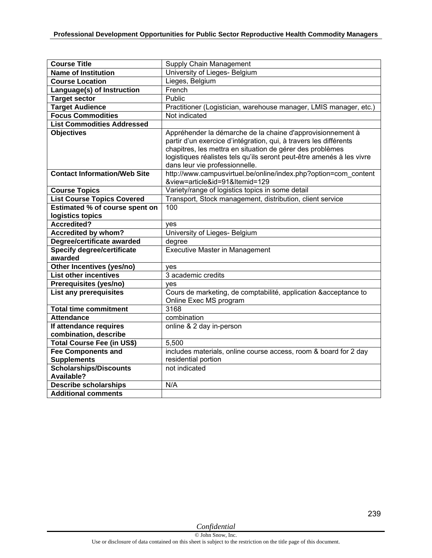| <b>Course Title</b>                               | Supply Chain Management                                                                 |
|---------------------------------------------------|-----------------------------------------------------------------------------------------|
| <b>Name of Institution</b>                        | University of Lieges- Belgium                                                           |
| <b>Course Location</b>                            | Lieges, Belgium                                                                         |
| Language(s) of Instruction                        | French                                                                                  |
| <b>Target sector</b>                              | Public                                                                                  |
| <b>Target Audience</b>                            | Practitioner (Logistician, warehouse manager, LMIS manager, etc.)                       |
| <b>Focus Commodities</b>                          | Not indicated                                                                           |
| <b>List Commodities Addressed</b>                 |                                                                                         |
| <b>Objectives</b>                                 | Appréhender la démarche de la chaine d'approvisionnement à                              |
|                                                   | partir d'un exercice d'intégration, qui, à travers les différents                       |
|                                                   | chapitres, les mettra en situation de gérer des problèmes                               |
|                                                   | logistiques réalistes tels qu'ils seront peut-être amenés à les vivre                   |
|                                                   | dans leur vie professionnelle.                                                          |
| <b>Contact Information/Web Site</b>               | http://www.campusvirtuel.be/online/index.php?option=com content                         |
|                                                   | &view=article&id=91&Itemid=129                                                          |
| <b>Course Topics</b>                              | Variety/range of logistics topics in some detail                                        |
| <b>List Course Topics Covered</b>                 | Transport, Stock management, distribution, client service                               |
| Estimated % of course spent on                    | 100                                                                                     |
| logistics topics                                  |                                                                                         |
| <b>Accredited?</b>                                | yes                                                                                     |
| <b>Accredited by whom?</b>                        | University of Lieges- Belgium                                                           |
| Degree/certificate awarded                        | degree                                                                                  |
| <b>Specify degree/certificate</b>                 | <b>Executive Master in Management</b>                                                   |
| awarded                                           |                                                                                         |
| Other Incentives (yes/no)                         | yes                                                                                     |
| <b>List other incentives</b>                      | 3 academic credits                                                                      |
| Prerequisites (yes/no)                            | yes                                                                                     |
| <b>List any prerequisites</b>                     | Cours de marketing, de comptabilité, application & acceptance to                        |
|                                                   | Online Exec MS program                                                                  |
| <b>Total time commitment</b><br><b>Attendance</b> | 3168                                                                                    |
|                                                   | combination                                                                             |
| If attendance requires                            | online & 2 day in-person                                                                |
| combination, describe                             | 5,500                                                                                   |
| Total Course Fee (in US\$)                        |                                                                                         |
| <b>Fee Components and</b><br><b>Supplements</b>   | includes materials, online course access, room & board for 2 day<br>residential portion |
| Scholarships/Discounts                            | not indicated                                                                           |
| Available?                                        |                                                                                         |
| <b>Describe scholarships</b>                      | N/A                                                                                     |
| <b>Additional comments</b>                        |                                                                                         |
|                                                   |                                                                                         |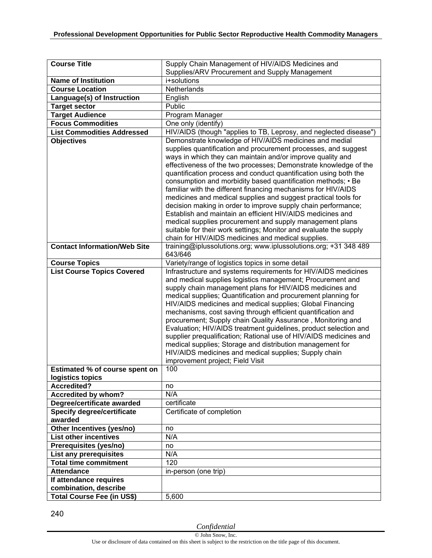| <b>Course Title</b>                   | Supply Chain Management of HIV/AIDS Medicines and                                                                             |
|---------------------------------------|-------------------------------------------------------------------------------------------------------------------------------|
|                                       | Supplies/ARV Procurement and Supply Management                                                                                |
| <b>Name of Institution</b>            | i+solutions                                                                                                                   |
| <b>Course Location</b>                | Netherlands                                                                                                                   |
| Language(s) of Instruction            | English                                                                                                                       |
| <b>Target sector</b>                  | Public                                                                                                                        |
| <b>Target Audience</b>                | Program Manager                                                                                                               |
| <b>Focus Commodities</b>              | One only (identify)                                                                                                           |
| <b>List Commodities Addressed</b>     | HIV/AIDS (though "applies to TB, Leprosy, and neglected disease")                                                             |
| <b>Objectives</b>                     | Demonstrate knowledge of HIV/AIDS medicines and medial                                                                        |
|                                       | supplies quantification and procurement processes, and suggest                                                                |
|                                       | ways in which they can maintain and/or improve quality and                                                                    |
|                                       | effectiveness of the two processes; Demonstrate knowledge of the                                                              |
|                                       | quantification process and conduct quantification using both the                                                              |
|                                       | consumption and morbidity based quantification methods; • Be                                                                  |
|                                       | familiar with the different financing mechanisms for HIV/AIDS                                                                 |
|                                       | medicines and medical supplies and suggest practical tools for                                                                |
|                                       | decision making in order to improve supply chain performance;                                                                 |
|                                       | Establish and maintain an efficient HIV/AIDS medicines and                                                                    |
|                                       | medical supplies procurement and supply management plans<br>suitable for their work settings; Monitor and evaluate the supply |
|                                       | chain for HIV/AIDS medicines and medical supplies.                                                                            |
| <b>Contact Information/Web Site</b>   | training@iplussolutions.org; www.iplussolutions.org; +31 348 489                                                              |
|                                       | 643/646                                                                                                                       |
| <b>Course Topics</b>                  | Variety/range of logistics topics in some detail                                                                              |
| <b>List Course Topics Covered</b>     | Infrastructure and systems requirements for HIV/AIDS medicines                                                                |
|                                       | and medical supplies logistics management; Procurement and                                                                    |
|                                       | supply chain management plans for HIV/AIDS medicines and                                                                      |
|                                       | medical supplies; Quantification and procurement planning for                                                                 |
|                                       | HIV/AIDS medicines and medical supplies; Global Financing                                                                     |
|                                       | mechanisms, cost saving through efficient quantification and                                                                  |
|                                       | procurement; Supply chain Quality Assurance, Monitoring and                                                                   |
|                                       | Evaluation; HIV/AIDS treatment guidelines, product selection and                                                              |
|                                       | supplier prequalification; Rational use of HIV/AIDS medicines and                                                             |
|                                       | medical supplies; Storage and distribution management for                                                                     |
|                                       | HIV/AIDS medicines and medical supplies; Supply chain                                                                         |
|                                       | improvement project; Field Visit                                                                                              |
| <b>Estimated % of course spent on</b> | 100                                                                                                                           |
| logistics topics                      |                                                                                                                               |
| <b>Accredited?</b>                    | no                                                                                                                            |
| <b>Accredited by whom?</b>            | N/A                                                                                                                           |
| Degree/certificate awarded            | certificate                                                                                                                   |
| Specify degree/certificate<br>awarded | Certificate of completion                                                                                                     |
| Other Incentives (yes/no)             | no                                                                                                                            |
| <b>List other incentives</b>          | N/A                                                                                                                           |
| Prerequisites (yes/no)                |                                                                                                                               |
| <b>List any prerequisites</b>         | no<br>N/A                                                                                                                     |
| <b>Total time commitment</b>          | 120                                                                                                                           |
| <b>Attendance</b>                     | in-person (one trip)                                                                                                          |
| If attendance requires                |                                                                                                                               |
| combination, describe                 |                                                                                                                               |
| <b>Total Course Fee (in US\$)</b>     | 5,600                                                                                                                         |
|                                       |                                                                                                                               |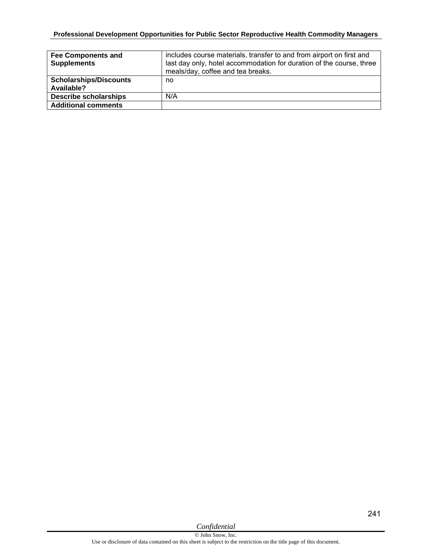## **Professional Development Opportunities for Public Sector Reproductive Health Commodity Managers**

| <b>Fee Components and</b><br><b>Supplements</b> | includes course materials, transfer to and from airport on first and<br>last day only, hotel accommodation for duration of the course, three<br>meals/day, coffee and tea breaks. |
|-------------------------------------------------|-----------------------------------------------------------------------------------------------------------------------------------------------------------------------------------|
| <b>Scholarships/Discounts</b><br>Available?     | no                                                                                                                                                                                |
| <b>Describe scholarships</b>                    | N/A                                                                                                                                                                               |
| <b>Additional comments</b>                      |                                                                                                                                                                                   |

*Confidential*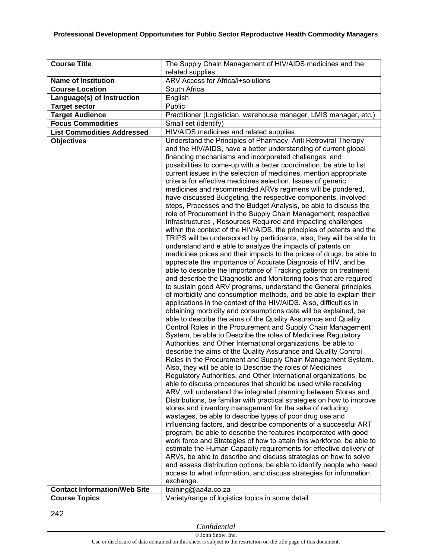| <b>Course Title</b>                 | The Supply Chain Management of HIV/AIDS medicines and the                                                                                   |
|-------------------------------------|---------------------------------------------------------------------------------------------------------------------------------------------|
|                                     | related supplies.                                                                                                                           |
| <b>Name of Institution</b>          | ARV Access for Africa/i+solutions                                                                                                           |
| <b>Course Location</b>              | South Africa                                                                                                                                |
| Language(s) of Instruction          | English                                                                                                                                     |
| <b>Target sector</b>                | Public                                                                                                                                      |
| <b>Target Audience</b>              | Practitioner (Logistician, warehouse manager, LMIS manager, etc.)                                                                           |
| <b>Focus Commodities</b>            | Small set (identify)                                                                                                                        |
| <b>List Commodities Addressed</b>   | HIV/AIDS medicines and related supplies                                                                                                     |
| <b>Objectives</b>                   | Understand the Principles of Pharmacy, Anti Retroviral Therapy                                                                              |
|                                     | and the HIV/AIDS, have a better understanding of current global                                                                             |
|                                     | financing mechanisms and incorporated challenges, and                                                                                       |
|                                     | possibilities to come-up with a better coordination, be able to list<br>current issues in the selection of medicines, mention appropriate   |
|                                     | criteria for effective medicines selection. Issues of generic                                                                               |
|                                     | medicines and recommended ARVs regimens will be pondered,                                                                                   |
|                                     | have discussed Budgeting, the respective components, involved                                                                               |
|                                     | steps, Processes and the Budget Analysis, be able to discuss the                                                                            |
|                                     | role of Procurement in the Supply Chain Management, respective                                                                              |
|                                     | Infrastructures, Resources Required and impacting challenges                                                                                |
|                                     | within the context of the HIV/AIDS, the principles of patents and the                                                                       |
|                                     | TRIPS will be underscored by participants, also, they will be able to                                                                       |
|                                     | understand and e able to analyze the impacts of patents on                                                                                  |
|                                     | medicines prices and their impacts to the prices of drugs, be able to<br>appreciate the importance of Accurate Diagnosis of HIV, and be     |
|                                     | able to describe the importance of Tracking patients on treatment                                                                           |
|                                     | and describe the Diagnostic and Monitoring tools that are required                                                                          |
|                                     | to sustain good ARV programs, understand the General principles                                                                             |
|                                     | of morbidity and consumption methods, and be able to explain their                                                                          |
|                                     | applications in the context of the HIV/AIDS. Also, difficulties in                                                                          |
|                                     | obtaining morbidity and consumptions data will be explained, be                                                                             |
|                                     | able to describe the aims of the Quality Assurance and Quality                                                                              |
|                                     | Control Roles in the Procurement and Supply Chain Management                                                                                |
|                                     | System, be able to Describe the roles of Medicines Regulatory                                                                               |
|                                     | Authorities, and Other International organizations, be able to                                                                              |
|                                     | describe the aims of the Quality Assurance and Quality Control                                                                              |
|                                     | Roles in the Procurement and Supply Chain Management System.<br>Also, they will be able to Describe the roles of Medicines                  |
|                                     | Regulatory Authorities, and Other International organizations, be                                                                           |
|                                     | able to discuss procedures that should be used while receiving                                                                              |
|                                     | ARV, will understand the integrated planning between Stores and                                                                             |
|                                     | Distributions, be familiar with practical strategies on how to improve                                                                      |
|                                     | stores and inventory management for the sake of reducing                                                                                    |
|                                     | wastages, be able to describe types of poor drug use and                                                                                    |
|                                     | influencing factors, and describe components of a successful ART                                                                            |
|                                     | program, be able to describe the features incorporated with good                                                                            |
|                                     | work force and Strategies of how to attain this workforce, be able to<br>estimate the Human Capacity requirements for effective delivery of |
|                                     | ARVs, be able to describe and discuss strategies on how to solve                                                                            |
|                                     | and assess distribution options, be able to identify people who need                                                                        |
|                                     | access to what information, and discuss strategies for information                                                                          |
|                                     | exchange.                                                                                                                                   |
| <b>Contact Information/Web Site</b> | training@aa4a.co.za                                                                                                                         |
| <b>Course Topics</b>                | Variety/range of logistics topics in some detail                                                                                            |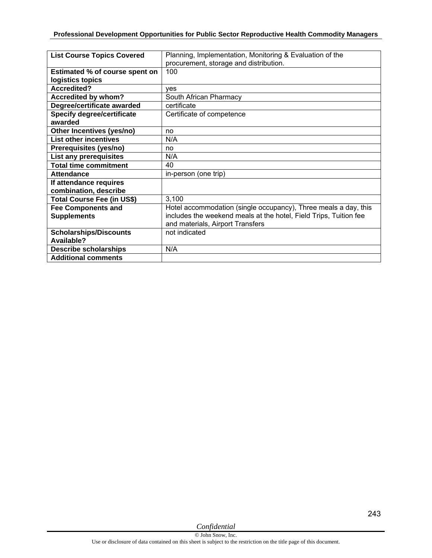| <b>List Course Topics Covered</b> | Planning, Implementation, Monitoring & Evaluation of the          |
|-----------------------------------|-------------------------------------------------------------------|
|                                   | procurement, storage and distribution.                            |
| Estimated % of course spent on    | 100                                                               |
| logistics topics                  |                                                                   |
| <b>Accredited?</b>                | ves                                                               |
| Accredited by whom?               | South African Pharmacy                                            |
| Degree/certificate awarded        | certificate                                                       |
| <b>Specify degree/certificate</b> | Certificate of competence                                         |
| awarded                           |                                                                   |
| Other Incentives (yes/no)         | no                                                                |
| <b>List other incentives</b>      | N/A                                                               |
| Prerequisites (yes/no)            | no                                                                |
| List any prerequisites            | N/A                                                               |
| <b>Total time commitment</b>      | 40                                                                |
| <b>Attendance</b>                 | in-person (one trip)                                              |
| If attendance requires            |                                                                   |
| combination, describe             |                                                                   |
| <b>Total Course Fee (in US\$)</b> | 3,100                                                             |
| <b>Fee Components and</b>         | Hotel accommodation (single occupancy), Three meals a day, this   |
| <b>Supplements</b>                | includes the weekend meals at the hotel, Field Trips, Tuition fee |
|                                   | and materials, Airport Transfers                                  |
| <b>Scholarships/Discounts</b>     | not indicated                                                     |
| Available?                        |                                                                   |
| <b>Describe scholarships</b>      | N/A                                                               |
| <b>Additional comments</b>        |                                                                   |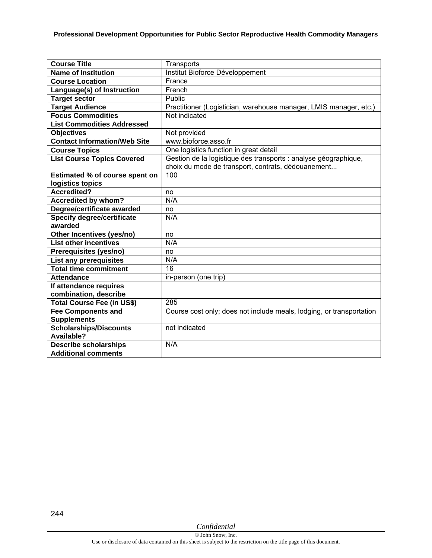| <b>Course Title</b>                 | Transports                                                           |
|-------------------------------------|----------------------------------------------------------------------|
| <b>Name of Institution</b>          | Institut Bioforce Développement                                      |
| <b>Course Location</b>              | France                                                               |
| Language(s) of Instruction          | French                                                               |
| <b>Target sector</b>                | Public                                                               |
| <b>Target Audience</b>              | Practitioner (Logistician, warehouse manager, LMIS manager, etc.)    |
| <b>Focus Commodities</b>            | Not indicated                                                        |
| <b>List Commodities Addressed</b>   |                                                                      |
| <b>Objectives</b>                   | Not provided                                                         |
| <b>Contact Information/Web Site</b> | www.bioforce.asso.fr                                                 |
| <b>Course Topics</b>                | One logistics function in great detail                               |
| <b>List Course Topics Covered</b>   | Gestion de la logistique des transports : analyse géographique,      |
|                                     | choix du mode de transport, contrats, dédouanement                   |
| Estimated % of course spent on      | 100                                                                  |
| logistics topics                    |                                                                      |
| <b>Accredited?</b>                  | no                                                                   |
| <b>Accredited by whom?</b>          | N/A                                                                  |
| Degree/certificate awarded          | no                                                                   |
| <b>Specify degree/certificate</b>   | N/A                                                                  |
| awarded                             |                                                                      |
| Other Incentives (yes/no)           | no                                                                   |
| <b>List other incentives</b>        | N/A                                                                  |
| Prerequisites (yes/no)              | no                                                                   |
| List any prerequisites              | N/A                                                                  |
| <b>Total time commitment</b>        | 16                                                                   |
| <b>Attendance</b>                   | in-person (one trip)                                                 |
| If attendance requires              |                                                                      |
| combination, describe               |                                                                      |
| <b>Total Course Fee (in US\$)</b>   | 285                                                                  |
| <b>Fee Components and</b>           | Course cost only; does not include meals, lodging, or transportation |
| <b>Supplements</b>                  |                                                                      |
| <b>Scholarships/Discounts</b>       | not indicated                                                        |
| Available?                          |                                                                      |
| <b>Describe scholarships</b>        | N/A                                                                  |
| <b>Additional comments</b>          |                                                                      |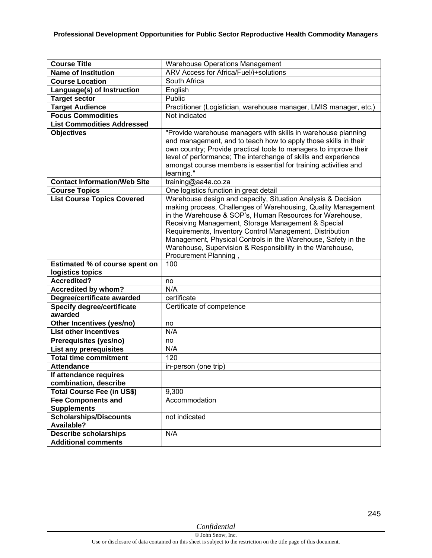| <b>Course Title</b>                                | <b>Warehouse Operations Management</b>                                                                                                                                                                                                                                                                                                                                                                                                                             |
|----------------------------------------------------|--------------------------------------------------------------------------------------------------------------------------------------------------------------------------------------------------------------------------------------------------------------------------------------------------------------------------------------------------------------------------------------------------------------------------------------------------------------------|
| <b>Name of Institution</b>                         | ARV Access for Africa/Fuel/i+solutions                                                                                                                                                                                                                                                                                                                                                                                                                             |
| <b>Course Location</b>                             | South Africa                                                                                                                                                                                                                                                                                                                                                                                                                                                       |
| Language(s) of Instruction                         | English                                                                                                                                                                                                                                                                                                                                                                                                                                                            |
| <b>Target sector</b>                               | Public                                                                                                                                                                                                                                                                                                                                                                                                                                                             |
| <b>Target Audience</b>                             | Practitioner (Logistician, warehouse manager, LMIS manager, etc.)                                                                                                                                                                                                                                                                                                                                                                                                  |
| <b>Focus Commodities</b>                           | Not indicated                                                                                                                                                                                                                                                                                                                                                                                                                                                      |
| <b>List Commodities Addressed</b>                  |                                                                                                                                                                                                                                                                                                                                                                                                                                                                    |
| <b>Objectives</b>                                  | "Provide warehouse managers with skills in warehouse planning                                                                                                                                                                                                                                                                                                                                                                                                      |
|                                                    | and management, and to teach how to apply those skills in their<br>own country; Provide practical tools to managers to improve their<br>level of performance; The interchange of skills and experience<br>amongst course members is essential for training activities and<br>learning."                                                                                                                                                                            |
| <b>Contact Information/Web Site</b>                | training@aa4a.co.za                                                                                                                                                                                                                                                                                                                                                                                                                                                |
| <b>Course Topics</b>                               | One logistics function in great detail                                                                                                                                                                                                                                                                                                                                                                                                                             |
| <b>List Course Topics Covered</b>                  | Warehouse design and capacity, Situation Analysis & Decision<br>making process, Challenges of Warehousing, Quality Management<br>in the Warehouse & SOP's, Human Resources for Warehouse,<br>Receiving Management, Storage Management & Special<br>Requirements, Inventory Control Management, Distribution<br>Management, Physical Controls in the Warehouse, Safety in the<br>Warehouse, Supervision & Responsibility in the Warehouse,<br>Procurement Planning, |
| Estimated % of course spent on                     | 100                                                                                                                                                                                                                                                                                                                                                                                                                                                                |
| logistics topics                                   |                                                                                                                                                                                                                                                                                                                                                                                                                                                                    |
| Accredited?                                        | no                                                                                                                                                                                                                                                                                                                                                                                                                                                                 |
| Accredited by whom?                                | N/A                                                                                                                                                                                                                                                                                                                                                                                                                                                                |
| Degree/certificate awarded                         | certificate                                                                                                                                                                                                                                                                                                                                                                                                                                                        |
| <b>Specify degree/certificate</b><br>awarded       | Certificate of competence                                                                                                                                                                                                                                                                                                                                                                                                                                          |
| Other Incentives (yes/no)                          | no                                                                                                                                                                                                                                                                                                                                                                                                                                                                 |
| <b>List other incentives</b>                       | N/A                                                                                                                                                                                                                                                                                                                                                                                                                                                                |
| Prerequisites (yes/no)                             | no                                                                                                                                                                                                                                                                                                                                                                                                                                                                 |
| <b>List any prerequisites</b>                      | N/A                                                                                                                                                                                                                                                                                                                                                                                                                                                                |
| <b>Total time commitment</b>                       | 120                                                                                                                                                                                                                                                                                                                                                                                                                                                                |
| <b>Attendance</b>                                  | in-person (one trip)                                                                                                                                                                                                                                                                                                                                                                                                                                               |
| If attendance requires                             |                                                                                                                                                                                                                                                                                                                                                                                                                                                                    |
| combination, describe                              |                                                                                                                                                                                                                                                                                                                                                                                                                                                                    |
| Total Course Fee (in US\$)                         | 9,300                                                                                                                                                                                                                                                                                                                                                                                                                                                              |
| <b>Fee Components and</b>                          | Accommodation                                                                                                                                                                                                                                                                                                                                                                                                                                                      |
| <b>Supplements</b>                                 |                                                                                                                                                                                                                                                                                                                                                                                                                                                                    |
| <b>Scholarships/Discounts</b><br><b>Available?</b> | not indicated                                                                                                                                                                                                                                                                                                                                                                                                                                                      |
|                                                    |                                                                                                                                                                                                                                                                                                                                                                                                                                                                    |
| <b>Describe scholarships</b>                       | N/A                                                                                                                                                                                                                                                                                                                                                                                                                                                                |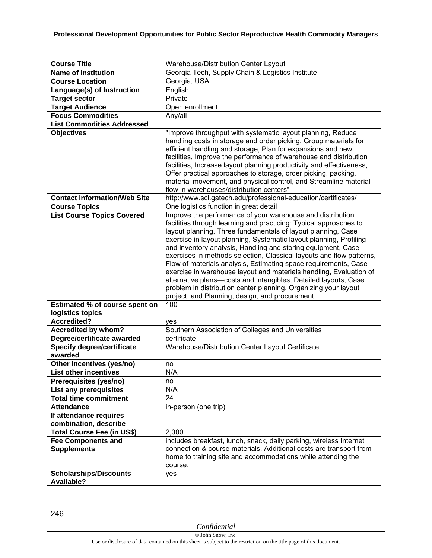| <b>Course Title</b>                         |                                                                                                                                                                                                                                                                                                                                                                                                                                                                                                                                                                                                                                                                                                                                                |
|---------------------------------------------|------------------------------------------------------------------------------------------------------------------------------------------------------------------------------------------------------------------------------------------------------------------------------------------------------------------------------------------------------------------------------------------------------------------------------------------------------------------------------------------------------------------------------------------------------------------------------------------------------------------------------------------------------------------------------------------------------------------------------------------------|
| <b>Name of Institution</b>                  | Warehouse/Distribution Center Layout<br>Georgia Tech, Supply Chain & Logistics Institute                                                                                                                                                                                                                                                                                                                                                                                                                                                                                                                                                                                                                                                       |
|                                             |                                                                                                                                                                                                                                                                                                                                                                                                                                                                                                                                                                                                                                                                                                                                                |
| <b>Course Location</b>                      | Georgia, USA                                                                                                                                                                                                                                                                                                                                                                                                                                                                                                                                                                                                                                                                                                                                   |
| Language(s) of Instruction                  | English                                                                                                                                                                                                                                                                                                                                                                                                                                                                                                                                                                                                                                                                                                                                        |
| <b>Target sector</b>                        | Private                                                                                                                                                                                                                                                                                                                                                                                                                                                                                                                                                                                                                                                                                                                                        |
| <b>Target Audience</b>                      | Open enrollment                                                                                                                                                                                                                                                                                                                                                                                                                                                                                                                                                                                                                                                                                                                                |
| <b>Focus Commodities</b>                    | Any/all                                                                                                                                                                                                                                                                                                                                                                                                                                                                                                                                                                                                                                                                                                                                        |
| <b>List Commodities Addressed</b>           |                                                                                                                                                                                                                                                                                                                                                                                                                                                                                                                                                                                                                                                                                                                                                |
| <b>Objectives</b>                           | "Improve throughput with systematic layout planning, Reduce<br>handling costs in storage and order picking, Group materials for<br>efficient handling and storage, Plan for expansions and new<br>facilities, Improve the performance of warehouse and distribution<br>facilities, Increase layout planning productivity and effectiveness,<br>Offer practical approaches to storage, order picking, packing,<br>material movement, and physical control, and Streamline material<br>flow in warehouses/distribution centers"                                                                                                                                                                                                                  |
| <b>Contact Information/Web Site</b>         | http://www.scl.gatech.edu/professional-education/certificates/                                                                                                                                                                                                                                                                                                                                                                                                                                                                                                                                                                                                                                                                                 |
| <b>Course Topics</b>                        | One logistics function in great detail                                                                                                                                                                                                                                                                                                                                                                                                                                                                                                                                                                                                                                                                                                         |
| <b>List Course Topics Covered</b>           | Improve the performance of your warehouse and distribution<br>facilities through learning and practicing: Typical approaches to<br>layout planning, Three fundamentals of layout planning, Case<br>exercise in layout planning, Systematic layout planning, Profiling<br>and inventory analysis, Handling and storing equipment, Case<br>exercises in methods selection, Classical layouts and flow patterns,<br>Flow of materials analysis, Estimating space requirements, Case<br>exercise in warehouse layout and materials handling, Evaluation of<br>alternative plans-costs and intangibles, Detailed layouts, Case<br>problem in distribution center planning, Organizing your layout<br>project, and Planning, design, and procurement |
| Estimated % of course spent on              | 100                                                                                                                                                                                                                                                                                                                                                                                                                                                                                                                                                                                                                                                                                                                                            |
| logistics topics                            |                                                                                                                                                                                                                                                                                                                                                                                                                                                                                                                                                                                                                                                                                                                                                |
| <b>Accredited?</b>                          | yes                                                                                                                                                                                                                                                                                                                                                                                                                                                                                                                                                                                                                                                                                                                                            |
| <b>Accredited by whom?</b>                  | Southern Association of Colleges and Universities                                                                                                                                                                                                                                                                                                                                                                                                                                                                                                                                                                                                                                                                                              |
| Degree/certificate awarded                  | certificate                                                                                                                                                                                                                                                                                                                                                                                                                                                                                                                                                                                                                                                                                                                                    |
| <b>Specify degree/certificate</b>           | Warehouse/Distribution Center Layout Certificate                                                                                                                                                                                                                                                                                                                                                                                                                                                                                                                                                                                                                                                                                               |
| awarded                                     |                                                                                                                                                                                                                                                                                                                                                                                                                                                                                                                                                                                                                                                                                                                                                |
| Other Incentives (yes/no)                   | no                                                                                                                                                                                                                                                                                                                                                                                                                                                                                                                                                                                                                                                                                                                                             |
| List other incentives                       | N/A                                                                                                                                                                                                                                                                                                                                                                                                                                                                                                                                                                                                                                                                                                                                            |
| Prerequisites (yes/no)                      | no                                                                                                                                                                                                                                                                                                                                                                                                                                                                                                                                                                                                                                                                                                                                             |
| List any prerequisites                      | N/A                                                                                                                                                                                                                                                                                                                                                                                                                                                                                                                                                                                                                                                                                                                                            |
| <b>Total time commitment</b>                | 24                                                                                                                                                                                                                                                                                                                                                                                                                                                                                                                                                                                                                                                                                                                                             |
| <b>Attendance</b>                           | in-person (one trip)                                                                                                                                                                                                                                                                                                                                                                                                                                                                                                                                                                                                                                                                                                                           |
| If attendance requires                      |                                                                                                                                                                                                                                                                                                                                                                                                                                                                                                                                                                                                                                                                                                                                                |
| combination, describe                       |                                                                                                                                                                                                                                                                                                                                                                                                                                                                                                                                                                                                                                                                                                                                                |
| <b>Total Course Fee (in US\$)</b>           | 2,300                                                                                                                                                                                                                                                                                                                                                                                                                                                                                                                                                                                                                                                                                                                                          |
| <b>Fee Components and</b>                   | includes breakfast, lunch, snack, daily parking, wireless Internet                                                                                                                                                                                                                                                                                                                                                                                                                                                                                                                                                                                                                                                                             |
| <b>Supplements</b>                          | connection & course materials. Additional costs are transport from<br>home to training site and accommodations while attending the<br>course.                                                                                                                                                                                                                                                                                                                                                                                                                                                                                                                                                                                                  |
| <b>Scholarships/Discounts</b><br>Available? | yes                                                                                                                                                                                                                                                                                                                                                                                                                                                                                                                                                                                                                                                                                                                                            |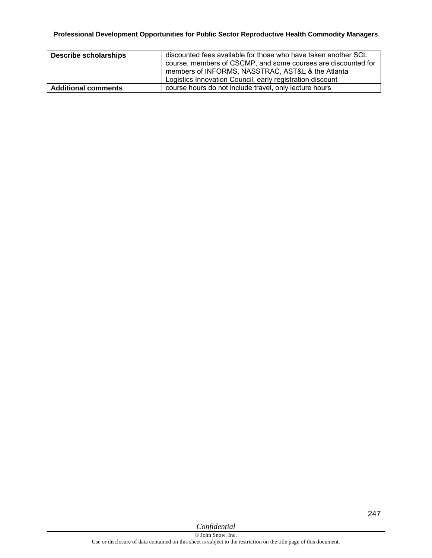| <b>Describe scholarships</b> | discounted fees available for those who have taken another SCL<br>course, members of CSCMP, and some courses are discounted for<br>members of INFORMS, NASSTRAC, AST&L & the Atlanta<br>Logistics Innovation Council, early registration discount |
|------------------------------|---------------------------------------------------------------------------------------------------------------------------------------------------------------------------------------------------------------------------------------------------|
| <b>Additional comments</b>   | course hours do not include travel, only lecture hours                                                                                                                                                                                            |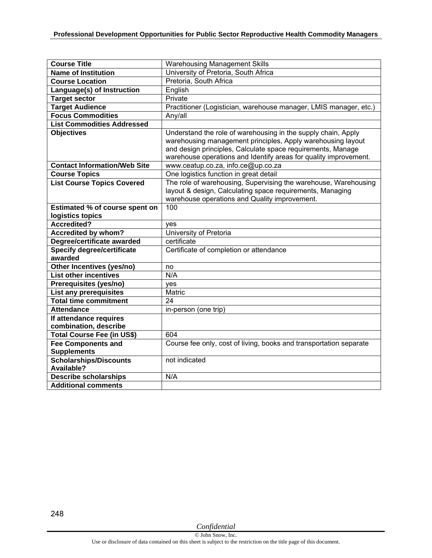| <b>Course Title</b>                             | <b>Warehousing Management Skills</b>                                                                                                                                                                                                                            |
|-------------------------------------------------|-----------------------------------------------------------------------------------------------------------------------------------------------------------------------------------------------------------------------------------------------------------------|
| <b>Name of Institution</b>                      | University of Pretoria, South Africa                                                                                                                                                                                                                            |
| <b>Course Location</b>                          | Pretoria, South Africa                                                                                                                                                                                                                                          |
| Language(s) of Instruction                      | English                                                                                                                                                                                                                                                         |
| <b>Target sector</b>                            | Private                                                                                                                                                                                                                                                         |
| <b>Target Audience</b>                          | Practitioner (Logistician, warehouse manager, LMIS manager, etc.)                                                                                                                                                                                               |
| <b>Focus Commodities</b>                        | Any/all                                                                                                                                                                                                                                                         |
| <b>List Commodities Addressed</b>               |                                                                                                                                                                                                                                                                 |
| <b>Objectives</b>                               | Understand the role of warehousing in the supply chain, Apply<br>warehousing management principles, Apply warehousing layout<br>and design principles, Calculate space requirements, Manage<br>warehouse operations and Identify areas for quality improvement. |
| <b>Contact Information/Web Site</b>             | www.ceatup.co.za, info.ce@up.co.za                                                                                                                                                                                                                              |
| <b>Course Topics</b>                            | One logistics function in great detail                                                                                                                                                                                                                          |
| <b>List Course Topics Covered</b>               | The role of warehousing, Supervising the warehouse, Warehousing<br>layout & design, Calculating space requirements, Managing<br>warehouse operations and Quality improvement.                                                                                   |
| Estimated % of course spent on                  | 100                                                                                                                                                                                                                                                             |
| logistics topics                                |                                                                                                                                                                                                                                                                 |
| <b>Accredited?</b>                              | ves                                                                                                                                                                                                                                                             |
| <b>Accredited by whom?</b>                      | University of Pretoria                                                                                                                                                                                                                                          |
| Degree/certificate awarded                      | certificate                                                                                                                                                                                                                                                     |
| <b>Specify degree/certificate</b><br>awarded    | Certificate of completion or attendance                                                                                                                                                                                                                         |
| Other Incentives (yes/no)                       | no                                                                                                                                                                                                                                                              |
| <b>List other incentives</b>                    | N/A                                                                                                                                                                                                                                                             |
| Prerequisites (yes/no)                          | yes                                                                                                                                                                                                                                                             |
| <b>List any prerequisites</b>                   | Matric                                                                                                                                                                                                                                                          |
| <b>Total time commitment</b>                    | 24                                                                                                                                                                                                                                                              |
| <b>Attendance</b>                               | in-person (one trip)                                                                                                                                                                                                                                            |
| If attendance requires<br>combination, describe |                                                                                                                                                                                                                                                                 |
| Total Course Fee (in US\$)                      | 604                                                                                                                                                                                                                                                             |
| <b>Fee Components and</b><br><b>Supplements</b> | Course fee only, cost of living, books and transportation separate                                                                                                                                                                                              |
| Scholarships/Discounts<br><b>Available?</b>     | not indicated                                                                                                                                                                                                                                                   |
| <b>Describe scholarships</b>                    | N/A                                                                                                                                                                                                                                                             |
| <b>Additional comments</b>                      |                                                                                                                                                                                                                                                                 |

248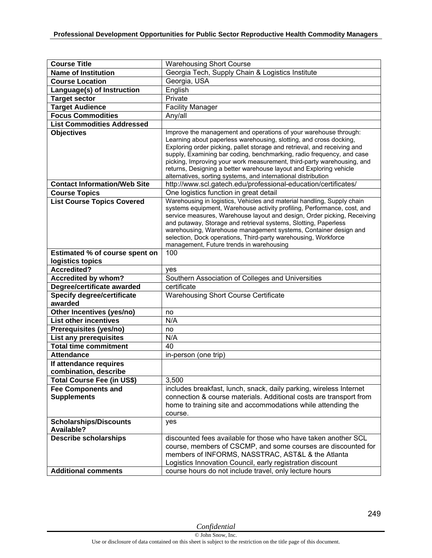| <b>Course Title</b>                                      | <b>Warehousing Short Course</b>                                                                                                                                                                                                                                                                                                                                                                                                                                                                                                                                                |
|----------------------------------------------------------|--------------------------------------------------------------------------------------------------------------------------------------------------------------------------------------------------------------------------------------------------------------------------------------------------------------------------------------------------------------------------------------------------------------------------------------------------------------------------------------------------------------------------------------------------------------------------------|
| <b>Name of Institution</b>                               | Georgia Tech, Supply Chain & Logistics Institute                                                                                                                                                                                                                                                                                                                                                                                                                                                                                                                               |
| <b>Course Location</b>                                   | Georgia, USA                                                                                                                                                                                                                                                                                                                                                                                                                                                                                                                                                                   |
| Language(s) of Instruction                               | English                                                                                                                                                                                                                                                                                                                                                                                                                                                                                                                                                                        |
| <b>Target sector</b>                                     | Private                                                                                                                                                                                                                                                                                                                                                                                                                                                                                                                                                                        |
| <b>Target Audience</b>                                   | <b>Facility Manager</b>                                                                                                                                                                                                                                                                                                                                                                                                                                                                                                                                                        |
| <b>Focus Commodities</b>                                 | Any/all                                                                                                                                                                                                                                                                                                                                                                                                                                                                                                                                                                        |
| <b>List Commodities Addressed</b>                        |                                                                                                                                                                                                                                                                                                                                                                                                                                                                                                                                                                                |
| <b>Objectives</b><br><b>Contact Information/Web Site</b> | Improve the management and operations of your warehouse through:<br>Learning about paperless warehousing, slotting, and cross docking,<br>Exploring order picking, pallet storage and retrieval, and receiving and<br>supply, Examining bar coding, benchmarking, radio frequency, and case<br>picking, Improving your work measurement, third-party warehousing, and<br>returns, Designing a better warehouse layout and Exploring vehicle<br>alternatives, sorting systems, and international distribution<br>http://www.scl.gatech.edu/professional-education/certificates/ |
| <b>Course Topics</b>                                     | One logistics function in great detail                                                                                                                                                                                                                                                                                                                                                                                                                                                                                                                                         |
| <b>List Course Topics Covered</b>                        | Warehousing in logistics, Vehicles and material handling, Supply chain<br>systems equipment, Warehouse activity profiling, Performance, cost, and<br>service measures, Warehouse layout and design, Order picking, Receiving<br>and putaway, Storage and retrieval systems, Slotting, Paperless<br>warehousing, Warehouse management systems, Container design and<br>selection, Dock operations, Third-party warehousing, Workforce<br>management, Future trends in warehousing                                                                                               |
| Estimated % of course spent on                           | 100                                                                                                                                                                                                                                                                                                                                                                                                                                                                                                                                                                            |
| logistics topics                                         |                                                                                                                                                                                                                                                                                                                                                                                                                                                                                                                                                                                |
| Accredited?                                              | yes                                                                                                                                                                                                                                                                                                                                                                                                                                                                                                                                                                            |
| Accredited by whom?                                      | Southern Association of Colleges and Universities                                                                                                                                                                                                                                                                                                                                                                                                                                                                                                                              |
| Degree/certificate awarded                               | certificate                                                                                                                                                                                                                                                                                                                                                                                                                                                                                                                                                                    |
| <b>Specify degree/certificate</b><br>awarded             | <b>Warehousing Short Course Certificate</b>                                                                                                                                                                                                                                                                                                                                                                                                                                                                                                                                    |
| Other Incentives (yes/no)                                | no                                                                                                                                                                                                                                                                                                                                                                                                                                                                                                                                                                             |
| <b>List other incentives</b>                             | N/A                                                                                                                                                                                                                                                                                                                                                                                                                                                                                                                                                                            |
| Prerequisites (yes/no)                                   | no                                                                                                                                                                                                                                                                                                                                                                                                                                                                                                                                                                             |
| <b>List any prerequisites</b>                            | N/A                                                                                                                                                                                                                                                                                                                                                                                                                                                                                                                                                                            |
| <b>Total time commitment</b>                             | 40                                                                                                                                                                                                                                                                                                                                                                                                                                                                                                                                                                             |
| <b>Attendance</b>                                        | in-person (one trip)                                                                                                                                                                                                                                                                                                                                                                                                                                                                                                                                                           |
| If attendance requires<br>combination, describe          |                                                                                                                                                                                                                                                                                                                                                                                                                                                                                                                                                                                |
| Total Course Fee (in US\$)                               | 3,500                                                                                                                                                                                                                                                                                                                                                                                                                                                                                                                                                                          |
| <b>Fee Components and</b><br><b>Supplements</b>          | includes breakfast, lunch, snack, daily parking, wireless Internet<br>connection & course materials. Additional costs are transport from<br>home to training site and accommodations while attending the<br>course.                                                                                                                                                                                                                                                                                                                                                            |
| <b>Scholarships/Discounts</b><br><b>Available?</b>       | yes                                                                                                                                                                                                                                                                                                                                                                                                                                                                                                                                                                            |
| <b>Describe scholarships</b>                             | discounted fees available for those who have taken another SCL<br>course, members of CSCMP, and some courses are discounted for                                                                                                                                                                                                                                                                                                                                                                                                                                                |
| <b>Additional comments</b>                               | members of INFORMS, NASSTRAC, AST&L & the Atlanta<br>Logistics Innovation Council, early registration discount<br>course hours do not include travel, only lecture hours                                                                                                                                                                                                                                                                                                                                                                                                       |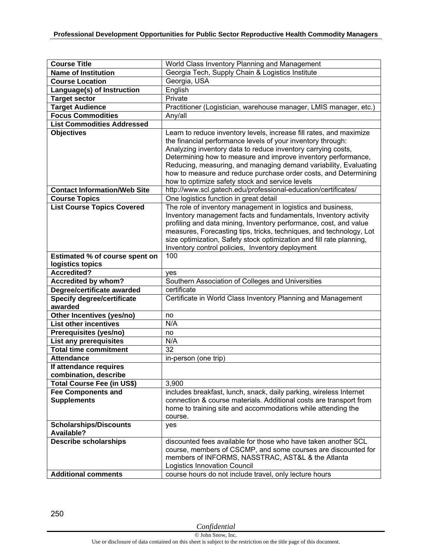| <b>Course Title</b>                                        | World Class Inventory Planning and Management                                                                                                                                                                                                                                                                                                                                                                                                                 |
|------------------------------------------------------------|---------------------------------------------------------------------------------------------------------------------------------------------------------------------------------------------------------------------------------------------------------------------------------------------------------------------------------------------------------------------------------------------------------------------------------------------------------------|
| <b>Name of Institution</b>                                 | Georgia Tech, Supply Chain & Logistics Institute                                                                                                                                                                                                                                                                                                                                                                                                              |
| <b>Course Location</b>                                     | Georgia, USA                                                                                                                                                                                                                                                                                                                                                                                                                                                  |
| Language(s) of Instruction                                 | English                                                                                                                                                                                                                                                                                                                                                                                                                                                       |
| <b>Target sector</b>                                       | Private                                                                                                                                                                                                                                                                                                                                                                                                                                                       |
| <b>Target Audience</b>                                     | Practitioner (Logistician, warehouse manager, LMIS manager, etc.)                                                                                                                                                                                                                                                                                                                                                                                             |
| <b>Focus Commodities</b>                                   | Any/all                                                                                                                                                                                                                                                                                                                                                                                                                                                       |
| <b>List Commodities Addressed</b>                          |                                                                                                                                                                                                                                                                                                                                                                                                                                                               |
| <b>Objectives</b>                                          | Learn to reduce inventory levels, increase fill rates, and maximize<br>the financial performance levels of your inventory through:<br>Analyzing inventory data to reduce inventory carrying costs,<br>Determining how to measure and improve inventory performance,<br>Reducing, measuring, and managing demand variability, Evaluating<br>how to measure and reduce purchase order costs, and Determining<br>how to optimize safety stock and service levels |
| <b>Contact Information/Web Site</b>                        | http://www.scl.gatech.edu/professional-education/certificates/                                                                                                                                                                                                                                                                                                                                                                                                |
| <b>Course Topics</b>                                       | One logistics function in great detail                                                                                                                                                                                                                                                                                                                                                                                                                        |
| <b>List Course Topics Covered</b>                          | The role of inventory management in logistics and business,<br>Inventory management facts and fundamentals, Inventory activity<br>profiling and data mining, Inventory performance, cost, and value<br>measures, Forecasting tips, tricks, techniques, and technology, Lot<br>size optimization, Safety stock optimization and fill rate planning,<br>Inventory control policies, Inventory deployment                                                        |
| Estimated % of course spent on                             | 100                                                                                                                                                                                                                                                                                                                                                                                                                                                           |
| logistics topics                                           |                                                                                                                                                                                                                                                                                                                                                                                                                                                               |
| <b>Accredited?</b>                                         | yes                                                                                                                                                                                                                                                                                                                                                                                                                                                           |
|                                                            |                                                                                                                                                                                                                                                                                                                                                                                                                                                               |
| <b>Accredited by whom?</b>                                 | Southern Association of Colleges and Universities                                                                                                                                                                                                                                                                                                                                                                                                             |
| Degree/certificate awarded                                 | certificate                                                                                                                                                                                                                                                                                                                                                                                                                                                   |
| <b>Specify degree/certificate</b>                          | Certificate in World Class Inventory Planning and Management                                                                                                                                                                                                                                                                                                                                                                                                  |
| awarded                                                    |                                                                                                                                                                                                                                                                                                                                                                                                                                                               |
| Other Incentives (yes/no)                                  | no                                                                                                                                                                                                                                                                                                                                                                                                                                                            |
| <b>List other incentives</b>                               | N/A                                                                                                                                                                                                                                                                                                                                                                                                                                                           |
| Prerequisites (yes/no)                                     | no                                                                                                                                                                                                                                                                                                                                                                                                                                                            |
| <b>List any prerequisites</b>                              | N/A                                                                                                                                                                                                                                                                                                                                                                                                                                                           |
| <b>Total time commitment</b>                               | 32                                                                                                                                                                                                                                                                                                                                                                                                                                                            |
| <b>Attendance</b>                                          | in-person (one trip)                                                                                                                                                                                                                                                                                                                                                                                                                                          |
| If attendance requires                                     |                                                                                                                                                                                                                                                                                                                                                                                                                                                               |
| combination, describe                                      |                                                                                                                                                                                                                                                                                                                                                                                                                                                               |
| <b>Total Course Fee (in US\$)</b>                          | 3,900                                                                                                                                                                                                                                                                                                                                                                                                                                                         |
| <b>Fee Components and</b><br><b>Supplements</b>            | includes breakfast, lunch, snack, daily parking, wireless Internet<br>connection & course materials. Additional costs are transport from<br>home to training site and accommodations while attending the<br>course.                                                                                                                                                                                                                                           |
| <b>Scholarships/Discounts</b><br><b>Available?</b>         | yes                                                                                                                                                                                                                                                                                                                                                                                                                                                           |
| <b>Describe scholarships</b><br><b>Additional comments</b> | discounted fees available for those who have taken another SCL<br>course, members of CSCMP, and some courses are discounted for<br>members of INFORMS, NASSTRAC, AST&L & the Atlanta<br><b>Logistics Innovation Council</b><br>course hours do not include travel, only lecture hours                                                                                                                                                                         |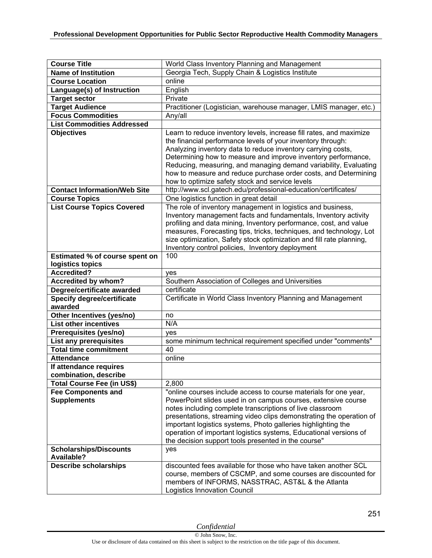| <b>Course Title</b>                                           | World Class Inventory Planning and Management                        |
|---------------------------------------------------------------|----------------------------------------------------------------------|
| <b>Name of Institution</b>                                    | Georgia Tech, Supply Chain & Logistics Institute                     |
| <b>Course Location</b>                                        | online                                                               |
| Language(s) of Instruction                                    | English                                                              |
| <b>Target sector</b>                                          | Private                                                              |
| <b>Target Audience</b>                                        | Practitioner (Logistician, warehouse manager, LMIS manager, etc.)    |
| <b>Focus Commodities</b>                                      | Any/all                                                              |
| <b>List Commodities Addressed</b>                             |                                                                      |
| <b>Objectives</b>                                             | Learn to reduce inventory levels, increase fill rates, and maximize  |
|                                                               | the financial performance levels of your inventory through:          |
|                                                               | Analyzing inventory data to reduce inventory carrying costs,         |
|                                                               | Determining how to measure and improve inventory performance,        |
|                                                               | Reducing, measuring, and managing demand variability, Evaluating     |
|                                                               | how to measure and reduce purchase order costs, and Determining      |
|                                                               | how to optimize safety stock and service levels                      |
| <b>Contact Information/Web Site</b>                           | http://www.scl.gatech.edu/professional-education/certificates/       |
| <b>Course Topics</b>                                          | One logistics function in great detail                               |
| <b>List Course Topics Covered</b>                             | The role of inventory management in logistics and business,          |
|                                                               | Inventory management facts and fundamentals, Inventory activity      |
|                                                               | profiling and data mining, Inventory performance, cost, and value    |
|                                                               | measures, Forecasting tips, tricks, techniques, and technology, Lot  |
|                                                               | size optimization, Safety stock optimization and fill rate planning, |
|                                                               | Inventory control policies, Inventory deployment                     |
| Estimated % of course spent on                                | 100                                                                  |
| logistics topics                                              |                                                                      |
| <b>Accredited?</b>                                            | yes                                                                  |
| <b>Accredited by whom?</b>                                    | Southern Association of Colleges and Universities                    |
| Degree/certificate awarded                                    | certificate                                                          |
| <b>Specify degree/certificate</b><br>awarded                  | Certificate in World Class Inventory Planning and Management         |
|                                                               | no                                                                   |
| Other Incentives (yes/no)<br><b>List other incentives</b>     | N/A                                                                  |
|                                                               |                                                                      |
| Prerequisites (yes/no)                                        | yes<br>some minimum technical requirement specified under "comments" |
| <b>List any prerequisites</b><br><b>Total time commitment</b> | 40                                                                   |
| <b>Attendance</b>                                             | online                                                               |
| If attendance requires                                        |                                                                      |
| combination, describe                                         |                                                                      |
| <b>Total Course Fee (in US\$)</b>                             | 2,800                                                                |
| <b>Fee Components and</b>                                     | "online courses include access to course materials for one year,     |
| <b>Supplements</b>                                            | PowerPoint slides used in on campus courses, extensive course        |
|                                                               | notes including complete transcriptions of live classroom            |
|                                                               | presentations, streaming video clips demonstrating the operation of  |
|                                                               | important logistics systems, Photo galleries highlighting the        |
|                                                               | operation of important logistics systems, Educational versions of    |
|                                                               | the decision support tools presented in the course"                  |
| <b>Scholarships/Discounts</b>                                 | yes                                                                  |
| <b>Available?</b>                                             |                                                                      |
| <b>Describe scholarships</b>                                  | discounted fees available for those who have taken another SCL       |
|                                                               | course, members of CSCMP, and some courses are discounted for        |
|                                                               | members of INFORMS, NASSTRAC, AST&L & the Atlanta                    |
|                                                               | Logistics Innovation Council                                         |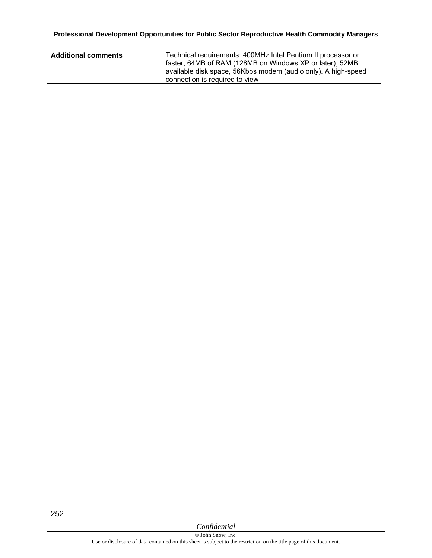| <b>Additional comments</b> | Technical requirements: 400MHz Intel Pentium II processor or<br>faster, 64MB of RAM (128MB on Windows XP or later), 52MB<br>available disk space, 56Kbps modem (audio only). A high-speed |
|----------------------------|-------------------------------------------------------------------------------------------------------------------------------------------------------------------------------------------|
|                            | connection is required to view                                                                                                                                                            |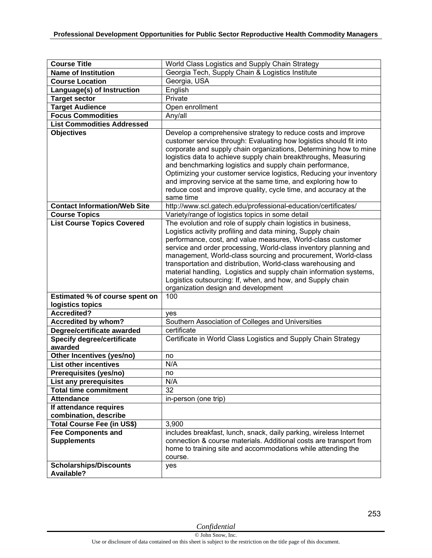| <b>Course Title</b>                                | World Class Logistics and Supply Chain Strategy                                                                                                                                                                                                                                                                                                                                                                                                                                                                                                                            |
|----------------------------------------------------|----------------------------------------------------------------------------------------------------------------------------------------------------------------------------------------------------------------------------------------------------------------------------------------------------------------------------------------------------------------------------------------------------------------------------------------------------------------------------------------------------------------------------------------------------------------------------|
| <b>Name of Institution</b>                         | Georgia Tech, Supply Chain & Logistics Institute                                                                                                                                                                                                                                                                                                                                                                                                                                                                                                                           |
| <b>Course Location</b>                             | Georgia, USA                                                                                                                                                                                                                                                                                                                                                                                                                                                                                                                                                               |
| Language(s) of Instruction                         | English                                                                                                                                                                                                                                                                                                                                                                                                                                                                                                                                                                    |
| <b>Target sector</b>                               | Private                                                                                                                                                                                                                                                                                                                                                                                                                                                                                                                                                                    |
| <b>Target Audience</b>                             | Open enrollment                                                                                                                                                                                                                                                                                                                                                                                                                                                                                                                                                            |
| <b>Focus Commodities</b>                           | Any/all                                                                                                                                                                                                                                                                                                                                                                                                                                                                                                                                                                    |
| <b>List Commodities Addressed</b>                  |                                                                                                                                                                                                                                                                                                                                                                                                                                                                                                                                                                            |
| <b>Objectives</b>                                  | Develop a comprehensive strategy to reduce costs and improve<br>customer service through: Evaluating how logistics should fit into<br>corporate and supply chain organizations, Determining how to mine<br>logistics data to achieve supply chain breakthroughs, Measuring<br>and benchmarking logistics and supply chain performance,<br>Optimizing your customer service logistics, Reducing your inventory<br>and improving service at the same time, and exploring how to<br>reduce cost and improve quality, cycle time, and accuracy at the<br>same time             |
| <b>Contact Information/Web Site</b>                | http://www.scl.gatech.edu/professional-education/certificates/                                                                                                                                                                                                                                                                                                                                                                                                                                                                                                             |
| <b>Course Topics</b>                               | Variety/range of logistics topics in some detail                                                                                                                                                                                                                                                                                                                                                                                                                                                                                                                           |
| <b>List Course Topics Covered</b>                  | The evolution and role of supply chain logistics in business,<br>Logistics activity profiling and data mining, Supply chain<br>performance, cost, and value measures, World-class customer<br>service and order processing, World-class inventory planning and<br>management, World-class sourcing and procurement, World-class<br>transportation and distribution, World-class warehousing and<br>material handling, Logistics and supply chain information systems,<br>Logistics outsourcing: If, when, and how, and Supply chain<br>organization design and development |
| Estimated % of course spent on                     | 100                                                                                                                                                                                                                                                                                                                                                                                                                                                                                                                                                                        |
| logistics topics<br><b>Accredited?</b>             |                                                                                                                                                                                                                                                                                                                                                                                                                                                                                                                                                                            |
|                                                    | yes<br>Southern Association of Colleges and Universities                                                                                                                                                                                                                                                                                                                                                                                                                                                                                                                   |
| Accredited by whom?<br>Degree/certificate awarded  | certificate                                                                                                                                                                                                                                                                                                                                                                                                                                                                                                                                                                |
| Specify degree/certificate<br>awarded              | Certificate in World Class Logistics and Supply Chain Strategy                                                                                                                                                                                                                                                                                                                                                                                                                                                                                                             |
| Other Incentives (yes/no)                          | no                                                                                                                                                                                                                                                                                                                                                                                                                                                                                                                                                                         |
| <b>List other incentives</b>                       | N/A                                                                                                                                                                                                                                                                                                                                                                                                                                                                                                                                                                        |
| Prerequisites (yes/no)                             | no                                                                                                                                                                                                                                                                                                                                                                                                                                                                                                                                                                         |
| List any prerequisites                             | N/A                                                                                                                                                                                                                                                                                                                                                                                                                                                                                                                                                                        |
| <b>Total time commitment</b>                       | 32                                                                                                                                                                                                                                                                                                                                                                                                                                                                                                                                                                         |
| <b>Attendance</b>                                  | in-person (one trip)                                                                                                                                                                                                                                                                                                                                                                                                                                                                                                                                                       |
| If attendance requires                             |                                                                                                                                                                                                                                                                                                                                                                                                                                                                                                                                                                            |
| combination, describe                              |                                                                                                                                                                                                                                                                                                                                                                                                                                                                                                                                                                            |
| Total Course Fee (in US\$)                         | 3,900                                                                                                                                                                                                                                                                                                                                                                                                                                                                                                                                                                      |
| <b>Fee Components and</b><br><b>Supplements</b>    | includes breakfast, lunch, snack, daily parking, wireless Internet<br>connection & course materials. Additional costs are transport from<br>home to training site and accommodations while attending the<br>course.                                                                                                                                                                                                                                                                                                                                                        |
| <b>Scholarships/Discounts</b><br><b>Available?</b> | yes                                                                                                                                                                                                                                                                                                                                                                                                                                                                                                                                                                        |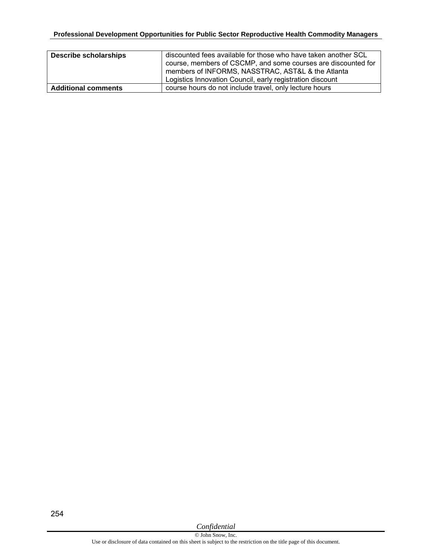| <b>Describe scholarships</b> | discounted fees available for those who have taken another SCL<br>course, members of CSCMP, and some courses are discounted for<br>members of INFORMS, NASSTRAC, AST&L & the Atlanta<br>Logistics Innovation Council, early registration discount |
|------------------------------|---------------------------------------------------------------------------------------------------------------------------------------------------------------------------------------------------------------------------------------------------|
| <b>Additional comments</b>   | course hours do not include travel, only lecture hours                                                                                                                                                                                            |

*Confidential*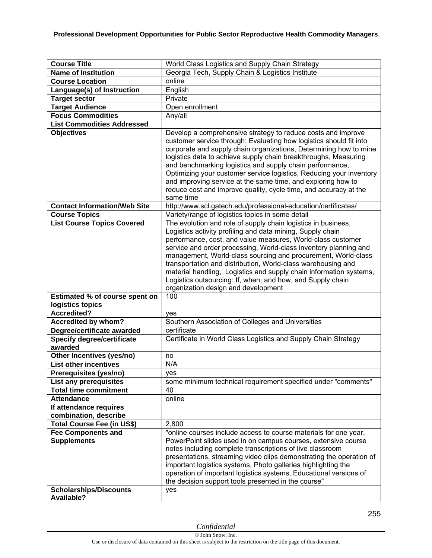| <b>Course Title</b>                             | World Class Logistics and Supply Chain Strategy                                                                                                                                                                                                                                                                                                                                                                                                                                                                                                                            |
|-------------------------------------------------|----------------------------------------------------------------------------------------------------------------------------------------------------------------------------------------------------------------------------------------------------------------------------------------------------------------------------------------------------------------------------------------------------------------------------------------------------------------------------------------------------------------------------------------------------------------------------|
| <b>Name of Institution</b>                      | Georgia Tech, Supply Chain & Logistics Institute                                                                                                                                                                                                                                                                                                                                                                                                                                                                                                                           |
| <b>Course Location</b>                          | online                                                                                                                                                                                                                                                                                                                                                                                                                                                                                                                                                                     |
| Language(s) of Instruction                      | English                                                                                                                                                                                                                                                                                                                                                                                                                                                                                                                                                                    |
| <b>Target sector</b>                            | Private                                                                                                                                                                                                                                                                                                                                                                                                                                                                                                                                                                    |
| <b>Target Audience</b>                          | Open enrollment                                                                                                                                                                                                                                                                                                                                                                                                                                                                                                                                                            |
| <b>Focus Commodities</b>                        | Any/all                                                                                                                                                                                                                                                                                                                                                                                                                                                                                                                                                                    |
| <b>List Commodities Addressed</b>               |                                                                                                                                                                                                                                                                                                                                                                                                                                                                                                                                                                            |
| <b>Objectives</b>                               | Develop a comprehensive strategy to reduce costs and improve<br>customer service through: Evaluating how logistics should fit into<br>corporate and supply chain organizations, Determining how to mine<br>logistics data to achieve supply chain breakthroughs, Measuring<br>and benchmarking logistics and supply chain performance,<br>Optimizing your customer service logistics, Reducing your inventory<br>and improving service at the same time, and exploring how to<br>reduce cost and improve quality, cycle time, and accuracy at the<br>same time             |
| <b>Contact Information/Web Site</b>             | http://www.scl.gatech.edu/professional-education/certificates/                                                                                                                                                                                                                                                                                                                                                                                                                                                                                                             |
| <b>Course Topics</b>                            | Variety/range of logistics topics in some detail                                                                                                                                                                                                                                                                                                                                                                                                                                                                                                                           |
| <b>List Course Topics Covered</b>               | The evolution and role of supply chain logistics in business,<br>Logistics activity profiling and data mining, Supply chain<br>performance, cost, and value measures, World-class customer<br>service and order processing, World-class inventory planning and<br>management, World-class sourcing and procurement, World-class<br>transportation and distribution, World-class warehousing and<br>material handling, Logistics and supply chain information systems,<br>Logistics outsourcing: If, when, and how, and Supply chain<br>organization design and development |
| <b>Estimated % of course spent on</b>           | 100                                                                                                                                                                                                                                                                                                                                                                                                                                                                                                                                                                        |
| logistics topics                                |                                                                                                                                                                                                                                                                                                                                                                                                                                                                                                                                                                            |
| <b>Accredited?</b>                              | yes                                                                                                                                                                                                                                                                                                                                                                                                                                                                                                                                                                        |
| Accredited by whom?                             | Southern Association of Colleges and Universities                                                                                                                                                                                                                                                                                                                                                                                                                                                                                                                          |
| Degree/certificate awarded                      | certificate                                                                                                                                                                                                                                                                                                                                                                                                                                                                                                                                                                |
| <b>Specify degree/certificate</b><br>awarded    | Certificate in World Class Logistics and Supply Chain Strategy                                                                                                                                                                                                                                                                                                                                                                                                                                                                                                             |
| Other Incentives (yes/no)                       | no                                                                                                                                                                                                                                                                                                                                                                                                                                                                                                                                                                         |
| <b>List other incentives</b>                    | N/A                                                                                                                                                                                                                                                                                                                                                                                                                                                                                                                                                                        |
| Prerequisites (yes/no)                          | ves                                                                                                                                                                                                                                                                                                                                                                                                                                                                                                                                                                        |
| List any prerequisites                          | some minimum technical requirement specified under "comments"                                                                                                                                                                                                                                                                                                                                                                                                                                                                                                              |
| <b>Total time commitment</b>                    | 40                                                                                                                                                                                                                                                                                                                                                                                                                                                                                                                                                                         |
| <b>Attendance</b>                               | online                                                                                                                                                                                                                                                                                                                                                                                                                                                                                                                                                                     |
| If attendance requires                          |                                                                                                                                                                                                                                                                                                                                                                                                                                                                                                                                                                            |
| combination, describe                           |                                                                                                                                                                                                                                                                                                                                                                                                                                                                                                                                                                            |
| <b>Total Course Fee (in US\$)</b>               | 2,800                                                                                                                                                                                                                                                                                                                                                                                                                                                                                                                                                                      |
| <b>Fee Components and</b><br><b>Supplements</b> | "online courses include access to course materials for one year,<br>PowerPoint slides used in on campus courses, extensive course<br>notes including complete transcriptions of live classroom<br>presentations, streaming video clips demonstrating the operation of<br>important logistics systems, Photo galleries highlighting the<br>operation of important logistics systems, Educational versions of<br>the decision support tools presented in the course"                                                                                                         |
| <b>Scholarships/Discounts</b><br>Available?     | yes                                                                                                                                                                                                                                                                                                                                                                                                                                                                                                                                                                        |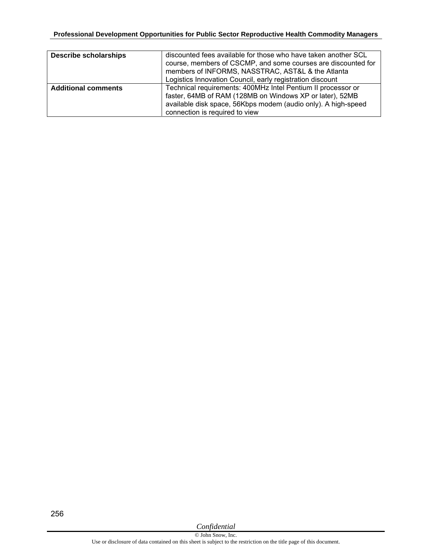## **Professional Development Opportunities for Public Sector Reproductive Health Commodity Managers**

| <b>Describe scholarships</b> | discounted fees available for those who have taken another SCL<br>course, members of CSCMP, and some courses are discounted for<br>members of INFORMS, NASSTRAC, AST&L & the Atlanta<br>Logistics Innovation Council, early registration discount |
|------------------------------|---------------------------------------------------------------------------------------------------------------------------------------------------------------------------------------------------------------------------------------------------|
| <b>Additional comments</b>   | Technical requirements: 400MHz Intel Pentium II processor or<br>faster, 64MB of RAM (128MB on Windows XP or later), 52MB<br>available disk space, 56Kbps modem (audio only). A high-speed<br>connection is required to view                       |

256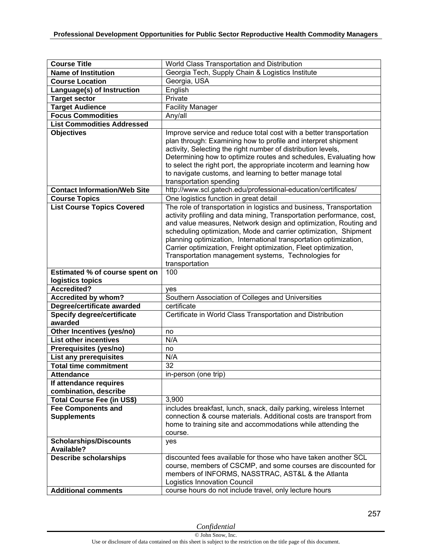| <b>Course Title</b><br>World Class Transportation and Distribution<br><b>Name of Institution</b><br>Georgia Tech, Supply Chain & Logistics Institute<br>Georgia, USA<br><b>Course Location</b><br>English<br>Language(s) of Instruction<br>Private<br><b>Target sector</b><br><b>Facility Manager</b><br><b>Target Audience</b><br><b>Focus Commodities</b><br>Any/all<br><b>List Commodities Addressed</b><br><b>Objectives</b><br>Improve service and reduce total cost with a better transportation |
|--------------------------------------------------------------------------------------------------------------------------------------------------------------------------------------------------------------------------------------------------------------------------------------------------------------------------------------------------------------------------------------------------------------------------------------------------------------------------------------------------------|
|                                                                                                                                                                                                                                                                                                                                                                                                                                                                                                        |
|                                                                                                                                                                                                                                                                                                                                                                                                                                                                                                        |
|                                                                                                                                                                                                                                                                                                                                                                                                                                                                                                        |
|                                                                                                                                                                                                                                                                                                                                                                                                                                                                                                        |
|                                                                                                                                                                                                                                                                                                                                                                                                                                                                                                        |
|                                                                                                                                                                                                                                                                                                                                                                                                                                                                                                        |
|                                                                                                                                                                                                                                                                                                                                                                                                                                                                                                        |
|                                                                                                                                                                                                                                                                                                                                                                                                                                                                                                        |
|                                                                                                                                                                                                                                                                                                                                                                                                                                                                                                        |
| plan through: Examining how to profile and interpret shipment                                                                                                                                                                                                                                                                                                                                                                                                                                          |
| activity, Selecting the right number of distribution levels,                                                                                                                                                                                                                                                                                                                                                                                                                                           |
| Determining how to optimize routes and schedules, Evaluating how                                                                                                                                                                                                                                                                                                                                                                                                                                       |
| to select the right port, the appropriate incoterm and learning how                                                                                                                                                                                                                                                                                                                                                                                                                                    |
| to navigate customs, and learning to better manage total                                                                                                                                                                                                                                                                                                                                                                                                                                               |
| transportation spending                                                                                                                                                                                                                                                                                                                                                                                                                                                                                |
| <b>Contact Information/Web Site</b><br>http://www.scl.gatech.edu/professional-education/certificates/                                                                                                                                                                                                                                                                                                                                                                                                  |
| One logistics function in great detail<br><b>Course Topics</b>                                                                                                                                                                                                                                                                                                                                                                                                                                         |
| <b>List Course Topics Covered</b><br>The role of transportation in logistics and business, Transportation                                                                                                                                                                                                                                                                                                                                                                                              |
| activity profiling and data mining, Transportation performance, cost,                                                                                                                                                                                                                                                                                                                                                                                                                                  |
| and value measures, Network design and optimization, Routing and                                                                                                                                                                                                                                                                                                                                                                                                                                       |
| scheduling optimization, Mode and carrier optimization, Shipment                                                                                                                                                                                                                                                                                                                                                                                                                                       |
| planning optimization, International transportation optimization,                                                                                                                                                                                                                                                                                                                                                                                                                                      |
| Carrier optimization, Freight optimization, Fleet optimization,                                                                                                                                                                                                                                                                                                                                                                                                                                        |
| Transportation management systems, Technologies for                                                                                                                                                                                                                                                                                                                                                                                                                                                    |
| transportation<br>100                                                                                                                                                                                                                                                                                                                                                                                                                                                                                  |
| Estimated % of course spent on                                                                                                                                                                                                                                                                                                                                                                                                                                                                         |
|                                                                                                                                                                                                                                                                                                                                                                                                                                                                                                        |
| logistics topics                                                                                                                                                                                                                                                                                                                                                                                                                                                                                       |
| <b>Accredited?</b><br>ves                                                                                                                                                                                                                                                                                                                                                                                                                                                                              |
| Accredited by whom?<br>Southern Association of Colleges and Universities                                                                                                                                                                                                                                                                                                                                                                                                                               |
| Degree/certificate awarded<br>certificate                                                                                                                                                                                                                                                                                                                                                                                                                                                              |
| <b>Specify degree/certificate</b><br>Certificate in World Class Transportation and Distribution                                                                                                                                                                                                                                                                                                                                                                                                        |
| awarded                                                                                                                                                                                                                                                                                                                                                                                                                                                                                                |
| Other Incentives (yes/no)<br>no                                                                                                                                                                                                                                                                                                                                                                                                                                                                        |
| N/A<br><b>List other incentives</b>                                                                                                                                                                                                                                                                                                                                                                                                                                                                    |
| Prerequisites (yes/no)<br>no                                                                                                                                                                                                                                                                                                                                                                                                                                                                           |
| <b>List any prerequisites</b><br>N/A                                                                                                                                                                                                                                                                                                                                                                                                                                                                   |
| <b>Total time commitment</b><br>32                                                                                                                                                                                                                                                                                                                                                                                                                                                                     |
| in-person (one trip)<br><b>Attendance</b>                                                                                                                                                                                                                                                                                                                                                                                                                                                              |
| If attendance requires                                                                                                                                                                                                                                                                                                                                                                                                                                                                                 |
| combination, describe                                                                                                                                                                                                                                                                                                                                                                                                                                                                                  |
| Total Course Fee (in US\$)<br>3,900                                                                                                                                                                                                                                                                                                                                                                                                                                                                    |
| <b>Fee Components and</b><br>includes breakfast, lunch, snack, daily parking, wireless Internet                                                                                                                                                                                                                                                                                                                                                                                                        |
| connection & course materials. Additional costs are transport from<br><b>Supplements</b>                                                                                                                                                                                                                                                                                                                                                                                                               |
| home to training site and accommodations while attending the                                                                                                                                                                                                                                                                                                                                                                                                                                           |
| course.                                                                                                                                                                                                                                                                                                                                                                                                                                                                                                |
| <b>Scholarships/Discounts</b><br>yes                                                                                                                                                                                                                                                                                                                                                                                                                                                                   |
| <b>Available?</b>                                                                                                                                                                                                                                                                                                                                                                                                                                                                                      |
| <b>Describe scholarships</b><br>discounted fees available for those who have taken another SCL                                                                                                                                                                                                                                                                                                                                                                                                         |
| course, members of CSCMP, and some courses are discounted for                                                                                                                                                                                                                                                                                                                                                                                                                                          |
| members of INFORMS, NASSTRAC, AST&L & the Atlanta<br>Logistics Innovation Council                                                                                                                                                                                                                                                                                                                                                                                                                      |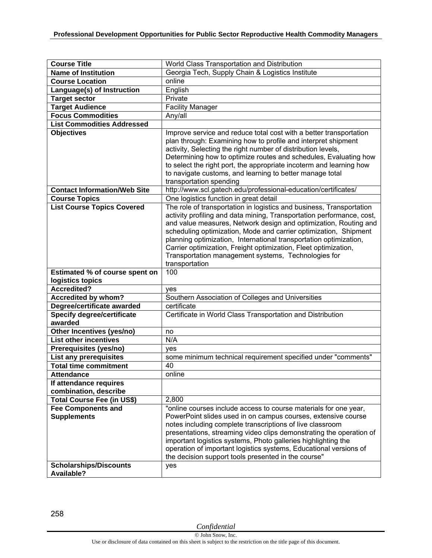| <b>Course Title</b>                                                              | World Class Transportation and Distribution                                                                                                                                                                                                                                                                                                                                                                                                                                                            |
|----------------------------------------------------------------------------------|--------------------------------------------------------------------------------------------------------------------------------------------------------------------------------------------------------------------------------------------------------------------------------------------------------------------------------------------------------------------------------------------------------------------------------------------------------------------------------------------------------|
| <b>Name of Institution</b>                                                       | Georgia Tech, Supply Chain & Logistics Institute                                                                                                                                                                                                                                                                                                                                                                                                                                                       |
| <b>Course Location</b>                                                           | online                                                                                                                                                                                                                                                                                                                                                                                                                                                                                                 |
| Language(s) of Instruction                                                       | English                                                                                                                                                                                                                                                                                                                                                                                                                                                                                                |
| <b>Target sector</b>                                                             | Private                                                                                                                                                                                                                                                                                                                                                                                                                                                                                                |
| <b>Target Audience</b>                                                           | <b>Facility Manager</b>                                                                                                                                                                                                                                                                                                                                                                                                                                                                                |
| <b>Focus Commodities</b>                                                         | Any/all                                                                                                                                                                                                                                                                                                                                                                                                                                                                                                |
| <b>List Commodities Addressed</b>                                                |                                                                                                                                                                                                                                                                                                                                                                                                                                                                                                        |
| <b>Objectives</b>                                                                | Improve service and reduce total cost with a better transportation<br>plan through: Examining how to profile and interpret shipment<br>activity, Selecting the right number of distribution levels,<br>Determining how to optimize routes and schedules, Evaluating how<br>to select the right port, the appropriate incoterm and learning how<br>to navigate customs, and learning to better manage total<br>transportation spending                                                                  |
| <b>Contact Information/Web Site</b>                                              | http://www.scl.gatech.edu/professional-education/certificates/                                                                                                                                                                                                                                                                                                                                                                                                                                         |
| <b>Course Topics</b>                                                             | One logistics function in great detail                                                                                                                                                                                                                                                                                                                                                                                                                                                                 |
| <b>List Course Topics Covered</b>                                                | The role of transportation in logistics and business, Transportation<br>activity profiling and data mining, Transportation performance, cost,<br>and value measures, Network design and optimization, Routing and<br>scheduling optimization, Mode and carrier optimization, Shipment<br>planning optimization, International transportation optimization,<br>Carrier optimization, Freight optimization, Fleet optimization,<br>Transportation management systems, Technologies for<br>transportation |
| Estimated % of course spent on                                                   | 100                                                                                                                                                                                                                                                                                                                                                                                                                                                                                                    |
| logistics topics                                                                 |                                                                                                                                                                                                                                                                                                                                                                                                                                                                                                        |
| <b>Accredited?</b>                                                               | yes                                                                                                                                                                                                                                                                                                                                                                                                                                                                                                    |
| <b>Accredited by whom?</b>                                                       | Southern Association of Colleges and Universities                                                                                                                                                                                                                                                                                                                                                                                                                                                      |
| Degree/certificate awarded                                                       | certificate                                                                                                                                                                                                                                                                                                                                                                                                                                                                                            |
| <b>Specify degree/certificate</b><br>awarded                                     | Certificate in World Class Transportation and Distribution                                                                                                                                                                                                                                                                                                                                                                                                                                             |
| Other Incentives (yes/no)                                                        | no                                                                                                                                                                                                                                                                                                                                                                                                                                                                                                     |
| <b>List other incentives</b>                                                     | N/A                                                                                                                                                                                                                                                                                                                                                                                                                                                                                                    |
| Prerequisites (yes/no)                                                           | yes                                                                                                                                                                                                                                                                                                                                                                                                                                                                                                    |
| <b>List any prerequisites</b>                                                    | some minimum technical requirement specified under "comments"                                                                                                                                                                                                                                                                                                                                                                                                                                          |
| <b>Total time commitment</b>                                                     | 40                                                                                                                                                                                                                                                                                                                                                                                                                                                                                                     |
| <b>Attendance</b>                                                                | online                                                                                                                                                                                                                                                                                                                                                                                                                                                                                                 |
| If attendance requires                                                           |                                                                                                                                                                                                                                                                                                                                                                                                                                                                                                        |
| combination, describe                                                            |                                                                                                                                                                                                                                                                                                                                                                                                                                                                                                        |
| <b>Total Course Fee (in US\$)</b>                                                | 2,800                                                                                                                                                                                                                                                                                                                                                                                                                                                                                                  |
| <b>Fee Components and</b><br><b>Supplements</b><br><b>Scholarships/Discounts</b> | "online courses include access to course materials for one year,<br>PowerPoint slides used in on campus courses, extensive course<br>notes including complete transcriptions of live classroom<br>presentations, streaming video clips demonstrating the operation of<br>important logistics systems, Photo galleries highlighting the<br>operation of important logistics systems, Educational versions of<br>the decision support tools presented in the course"<br>yes                              |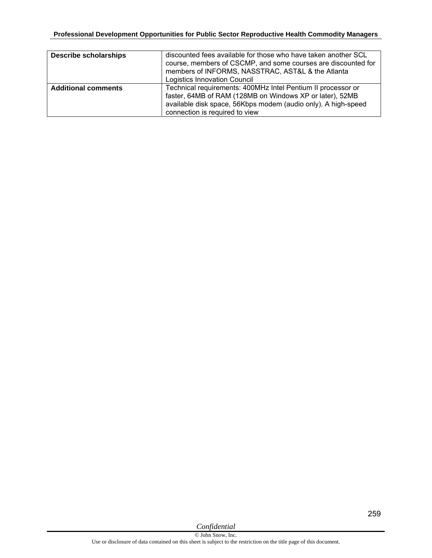| <b>Describe scholarships</b> | discounted fees available for those who have taken another SCL<br>course, members of CSCMP, and some courses are discounted for<br>members of INFORMS, NASSTRAC, AST&L & the Atlanta<br><b>Logistics Innovation Council</b> |
|------------------------------|-----------------------------------------------------------------------------------------------------------------------------------------------------------------------------------------------------------------------------|
| <b>Additional comments</b>   | Technical requirements: 400MHz Intel Pentium II processor or<br>faster, 64MB of RAM (128MB on Windows XP or later), 52MB<br>available disk space, 56Kbps modem (audio only). A high-speed<br>connection is required to view |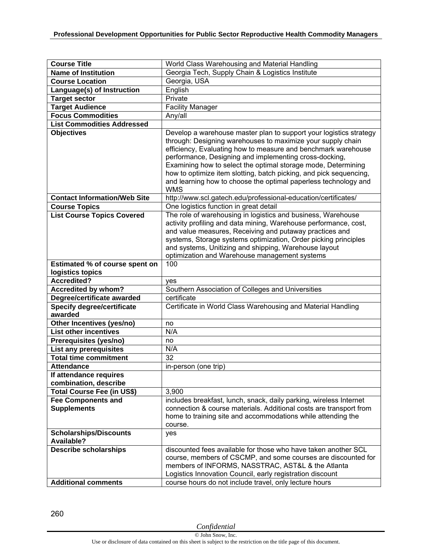| <b>Course Title</b>                                        | World Class Warehousing and Material Handling                                                                                                                                                                                                                                                                                                                                                                                                                                        |
|------------------------------------------------------------|--------------------------------------------------------------------------------------------------------------------------------------------------------------------------------------------------------------------------------------------------------------------------------------------------------------------------------------------------------------------------------------------------------------------------------------------------------------------------------------|
| <b>Name of Institution</b>                                 | Georgia Tech, Supply Chain & Logistics Institute                                                                                                                                                                                                                                                                                                                                                                                                                                     |
| <b>Course Location</b>                                     | Georgia, USA                                                                                                                                                                                                                                                                                                                                                                                                                                                                         |
| Language(s) of Instruction                                 | English                                                                                                                                                                                                                                                                                                                                                                                                                                                                              |
| <b>Target sector</b>                                       | Private                                                                                                                                                                                                                                                                                                                                                                                                                                                                              |
| <b>Target Audience</b>                                     | <b>Facility Manager</b>                                                                                                                                                                                                                                                                                                                                                                                                                                                              |
| <b>Focus Commodities</b>                                   | Any/all                                                                                                                                                                                                                                                                                                                                                                                                                                                                              |
| <b>List Commodities Addressed</b>                          |                                                                                                                                                                                                                                                                                                                                                                                                                                                                                      |
| <b>Objectives</b>                                          | Develop a warehouse master plan to support your logistics strategy<br>through: Designing warehouses to maximize your supply chain<br>efficiency, Evaluating how to measure and benchmark warehouse<br>performance, Designing and implementing cross-docking,<br>Examining how to select the optimal storage mode, Determining<br>how to optimize item slotting, batch picking, and pick sequencing,<br>and learning how to choose the optimal paperless technology and<br><b>WMS</b> |
| <b>Contact Information/Web Site</b>                        | http://www.scl.gatech.edu/professional-education/certificates/                                                                                                                                                                                                                                                                                                                                                                                                                       |
| <b>Course Topics</b>                                       | One logistics function in great detail                                                                                                                                                                                                                                                                                                                                                                                                                                               |
| <b>List Course Topics Covered</b>                          | The role of warehousing in logistics and business, Warehouse<br>activity profiling and data mining, Warehouse performance, cost,<br>and value measures, Receiving and putaway practices and<br>systems, Storage systems optimization, Order picking principles<br>and systems, Unitizing and shipping, Warehouse layout<br>optimization and Warehouse management systems                                                                                                             |
| Estimated % of course spent on                             | 100                                                                                                                                                                                                                                                                                                                                                                                                                                                                                  |
| logistics topics                                           |                                                                                                                                                                                                                                                                                                                                                                                                                                                                                      |
| Accredited?                                                | yes                                                                                                                                                                                                                                                                                                                                                                                                                                                                                  |
|                                                            |                                                                                                                                                                                                                                                                                                                                                                                                                                                                                      |
| Accredited by whom?                                        | Southern Association of Colleges and Universities                                                                                                                                                                                                                                                                                                                                                                                                                                    |
| Degree/certificate awarded                                 | certificate                                                                                                                                                                                                                                                                                                                                                                                                                                                                          |
| <b>Specify degree/certificate</b><br>awarded               | Certificate in World Class Warehousing and Material Handling                                                                                                                                                                                                                                                                                                                                                                                                                         |
| Other Incentives (yes/no)                                  | no                                                                                                                                                                                                                                                                                                                                                                                                                                                                                   |
| <b>List other incentives</b>                               | N/A                                                                                                                                                                                                                                                                                                                                                                                                                                                                                  |
| Prerequisites (yes/no)                                     | no                                                                                                                                                                                                                                                                                                                                                                                                                                                                                   |
| <b>List any prerequisites</b>                              | N/A                                                                                                                                                                                                                                                                                                                                                                                                                                                                                  |
| <b>Total time commitment</b>                               | 32                                                                                                                                                                                                                                                                                                                                                                                                                                                                                   |
| <b>Attendance</b>                                          | in-person (one trip)                                                                                                                                                                                                                                                                                                                                                                                                                                                                 |
| If attendance requires                                     |                                                                                                                                                                                                                                                                                                                                                                                                                                                                                      |
| combination, describe                                      |                                                                                                                                                                                                                                                                                                                                                                                                                                                                                      |
| Total Course Fee (in US\$)                                 | 3,900                                                                                                                                                                                                                                                                                                                                                                                                                                                                                |
| <b>Fee Components and</b><br><b>Supplements</b>            | includes breakfast, lunch, snack, daily parking, wireless Internet<br>connection & course materials. Additional costs are transport from<br>home to training site and accommodations while attending the<br>course.                                                                                                                                                                                                                                                                  |
| <b>Scholarships/Discounts</b>                              | yes                                                                                                                                                                                                                                                                                                                                                                                                                                                                                  |
| <b>Available?</b>                                          |                                                                                                                                                                                                                                                                                                                                                                                                                                                                                      |
| <b>Describe scholarships</b><br><b>Additional comments</b> | discounted fees available for those who have taken another SCL<br>course, members of CSCMP, and some courses are discounted for<br>members of INFORMS, NASSTRAC, AST&L & the Atlanta<br>Logistics Innovation Council, early registration discount<br>course hours do not include travel, only lecture hours                                                                                                                                                                          |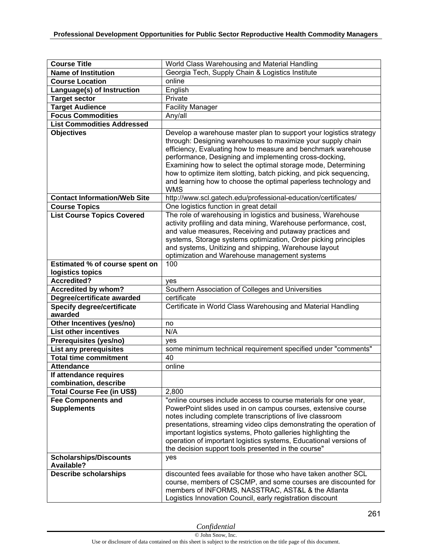| <b>Course Title</b>                                       | World Class Warehousing and Material Handling                                                                                                                                                                                                                                                                                                                                                                                                                                        |
|-----------------------------------------------------------|--------------------------------------------------------------------------------------------------------------------------------------------------------------------------------------------------------------------------------------------------------------------------------------------------------------------------------------------------------------------------------------------------------------------------------------------------------------------------------------|
| <b>Name of Institution</b>                                | Georgia Tech, Supply Chain & Logistics Institute                                                                                                                                                                                                                                                                                                                                                                                                                                     |
| <b>Course Location</b>                                    | online                                                                                                                                                                                                                                                                                                                                                                                                                                                                               |
| Language(s) of Instruction                                | English                                                                                                                                                                                                                                                                                                                                                                                                                                                                              |
| <b>Target sector</b>                                      | Private                                                                                                                                                                                                                                                                                                                                                                                                                                                                              |
| <b>Target Audience</b>                                    | <b>Facility Manager</b>                                                                                                                                                                                                                                                                                                                                                                                                                                                              |
| <b>Focus Commodities</b>                                  | Any/all                                                                                                                                                                                                                                                                                                                                                                                                                                                                              |
| <b>List Commodities Addressed</b>                         |                                                                                                                                                                                                                                                                                                                                                                                                                                                                                      |
| <b>Objectives</b><br><b>Contact Information/Web Site</b>  | Develop a warehouse master plan to support your logistics strategy<br>through: Designing warehouses to maximize your supply chain<br>efficiency, Evaluating how to measure and benchmark warehouse<br>performance, Designing and implementing cross-docking,<br>Examining how to select the optimal storage mode, Determining<br>how to optimize item slotting, batch picking, and pick sequencing,<br>and learning how to choose the optimal paperless technology and<br><b>WMS</b> |
|                                                           | http://www.scl.gatech.edu/professional-education/certificates/                                                                                                                                                                                                                                                                                                                                                                                                                       |
| <b>Course Topics</b><br><b>List Course Topics Covered</b> | One logistics function in great detail<br>The role of warehousing in logistics and business, Warehouse<br>activity profiling and data mining, Warehouse performance, cost,<br>and value measures, Receiving and putaway practices and<br>systems, Storage systems optimization, Order picking principles<br>and systems, Unitizing and shipping, Warehouse layout<br>optimization and Warehouse management systems                                                                   |
| Estimated % of course spent on                            | 100                                                                                                                                                                                                                                                                                                                                                                                                                                                                                  |
| logistics topics                                          |                                                                                                                                                                                                                                                                                                                                                                                                                                                                                      |
| <b>Accredited?</b>                                        | ves                                                                                                                                                                                                                                                                                                                                                                                                                                                                                  |
| Accredited by whom?                                       | Southern Association of Colleges and Universities                                                                                                                                                                                                                                                                                                                                                                                                                                    |
| Degree/certificate awarded                                | certificate                                                                                                                                                                                                                                                                                                                                                                                                                                                                          |
| <b>Specify degree/certificate</b>                         | Certificate in World Class Warehousing and Material Handling                                                                                                                                                                                                                                                                                                                                                                                                                         |
| awarded                                                   |                                                                                                                                                                                                                                                                                                                                                                                                                                                                                      |
| Other Incentives (yes/no)                                 | no                                                                                                                                                                                                                                                                                                                                                                                                                                                                                   |
| <b>List other incentives</b>                              | N/A                                                                                                                                                                                                                                                                                                                                                                                                                                                                                  |
| Prerequisites (yes/no)                                    | ves                                                                                                                                                                                                                                                                                                                                                                                                                                                                                  |
| List any prerequisites                                    | some minimum technical requirement specified under "comments"                                                                                                                                                                                                                                                                                                                                                                                                                        |
| <b>Total time commitment</b>                              | 40                                                                                                                                                                                                                                                                                                                                                                                                                                                                                   |
| <b>Attendance</b>                                         | online                                                                                                                                                                                                                                                                                                                                                                                                                                                                               |
| If attendance requires                                    |                                                                                                                                                                                                                                                                                                                                                                                                                                                                                      |
| combination, describe                                     |                                                                                                                                                                                                                                                                                                                                                                                                                                                                                      |
| <b>Total Course Fee (in US\$)</b>                         | 2,800                                                                                                                                                                                                                                                                                                                                                                                                                                                                                |
| <b>Fee Components and</b>                                 | "online courses include access to course materials for one year,                                                                                                                                                                                                                                                                                                                                                                                                                     |
| <b>Supplements</b>                                        | PowerPoint slides used in on campus courses, extensive course<br>notes including complete transcriptions of live classroom<br>presentations, streaming video clips demonstrating the operation of<br>important logistics systems, Photo galleries highlighting the<br>operation of important logistics systems, Educational versions of<br>the decision support tools presented in the course"                                                                                       |
| <b>Scholarships/Discounts</b><br><b>Available?</b>        | yes                                                                                                                                                                                                                                                                                                                                                                                                                                                                                  |
| <b>Describe scholarships</b>                              | discounted fees available for those who have taken another SCL<br>course, members of CSCMP, and some courses are discounted for<br>members of INFORMS, NASSTRAC, AST&L & the Atlanta<br>Logistics Innovation Council, early registration discount                                                                                                                                                                                                                                    |